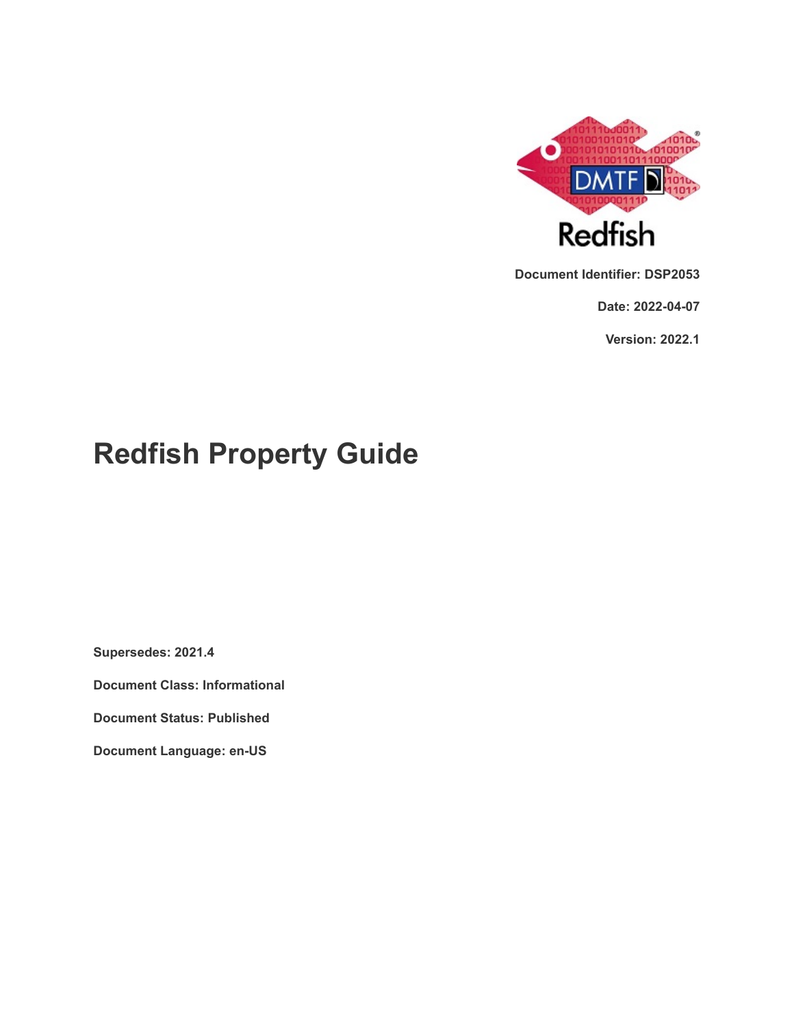

**Document Identifier: DSP2053**

**Date: 2022-04-07**

**Version: 2022.1**

# **Redfish Property Guide**

**Supersedes: 2021.4**

**Document Class: Informational**

**Document Status: Published**

**Document Language: en-US**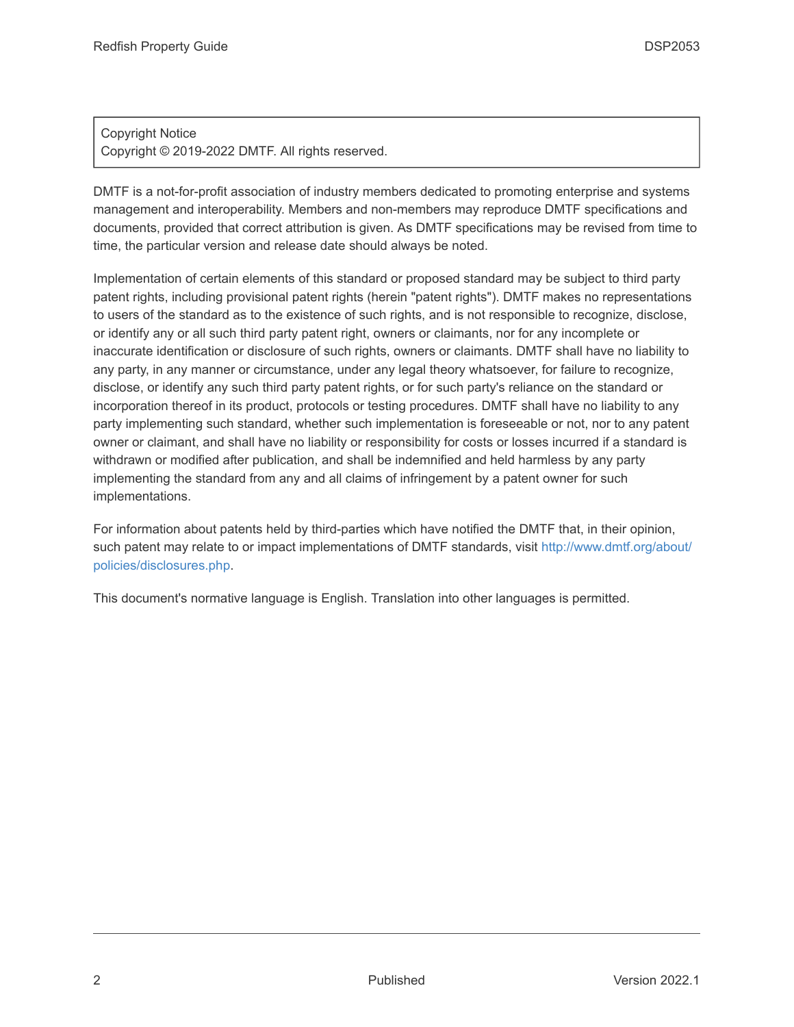#### Copyright Notice Copyright © 2019-2022 DMTF. All rights reserved.

DMTF is a not-for-profit association of industry members dedicated to promoting enterprise and systems management and interoperability. Members and non-members may reproduce DMTF specifications and documents, provided that correct attribution is given. As DMTF specifications may be revised from time to time, the particular version and release date should always be noted.

Implementation of certain elements of this standard or proposed standard may be subject to third party patent rights, including provisional patent rights (herein "patent rights"). DMTF makes no representations to users of the standard as to the existence of such rights, and is not responsible to recognize, disclose, or identify any or all such third party patent right, owners or claimants, nor for any incomplete or inaccurate identification or disclosure of such rights, owners or claimants. DMTF shall have no liability to any party, in any manner or circumstance, under any legal theory whatsoever, for failure to recognize, disclose, or identify any such third party patent rights, or for such party's reliance on the standard or incorporation thereof in its product, protocols or testing procedures. DMTF shall have no liability to any party implementing such standard, whether such implementation is foreseeable or not, nor to any patent owner or claimant, and shall have no liability or responsibility for costs or losses incurred if a standard is withdrawn or modified after publication, and shall be indemnified and held harmless by any party implementing the standard from any and all claims of infringement by a patent owner for such implementations.

For information about patents held by third-parties which have notified the DMTF that, in their opinion, such patent may relate to or impact implementations of DMTF standards, visit [http://www.dmtf.org/about/](http://www.dmtf.org/about/policies/disclosures.php) [policies/disclosures.php.](http://www.dmtf.org/about/policies/disclosures.php)

This document's normative language is English. Translation into other languages is permitted.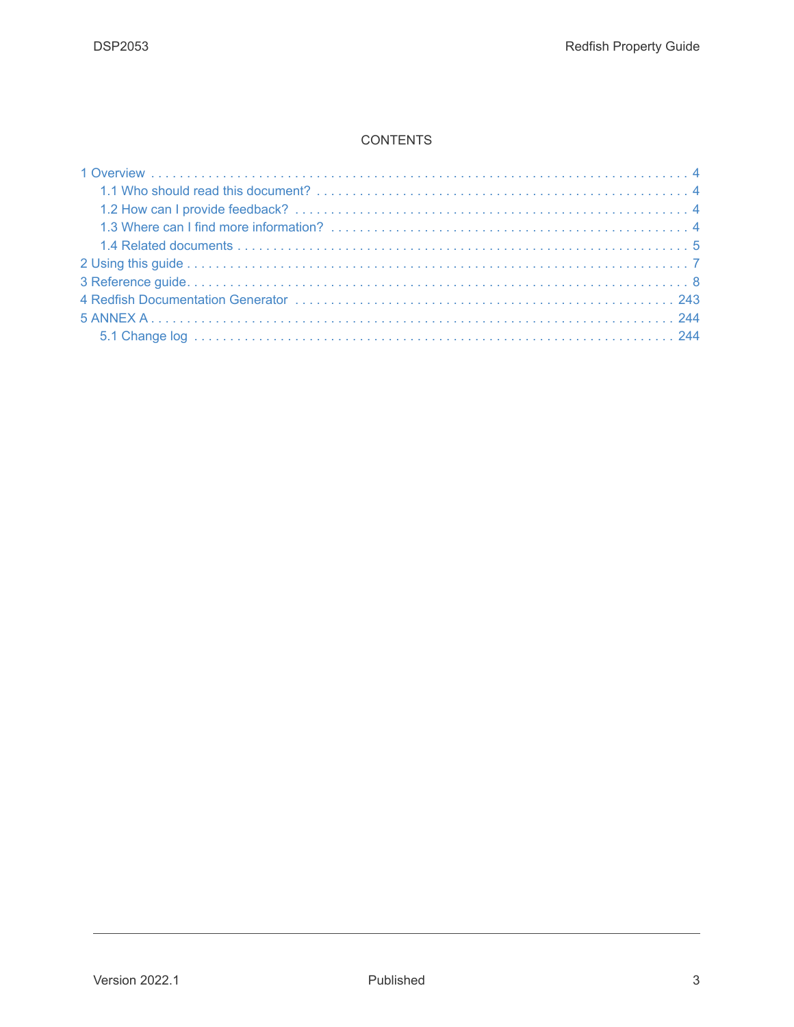#### **CONTENTS**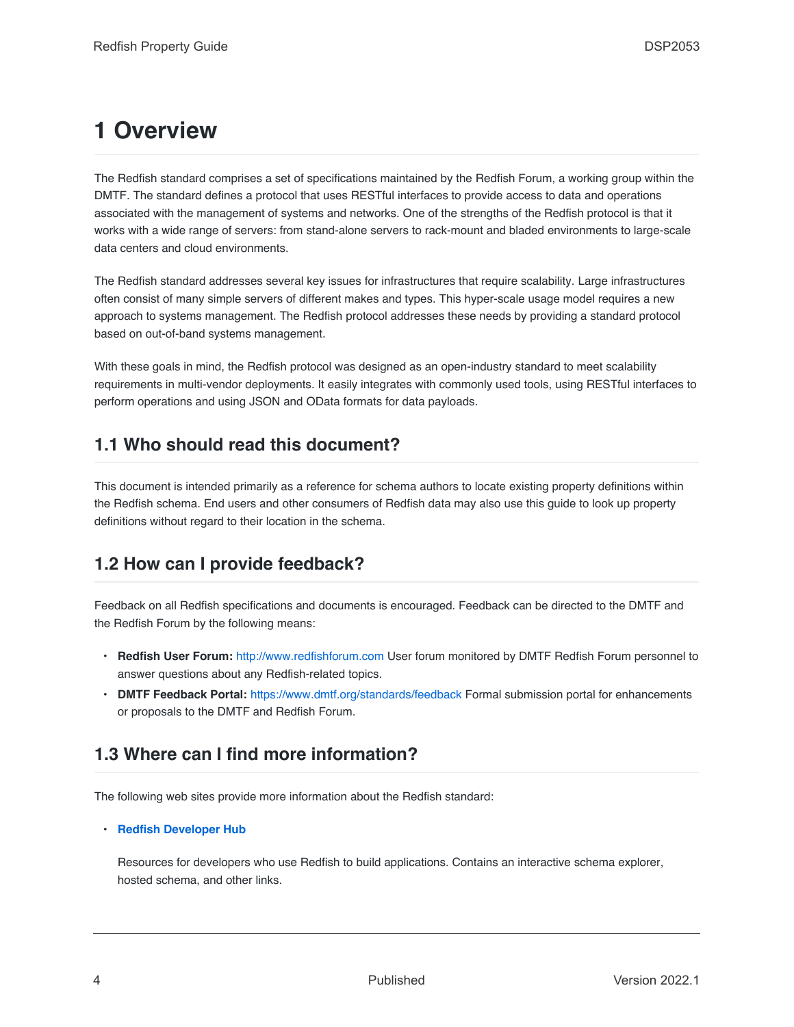## <span id="page-3-0"></span>**1 Overview**

The Redfish standard comprises a set of specifications maintained by the Redfish Forum, a working group within the DMTF. The standard defines a protocol that uses RESTful interfaces to provide access to data and operations associated with the management of systems and networks. One of the strengths of the Redfish protocol is that it works with a wide range of servers: from stand-alone servers to rack-mount and bladed environments to large-scale data centers and cloud environments.

The Redfish standard addresses several key issues for infrastructures that require scalability. Large infrastructures often consist of many simple servers of different makes and types. This hyper-scale usage model requires a new approach to systems management. The Redfish protocol addresses these needs by providing a standard protocol based on out-of-band systems management.

With these goals in mind, the Redfish protocol was designed as an open-industry standard to meet scalability requirements in multi-vendor deployments. It easily integrates with commonly used tools, using RESTful interfaces to perform operations and using JSON and OData formats for data payloads.

### <span id="page-3-1"></span>**1.1 Who should read this document?**

This document is intended primarily as a reference for schema authors to locate existing property definitions within the Redfish schema. End users and other consumers of Redfish data may also use this guide to look up property definitions without regard to their location in the schema.

### <span id="page-3-2"></span>**1.2 How can I provide feedback?**

Feedback on all Redfish specifications and documents is encouraged. Feedback can be directed to the DMTF and the Redfish Forum by the following means:

- **Redfish User Forum:** [http://www.redfishforum.com](http://www.redfishforum.com/) User forum monitored by DMTF Redfish Forum personnel to answer questions about any Redfish-related topics.
- **DMTF Feedback Portal:** <https://www.dmtf.org/standards/feedback> Formal submission portal for enhancements or proposals to the DMTF and Redfish Forum.

## <span id="page-3-3"></span>**1.3 Where can I find more information?**

The following web sites provide more information about the Redfish standard:

#### • **[Redfish Developer Hub](https://redfish.dmtf.org/)**

Resources for developers who use Redfish to build applications. Contains an interactive schema explorer, hosted schema, and other links.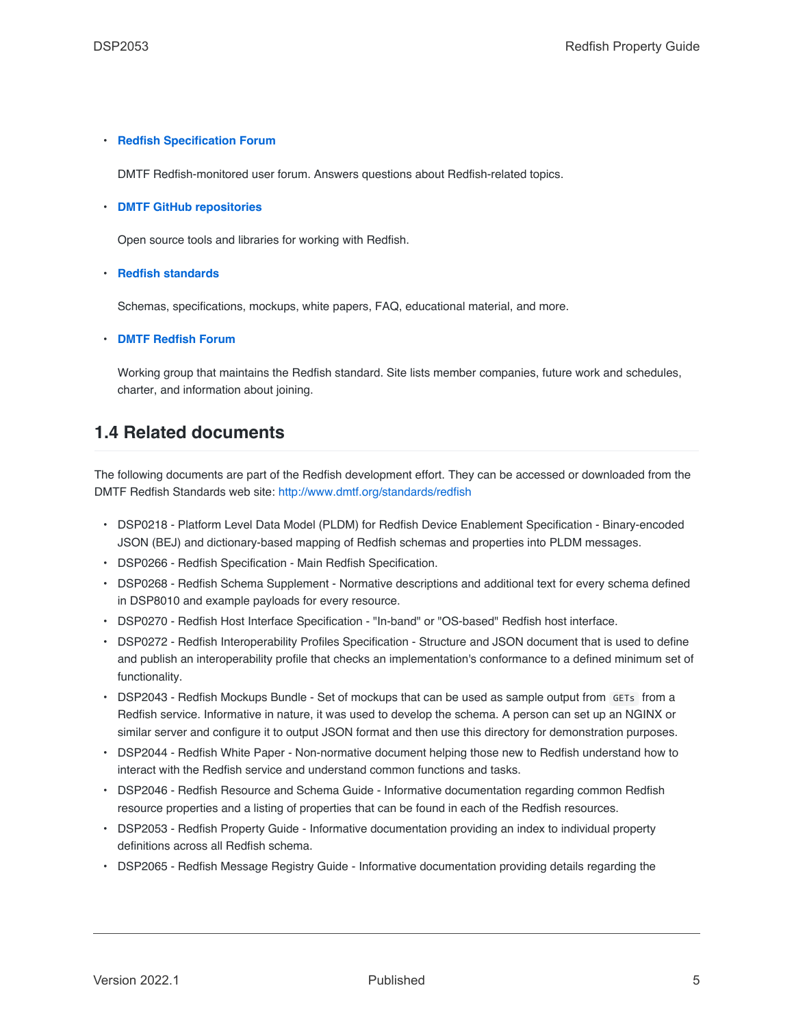#### • **[Redfish Specification Forum](https://redfishforum.com/)**

DMTF Redfish-monitored user forum. Answers questions about Redfish-related topics.

#### • **[DMTF GitHub repositories](https://www.github.com/DMTF)**

Open source tools and libraries for working with Redfish.

#### • **[Redfish standards](https://www.dmtf.org/standards/redfish)**

Schemas, specifications, mockups, white papers, FAQ, educational material, and more.

• **[DMTF Redfish Forum](https://www.dmtf.org/standards/spmf)**

Working group that maintains the Redfish standard. Site lists member companies, future work and schedules, charter, and information about joining.

### <span id="page-4-0"></span>**1.4 Related documents**

The following documents are part of the Redfish development effort. They can be accessed or downloaded from the DMTF Redfish Standards web site: <http://www.dmtf.org/standards/redfish>

- DSP0218 Platform Level Data Model (PLDM) for Redfish Device Enablement Specification Binary‑encoded JSON (BEJ) and dictionary-based mapping of Redfish schemas and properties into PLDM messages.
- DSP0266 Redfish Specification Main Redfish Specification.
- DSP0268 Redfish Schema Supplement Normative descriptions and additional text for every schema defined in DSP8010 and example payloads for every resource.
- DSP0270 Redfish Host Interface Specification "In-band" or "OS-based" Redfish host interface.
- DSP0272 Redfish Interoperability Profiles Specification Structure and JSON document that is used to define and publish an interoperability profile that checks an implementation's conformance to a defined minimum set of functionality.
- DSP2043 Redfish Mockups Bundle Set of mockups that can be used as sample output from GETs from a Redfish service. Informative in nature, it was used to develop the schema. A person can set up an NGINX or similar server and configure it to output JSON format and then use this directory for demonstration purposes.
- DSP2044 Redfish White Paper Non-normative document helping those new to Redfish understand how to interact with the Redfish service and understand common functions and tasks.
- DSP2046 Redfish Resource and Schema Guide Informative documentation regarding common Redfish resource properties and a listing of properties that can be found in each of the Redfish resources.
- DSP2053 Redfish Property Guide Informative documentation providing an index to individual property definitions across all Redfish schema.
- DSP2065 Redfish Message Registry Guide Informative documentation providing details regarding the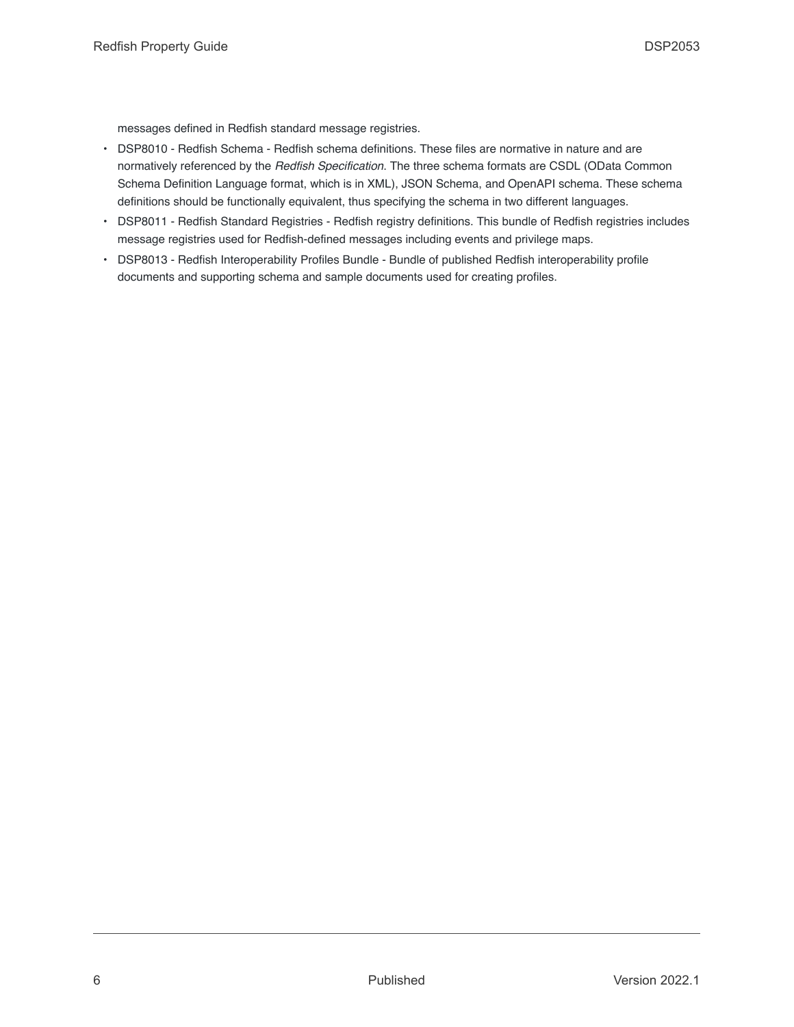messages defined in Redfish standard message registries.

- DSP8010 Redfish Schema Redfish schema definitions. These files are normative in nature and are normatively referenced by the *Redfish Specification*. The three schema formats are CSDL (OData Common Schema Definition Language format, which is in XML), JSON Schema, and OpenAPI schema. These schema definitions should be functionally equivalent, thus specifying the schema in two different languages.
- DSP8011 Redfish Standard Registries Redfish registry definitions. This bundle of Redfish registries includes message registries used for Redfish-defined messages including events and privilege maps.
- DSP8013 Redfish Interoperability Profiles Bundle Bundle of published Redfish interoperability profile documents and supporting schema and sample documents used for creating profiles.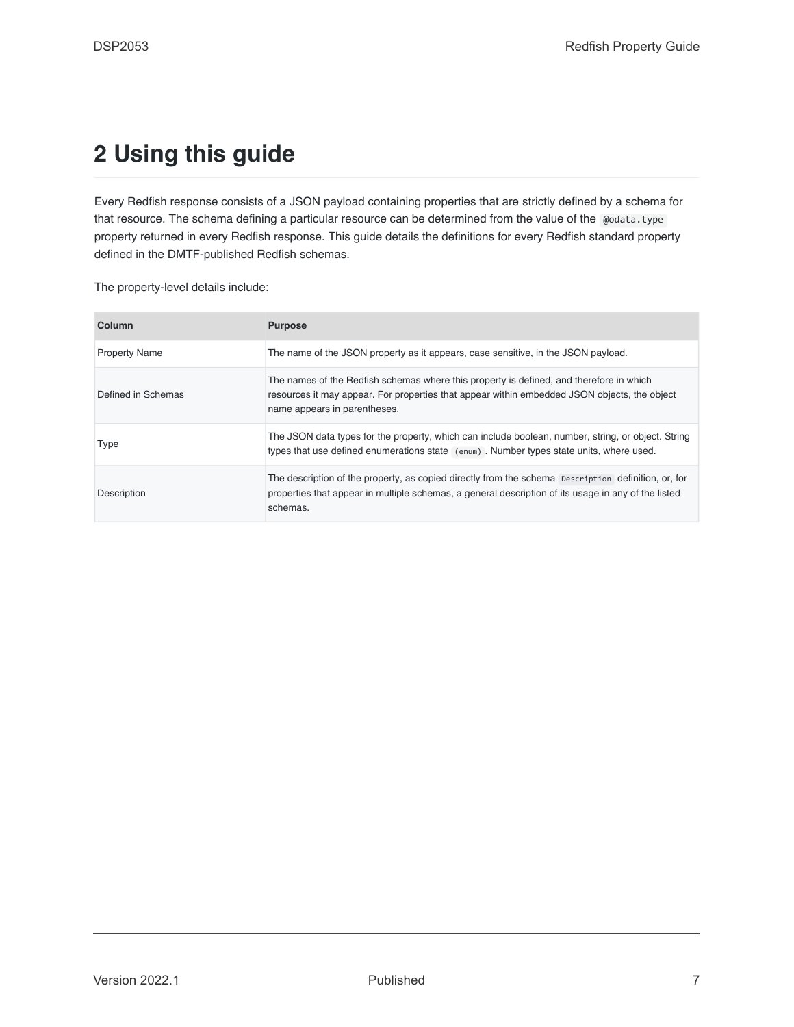## <span id="page-6-0"></span>**2 Using this guide**

Every Redfish response consists of a JSON payload containing properties that are strictly defined by a schema for that resource. The schema defining a particular resource can be determined from the value of the @odata.type property returned in every Redfish response. This guide details the definitions for every Redfish standard property defined in the DMTF-published Redfish schemas.

The property-level details include:

| Column               | <b>Purpose</b>                                                                                                                                                                                                          |
|----------------------|-------------------------------------------------------------------------------------------------------------------------------------------------------------------------------------------------------------------------|
| <b>Property Name</b> | The name of the JSON property as it appears, case sensitive, in the JSON payload.                                                                                                                                       |
| Defined in Schemas   | The names of the Redfish schemas where this property is defined, and therefore in which<br>resources it may appear. For properties that appear within embedded JSON objects, the object<br>name appears in parentheses. |
| Type                 | The JSON data types for the property, which can include boolean, number, string, or object. String<br>types that use defined enumerations state (enum). Number types state units, where used.                           |
| Description          | The description of the property, as copied directly from the schema Description definition, or, for<br>properties that appear in multiple schemas, a general description of its usage in any of the listed<br>schemas.  |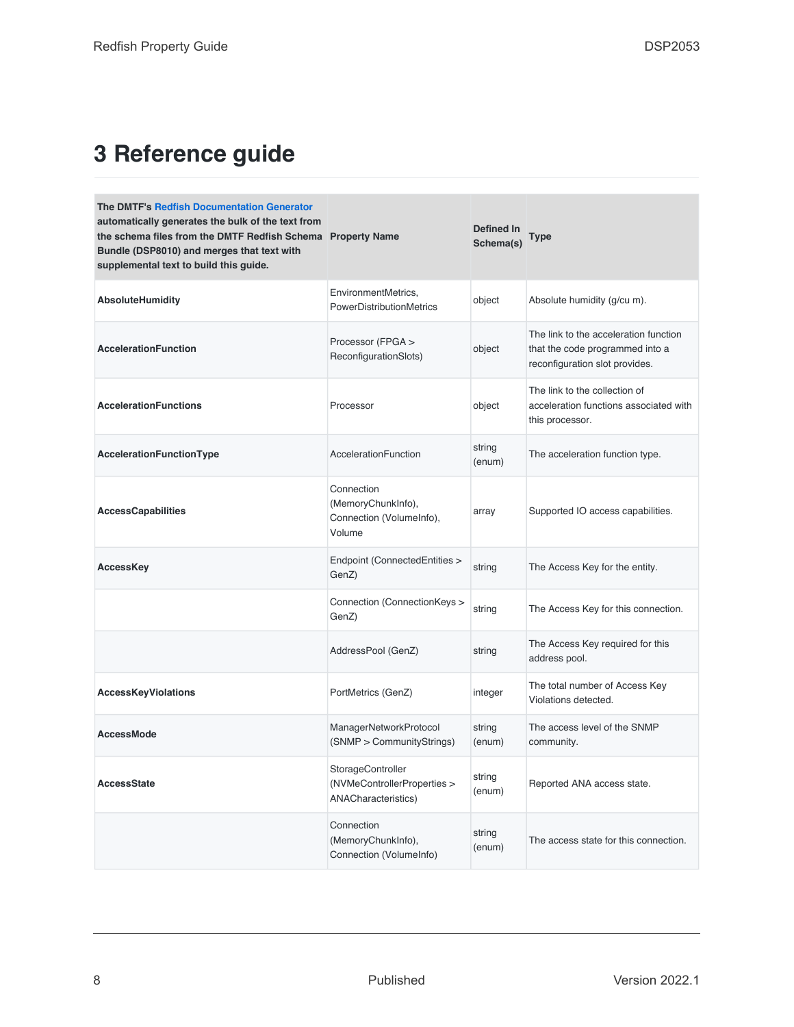## <span id="page-7-0"></span>**3 Reference guide**

| <b>The DMTF's Redfish Documentation Generator</b><br>automatically generates the bulk of the text from<br>the schema files from the DMTF Redfish Schema Property Name<br>Bundle (DSP8010) and merges that text with<br>supplemental text to build this guide. |                                                                                | <b>Defined In</b><br>Schema(s) | <b>Type</b>                                                                                                |
|---------------------------------------------------------------------------------------------------------------------------------------------------------------------------------------------------------------------------------------------------------------|--------------------------------------------------------------------------------|--------------------------------|------------------------------------------------------------------------------------------------------------|
| AbsoluteHumidity                                                                                                                                                                                                                                              | EnvironmentMetrics,<br>PowerDistributionMetrics                                | object                         | Absolute humidity (g/cu m).                                                                                |
| <b>AccelerationFunction</b>                                                                                                                                                                                                                                   | Processor (FPGA ><br>ReconfigurationSlots)                                     | object                         | The link to the acceleration function<br>that the code programmed into a<br>reconfiguration slot provides. |
| <b>AccelerationFunctions</b>                                                                                                                                                                                                                                  | Processor                                                                      | object                         | The link to the collection of<br>acceleration functions associated with<br>this processor.                 |
| AccelerationFunctionType                                                                                                                                                                                                                                      | AccelerationFunction                                                           | string<br>(enum)               | The acceleration function type.                                                                            |
| <b>AccessCapabilities</b>                                                                                                                                                                                                                                     | Connection<br>(MemoryChunkInfo),<br>Connection (VolumeInfo),<br>Volume         | array                          | Supported IO access capabilities.                                                                          |
| <b>AccessKey</b>                                                                                                                                                                                                                                              | Endpoint (ConnectedEntities ><br>GenZ)                                         | string                         | The Access Key for the entity.                                                                             |
|                                                                                                                                                                                                                                                               | Connection (ConnectionKeys ><br>GenZ)                                          | string                         | The Access Key for this connection.                                                                        |
|                                                                                                                                                                                                                                                               | AddressPool (GenZ)                                                             | string                         | The Access Key required for this<br>address pool.                                                          |
| <b>AccessKeyViolations</b>                                                                                                                                                                                                                                    | PortMetrics (GenZ)                                                             | integer                        | The total number of Access Key<br>Violations detected.                                                     |
| <b>AccessMode</b>                                                                                                                                                                                                                                             | ManagerNetworkProtocol<br>(SNMP > CommunityStrings)                            | string<br>(enum)               | The access level of the SNMP<br>community.                                                                 |
| <b>AccessState</b>                                                                                                                                                                                                                                            | StorageController<br>(NVMeControllerProperties ><br><b>ANACharacteristics)</b> | string<br>(enum)               | Reported ANA access state.                                                                                 |
|                                                                                                                                                                                                                                                               | Connection<br>(MemoryChunkInfo),<br>Connection (VolumeInfo)                    | string<br>(enum)               | The access state for this connection.                                                                      |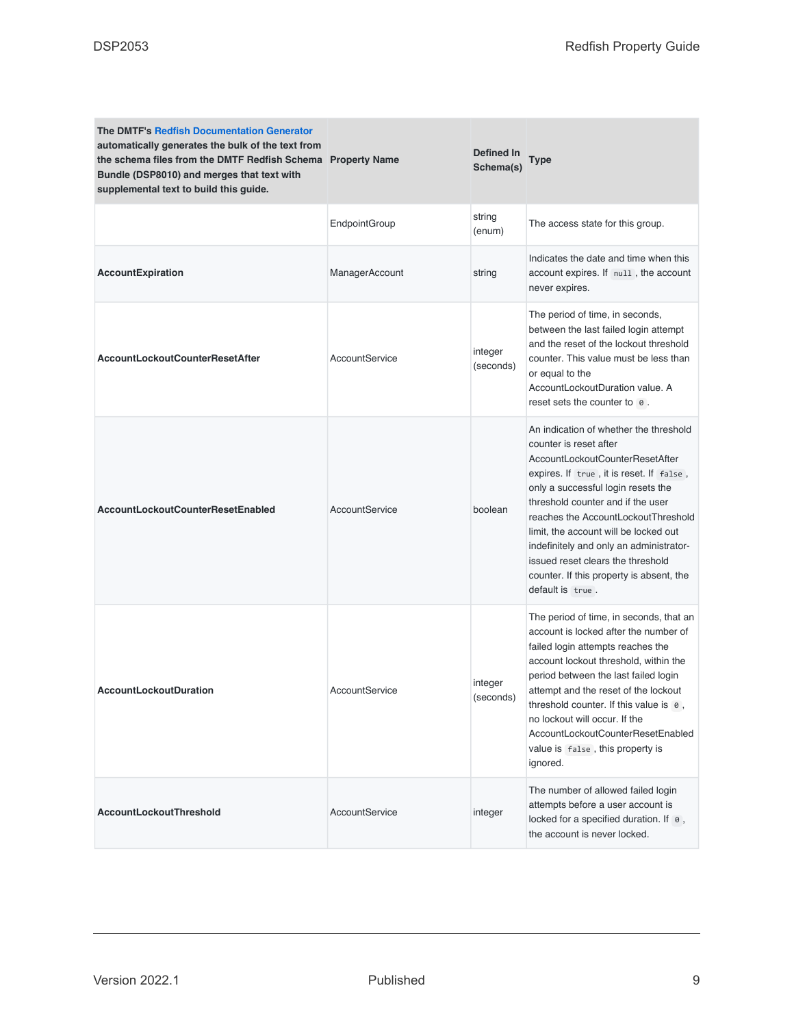| <b>The DMTF's Redfish Documentation Generator</b><br>automatically generates the bulk of the text from<br>the schema files from the DMTF Redfish Schema Property Name<br>Bundle (DSP8010) and merges that text with<br>supplemental text to build this guide. |                      | Defined In<br>Schema(s) | <b>Type</b>                                                                                                                                                                                                                                                                                                                                                                                                                                                |
|---------------------------------------------------------------------------------------------------------------------------------------------------------------------------------------------------------------------------------------------------------------|----------------------|-------------------------|------------------------------------------------------------------------------------------------------------------------------------------------------------------------------------------------------------------------------------------------------------------------------------------------------------------------------------------------------------------------------------------------------------------------------------------------------------|
|                                                                                                                                                                                                                                                               | <b>EndpointGroup</b> | string<br>(enum)        | The access state for this group.                                                                                                                                                                                                                                                                                                                                                                                                                           |
| <b>AccountExpiration</b>                                                                                                                                                                                                                                      | ManagerAccount       | string                  | Indicates the date and time when this<br>account expires. If null, the account<br>never expires.                                                                                                                                                                                                                                                                                                                                                           |
| <b>AccountLockoutCounterResetAfter</b>                                                                                                                                                                                                                        | AccountService       | integer<br>(seconds)    | The period of time, in seconds,<br>between the last failed login attempt<br>and the reset of the lockout threshold<br>counter. This value must be less than<br>or equal to the<br>AccountLockoutDuration value. A<br>reset sets the counter to 0.                                                                                                                                                                                                          |
| <b>AccountLockoutCounterResetEnabled</b>                                                                                                                                                                                                                      | AccountService       | boolean                 | An indication of whether the threshold<br>counter is reset after<br>AccountLockoutCounterResetAfter<br>expires. If true, it is reset. If false,<br>only a successful login resets the<br>threshold counter and if the user<br>reaches the AccountLockoutThreshold<br>limit, the account will be locked out<br>indefinitely and only an administrator-<br>issued reset clears the threshold<br>counter. If this property is absent, the<br>default is true. |
| <b>AccountLockoutDuration</b>                                                                                                                                                                                                                                 | AccountService       | integer<br>(seconds)    | The period of time, in seconds, that an<br>account is locked after the number of<br>failed login attempts reaches the<br>account lockout threshold, within the<br>period between the last failed login<br>attempt and the reset of the lockout<br>threshold counter. If this value is 0,<br>no lockout will occur. If the<br>AccountLockoutCounterResetEnabled<br>value is false, this property is<br>ignored.                                             |
| AccountLockoutThreshold                                                                                                                                                                                                                                       | AccountService       | integer                 | The number of allowed failed login<br>attempts before a user account is<br>locked for a specified duration. If 0,<br>the account is never locked.                                                                                                                                                                                                                                                                                                          |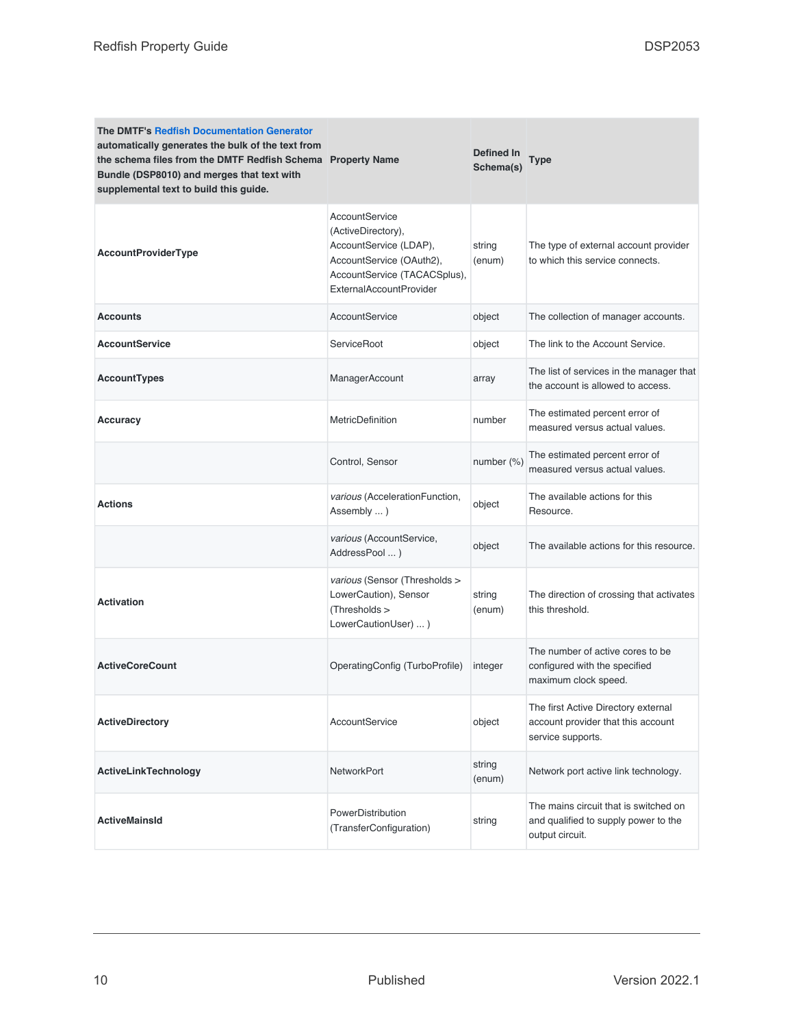| The DMTF's Redfish Documentation Generator<br>automatically generates the bulk of the text from<br>the schema files from the DMTF Redfish Schema Property Name<br>Bundle (DSP8010) and merges that text with<br>supplemental text to build this guide. |                                                                                                                                                       | <b>Defined In</b><br>Schema(s) | Type                                                                                             |
|--------------------------------------------------------------------------------------------------------------------------------------------------------------------------------------------------------------------------------------------------------|-------------------------------------------------------------------------------------------------------------------------------------------------------|--------------------------------|--------------------------------------------------------------------------------------------------|
| <b>AccountProviderType</b>                                                                                                                                                                                                                             | AccountService<br>(ActiveDirectory),<br>AccountService (LDAP),<br>AccountService (OAuth2),<br>AccountService (TACACSplus),<br>ExternalAccountProvider | string<br>(enum)               | The type of external account provider<br>to which this service connects.                         |
| <b>Accounts</b>                                                                                                                                                                                                                                        | AccountService                                                                                                                                        | object                         | The collection of manager accounts.                                                              |
| <b>AccountService</b>                                                                                                                                                                                                                                  | ServiceRoot                                                                                                                                           | object                         | The link to the Account Service.                                                                 |
| <b>AccountTypes</b>                                                                                                                                                                                                                                    | ManagerAccount                                                                                                                                        | array                          | The list of services in the manager that<br>the account is allowed to access.                    |
| Accuracy                                                                                                                                                                                                                                               | MetricDefinition                                                                                                                                      | number                         | The estimated percent error of<br>measured versus actual values.                                 |
|                                                                                                                                                                                                                                                        | Control, Sensor                                                                                                                                       | number (%)                     | The estimated percent error of<br>measured versus actual values.                                 |
| <b>Actions</b>                                                                                                                                                                                                                                         | various (AccelerationFunction,<br>Assembly  )                                                                                                         | object                         | The available actions for this<br>Resource.                                                      |
|                                                                                                                                                                                                                                                        | various (AccountService,<br>AddressPool  )                                                                                                            | object                         | The available actions for this resource.                                                         |
| <b>Activation</b>                                                                                                                                                                                                                                      | various (Sensor (Thresholds ><br>LowerCaution), Sensor<br>(Thresholds ><br>LowerCautionUser)  )                                                       | string<br>(enum)               | The direction of crossing that activates<br>this threshold.                                      |
| <b>ActiveCoreCount</b>                                                                                                                                                                                                                                 | OperatingConfig (TurboProfile)                                                                                                                        | integer                        | The number of active cores to be<br>configured with the specified<br>maximum clock speed.        |
| <b>ActiveDirectory</b>                                                                                                                                                                                                                                 | AccountService                                                                                                                                        | object                         | The first Active Directory external<br>account provider that this account<br>service supports.   |
| ActiveLinkTechnology                                                                                                                                                                                                                                   | <b>NetworkPort</b>                                                                                                                                    | string<br>(enum)               | Network port active link technology.                                                             |
| <b>ActiveMainsId</b>                                                                                                                                                                                                                                   | PowerDistribution<br>(TransferConfiguration)                                                                                                          | string                         | The mains circuit that is switched on<br>and qualified to supply power to the<br>output circuit. |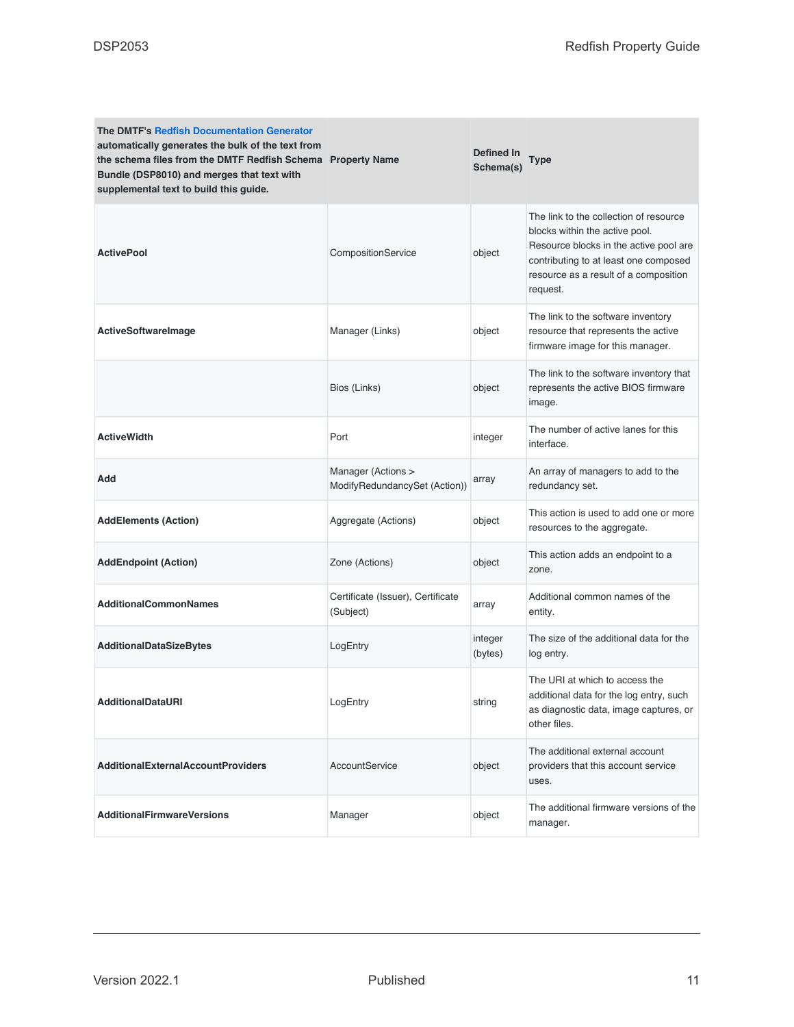| <b>The DMTF's Redfish Documentation Generator</b><br>automatically generates the bulk of the text from<br>the schema files from the DMTF Redfish Schema Property Name<br>Bundle (DSP8010) and merges that text with<br>supplemental text to build this guide. |                                                     | Defined In<br>Schema(s) | Type                                                                                                                                                                                                             |
|---------------------------------------------------------------------------------------------------------------------------------------------------------------------------------------------------------------------------------------------------------------|-----------------------------------------------------|-------------------------|------------------------------------------------------------------------------------------------------------------------------------------------------------------------------------------------------------------|
| <b>ActivePool</b>                                                                                                                                                                                                                                             | CompositionService                                  | object                  | The link to the collection of resource<br>blocks within the active pool.<br>Resource blocks in the active pool are<br>contributing to at least one composed<br>resource as a result of a composition<br>request. |
| <b>ActiveSoftwareImage</b>                                                                                                                                                                                                                                    | Manager (Links)                                     | object                  | The link to the software inventory<br>resource that represents the active<br>firmware image for this manager.                                                                                                    |
|                                                                                                                                                                                                                                                               | Bios (Links)                                        | object                  | The link to the software inventory that<br>represents the active BIOS firmware<br>image.                                                                                                                         |
| <b>Active Width</b>                                                                                                                                                                                                                                           | Port                                                | integer                 | The number of active lanes for this<br>interface.                                                                                                                                                                |
| Add                                                                                                                                                                                                                                                           | Manager (Actions ><br>ModifyRedundancySet (Action)) | array                   | An array of managers to add to the<br>redundancy set.                                                                                                                                                            |
| <b>AddElements (Action)</b>                                                                                                                                                                                                                                   | Aggregate (Actions)                                 | object                  | This action is used to add one or more<br>resources to the aggregate.                                                                                                                                            |
| <b>AddEndpoint (Action)</b>                                                                                                                                                                                                                                   | Zone (Actions)                                      | object                  | This action adds an endpoint to a<br>zone.                                                                                                                                                                       |
| <b>AdditionalCommonNames</b>                                                                                                                                                                                                                                  | Certificate (Issuer), Certificate<br>(Subject)      | array                   | Additional common names of the<br>entity.                                                                                                                                                                        |
| <b>AdditionalDataSizeBytes</b>                                                                                                                                                                                                                                | LogEntry                                            | integer<br>(bytes)      | The size of the additional data for the<br>log entry.                                                                                                                                                            |
| <b>AdditionalDataURI</b>                                                                                                                                                                                                                                      | LogEntry                                            | string                  | The URI at which to access the<br>additional data for the log entry, such<br>as diagnostic data, image captures, or<br>other files.                                                                              |
| <b>AdditionalExternalAccountProviders</b>                                                                                                                                                                                                                     | AccountService                                      | object                  | The additional external account<br>providers that this account service<br>uses.                                                                                                                                  |
| <b>AdditionalFirmwareVersions</b>                                                                                                                                                                                                                             | Manager                                             | object                  | The additional firmware versions of the<br>manager.                                                                                                                                                              |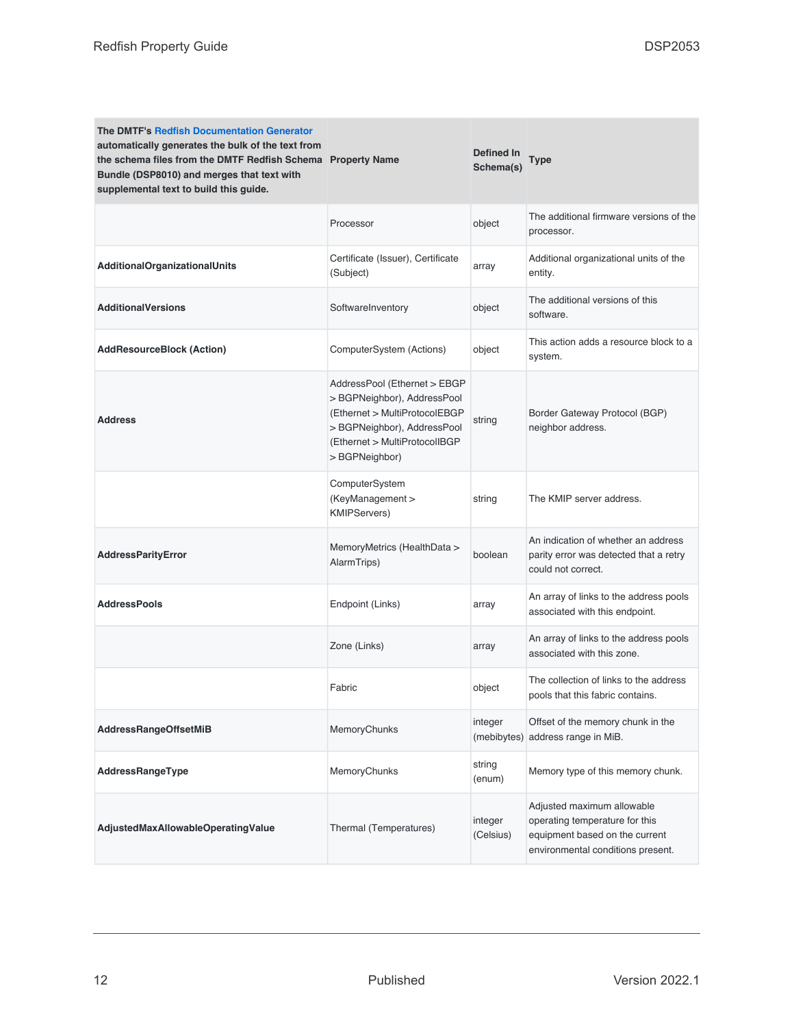| <b>The DMTF's Redfish Documentation Generator</b><br>automatically generates the bulk of the text from<br>the schema files from the DMTF Redfish Schema Property Name<br>Bundle (DSP8010) and merges that text with<br>supplemental text to build this guide. |                                                                                                                                                                                | Defined In<br>Schema(s) | Type                                                                                                                                |
|---------------------------------------------------------------------------------------------------------------------------------------------------------------------------------------------------------------------------------------------------------------|--------------------------------------------------------------------------------------------------------------------------------------------------------------------------------|-------------------------|-------------------------------------------------------------------------------------------------------------------------------------|
|                                                                                                                                                                                                                                                               | Processor                                                                                                                                                                      | object                  | The additional firmware versions of the<br>processor.                                                                               |
| <b>AdditionalOrganizationalUnits</b>                                                                                                                                                                                                                          | Certificate (Issuer), Certificate<br>(Subject)                                                                                                                                 | array                   | Additional organizational units of the<br>entity.                                                                                   |
| <b>AdditionalVersions</b>                                                                                                                                                                                                                                     | SoftwareInventory                                                                                                                                                              | object                  | The additional versions of this<br>software.                                                                                        |
| <b>AddResourceBlock (Action)</b>                                                                                                                                                                                                                              | ComputerSystem (Actions)                                                                                                                                                       | object                  | This action adds a resource block to a<br>system.                                                                                   |
| <b>Address</b>                                                                                                                                                                                                                                                | AddressPool (Ethernet > EBGP<br>> BGPNeighbor), AddressPool<br>(Ethernet > MultiProtocolEBGP<br>> BGPNeighbor), AddressPool<br>(Ethernet > MultiProtocolIBGP<br>> BGPNeighbor) | string                  | Border Gateway Protocol (BGP)<br>neighbor address.                                                                                  |
|                                                                                                                                                                                                                                                               | ComputerSystem<br>(KeyManagement ><br><b>KMIPServers)</b>                                                                                                                      | string                  | The KMIP server address.                                                                                                            |
| <b>AddressParityError</b>                                                                                                                                                                                                                                     | MemoryMetrics (HealthData ><br>AlarmTrips)                                                                                                                                     | boolean                 | An indication of whether an address<br>parity error was detected that a retry<br>could not correct.                                 |
| <b>AddressPools</b>                                                                                                                                                                                                                                           | Endpoint (Links)                                                                                                                                                               | array                   | An array of links to the address pools<br>associated with this endpoint.                                                            |
|                                                                                                                                                                                                                                                               | Zone (Links)                                                                                                                                                                   | array                   | An array of links to the address pools<br>associated with this zone.                                                                |
|                                                                                                                                                                                                                                                               | Fabric                                                                                                                                                                         | object                  | The collection of links to the address<br>pools that this fabric contains.                                                          |
| <b>AddressRangeOffsetMiB</b>                                                                                                                                                                                                                                  | MemoryChunks                                                                                                                                                                   | integer<br>(mebibytes)  | Offset of the memory chunk in the<br>address range in MiB.                                                                          |
| AddressRangeType                                                                                                                                                                                                                                              | MemoryChunks                                                                                                                                                                   | string<br>(enum)        | Memory type of this memory chunk.                                                                                                   |
| AdjustedMaxAllowableOperatingValue                                                                                                                                                                                                                            | Thermal (Temperatures)                                                                                                                                                         | integer<br>(Celsius)    | Adjusted maximum allowable<br>operating temperature for this<br>equipment based on the current<br>environmental conditions present. |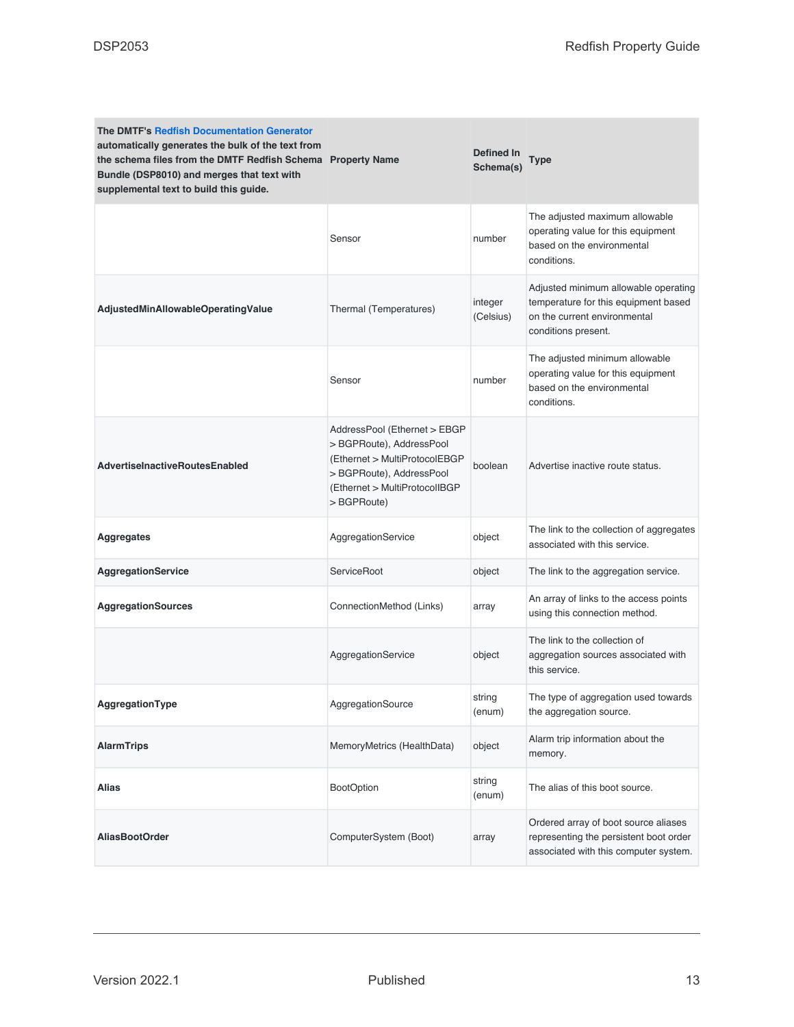| <b>The DMTF's Redfish Documentation Generator</b><br>automatically generates the bulk of the text from<br>the schema files from the DMTF Redfish Schema Property Name<br>Bundle (DSP8010) and merges that text with<br>supplemental text to build this guide. |                                                                                                                                                                     | Defined In<br>Schema(s) | Type                                                                                                                                |
|---------------------------------------------------------------------------------------------------------------------------------------------------------------------------------------------------------------------------------------------------------------|---------------------------------------------------------------------------------------------------------------------------------------------------------------------|-------------------------|-------------------------------------------------------------------------------------------------------------------------------------|
|                                                                                                                                                                                                                                                               | Sensor                                                                                                                                                              | number                  | The adjusted maximum allowable<br>operating value for this equipment<br>based on the environmental<br>conditions.                   |
| AdjustedMinAllowableOperatingValue                                                                                                                                                                                                                            | Thermal (Temperatures)                                                                                                                                              | integer<br>(Celsius)    | Adjusted minimum allowable operating<br>temperature for this equipment based<br>on the current environmental<br>conditions present. |
|                                                                                                                                                                                                                                                               | Sensor                                                                                                                                                              | number                  | The adjusted minimum allowable<br>operating value for this equipment<br>based on the environmental<br>conditions.                   |
| <b>AdvertiseInactiveRoutesEnabled</b>                                                                                                                                                                                                                         | AddressPool (Ethernet > EBGP<br>> BGPRoute), AddressPool<br>(Ethernet > MultiProtocolEBGP<br>>BGPRoute), AddressPool<br>(Ethernet > MultiProtocolIBGP<br>>BGPRoute) | boolean                 | Advertise inactive route status.                                                                                                    |
| <b>Aggregates</b>                                                                                                                                                                                                                                             | AggregationService                                                                                                                                                  | object                  | The link to the collection of aggregates<br>associated with this service.                                                           |
| AggregationService                                                                                                                                                                                                                                            | ServiceRoot                                                                                                                                                         | object                  | The link to the aggregation service.                                                                                                |
| <b>AggregationSources</b>                                                                                                                                                                                                                                     | ConnectionMethod (Links)                                                                                                                                            | array                   | An array of links to the access points<br>using this connection method.                                                             |
|                                                                                                                                                                                                                                                               | AggregationService                                                                                                                                                  | object                  | The link to the collection of<br>aggregation sources associated with<br>this service.                                               |
| AggregationType                                                                                                                                                                                                                                               | AggregationSource                                                                                                                                                   | string<br>(enum)        | The type of aggregation used towards<br>the aggregation source.                                                                     |
| <b>AlarmTrips</b>                                                                                                                                                                                                                                             | MemoryMetrics (HealthData)                                                                                                                                          | object                  | Alarm trip information about the<br>memory.                                                                                         |
| Alias                                                                                                                                                                                                                                                         | <b>BootOption</b>                                                                                                                                                   | string<br>(enum)        | The alias of this boot source.                                                                                                      |
| <b>AliasBootOrder</b>                                                                                                                                                                                                                                         | ComputerSystem (Boot)                                                                                                                                               | array                   | Ordered array of boot source aliases<br>representing the persistent boot order<br>associated with this computer system.             |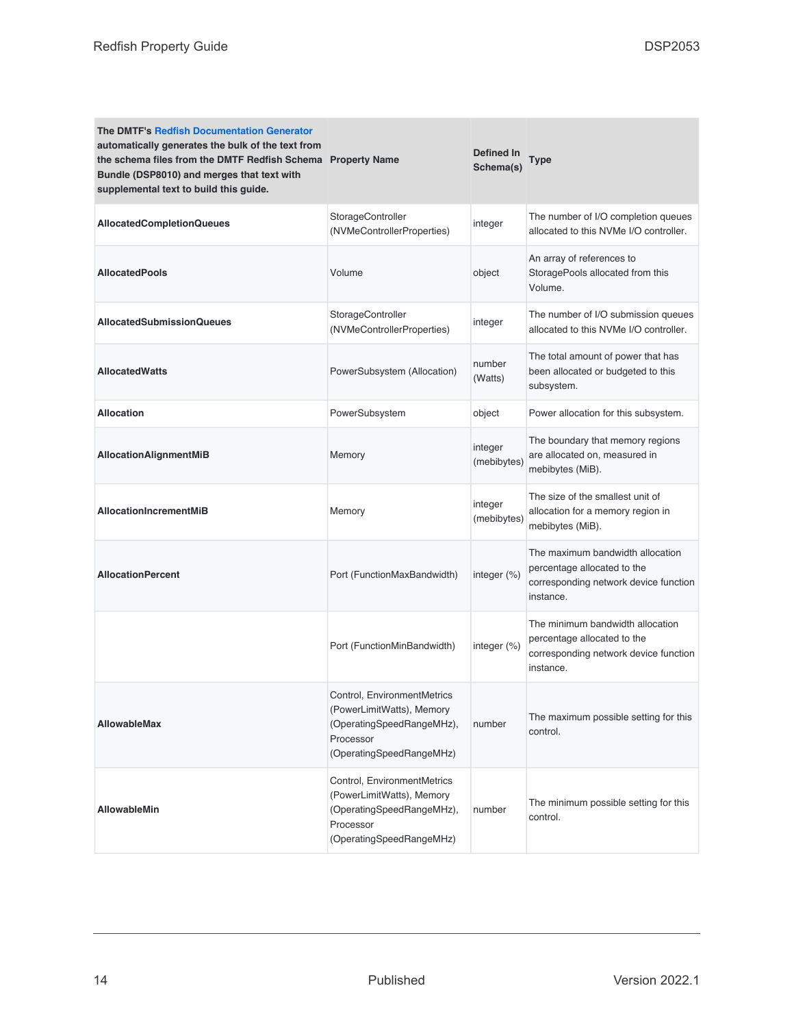| <b>The DMTF's Redfish Documentation Generator</b><br>automatically generates the bulk of the text from<br>the schema files from the DMTF Redfish Schema Property Name<br>Bundle (DSP8010) and merges that text with<br>supplemental text to build this guide. |                                                                                                                                | <b>Defined In</b><br>Schema(s) | Type                                                                                                                  |
|---------------------------------------------------------------------------------------------------------------------------------------------------------------------------------------------------------------------------------------------------------------|--------------------------------------------------------------------------------------------------------------------------------|--------------------------------|-----------------------------------------------------------------------------------------------------------------------|
| <b>AllocatedCompletionQueues</b>                                                                                                                                                                                                                              | StorageController<br>(NVMeControllerProperties)                                                                                | integer                        | The number of I/O completion queues<br>allocated to this NVMe I/O controller.                                         |
| <b>AllocatedPools</b>                                                                                                                                                                                                                                         | Volume                                                                                                                         | object                         | An array of references to<br>StoragePools allocated from this<br>Volume.                                              |
| <b>AllocatedSubmissionQueues</b>                                                                                                                                                                                                                              | StorageController<br>(NVMeControllerProperties)                                                                                | integer                        | The number of I/O submission queues<br>allocated to this NVMe I/O controller.                                         |
| <b>AllocatedWatts</b>                                                                                                                                                                                                                                         | PowerSubsystem (Allocation)                                                                                                    | number<br>(Watts)              | The total amount of power that has<br>been allocated or budgeted to this<br>subsystem.                                |
| <b>Allocation</b>                                                                                                                                                                                                                                             | PowerSubsystem                                                                                                                 | object                         | Power allocation for this subsystem.                                                                                  |
| AllocationAlignmentMiB                                                                                                                                                                                                                                        | Memory                                                                                                                         | integer<br>(mebibytes)         | The boundary that memory regions<br>are allocated on, measured in<br>mebibytes (MiB).                                 |
| <b>AllocationIncrementMiB</b>                                                                                                                                                                                                                                 | Memory                                                                                                                         | integer<br>(mebibytes)         | The size of the smallest unit of<br>allocation for a memory region in<br>mebibytes (MiB).                             |
| <b>AllocationPercent</b>                                                                                                                                                                                                                                      | Port (FunctionMaxBandwidth)                                                                                                    | integer (%)                    | The maximum bandwidth allocation<br>percentage allocated to the<br>corresponding network device function<br>instance. |
|                                                                                                                                                                                                                                                               | Port (FunctionMinBandwidth)                                                                                                    | integer (%)                    | The minimum bandwidth allocation<br>percentage allocated to the<br>corresponding network device function<br>instance. |
| AllowableMax                                                                                                                                                                                                                                                  | Control, EnvironmentMetrics<br>(PowerLimitWatts), Memory<br>(OperatingSpeedRangeMHz),<br>Processor<br>(OperatingSpeedRangeMHz) | number                         | The maximum possible setting for this<br>control.                                                                     |
| <b>AllowableMin</b>                                                                                                                                                                                                                                           | Control, EnvironmentMetrics<br>(PowerLimitWatts), Memory<br>(OperatingSpeedRangeMHz),<br>Processor<br>(OperatingSpeedRangeMHz) | number                         | The minimum possible setting for this<br>control.                                                                     |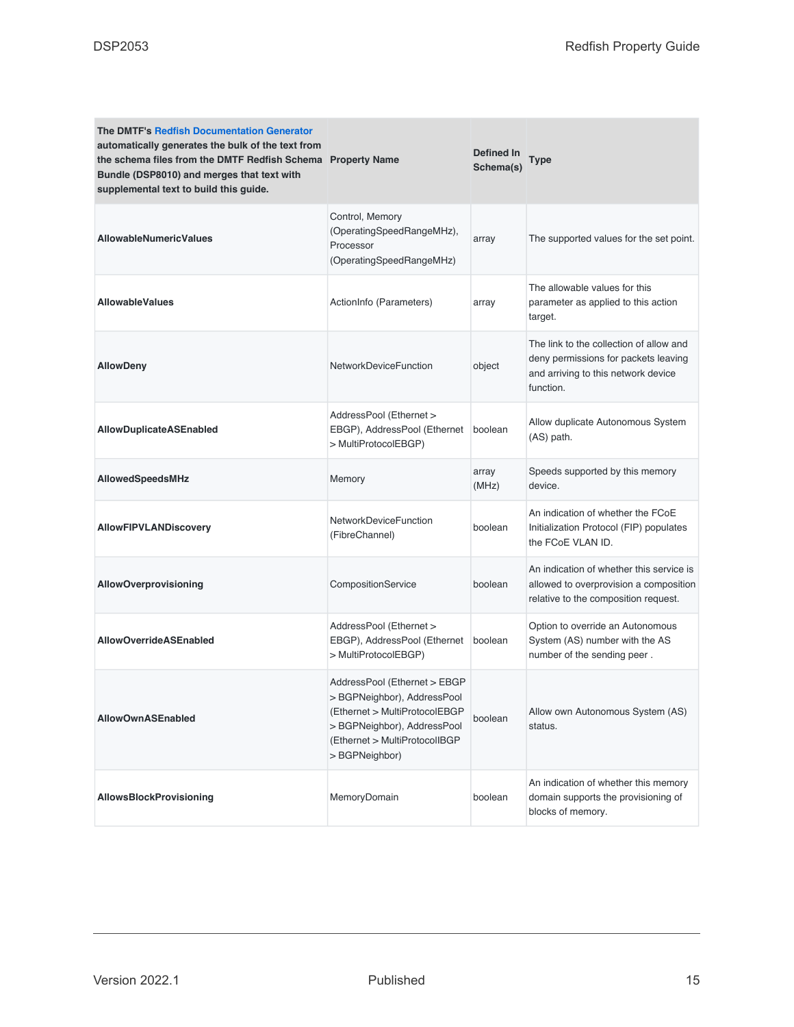| <b>The DMTF's Redfish Documentation Generator</b><br>automatically generates the bulk of the text from<br>the schema files from the DMTF Redfish Schema Property Name<br>Bundle (DSP8010) and merges that text with<br>supplemental text to build this guide. |                                                                                                                                                                                | Defined In<br>Schema(s) | Type                                                                                                                                |
|---------------------------------------------------------------------------------------------------------------------------------------------------------------------------------------------------------------------------------------------------------------|--------------------------------------------------------------------------------------------------------------------------------------------------------------------------------|-------------------------|-------------------------------------------------------------------------------------------------------------------------------------|
| <b>AllowableNumericValues</b>                                                                                                                                                                                                                                 | Control, Memory<br>(OperatingSpeedRangeMHz),<br>Processor<br>(OperatingSpeedRangeMHz)                                                                                          | array                   | The supported values for the set point.                                                                                             |
| <b>AllowableValues</b>                                                                                                                                                                                                                                        | ActionInfo (Parameters)                                                                                                                                                        | array                   | The allowable values for this<br>parameter as applied to this action<br>target.                                                     |
| <b>AllowDeny</b>                                                                                                                                                                                                                                              | <b>NetworkDeviceFunction</b>                                                                                                                                                   | object                  | The link to the collection of allow and<br>deny permissions for packets leaving<br>and arriving to this network device<br>function. |
| <b>AllowDuplicateASEnabled</b>                                                                                                                                                                                                                                | AddressPool (Ethernet ><br>EBGP), AddressPool (Ethernet<br>> MultiProtocolEBGP)                                                                                                | boolean                 | Allow duplicate Autonomous System<br>(AS) path.                                                                                     |
| AllowedSpeedsMHz                                                                                                                                                                                                                                              | Memory                                                                                                                                                                         | array<br>(MHz)          | Speeds supported by this memory<br>device.                                                                                          |
| AllowFIPVLANDiscovery                                                                                                                                                                                                                                         | NetworkDeviceFunction<br>(FibreChannel)                                                                                                                                        | boolean                 | An indication of whether the FCoE<br>Initialization Protocol (FIP) populates<br>the FCoE VLAN ID.                                   |
| <b>AllowOverprovisioning</b>                                                                                                                                                                                                                                  | CompositionService                                                                                                                                                             | boolean                 | An indication of whether this service is<br>allowed to overprovision a composition<br>relative to the composition request.          |
| <b>AllowOverrideASEnabled</b>                                                                                                                                                                                                                                 | AddressPool (Ethernet ><br>EBGP), AddressPool (Ethernet<br>> MultiProtocolEBGP)                                                                                                | boolean                 | Option to override an Autonomous<br>System (AS) number with the AS<br>number of the sending peer.                                   |
| <b>AllowOwnASEnabled</b>                                                                                                                                                                                                                                      | AddressPool (Ethernet > EBGP<br>> BGPNeighbor), AddressPool<br>(Ethernet > MultiProtocolEBGP<br>> BGPNeighbor), AddressPool<br>(Ethernet > MultiProtocolIBGP<br>> BGPNeighbor) | boolean                 | Allow own Autonomous System (AS)<br>status.                                                                                         |
| <b>AllowsBlockProvisioning</b>                                                                                                                                                                                                                                | MemoryDomain                                                                                                                                                                   | boolean                 | An indication of whether this memory<br>domain supports the provisioning of<br>blocks of memory.                                    |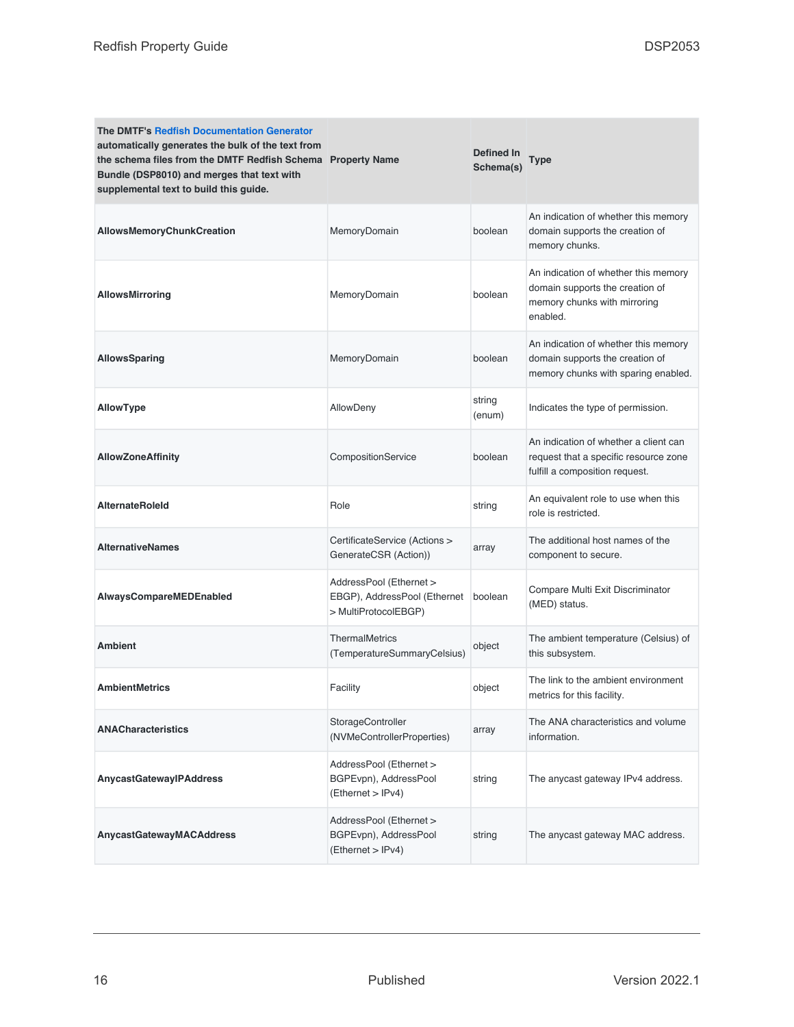| <b>The DMTF's Redfish Documentation Generator</b><br>automatically generates the bulk of the text from<br>the schema files from the DMTF Redfish Schema Property Name<br>Bundle (DSP8010) and merges that text with<br>supplemental text to build this guide. |                                                                                 | Defined In<br>Schema(s) | <b>Type</b>                                                                                                         |
|---------------------------------------------------------------------------------------------------------------------------------------------------------------------------------------------------------------------------------------------------------------|---------------------------------------------------------------------------------|-------------------------|---------------------------------------------------------------------------------------------------------------------|
| AllowsMemoryChunkCreation                                                                                                                                                                                                                                     | MemoryDomain                                                                    | boolean                 | An indication of whether this memory<br>domain supports the creation of<br>memory chunks.                           |
| <b>AllowsMirroring</b>                                                                                                                                                                                                                                        | MemoryDomain                                                                    | boolean                 | An indication of whether this memory<br>domain supports the creation of<br>memory chunks with mirroring<br>enabled. |
| <b>AllowsSparing</b>                                                                                                                                                                                                                                          | MemoryDomain                                                                    | boolean                 | An indication of whether this memory<br>domain supports the creation of<br>memory chunks with sparing enabled.      |
| <b>AllowType</b>                                                                                                                                                                                                                                              | AllowDeny                                                                       | string<br>(enum)        | Indicates the type of permission.                                                                                   |
| <b>AllowZoneAffinity</b>                                                                                                                                                                                                                                      | CompositionService                                                              | boolean                 | An indication of whether a client can<br>request that a specific resource zone<br>fulfill a composition request.    |
| <b>AlternateRoleId</b>                                                                                                                                                                                                                                        | Role                                                                            | string                  | An equivalent role to use when this<br>role is restricted.                                                          |
| <b>AlternativeNames</b>                                                                                                                                                                                                                                       | CertificateService (Actions ><br>GenerateCSR (Action))                          | array                   | The additional host names of the<br>component to secure.                                                            |
| AlwaysCompareMEDEnabled                                                                                                                                                                                                                                       | AddressPool (Ethernet ><br>EBGP), AddressPool (Ethernet<br>> MultiProtocolEBGP) | boolean                 | Compare Multi Exit Discriminator<br>(MED) status.                                                                   |
| <b>Ambient</b>                                                                                                                                                                                                                                                | <b>ThermalMetrics</b><br>(TemperatureSummaryCelsius)                            | object                  | The ambient temperature (Celsius) of<br>this subsystem.                                                             |
| <b>AmbientMetrics</b>                                                                                                                                                                                                                                         | Facility                                                                        | object                  | The link to the ambient environment<br>metrics for this facility.                                                   |
| <b>ANACharacteristics</b>                                                                                                                                                                                                                                     | StorageController<br>(NVMeControllerProperties)                                 | array                   | The ANA characteristics and volume<br>information.                                                                  |
| AnycastGatewayIPAddress                                                                                                                                                                                                                                       | AddressPool (Ethernet ><br>BGPEvpn), AddressPool<br>( Ethernet > IPv4)          | string                  | The anycast gateway IPv4 address.                                                                                   |
| AnycastGatewayMACAddress                                                                                                                                                                                                                                      | AddressPool (Ethernet ><br>BGPEvpn), AddressPool<br>( Ethernet > IPv4)          | string                  | The anycast gateway MAC address.                                                                                    |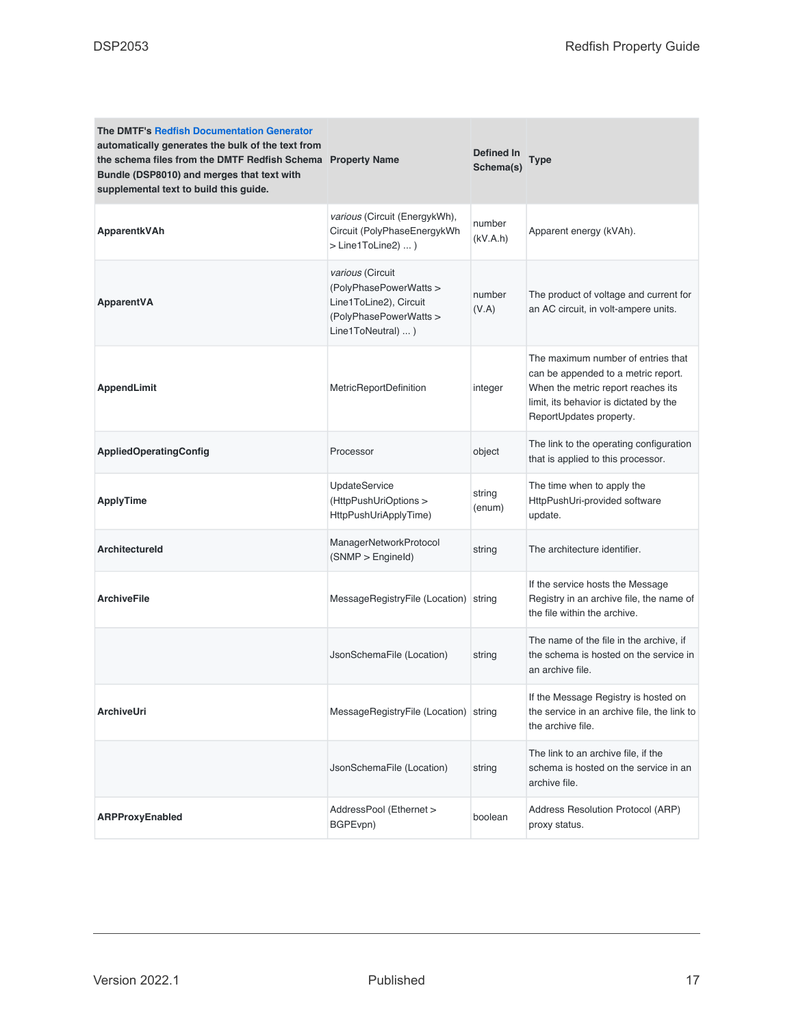| <b>The DMTF's Redfish Documentation Generator</b><br>automatically generates the bulk of the text from<br>the schema files from the DMTF Redfish Schema Property Name<br>Bundle (DSP8010) and merges that text with<br>supplemental text to build this guide. |                                                                                                                      | Defined In<br>Schema(s) | <b>Type</b>                                                                                                                                                                          |
|---------------------------------------------------------------------------------------------------------------------------------------------------------------------------------------------------------------------------------------------------------------|----------------------------------------------------------------------------------------------------------------------|-------------------------|--------------------------------------------------------------------------------------------------------------------------------------------------------------------------------------|
| ApparentkVAh                                                                                                                                                                                                                                                  | various (Circuit (EnergykWh),<br>Circuit (PolyPhaseEnergykWh<br>> Line1ToLine2)  )                                   | number<br>(kV.A.h)      | Apparent energy (kVAh).                                                                                                                                                              |
| ApparentVA                                                                                                                                                                                                                                                    | various (Circuit<br>(PolyPhasePowerWatts ><br>Line1ToLine2), Circuit<br>(PolyPhasePowerWatts ><br>Line1ToNeutral)  ) | number<br>(V.A)         | The product of voltage and current for<br>an AC circuit, in volt-ampere units.                                                                                                       |
| <b>AppendLimit</b>                                                                                                                                                                                                                                            | MetricReportDefinition                                                                                               | integer                 | The maximum number of entries that<br>can be appended to a metric report.<br>When the metric report reaches its<br>limit, its behavior is dictated by the<br>ReportUpdates property. |
| <b>AppliedOperatingConfig</b>                                                                                                                                                                                                                                 | Processor                                                                                                            | object                  | The link to the operating configuration<br>that is applied to this processor.                                                                                                        |
| <b>ApplyTime</b>                                                                                                                                                                                                                                              | <b>UpdateService</b><br>(HttpPushUriOptions ><br>HttpPushUriApplyTime)                                               | string<br>(enum)        | The time when to apply the<br>HttpPushUri-provided software<br>update.                                                                                                               |
| <b>Architectureld</b>                                                                                                                                                                                                                                         | ManagerNetworkProtocol<br>(SNMP > Engineering)                                                                       | string                  | The architecture identifier.                                                                                                                                                         |
| <b>ArchiveFile</b>                                                                                                                                                                                                                                            | MessageRegistryFile (Location) string                                                                                |                         | If the service hosts the Message<br>Registry in an archive file, the name of<br>the file within the archive.                                                                         |
|                                                                                                                                                                                                                                                               | JsonSchemaFile (Location)                                                                                            | string                  | The name of the file in the archive, if<br>the schema is hosted on the service in<br>an archive file.                                                                                |
| <b>ArchiveUri</b>                                                                                                                                                                                                                                             | MessageRegistryFile (Location) string                                                                                |                         | If the Message Registry is hosted on<br>the service in an archive file, the link to<br>the archive file.                                                                             |
|                                                                                                                                                                                                                                                               | JsonSchemaFile (Location)                                                                                            | string                  | The link to an archive file, if the<br>schema is hosted on the service in an<br>archive file.                                                                                        |
| ARPProxyEnabled                                                                                                                                                                                                                                               | AddressPool (Ethernet ><br>BGPEvpn)                                                                                  | boolean                 | Address Resolution Protocol (ARP)<br>proxy status.                                                                                                                                   |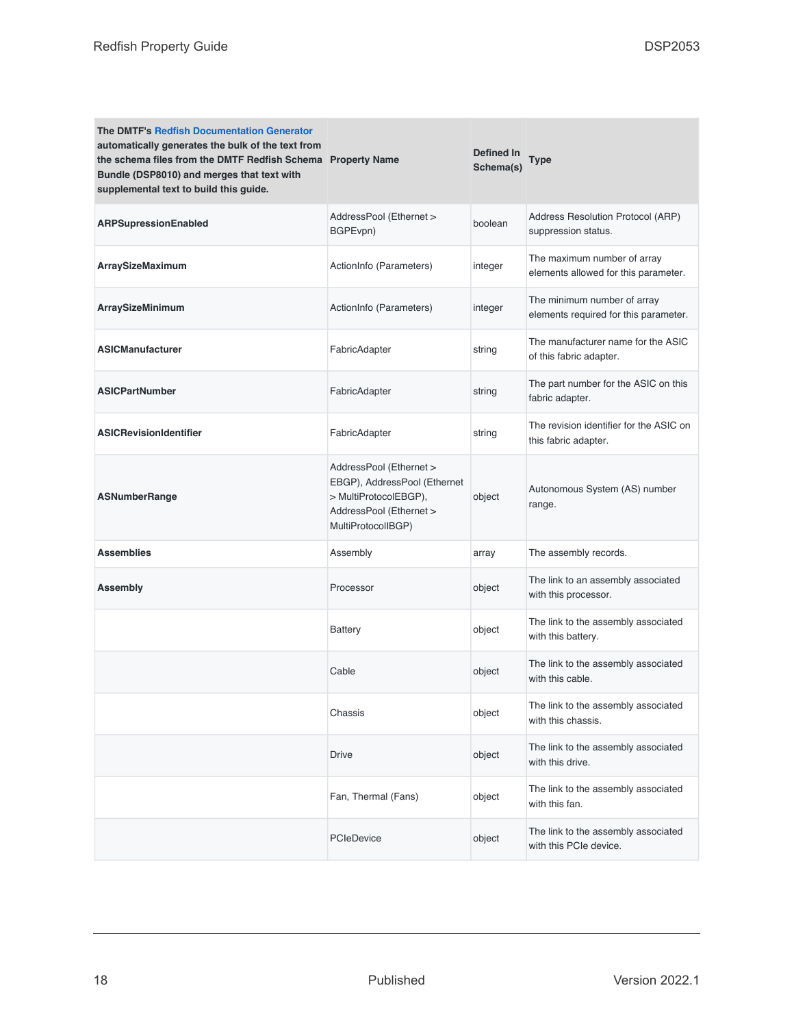| <b>The DMTF's Redfish Documentation Generator</b><br>automatically generates the bulk of the text from<br>the schema files from the DMTF Redfish Schema Property Name<br>Bundle (DSP8010) and merges that text with<br>supplemental text to build this guide. |                                                                                                                                   | Defined In<br>Schema(s) | <b>Type</b>                                                          |
|---------------------------------------------------------------------------------------------------------------------------------------------------------------------------------------------------------------------------------------------------------------|-----------------------------------------------------------------------------------------------------------------------------------|-------------------------|----------------------------------------------------------------------|
| ARPSupressionEnabled                                                                                                                                                                                                                                          | AddressPool (Ethernet ><br>BGPEvpn)                                                                                               | boolean                 | Address Resolution Protocol (ARP)<br>suppression status.             |
| ArraySizeMaximum                                                                                                                                                                                                                                              | ActionInfo (Parameters)                                                                                                           | integer                 | The maximum number of array<br>elements allowed for this parameter.  |
| ArraySizeMinimum                                                                                                                                                                                                                                              | ActionInfo (Parameters)                                                                                                           | integer                 | The minimum number of array<br>elements required for this parameter. |
| <b>ASICManufacturer</b>                                                                                                                                                                                                                                       | FabricAdapter                                                                                                                     | string                  | The manufacturer name for the ASIC<br>of this fabric adapter.        |
| <b>ASICPartNumber</b>                                                                                                                                                                                                                                         | FabricAdapter                                                                                                                     | string                  | The part number for the ASIC on this<br>fabric adapter.              |
| <b>ASICRevisionIdentifier</b>                                                                                                                                                                                                                                 | FabricAdapter                                                                                                                     | string                  | The revision identifier for the ASIC on<br>this fabric adapter.      |
| <b>ASNumberRange</b>                                                                                                                                                                                                                                          | AddressPool (Ethernet ><br>EBGP), AddressPool (Ethernet<br>> MultiProtocolEBGP),<br>AddressPool (Ethernet ><br>MultiProtocolIBGP) | object                  | Autonomous System (AS) number<br>range.                              |
| <b>Assemblies</b>                                                                                                                                                                                                                                             | Assembly                                                                                                                          | array                   | The assembly records.                                                |
| Assembly                                                                                                                                                                                                                                                      | Processor                                                                                                                         | object                  | The link to an assembly associated<br>with this processor.           |
|                                                                                                                                                                                                                                                               | <b>Battery</b>                                                                                                                    | object                  | The link to the assembly associated<br>with this battery.            |
|                                                                                                                                                                                                                                                               | Cable                                                                                                                             | object                  | The link to the assembly associated<br>with this cable.              |
|                                                                                                                                                                                                                                                               | Chassis                                                                                                                           | object                  | The link to the assembly associated<br>with this chassis.            |
|                                                                                                                                                                                                                                                               | <b>Drive</b>                                                                                                                      | object                  | The link to the assembly associated<br>with this drive.              |
|                                                                                                                                                                                                                                                               | Fan, Thermal (Fans)                                                                                                               | object                  | The link to the assembly associated<br>with this fan.                |
|                                                                                                                                                                                                                                                               | PCIeDevice                                                                                                                        | object                  | The link to the assembly associated<br>with this PCIe device.        |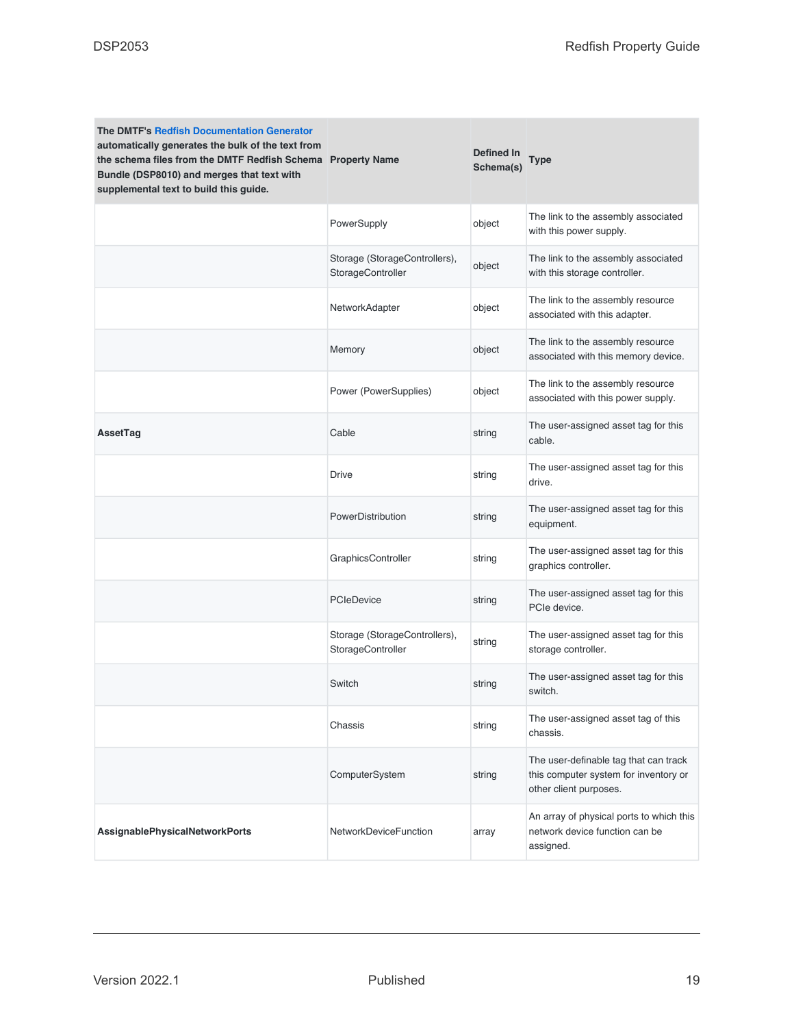| <b>The DMTF's Redfish Documentation Generator</b><br>automatically generates the bulk of the text from<br>the schema files from the DMTF Redfish Schema Property Name<br>Bundle (DSP8010) and merges that text with<br>supplemental text to build this guide. |                                                    | <b>Defined In</b><br>Schema(s) | Type                                                                                                     |
|---------------------------------------------------------------------------------------------------------------------------------------------------------------------------------------------------------------------------------------------------------------|----------------------------------------------------|--------------------------------|----------------------------------------------------------------------------------------------------------|
|                                                                                                                                                                                                                                                               | PowerSupply                                        | object                         | The link to the assembly associated<br>with this power supply.                                           |
|                                                                                                                                                                                                                                                               | Storage (StorageControllers),<br>StorageController | object                         | The link to the assembly associated<br>with this storage controller.                                     |
|                                                                                                                                                                                                                                                               | NetworkAdapter                                     | object                         | The link to the assembly resource<br>associated with this adapter.                                       |
|                                                                                                                                                                                                                                                               | Memory                                             | object                         | The link to the assembly resource<br>associated with this memory device.                                 |
|                                                                                                                                                                                                                                                               | Power (PowerSupplies)                              | object                         | The link to the assembly resource<br>associated with this power supply.                                  |
| AssetTag                                                                                                                                                                                                                                                      | Cable                                              | string                         | The user-assigned asset tag for this<br>cable.                                                           |
|                                                                                                                                                                                                                                                               | <b>Drive</b>                                       | string                         | The user-assigned asset tag for this<br>drive.                                                           |
|                                                                                                                                                                                                                                                               | PowerDistribution                                  | string                         | The user-assigned asset tag for this<br>equipment.                                                       |
|                                                                                                                                                                                                                                                               | GraphicsController                                 | string                         | The user-assigned asset tag for this<br>graphics controller.                                             |
|                                                                                                                                                                                                                                                               | <b>PCIeDevice</b>                                  | string                         | The user-assigned asset tag for this<br>PCIe device.                                                     |
|                                                                                                                                                                                                                                                               | Storage (StorageControllers),<br>StorageController | string                         | The user-assigned asset tag for this<br>storage controller.                                              |
|                                                                                                                                                                                                                                                               | Switch                                             | string                         | The user-assigned asset tag for this<br>switch.                                                          |
|                                                                                                                                                                                                                                                               | Chassis                                            | string                         | The user-assigned asset tag of this<br>chassis.                                                          |
|                                                                                                                                                                                                                                                               | ComputerSystem                                     | string                         | The user-definable tag that can track<br>this computer system for inventory or<br>other client purposes. |
| AssignablePhysicalNetworkPorts                                                                                                                                                                                                                                | <b>NetworkDeviceFunction</b>                       | array                          | An array of physical ports to which this<br>network device function can be<br>assigned.                  |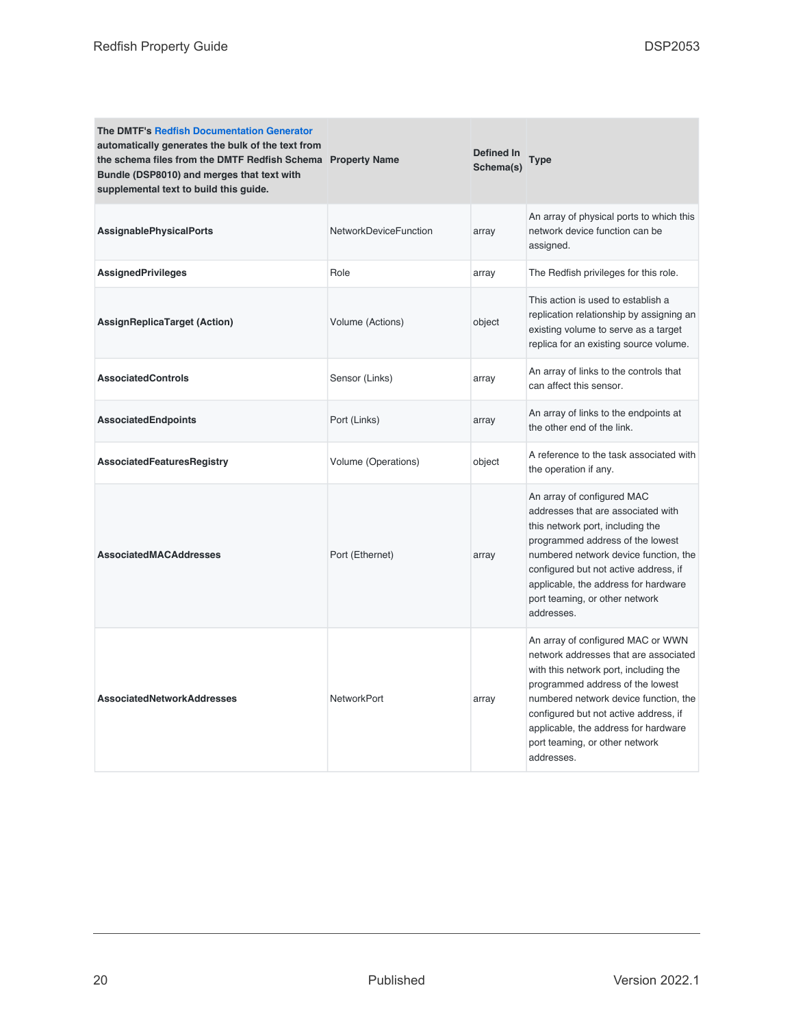| <b>The DMTF's Redfish Documentation Generator</b><br>automatically generates the bulk of the text from<br>the schema files from the DMTF Redfish Schema Property Name<br>Bundle (DSP8010) and merges that text with<br>supplemental text to build this guide. |                              | Defined In<br>Schema(s) | <b>Type</b>                                                                                                                                                                                                                                                                                                                       |
|---------------------------------------------------------------------------------------------------------------------------------------------------------------------------------------------------------------------------------------------------------------|------------------------------|-------------------------|-----------------------------------------------------------------------------------------------------------------------------------------------------------------------------------------------------------------------------------------------------------------------------------------------------------------------------------|
| <b>AssignablePhysicalPorts</b>                                                                                                                                                                                                                                | <b>NetworkDeviceFunction</b> | array                   | An array of physical ports to which this<br>network device function can be<br>assigned.                                                                                                                                                                                                                                           |
| <b>AssignedPrivileges</b>                                                                                                                                                                                                                                     | Role                         | array                   | The Redfish privileges for this role.                                                                                                                                                                                                                                                                                             |
| <b>AssignReplicaTarget (Action)</b>                                                                                                                                                                                                                           | Volume (Actions)             | object                  | This action is used to establish a<br>replication relationship by assigning an<br>existing volume to serve as a target<br>replica for an existing source volume.                                                                                                                                                                  |
| <b>AssociatedControls</b>                                                                                                                                                                                                                                     | Sensor (Links)               | array                   | An array of links to the controls that<br>can affect this sensor.                                                                                                                                                                                                                                                                 |
| <b>AssociatedEndpoints</b>                                                                                                                                                                                                                                    | Port (Links)                 | array                   | An array of links to the endpoints at<br>the other end of the link.                                                                                                                                                                                                                                                               |
| <b>AssociatedFeaturesRegistry</b>                                                                                                                                                                                                                             | Volume (Operations)          | object                  | A reference to the task associated with<br>the operation if any.                                                                                                                                                                                                                                                                  |
| <b>AssociatedMACAddresses</b>                                                                                                                                                                                                                                 | Port (Ethernet)              | array                   | An array of configured MAC<br>addresses that are associated with<br>this network port, including the<br>programmed address of the lowest<br>numbered network device function, the<br>configured but not active address, if<br>applicable, the address for hardware<br>port teaming, or other network<br>addresses.                |
| <b>AssociatedNetworkAddresses</b>                                                                                                                                                                                                                             | <b>NetworkPort</b>           | array                   | An array of configured MAC or WWN<br>network addresses that are associated<br>with this network port, including the<br>programmed address of the lowest<br>numbered network device function, the<br>configured but not active address, if<br>applicable, the address for hardware<br>port teaming, or other network<br>addresses. |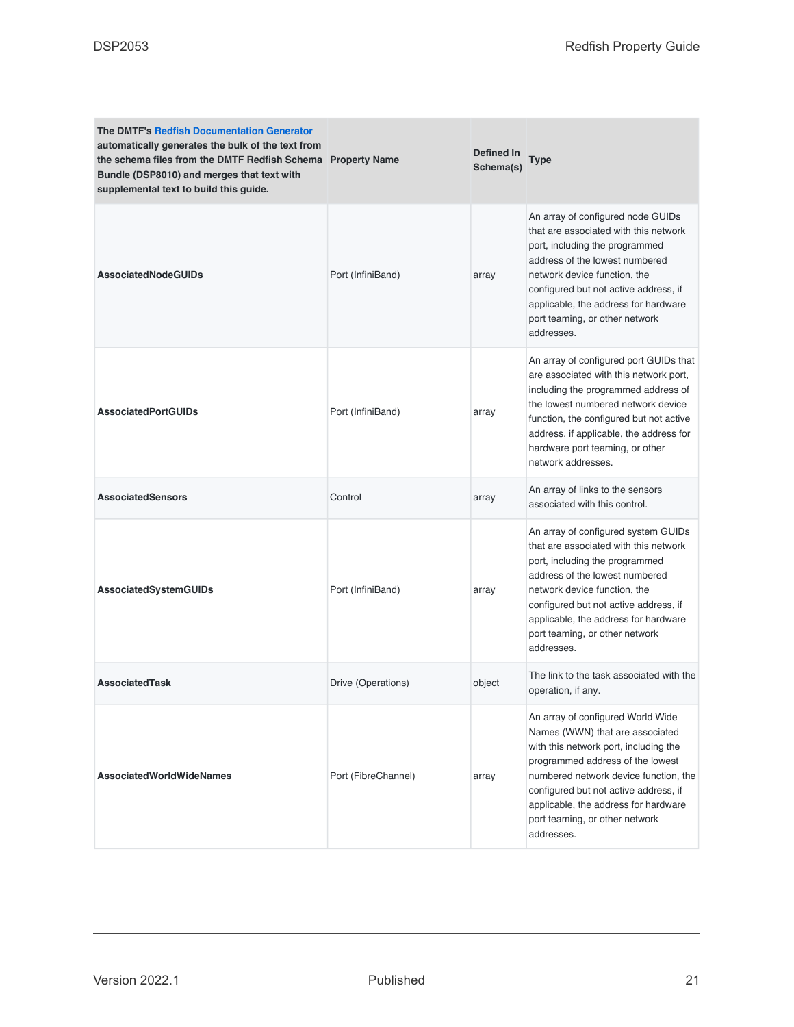| <b>The DMTF's Redfish Documentation Generator</b><br>automatically generates the bulk of the text from<br>the schema files from the DMTF Redfish Schema Property Name<br>Bundle (DSP8010) and merges that text with<br>supplemental text to build this guide. |                     | Defined In<br>Schema(s) | <b>Type</b>                                                                                                                                                                                                                                                                                                                 |
|---------------------------------------------------------------------------------------------------------------------------------------------------------------------------------------------------------------------------------------------------------------|---------------------|-------------------------|-----------------------------------------------------------------------------------------------------------------------------------------------------------------------------------------------------------------------------------------------------------------------------------------------------------------------------|
| <b>AssociatedNodeGUIDs</b>                                                                                                                                                                                                                                    | Port (InfiniBand)   | array                   | An array of configured node GUIDs<br>that are associated with this network<br>port, including the programmed<br>address of the lowest numbered<br>network device function, the<br>configured but not active address, if<br>applicable, the address for hardware<br>port teaming, or other network<br>addresses.             |
| <b>AssociatedPortGUIDs</b>                                                                                                                                                                                                                                    | Port (InfiniBand)   | array                   | An array of configured port GUIDs that<br>are associated with this network port,<br>including the programmed address of<br>the lowest numbered network device<br>function, the configured but not active<br>address, if applicable, the address for<br>hardware port teaming, or other<br>network addresses.                |
| <b>AssociatedSensors</b>                                                                                                                                                                                                                                      | Control             | array                   | An array of links to the sensors<br>associated with this control.                                                                                                                                                                                                                                                           |
| AssociatedSystemGUIDs                                                                                                                                                                                                                                         | Port (InfiniBand)   | array                   | An array of configured system GUIDs<br>that are associated with this network<br>port, including the programmed<br>address of the lowest numbered<br>network device function, the<br>configured but not active address, if<br>applicable, the address for hardware<br>port teaming, or other network<br>addresses.           |
| <b>AssociatedTask</b>                                                                                                                                                                                                                                         | Drive (Operations)  | object                  | The link to the task associated with the<br>operation, if any.                                                                                                                                                                                                                                                              |
| <b>AssociatedWorldWideNames</b>                                                                                                                                                                                                                               | Port (FibreChannel) | array                   | An array of configured World Wide<br>Names (WWN) that are associated<br>with this network port, including the<br>programmed address of the lowest<br>numbered network device function, the<br>configured but not active address, if<br>applicable, the address for hardware<br>port teaming, or other network<br>addresses. |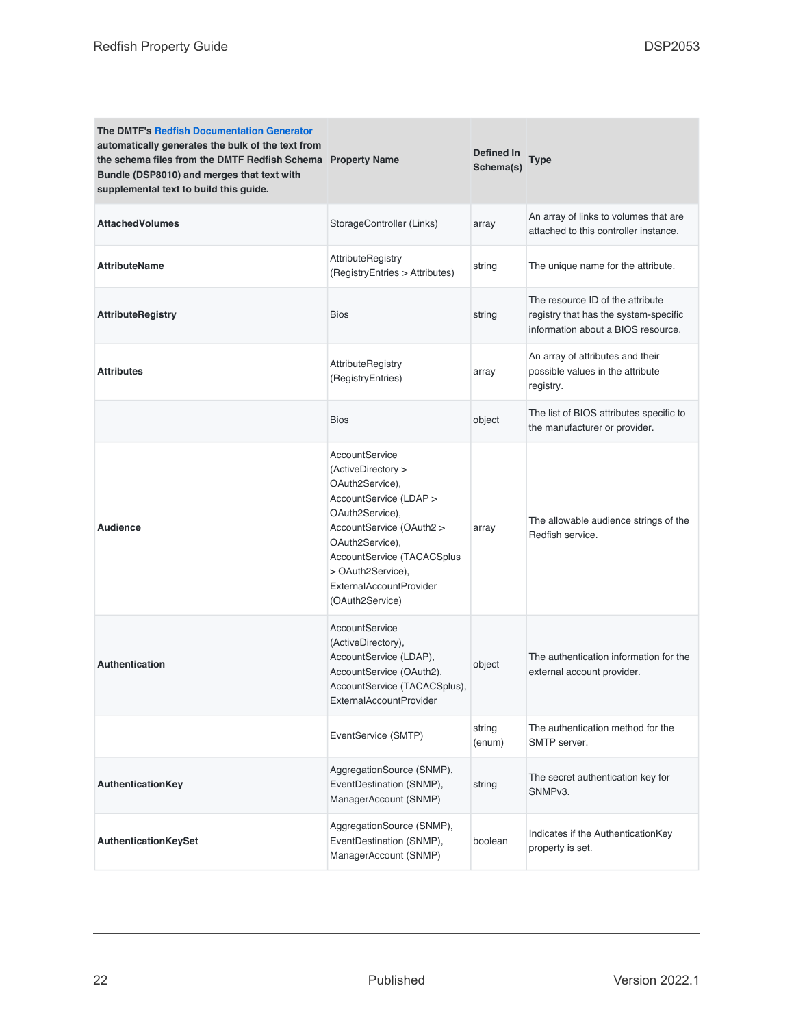| <b>The DMTF's Redfish Documentation Generator</b><br>automatically generates the bulk of the text from<br>the schema files from the DMTF Redfish Schema Property Name<br>Bundle (DSP8010) and merges that text with<br>supplemental text to build this guide. |                                                                                                                                                                                                                                                             | <b>Defined In</b><br>Schema(s) | Type                                                                                                            |
|---------------------------------------------------------------------------------------------------------------------------------------------------------------------------------------------------------------------------------------------------------------|-------------------------------------------------------------------------------------------------------------------------------------------------------------------------------------------------------------------------------------------------------------|--------------------------------|-----------------------------------------------------------------------------------------------------------------|
| <b>AttachedVolumes</b>                                                                                                                                                                                                                                        | StorageController (Links)                                                                                                                                                                                                                                   | array                          | An array of links to volumes that are<br>attached to this controller instance.                                  |
| <b>AttributeName</b>                                                                                                                                                                                                                                          | AttributeRegistry<br>(RegistryEntries > Attributes)                                                                                                                                                                                                         | string                         | The unique name for the attribute.                                                                              |
| <b>AttributeRegistry</b>                                                                                                                                                                                                                                      | <b>Bios</b>                                                                                                                                                                                                                                                 | string                         | The resource ID of the attribute<br>registry that has the system-specific<br>information about a BIOS resource. |
| <b>Attributes</b>                                                                                                                                                                                                                                             | AttributeRegistry<br>(RegistryEntries)                                                                                                                                                                                                                      | array                          | An array of attributes and their<br>possible values in the attribute<br>registry.                               |
|                                                                                                                                                                                                                                                               | Bios                                                                                                                                                                                                                                                        | object                         | The list of BIOS attributes specific to<br>the manufacturer or provider.                                        |
| <b>Audience</b>                                                                                                                                                                                                                                               | AccountService<br>(ActiveDirectory ><br>OAuth2Service),<br>AccountService (LDAP ><br>OAuth2Service),<br>AccountService (OAuth2 ><br>OAuth2Service),<br>AccountService (TACACSplus<br>> OAuth2Service),<br><b>ExternalAccountProvider</b><br>(OAuth2Service) | array                          | The allowable audience strings of the<br>Redfish service.                                                       |
| <b>Authentication</b>                                                                                                                                                                                                                                         | AccountService<br>(ActiveDirectory),<br>AccountService (LDAP),<br>AccountService (OAuth2),<br>AccountService (TACACSplus),<br>ExternalAccountProvider                                                                                                       | object                         | The authentication information for the<br>external account provider.                                            |
|                                                                                                                                                                                                                                                               | EventService (SMTP)                                                                                                                                                                                                                                         | string<br>(enum)               | The authentication method for the<br>SMTP server.                                                               |
| AuthenticationKey                                                                                                                                                                                                                                             | AggregationSource (SNMP),<br>EventDestination (SNMP),<br>ManagerAccount (SNMP)                                                                                                                                                                              | string                         | The secret authentication key for<br>SNMPv3.                                                                    |
| AuthenticationKeySet                                                                                                                                                                                                                                          | AggregationSource (SNMP),<br>EventDestination (SNMP),<br>ManagerAccount (SNMP)                                                                                                                                                                              | boolean                        | Indicates if the AuthenticationKey<br>property is set.                                                          |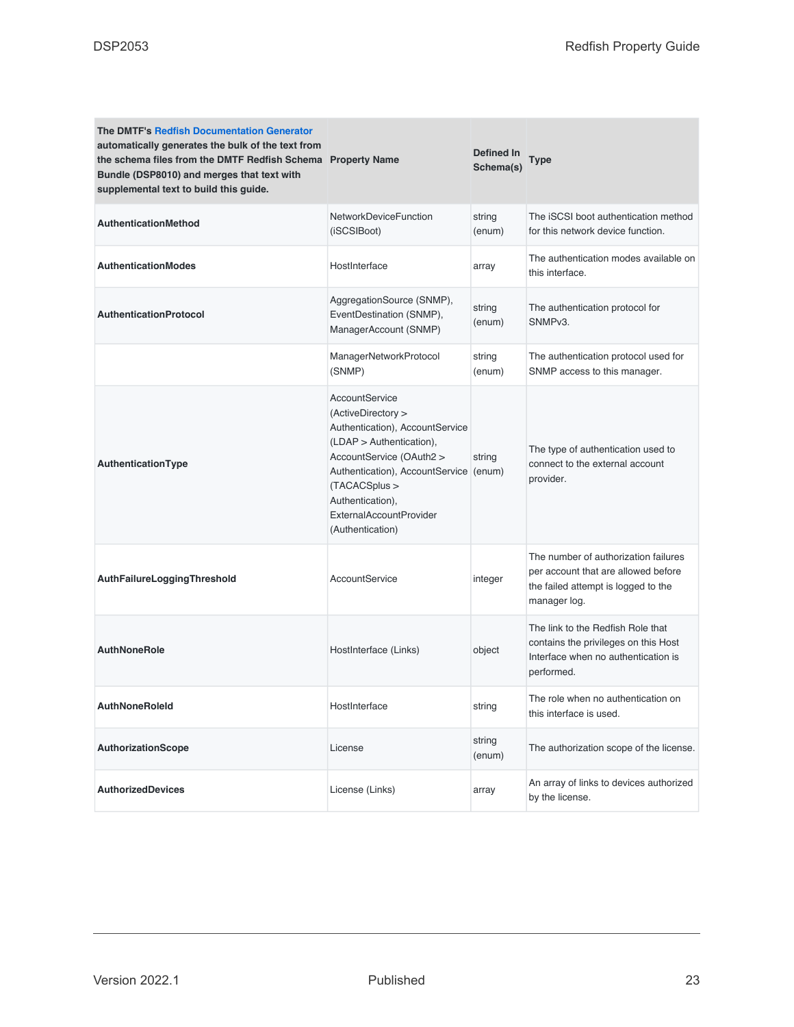| <b>The DMTF's Redfish Documentation Generator</b><br>automatically generates the bulk of the text from<br>the schema files from the DMTF Redfish Schema Property Name<br>Bundle (DSP8010) and merges that text with<br>supplemental text to build this guide. |                                                                                                                                                                                                                                                                 | Defined In<br>Schema(s) | Type                                                                                                                               |
|---------------------------------------------------------------------------------------------------------------------------------------------------------------------------------------------------------------------------------------------------------------|-----------------------------------------------------------------------------------------------------------------------------------------------------------------------------------------------------------------------------------------------------------------|-------------------------|------------------------------------------------------------------------------------------------------------------------------------|
| <b>AuthenticationMethod</b>                                                                                                                                                                                                                                   | NetworkDeviceFunction<br>(iSCSIBoot)                                                                                                                                                                                                                            | string<br>(enum)        | The iSCSI boot authentication method<br>for this network device function.                                                          |
| <b>AuthenticationModes</b>                                                                                                                                                                                                                                    | HostInterface                                                                                                                                                                                                                                                   | array                   | The authentication modes available on<br>this interface.                                                                           |
| <b>AuthenticationProtocol</b>                                                                                                                                                                                                                                 | AggregationSource (SNMP),<br>EventDestination (SNMP),<br>ManagerAccount (SNMP)                                                                                                                                                                                  | string<br>(enum)        | The authentication protocol for<br>SNMP <sub>v3</sub> .                                                                            |
|                                                                                                                                                                                                                                                               | ManagerNetworkProtocol<br>(SNMP)                                                                                                                                                                                                                                | string<br>(enum)        | The authentication protocol used for<br>SNMP access to this manager.                                                               |
| AuthenticationType                                                                                                                                                                                                                                            | AccountService<br>(ActiveDirectory ><br>Authentication), AccountService<br>$(LDAP >$ Authentication),<br>AccountService (OAuth2 ><br>Authentication), AccountService<br>(TACACSplus ><br>Authentication),<br><b>ExternalAccountProvider</b><br>(Authentication) | string<br>(enum)        | The type of authentication used to<br>connect to the external account<br>provider.                                                 |
| AuthFailureLoggingThreshold                                                                                                                                                                                                                                   | AccountService                                                                                                                                                                                                                                                  | integer                 | The number of authorization failures<br>per account that are allowed before<br>the failed attempt is logged to the<br>manager log. |
| <b>AuthNoneRole</b>                                                                                                                                                                                                                                           | HostInterface (Links)                                                                                                                                                                                                                                           | object                  | The link to the Redfish Role that<br>contains the privileges on this Host<br>Interface when no authentication is<br>performed.     |
| <b>AuthNoneRoleId</b>                                                                                                                                                                                                                                         | HostInterface                                                                                                                                                                                                                                                   | string                  | The role when no authentication on<br>this interface is used.                                                                      |
| <b>AuthorizationScope</b>                                                                                                                                                                                                                                     | License                                                                                                                                                                                                                                                         | string<br>(enum)        | The authorization scope of the license.                                                                                            |
| <b>AuthorizedDevices</b>                                                                                                                                                                                                                                      | License (Links)                                                                                                                                                                                                                                                 | array                   | An array of links to devices authorized<br>by the license.                                                                         |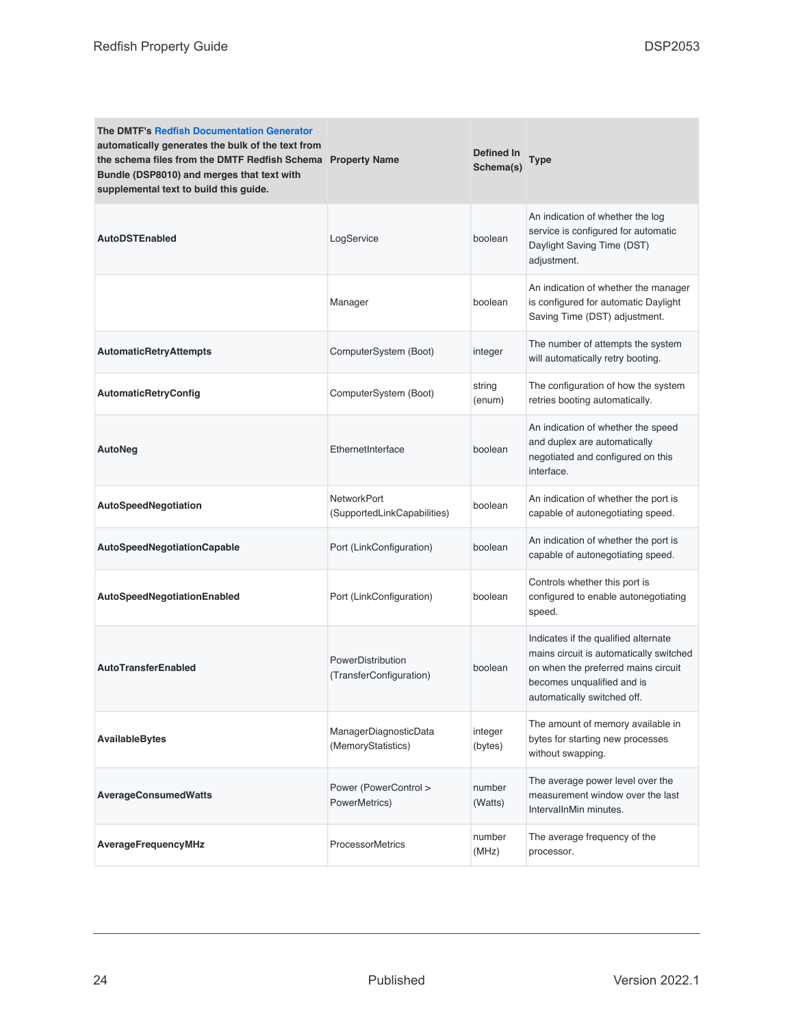| <b>The DMTF's Redfish Documentation Generator</b><br>automatically generates the bulk of the text from<br>the schema files from the DMTF Redfish Schema Property Name<br>Bundle (DSP8010) and merges that text with<br>supplemental text to build this guide. |                                                   | <b>Defined In</b><br>Schema(s) | Type                                                                                                                                                                                |
|---------------------------------------------------------------------------------------------------------------------------------------------------------------------------------------------------------------------------------------------------------------|---------------------------------------------------|--------------------------------|-------------------------------------------------------------------------------------------------------------------------------------------------------------------------------------|
| <b>AutoDSTEnabled</b>                                                                                                                                                                                                                                         | LogService                                        | boolean                        | An indication of whether the log<br>service is configured for automatic<br>Daylight Saving Time (DST)<br>adjustment.                                                                |
|                                                                                                                                                                                                                                                               | Manager                                           | boolean                        | An indication of whether the manager<br>is configured for automatic Daylight<br>Saving Time (DST) adjustment.                                                                       |
| <b>AutomaticRetryAttempts</b>                                                                                                                                                                                                                                 | ComputerSystem (Boot)                             | integer                        | The number of attempts the system<br>will automatically retry booting.                                                                                                              |
| <b>AutomaticRetryConfig</b>                                                                                                                                                                                                                                   | ComputerSystem (Boot)                             | string<br>(enum)               | The configuration of how the system<br>retries booting automatically.                                                                                                               |
| AutoNeg                                                                                                                                                                                                                                                       | EthernetInterface                                 | boolean                        | An indication of whether the speed<br>and duplex are automatically<br>negotiated and configured on this<br>interface.                                                               |
| AutoSpeedNegotiation                                                                                                                                                                                                                                          | <b>NetworkPort</b><br>(SupportedLinkCapabilities) | boolean                        | An indication of whether the port is<br>capable of autonegotiating speed.                                                                                                           |
| <b>AutoSpeedNegotiationCapable</b>                                                                                                                                                                                                                            | Port (LinkConfiguration)                          | boolean                        | An indication of whether the port is<br>capable of autonegotiating speed.                                                                                                           |
| AutoSpeedNegotiationEnabled                                                                                                                                                                                                                                   | Port (LinkConfiguration)                          | boolean                        | Controls whether this port is<br>configured to enable autonegotiating<br>speed.                                                                                                     |
| <b>AutoTransferEnabled</b>                                                                                                                                                                                                                                    | PowerDistribution<br>(TransferConfiguration)      | boolean                        | Indicates if the qualified alternate<br>mains circuit is automatically switched<br>on when the preferred mains circuit<br>becomes unqualified and is<br>automatically switched off. |
| <b>AvailableBytes</b>                                                                                                                                                                                                                                         | ManagerDiagnosticData<br>(MemoryStatistics)       | integer<br>(bytes)             | The amount of memory available in<br>bytes for starting new processes<br>without swapping.                                                                                          |
| <b>AverageConsumedWatts</b>                                                                                                                                                                                                                                   | Power (PowerControl ><br>PowerMetrics)            | number<br>(Watts)              | The average power level over the<br>measurement window over the last<br>IntervalInMin minutes.                                                                                      |
| AverageFrequencyMHz                                                                                                                                                                                                                                           | <b>ProcessorMetrics</b>                           | number<br>(MHz)                | The average frequency of the<br>processor.                                                                                                                                          |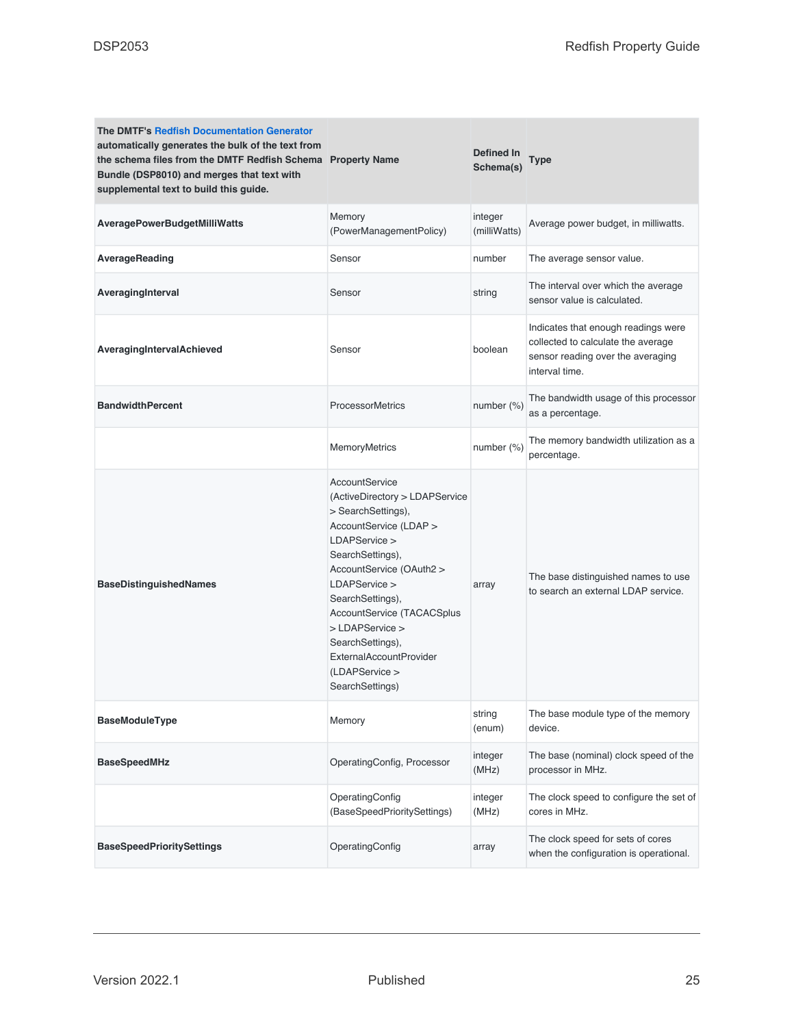| <b>The DMTF's Redfish Documentation Generator</b><br>automatically generates the bulk of the text from<br>the schema files from the DMTF Redfish Schema Property Name<br>Bundle (DSP8010) and merges that text with<br>supplemental text to build this guide. |                                                                                                                                                                                                                                                                                                                                             | Defined In<br>Schema(s) | <b>Type</b>                                                                                                                      |
|---------------------------------------------------------------------------------------------------------------------------------------------------------------------------------------------------------------------------------------------------------------|---------------------------------------------------------------------------------------------------------------------------------------------------------------------------------------------------------------------------------------------------------------------------------------------------------------------------------------------|-------------------------|----------------------------------------------------------------------------------------------------------------------------------|
| <b>AveragePowerBudgetMilliWatts</b>                                                                                                                                                                                                                           | Memory<br>(PowerManagementPolicy)                                                                                                                                                                                                                                                                                                           | integer<br>(milliWatts) | Average power budget, in milliwatts.                                                                                             |
| AverageReading                                                                                                                                                                                                                                                | Sensor                                                                                                                                                                                                                                                                                                                                      | number                  | The average sensor value.                                                                                                        |
| AveragingInterval                                                                                                                                                                                                                                             | Sensor                                                                                                                                                                                                                                                                                                                                      | string                  | The interval over which the average<br>sensor value is calculated.                                                               |
| AveragingIntervalAchieved                                                                                                                                                                                                                                     | Sensor                                                                                                                                                                                                                                                                                                                                      | boolean                 | Indicates that enough readings were<br>collected to calculate the average<br>sensor reading over the averaging<br>interval time. |
| <b>BandwidthPercent</b>                                                                                                                                                                                                                                       | <b>ProcessorMetrics</b>                                                                                                                                                                                                                                                                                                                     | number (%)              | The bandwidth usage of this processor<br>as a percentage.                                                                        |
|                                                                                                                                                                                                                                                               | <b>MemoryMetrics</b>                                                                                                                                                                                                                                                                                                                        | number (%)              | The memory bandwidth utilization as a<br>percentage.                                                                             |
| <b>BaseDistinguishedNames</b>                                                                                                                                                                                                                                 | AccountService<br>(ActiveDirectory > LDAPService<br>> SearchSettings),<br>AccountService (LDAP ><br>LDAPService ><br>SearchSettings),<br>AccountService (OAuth2 ><br>LDAPService ><br>SearchSettings),<br>AccountService (TACACSplus<br>> LDAPService ><br>SearchSettings),<br>ExternalAccountProvider<br>(LDAPService ><br>SearchSettings) | array                   | The base distinguished names to use<br>to search an external LDAP service.                                                       |
| <b>BaseModuleType</b>                                                                                                                                                                                                                                         | Memory                                                                                                                                                                                                                                                                                                                                      | string<br>(enum)        | The base module type of the memory<br>device.                                                                                    |
| <b>BaseSpeedMHz</b>                                                                                                                                                                                                                                           | OperatingConfig, Processor                                                                                                                                                                                                                                                                                                                  | integer<br>(MHz)        | The base (nominal) clock speed of the<br>processor in MHz.                                                                       |
|                                                                                                                                                                                                                                                               | OperatingConfig<br>(BaseSpeedPrioritySettings)                                                                                                                                                                                                                                                                                              | integer<br>(MHz)        | The clock speed to configure the set of<br>cores in MHz.                                                                         |
| <b>BaseSpeedPrioritySettings</b>                                                                                                                                                                                                                              | OperatingConfig                                                                                                                                                                                                                                                                                                                             | array                   | The clock speed for sets of cores<br>when the configuration is operational.                                                      |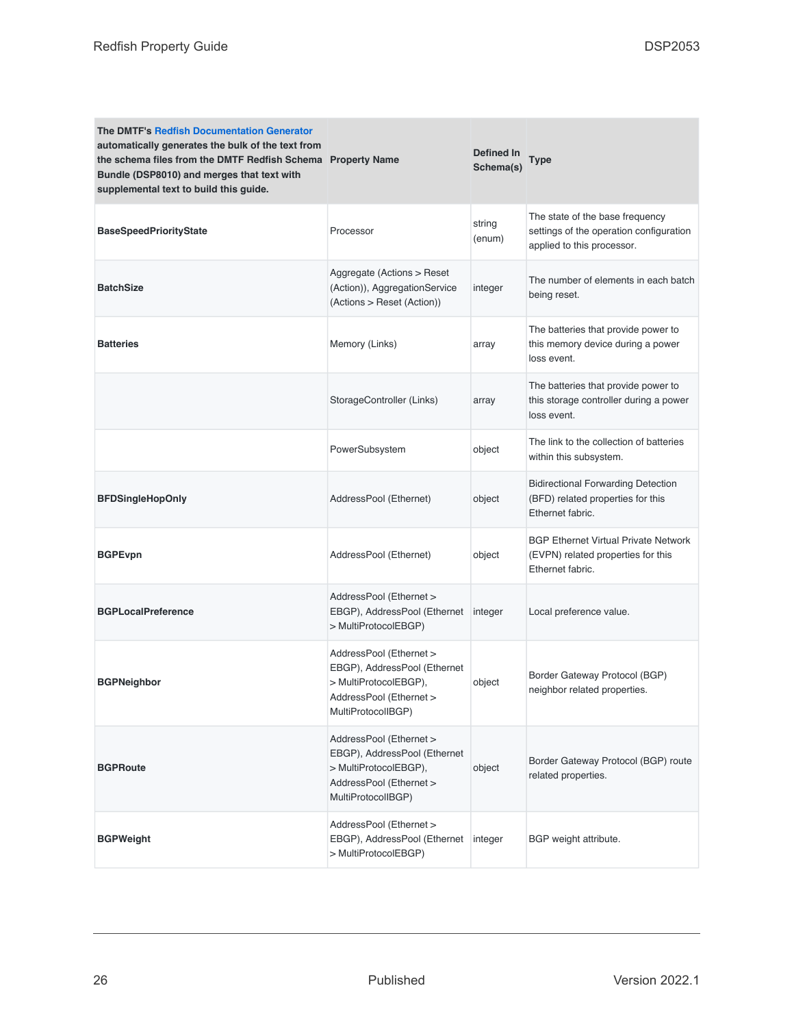| <b>The DMTF's Redfish Documentation Generator</b><br>automatically generates the bulk of the text from<br>the schema files from the DMTF Redfish Schema Property Name<br>Bundle (DSP8010) and merges that text with<br>supplemental text to build this guide. |                                                                                                                                   | Defined In<br>Schema(s) | Type                                                                                                     |
|---------------------------------------------------------------------------------------------------------------------------------------------------------------------------------------------------------------------------------------------------------------|-----------------------------------------------------------------------------------------------------------------------------------|-------------------------|----------------------------------------------------------------------------------------------------------|
| <b>BaseSpeedPriorityState</b>                                                                                                                                                                                                                                 | Processor                                                                                                                         | string<br>(enum)        | The state of the base frequency<br>settings of the operation configuration<br>applied to this processor. |
| <b>BatchSize</b>                                                                                                                                                                                                                                              | Aggregate (Actions > Reset<br>(Action)), AggregationService<br>(Actions > Reset (Action))                                         | integer                 | The number of elements in each batch<br>being reset.                                                     |
| <b>Batteries</b>                                                                                                                                                                                                                                              | Memory (Links)                                                                                                                    | array                   | The batteries that provide power to<br>this memory device during a power<br>loss event.                  |
|                                                                                                                                                                                                                                                               | StorageController (Links)                                                                                                         | array                   | The batteries that provide power to<br>this storage controller during a power<br>loss event.             |
|                                                                                                                                                                                                                                                               | PowerSubsystem                                                                                                                    | object                  | The link to the collection of batteries<br>within this subsystem.                                        |
| <b>BFDSingleHopOnly</b>                                                                                                                                                                                                                                       | AddressPool (Ethernet)                                                                                                            | object                  | <b>Bidirectional Forwarding Detection</b><br>(BFD) related properties for this<br>Ethernet fabric.       |
| <b>BGPEvpn</b>                                                                                                                                                                                                                                                | AddressPool (Ethernet)                                                                                                            | object                  | <b>BGP Ethernet Virtual Private Network</b><br>(EVPN) related properties for this<br>Ethernet fabric.    |
| <b>BGPLocalPreference</b>                                                                                                                                                                                                                                     | AddressPool (Ethernet ><br>EBGP), AddressPool (Ethernet<br>> MultiProtocolEBGP)                                                   | integer                 | Local preference value.                                                                                  |
| <b>BGPNeighbor</b>                                                                                                                                                                                                                                            | AddressPool (Ethernet ><br>EBGP), AddressPool (Ethernet<br>> MultiProtocolEBGP),<br>AddressPool (Ethernet ><br>MultiProtocolIBGP) | object                  | Border Gateway Protocol (BGP)<br>neighbor related properties.                                            |
| <b>BGPRoute</b>                                                                                                                                                                                                                                               | AddressPool (Ethernet ><br>EBGP), AddressPool (Ethernet<br>> MultiProtocolEBGP),<br>AddressPool (Ethernet ><br>MultiProtocolIBGP) | object                  | Border Gateway Protocol (BGP) route<br>related properties.                                               |
| <b>BGPWeight</b>                                                                                                                                                                                                                                              | AddressPool (Ethernet ><br>EBGP), AddressPool (Ethernet<br>> MultiProtocolEBGP)                                                   | integer                 | BGP weight attribute.                                                                                    |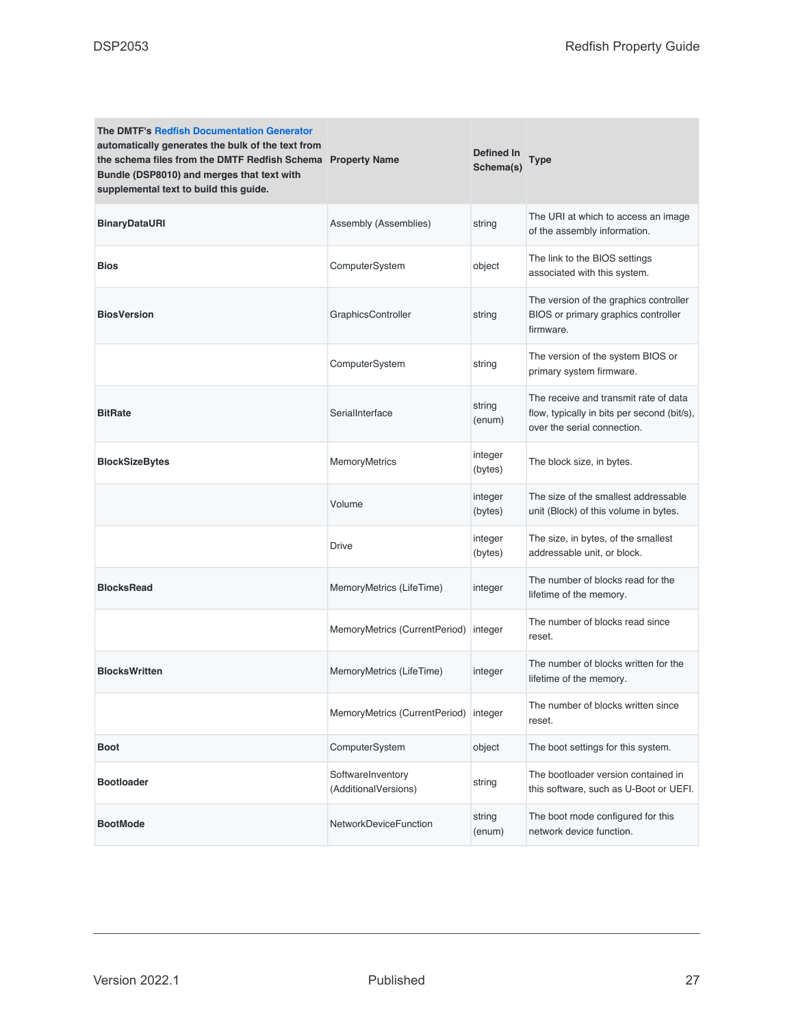| <b>The DMTF's Redfish Documentation Generator</b><br>automatically generates the bulk of the text from<br>the schema files from the DMTF Redfish Schema Property Name<br>Bundle (DSP8010) and merges that text with<br>supplemental text to build this guide. |                                           | <b>Defined In</b><br>Schema(s) | Type                                                                                                                |
|---------------------------------------------------------------------------------------------------------------------------------------------------------------------------------------------------------------------------------------------------------------|-------------------------------------------|--------------------------------|---------------------------------------------------------------------------------------------------------------------|
| <b>BinaryDataURI</b>                                                                                                                                                                                                                                          | Assembly (Assemblies)                     | string                         | The URI at which to access an image<br>of the assembly information.                                                 |
| <b>Bios</b>                                                                                                                                                                                                                                                   | ComputerSystem                            | object                         | The link to the BIOS settings<br>associated with this system.                                                       |
| <b>BiosVersion</b>                                                                                                                                                                                                                                            | GraphicsController                        | string                         | The version of the graphics controller<br>BIOS or primary graphics controller<br>firmware.                          |
|                                                                                                                                                                                                                                                               | ComputerSystem                            | string                         | The version of the system BIOS or<br>primary system firmware.                                                       |
| <b>BitRate</b>                                                                                                                                                                                                                                                | SerialInterface                           | string<br>(enum)               | The receive and transmit rate of data<br>flow, typically in bits per second (bit/s),<br>over the serial connection. |
| <b>BlockSizeBytes</b>                                                                                                                                                                                                                                         | <b>MemoryMetrics</b>                      | integer<br>(bytes)             | The block size, in bytes.                                                                                           |
|                                                                                                                                                                                                                                                               | Volume                                    | integer<br>(bytes)             | The size of the smallest addressable<br>unit (Block) of this volume in bytes.                                       |
|                                                                                                                                                                                                                                                               | <b>Drive</b>                              | integer<br>(bytes)             | The size, in bytes, of the smallest<br>addressable unit, or block.                                                  |
| <b>BlocksRead</b>                                                                                                                                                                                                                                             | MemoryMetrics (LifeTime)                  | integer                        | The number of blocks read for the<br>lifetime of the memory.                                                        |
|                                                                                                                                                                                                                                                               | MemoryMetrics (CurrentPeriod)             | integer                        | The number of blocks read since<br>reset.                                                                           |
| <b>BlocksWritten</b>                                                                                                                                                                                                                                          | MemoryMetrics (LifeTime)                  | integer                        | The number of blocks written for the<br>lifetime of the memory.                                                     |
|                                                                                                                                                                                                                                                               | MemoryMetrics (CurrentPeriod) integer     |                                | The number of blocks written since<br>reset.                                                                        |
| <b>Boot</b>                                                                                                                                                                                                                                                   | ComputerSystem                            | object                         | The boot settings for this system.                                                                                  |
| <b>Bootloader</b>                                                                                                                                                                                                                                             | SoftwareInventory<br>(AdditionalVersions) | string                         | The bootloader version contained in<br>this software, such as U-Boot or UEFI.                                       |
| <b>BootMode</b>                                                                                                                                                                                                                                               | <b>NetworkDeviceFunction</b>              | string<br>(enum)               | The boot mode configured for this<br>network device function.                                                       |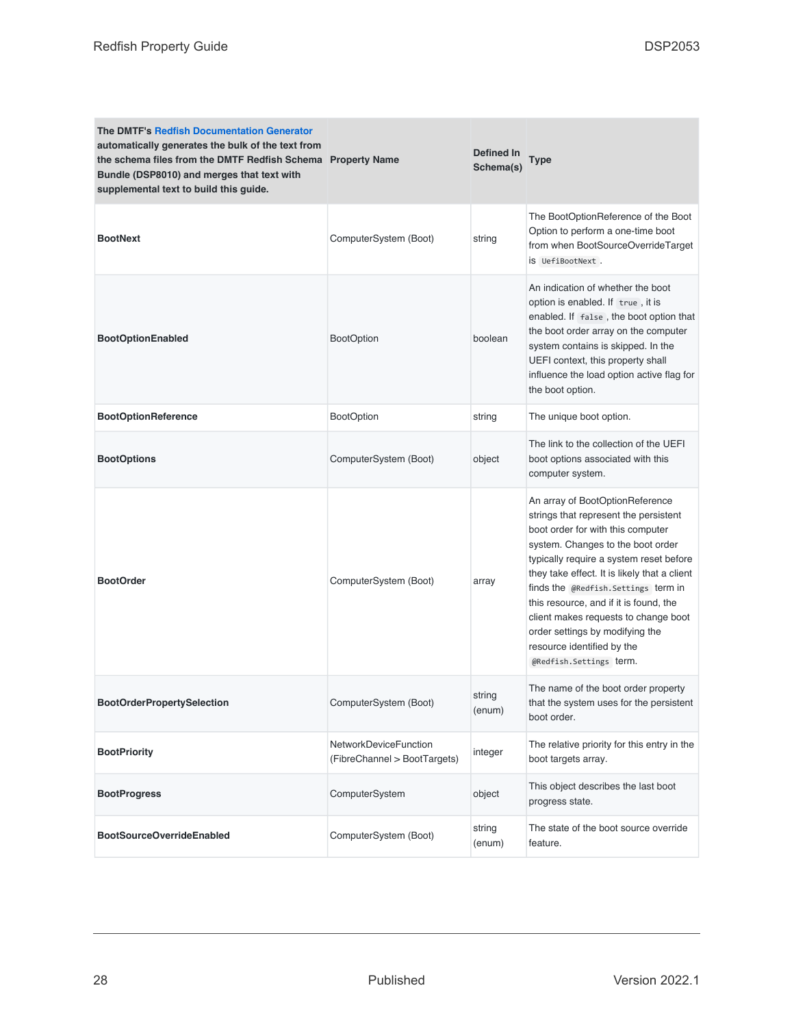| <b>The DMTF's Redfish Documentation Generator</b><br>automatically generates the bulk of the text from<br>the schema files from the DMTF Redfish Schema Property Name<br>Bundle (DSP8010) and merges that text with<br>supplemental text to build this guide. |                                                       | Defined In<br>Schema(s) | <b>Type</b>                                                                                                                                                                                                                                                                                                                                                                                                                                                        |
|---------------------------------------------------------------------------------------------------------------------------------------------------------------------------------------------------------------------------------------------------------------|-------------------------------------------------------|-------------------------|--------------------------------------------------------------------------------------------------------------------------------------------------------------------------------------------------------------------------------------------------------------------------------------------------------------------------------------------------------------------------------------------------------------------------------------------------------------------|
| <b>BootNext</b>                                                                                                                                                                                                                                               | ComputerSystem (Boot)                                 | string                  | The BootOptionReference of the Boot<br>Option to perform a one-time boot<br>from when BootSourceOverrideTarget<br>iS UefiBootNext.                                                                                                                                                                                                                                                                                                                                 |
| <b>BootOptionEnabled</b>                                                                                                                                                                                                                                      | <b>BootOption</b>                                     | boolean                 | An indication of whether the boot<br>option is enabled. If true, it is<br>enabled. If false, the boot option that<br>the boot order array on the computer<br>system contains is skipped. In the<br>UEFI context, this property shall<br>influence the load option active flag for<br>the boot option.                                                                                                                                                              |
| <b>BootOptionReference</b>                                                                                                                                                                                                                                    | <b>BootOption</b>                                     | string                  | The unique boot option.                                                                                                                                                                                                                                                                                                                                                                                                                                            |
| <b>BootOptions</b>                                                                                                                                                                                                                                            | ComputerSystem (Boot)                                 | object                  | The link to the collection of the UEFI<br>boot options associated with this<br>computer system.                                                                                                                                                                                                                                                                                                                                                                    |
| <b>BootOrder</b>                                                                                                                                                                                                                                              | ComputerSystem (Boot)                                 | array                   | An array of BootOptionReference<br>strings that represent the persistent<br>boot order for with this computer<br>system. Changes to the boot order<br>typically require a system reset before<br>they take effect. It is likely that a client<br>finds the @Redfish.Settings term in<br>this resource, and if it is found, the<br>client makes requests to change boot<br>order settings by modifying the<br>resource identified by the<br>@Redfish.Settings term. |
| <b>BootOrderPropertySelection</b>                                                                                                                                                                                                                             | ComputerSystem (Boot)                                 | string<br>(enum)        | The name of the boot order property<br>that the system uses for the persistent<br>boot order.                                                                                                                                                                                                                                                                                                                                                                      |
| <b>BootPriority</b>                                                                                                                                                                                                                                           | NetworkDeviceFunction<br>(FibreChannel > BootTargets) | integer                 | The relative priority for this entry in the<br>boot targets array.                                                                                                                                                                                                                                                                                                                                                                                                 |
| <b>BootProgress</b>                                                                                                                                                                                                                                           | ComputerSystem                                        | object                  | This object describes the last boot<br>progress state.                                                                                                                                                                                                                                                                                                                                                                                                             |
| <b>BootSourceOverrideEnabled</b>                                                                                                                                                                                                                              | ComputerSystem (Boot)                                 | string<br>(enum)        | The state of the boot source override<br>feature.                                                                                                                                                                                                                                                                                                                                                                                                                  |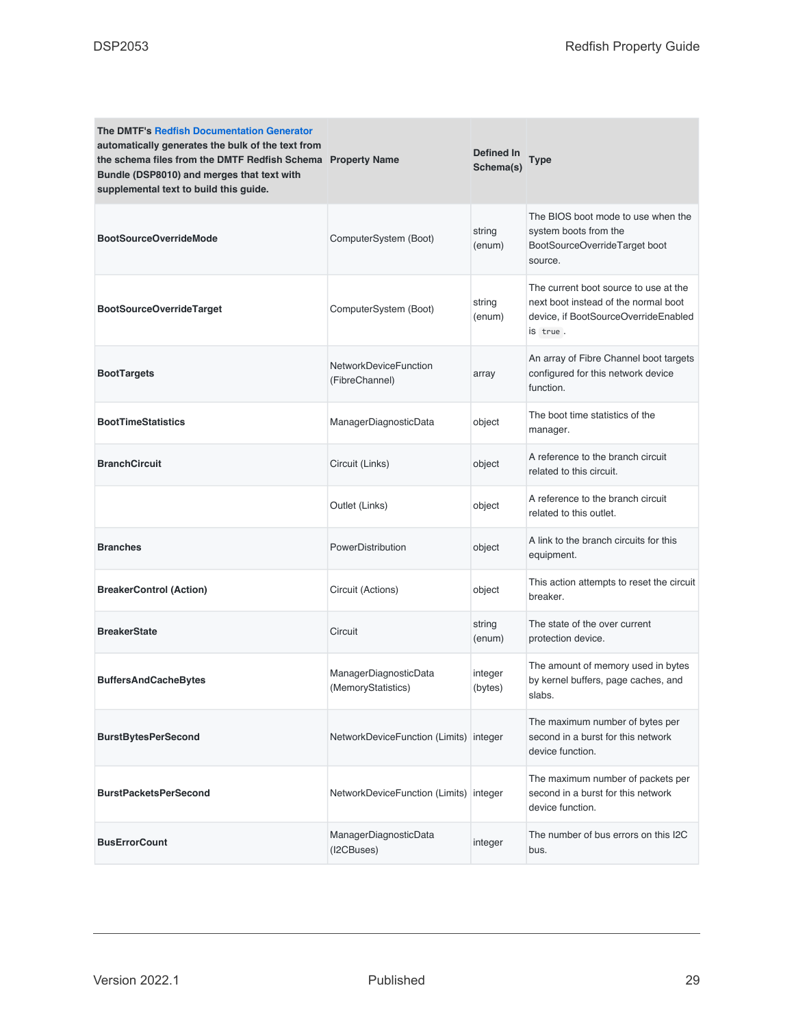| <b>The DMTF's Redfish Documentation Generator</b><br>automatically generates the bulk of the text from<br>the schema files from the DMTF Redfish Schema Property Name<br>Bundle (DSP8010) and merges that text with<br>supplemental text to build this guide. |                                                | Defined In<br>Schema(s) | Type                                                                                                                              |
|---------------------------------------------------------------------------------------------------------------------------------------------------------------------------------------------------------------------------------------------------------------|------------------------------------------------|-------------------------|-----------------------------------------------------------------------------------------------------------------------------------|
| <b>BootSourceOverrideMode</b>                                                                                                                                                                                                                                 | ComputerSystem (Boot)                          | string<br>(enum)        | The BIOS boot mode to use when the<br>system boots from the<br>BootSourceOverrideTarget boot<br>source.                           |
| <b>BootSourceOverrideTarget</b>                                                                                                                                                                                                                               | ComputerSystem (Boot)                          | string<br>(enum)        | The current boot source to use at the<br>next boot instead of the normal boot<br>device, if BootSourceOverrideEnabled<br>is true. |
| <b>BootTargets</b>                                                                                                                                                                                                                                            | <b>NetworkDeviceFunction</b><br>(FibreChannel) | array                   | An array of Fibre Channel boot targets<br>configured for this network device<br>function.                                         |
| <b>BootTimeStatistics</b>                                                                                                                                                                                                                                     | ManagerDiagnosticData                          | object                  | The boot time statistics of the<br>manager.                                                                                       |
| <b>BranchCircuit</b>                                                                                                                                                                                                                                          | Circuit (Links)                                | object                  | A reference to the branch circuit<br>related to this circuit.                                                                     |
|                                                                                                                                                                                                                                                               | Outlet (Links)                                 | object                  | A reference to the branch circuit<br>related to this outlet.                                                                      |
| <b>Branches</b>                                                                                                                                                                                                                                               | PowerDistribution                              | object                  | A link to the branch circuits for this<br>equipment.                                                                              |
| <b>BreakerControl (Action)</b>                                                                                                                                                                                                                                | Circuit (Actions)                              | object                  | This action attempts to reset the circuit<br>breaker.                                                                             |
| <b>BreakerState</b>                                                                                                                                                                                                                                           | Circuit                                        | string<br>(enum)        | The state of the over current<br>protection device.                                                                               |
| <b>BuffersAndCacheBytes</b>                                                                                                                                                                                                                                   | ManagerDiagnosticData<br>(MemoryStatistics)    | integer<br>(bytes)      | The amount of memory used in bytes<br>by kernel buffers, page caches, and<br>slabs.                                               |
| <b>BurstBytesPerSecond</b>                                                                                                                                                                                                                                    | NetworkDeviceFunction (Limits) integer         |                         | The maximum number of bytes per<br>second in a burst for this network<br>device function.                                         |
| <b>BurstPacketsPerSecond</b>                                                                                                                                                                                                                                  | NetworkDeviceFunction (Limits) integer         |                         | The maximum number of packets per<br>second in a burst for this network<br>device function.                                       |
| <b>BusErrorCount</b>                                                                                                                                                                                                                                          | ManagerDiagnosticData<br>(I2CBuses)            | integer                 | The number of bus errors on this I2C<br>bus.                                                                                      |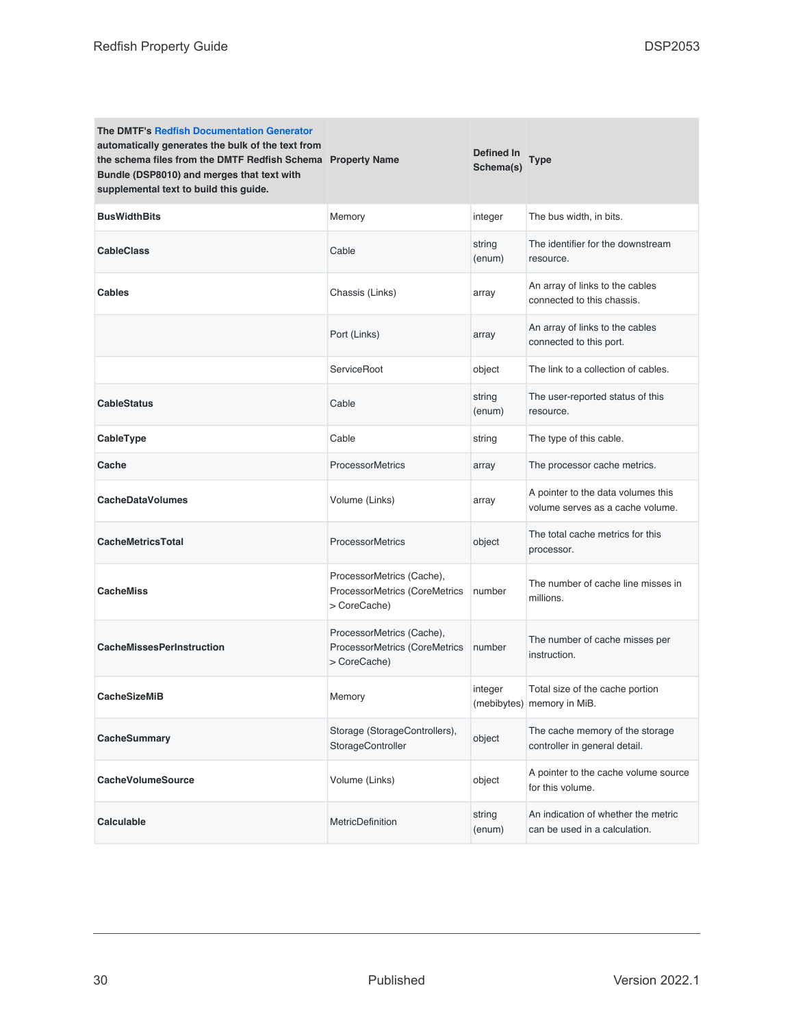| <b>The DMTF's Redfish Documentation Generator</b><br>automatically generates the bulk of the text from<br>the schema files from the DMTF Redfish Schema Property Name<br>Bundle (DSP8010) and merges that text with<br>supplemental text to build this guide. |                                                                            | Defined In<br>Schema(s) | Type                                                                   |
|---------------------------------------------------------------------------------------------------------------------------------------------------------------------------------------------------------------------------------------------------------------|----------------------------------------------------------------------------|-------------------------|------------------------------------------------------------------------|
| <b>BusWidthBits</b>                                                                                                                                                                                                                                           | Memory                                                                     | integer                 | The bus width, in bits.                                                |
| <b>CableClass</b>                                                                                                                                                                                                                                             | Cable                                                                      | string<br>(enum)        | The identifier for the downstream<br>resource.                         |
| Cables                                                                                                                                                                                                                                                        | Chassis (Links)                                                            | array                   | An array of links to the cables<br>connected to this chassis.          |
|                                                                                                                                                                                                                                                               | Port (Links)                                                               | array                   | An array of links to the cables<br>connected to this port.             |
|                                                                                                                                                                                                                                                               | ServiceRoot                                                                | object                  | The link to a collection of cables.                                    |
| <b>CableStatus</b>                                                                                                                                                                                                                                            | Cable                                                                      | string<br>(enum)        | The user-reported status of this<br>resource.                          |
| CableType                                                                                                                                                                                                                                                     | Cable                                                                      | string                  | The type of this cable.                                                |
| Cache                                                                                                                                                                                                                                                         | <b>ProcessorMetrics</b>                                                    | array                   | The processor cache metrics.                                           |
| <b>CacheDataVolumes</b>                                                                                                                                                                                                                                       | Volume (Links)                                                             | array                   | A pointer to the data volumes this<br>volume serves as a cache volume. |
| <b>CacheMetricsTotal</b>                                                                                                                                                                                                                                      | <b>ProcessorMetrics</b>                                                    | object                  | The total cache metrics for this<br>processor.                         |
| <b>CacheMiss</b>                                                                                                                                                                                                                                              | ProcessorMetrics (Cache),<br>ProcessorMetrics (CoreMetrics<br>> CoreCache) | number                  | The number of cache line misses in<br>millions.                        |
| <b>CacheMissesPerInstruction</b>                                                                                                                                                                                                                              | ProcessorMetrics (Cache),<br>ProcessorMetrics (CoreMetrics<br>> CoreCache) | number                  | The number of cache misses per<br>instruction.                         |
| <b>CacheSizeMiB</b>                                                                                                                                                                                                                                           | Memory                                                                     | integer                 | Total size of the cache portion<br>(mebibytes) memory in MiB.          |
| CacheSummary                                                                                                                                                                                                                                                  | Storage (StorageControllers),<br>StorageController                         | object                  | The cache memory of the storage<br>controller in general detail.       |
| <b>CacheVolumeSource</b>                                                                                                                                                                                                                                      | Volume (Links)                                                             | object                  | A pointer to the cache volume source<br>for this volume.               |
| Calculable                                                                                                                                                                                                                                                    | <b>MetricDefinition</b>                                                    | string<br>(enum)        | An indication of whether the metric<br>can be used in a calculation.   |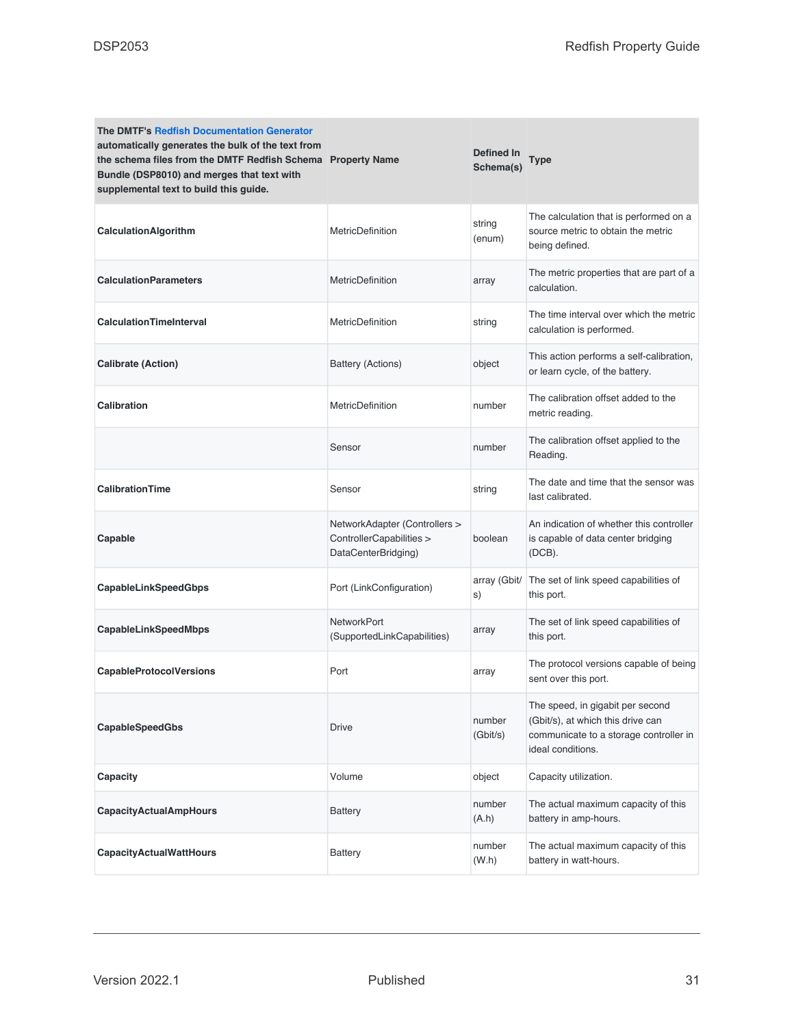| <b>The DMTF's Redfish Documentation Generator</b><br>automatically generates the bulk of the text from<br>the schema files from the DMTF Redfish Schema Property Name<br>Bundle (DSP8010) and merges that text with<br>supplemental text to build this guide. |                                                                                  | <b>Defined In</b><br>Schema(s) | <b>Type</b>                                                                                                                          |
|---------------------------------------------------------------------------------------------------------------------------------------------------------------------------------------------------------------------------------------------------------------|----------------------------------------------------------------------------------|--------------------------------|--------------------------------------------------------------------------------------------------------------------------------------|
| <b>CalculationAlgorithm</b>                                                                                                                                                                                                                                   | <b>MetricDefinition</b>                                                          | string<br>(enum)               | The calculation that is performed on a<br>source metric to obtain the metric<br>being defined.                                       |
| <b>CalculationParameters</b>                                                                                                                                                                                                                                  | <b>MetricDefinition</b>                                                          | array                          | The metric properties that are part of a<br>calculation.                                                                             |
| <b>CalculationTimeInterval</b>                                                                                                                                                                                                                                | <b>MetricDefinition</b>                                                          | string                         | The time interval over which the metric<br>calculation is performed.                                                                 |
| <b>Calibrate (Action)</b>                                                                                                                                                                                                                                     | Battery (Actions)                                                                | object                         | This action performs a self-calibration,<br>or learn cycle, of the battery.                                                          |
| <b>Calibration</b>                                                                                                                                                                                                                                            | MetricDefinition                                                                 | number                         | The calibration offset added to the<br>metric reading.                                                                               |
|                                                                                                                                                                                                                                                               | Sensor                                                                           | number                         | The calibration offset applied to the<br>Reading.                                                                                    |
| <b>CalibrationTime</b>                                                                                                                                                                                                                                        | Sensor                                                                           | string                         | The date and time that the sensor was<br>last calibrated.                                                                            |
| Capable                                                                                                                                                                                                                                                       | NetworkAdapter (Controllers ><br>ControllerCapabilities ><br>DataCenterBridging) | boolean                        | An indication of whether this controller<br>is capable of data center bridging<br>$(DCB)$ .                                          |
| CapableLinkSpeedGbps                                                                                                                                                                                                                                          | Port (LinkConfiguration)                                                         | array (Gbit/<br>s)             | The set of link speed capabilities of<br>this port.                                                                                  |
| CapableLinkSpeedMbps                                                                                                                                                                                                                                          | <b>NetworkPort</b><br>(SupportedLinkCapabilities)                                | array                          | The set of link speed capabilities of<br>this port.                                                                                  |
| <b>CapableProtocolVersions</b>                                                                                                                                                                                                                                | Port                                                                             | array                          | The protocol versions capable of being<br>sent over this port.                                                                       |
| <b>CapableSpeedGbs</b>                                                                                                                                                                                                                                        | Drive                                                                            | number<br>(Gbit/s)             | The speed, in gigabit per second<br>(Gbit/s), at which this drive can<br>communicate to a storage controller in<br>ideal conditions. |
| Capacity                                                                                                                                                                                                                                                      | Volume                                                                           | object                         | Capacity utilization.                                                                                                                |
| <b>CapacityActualAmpHours</b>                                                                                                                                                                                                                                 | Battery                                                                          | number<br>(A.h)                | The actual maximum capacity of this<br>battery in amp-hours.                                                                         |
| <b>CapacityActualWattHours</b>                                                                                                                                                                                                                                | Battery                                                                          | number<br>(W.h)                | The actual maximum capacity of this<br>battery in watt-hours.                                                                        |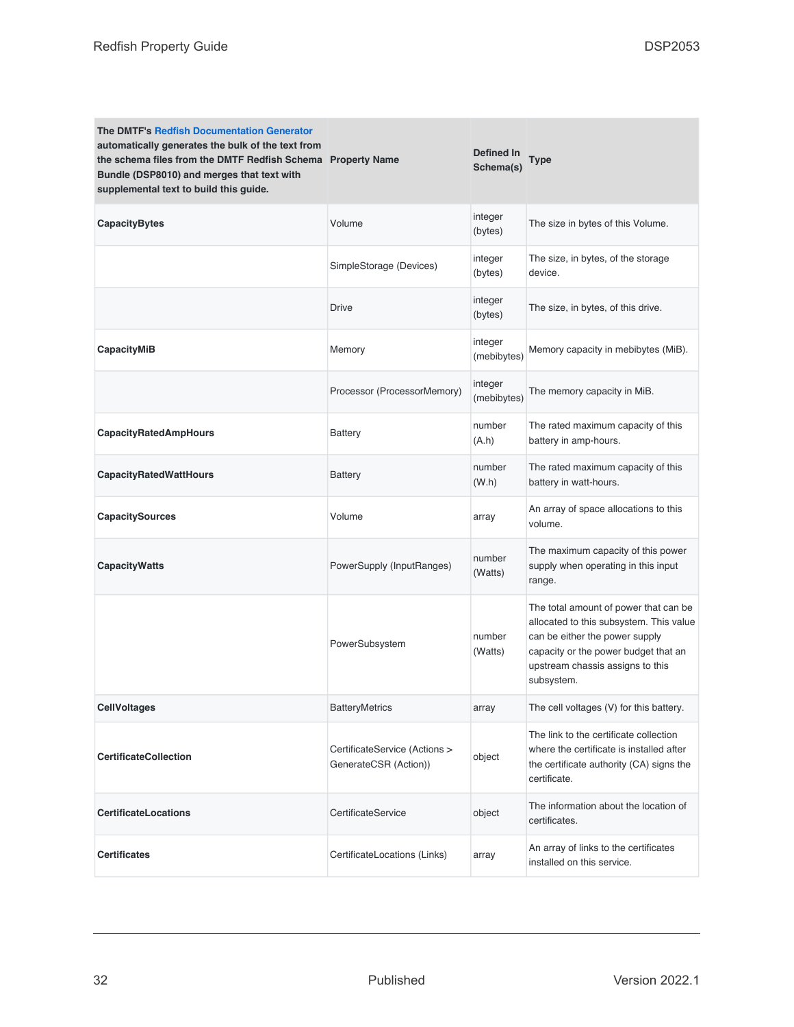| <b>The DMTF's Redfish Documentation Generator</b><br>automatically generates the bulk of the text from<br>the schema files from the DMTF Redfish Schema Property Name<br>Bundle (DSP8010) and merges that text with<br>supplemental text to build this guide. |                                                        | Defined In<br>Schema(s) | Type                                                                                                                                                                                                         |
|---------------------------------------------------------------------------------------------------------------------------------------------------------------------------------------------------------------------------------------------------------------|--------------------------------------------------------|-------------------------|--------------------------------------------------------------------------------------------------------------------------------------------------------------------------------------------------------------|
| <b>CapacityBytes</b>                                                                                                                                                                                                                                          | Volume                                                 | integer<br>(bytes)      | The size in bytes of this Volume.                                                                                                                                                                            |
|                                                                                                                                                                                                                                                               | SimpleStorage (Devices)                                | integer<br>(bytes)      | The size, in bytes, of the storage<br>device.                                                                                                                                                                |
|                                                                                                                                                                                                                                                               | <b>Drive</b>                                           | integer<br>(bytes)      | The size, in bytes, of this drive.                                                                                                                                                                           |
| CapacityMiB                                                                                                                                                                                                                                                   | Memory                                                 | integer<br>(mebibytes)  | Memory capacity in mebibytes (MiB).                                                                                                                                                                          |
|                                                                                                                                                                                                                                                               | Processor (ProcessorMemory)                            | integer<br>(mebibytes)  | The memory capacity in MiB.                                                                                                                                                                                  |
| <b>CapacityRatedAmpHours</b>                                                                                                                                                                                                                                  | Battery                                                | number<br>(A.h)         | The rated maximum capacity of this<br>battery in amp-hours.                                                                                                                                                  |
| <b>CapacityRatedWattHours</b>                                                                                                                                                                                                                                 | Battery                                                | number<br>(W.h)         | The rated maximum capacity of this<br>battery in watt-hours.                                                                                                                                                 |
| <b>CapacitySources</b>                                                                                                                                                                                                                                        | Volume                                                 | array                   | An array of space allocations to this<br>volume.                                                                                                                                                             |
| <b>CapacityWatts</b>                                                                                                                                                                                                                                          | PowerSupply (InputRanges)                              | number<br>(Watts)       | The maximum capacity of this power<br>supply when operating in this input<br>range.                                                                                                                          |
|                                                                                                                                                                                                                                                               | PowerSubsystem                                         | number<br>(Watts)       | The total amount of power that can be<br>allocated to this subsystem. This value<br>can be either the power supply<br>capacity or the power budget that an<br>upstream chassis assigns to this<br>subsystem. |
| <b>CellVoltages</b>                                                                                                                                                                                                                                           | <b>BatteryMetrics</b>                                  | array                   | The cell voltages (V) for this battery.                                                                                                                                                                      |
| <b>CertificateCollection</b>                                                                                                                                                                                                                                  | CertificateService (Actions ><br>GenerateCSR (Action)) | object                  | The link to the certificate collection<br>where the certificate is installed after<br>the certificate authority (CA) signs the<br>certificate.                                                               |
| <b>CertificateLocations</b>                                                                                                                                                                                                                                   | CertificateService                                     | object                  | The information about the location of<br>certificates.                                                                                                                                                       |
| <b>Certificates</b>                                                                                                                                                                                                                                           | CertificateLocations (Links)                           | array                   | An array of links to the certificates<br>installed on this service.                                                                                                                                          |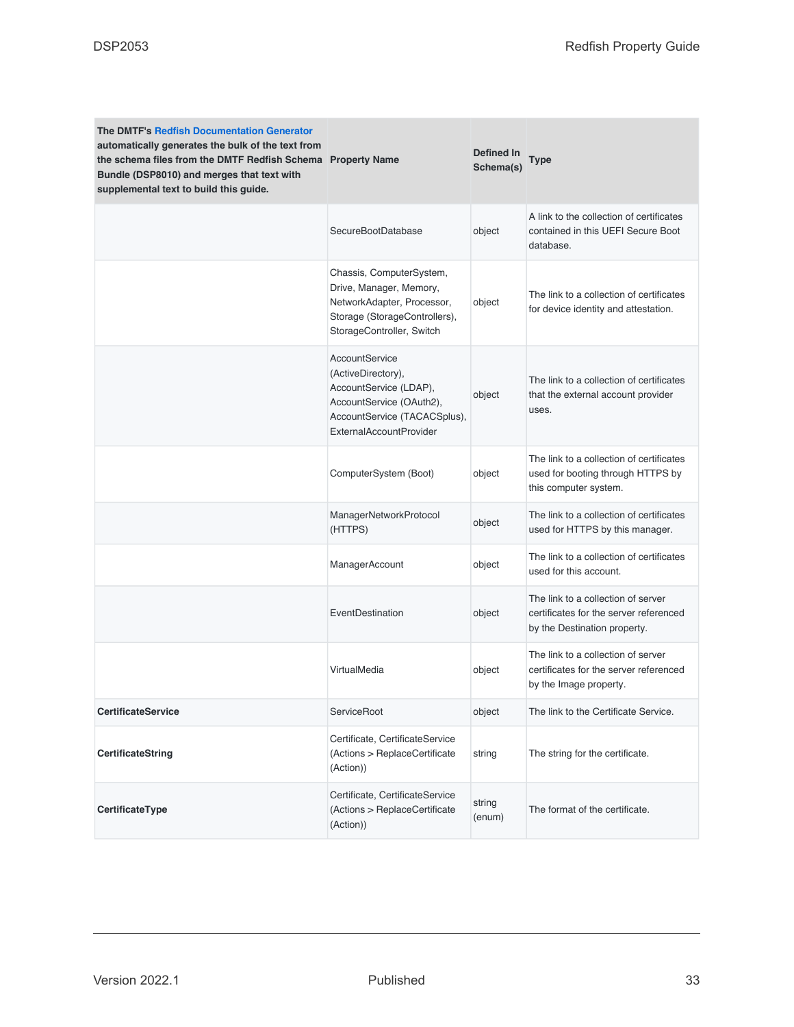| <b>The DMTF's Redfish Documentation Generator</b><br>automatically generates the bulk of the text from<br>the schema files from the DMTF Redfish Schema Property Name<br>Bundle (DSP8010) and merges that text with<br>supplemental text to build this guide. |                                                                                                                                                              | Defined In<br>Schema(s) | Type                                                                                                         |
|---------------------------------------------------------------------------------------------------------------------------------------------------------------------------------------------------------------------------------------------------------------|--------------------------------------------------------------------------------------------------------------------------------------------------------------|-------------------------|--------------------------------------------------------------------------------------------------------------|
|                                                                                                                                                                                                                                                               | SecureBootDatabase                                                                                                                                           | object                  | A link to the collection of certificates<br>contained in this UEFI Secure Boot<br>database.                  |
|                                                                                                                                                                                                                                                               | Chassis, ComputerSystem,<br>Drive, Manager, Memory,<br>NetworkAdapter, Processor,<br>Storage (StorageControllers),<br>StorageController, Switch              | object                  | The link to a collection of certificates<br>for device identity and attestation.                             |
|                                                                                                                                                                                                                                                               | AccountService<br>(ActiveDirectory),<br>AccountService (LDAP),<br>AccountService (OAuth2),<br>AccountService (TACACSplus),<br><b>ExternalAccountProvider</b> | object                  | The link to a collection of certificates<br>that the external account provider<br>uses.                      |
|                                                                                                                                                                                                                                                               | ComputerSystem (Boot)                                                                                                                                        | object                  | The link to a collection of certificates<br>used for booting through HTTPS by<br>this computer system.       |
|                                                                                                                                                                                                                                                               | ManagerNetworkProtocol<br>(HTTPS)                                                                                                                            | object                  | The link to a collection of certificates<br>used for HTTPS by this manager.                                  |
|                                                                                                                                                                                                                                                               | ManagerAccount                                                                                                                                               | object                  | The link to a collection of certificates<br>used for this account.                                           |
|                                                                                                                                                                                                                                                               | EventDestination                                                                                                                                             | object                  | The link to a collection of server<br>certificates for the server referenced<br>by the Destination property. |
|                                                                                                                                                                                                                                                               | VirtualMedia                                                                                                                                                 | object                  | The link to a collection of server<br>certificates for the server referenced<br>by the Image property.       |
| <b>CertificateService</b>                                                                                                                                                                                                                                     | ServiceRoot                                                                                                                                                  | object                  | The link to the Certificate Service.                                                                         |
| <b>CertificateString</b>                                                                                                                                                                                                                                      | Certificate, CertificateService<br>(Actions > ReplaceCertificate<br>(Action))                                                                                | string                  | The string for the certificate.                                                                              |
| CertificateType                                                                                                                                                                                                                                               | Certificate, CertificateService<br>(Actions > ReplaceCertificate<br>(Action))                                                                                | string<br>(enum)        | The format of the certificate.                                                                               |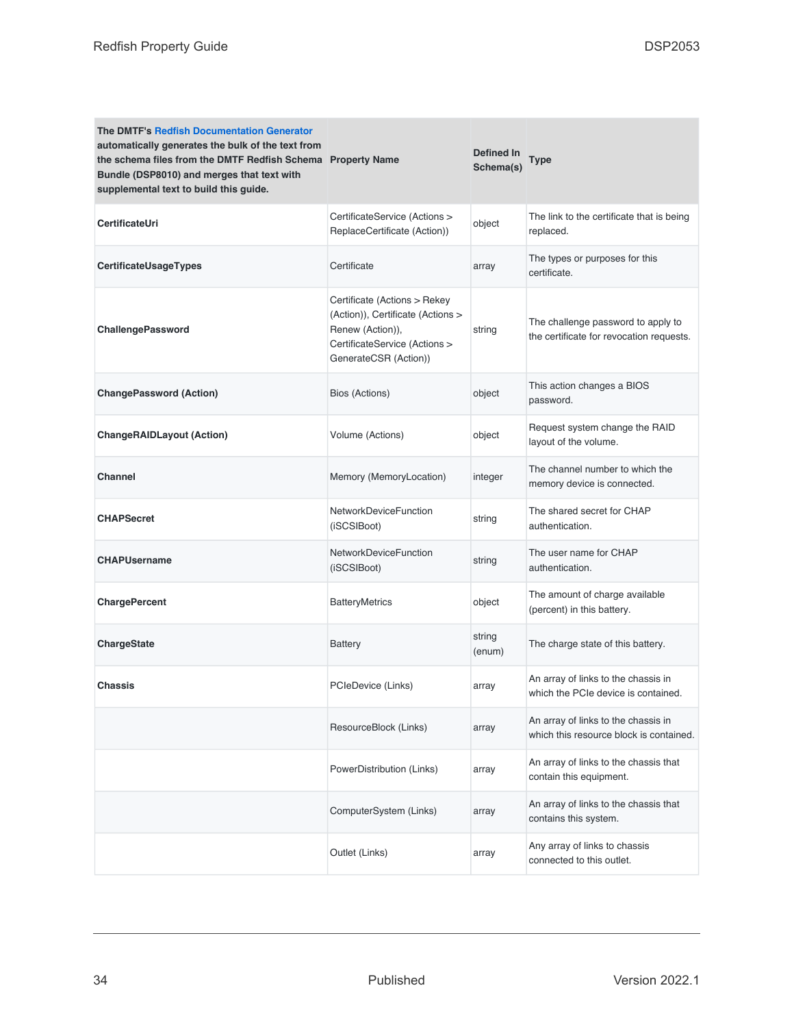| <b>The DMTF's Redfish Documentation Generator</b><br>automatically generates the bulk of the text from<br>the schema files from the DMTF Redfish Schema Property Name<br>Bundle (DSP8010) and merges that text with<br>supplemental text to build this guide. |                                                                                                                                                 | <b>Defined In</b><br>Schema(s) | Type                                                                           |
|---------------------------------------------------------------------------------------------------------------------------------------------------------------------------------------------------------------------------------------------------------------|-------------------------------------------------------------------------------------------------------------------------------------------------|--------------------------------|--------------------------------------------------------------------------------|
| CertificateUri                                                                                                                                                                                                                                                | CertificateService (Actions ><br>ReplaceCertificate (Action))                                                                                   | object                         | The link to the certificate that is being<br>replaced.                         |
| CertificateUsageTypes                                                                                                                                                                                                                                         | Certificate                                                                                                                                     | array                          | The types or purposes for this<br>certificate.                                 |
| ChallengePassword                                                                                                                                                                                                                                             | Certificate (Actions > Rekey<br>(Action)), Certificate (Actions ><br>Renew (Action)),<br>CertificateService (Actions ><br>GenerateCSR (Action)) | string                         | The challenge password to apply to<br>the certificate for revocation requests. |
| <b>ChangePassword (Action)</b>                                                                                                                                                                                                                                | Bios (Actions)                                                                                                                                  | object                         | This action changes a BIOS<br>password.                                        |
| <b>ChangeRAIDLayout (Action)</b>                                                                                                                                                                                                                              | Volume (Actions)                                                                                                                                | object                         | Request system change the RAID<br>layout of the volume.                        |
| <b>Channel</b>                                                                                                                                                                                                                                                | Memory (MemoryLocation)                                                                                                                         | integer                        | The channel number to which the<br>memory device is connected.                 |
| <b>CHAPSecret</b>                                                                                                                                                                                                                                             | <b>NetworkDeviceFunction</b><br>(iSCSIBoot)                                                                                                     | string                         | The shared secret for CHAP<br>authentication.                                  |
| <b>CHAPUsername</b>                                                                                                                                                                                                                                           | <b>NetworkDeviceFunction</b><br>(iSCSIBoot)                                                                                                     | string                         | The user name for CHAP<br>authentication.                                      |
| <b>ChargePercent</b>                                                                                                                                                                                                                                          | <b>BatteryMetrics</b>                                                                                                                           | object                         | The amount of charge available<br>(percent) in this battery.                   |
| <b>ChargeState</b>                                                                                                                                                                                                                                            | <b>Battery</b>                                                                                                                                  | string<br>(enum)               | The charge state of this battery.                                              |
| Chassis                                                                                                                                                                                                                                                       | PCIeDevice (Links)                                                                                                                              | array                          | An array of links to the chassis in<br>which the PCIe device is contained.     |
|                                                                                                                                                                                                                                                               | ResourceBlock (Links)                                                                                                                           | array                          | An array of links to the chassis in<br>which this resource block is contained. |
|                                                                                                                                                                                                                                                               | PowerDistribution (Links)                                                                                                                       | array                          | An array of links to the chassis that<br>contain this equipment.               |
|                                                                                                                                                                                                                                                               | ComputerSystem (Links)                                                                                                                          | array                          | An array of links to the chassis that<br>contains this system.                 |
|                                                                                                                                                                                                                                                               | Outlet (Links)                                                                                                                                  | array                          | Any array of links to chassis<br>connected to this outlet.                     |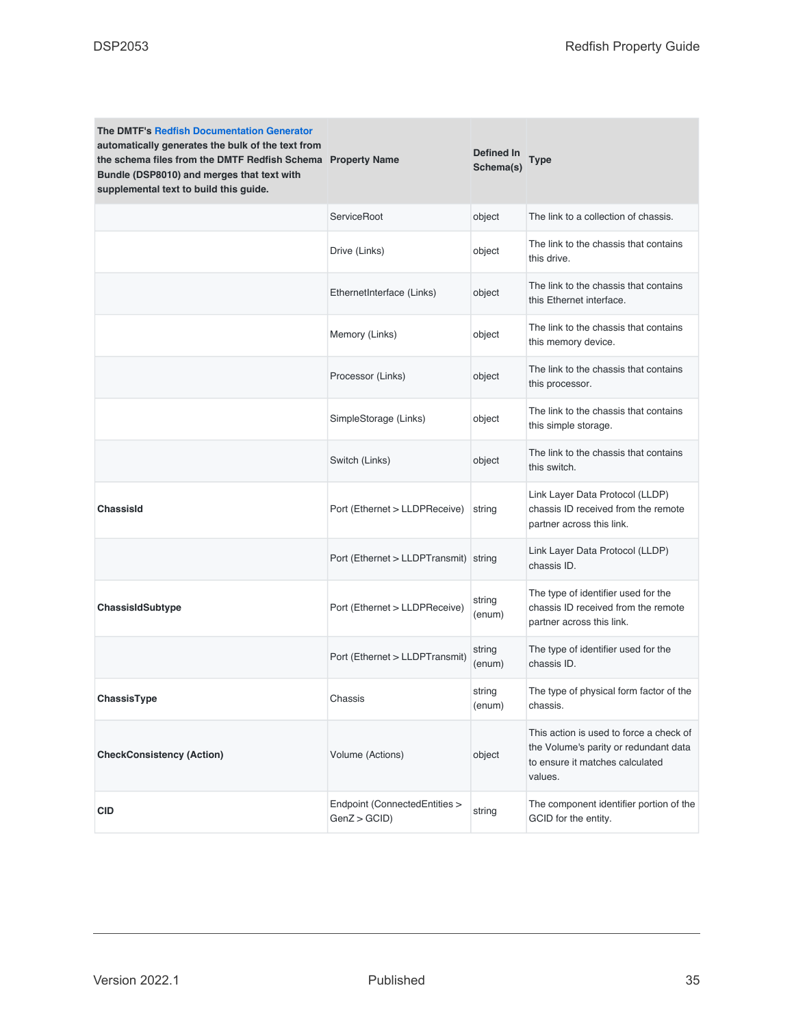| <b>The DMTF's Redfish Documentation Generator</b><br>automatically generates the bulk of the text from<br>the schema files from the DMTF Redfish Schema Property Name<br>Bundle (DSP8010) and merges that text with<br>supplemental text to build this guide. |                                              | Defined In<br>Schema(s) | Type                                                                                                                           |
|---------------------------------------------------------------------------------------------------------------------------------------------------------------------------------------------------------------------------------------------------------------|----------------------------------------------|-------------------------|--------------------------------------------------------------------------------------------------------------------------------|
|                                                                                                                                                                                                                                                               | ServiceRoot                                  | object                  | The link to a collection of chassis.                                                                                           |
|                                                                                                                                                                                                                                                               | Drive (Links)                                | object                  | The link to the chassis that contains<br>this drive.                                                                           |
|                                                                                                                                                                                                                                                               | EthernetInterface (Links)                    | object                  | The link to the chassis that contains<br>this Ethernet interface.                                                              |
|                                                                                                                                                                                                                                                               | Memory (Links)                               | object                  | The link to the chassis that contains<br>this memory device.                                                                   |
|                                                                                                                                                                                                                                                               | Processor (Links)                            | object                  | The link to the chassis that contains<br>this processor.                                                                       |
|                                                                                                                                                                                                                                                               | SimpleStorage (Links)                        | object                  | The link to the chassis that contains<br>this simple storage.                                                                  |
|                                                                                                                                                                                                                                                               | Switch (Links)                               | object                  | The link to the chassis that contains<br>this switch.                                                                          |
| ChassisId                                                                                                                                                                                                                                                     | Port (Ethernet > LLDPReceive)                | string                  | Link Layer Data Protocol (LLDP)<br>chassis ID received from the remote<br>partner across this link.                            |
|                                                                                                                                                                                                                                                               | Port (Ethernet > LLDPTransmit) string        |                         | Link Layer Data Protocol (LLDP)<br>chassis ID.                                                                                 |
| ChassisIdSubtype                                                                                                                                                                                                                                              | Port (Ethernet > LLDPReceive)                | string<br>(enum)        | The type of identifier used for the<br>chassis ID received from the remote<br>partner across this link.                        |
|                                                                                                                                                                                                                                                               | Port (Ethernet > LLDPTransmit)               | string<br>(enum)        | The type of identifier used for the<br>chassis ID.                                                                             |
| <b>ChassisTvpe</b>                                                                                                                                                                                                                                            | Chassis                                      | string<br>(enum)        | The type of physical form factor of the<br>chassis.                                                                            |
| <b>CheckConsistency (Action)</b>                                                                                                                                                                                                                              | Volume (Actions)                             | object                  | This action is used to force a check of<br>the Volume's parity or redundant data<br>to ensure it matches calculated<br>values. |
| <b>CID</b>                                                                                                                                                                                                                                                    | Endpoint (ConnectedEntities ><br>GenZ > GCID | string                  | The component identifier portion of the<br>GCID for the entity.                                                                |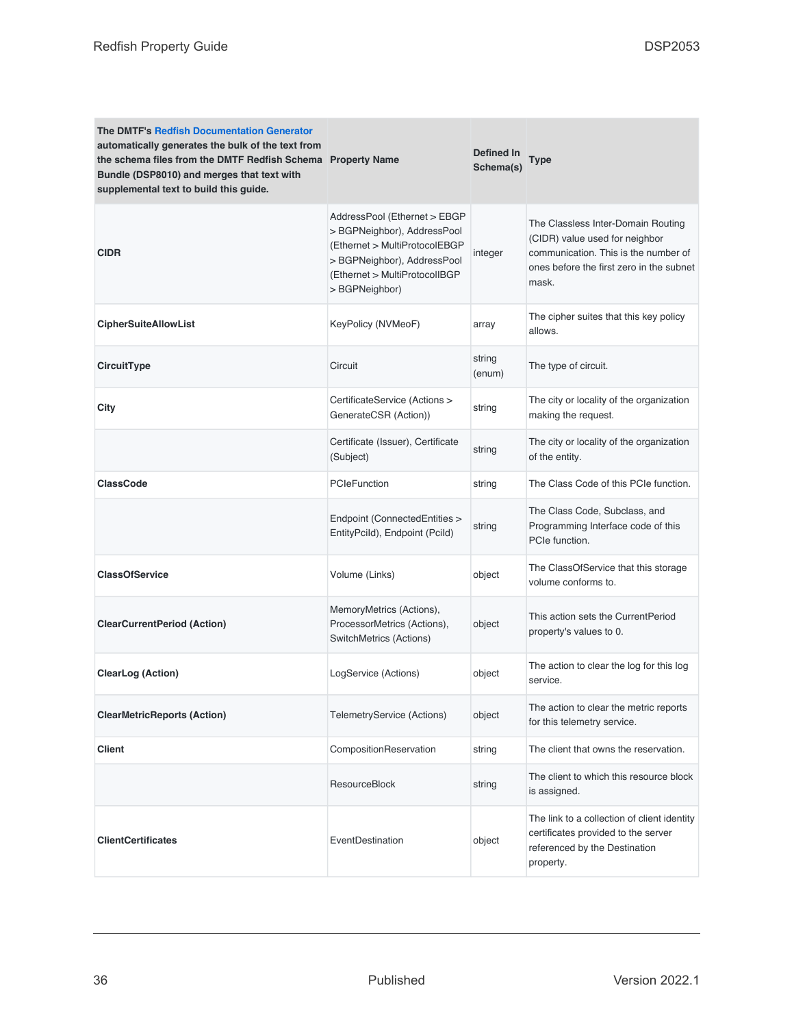| <b>The DMTF's Redfish Documentation Generator</b><br>automatically generates the bulk of the text from<br>the schema files from the DMTF Redfish Schema Property Name<br>Bundle (DSP8010) and merges that text with<br>supplemental text to build this guide. |                                                                                                                                                                                | <b>Defined In</b><br>Schema(s) | Type                                                                                                                                                              |
|---------------------------------------------------------------------------------------------------------------------------------------------------------------------------------------------------------------------------------------------------------------|--------------------------------------------------------------------------------------------------------------------------------------------------------------------------------|--------------------------------|-------------------------------------------------------------------------------------------------------------------------------------------------------------------|
| <b>CIDR</b>                                                                                                                                                                                                                                                   | AddressPool (Ethernet > EBGP<br>> BGPNeighbor), AddressPool<br>(Ethernet > MultiProtocolEBGP<br>> BGPNeighbor), AddressPool<br>(Ethernet > MultiProtocolIBGP<br>> BGPNeighbor) | integer                        | The Classless Inter-Domain Routing<br>(CIDR) value used for neighbor<br>communication. This is the number of<br>ones before the first zero in the subnet<br>mask. |
| <b>CipherSuiteAllowList</b>                                                                                                                                                                                                                                   | KeyPolicy (NVMeoF)                                                                                                                                                             | array                          | The cipher suites that this key policy<br>allows.                                                                                                                 |
| CircuitType                                                                                                                                                                                                                                                   | Circuit                                                                                                                                                                        | string<br>(enum)               | The type of circuit.                                                                                                                                              |
| City                                                                                                                                                                                                                                                          | CertificateService (Actions ><br>GenerateCSR (Action))                                                                                                                         | string                         | The city or locality of the organization<br>making the request.                                                                                                   |
|                                                                                                                                                                                                                                                               | Certificate (Issuer), Certificate<br>(Subject)                                                                                                                                 | string                         | The city or locality of the organization<br>of the entity.                                                                                                        |
| <b>ClassCode</b>                                                                                                                                                                                                                                              | <b>PCIeFunction</b>                                                                                                                                                            | string                         | The Class Code of this PCIe function.                                                                                                                             |
|                                                                                                                                                                                                                                                               | Endpoint (ConnectedEntities ><br>EntityPcild), Endpoint (Pcild)                                                                                                                | string                         | The Class Code, Subclass, and<br>Programming Interface code of this<br>PCIe function.                                                                             |
| <b>ClassOfService</b>                                                                                                                                                                                                                                         | Volume (Links)                                                                                                                                                                 | object                         | The ClassOfService that this storage<br>volume conforms to.                                                                                                       |
| <b>ClearCurrentPeriod (Action)</b>                                                                                                                                                                                                                            | MemoryMetrics (Actions),<br>ProcessorMetrics (Actions),<br>SwitchMetrics (Actions)                                                                                             | object                         | This action sets the CurrentPeriod<br>property's values to 0.                                                                                                     |
| <b>ClearLog (Action)</b>                                                                                                                                                                                                                                      | LogService (Actions)                                                                                                                                                           | object                         | The action to clear the log for this log<br>service.                                                                                                              |
| <b>ClearMetricReports (Action)</b>                                                                                                                                                                                                                            | TelemetryService (Actions)                                                                                                                                                     | object                         | The action to clear the metric reports<br>for this telemetry service.                                                                                             |
| <b>Client</b>                                                                                                                                                                                                                                                 | CompositionReservation                                                                                                                                                         | string                         | The client that owns the reservation.                                                                                                                             |
|                                                                                                                                                                                                                                                               | ResourceBlock                                                                                                                                                                  | string                         | The client to which this resource block<br>is assigned.                                                                                                           |
| <b>ClientCertificates</b>                                                                                                                                                                                                                                     | EventDestination                                                                                                                                                               | object                         | The link to a collection of client identity<br>certificates provided to the server<br>referenced by the Destination<br>property.                                  |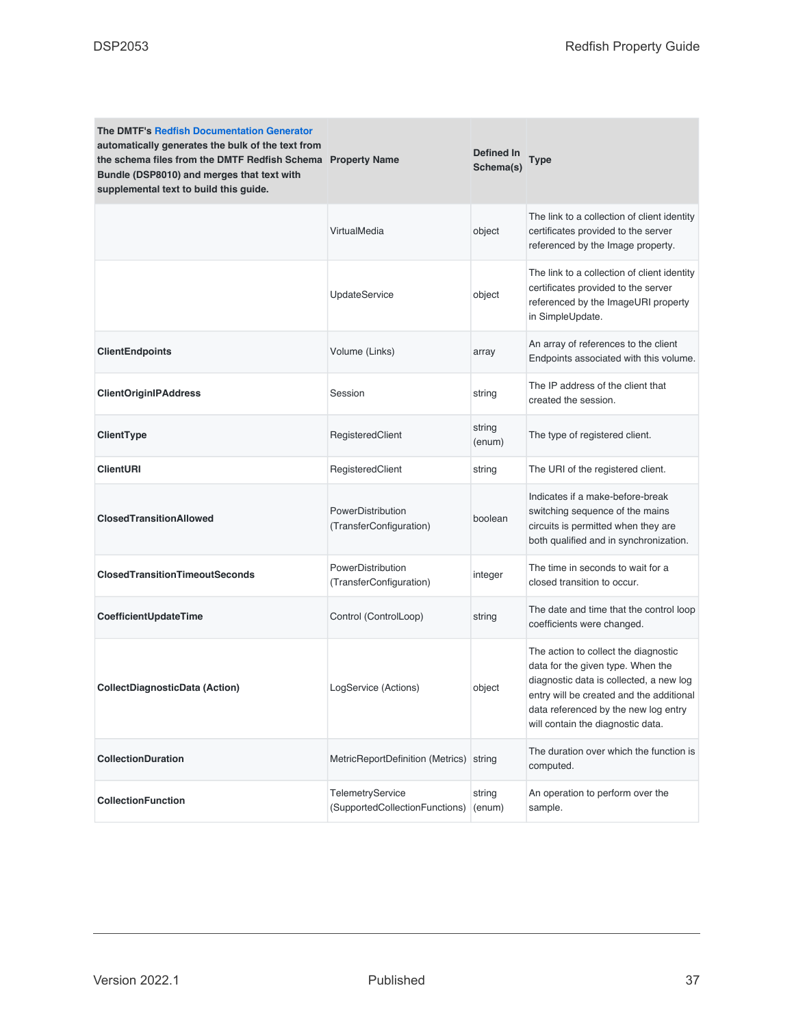| <b>The DMTF's Redfish Documentation Generator</b><br>automatically generates the bulk of the text from<br>the schema files from the DMTF Redfish Schema Property Name<br>Bundle (DSP8010) and merges that text with<br>supplemental text to build this guide. |                                                    | Defined In<br>Schema(s) | <b>Type</b>                                                                                                                                                                                                                                   |
|---------------------------------------------------------------------------------------------------------------------------------------------------------------------------------------------------------------------------------------------------------------|----------------------------------------------------|-------------------------|-----------------------------------------------------------------------------------------------------------------------------------------------------------------------------------------------------------------------------------------------|
|                                                                                                                                                                                                                                                               | VirtualMedia                                       | object                  | The link to a collection of client identity<br>certificates provided to the server<br>referenced by the Image property.                                                                                                                       |
|                                                                                                                                                                                                                                                               | <b>UpdateService</b>                               | object                  | The link to a collection of client identity<br>certificates provided to the server<br>referenced by the ImageURI property<br>in SimpleUpdate.                                                                                                 |
| <b>ClientEndpoints</b>                                                                                                                                                                                                                                        | Volume (Links)                                     | array                   | An array of references to the client<br>Endpoints associated with this volume.                                                                                                                                                                |
| <b>ClientOriginIPAddress</b>                                                                                                                                                                                                                                  | Session                                            | string                  | The IP address of the client that<br>created the session.                                                                                                                                                                                     |
| ClientType                                                                                                                                                                                                                                                    | RegisteredClient                                   | string<br>(enum)        | The type of registered client.                                                                                                                                                                                                                |
| <b>ClientURI</b>                                                                                                                                                                                                                                              | RegisteredClient                                   | string                  | The URI of the registered client.                                                                                                                                                                                                             |
| <b>ClosedTransitionAllowed</b>                                                                                                                                                                                                                                | PowerDistribution<br>(TransferConfiguration)       | boolean                 | Indicates if a make-before-break<br>switching sequence of the mains<br>circuits is permitted when they are<br>both qualified and in synchronization.                                                                                          |
| <b>ClosedTransitionTimeoutSeconds</b>                                                                                                                                                                                                                         | PowerDistribution<br>(TransferConfiguration)       | integer                 | The time in seconds to wait for a<br>closed transition to occur.                                                                                                                                                                              |
| CoefficientUpdateTime                                                                                                                                                                                                                                         | Control (ControlLoop)                              | string                  | The date and time that the control loop<br>coefficients were changed.                                                                                                                                                                         |
| CollectDiagnosticData (Action)                                                                                                                                                                                                                                | LogService (Actions)                               | object                  | The action to collect the diagnostic<br>data for the given type. When the<br>diagnostic data is collected, a new log<br>entry will be created and the additional<br>data referenced by the new log entry<br>will contain the diagnostic data. |
| CollectionDuration                                                                                                                                                                                                                                            | MetricReportDefinition (Metrics) string            |                         | The duration over which the function is<br>computed.                                                                                                                                                                                          |
| <b>CollectionFunction</b>                                                                                                                                                                                                                                     | TelemetryService<br>(SupportedCollectionFunctions) | string<br>(enum)        | An operation to perform over the<br>sample.                                                                                                                                                                                                   |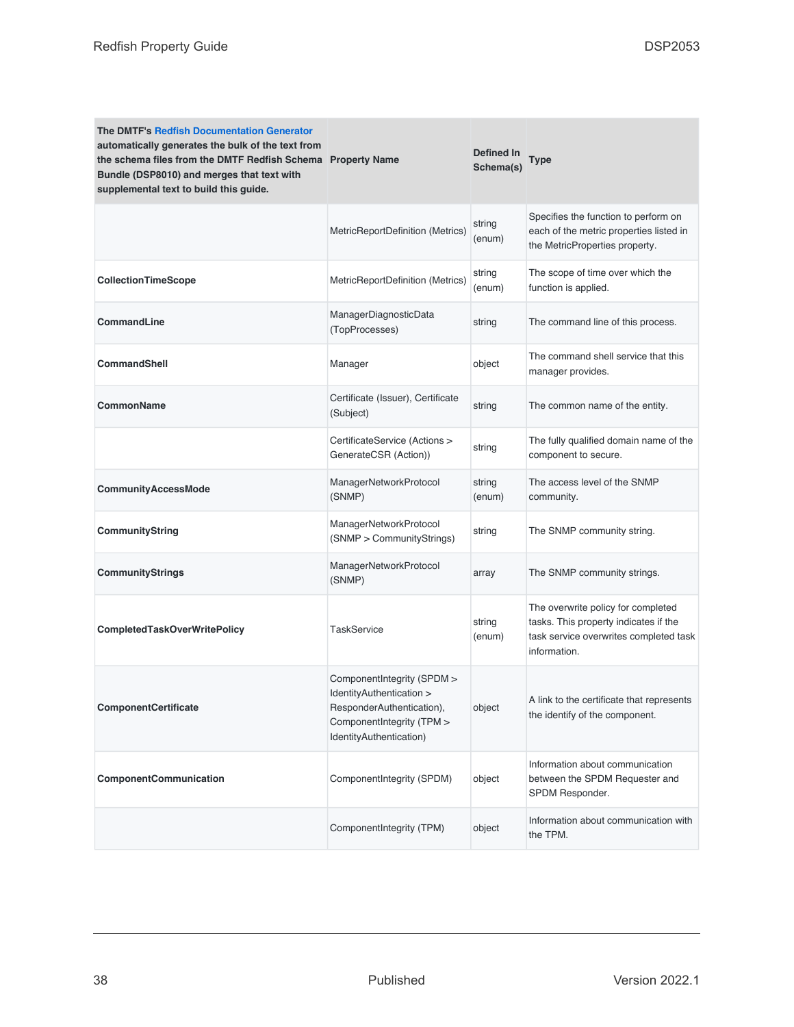| <b>The DMTF's Redfish Documentation Generator</b><br>automatically generates the bulk of the text from<br>the schema files from the DMTF Redfish Schema Property Name<br>Bundle (DSP8010) and merges that text with<br>supplemental text to build this guide. |                                                                                                                                             | Defined In<br>Schema(s) | Type                                                                                                                                  |
|---------------------------------------------------------------------------------------------------------------------------------------------------------------------------------------------------------------------------------------------------------------|---------------------------------------------------------------------------------------------------------------------------------------------|-------------------------|---------------------------------------------------------------------------------------------------------------------------------------|
|                                                                                                                                                                                                                                                               | MetricReportDefinition (Metrics)                                                                                                            | string<br>(enum)        | Specifies the function to perform on<br>each of the metric properties listed in<br>the MetricProperties property.                     |
| CollectionTimeScope                                                                                                                                                                                                                                           | MetricReportDefinition (Metrics)                                                                                                            | string<br>(enum)        | The scope of time over which the<br>function is applied.                                                                              |
| CommandLine                                                                                                                                                                                                                                                   | ManagerDiagnosticData<br>(TopProcesses)                                                                                                     | string                  | The command line of this process.                                                                                                     |
| <b>CommandShell</b>                                                                                                                                                                                                                                           | Manager                                                                                                                                     | object                  | The command shell service that this<br>manager provides.                                                                              |
| CommonName                                                                                                                                                                                                                                                    | Certificate (Issuer), Certificate<br>(Subject)                                                                                              | string                  | The common name of the entity.                                                                                                        |
|                                                                                                                                                                                                                                                               | CertificateService (Actions ><br>GenerateCSR (Action))                                                                                      | string                  | The fully qualified domain name of the<br>component to secure.                                                                        |
| CommunityAccessMode                                                                                                                                                                                                                                           | ManagerNetworkProtocol<br>(SNMP)                                                                                                            | string<br>(enum)        | The access level of the SNMP<br>community.                                                                                            |
| CommunityString                                                                                                                                                                                                                                               | ManagerNetworkProtocol<br>(SNMP > CommunityStrings)                                                                                         | string                  | The SNMP community string.                                                                                                            |
| CommunityStrings                                                                                                                                                                                                                                              | ManagerNetworkProtocol<br>(SNMP)                                                                                                            | array                   | The SNMP community strings.                                                                                                           |
| <b>CompletedTaskOverWritePolicy</b>                                                                                                                                                                                                                           | <b>TaskService</b>                                                                                                                          | string<br>(enum)        | The overwrite policy for completed<br>tasks. This property indicates if the<br>task service overwrites completed task<br>information. |
| ComponentCertificate                                                                                                                                                                                                                                          | ComponentIntegrity (SPDM ><br>IdentityAuthentication ><br>ResponderAuthentication),<br>ComponentIntegrity (TPM ><br>IdentityAuthentication) | object                  | A link to the certificate that represents<br>the identify of the component.                                                           |
| ComponentCommunication                                                                                                                                                                                                                                        | ComponentIntegrity (SPDM)                                                                                                                   | object                  | Information about communication<br>between the SPDM Requester and<br>SPDM Responder.                                                  |
|                                                                                                                                                                                                                                                               | ComponentIntegrity (TPM)                                                                                                                    | object                  | Information about communication with<br>the TPM.                                                                                      |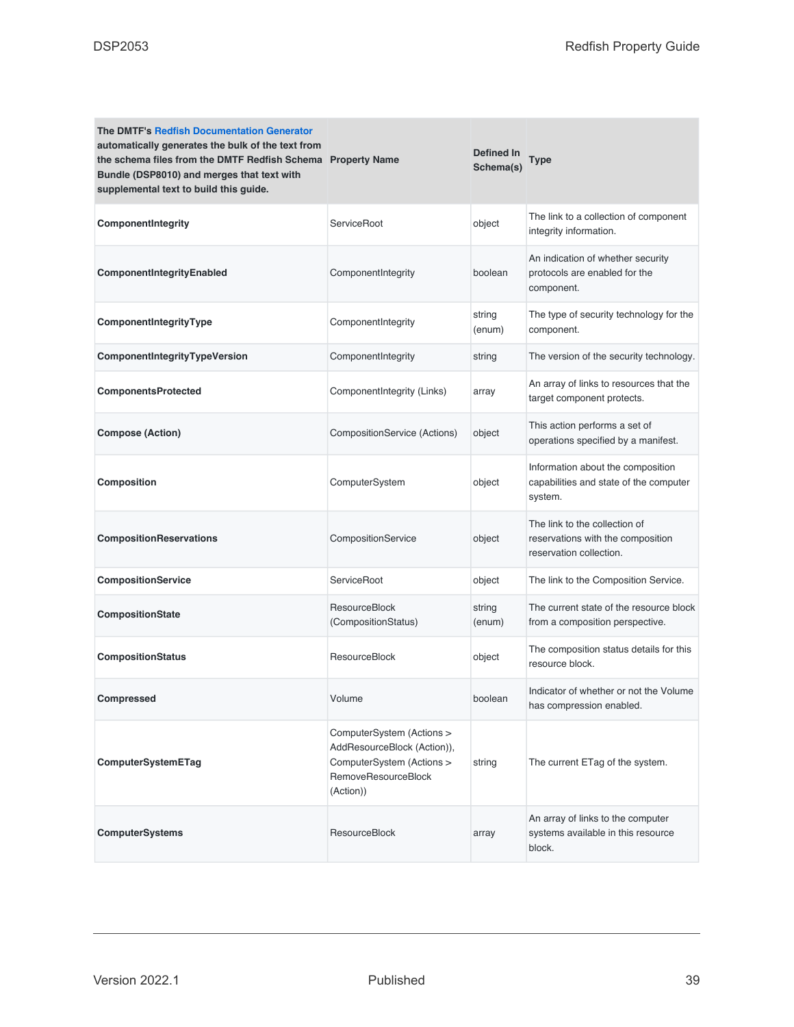| <b>The DMTF's Redfish Documentation Generator</b><br>automatically generates the bulk of the text from<br>the schema files from the DMTF Redfish Schema Property Name<br>Bundle (DSP8010) and merges that text with<br>supplemental text to build this guide. |                                                                                                                           | Defined In<br>Schema(s) | Type                                                                                          |
|---------------------------------------------------------------------------------------------------------------------------------------------------------------------------------------------------------------------------------------------------------------|---------------------------------------------------------------------------------------------------------------------------|-------------------------|-----------------------------------------------------------------------------------------------|
| ComponentIntegrity                                                                                                                                                                                                                                            | <b>ServiceRoot</b>                                                                                                        | object                  | The link to a collection of component<br>integrity information.                               |
| ComponentIntegrityEnabled                                                                                                                                                                                                                                     | ComponentIntegrity                                                                                                        | boolean                 | An indication of whether security<br>protocols are enabled for the<br>component.              |
| ComponentIntegrityType                                                                                                                                                                                                                                        | ComponentIntegrity                                                                                                        | string<br>(enum)        | The type of security technology for the<br>component.                                         |
| ComponentIntegrityTypeVersion                                                                                                                                                                                                                                 | ComponentIntegrity                                                                                                        | string                  | The version of the security technology.                                                       |
| <b>ComponentsProtected</b>                                                                                                                                                                                                                                    | ComponentIntegrity (Links)                                                                                                | array                   | An array of links to resources that the<br>target component protects.                         |
| <b>Compose (Action)</b>                                                                                                                                                                                                                                       | CompositionService (Actions)                                                                                              | object                  | This action performs a set of<br>operations specified by a manifest.                          |
| Composition                                                                                                                                                                                                                                                   | ComputerSystem                                                                                                            | object                  | Information about the composition<br>capabilities and state of the computer<br>system.        |
| <b>CompositionReservations</b>                                                                                                                                                                                                                                | CompositionService                                                                                                        | object                  | The link to the collection of<br>reservations with the composition<br>reservation collection. |
| CompositionService                                                                                                                                                                                                                                            | ServiceRoot                                                                                                               | object                  | The link to the Composition Service.                                                          |
| CompositionState                                                                                                                                                                                                                                              | <b>ResourceBlock</b><br>(CompositionStatus)                                                                               | string<br>(enum)        | The current state of the resource block<br>from a composition perspective.                    |
| <b>CompositionStatus</b>                                                                                                                                                                                                                                      | ResourceBlock                                                                                                             | object                  | The composition status details for this<br>resource block.                                    |
| <b>Compressed</b>                                                                                                                                                                                                                                             | Volume                                                                                                                    | boolean                 | Indicator of whether or not the Volume<br>has compression enabled.                            |
| ComputerSystemETag                                                                                                                                                                                                                                            | ComputerSystem (Actions ><br>AddResourceBlock (Action)),<br>ComputerSystem (Actions ><br>RemoveResourceBlock<br>(Action)) | string                  | The current ETag of the system.                                                               |
| <b>ComputerSystems</b>                                                                                                                                                                                                                                        | ResourceBlock                                                                                                             | array                   | An array of links to the computer<br>systems available in this resource<br>block.             |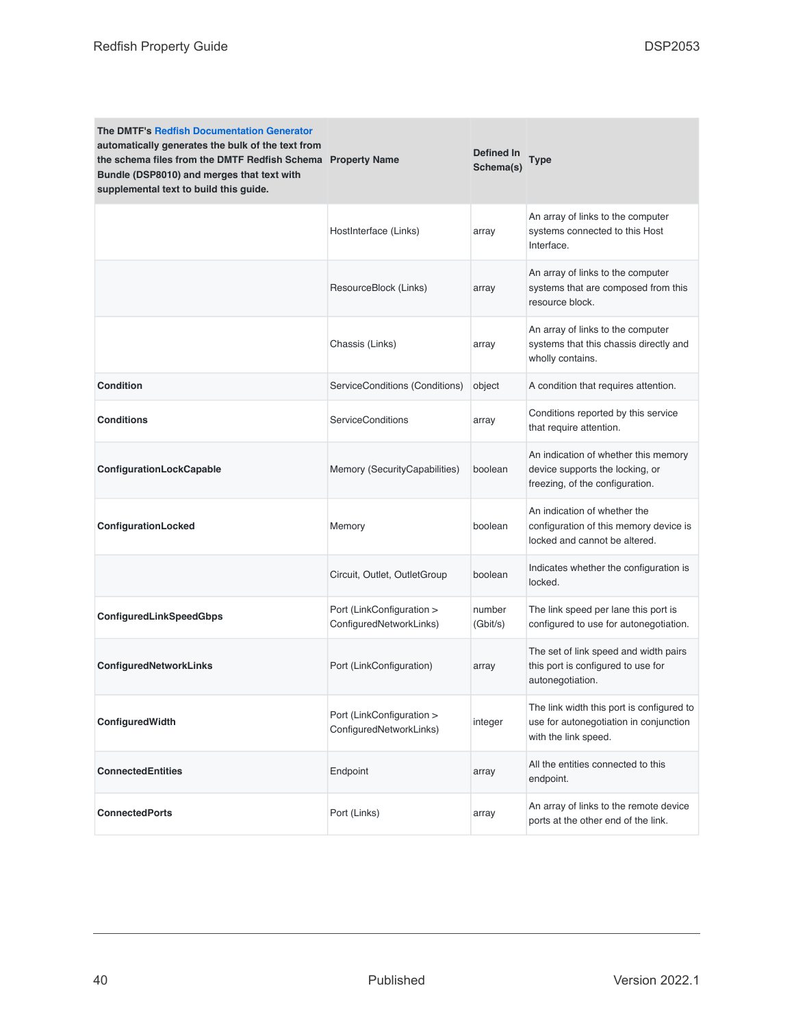| <b>The DMTF's Redfish Documentation Generator</b><br>automatically generates the bulk of the text from<br>the schema files from the DMTF Redfish Schema Property Name<br>Bundle (DSP8010) and merges that text with<br>supplemental text to build this guide. |                                                      | Defined In<br>Schema(s) | Type                                                                                                        |
|---------------------------------------------------------------------------------------------------------------------------------------------------------------------------------------------------------------------------------------------------------------|------------------------------------------------------|-------------------------|-------------------------------------------------------------------------------------------------------------|
|                                                                                                                                                                                                                                                               | HostInterface (Links)                                | array                   | An array of links to the computer<br>systems connected to this Host<br>Interface.                           |
|                                                                                                                                                                                                                                                               | ResourceBlock (Links)                                | array                   | An array of links to the computer<br>systems that are composed from this<br>resource block.                 |
|                                                                                                                                                                                                                                                               | Chassis (Links)                                      | array                   | An array of links to the computer<br>systems that this chassis directly and<br>wholly contains.             |
| <b>Condition</b>                                                                                                                                                                                                                                              | ServiceConditions (Conditions)                       | object                  | A condition that requires attention.                                                                        |
| <b>Conditions</b>                                                                                                                                                                                                                                             | <b>ServiceConditions</b>                             | array                   | Conditions reported by this service<br>that require attention.                                              |
| ConfigurationLockCapable                                                                                                                                                                                                                                      | Memory (SecurityCapabilities)                        | boolean                 | An indication of whether this memory<br>device supports the locking, or<br>freezing, of the configuration.  |
| ConfigurationLocked                                                                                                                                                                                                                                           | Memory                                               | boolean                 | An indication of whether the<br>configuration of this memory device is<br>locked and cannot be altered.     |
|                                                                                                                                                                                                                                                               | Circuit, Outlet, OutletGroup                         | boolean                 | Indicates whether the configuration is<br>locked.                                                           |
| ConfiguredLinkSpeedGbps                                                                                                                                                                                                                                       | Port (LinkConfiguration ><br>ConfiguredNetworkLinks) | number<br>(Gbit/s)      | The link speed per lane this port is<br>configured to use for autonegotiation.                              |
| ConfiguredNetworkLinks                                                                                                                                                                                                                                        | Port (LinkConfiguration)                             | array                   | The set of link speed and width pairs<br>this port is configured to use for<br>autonegotiation.             |
| ConfiguredWidth                                                                                                                                                                                                                                               | Port (LinkConfiguration ><br>ConfiguredNetworkLinks) | integer                 | The link width this port is configured to<br>use for autonegotiation in conjunction<br>with the link speed. |
| <b>ConnectedEntities</b>                                                                                                                                                                                                                                      | Endpoint                                             | array                   | All the entities connected to this<br>endpoint.                                                             |
| <b>ConnectedPorts</b>                                                                                                                                                                                                                                         | Port (Links)                                         | array                   | An array of links to the remote device<br>ports at the other end of the link.                               |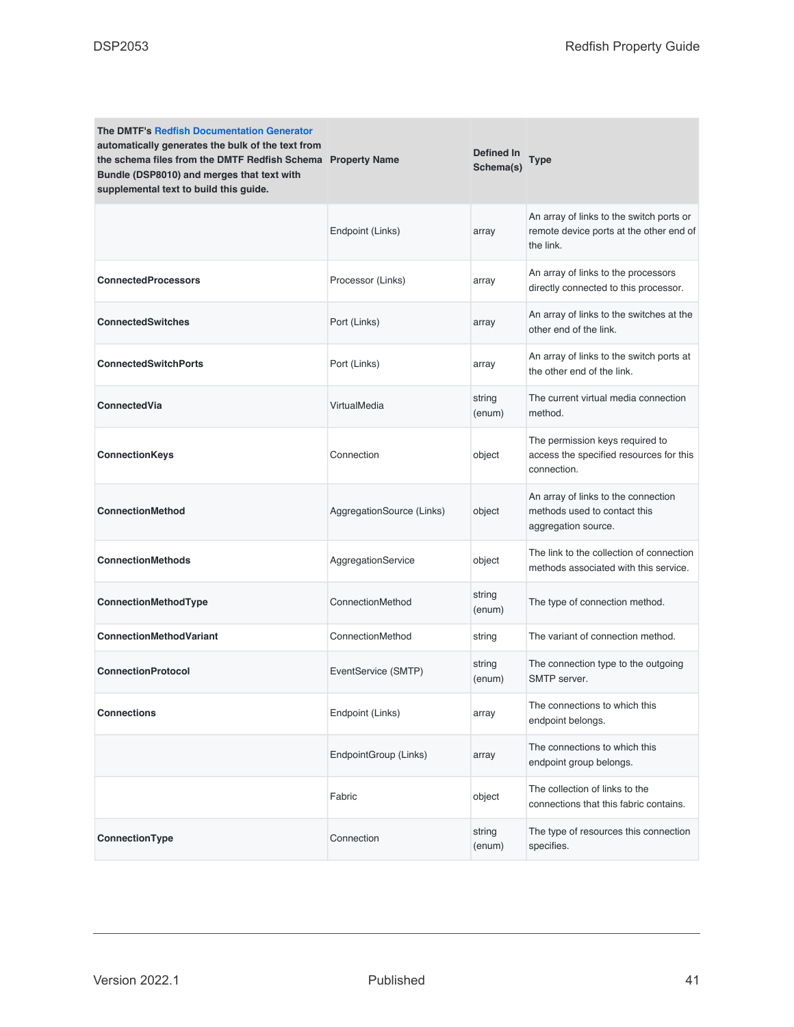| <b>The DMTF's Redfish Documentation Generator</b><br>automatically generates the bulk of the text from<br>the schema files from the DMTF Redfish Schema Property Name<br>Bundle (DSP8010) and merges that text with<br>supplemental text to build this guide. |                           | <b>Defined In</b><br>Schema(s) | Type                                                                                             |
|---------------------------------------------------------------------------------------------------------------------------------------------------------------------------------------------------------------------------------------------------------------|---------------------------|--------------------------------|--------------------------------------------------------------------------------------------------|
|                                                                                                                                                                                                                                                               | Endpoint (Links)          | array                          | An array of links to the switch ports or<br>remote device ports at the other end of<br>the link. |
| <b>ConnectedProcessors</b>                                                                                                                                                                                                                                    | Processor (Links)         | array                          | An array of links to the processors<br>directly connected to this processor.                     |
| <b>ConnectedSwitches</b>                                                                                                                                                                                                                                      | Port (Links)              | array                          | An array of links to the switches at the<br>other end of the link.                               |
| <b>ConnectedSwitchPorts</b>                                                                                                                                                                                                                                   | Port (Links)              | array                          | An array of links to the switch ports at<br>the other end of the link.                           |
| ConnectedVia                                                                                                                                                                                                                                                  | VirtualMedia              | string<br>(enum)               | The current virtual media connection<br>method.                                                  |
| <b>ConnectionKeys</b>                                                                                                                                                                                                                                         | Connection                | object                         | The permission keys required to<br>access the specified resources for this<br>connection.        |
| <b>ConnectionMethod</b>                                                                                                                                                                                                                                       | AggregationSource (Links) | object                         | An array of links to the connection<br>methods used to contact this<br>aggregation source.       |
| <b>ConnectionMethods</b>                                                                                                                                                                                                                                      | AggregationService        | object                         | The link to the collection of connection<br>methods associated with this service.                |
| ConnectionMethodType                                                                                                                                                                                                                                          | ConnectionMethod          | string<br>(enum)               | The type of connection method.                                                                   |
| <b>ConnectionMethodVariant</b>                                                                                                                                                                                                                                | ConnectionMethod          | string                         | The variant of connection method.                                                                |
| <b>ConnectionProtocol</b>                                                                                                                                                                                                                                     | EventService (SMTP)       | string<br>(enum)               | The connection type to the outgoing<br>SMTP server.                                              |
| <b>Connections</b>                                                                                                                                                                                                                                            | Endpoint (Links)          | array                          | The connections to which this<br>endpoint belongs.                                               |
|                                                                                                                                                                                                                                                               | EndpointGroup (Links)     | array                          | The connections to which this<br>endpoint group belongs.                                         |
|                                                                                                                                                                                                                                                               | Fabric                    | object                         | The collection of links to the<br>connections that this fabric contains.                         |
| ConnectionType                                                                                                                                                                                                                                                | Connection                | string<br>(enum)               | The type of resources this connection<br>specifies.                                              |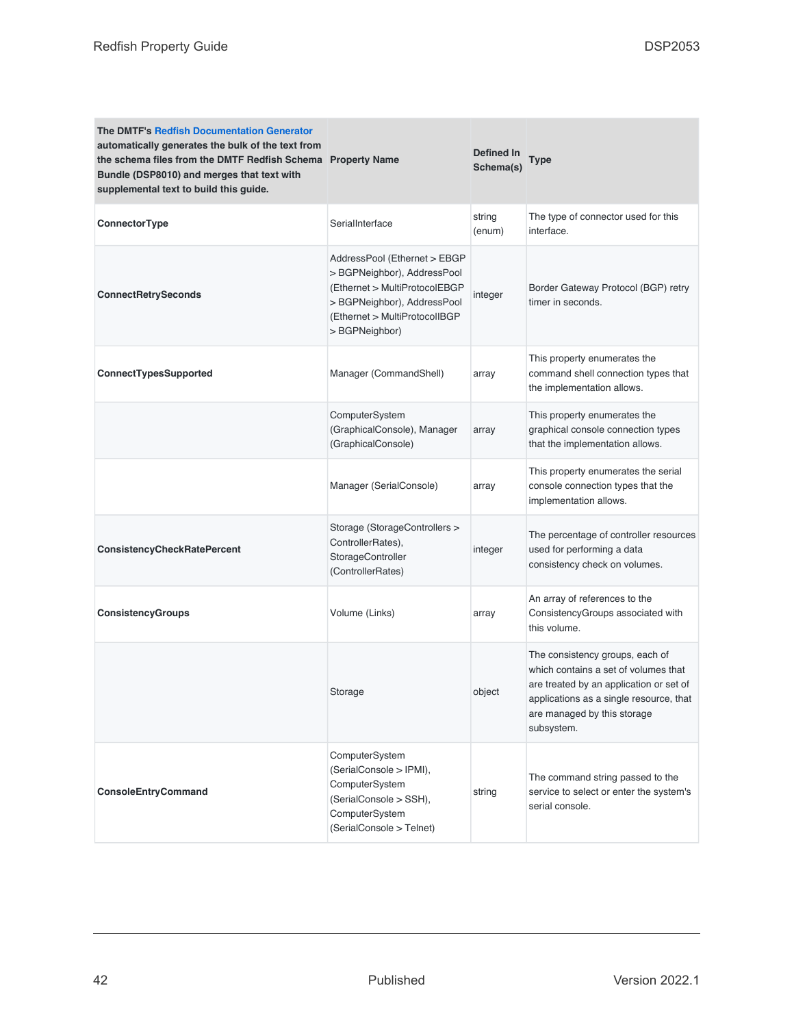| The DMTF's Redfish Documentation Generator<br>automatically generates the bulk of the text from<br>the schema files from the DMTF Redfish Schema Property Name<br>Bundle (DSP8010) and merges that text with<br>supplemental text to build this guide. |                                                                                                                                                                                | Defined In<br>Schema(s) | Type                                                                                                                                                                                                       |
|--------------------------------------------------------------------------------------------------------------------------------------------------------------------------------------------------------------------------------------------------------|--------------------------------------------------------------------------------------------------------------------------------------------------------------------------------|-------------------------|------------------------------------------------------------------------------------------------------------------------------------------------------------------------------------------------------------|
| ConnectorType                                                                                                                                                                                                                                          | SerialInterface                                                                                                                                                                | string<br>(enum)        | The type of connector used for this<br>interface.                                                                                                                                                          |
| <b>ConnectRetrySeconds</b>                                                                                                                                                                                                                             | AddressPool (Ethernet > EBGP<br>> BGPNeighbor), AddressPool<br>(Ethernet > MultiProtocolEBGP<br>> BGPNeighbor), AddressPool<br>(Ethernet > MultiProtocolIBGP<br>> BGPNeighbor) | integer                 | Border Gateway Protocol (BGP) retry<br>timer in seconds.                                                                                                                                                   |
| ConnectTypesSupported                                                                                                                                                                                                                                  | Manager (CommandShell)                                                                                                                                                         | array                   | This property enumerates the<br>command shell connection types that<br>the implementation allows.                                                                                                          |
|                                                                                                                                                                                                                                                        | ComputerSystem<br>(GraphicalConsole), Manager<br>(GraphicalConsole)                                                                                                            | array                   | This property enumerates the<br>graphical console connection types<br>that the implementation allows.                                                                                                      |
|                                                                                                                                                                                                                                                        | Manager (SerialConsole)                                                                                                                                                        | array                   | This property enumerates the serial<br>console connection types that the<br>implementation allows.                                                                                                         |
| <b>ConsistencyCheckRatePercent</b>                                                                                                                                                                                                                     | Storage (StorageControllers ><br>ControllerRates),<br>StorageController<br>(ControllerRates)                                                                                   | integer                 | The percentage of controller resources<br>used for performing a data<br>consistency check on volumes.                                                                                                      |
| <b>ConsistencyGroups</b>                                                                                                                                                                                                                               | Volume (Links)                                                                                                                                                                 | array                   | An array of references to the<br>ConsistencyGroups associated with<br>this volume.                                                                                                                         |
|                                                                                                                                                                                                                                                        | Storage                                                                                                                                                                        | object                  | The consistency groups, each of<br>which contains a set of volumes that<br>are treated by an application or set of<br>applications as a single resource, that<br>are managed by this storage<br>subsystem. |
| ConsoleEntryCommand                                                                                                                                                                                                                                    | ComputerSystem<br>(SerialConsole > IPMI),<br>ComputerSystem<br>(SerialConsole > SSH),<br>ComputerSystem<br>(SerialConsole > Telnet)                                            | string                  | The command string passed to the<br>service to select or enter the system's<br>serial console.                                                                                                             |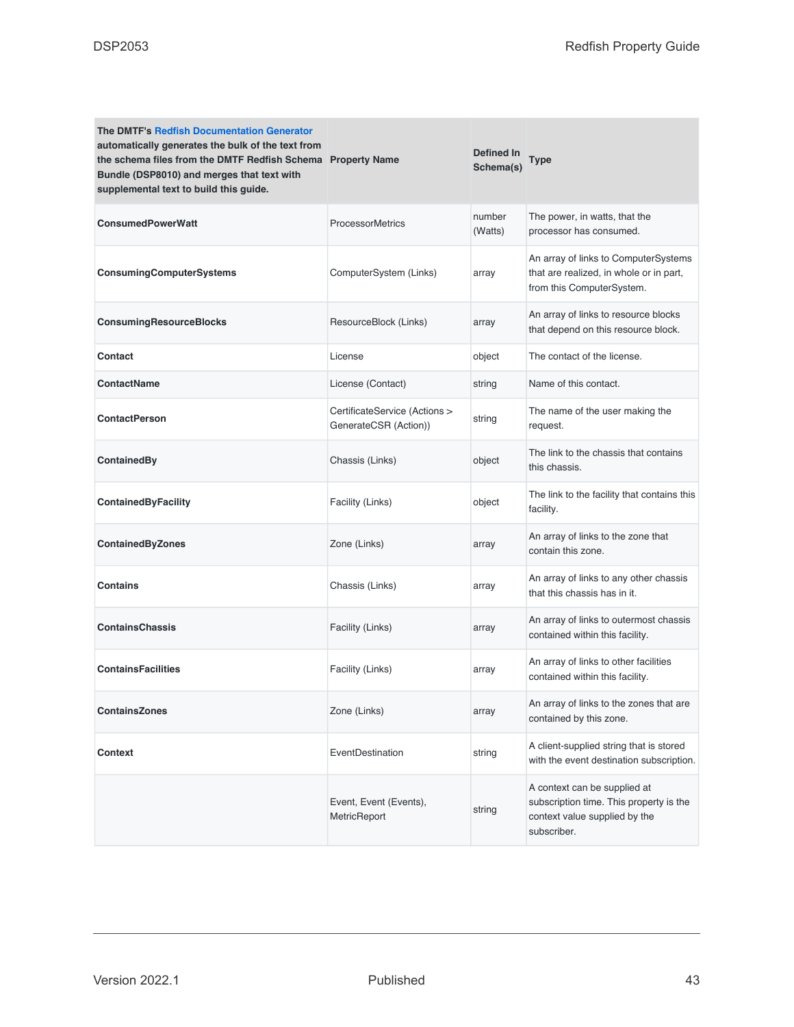| <b>The DMTF's Redfish Documentation Generator</b><br>automatically generates the bulk of the text from<br>the schema files from the DMTF Redfish Schema Property Name<br>Bundle (DSP8010) and merges that text with<br>supplemental text to build this guide. |                                                        | <b>Defined In</b><br>Schema(s) | Type                                                                                                                    |
|---------------------------------------------------------------------------------------------------------------------------------------------------------------------------------------------------------------------------------------------------------------|--------------------------------------------------------|--------------------------------|-------------------------------------------------------------------------------------------------------------------------|
| <b>ConsumedPowerWatt</b>                                                                                                                                                                                                                                      | <b>ProcessorMetrics</b>                                | number<br>(Watts)              | The power, in watts, that the<br>processor has consumed.                                                                |
| ConsumingComputerSystems                                                                                                                                                                                                                                      | ComputerSystem (Links)                                 | array                          | An array of links to ComputerSystems<br>that are realized, in whole or in part,<br>from this ComputerSystem.            |
| <b>ConsumingResourceBlocks</b>                                                                                                                                                                                                                                | ResourceBlock (Links)                                  | array                          | An array of links to resource blocks<br>that depend on this resource block.                                             |
| Contact                                                                                                                                                                                                                                                       | License                                                | object                         | The contact of the license.                                                                                             |
| <b>ContactName</b>                                                                                                                                                                                                                                            | License (Contact)                                      | string                         | Name of this contact.                                                                                                   |
| <b>ContactPerson</b>                                                                                                                                                                                                                                          | CertificateService (Actions ><br>GenerateCSR (Action)) | string                         | The name of the user making the<br>request.                                                                             |
| ContainedBy                                                                                                                                                                                                                                                   | Chassis (Links)                                        | object                         | The link to the chassis that contains<br>this chassis.                                                                  |
| <b>ContainedByFacility</b>                                                                                                                                                                                                                                    | Facility (Links)                                       | object                         | The link to the facility that contains this<br>facility.                                                                |
| <b>ContainedByZones</b>                                                                                                                                                                                                                                       | Zone (Links)                                           | array                          | An array of links to the zone that<br>contain this zone.                                                                |
| <b>Contains</b>                                                                                                                                                                                                                                               | Chassis (Links)                                        | array                          | An array of links to any other chassis<br>that this chassis has in it.                                                  |
| <b>ContainsChassis</b>                                                                                                                                                                                                                                        | Facility (Links)                                       | array                          | An array of links to outermost chassis<br>contained within this facility.                                               |
| <b>ContainsFacilities</b>                                                                                                                                                                                                                                     | Facility (Links)                                       | array                          | An array of links to other facilities<br>contained within this facility.                                                |
| <b>ContainsZones</b>                                                                                                                                                                                                                                          | Zone (Links)                                           | array                          | An array of links to the zones that are<br>contained by this zone.                                                      |
| <b>Context</b>                                                                                                                                                                                                                                                | EventDestination                                       | string                         | A client-supplied string that is stored<br>with the event destination subscription.                                     |
|                                                                                                                                                                                                                                                               | Event, Event (Events),<br>MetricReport                 | string                         | A context can be supplied at<br>subscription time. This property is the<br>context value supplied by the<br>subscriber. |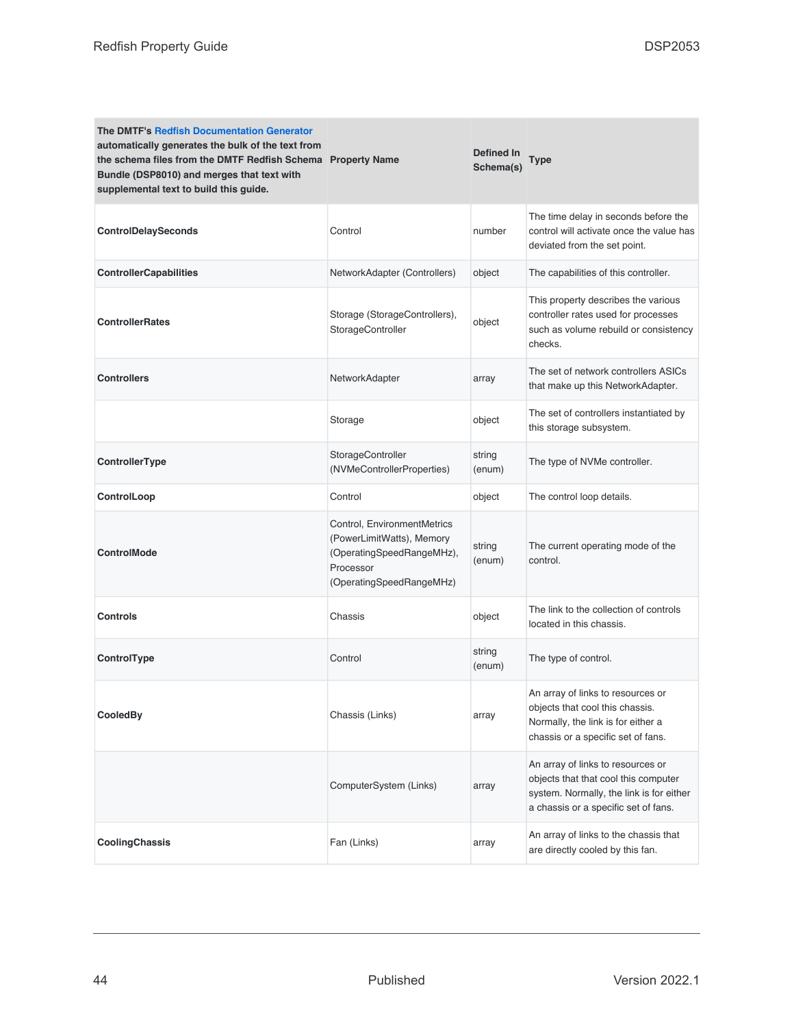| <b>The DMTF's Redfish Documentation Generator</b><br>automatically generates the bulk of the text from<br>the schema files from the DMTF Redfish Schema Property Name<br>Bundle (DSP8010) and merges that text with<br>supplemental text to build this guide. |                                                                                                                                | Defined In<br>Schema(s) | <b>Type</b>                                                                                                                                                   |
|---------------------------------------------------------------------------------------------------------------------------------------------------------------------------------------------------------------------------------------------------------------|--------------------------------------------------------------------------------------------------------------------------------|-------------------------|---------------------------------------------------------------------------------------------------------------------------------------------------------------|
| <b>ControlDelaySeconds</b>                                                                                                                                                                                                                                    | Control                                                                                                                        | number                  | The time delay in seconds before the<br>control will activate once the value has<br>deviated from the set point.                                              |
| <b>ControllerCapabilities</b>                                                                                                                                                                                                                                 | NetworkAdapter (Controllers)                                                                                                   | object                  | The capabilities of this controller.                                                                                                                          |
| <b>ControllerRates</b>                                                                                                                                                                                                                                        | Storage (StorageControllers),<br>StorageController                                                                             | object                  | This property describes the various<br>controller rates used for processes<br>such as volume rebuild or consistency<br>checks.                                |
| <b>Controllers</b>                                                                                                                                                                                                                                            | NetworkAdapter                                                                                                                 | array                   | The set of network controllers ASICs<br>that make up this NetworkAdapter.                                                                                     |
|                                                                                                                                                                                                                                                               | Storage                                                                                                                        | object                  | The set of controllers instantiated by<br>this storage subsystem.                                                                                             |
| ControllerType                                                                                                                                                                                                                                                | StorageController<br>(NVMeControllerProperties)                                                                                | string<br>(enum)        | The type of NVMe controller.                                                                                                                                  |
| ControlLoop                                                                                                                                                                                                                                                   | Control                                                                                                                        | object                  | The control loop details.                                                                                                                                     |
| <b>ControlMode</b>                                                                                                                                                                                                                                            | Control, EnvironmentMetrics<br>(PowerLimitWatts), Memory<br>(OperatingSpeedRangeMHz),<br>Processor<br>(OperatingSpeedRangeMHz) | string<br>(enum)        | The current operating mode of the<br>control.                                                                                                                 |
| Controls                                                                                                                                                                                                                                                      | Chassis                                                                                                                        | object                  | The link to the collection of controls<br>located in this chassis.                                                                                            |
| ControlType                                                                                                                                                                                                                                                   | Control                                                                                                                        | string<br>(enum)        | The type of control.                                                                                                                                          |
| CooledBy                                                                                                                                                                                                                                                      | Chassis (Links)                                                                                                                | array                   | An array of links to resources or<br>objects that cool this chassis.<br>Normally, the link is for either a<br>chassis or a specific set of fans.              |
|                                                                                                                                                                                                                                                               | ComputerSystem (Links)                                                                                                         | array                   | An array of links to resources or<br>objects that that cool this computer<br>system. Normally, the link is for either<br>a chassis or a specific set of fans. |
| CoolingChassis                                                                                                                                                                                                                                                | Fan (Links)                                                                                                                    | array                   | An array of links to the chassis that<br>are directly cooled by this fan.                                                                                     |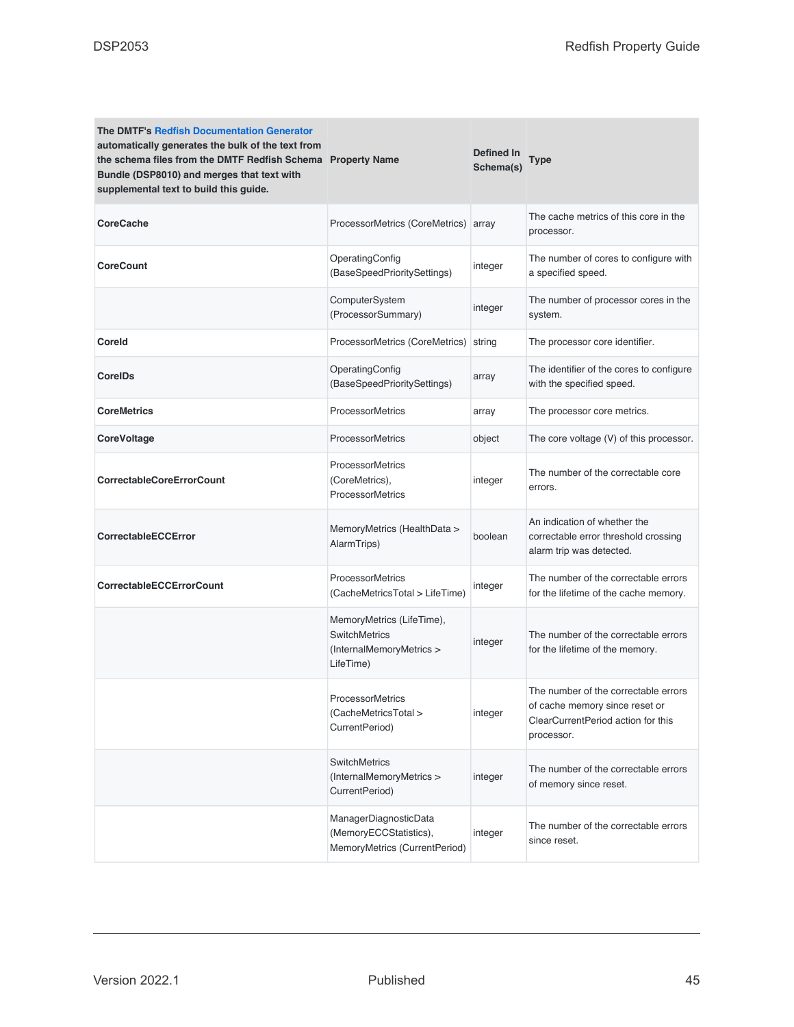| The DMTF's Redfish Documentation Generator<br>automatically generates the bulk of the text from<br>the schema files from the DMTF Redfish Schema Property Name<br>Bundle (DSP8010) and merges that text with<br>supplemental text to build this guide. |                                                                                            | Defined In<br>Schema(s) | Type                                                                                                                       |
|--------------------------------------------------------------------------------------------------------------------------------------------------------------------------------------------------------------------------------------------------------|--------------------------------------------------------------------------------------------|-------------------------|----------------------------------------------------------------------------------------------------------------------------|
| <b>CoreCache</b>                                                                                                                                                                                                                                       | ProcessorMetrics (CoreMetrics) array                                                       |                         | The cache metrics of this core in the<br>processor.                                                                        |
| <b>CoreCount</b>                                                                                                                                                                                                                                       | OperatingConfig<br>(BaseSpeedPrioritySettings)                                             | integer                 | The number of cores to configure with<br>a specified speed.                                                                |
|                                                                                                                                                                                                                                                        | ComputerSystem<br>(ProcessorSummary)                                                       | integer                 | The number of processor cores in the<br>system.                                                                            |
| Coreld                                                                                                                                                                                                                                                 | ProcessorMetrics (CoreMetrics)                                                             | string                  | The processor core identifier.                                                                                             |
| <b>CorelDs</b>                                                                                                                                                                                                                                         | OperatingConfig<br>(BaseSpeedPrioritySettings)                                             | array                   | The identifier of the cores to configure<br>with the specified speed.                                                      |
| <b>CoreMetrics</b>                                                                                                                                                                                                                                     | <b>ProcessorMetrics</b>                                                                    | array                   | The processor core metrics.                                                                                                |
| <b>CoreVoltage</b>                                                                                                                                                                                                                                     | <b>ProcessorMetrics</b>                                                                    | object                  | The core voltage (V) of this processor.                                                                                    |
| <b>CorrectableCoreErrorCount</b>                                                                                                                                                                                                                       | <b>ProcessorMetrics</b><br>(CoreMetrics),<br><b>ProcessorMetrics</b>                       | integer                 | The number of the correctable core<br>errors.                                                                              |
| <b>CorrectableECCError</b>                                                                                                                                                                                                                             | MemoryMetrics (HealthData ><br>AlarmTrips)                                                 | boolean                 | An indication of whether the<br>correctable error threshold crossing<br>alarm trip was detected.                           |
| <b>CorrectableECCErrorCount</b>                                                                                                                                                                                                                        | <b>ProcessorMetrics</b><br>(CacheMetricsTotal > LifeTime)                                  | integer                 | The number of the correctable errors<br>for the lifetime of the cache memory.                                              |
|                                                                                                                                                                                                                                                        | MemoryMetrics (LifeTime),<br><b>SwitchMetrics</b><br>(InternalMemoryMetrics ><br>LifeTime) | integer                 | The number of the correctable errors<br>for the lifetime of the memory.                                                    |
|                                                                                                                                                                                                                                                        | <b>ProcessorMetrics</b><br>(CacheMetricsTotal ><br>CurrentPeriod)                          | integer                 | The number of the correctable errors<br>of cache memory since reset or<br>ClearCurrentPeriod action for this<br>processor. |
|                                                                                                                                                                                                                                                        | <b>SwitchMetrics</b><br>(InternalMemoryMetrics ><br>CurrentPeriod)                         | integer                 | The number of the correctable errors<br>of memory since reset.                                                             |
|                                                                                                                                                                                                                                                        | ManagerDiagnosticData<br>(MemoryECCStatistics),<br>MemoryMetrics (CurrentPeriod)           | integer                 | The number of the correctable errors<br>since reset.                                                                       |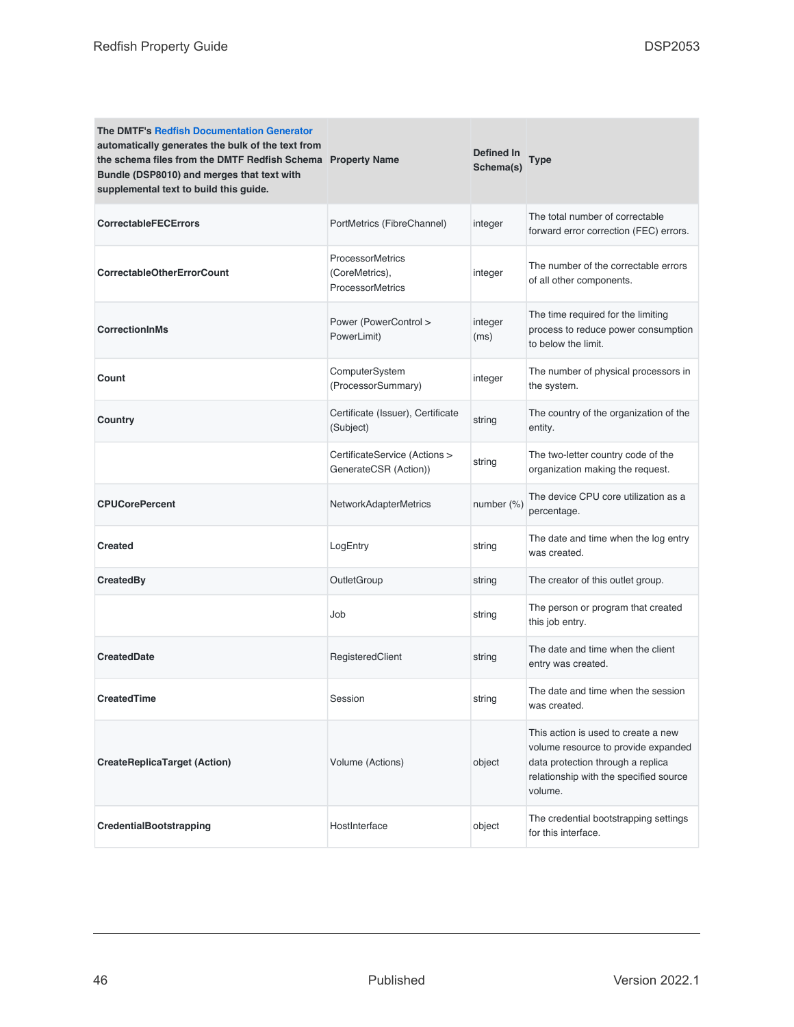| <b>The DMTF's Redfish Documentation Generator</b><br>automatically generates the bulk of the text from<br>the schema files from the DMTF Redfish Schema Property Name<br>Bundle (DSP8010) and merges that text with<br>supplemental text to build this guide. |                                                                      | Defined In<br>Schema(s) | <b>Type</b>                                                                                                                                                          |
|---------------------------------------------------------------------------------------------------------------------------------------------------------------------------------------------------------------------------------------------------------------|----------------------------------------------------------------------|-------------------------|----------------------------------------------------------------------------------------------------------------------------------------------------------------------|
| <b>CorrectableFECErrors</b>                                                                                                                                                                                                                                   | PortMetrics (FibreChannel)                                           | integer                 | The total number of correctable<br>forward error correction (FEC) errors.                                                                                            |
| <b>CorrectableOtherErrorCount</b>                                                                                                                                                                                                                             | <b>ProcessorMetrics</b><br>(CoreMetrics),<br><b>ProcessorMetrics</b> | integer                 | The number of the correctable errors<br>of all other components.                                                                                                     |
| <b>CorrectionInMs</b>                                                                                                                                                                                                                                         | Power (PowerControl ><br>PowerLimit)                                 | integer<br>(ms)         | The time required for the limiting<br>process to reduce power consumption<br>to below the limit.                                                                     |
| Count                                                                                                                                                                                                                                                         | ComputerSystem<br>(ProcessorSummary)                                 | integer                 | The number of physical processors in<br>the system.                                                                                                                  |
| Country                                                                                                                                                                                                                                                       | Certificate (Issuer), Certificate<br>(Subject)                       | string                  | The country of the organization of the<br>entity.                                                                                                                    |
|                                                                                                                                                                                                                                                               | CertificateService (Actions ><br>GenerateCSR (Action))               | string                  | The two-letter country code of the<br>organization making the request.                                                                                               |
| <b>CPUCorePercent</b>                                                                                                                                                                                                                                         | <b>NetworkAdapterMetrics</b>                                         | number $(\%)$           | The device CPU core utilization as a<br>percentage.                                                                                                                  |
| <b>Created</b>                                                                                                                                                                                                                                                | LogEntry                                                             | string                  | The date and time when the log entry<br>was created.                                                                                                                 |
| CreatedBy                                                                                                                                                                                                                                                     | OutletGroup                                                          | string                  | The creator of this outlet group.                                                                                                                                    |
|                                                                                                                                                                                                                                                               | Job                                                                  | string                  | The person or program that created<br>this job entry.                                                                                                                |
| <b>CreatedDate</b>                                                                                                                                                                                                                                            | RegisteredClient                                                     | string                  | The date and time when the client<br>entry was created.                                                                                                              |
| <b>CreatedTime</b>                                                                                                                                                                                                                                            | Session                                                              | string                  | The date and time when the session<br>was created.                                                                                                                   |
| <b>CreateReplicaTarget (Action)</b>                                                                                                                                                                                                                           | Volume (Actions)                                                     | object                  | This action is used to create a new<br>volume resource to provide expanded<br>data protection through a replica<br>relationship with the specified source<br>volume. |
| <b>CredentialBootstrapping</b>                                                                                                                                                                                                                                | HostInterface                                                        | object                  | The credential bootstrapping settings<br>for this interface.                                                                                                         |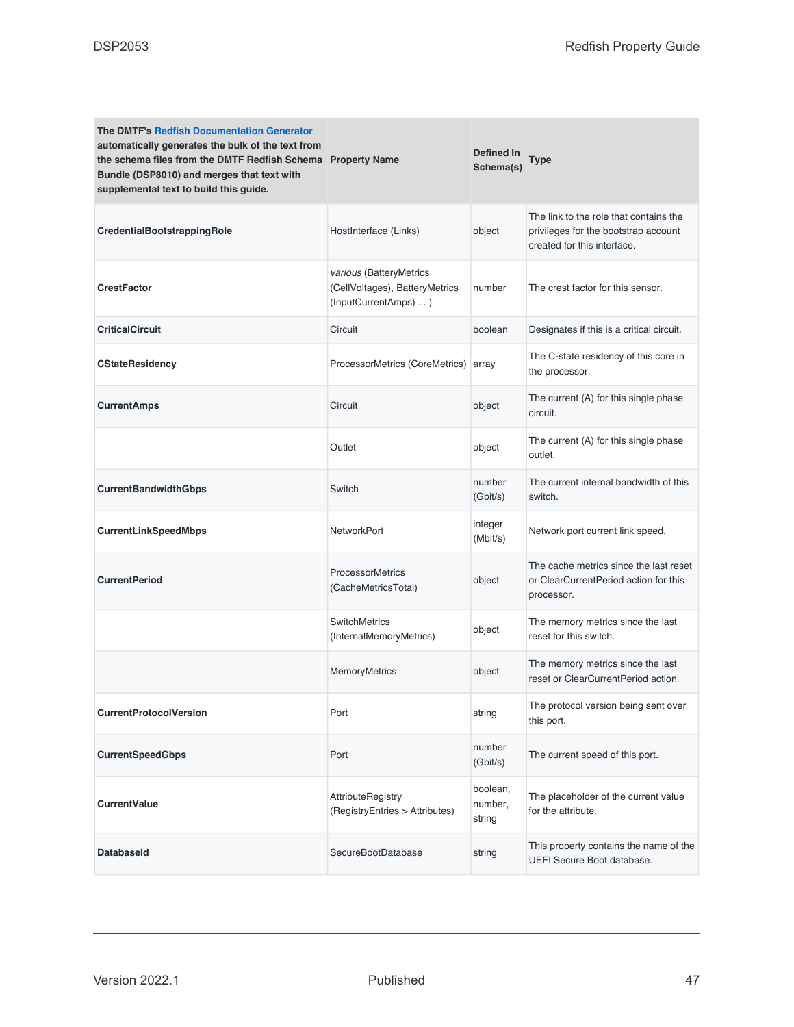| <b>The DMTF's Redfish Documentation Generator</b><br>automatically generates the bulk of the text from<br>the schema files from the DMTF Redfish Schema Property Name<br>Bundle (DSP8010) and merges that text with<br>supplemental text to build this guide. |                                                                                   | Defined In<br>Schema(s)       | Type                                                                                                          |
|---------------------------------------------------------------------------------------------------------------------------------------------------------------------------------------------------------------------------------------------------------------|-----------------------------------------------------------------------------------|-------------------------------|---------------------------------------------------------------------------------------------------------------|
| CredentialBootstrappingRole                                                                                                                                                                                                                                   | HostInterface (Links)                                                             | object                        | The link to the role that contains the<br>privileges for the bootstrap account<br>created for this interface. |
| <b>CrestFactor</b>                                                                                                                                                                                                                                            | various (BatteryMetrics<br>(CellVoltages), BatteryMetrics<br>(InputCurrentAmps) ) | number                        | The crest factor for this sensor.                                                                             |
| <b>CriticalCircuit</b>                                                                                                                                                                                                                                        | Circuit                                                                           | boolean                       | Designates if this is a critical circuit.                                                                     |
| <b>CStateResidency</b>                                                                                                                                                                                                                                        | ProcessorMetrics (CoreMetrics)                                                    | array                         | The C-state residency of this core in<br>the processor.                                                       |
| <b>CurrentAmps</b>                                                                                                                                                                                                                                            | Circuit                                                                           | object                        | The current (A) for this single phase<br>circuit.                                                             |
|                                                                                                                                                                                                                                                               | Outlet                                                                            | object                        | The current (A) for this single phase<br>outlet.                                                              |
| <b>CurrentBandwidthGbps</b>                                                                                                                                                                                                                                   | Switch                                                                            | number<br>(Gbit/s)            | The current internal bandwidth of this<br>switch.                                                             |
| <b>CurrentLinkSpeedMbps</b>                                                                                                                                                                                                                                   | <b>NetworkPort</b>                                                                | integer<br>(Mbit/s)           | Network port current link speed.                                                                              |
| <b>CurrentPeriod</b>                                                                                                                                                                                                                                          | <b>ProcessorMetrics</b><br>(CacheMetricsTotal)                                    | object                        | The cache metrics since the last reset<br>or ClearCurrentPeriod action for this<br>processor.                 |
|                                                                                                                                                                                                                                                               | <b>SwitchMetrics</b><br>(InternalMemoryMetrics)                                   | object                        | The memory metrics since the last<br>reset for this switch.                                                   |
|                                                                                                                                                                                                                                                               | MemoryMetrics                                                                     | object                        | The memory metrics since the last<br>reset or ClearCurrentPeriod action.                                      |
| <b>CurrentProtocolVersion</b>                                                                                                                                                                                                                                 | Port                                                                              | string                        | The protocol version being sent over<br>this port.                                                            |
| <b>CurrentSpeedGbps</b>                                                                                                                                                                                                                                       | Port                                                                              | number<br>(Gbit/s)            | The current speed of this port.                                                                               |
| <b>CurrentValue</b>                                                                                                                                                                                                                                           | <b>AttributeRegistry</b><br>(RegistryEntries > Attributes)                        | boolean,<br>number,<br>string | The placeholder of the current value<br>for the attribute.                                                    |
| <b>Databaseld</b>                                                                                                                                                                                                                                             | SecureBootDatabase                                                                | string                        | This property contains the name of the<br>UEFI Secure Boot database.                                          |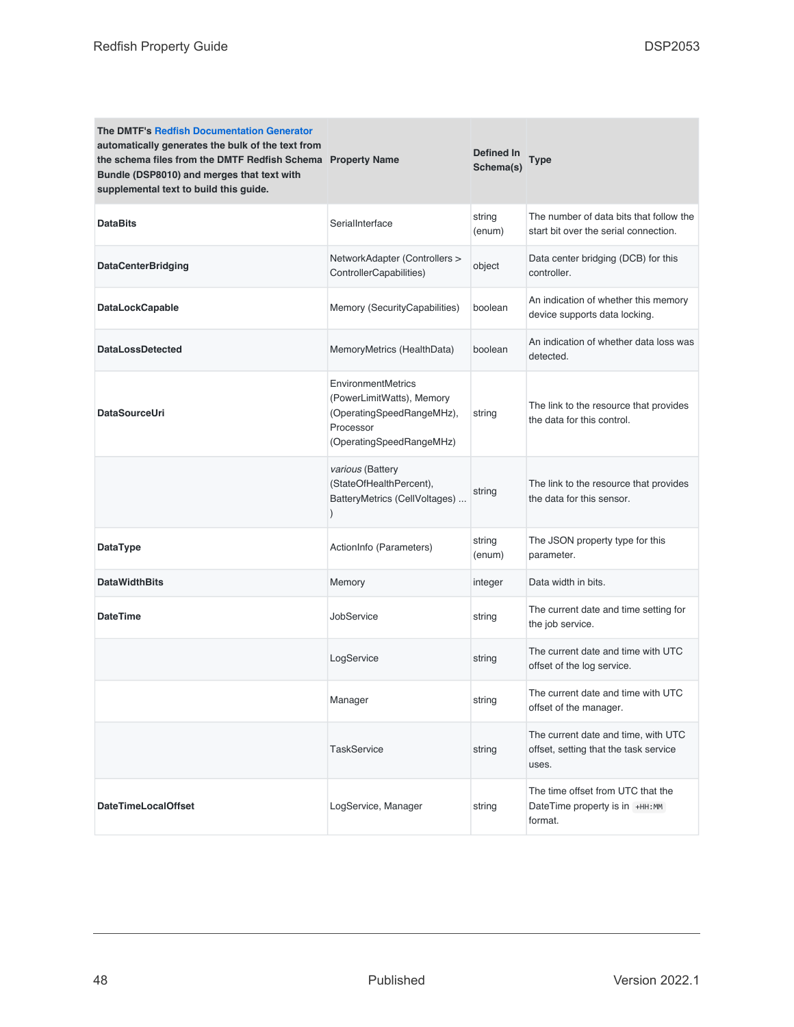| <b>The DMTF's Redfish Documentation Generator</b><br>automatically generates the bulk of the text from<br>the schema files from the DMTF Redfish Schema Property Name<br>Bundle (DSP8010) and merges that text with<br>supplemental text to build this guide. |                                                                                                                       | Defined In<br>Schema(s) | Type                                                                                  |
|---------------------------------------------------------------------------------------------------------------------------------------------------------------------------------------------------------------------------------------------------------------|-----------------------------------------------------------------------------------------------------------------------|-------------------------|---------------------------------------------------------------------------------------|
| <b>DataBits</b>                                                                                                                                                                                                                                               | SerialInterface                                                                                                       | string<br>(enum)        | The number of data bits that follow the<br>start bit over the serial connection.      |
| <b>DataCenterBridging</b>                                                                                                                                                                                                                                     | NetworkAdapter (Controllers ><br>ControllerCapabilities)                                                              | object                  | Data center bridging (DCB) for this<br>controller.                                    |
| <b>DataLockCapable</b>                                                                                                                                                                                                                                        | Memory (SecurityCapabilities)                                                                                         | boolean                 | An indication of whether this memory<br>device supports data locking.                 |
| <b>DataLossDetected</b>                                                                                                                                                                                                                                       | MemoryMetrics (HealthData)                                                                                            | boolean                 | An indication of whether data loss was<br>detected.                                   |
| <b>DataSourceUri</b>                                                                                                                                                                                                                                          | EnvironmentMetrics<br>(PowerLimitWatts), Memory<br>(OperatingSpeedRangeMHz),<br>Processor<br>(OperatingSpeedRangeMHz) | string                  | The link to the resource that provides<br>the data for this control.                  |
|                                                                                                                                                                                                                                                               | various (Battery<br>(StateOfHealthPercent),<br>BatteryMetrics (CellVoltages)                                          | string                  | The link to the resource that provides<br>the data for this sensor.                   |
| DataType                                                                                                                                                                                                                                                      | ActionInfo (Parameters)                                                                                               | string<br>(enum)        | The JSON property type for this<br>parameter.                                         |
| <b>DataWidthBits</b>                                                                                                                                                                                                                                          | Memory                                                                                                                | integer                 | Data width in bits.                                                                   |
| <b>DateTime</b>                                                                                                                                                                                                                                               | JobService                                                                                                            | string                  | The current date and time setting for<br>the job service.                             |
|                                                                                                                                                                                                                                                               | LogService                                                                                                            | string                  | The current date and time with UTC<br>offset of the log service.                      |
|                                                                                                                                                                                                                                                               | Manager                                                                                                               | string                  | The current date and time with UTC<br>offset of the manager.                          |
|                                                                                                                                                                                                                                                               | <b>TaskService</b>                                                                                                    | string                  | The current date and time, with UTC<br>offset, setting that the task service<br>uses. |
| <b>DateTimeLocalOffset</b>                                                                                                                                                                                                                                    | LogService, Manager                                                                                                   | string                  | The time offset from UTC that the<br>DateTime property is in +HH:MM<br>format.        |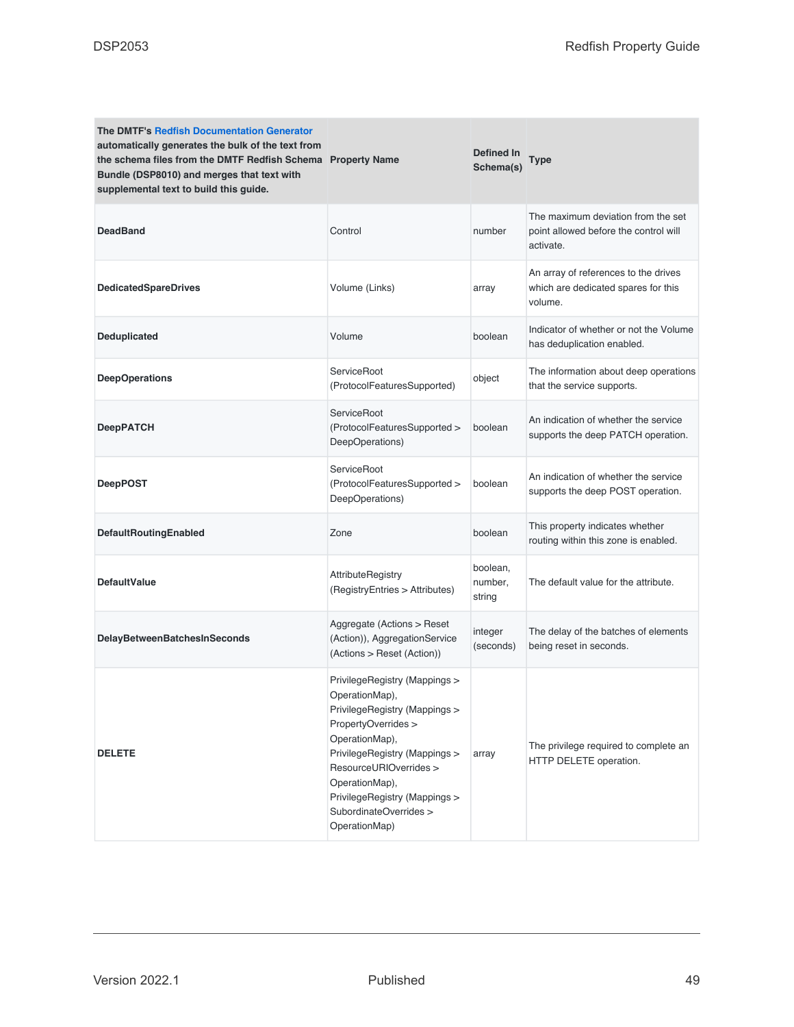| <b>The DMTF's Redfish Documentation Generator</b><br>automatically generates the bulk of the text from<br>the schema files from the DMTF Redfish Schema Property Name<br>Bundle (DSP8010) and merges that text with<br>supplemental text to build this guide. |                                                                                                                                                                                                                                                                                    | Defined In<br>Schema(s)       | Type                                                                                     |
|---------------------------------------------------------------------------------------------------------------------------------------------------------------------------------------------------------------------------------------------------------------|------------------------------------------------------------------------------------------------------------------------------------------------------------------------------------------------------------------------------------------------------------------------------------|-------------------------------|------------------------------------------------------------------------------------------|
| <b>DeadBand</b>                                                                                                                                                                                                                                               | Control                                                                                                                                                                                                                                                                            | number                        | The maximum deviation from the set<br>point allowed before the control will<br>activate. |
| <b>DedicatedSpareDrives</b>                                                                                                                                                                                                                                   | Volume (Links)                                                                                                                                                                                                                                                                     | array                         | An array of references to the drives<br>which are dedicated spares for this<br>volume.   |
| Deduplicated                                                                                                                                                                                                                                                  | Volume                                                                                                                                                                                                                                                                             | boolean                       | Indicator of whether or not the Volume<br>has deduplication enabled.                     |
| <b>DeepOperations</b>                                                                                                                                                                                                                                         | ServiceRoot<br>(ProtocolFeaturesSupported)                                                                                                                                                                                                                                         | object                        | The information about deep operations<br>that the service supports.                      |
| DeepPATCH                                                                                                                                                                                                                                                     | ServiceRoot<br>(ProtocolFeaturesSupported ><br>DeepOperations)                                                                                                                                                                                                                     | boolean                       | An indication of whether the service<br>supports the deep PATCH operation.               |
| <b>DeepPOST</b>                                                                                                                                                                                                                                               | ServiceRoot<br>(ProtocolFeaturesSupported ><br>DeepOperations)                                                                                                                                                                                                                     | boolean                       | An indication of whether the service<br>supports the deep POST operation.                |
| DefaultRoutingEnabled                                                                                                                                                                                                                                         | Zone                                                                                                                                                                                                                                                                               | boolean                       | This property indicates whether<br>routing within this zone is enabled.                  |
| <b>DefaultValue</b>                                                                                                                                                                                                                                           | <b>AttributeRegistry</b><br>(RegistryEntries > Attributes)                                                                                                                                                                                                                         | boolean,<br>number,<br>string | The default value for the attribute.                                                     |
| DelayBetweenBatchesInSeconds                                                                                                                                                                                                                                  | Aggregate (Actions > Reset<br>(Action)), AggregationService<br>(Actions > Reset (Action))                                                                                                                                                                                          | integer<br>(seconds)          | The delay of the batches of elements<br>being reset in seconds.                          |
| <b>DELETE</b>                                                                                                                                                                                                                                                 | PrivilegeRegistry (Mappings ><br>OperationMap),<br>PrivilegeRegistry (Mappings ><br>PropertyOverrides ><br>OperationMap),<br>PrivilegeRegistry (Mappings ><br>ResourceURIOverrides ><br>OperationMap),<br>PrivilegeRegistry (Mappings ><br>SubordinateOverrides ><br>OperationMap) | array                         | The privilege required to complete an<br>HTTP DELETE operation.                          |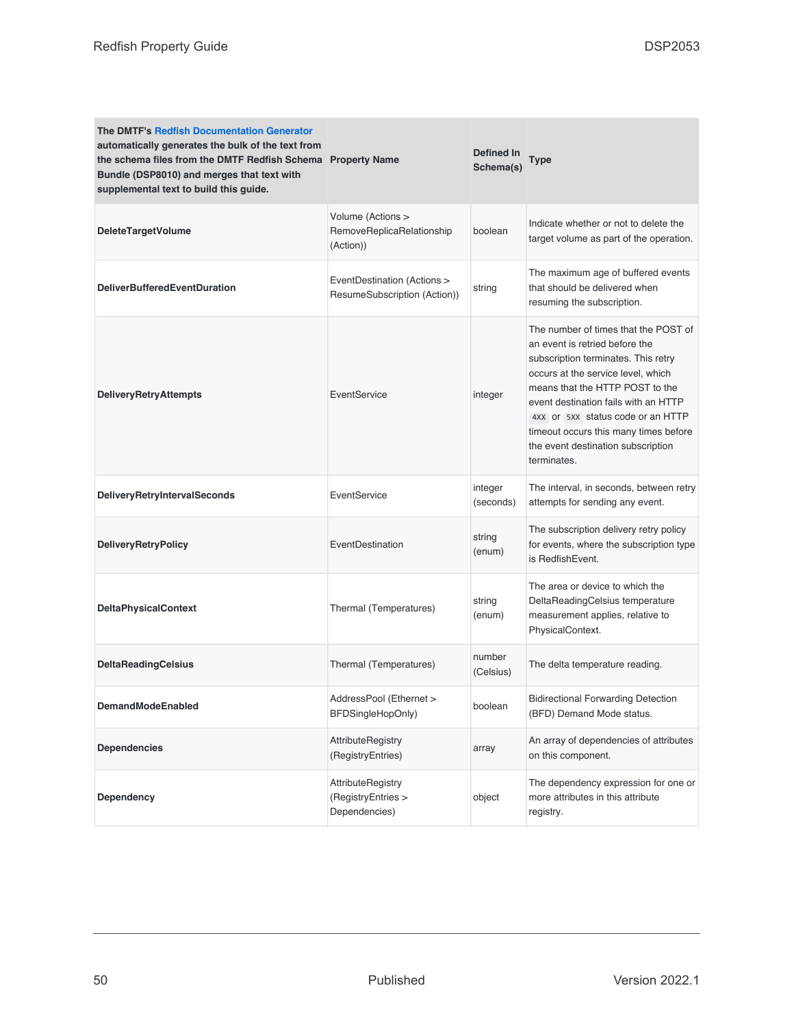| <b>The DMTF's Redfish Documentation Generator</b><br>automatically generates the bulk of the text from<br>the schema files from the DMTF Redfish Schema Property Name<br>Bundle (DSP8010) and merges that text with<br>supplemental text to build this guide. |                                                                 | Defined In<br>Schema(s) | Type                                                                                                                                                                                                                                                                                                                                                              |
|---------------------------------------------------------------------------------------------------------------------------------------------------------------------------------------------------------------------------------------------------------------|-----------------------------------------------------------------|-------------------------|-------------------------------------------------------------------------------------------------------------------------------------------------------------------------------------------------------------------------------------------------------------------------------------------------------------------------------------------------------------------|
| <b>DeleteTargetVolume</b>                                                                                                                                                                                                                                     | Volume (Actions ><br>RemoveReplicaRelationship<br>(Action))     | boolean                 | Indicate whether or not to delete the<br>target volume as part of the operation.                                                                                                                                                                                                                                                                                  |
| <b>DeliverBufferedEventDuration</b>                                                                                                                                                                                                                           | EventDestination (Actions ><br>ResumeSubscription (Action))     | string                  | The maximum age of buffered events<br>that should be delivered when<br>resuming the subscription.                                                                                                                                                                                                                                                                 |
| <b>DeliveryRetryAttempts</b>                                                                                                                                                                                                                                  | EventService                                                    | integer                 | The number of times that the POST of<br>an event is retried before the<br>subscription terminates. This retry<br>occurs at the service level, which<br>means that the HTTP POST to the<br>event destination fails with an HTTP<br>4XX or 5XX status code or an HTTP<br>timeout occurs this many times before<br>the event destination subscription<br>terminates. |
| <b>DeliveryRetryIntervalSeconds</b>                                                                                                                                                                                                                           | EventService                                                    | integer<br>(seconds)    | The interval, in seconds, between retry<br>attempts for sending any event.                                                                                                                                                                                                                                                                                        |
| <b>DeliveryRetryPolicy</b>                                                                                                                                                                                                                                    | EventDestination                                                | string<br>(enum)        | The subscription delivery retry policy<br>for events, where the subscription type<br>is RedfishEvent.                                                                                                                                                                                                                                                             |
| <b>DeltaPhysicalContext</b>                                                                                                                                                                                                                                   | Thermal (Temperatures)                                          | string<br>(enum)        | The area or device to which the<br>DeltaReadingCelsius temperature<br>measurement applies, relative to<br>PhysicalContext.                                                                                                                                                                                                                                        |
| <b>DeltaReadingCelsius</b>                                                                                                                                                                                                                                    | Thermal (Temperatures)                                          | number<br>(Celsius)     | The delta temperature reading.                                                                                                                                                                                                                                                                                                                                    |
| <b>DemandModeEnabled</b>                                                                                                                                                                                                                                      | AddressPool (Ethernet ><br>BFDSingleHopOnly)                    | boolean                 | <b>Bidirectional Forwarding Detection</b><br>(BFD) Demand Mode status.                                                                                                                                                                                                                                                                                            |
| <b>Dependencies</b>                                                                                                                                                                                                                                           | <b>AttributeRegistry</b><br>(RegistryEntries)                   | array                   | An array of dependencies of attributes<br>on this component.                                                                                                                                                                                                                                                                                                      |
| Dependency                                                                                                                                                                                                                                                    | <b>AttributeRegistry</b><br>(RegistryEntries ><br>Dependencies) | object                  | The dependency expression for one or<br>more attributes in this attribute<br>registry.                                                                                                                                                                                                                                                                            |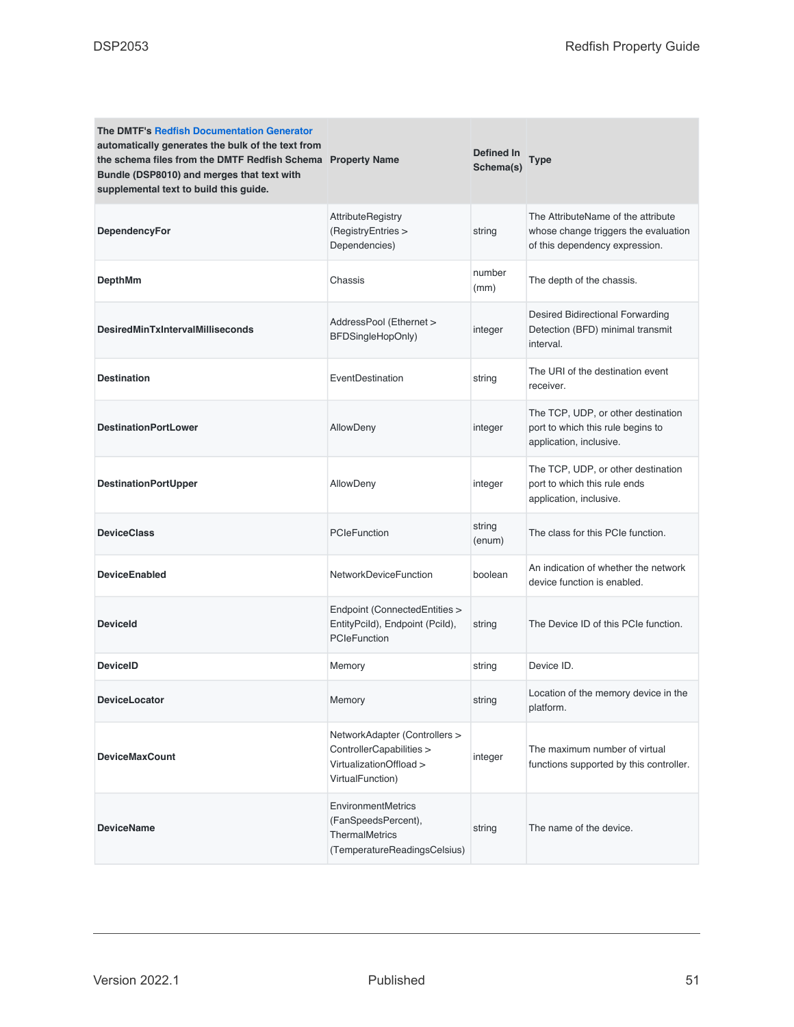| <b>The DMTF's Redfish Documentation Generator</b><br>automatically generates the bulk of the text from<br>the schema files from the DMTF Redfish Schema Property Name<br>Bundle (DSP8010) and merges that text with<br>supplemental text to build this guide. |                                                                                                          | <b>Defined In</b><br>Schema(s) | <b>Type</b>                                                                                                  |
|---------------------------------------------------------------------------------------------------------------------------------------------------------------------------------------------------------------------------------------------------------------|----------------------------------------------------------------------------------------------------------|--------------------------------|--------------------------------------------------------------------------------------------------------------|
| DependencyFor                                                                                                                                                                                                                                                 | <b>AttributeRegistry</b><br>(RegistryEntries ><br>Dependencies)                                          | string                         | The AttributeName of the attribute<br>whose change triggers the evaluation<br>of this dependency expression. |
| <b>DepthMm</b>                                                                                                                                                                                                                                                | Chassis                                                                                                  | number<br>(mm)                 | The depth of the chassis.                                                                                    |
| <b>DesiredMinTxIntervalMilliseconds</b>                                                                                                                                                                                                                       | AddressPool (Ethernet ><br>BFDSingleHopOnly)                                                             | integer                        | Desired Bidirectional Forwarding<br>Detection (BFD) minimal transmit<br>interval.                            |
| <b>Destination</b>                                                                                                                                                                                                                                            | EventDestination                                                                                         | string                         | The URI of the destination event<br>receiver.                                                                |
| <b>DestinationPortLower</b>                                                                                                                                                                                                                                   | AllowDeny                                                                                                | integer                        | The TCP, UDP, or other destination<br>port to which this rule begins to<br>application, inclusive.           |
| <b>DestinationPortUpper</b>                                                                                                                                                                                                                                   | AllowDeny                                                                                                | integer                        | The TCP, UDP, or other destination<br>port to which this rule ends<br>application, inclusive.                |
| <b>DeviceClass</b>                                                                                                                                                                                                                                            | <b>PCIeFunction</b>                                                                                      | string<br>(enum)               | The class for this PCIe function.                                                                            |
| <b>DeviceEnabled</b>                                                                                                                                                                                                                                          | NetworkDeviceFunction                                                                                    | boolean                        | An indication of whether the network<br>device function is enabled.                                          |
| <b>Deviceld</b>                                                                                                                                                                                                                                               | Endpoint (ConnectedEntities ><br>EntityPcild), Endpoint (Pcild),<br>PCIeFunction                         | string                         | The Device ID of this PCIe function.                                                                         |
| <b>DeviceID</b>                                                                                                                                                                                                                                               | Memory                                                                                                   | string                         | Device ID.                                                                                                   |
| <b>DeviceLocator</b>                                                                                                                                                                                                                                          | Memory                                                                                                   | string                         | Location of the memory device in the<br>platform.                                                            |
| <b>DeviceMaxCount</b>                                                                                                                                                                                                                                         | NetworkAdapter (Controllers ><br>ControllerCapabilities ><br>VirtualizationOffload ><br>VirtualFunction) | integer                        | The maximum number of virtual<br>functions supported by this controller.                                     |
| <b>DeviceName</b>                                                                                                                                                                                                                                             | EnvironmentMetrics<br>(FanSpeedsPercent),<br><b>ThermalMetrics</b><br>(TemperatureReadingsCelsius)       | string                         | The name of the device.                                                                                      |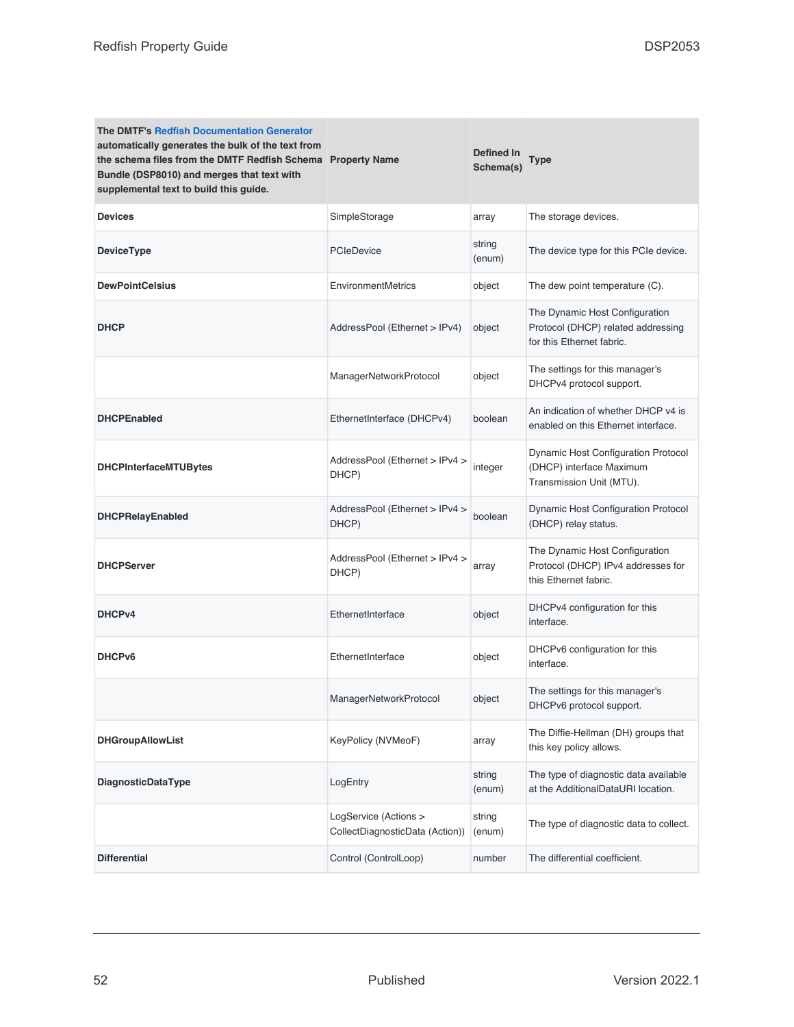| <b>The DMTF's Redfish Documentation Generator</b><br>automatically generates the bulk of the text from<br>the schema files from the DMTF Redfish Schema Property Name<br>Bundle (DSP8010) and merges that text with<br>supplemental text to build this guide. |                                                          | Defined In<br>Schema(s) | <b>Type</b>                                                                                       |
|---------------------------------------------------------------------------------------------------------------------------------------------------------------------------------------------------------------------------------------------------------------|----------------------------------------------------------|-------------------------|---------------------------------------------------------------------------------------------------|
| <b>Devices</b>                                                                                                                                                                                                                                                | SimpleStorage                                            | array                   | The storage devices.                                                                              |
| <b>DeviceType</b>                                                                                                                                                                                                                                             | PCIeDevice                                               | string<br>(enum)        | The device type for this PCIe device.                                                             |
| <b>DewPointCelsius</b>                                                                                                                                                                                                                                        | <b>EnvironmentMetrics</b>                                | object                  | The dew point temperature (C).                                                                    |
| <b>DHCP</b>                                                                                                                                                                                                                                                   | AddressPool (Ethernet > IPv4)                            | object                  | The Dynamic Host Configuration<br>Protocol (DHCP) related addressing<br>for this Ethernet fabric. |
|                                                                                                                                                                                                                                                               | ManagerNetworkProtocol                                   | object                  | The settings for this manager's<br>DHCPv4 protocol support.                                       |
| <b>DHCPEnabled</b>                                                                                                                                                                                                                                            | EthernetInterface (DHCPv4)                               | boolean                 | An indication of whether DHCP v4 is<br>enabled on this Ethernet interface.                        |
| <b>DHCPInterfaceMTUBytes</b>                                                                                                                                                                                                                                  | AddressPool (Ethernet > IPv4 ><br>DHCP)                  | integer                 | Dynamic Host Configuration Protocol<br>(DHCP) interface Maximum<br>Transmission Unit (MTU).       |
| <b>DHCPRelayEnabled</b>                                                                                                                                                                                                                                       | AddressPool (Ethernet > IPv4 ><br>DHCP)                  | boolean                 | Dynamic Host Configuration Protocol<br>(DHCP) relay status.                                       |
| <b>DHCPServer</b>                                                                                                                                                                                                                                             | AddressPool (Ethernet > IPv4 ><br>DHCP)                  | array                   | The Dynamic Host Configuration<br>Protocol (DHCP) IPv4 addresses for<br>this Ethernet fabric.     |
| DHCP <sub>v4</sub>                                                                                                                                                                                                                                            | EthernetInterface                                        | object                  | DHCPv4 configuration for this<br>interface.                                                       |
| DHCP <sub>v6</sub>                                                                                                                                                                                                                                            | EthernetInterface                                        | object                  | DHCPv6 configuration for this<br>interface.                                                       |
|                                                                                                                                                                                                                                                               | ManagerNetworkProtocol                                   | object                  | The settings for this manager's<br>DHCPv6 protocol support.                                       |
| <b>DHGroupAllowList</b>                                                                                                                                                                                                                                       | KeyPolicy (NVMeoF)                                       | array                   | The Diffie-Hellman (DH) groups that<br>this key policy allows.                                    |
| <b>DiagnosticDataType</b>                                                                                                                                                                                                                                     | LogEntry                                                 | string<br>(enum)        | The type of diagnostic data available<br>at the AdditionalDataURI location.                       |
|                                                                                                                                                                                                                                                               | LogService (Actions ><br>CollectDiagnosticData (Action)) | string<br>(enum)        | The type of diagnostic data to collect.                                                           |
| <b>Differential</b>                                                                                                                                                                                                                                           | Control (ControlLoop)                                    | number                  | The differential coefficient.                                                                     |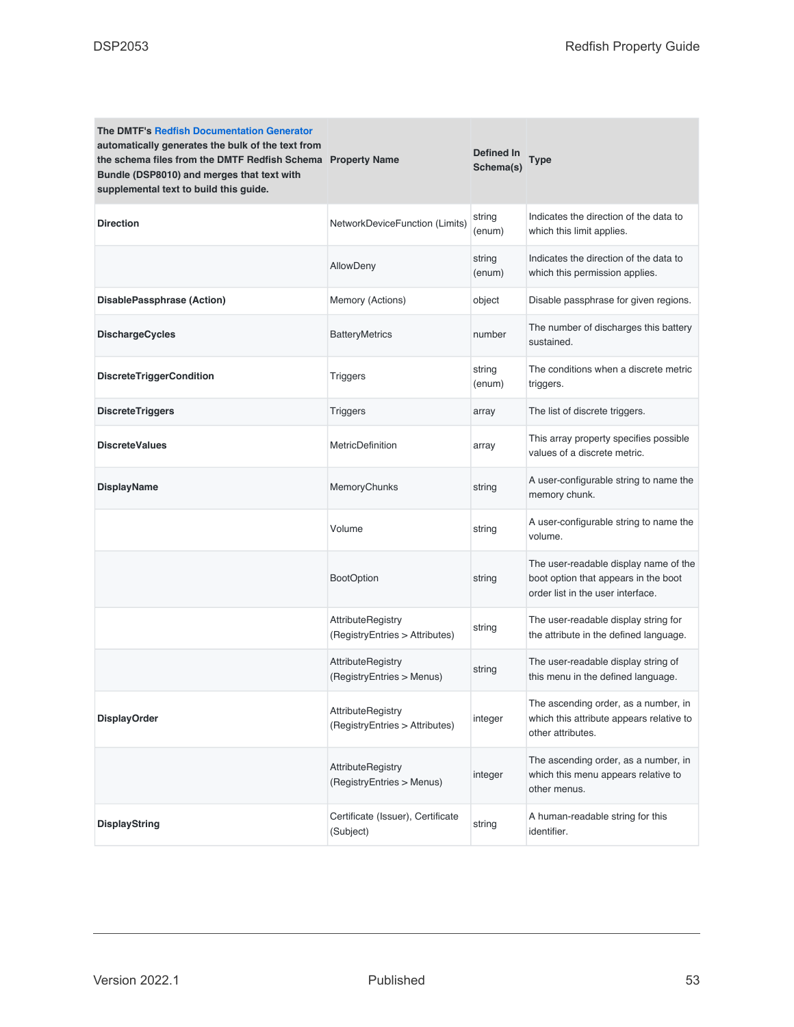| <b>The DMTF's Redfish Documentation Generator</b><br>automatically generates the bulk of the text from<br>the schema files from the DMTF Redfish Schema Property Name<br>Bundle (DSP8010) and merges that text with<br>supplemental text to build this guide. |                                                            | Defined In<br>Schema(s) | Type                                                                                                               |
|---------------------------------------------------------------------------------------------------------------------------------------------------------------------------------------------------------------------------------------------------------------|------------------------------------------------------------|-------------------------|--------------------------------------------------------------------------------------------------------------------|
| <b>Direction</b>                                                                                                                                                                                                                                              | NetworkDeviceFunction (Limits)                             | string<br>(enum)        | Indicates the direction of the data to<br>which this limit applies.                                                |
|                                                                                                                                                                                                                                                               | AllowDeny                                                  | string<br>(enum)        | Indicates the direction of the data to<br>which this permission applies.                                           |
| DisablePassphrase (Action)                                                                                                                                                                                                                                    | Memory (Actions)                                           | object                  | Disable passphrase for given regions.                                                                              |
| <b>DischargeCycles</b>                                                                                                                                                                                                                                        | <b>BatteryMetrics</b>                                      | number                  | The number of discharges this battery<br>sustained.                                                                |
| <b>DiscreteTriggerCondition</b>                                                                                                                                                                                                                               | Triggers                                                   | string<br>(enum)        | The conditions when a discrete metric<br>triggers.                                                                 |
| <b>DiscreteTriggers</b>                                                                                                                                                                                                                                       | <b>Triggers</b>                                            | array                   | The list of discrete triggers.                                                                                     |
| <b>DiscreteValues</b>                                                                                                                                                                                                                                         | <b>MetricDefinition</b>                                    | array                   | This array property specifies possible<br>values of a discrete metric.                                             |
| <b>DisplayName</b>                                                                                                                                                                                                                                            | MemoryChunks                                               | string                  | A user-configurable string to name the<br>memory chunk.                                                            |
|                                                                                                                                                                                                                                                               | Volume                                                     | string                  | A user-configurable string to name the<br>volume.                                                                  |
|                                                                                                                                                                                                                                                               | <b>BootOption</b>                                          | string                  | The user-readable display name of the<br>boot option that appears in the boot<br>order list in the user interface. |
|                                                                                                                                                                                                                                                               | <b>AttributeRegistry</b><br>(RegistryEntries > Attributes) | string                  | The user-readable display string for<br>the attribute in the defined language.                                     |
|                                                                                                                                                                                                                                                               | <b>AttributeRegistry</b><br>(RegistryEntries > Menus)      | string                  | The user-readable display string of<br>this menu in the defined language.                                          |
| <b>DisplayOrder</b>                                                                                                                                                                                                                                           | <b>AttributeRegistry</b><br>(RegistryEntries > Attributes) | integer                 | The ascending order, as a number, in<br>which this attribute appears relative to<br>other attributes.              |
|                                                                                                                                                                                                                                                               | <b>AttributeRegistry</b><br>(RegistryEntries > Menus)      | integer                 | The ascending order, as a number, in<br>which this menu appears relative to<br>other menus.                        |
| <b>DisplayString</b>                                                                                                                                                                                                                                          | Certificate (Issuer), Certificate<br>(Subject)             | string                  | A human-readable string for this<br>identifier.                                                                    |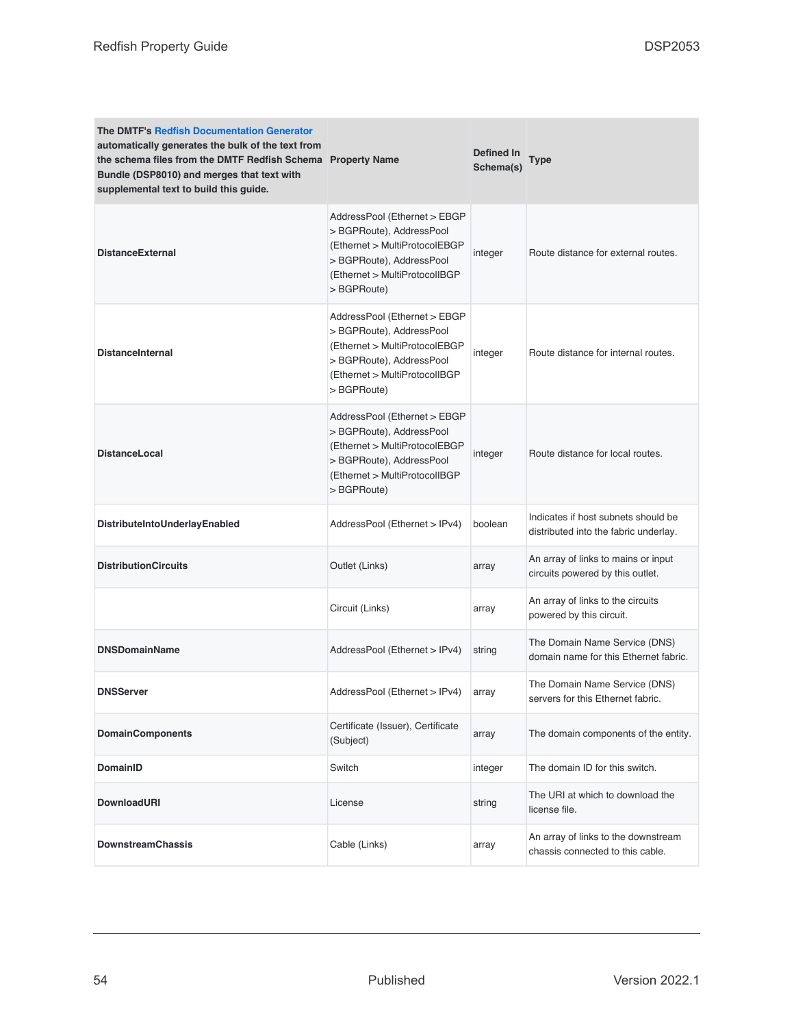| <b>The DMTF's Redfish Documentation Generator</b><br>automatically generates the bulk of the text from<br>the schema files from the DMTF Redfish Schema Property Name<br>Bundle (DSP8010) and merges that text with<br>supplemental text to build this guide. |                                                                                                                                                                      | Defined In<br>Schema(s) | Type                                                                         |
|---------------------------------------------------------------------------------------------------------------------------------------------------------------------------------------------------------------------------------------------------------------|----------------------------------------------------------------------------------------------------------------------------------------------------------------------|-------------------------|------------------------------------------------------------------------------|
| <b>DistanceExternal</b>                                                                                                                                                                                                                                       | AddressPool (Ethernet > EBGP<br>>BGPRoute), AddressPool<br>(Ethernet > MultiProtocolEBGP<br>>BGPRoute), AddressPool<br>(Ethernet > MultiProtocolIBGP)<br>> BGPRoute) | integer                 | Route distance for external routes.                                          |
| <b>DistanceInternal</b>                                                                                                                                                                                                                                       | AddressPool (Ethernet > EBGP<br>>BGPRoute), AddressPool<br>(Ethernet > MultiProtocolEBGP<br>>BGPRoute), AddressPool<br>(Ethernet > MultiProtocolIBGP)<br>> BGPRoute) | integer                 | Route distance for internal routes.                                          |
| <b>DistanceLocal</b>                                                                                                                                                                                                                                          | AddressPool (Ethernet > EBGP<br>>BGPRoute), AddressPool<br>(Ethernet > MultiProtocolEBGP<br>>BGPRoute), AddressPool<br>(Ethernet > MultiProtocolIBGP)<br>> BGPRoute) | integer                 | Route distance for local routes.                                             |
| DistributeIntoUnderlayEnabled                                                                                                                                                                                                                                 | AddressPool (Ethernet > IPv4)                                                                                                                                        | boolean                 | Indicates if host subnets should be<br>distributed into the fabric underlay. |
| <b>DistributionCircuits</b>                                                                                                                                                                                                                                   | Outlet (Links)                                                                                                                                                       | array                   | An array of links to mains or input<br>circuits powered by this outlet.      |
|                                                                                                                                                                                                                                                               | Circuit (Links)                                                                                                                                                      | array                   | An array of links to the circuits<br>powered by this circuit.                |
| <b>DNSDomainName</b>                                                                                                                                                                                                                                          | AddressPool (Ethernet > IPv4)                                                                                                                                        | string                  | The Domain Name Service (DNS)<br>domain name for this Ethernet fabric.       |
| <b>DNSServer</b>                                                                                                                                                                                                                                              | AddressPool (Ethernet > IPv4)                                                                                                                                        | array                   | The Domain Name Service (DNS)<br>servers for this Ethernet fabric.           |
| <b>DomainComponents</b>                                                                                                                                                                                                                                       | Certificate (Issuer), Certificate<br>(Subject)                                                                                                                       | array                   | The domain components of the entity.                                         |
| <b>DomainID</b>                                                                                                                                                                                                                                               | Switch                                                                                                                                                               | integer                 | The domain ID for this switch.                                               |
| <b>DownloadURI</b>                                                                                                                                                                                                                                            | License                                                                                                                                                              | string                  | The URI at which to download the<br>license file.                            |
| <b>DownstreamChassis</b>                                                                                                                                                                                                                                      | Cable (Links)                                                                                                                                                        | array                   | An array of links to the downstream<br>chassis connected to this cable.      |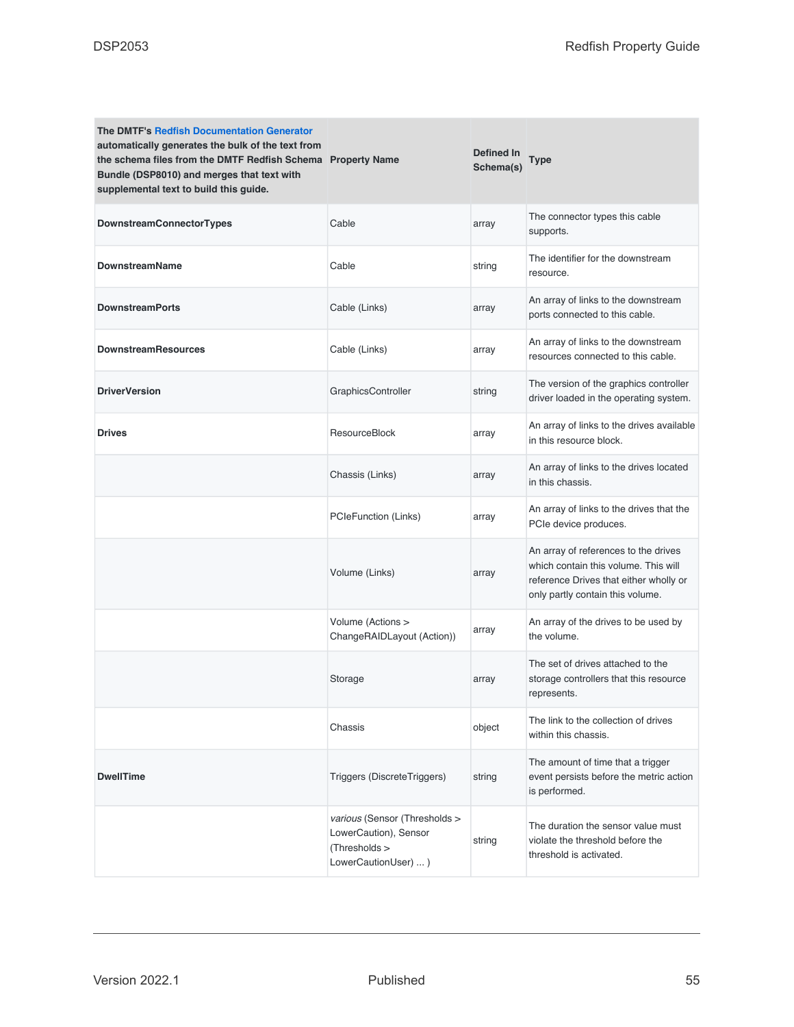| <b>The DMTF's Redfish Documentation Generator</b><br>automatically generates the bulk of the text from<br>the schema files from the DMTF Redfish Schema Property Name<br>Bundle (DSP8010) and merges that text with<br>supplemental text to build this guide. |                                                                                                 | Defined In<br>Schema(s) | <b>Type</b>                                                                                                                                                |
|---------------------------------------------------------------------------------------------------------------------------------------------------------------------------------------------------------------------------------------------------------------|-------------------------------------------------------------------------------------------------|-------------------------|------------------------------------------------------------------------------------------------------------------------------------------------------------|
| DownstreamConnectorTypes                                                                                                                                                                                                                                      | Cable                                                                                           | array                   | The connector types this cable<br>supports.                                                                                                                |
| <b>DownstreamName</b>                                                                                                                                                                                                                                         | Cable                                                                                           | string                  | The identifier for the downstream<br>resource.                                                                                                             |
| <b>DownstreamPorts</b>                                                                                                                                                                                                                                        | Cable (Links)                                                                                   | array                   | An array of links to the downstream<br>ports connected to this cable.                                                                                      |
| <b>DownstreamResources</b>                                                                                                                                                                                                                                    | Cable (Links)                                                                                   | array                   | An array of links to the downstream<br>resources connected to this cable.                                                                                  |
| <b>DriverVersion</b>                                                                                                                                                                                                                                          | GraphicsController                                                                              | string                  | The version of the graphics controller<br>driver loaded in the operating system.                                                                           |
| <b>Drives</b>                                                                                                                                                                                                                                                 | <b>ResourceBlock</b>                                                                            | array                   | An array of links to the drives available<br>in this resource block.                                                                                       |
|                                                                                                                                                                                                                                                               | Chassis (Links)                                                                                 | array                   | An array of links to the drives located<br>in this chassis.                                                                                                |
|                                                                                                                                                                                                                                                               | PCIeFunction (Links)                                                                            | array                   | An array of links to the drives that the<br>PCIe device produces.                                                                                          |
|                                                                                                                                                                                                                                                               | Volume (Links)                                                                                  | array                   | An array of references to the drives<br>which contain this volume. This will<br>reference Drives that either wholly or<br>only partly contain this volume. |
|                                                                                                                                                                                                                                                               | Volume (Actions ><br>ChangeRAIDLayout (Action))                                                 | array                   | An array of the drives to be used by<br>the volume.                                                                                                        |
|                                                                                                                                                                                                                                                               | Storage                                                                                         | array                   | The set of drives attached to the<br>storage controllers that this resource<br>represents.                                                                 |
|                                                                                                                                                                                                                                                               | Chassis                                                                                         | object                  | The link to the collection of drives<br>within this chassis.                                                                                               |
| <b>DwellTime</b>                                                                                                                                                                                                                                              | Triggers (DiscreteTriggers)                                                                     | string                  | The amount of time that a trigger<br>event persists before the metric action<br>is performed.                                                              |
|                                                                                                                                                                                                                                                               | various (Sensor (Thresholds ><br>LowerCaution), Sensor<br>(Thresholds ><br>LowerCautionUser)  ) | string                  | The duration the sensor value must<br>violate the threshold before the<br>threshold is activated.                                                          |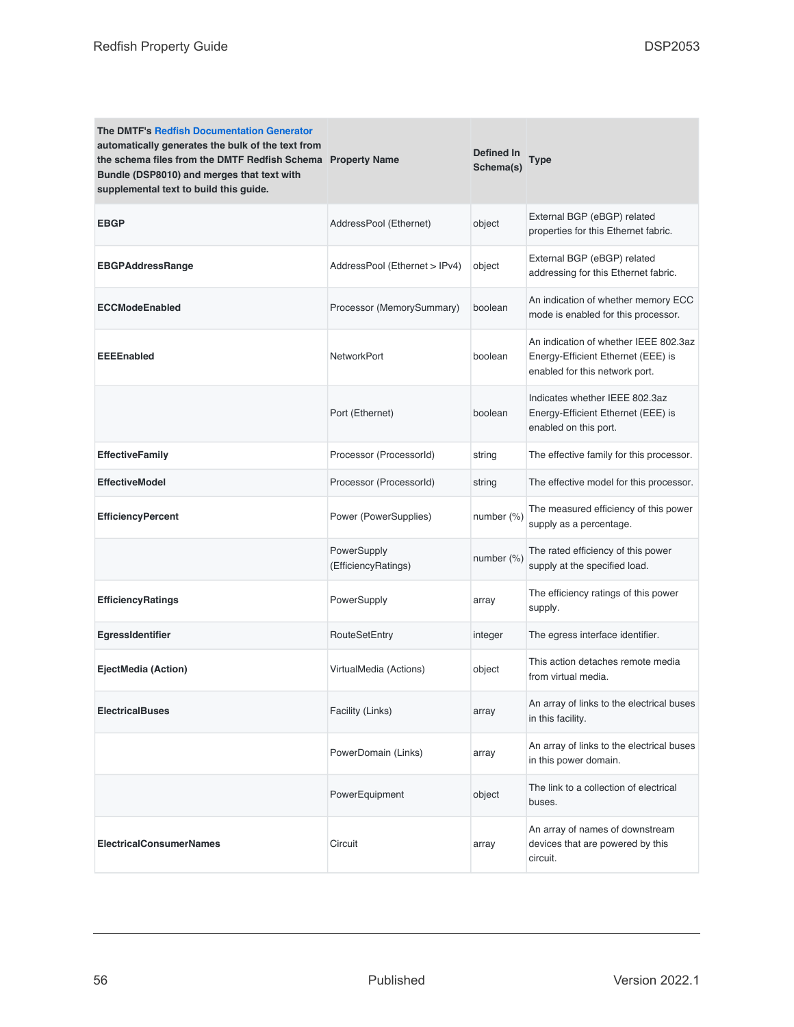| <b>The DMTF's Redfish Documentation Generator</b><br>automatically generates the bulk of the text from<br>the schema files from the DMTF Redfish Schema Property Name<br>Bundle (DSP8010) and merges that text with<br>supplemental text to build this guide. |                                    | Defined In<br>Schema(s) | Type                                                                                                          |
|---------------------------------------------------------------------------------------------------------------------------------------------------------------------------------------------------------------------------------------------------------------|------------------------------------|-------------------------|---------------------------------------------------------------------------------------------------------------|
| <b>EBGP</b>                                                                                                                                                                                                                                                   | AddressPool (Ethernet)             | object                  | External BGP (eBGP) related<br>properties for this Ethernet fabric.                                           |
| <b>EBGPAddressRange</b>                                                                                                                                                                                                                                       | AddressPool (Ethernet > IPv4)      | object                  | External BGP (eBGP) related<br>addressing for this Ethernet fabric.                                           |
| <b>ECCModeEnabled</b>                                                                                                                                                                                                                                         | Processor (MemorySummary)          | boolean                 | An indication of whether memory ECC<br>mode is enabled for this processor.                                    |
| <b>EEEEnabled</b>                                                                                                                                                                                                                                             | <b>NetworkPort</b>                 | boolean                 | An indication of whether IEEE 802.3az<br>Energy-Efficient Ethernet (EEE) is<br>enabled for this network port. |
|                                                                                                                                                                                                                                                               | Port (Ethernet)                    | boolean                 | Indicates whether IEEE 802.3az<br>Energy-Efficient Ethernet (EEE) is<br>enabled on this port.                 |
| <b>EffectiveFamily</b>                                                                                                                                                                                                                                        | Processor (ProcessorId)            | string                  | The effective family for this processor.                                                                      |
| <b>EffectiveModel</b>                                                                                                                                                                                                                                         | Processor (ProcessorId)            | string                  | The effective model for this processor.                                                                       |
| <b>EfficiencyPercent</b>                                                                                                                                                                                                                                      | Power (PowerSupplies)              | number $(\%)$           | The measured efficiency of this power<br>supply as a percentage.                                              |
|                                                                                                                                                                                                                                                               | PowerSupply<br>(EfficiencyRatings) | number (%)              | The rated efficiency of this power<br>supply at the specified load.                                           |
| <b>EfficiencyRatings</b>                                                                                                                                                                                                                                      | PowerSupply                        | array                   | The efficiency ratings of this power<br>supply.                                                               |
| EgressIdentifier                                                                                                                                                                                                                                              | RouteSetEntry                      | integer                 | The egress interface identifier.                                                                              |
| EjectMedia (Action)                                                                                                                                                                                                                                           | VirtualMedia (Actions)             | object                  | This action detaches remote media<br>from virtual media.                                                      |
| <b>ElectricalBuses</b>                                                                                                                                                                                                                                        | Facility (Links)                   | array                   | An array of links to the electrical buses<br>in this facility.                                                |
|                                                                                                                                                                                                                                                               | PowerDomain (Links)                | array                   | An array of links to the electrical buses<br>in this power domain.                                            |
|                                                                                                                                                                                                                                                               | PowerEquipment                     | object                  | The link to a collection of electrical<br>buses.                                                              |
| <b>ElectricalConsumerNames</b>                                                                                                                                                                                                                                | Circuit                            | array                   | An array of names of downstream<br>devices that are powered by this<br>circuit.                               |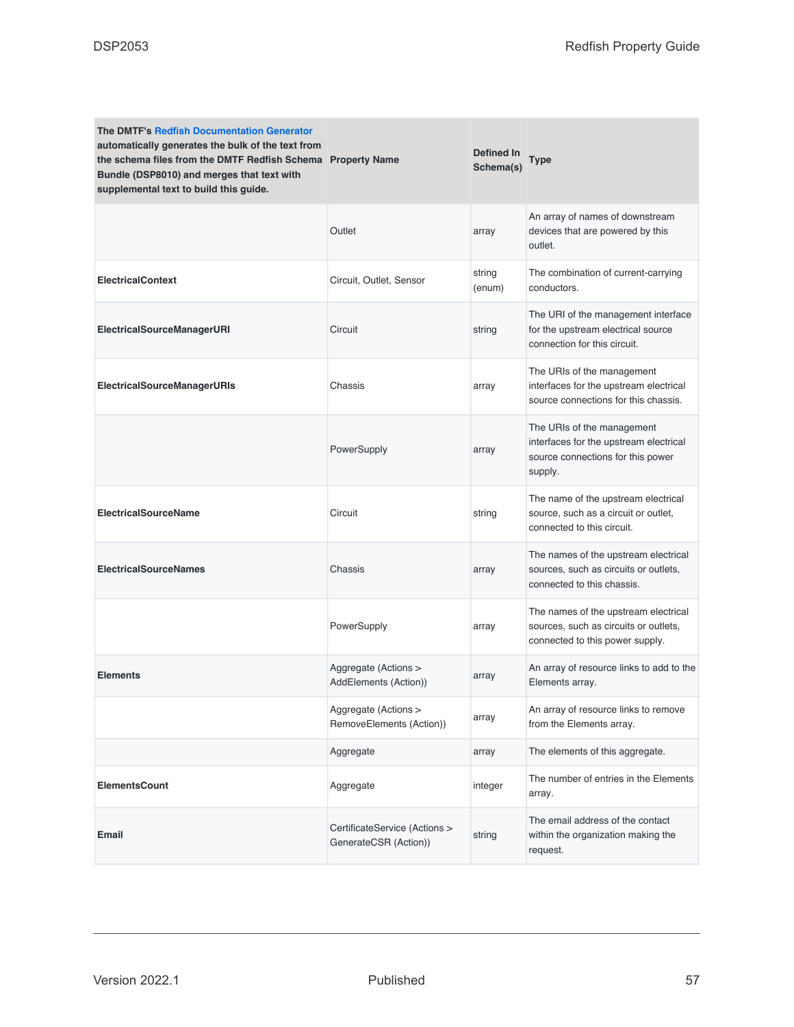| <b>The DMTF's Redfish Documentation Generator</b><br>automatically generates the bulk of the text from<br>the schema files from the DMTF Redfish Schema Property Name<br>Bundle (DSP8010) and merges that text with<br>supplemental text to build this guide. |                                                        | Defined In<br>Schema(s) | Type                                                                                                                 |
|---------------------------------------------------------------------------------------------------------------------------------------------------------------------------------------------------------------------------------------------------------------|--------------------------------------------------------|-------------------------|----------------------------------------------------------------------------------------------------------------------|
|                                                                                                                                                                                                                                                               | Outlet                                                 | array                   | An array of names of downstream<br>devices that are powered by this<br>outlet.                                       |
| <b>ElectricalContext</b>                                                                                                                                                                                                                                      | Circuit, Outlet, Sensor                                | string<br>(enum)        | The combination of current-carrying<br>conductors.                                                                   |
| ElectricalSourceManagerURI                                                                                                                                                                                                                                    | Circuit                                                | string                  | The URI of the management interface<br>for the upstream electrical source<br>connection for this circuit.            |
| <b>ElectricalSourceManagerURIs</b>                                                                                                                                                                                                                            | Chassis                                                | array                   | The URIs of the management<br>interfaces for the upstream electrical<br>source connections for this chassis.         |
|                                                                                                                                                                                                                                                               | PowerSupply                                            | array                   | The URIs of the management<br>interfaces for the upstream electrical<br>source connections for this power<br>supply. |
| <b>ElectricalSourceName</b>                                                                                                                                                                                                                                   | Circuit                                                | string                  | The name of the upstream electrical<br>source, such as a circuit or outlet,<br>connected to this circuit.            |
| <b>ElectricalSourceNames</b>                                                                                                                                                                                                                                  | Chassis                                                | array                   | The names of the upstream electrical<br>sources, such as circuits or outlets,<br>connected to this chassis.          |
|                                                                                                                                                                                                                                                               | PowerSupply                                            | array                   | The names of the upstream electrical<br>sources, such as circuits or outlets,<br>connected to this power supply.     |
| <b>Elements</b>                                                                                                                                                                                                                                               | Aggregate (Actions ><br>AddElements (Action))          | array                   | An array of resource links to add to the<br>Elements array.                                                          |
|                                                                                                                                                                                                                                                               | Aggregate (Actions ><br>RemoveElements (Action))       | array                   | An array of resource links to remove<br>from the Elements array.                                                     |
|                                                                                                                                                                                                                                                               | Aggregate                                              | array                   | The elements of this aggregate.                                                                                      |
| <b>ElementsCount</b>                                                                                                                                                                                                                                          | Aggregate                                              | integer                 | The number of entries in the Elements<br>array.                                                                      |
| <b>Email</b>                                                                                                                                                                                                                                                  | CertificateService (Actions ><br>GenerateCSR (Action)) | string                  | The email address of the contact<br>within the organization making the<br>request.                                   |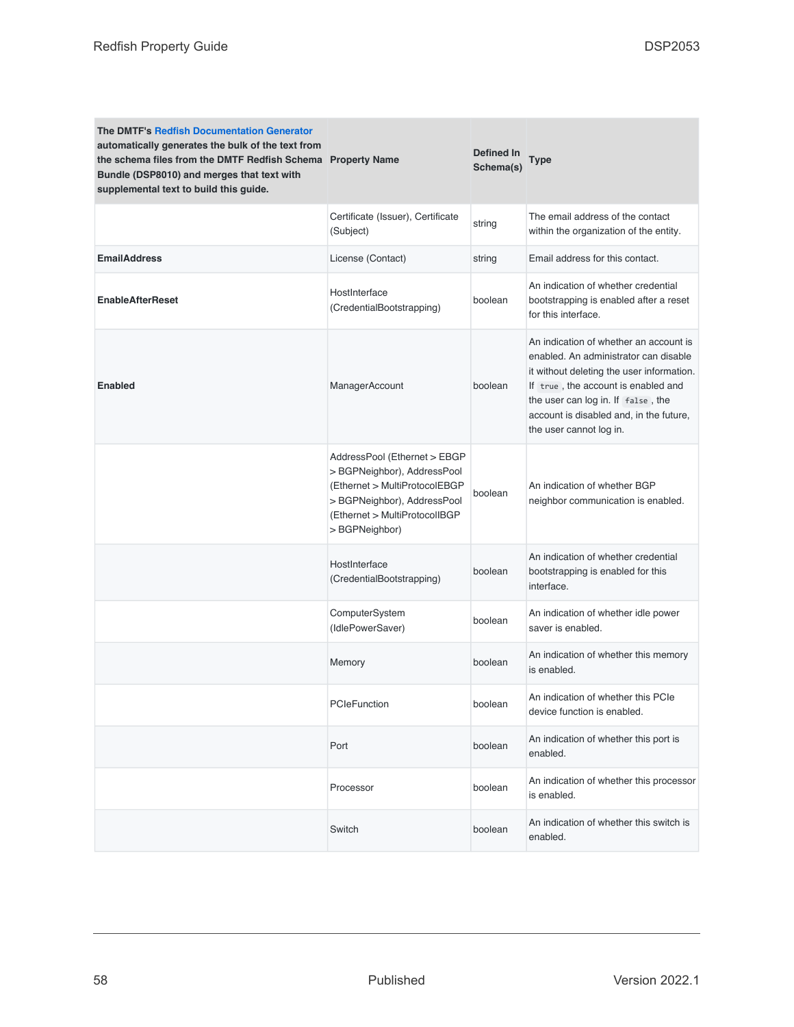| <b>The DMTF's Redfish Documentation Generator</b><br>automatically generates the bulk of the text from<br>the schema files from the DMTF Redfish Schema Property Name<br>Bundle (DSP8010) and merges that text with<br>supplemental text to build this guide. |                                                                                                                                                                                | Defined In<br>Schema(s) | <b>Type</b>                                                                                                                                                                                                                                                                     |
|---------------------------------------------------------------------------------------------------------------------------------------------------------------------------------------------------------------------------------------------------------------|--------------------------------------------------------------------------------------------------------------------------------------------------------------------------------|-------------------------|---------------------------------------------------------------------------------------------------------------------------------------------------------------------------------------------------------------------------------------------------------------------------------|
|                                                                                                                                                                                                                                                               | Certificate (Issuer), Certificate<br>(Subject)                                                                                                                                 | string                  | The email address of the contact<br>within the organization of the entity.                                                                                                                                                                                                      |
| <b>EmailAddress</b>                                                                                                                                                                                                                                           | License (Contact)                                                                                                                                                              | string                  | Email address for this contact.                                                                                                                                                                                                                                                 |
| <b>EnableAfterReset</b>                                                                                                                                                                                                                                       | HostInterface<br>(CredentialBootstrapping)                                                                                                                                     | boolean                 | An indication of whether credential<br>bootstrapping is enabled after a reset<br>for this interface.                                                                                                                                                                            |
| <b>Enabled</b>                                                                                                                                                                                                                                                | ManagerAccount                                                                                                                                                                 | boolean                 | An indication of whether an account is<br>enabled. An administrator can disable<br>it without deleting the user information.<br>If true, the account is enabled and<br>the user can log in. If false, the<br>account is disabled and, in the future,<br>the user cannot log in. |
|                                                                                                                                                                                                                                                               | AddressPool (Ethernet > EBGP<br>> BGPNeighbor), AddressPool<br>(Ethernet > MultiProtocolEBGP<br>> BGPNeighbor), AddressPool<br>(Ethernet > MultiProtocolIBGP<br>> BGPNeighbor) | boolean                 | An indication of whether BGP<br>neighbor communication is enabled.                                                                                                                                                                                                              |
|                                                                                                                                                                                                                                                               | HostInterface<br>(CredentialBootstrapping)                                                                                                                                     | boolean                 | An indication of whether credential<br>bootstrapping is enabled for this<br>interface.                                                                                                                                                                                          |
|                                                                                                                                                                                                                                                               | ComputerSystem<br>(IdlePowerSaver)                                                                                                                                             | boolean                 | An indication of whether idle power<br>saver is enabled.                                                                                                                                                                                                                        |
|                                                                                                                                                                                                                                                               | Memory                                                                                                                                                                         | boolean                 | An indication of whether this memory<br>is enabled.                                                                                                                                                                                                                             |
|                                                                                                                                                                                                                                                               | PCIeFunction                                                                                                                                                                   | boolean                 | An indication of whether this PCIe<br>device function is enabled.                                                                                                                                                                                                               |
|                                                                                                                                                                                                                                                               | Port                                                                                                                                                                           | boolean                 | An indication of whether this port is<br>enabled.                                                                                                                                                                                                                               |
|                                                                                                                                                                                                                                                               | Processor                                                                                                                                                                      | boolean                 | An indication of whether this processor<br>is enabled.                                                                                                                                                                                                                          |
|                                                                                                                                                                                                                                                               | Switch                                                                                                                                                                         | boolean                 | An indication of whether this switch is<br>enabled.                                                                                                                                                                                                                             |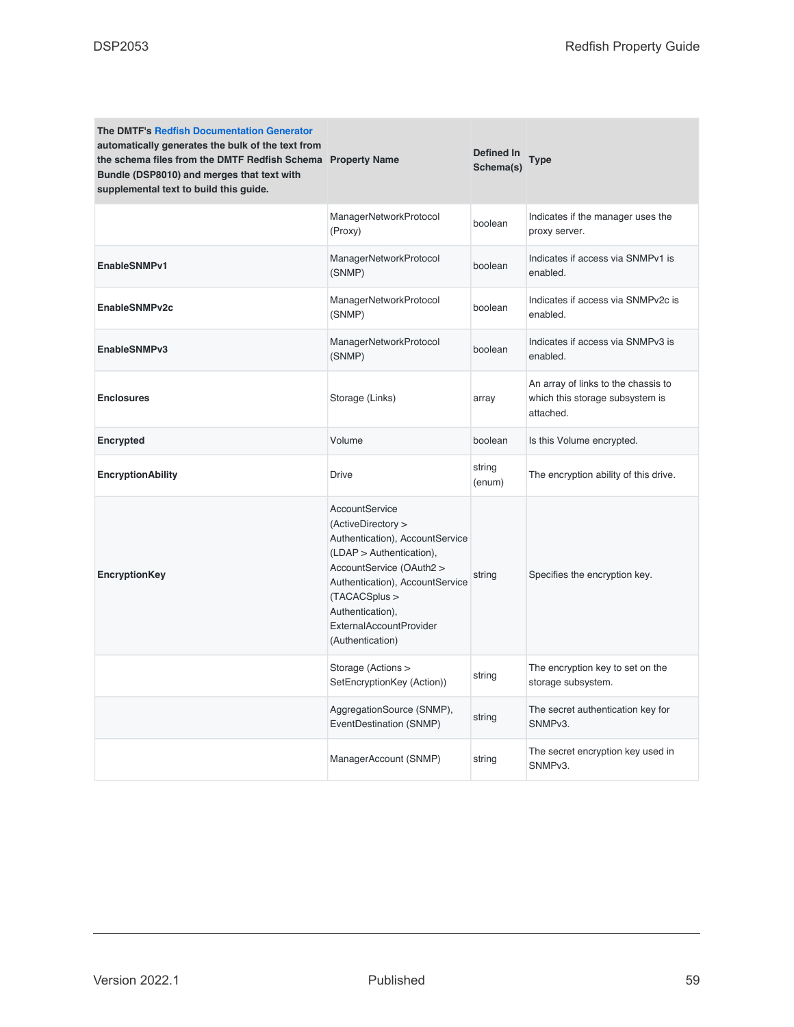| <b>The DMTF's Redfish Documentation Generator</b><br>automatically generates the bulk of the text from<br>the schema files from the DMTF Redfish Schema Property Name<br>Bundle (DSP8010) and merges that text with<br>supplemental text to build this guide. |                                                                                                                                                                                                                                                                      | Defined In<br>Schema(s) | Type                                                                                |
|---------------------------------------------------------------------------------------------------------------------------------------------------------------------------------------------------------------------------------------------------------------|----------------------------------------------------------------------------------------------------------------------------------------------------------------------------------------------------------------------------------------------------------------------|-------------------------|-------------------------------------------------------------------------------------|
|                                                                                                                                                                                                                                                               | ManagerNetworkProtocol<br>(Proxy)                                                                                                                                                                                                                                    | boolean                 | Indicates if the manager uses the<br>proxy server.                                  |
| EnableSNMPv1                                                                                                                                                                                                                                                  | ManagerNetworkProtocol<br>(SNMP)                                                                                                                                                                                                                                     | boolean                 | Indicates if access via SNMPv1 is<br>enabled.                                       |
| EnableSNMPv2c                                                                                                                                                                                                                                                 | ManagerNetworkProtocol<br>(SNMP)                                                                                                                                                                                                                                     | boolean                 | Indicates if access via SNMPv2c is<br>enabled.                                      |
| EnableSNMPv3                                                                                                                                                                                                                                                  | ManagerNetworkProtocol<br>(SNMP)                                                                                                                                                                                                                                     | boolean                 | Indicates if access via SNMPv3 is<br>enabled.                                       |
| <b>Enclosures</b>                                                                                                                                                                                                                                             | Storage (Links)                                                                                                                                                                                                                                                      | array                   | An array of links to the chassis to<br>which this storage subsystem is<br>attached. |
| Encrypted                                                                                                                                                                                                                                                     | Volume                                                                                                                                                                                                                                                               | boolean                 | Is this Volume encrypted.                                                           |
| <b>EncryptionAbility</b>                                                                                                                                                                                                                                      | <b>Drive</b>                                                                                                                                                                                                                                                         | string<br>(enum)        | The encryption ability of this drive.                                               |
| EncryptionKey                                                                                                                                                                                                                                                 | <b>AccountService</b><br>(ActiveDirectory ><br>Authentication), AccountService<br>(LDAP > Authentication),<br>AccountService (OAuth2 ><br>Authentication), AccountService<br>(TACACSplus ><br>Authentication),<br><b>ExternalAccountProvider</b><br>(Authentication) | string                  | Specifies the encryption key.                                                       |
|                                                                                                                                                                                                                                                               | Storage (Actions ><br>SetEncryptionKey (Action))                                                                                                                                                                                                                     | string                  | The encryption key to set on the<br>storage subsystem.                              |
|                                                                                                                                                                                                                                                               | AggregationSource (SNMP),<br>EventDestination (SNMP)                                                                                                                                                                                                                 | string                  | The secret authentication key for<br>SNMP <sub>v3</sub> .                           |
|                                                                                                                                                                                                                                                               | ManagerAccount (SNMP)                                                                                                                                                                                                                                                | string                  | The secret encryption key used in<br>SNMP <sub>v3</sub> .                           |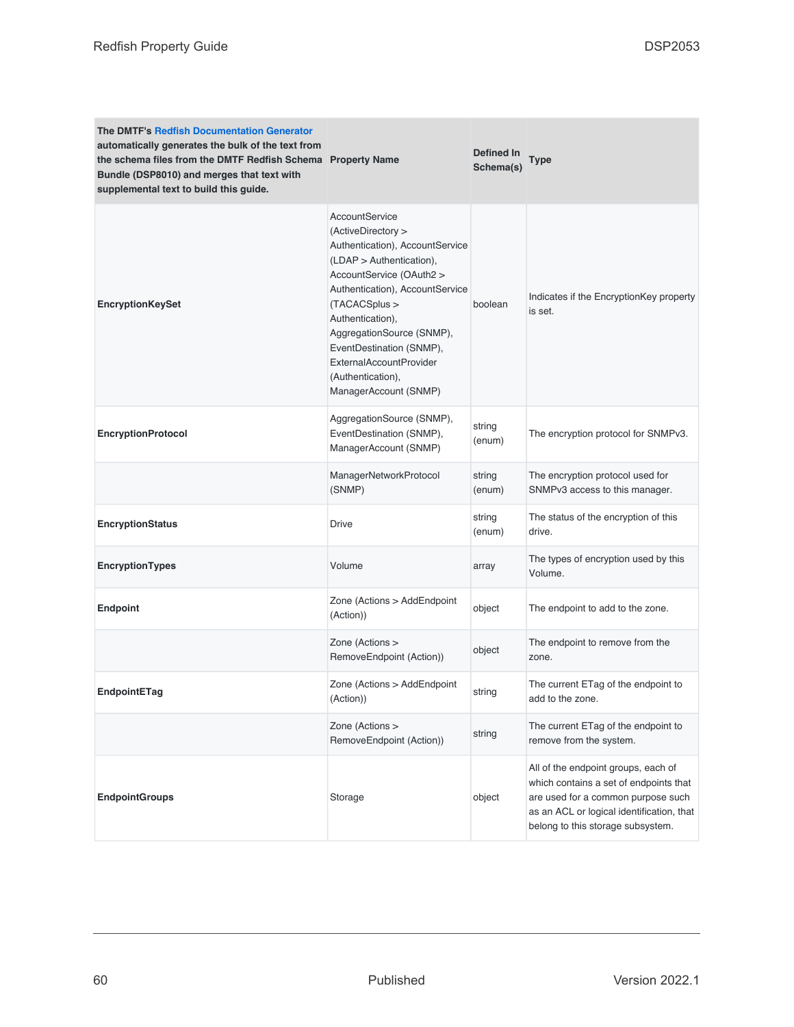| <b>The DMTF's Redfish Documentation Generator</b><br>automatically generates the bulk of the text from<br>the schema files from the DMTF Redfish Schema Property Name<br>Bundle (DSP8010) and merges that text with<br>supplemental text to build this guide. |                                                                                                                                                                                                                                                                                                                                                    | Defined In<br>Schema(s) | Type                                                                                                                                                                                                  |
|---------------------------------------------------------------------------------------------------------------------------------------------------------------------------------------------------------------------------------------------------------------|----------------------------------------------------------------------------------------------------------------------------------------------------------------------------------------------------------------------------------------------------------------------------------------------------------------------------------------------------|-------------------------|-------------------------------------------------------------------------------------------------------------------------------------------------------------------------------------------------------|
| <b>EncryptionKeySet</b>                                                                                                                                                                                                                                       | AccountService<br>(ActiveDirectory ><br>Authentication), AccountService<br>$(LDAP >$ Authentication),<br>AccountService (OAuth2 ><br>Authentication), AccountService<br>(TACACSplus ><br>Authentication),<br>AggregationSource (SNMP),<br>EventDestination (SNMP),<br><b>ExternalAccountProvider</b><br>(Authentication),<br>ManagerAccount (SNMP) | boolean                 | Indicates if the EncryptionKey property<br>is set.                                                                                                                                                    |
| <b>EncryptionProtocol</b>                                                                                                                                                                                                                                     | AggregationSource (SNMP),<br>EventDestination (SNMP),<br>ManagerAccount (SNMP)                                                                                                                                                                                                                                                                     | string<br>(enum)        | The encryption protocol for SNMPv3.                                                                                                                                                                   |
|                                                                                                                                                                                                                                                               | ManagerNetworkProtocol<br>(SNMP)                                                                                                                                                                                                                                                                                                                   | string<br>(enum)        | The encryption protocol used for<br>SNMPv3 access to this manager.                                                                                                                                    |
| <b>EncryptionStatus</b>                                                                                                                                                                                                                                       | Drive                                                                                                                                                                                                                                                                                                                                              | string<br>(enum)        | The status of the encryption of this<br>drive.                                                                                                                                                        |
| <b>EncryptionTypes</b>                                                                                                                                                                                                                                        | Volume                                                                                                                                                                                                                                                                                                                                             | array                   | The types of encryption used by this<br>Volume.                                                                                                                                                       |
| <b>Endpoint</b>                                                                                                                                                                                                                                               | Zone (Actions > AddEndpoint<br>(Action))                                                                                                                                                                                                                                                                                                           | object                  | The endpoint to add to the zone.                                                                                                                                                                      |
|                                                                                                                                                                                                                                                               | Zone (Actions ><br>RemoveEndpoint (Action))                                                                                                                                                                                                                                                                                                        | object                  | The endpoint to remove from the<br>zone.                                                                                                                                                              |
| EndpointETag                                                                                                                                                                                                                                                  | Zone (Actions > AddEndpoint<br>(Action))                                                                                                                                                                                                                                                                                                           | string                  | The current ETag of the endpoint to<br>add to the zone.                                                                                                                                               |
|                                                                                                                                                                                                                                                               | Zone (Actions ><br>RemoveEndpoint (Action))                                                                                                                                                                                                                                                                                                        | string                  | The current ETag of the endpoint to<br>remove from the system.                                                                                                                                        |
| <b>EndpointGroups</b>                                                                                                                                                                                                                                         | Storage                                                                                                                                                                                                                                                                                                                                            | object                  | All of the endpoint groups, each of<br>which contains a set of endpoints that<br>are used for a common purpose such<br>as an ACL or logical identification, that<br>belong to this storage subsystem. |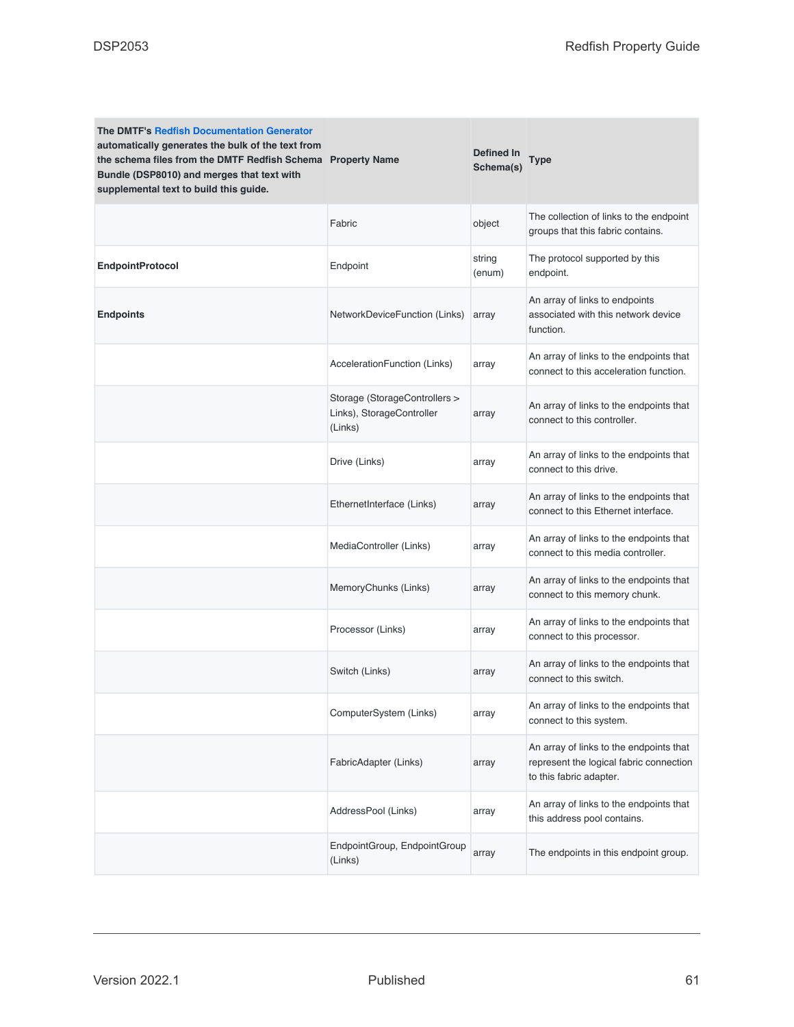| <b>The DMTF's Redfish Documentation Generator</b><br>automatically generates the bulk of the text from<br>the schema files from the DMTF Redfish Schema Property Name<br>Bundle (DSP8010) and merges that text with<br>supplemental text to build this guide. |                                                                       | <b>Defined In</b><br>Schema(s) | <b>Type</b>                                                                                                   |
|---------------------------------------------------------------------------------------------------------------------------------------------------------------------------------------------------------------------------------------------------------------|-----------------------------------------------------------------------|--------------------------------|---------------------------------------------------------------------------------------------------------------|
|                                                                                                                                                                                                                                                               | Fabric                                                                | object                         | The collection of links to the endpoint<br>groups that this fabric contains.                                  |
| <b>EndpointProtocol</b>                                                                                                                                                                                                                                       | Endpoint                                                              | string<br>(enum)               | The protocol supported by this<br>endpoint.                                                                   |
| <b>Endpoints</b>                                                                                                                                                                                                                                              | NetworkDeviceFunction (Links)                                         | array                          | An array of links to endpoints<br>associated with this network device<br>function.                            |
|                                                                                                                                                                                                                                                               | AccelerationFunction (Links)                                          | array                          | An array of links to the endpoints that<br>connect to this acceleration function.                             |
|                                                                                                                                                                                                                                                               | Storage (StorageControllers ><br>Links), StorageController<br>(Links) | array                          | An array of links to the endpoints that<br>connect to this controller.                                        |
|                                                                                                                                                                                                                                                               | Drive (Links)                                                         | array                          | An array of links to the endpoints that<br>connect to this drive.                                             |
|                                                                                                                                                                                                                                                               | EthernetInterface (Links)                                             | array                          | An array of links to the endpoints that<br>connect to this Ethernet interface.                                |
|                                                                                                                                                                                                                                                               | MediaController (Links)                                               | array                          | An array of links to the endpoints that<br>connect to this media controller.                                  |
|                                                                                                                                                                                                                                                               | MemoryChunks (Links)                                                  | array                          | An array of links to the endpoints that<br>connect to this memory chunk.                                      |
|                                                                                                                                                                                                                                                               | Processor (Links)                                                     | array                          | An array of links to the endpoints that<br>connect to this processor.                                         |
|                                                                                                                                                                                                                                                               | Switch (Links)                                                        | array                          | An array of links to the endpoints that<br>connect to this switch.                                            |
|                                                                                                                                                                                                                                                               | ComputerSystem (Links)                                                | array                          | An array of links to the endpoints that<br>connect to this system.                                            |
|                                                                                                                                                                                                                                                               | FabricAdapter (Links)                                                 | array                          | An array of links to the endpoints that<br>represent the logical fabric connection<br>to this fabric adapter. |
|                                                                                                                                                                                                                                                               | AddressPool (Links)                                                   | array                          | An array of links to the endpoints that<br>this address pool contains.                                        |
|                                                                                                                                                                                                                                                               | EndpointGroup, EndpointGroup<br>(Links)                               | array                          | The endpoints in this endpoint group.                                                                         |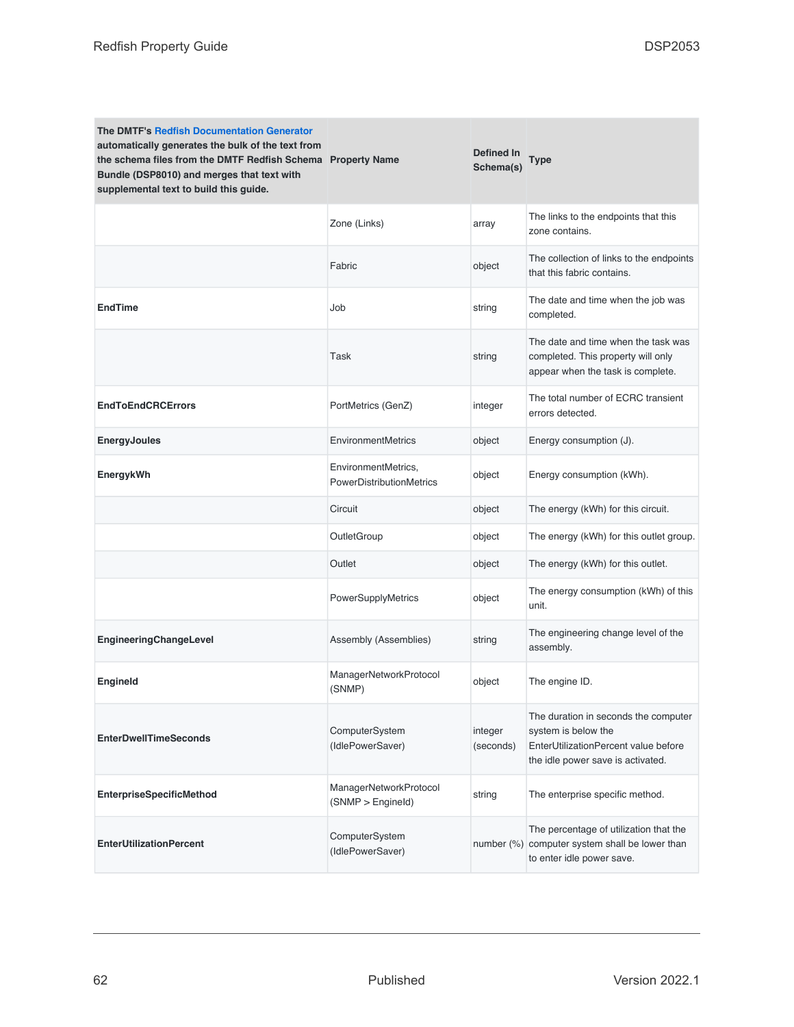| <b>The DMTF's Redfish Documentation Generator</b><br>automatically generates the bulk of the text from<br>the schema files from the DMTF Redfish Schema Property Name<br>Bundle (DSP8010) and merges that text with<br>supplemental text to build this guide. |                                                 | Defined In<br>Schema(s) | <b>Type</b>                                                                                                                              |
|---------------------------------------------------------------------------------------------------------------------------------------------------------------------------------------------------------------------------------------------------------------|-------------------------------------------------|-------------------------|------------------------------------------------------------------------------------------------------------------------------------------|
|                                                                                                                                                                                                                                                               | Zone (Links)                                    | array                   | The links to the endpoints that this<br>zone contains.                                                                                   |
|                                                                                                                                                                                                                                                               | Fabric                                          | object                  | The collection of links to the endpoints<br>that this fabric contains.                                                                   |
| <b>EndTime</b>                                                                                                                                                                                                                                                | Job                                             | string                  | The date and time when the job was<br>completed.                                                                                         |
|                                                                                                                                                                                                                                                               | Task                                            | string                  | The date and time when the task was<br>completed. This property will only<br>appear when the task is complete.                           |
| <b>EndToEndCRCErrors</b>                                                                                                                                                                                                                                      | PortMetrics (GenZ)                              | integer                 | The total number of ECRC transient<br>errors detected.                                                                                   |
| <b>EnergyJoules</b>                                                                                                                                                                                                                                           | EnvironmentMetrics                              | object                  | Energy consumption (J).                                                                                                                  |
| EnergykWh                                                                                                                                                                                                                                                     | EnvironmentMetrics,<br>PowerDistributionMetrics | object                  | Energy consumption (kWh).                                                                                                                |
|                                                                                                                                                                                                                                                               | Circuit                                         | object                  | The energy (kWh) for this circuit.                                                                                                       |
|                                                                                                                                                                                                                                                               | OutletGroup                                     | object                  | The energy (kWh) for this outlet group.                                                                                                  |
|                                                                                                                                                                                                                                                               | Outlet                                          | object                  | The energy (kWh) for this outlet.                                                                                                        |
|                                                                                                                                                                                                                                                               | PowerSupplyMetrics                              | object                  | The energy consumption (kWh) of this<br>unit.                                                                                            |
| EngineeringChangeLevel                                                                                                                                                                                                                                        | Assembly (Assemblies)                           | string                  | The engineering change level of the<br>assembly.                                                                                         |
| <b>Engineld</b>                                                                                                                                                                                                                                               | ManagerNetworkProtocol<br>(SNMP)                | object                  | The engine ID.                                                                                                                           |
| <b>EnterDwellTimeSeconds</b>                                                                                                                                                                                                                                  | ComputerSystem<br>(IdlePowerSaver)              | integer<br>(seconds)    | The duration in seconds the computer<br>system is below the<br>EnterUtilizationPercent value before<br>the idle power save is activated. |
| <b>EnterpriseSpecificMethod</b>                                                                                                                                                                                                                               | ManagerNetworkProtocol<br>(SNMP > Engineld)     | string                  | The enterprise specific method.                                                                                                          |
| <b>EnterUtilizationPercent</b>                                                                                                                                                                                                                                | ComputerSystem<br>(IdlePowerSaver)              |                         | The percentage of utilization that the<br>number (%) computer system shall be lower than<br>to enter idle power save.                    |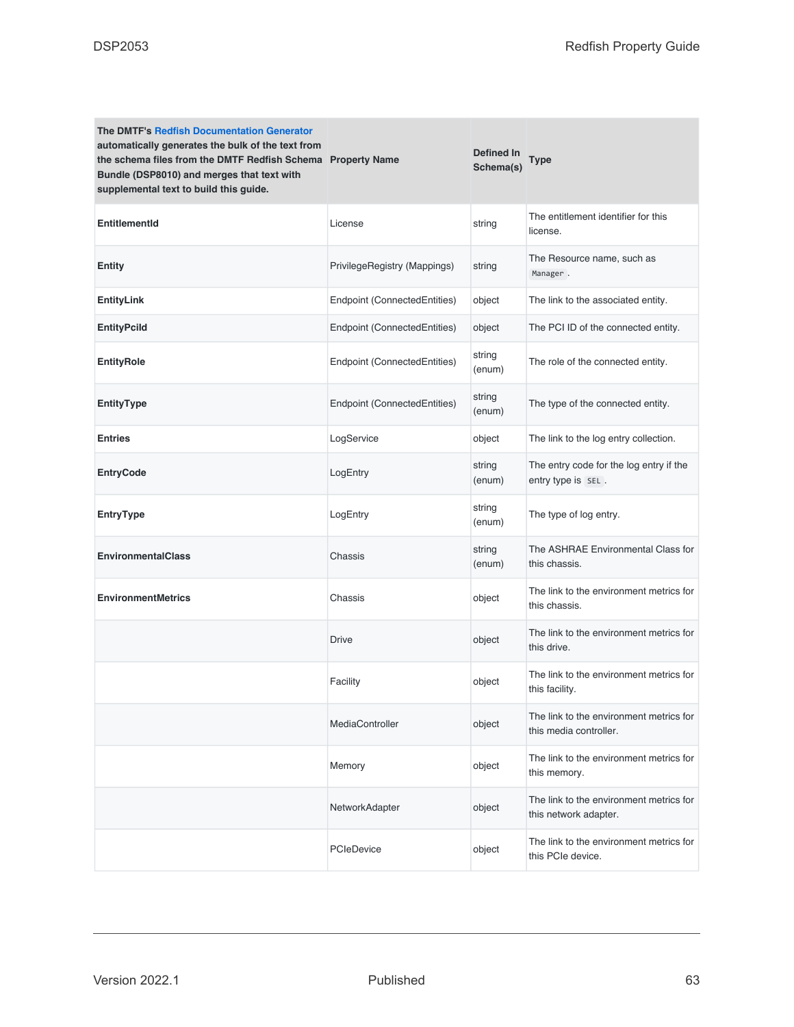| <b>The DMTF's Redfish Documentation Generator</b><br>automatically generates the bulk of the text from<br>the schema files from the DMTF Redfish Schema Property Name<br>Bundle (DSP8010) and merges that text with<br>supplemental text to build this guide. |                              | Defined In<br>Schema(s) | Type                                                              |
|---------------------------------------------------------------------------------------------------------------------------------------------------------------------------------------------------------------------------------------------------------------|------------------------------|-------------------------|-------------------------------------------------------------------|
| <b>EntitlementId</b>                                                                                                                                                                                                                                          | License                      | string                  | The entitlement identifier for this<br>license.                   |
| Entity                                                                                                                                                                                                                                                        | PrivilegeRegistry (Mappings) | string                  | The Resource name, such as<br>Manager.                            |
| EntityLink                                                                                                                                                                                                                                                    | Endpoint (ConnectedEntities) | object                  | The link to the associated entity.                                |
| EntityPcild                                                                                                                                                                                                                                                   | Endpoint (ConnectedEntities) | object                  | The PCI ID of the connected entity.                               |
| EntityRole                                                                                                                                                                                                                                                    | Endpoint (ConnectedEntities) | string<br>(enum)        | The role of the connected entity.                                 |
| <b>EntityType</b>                                                                                                                                                                                                                                             | Endpoint (ConnectedEntities) | string<br>(enum)        | The type of the connected entity.                                 |
| <b>Entries</b>                                                                                                                                                                                                                                                | LogService                   | object                  | The link to the log entry collection.                             |
| <b>EntryCode</b>                                                                                                                                                                                                                                              | LogEntry                     | string<br>(enum)        | The entry code for the log entry if the<br>entry type is SEL.     |
| EntryType                                                                                                                                                                                                                                                     | LogEntry                     | string<br>(enum)        | The type of log entry.                                            |
| <b>EnvironmentalClass</b>                                                                                                                                                                                                                                     | Chassis                      | string<br>(enum)        | The ASHRAE Environmental Class for<br>this chassis.               |
| <b>EnvironmentMetrics</b>                                                                                                                                                                                                                                     | Chassis                      | object                  | The link to the environment metrics for<br>this chassis.          |
|                                                                                                                                                                                                                                                               | <b>Drive</b>                 | object                  | The link to the environment metrics for<br>this drive.            |
|                                                                                                                                                                                                                                                               | Facility                     | object                  | The link to the environment metrics for<br>this facility.         |
|                                                                                                                                                                                                                                                               | MediaController              | object                  | The link to the environment metrics for<br>this media controller. |
|                                                                                                                                                                                                                                                               | Memory                       | object                  | The link to the environment metrics for<br>this memory.           |
|                                                                                                                                                                                                                                                               | NetworkAdapter               | object                  | The link to the environment metrics for<br>this network adapter.  |
|                                                                                                                                                                                                                                                               | PCIeDevice                   | object                  | The link to the environment metrics for<br>this PCIe device.      |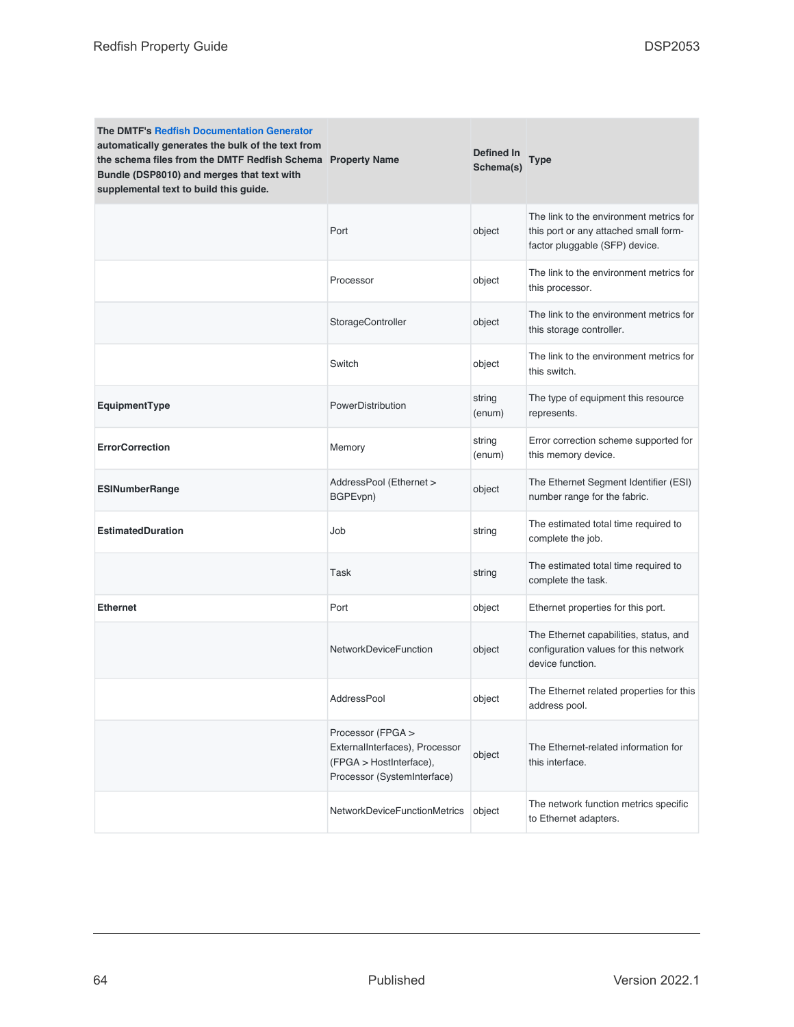| <b>The DMTF's Redfish Documentation Generator</b><br>automatically generates the bulk of the text from<br>the schema files from the DMTF Redfish Schema Property Name<br>Bundle (DSP8010) and merges that text with<br>supplemental text to build this guide. |                                                                                                               | Defined In<br>Schema(s) | <b>Type</b>                                                                                                        |
|---------------------------------------------------------------------------------------------------------------------------------------------------------------------------------------------------------------------------------------------------------------|---------------------------------------------------------------------------------------------------------------|-------------------------|--------------------------------------------------------------------------------------------------------------------|
|                                                                                                                                                                                                                                                               | Port                                                                                                          | object                  | The link to the environment metrics for<br>this port or any attached small form-<br>factor pluggable (SFP) device. |
|                                                                                                                                                                                                                                                               | Processor                                                                                                     | object                  | The link to the environment metrics for<br>this processor.                                                         |
|                                                                                                                                                                                                                                                               | StorageController                                                                                             | object                  | The link to the environment metrics for<br>this storage controller.                                                |
|                                                                                                                                                                                                                                                               | Switch                                                                                                        | object                  | The link to the environment metrics for<br>this switch.                                                            |
| EquipmentType                                                                                                                                                                                                                                                 | PowerDistribution                                                                                             | string<br>(enum)        | The type of equipment this resource<br>represents.                                                                 |
| <b>ErrorCorrection</b>                                                                                                                                                                                                                                        | Memory                                                                                                        | string<br>(enum)        | Error correction scheme supported for<br>this memory device.                                                       |
| <b>ESINumberRange</b>                                                                                                                                                                                                                                         | AddressPool (Ethernet ><br>BGPEvpn)                                                                           | object                  | The Ethernet Segment Identifier (ESI)<br>number range for the fabric.                                              |
| <b>EstimatedDuration</b>                                                                                                                                                                                                                                      | Job                                                                                                           | string                  | The estimated total time required to<br>complete the job.                                                          |
|                                                                                                                                                                                                                                                               | Task                                                                                                          | string                  | The estimated total time required to<br>complete the task.                                                         |
| <b>Ethernet</b>                                                                                                                                                                                                                                               | Port                                                                                                          | object                  | Ethernet properties for this port.                                                                                 |
|                                                                                                                                                                                                                                                               | <b>NetworkDeviceFunction</b>                                                                                  | object                  | The Ethernet capabilities, status, and<br>configuration values for this network<br>device function.                |
|                                                                                                                                                                                                                                                               | AddressPool                                                                                                   | object                  | The Ethernet related properties for this<br>address pool.                                                          |
|                                                                                                                                                                                                                                                               | Processor (FPGA ><br>ExternalInterfaces), Processor<br>(FPGA > HostInterface),<br>Processor (SystemInterface) | object                  | The Ethernet-related information for<br>this interface.                                                            |
|                                                                                                                                                                                                                                                               | NetworkDeviceFunctionMetrics                                                                                  | object                  | The network function metrics specific<br>to Ethernet adapters.                                                     |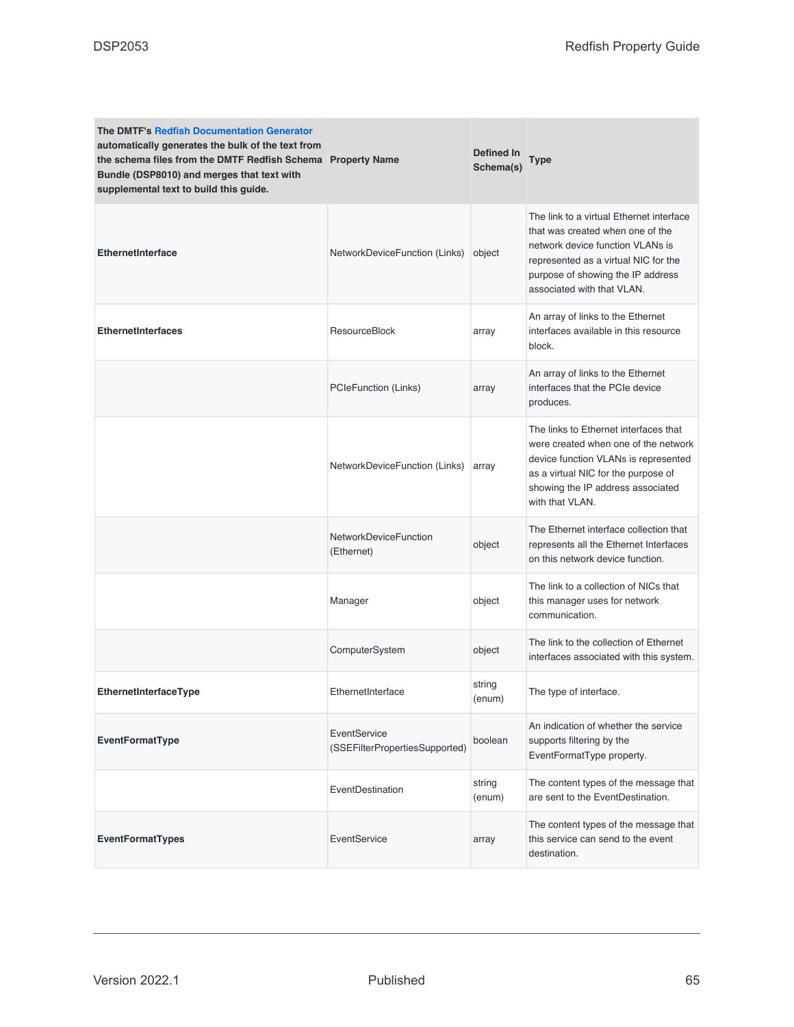| <b>The DMTF's Redfish Documentation Generator</b><br>automatically generates the bulk of the text from<br>the schema files from the DMTF Redfish Schema Property Name<br>Bundle (DSP8010) and merges that text with<br>supplemental text to build this guide. |                                                | <b>Defined In</b><br>Schema(s) | Type                                                                                                                                                                                                                        |
|---------------------------------------------------------------------------------------------------------------------------------------------------------------------------------------------------------------------------------------------------------------|------------------------------------------------|--------------------------------|-----------------------------------------------------------------------------------------------------------------------------------------------------------------------------------------------------------------------------|
| <b>EthernetInterface</b>                                                                                                                                                                                                                                      | NetworkDeviceFunction (Links)                  | object                         | The link to a virtual Ethernet interface<br>that was created when one of the<br>network device function VLANs is<br>represented as a virtual NIC for the<br>purpose of showing the IP address<br>associated with that VLAN. |
| <b>EthernetInterfaces</b>                                                                                                                                                                                                                                     | <b>ResourceBlock</b>                           | array                          | An array of links to the Ethernet<br>interfaces available in this resource<br>block.                                                                                                                                        |
|                                                                                                                                                                                                                                                               | PCIeFunction (Links)                           | array                          | An array of links to the Ethernet<br>interfaces that the PCIe device<br>produces.                                                                                                                                           |
|                                                                                                                                                                                                                                                               | NetworkDeviceFunction (Links)                  | array                          | The links to Ethernet interfaces that<br>were created when one of the network<br>device function VLANs is represented<br>as a virtual NIC for the purpose of<br>showing the IP address associated<br>with that VLAN.        |
|                                                                                                                                                                                                                                                               | <b>NetworkDeviceFunction</b><br>(Ethernet)     | object                         | The Ethernet interface collection that<br>represents all the Ethernet Interfaces<br>on this network device function.                                                                                                        |
|                                                                                                                                                                                                                                                               | Manager                                        | object                         | The link to a collection of NICs that<br>this manager uses for network<br>communication.                                                                                                                                    |
|                                                                                                                                                                                                                                                               | ComputerSystem                                 | object                         | The link to the collection of Ethernet<br>interfaces associated with this system.                                                                                                                                           |
| EthernetInterfaceType                                                                                                                                                                                                                                         | EthernetInterface                              | string<br>(enum)               | The type of interface.                                                                                                                                                                                                      |
| <b>EventFormatType</b>                                                                                                                                                                                                                                        | EventService<br>(SSEFilterPropertiesSupported) | boolean                        | An indication of whether the service<br>supports filtering by the<br>EventFormatType property.                                                                                                                              |
|                                                                                                                                                                                                                                                               | EventDestination                               | string<br>(enum)               | The content types of the message that<br>are sent to the EventDestination.                                                                                                                                                  |
| <b>EventFormatTypes</b>                                                                                                                                                                                                                                       | EventService                                   | array                          | The content types of the message that<br>this service can send to the event<br>destination.                                                                                                                                 |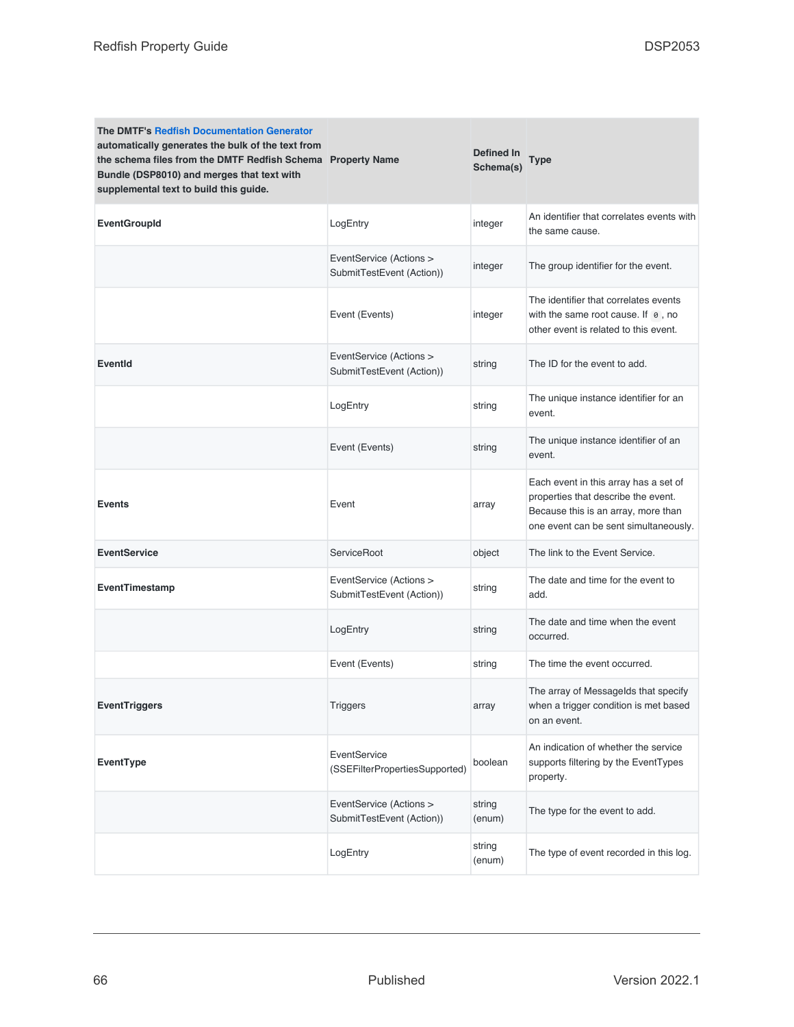| <b>The DMTF's Redfish Documentation Generator</b><br>automatically generates the bulk of the text from<br>the schema files from the DMTF Redfish Schema Property Name<br>Bundle (DSP8010) and merges that text with<br>supplemental text to build this guide. |                                                      | Defined In<br>Schema(s) | Type                                                                                                                                                         |
|---------------------------------------------------------------------------------------------------------------------------------------------------------------------------------------------------------------------------------------------------------------|------------------------------------------------------|-------------------------|--------------------------------------------------------------------------------------------------------------------------------------------------------------|
| <b>EventGroupId</b>                                                                                                                                                                                                                                           | LogEntry                                             | integer                 | An identifier that correlates events with<br>the same cause.                                                                                                 |
|                                                                                                                                                                                                                                                               | EventService (Actions ><br>SubmitTestEvent (Action)) | integer                 | The group identifier for the event.                                                                                                                          |
|                                                                                                                                                                                                                                                               | Event (Events)                                       | integer                 | The identifier that correlates events<br>with the same root cause. If $\theta$ , no<br>other event is related to this event.                                 |
| <b>EventId</b>                                                                                                                                                                                                                                                | EventService (Actions ><br>SubmitTestEvent (Action)) | string                  | The ID for the event to add.                                                                                                                                 |
|                                                                                                                                                                                                                                                               | LogEntry                                             | string                  | The unique instance identifier for an<br>event.                                                                                                              |
|                                                                                                                                                                                                                                                               | Event (Events)                                       | string                  | The unique instance identifier of an<br>event.                                                                                                               |
| <b>Events</b>                                                                                                                                                                                                                                                 | Event                                                | array                   | Each event in this array has a set of<br>properties that describe the event.<br>Because this is an array, more than<br>one event can be sent simultaneously. |
| <b>EventService</b>                                                                                                                                                                                                                                           | <b>ServiceRoot</b>                                   | object                  | The link to the Event Service.                                                                                                                               |
| EventTimestamp                                                                                                                                                                                                                                                | EventService (Actions ><br>SubmitTestEvent (Action)) | string                  | The date and time for the event to<br>add.                                                                                                                   |
|                                                                                                                                                                                                                                                               | LogEntry                                             | string                  | The date and time when the event<br>occurred.                                                                                                                |
|                                                                                                                                                                                                                                                               | Event (Events)                                       | string                  | The time the event occurred.                                                                                                                                 |
| <b>EventTriggers</b>                                                                                                                                                                                                                                          | Triggers                                             | array                   | The array of Messagelds that specify<br>when a trigger condition is met based<br>on an event.                                                                |
| EventType                                                                                                                                                                                                                                                     | EventService<br>(SSEFilterPropertiesSupported)       | boolean                 | An indication of whether the service<br>supports filtering by the EventTypes<br>property.                                                                    |
|                                                                                                                                                                                                                                                               | EventService (Actions ><br>SubmitTestEvent (Action)) | string<br>(enum)        | The type for the event to add.                                                                                                                               |
|                                                                                                                                                                                                                                                               | LogEntry                                             | string<br>(enum)        | The type of event recorded in this log.                                                                                                                      |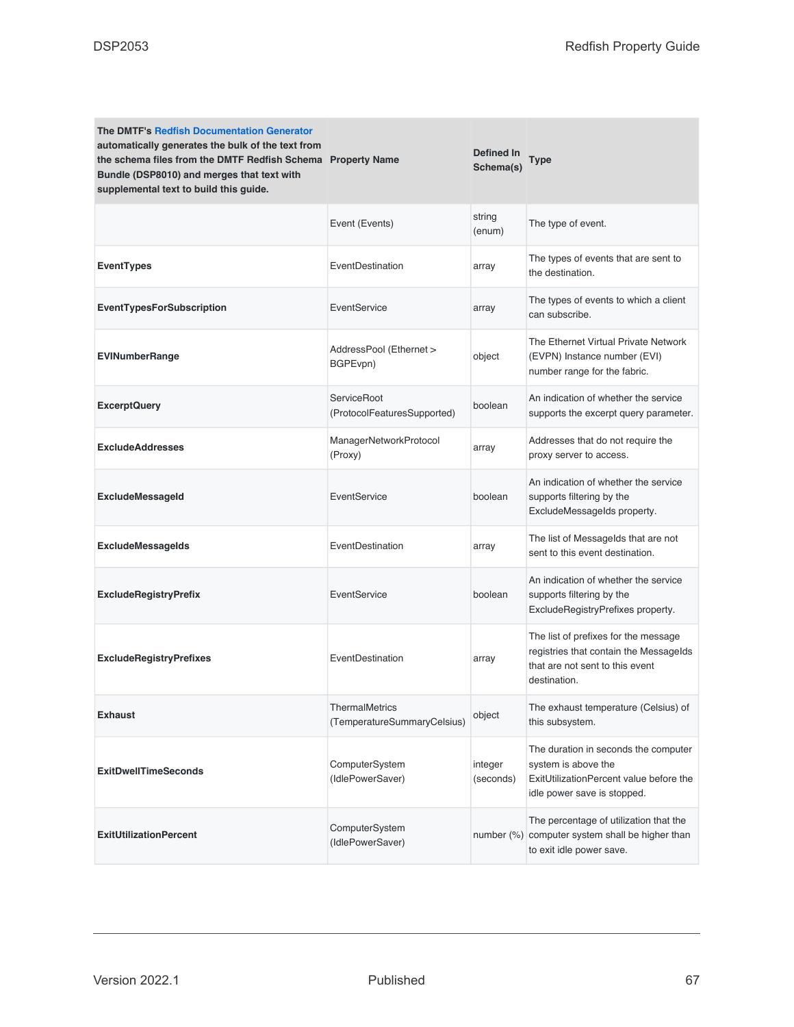| <b>The DMTF's Redfish Documentation Generator</b><br>automatically generates the bulk of the text from<br>the schema files from the DMTF Redfish Schema Property Name<br>Bundle (DSP8010) and merges that text with<br>supplemental text to build this guide. |                                                      | Defined In<br>Schema(s) | Type                                                                                                                                  |
|---------------------------------------------------------------------------------------------------------------------------------------------------------------------------------------------------------------------------------------------------------------|------------------------------------------------------|-------------------------|---------------------------------------------------------------------------------------------------------------------------------------|
|                                                                                                                                                                                                                                                               | Event (Events)                                       | string<br>(enum)        | The type of event.                                                                                                                    |
| <b>EventTypes</b>                                                                                                                                                                                                                                             | EventDestination                                     | array                   | The types of events that are sent to<br>the destination.                                                                              |
| <b>EventTypesForSubscription</b>                                                                                                                                                                                                                              | EventService                                         | array                   | The types of events to which a client<br>can subscribe.                                                                               |
| <b>EVINumberRange</b>                                                                                                                                                                                                                                         | AddressPool (Ethernet ><br>BGPEvpn)                  | object                  | The Ethernet Virtual Private Network<br>(EVPN) Instance number (EVI)<br>number range for the fabric.                                  |
| <b>ExcerptQuery</b>                                                                                                                                                                                                                                           | <b>ServiceRoot</b><br>(ProtocolFeaturesSupported)    | boolean                 | An indication of whether the service<br>supports the excerpt query parameter.                                                         |
| <b>ExcludeAddresses</b>                                                                                                                                                                                                                                       | ManagerNetworkProtocol<br>(Proxy)                    | array                   | Addresses that do not require the<br>proxy server to access.                                                                          |
| ExcludeMessageId                                                                                                                                                                                                                                              | EventService                                         | boolean                 | An indication of whether the service<br>supports filtering by the<br>ExcludeMessageIds property.                                      |
| ExcludeMessageIds                                                                                                                                                                                                                                             | EventDestination                                     | array                   | The list of Messagelds that are not<br>sent to this event destination.                                                                |
| <b>ExcludeRegistryPrefix</b>                                                                                                                                                                                                                                  | EventService                                         | boolean                 | An indication of whether the service<br>supports filtering by the<br>ExcludeRegistryPrefixes property.                                |
| <b>ExcludeRegistryPrefixes</b>                                                                                                                                                                                                                                | EventDestination                                     | array                   | The list of prefixes for the message<br>registries that contain the Messagelds<br>that are not sent to this event<br>destination.     |
| <b>Exhaust</b>                                                                                                                                                                                                                                                | <b>ThermalMetrics</b><br>(TemperatureSummaryCelsius) | object                  | The exhaust temperature (Celsius) of<br>this subsystem.                                                                               |
| <b>ExitDwellTimeSeconds</b>                                                                                                                                                                                                                                   | ComputerSystem<br>(IdlePowerSaver)                   | integer<br>(seconds)    | The duration in seconds the computer<br>system is above the<br>ExitUtilizationPercent value before the<br>idle power save is stopped. |
| <b>ExitUtilizationPercent</b>                                                                                                                                                                                                                                 | ComputerSystem<br>(IdlePowerSaver)                   |                         | The percentage of utilization that the<br>number (%) computer system shall be higher than<br>to exit idle power save.                 |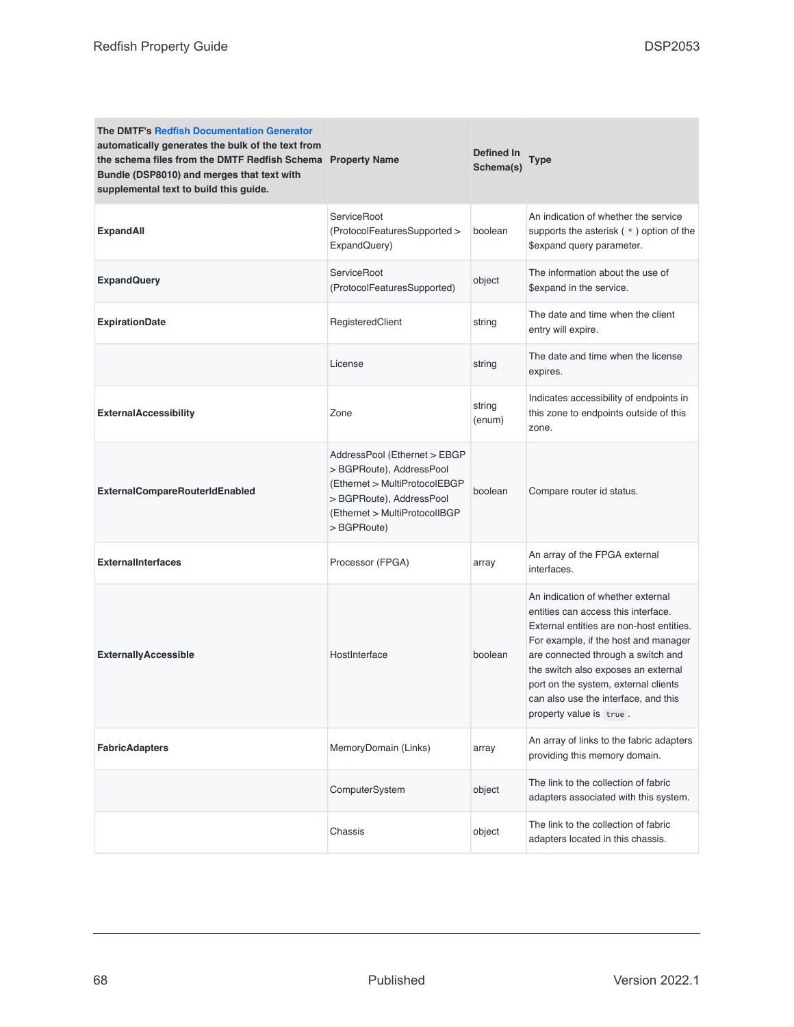| <b>The DMTF's Redfish Documentation Generator</b><br>automatically generates the bulk of the text from<br>the schema files from the DMTF Redfish Schema Property Name<br>Bundle (DSP8010) and merges that text with<br>supplemental text to build this guide. |                                                                                                                                                                       | Defined In<br>Schema(s) | Type                                                                                                                                                                                                                                                                                                                                                 |
|---------------------------------------------------------------------------------------------------------------------------------------------------------------------------------------------------------------------------------------------------------------|-----------------------------------------------------------------------------------------------------------------------------------------------------------------------|-------------------------|------------------------------------------------------------------------------------------------------------------------------------------------------------------------------------------------------------------------------------------------------------------------------------------------------------------------------------------------------|
| <b>ExpandAll</b>                                                                                                                                                                                                                                              | ServiceRoot<br>(ProtocolFeaturesSupported ><br>ExpandQuery)                                                                                                           | boolean                 | An indication of whether the service<br>supports the asterisk (*) option of the<br>\$expand query parameter.                                                                                                                                                                                                                                         |
| <b>ExpandQuery</b>                                                                                                                                                                                                                                            | ServiceRoot<br>(ProtocolFeaturesSupported)                                                                                                                            | object                  | The information about the use of<br>\$expand in the service.                                                                                                                                                                                                                                                                                         |
| <b>ExpirationDate</b>                                                                                                                                                                                                                                         | RegisteredClient                                                                                                                                                      | string                  | The date and time when the client<br>entry will expire.                                                                                                                                                                                                                                                                                              |
|                                                                                                                                                                                                                                                               | License                                                                                                                                                               | string                  | The date and time when the license<br>expires.                                                                                                                                                                                                                                                                                                       |
| <b>ExternalAccessibility</b>                                                                                                                                                                                                                                  | Zone                                                                                                                                                                  | string<br>(enum)        | Indicates accessibility of endpoints in<br>this zone to endpoints outside of this<br>zone.                                                                                                                                                                                                                                                           |
| <b>ExternalCompareRouterIdEnabled</b>                                                                                                                                                                                                                         | AddressPool (Ethernet > EBGP<br>> BGPRoute), AddressPool<br>(Ethernet > MultiProtocolEBGP<br>> BGPRoute), AddressPool<br>(Ethernet > MultiProtocolIBGP<br>> BGPRoute) | boolean                 | Compare router id status.                                                                                                                                                                                                                                                                                                                            |
| <b>ExternalInterfaces</b>                                                                                                                                                                                                                                     | Processor (FPGA)                                                                                                                                                      | array                   | An array of the FPGA external<br>interfaces.                                                                                                                                                                                                                                                                                                         |
| <b>ExternallyAccessible</b>                                                                                                                                                                                                                                   | HostInterface                                                                                                                                                         | boolean                 | An indication of whether external<br>entities can access this interface.<br>External entities are non-host entities.<br>For example, if the host and manager<br>are connected through a switch and<br>the switch also exposes an external<br>port on the system, external clients<br>can also use the interface, and this<br>property value is true. |
| <b>FabricAdapters</b>                                                                                                                                                                                                                                         | MemoryDomain (Links)                                                                                                                                                  | array                   | An array of links to the fabric adapters<br>providing this memory domain.                                                                                                                                                                                                                                                                            |
|                                                                                                                                                                                                                                                               | ComputerSystem                                                                                                                                                        | object                  | The link to the collection of fabric<br>adapters associated with this system.                                                                                                                                                                                                                                                                        |
|                                                                                                                                                                                                                                                               | Chassis                                                                                                                                                               | object                  | The link to the collection of fabric<br>adapters located in this chassis.                                                                                                                                                                                                                                                                            |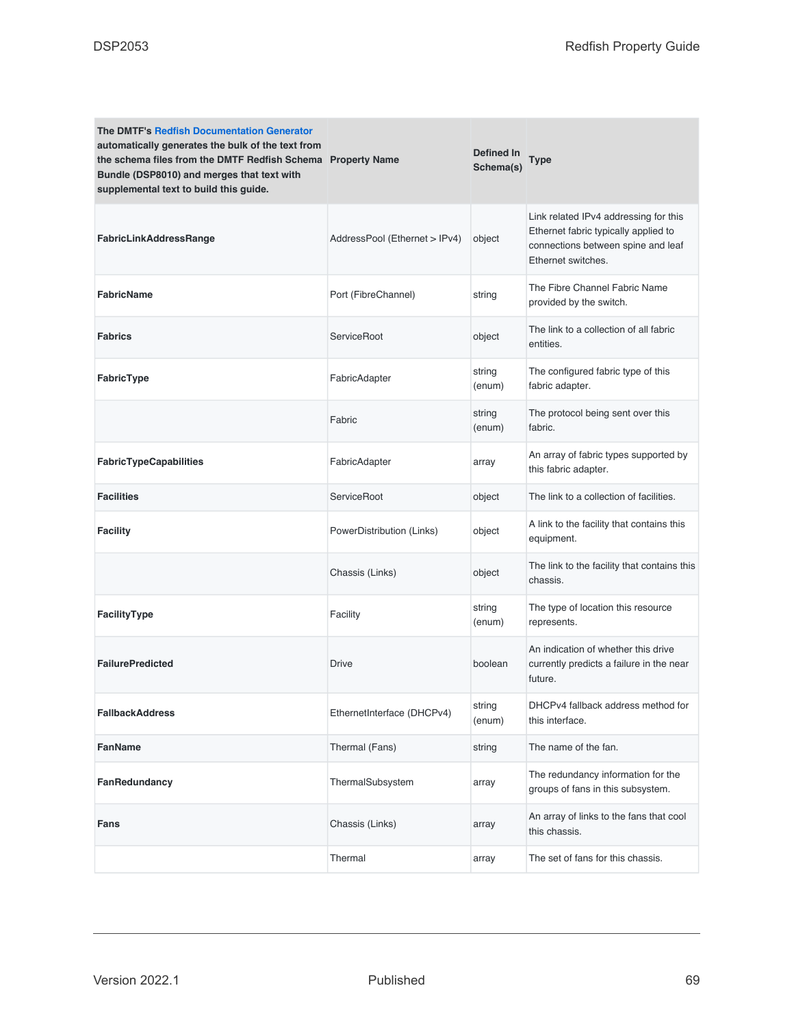| <b>The DMTF's Redfish Documentation Generator</b><br>automatically generates the bulk of the text from<br>the schema files from the DMTF Redfish Schema Property Name<br>Bundle (DSP8010) and merges that text with<br>supplemental text to build this guide. |                               | Defined In<br>Schema(s) | Type                                                                                                                                      |
|---------------------------------------------------------------------------------------------------------------------------------------------------------------------------------------------------------------------------------------------------------------|-------------------------------|-------------------------|-------------------------------------------------------------------------------------------------------------------------------------------|
| FabricLinkAddressRange                                                                                                                                                                                                                                        | AddressPool (Ethernet > IPv4) | object                  | Link related IPv4 addressing for this<br>Ethernet fabric typically applied to<br>connections between spine and leaf<br>Ethernet switches. |
| <b>FabricName</b>                                                                                                                                                                                                                                             | Port (FibreChannel)           | string                  | The Fibre Channel Fabric Name<br>provided by the switch.                                                                                  |
| <b>Fabrics</b>                                                                                                                                                                                                                                                | ServiceRoot                   | object                  | The link to a collection of all fabric<br>entities.                                                                                       |
| FabricType                                                                                                                                                                                                                                                    | FabricAdapter                 | string<br>(enum)        | The configured fabric type of this<br>fabric adapter.                                                                                     |
|                                                                                                                                                                                                                                                               | Fabric                        | string<br>(enum)        | The protocol being sent over this<br>fabric.                                                                                              |
| FabricTypeCapabilities                                                                                                                                                                                                                                        | FabricAdapter                 | array                   | An array of fabric types supported by<br>this fabric adapter.                                                                             |
| <b>Facilities</b>                                                                                                                                                                                                                                             | ServiceRoot                   | object                  | The link to a collection of facilities.                                                                                                   |
| <b>Facility</b>                                                                                                                                                                                                                                               | PowerDistribution (Links)     | object                  | A link to the facility that contains this<br>equipment.                                                                                   |
|                                                                                                                                                                                                                                                               | Chassis (Links)               | object                  | The link to the facility that contains this<br>chassis.                                                                                   |
| FacilityType                                                                                                                                                                                                                                                  | Facility                      | string<br>(enum)        | The type of location this resource<br>represents.                                                                                         |
| <b>FailurePredicted</b>                                                                                                                                                                                                                                       | Drive                         | boolean                 | An indication of whether this drive<br>currently predicts a failure in the near<br>future.                                                |
| <b>FallbackAddress</b>                                                                                                                                                                                                                                        | EthernetInterface (DHCPv4)    | string<br>(enum)        | DHCPv4 fallback address method for<br>this interface.                                                                                     |
| FanName                                                                                                                                                                                                                                                       | Thermal (Fans)                | string                  | The name of the fan.                                                                                                                      |
| FanRedundancy                                                                                                                                                                                                                                                 | ThermalSubsystem              | array                   | The redundancy information for the<br>groups of fans in this subsystem.                                                                   |
| Fans                                                                                                                                                                                                                                                          | Chassis (Links)               | array                   | An array of links to the fans that cool<br>this chassis.                                                                                  |
|                                                                                                                                                                                                                                                               | Thermal                       | array                   | The set of fans for this chassis.                                                                                                         |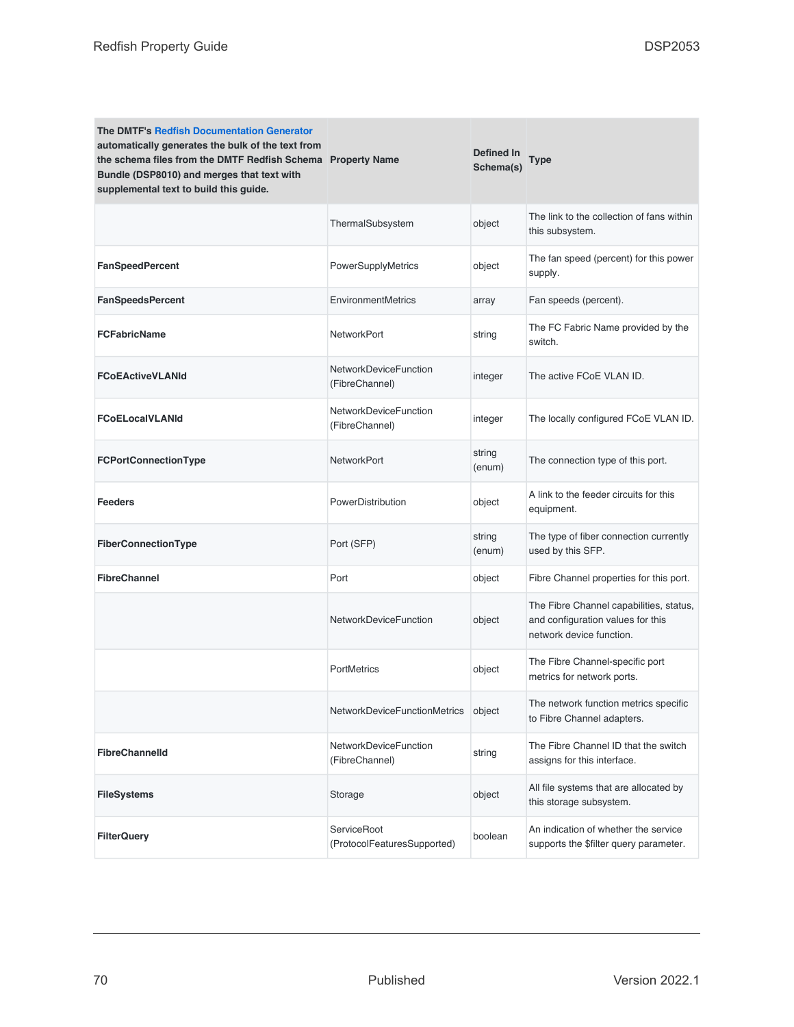| <b>The DMTF's Redfish Documentation Generator</b><br>automatically generates the bulk of the text from<br>the schema files from the DMTF Redfish Schema Property Name<br>Bundle (DSP8010) and merges that text with<br>supplemental text to build this guide. |                                                   | <b>Defined In</b><br>Schema(s) | Type                                                                                                     |
|---------------------------------------------------------------------------------------------------------------------------------------------------------------------------------------------------------------------------------------------------------------|---------------------------------------------------|--------------------------------|----------------------------------------------------------------------------------------------------------|
|                                                                                                                                                                                                                                                               | ThermalSubsystem                                  | object                         | The link to the collection of fans within<br>this subsystem.                                             |
| <b>FanSpeedPercent</b>                                                                                                                                                                                                                                        | PowerSupplyMetrics                                | object                         | The fan speed (percent) for this power<br>supply.                                                        |
| <b>FanSpeedsPercent</b>                                                                                                                                                                                                                                       | EnvironmentMetrics                                | array                          | Fan speeds (percent).                                                                                    |
| <b>FCFabricName</b>                                                                                                                                                                                                                                           | NetworkPort                                       | string                         | The FC Fabric Name provided by the<br>switch.                                                            |
| <b>FCoEActiveVLANId</b>                                                                                                                                                                                                                                       | <b>NetworkDeviceFunction</b><br>(FibreChannel)    | integer                        | The active FCoE VLAN ID.                                                                                 |
| <b>FCoELocalVLANId</b>                                                                                                                                                                                                                                        | NetworkDeviceFunction<br>(FibreChannel)           | integer                        | The locally configured FCoE VLAN ID.                                                                     |
| FCPortConnectionType                                                                                                                                                                                                                                          | <b>NetworkPort</b>                                | string<br>(enum)               | The connection type of this port.                                                                        |
| <b>Feeders</b>                                                                                                                                                                                                                                                | PowerDistribution                                 | object                         | A link to the feeder circuits for this<br>equipment.                                                     |
| FiberConnectionType                                                                                                                                                                                                                                           | Port (SFP)                                        | string<br>(enum)               | The type of fiber connection currently<br>used by this SFP.                                              |
| <b>FibreChannel</b>                                                                                                                                                                                                                                           | Port                                              | object                         | Fibre Channel properties for this port.                                                                  |
|                                                                                                                                                                                                                                                               | <b>NetworkDeviceFunction</b>                      | object                         | The Fibre Channel capabilities, status,<br>and configuration values for this<br>network device function. |
|                                                                                                                                                                                                                                                               | <b>PortMetrics</b>                                | object                         | The Fibre Channel-specific port<br>metrics for network ports.                                            |
|                                                                                                                                                                                                                                                               | NetworkDeviceFunctionMetrics                      | object                         | The network function metrics specific<br>to Fibre Channel adapters.                                      |
| <b>FibreChannelId</b>                                                                                                                                                                                                                                         | NetworkDeviceFunction<br>(FibreChannel)           | string                         | The Fibre Channel ID that the switch<br>assigns for this interface.                                      |
| <b>FileSystems</b>                                                                                                                                                                                                                                            | Storage                                           | object                         | All file systems that are allocated by<br>this storage subsystem.                                        |
| <b>FilterQuery</b>                                                                                                                                                                                                                                            | <b>ServiceRoot</b><br>(ProtocolFeaturesSupported) | boolean                        | An indication of whether the service<br>supports the \$filter query parameter.                           |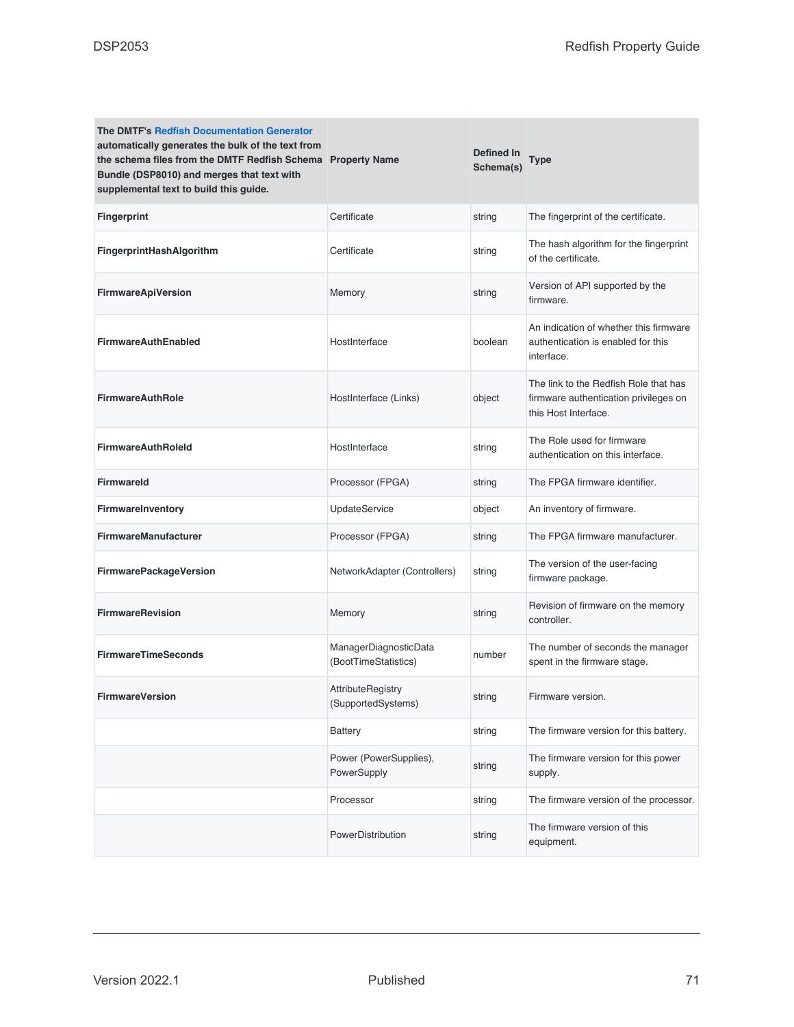| <b>The DMTF's Redfish Documentation Generator</b><br>automatically generates the bulk of the text from<br>the schema files from the DMTF Redfish Schema Property Name<br>Bundle (DSP8010) and merges that text with<br>supplemental text to build this guide. |                                                | <b>Defined In</b><br>Schema(s) | <b>Type</b>                                                                                            |
|---------------------------------------------------------------------------------------------------------------------------------------------------------------------------------------------------------------------------------------------------------------|------------------------------------------------|--------------------------------|--------------------------------------------------------------------------------------------------------|
| <b>Fingerprint</b>                                                                                                                                                                                                                                            | Certificate                                    | string                         | The fingerprint of the certificate.                                                                    |
| FingerprintHashAlgorithm                                                                                                                                                                                                                                      | Certificate                                    | string                         | The hash algorithm for the fingerprint<br>of the certificate.                                          |
| <b>FirmwareApiVersion</b>                                                                                                                                                                                                                                     | Memory                                         | string                         | Version of API supported by the<br>firmware.                                                           |
| <b>FirmwareAuthEnabled</b>                                                                                                                                                                                                                                    | HostInterface                                  | boolean                        | An indication of whether this firmware<br>authentication is enabled for this<br>interface.             |
| <b>FirmwareAuthRole</b>                                                                                                                                                                                                                                       | HostInterface (Links)                          | object                         | The link to the Redfish Role that has<br>firmware authentication privileges on<br>this Host Interface. |
| <b>FirmwareAuthRoleId</b>                                                                                                                                                                                                                                     | HostInterface                                  | string                         | The Role used for firmware<br>authentication on this interface.                                        |
| <b>Firmwareld</b>                                                                                                                                                                                                                                             | Processor (FPGA)                               | string                         | The FPGA firmware identifier.                                                                          |
| FirmwareInventory                                                                                                                                                                                                                                             | <b>UpdateService</b>                           | object                         | An inventory of firmware.                                                                              |
| <b>FirmwareManufacturer</b>                                                                                                                                                                                                                                   | Processor (FPGA)                               | string                         | The FPGA firmware manufacturer.                                                                        |
| FirmwarePackageVersion                                                                                                                                                                                                                                        | NetworkAdapter (Controllers)                   | string                         | The version of the user-facing<br>firmware package.                                                    |
| <b>FirmwareRevision</b>                                                                                                                                                                                                                                       | Memory                                         | string                         | Revision of firmware on the memory<br>controller.                                                      |
| <b>FirmwareTimeSeconds</b>                                                                                                                                                                                                                                    | ManagerDiagnosticData<br>(BootTimeStatistics)  | number                         | The number of seconds the manager<br>spent in the firmware stage.                                      |
| <b>FirmwareVersion</b>                                                                                                                                                                                                                                        | <b>AttributeRegistry</b><br>(SupportedSystems) | string                         | Firmware version.                                                                                      |
|                                                                                                                                                                                                                                                               | Battery                                        | string                         | The firmware version for this battery.                                                                 |
|                                                                                                                                                                                                                                                               | Power (PowerSupplies),<br>PowerSupply          | string                         | The firmware version for this power<br>supply.                                                         |
|                                                                                                                                                                                                                                                               | Processor                                      | string                         | The firmware version of the processor.                                                                 |
|                                                                                                                                                                                                                                                               | PowerDistribution                              | string                         | The firmware version of this<br>equipment.                                                             |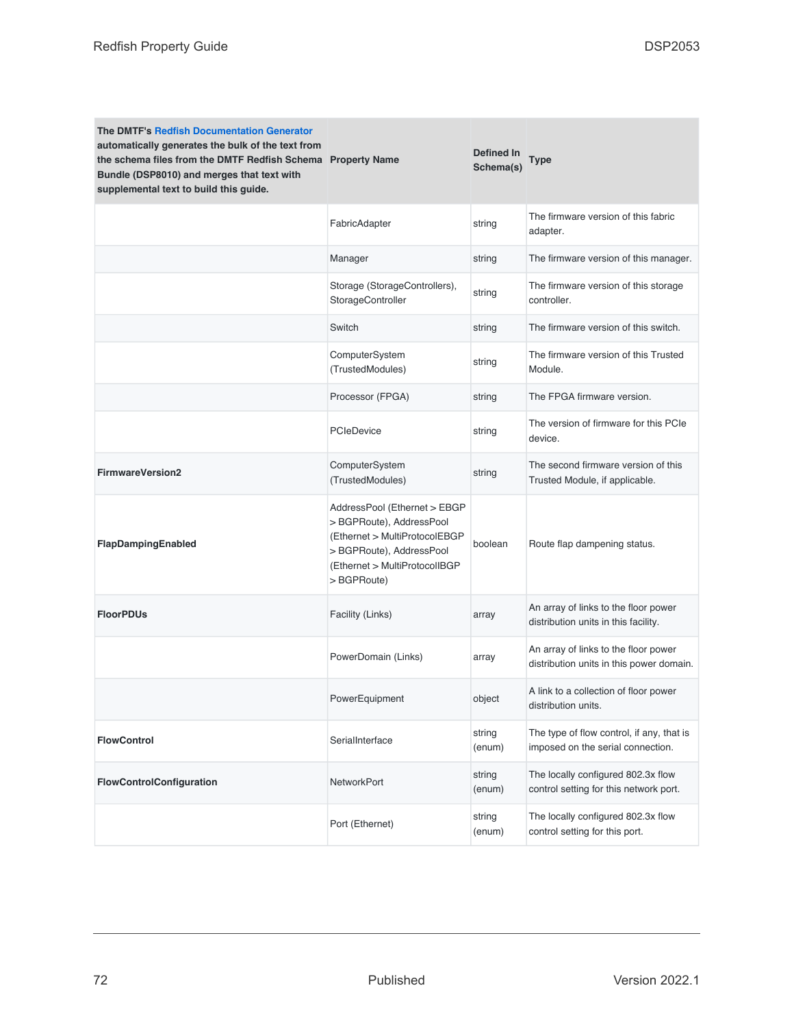| <b>The DMTF's Redfish Documentation Generator</b><br>automatically generates the bulk of the text from<br>the schema files from the DMTF Redfish Schema Property Name<br>Bundle (DSP8010) and merges that text with<br>supplemental text to build this guide. |                                                                                                                                                                       | Defined In<br>Schema(s) | Type                                                                             |
|---------------------------------------------------------------------------------------------------------------------------------------------------------------------------------------------------------------------------------------------------------------|-----------------------------------------------------------------------------------------------------------------------------------------------------------------------|-------------------------|----------------------------------------------------------------------------------|
|                                                                                                                                                                                                                                                               | FabricAdapter                                                                                                                                                         | string                  | The firmware version of this fabric<br>adapter.                                  |
|                                                                                                                                                                                                                                                               | Manager                                                                                                                                                               | string                  | The firmware version of this manager.                                            |
|                                                                                                                                                                                                                                                               | Storage (StorageControllers),<br>StorageController                                                                                                                    | string                  | The firmware version of this storage<br>controller.                              |
|                                                                                                                                                                                                                                                               | Switch                                                                                                                                                                | string                  | The firmware version of this switch.                                             |
|                                                                                                                                                                                                                                                               | ComputerSystem<br>(TrustedModules)                                                                                                                                    | string                  | The firmware version of this Trusted<br>Module.                                  |
|                                                                                                                                                                                                                                                               | Processor (FPGA)                                                                                                                                                      | string                  | The FPGA firmware version.                                                       |
|                                                                                                                                                                                                                                                               | <b>PCIeDevice</b>                                                                                                                                                     | string                  | The version of firmware for this PCIe<br>device.                                 |
| <b>FirmwareVersion2</b>                                                                                                                                                                                                                                       | ComputerSystem<br>(TrustedModules)                                                                                                                                    | string                  | The second firmware version of this<br>Trusted Module, if applicable.            |
| FlapDampingEnabled                                                                                                                                                                                                                                            | AddressPool (Ethernet > EBGP<br>> BGPRoute), AddressPool<br>(Ethernet > MultiProtocolEBGP<br>> BGPRoute), AddressPool<br>(Ethernet > MultiProtocolIBGP<br>> BGPRoute) | boolean                 | Route flap dampening status.                                                     |
| <b>FloorPDUs</b>                                                                                                                                                                                                                                              | Facility (Links)                                                                                                                                                      | array                   | An array of links to the floor power<br>distribution units in this facility.     |
|                                                                                                                                                                                                                                                               | PowerDomain (Links)                                                                                                                                                   | array                   | An array of links to the floor power<br>distribution units in this power domain. |
|                                                                                                                                                                                                                                                               | PowerEquipment                                                                                                                                                        | object                  | A link to a collection of floor power<br>distribution units.                     |
| <b>FlowControl</b>                                                                                                                                                                                                                                            | SerialInterface                                                                                                                                                       | string<br>(enum)        | The type of flow control, if any, that is<br>imposed on the serial connection.   |
| FlowControlConfiguration                                                                                                                                                                                                                                      | NetworkPort                                                                                                                                                           | string<br>(enum)        | The locally configured 802.3x flow<br>control setting for this network port.     |
|                                                                                                                                                                                                                                                               | Port (Ethernet)                                                                                                                                                       | string<br>(enum)        | The locally configured 802.3x flow<br>control setting for this port.             |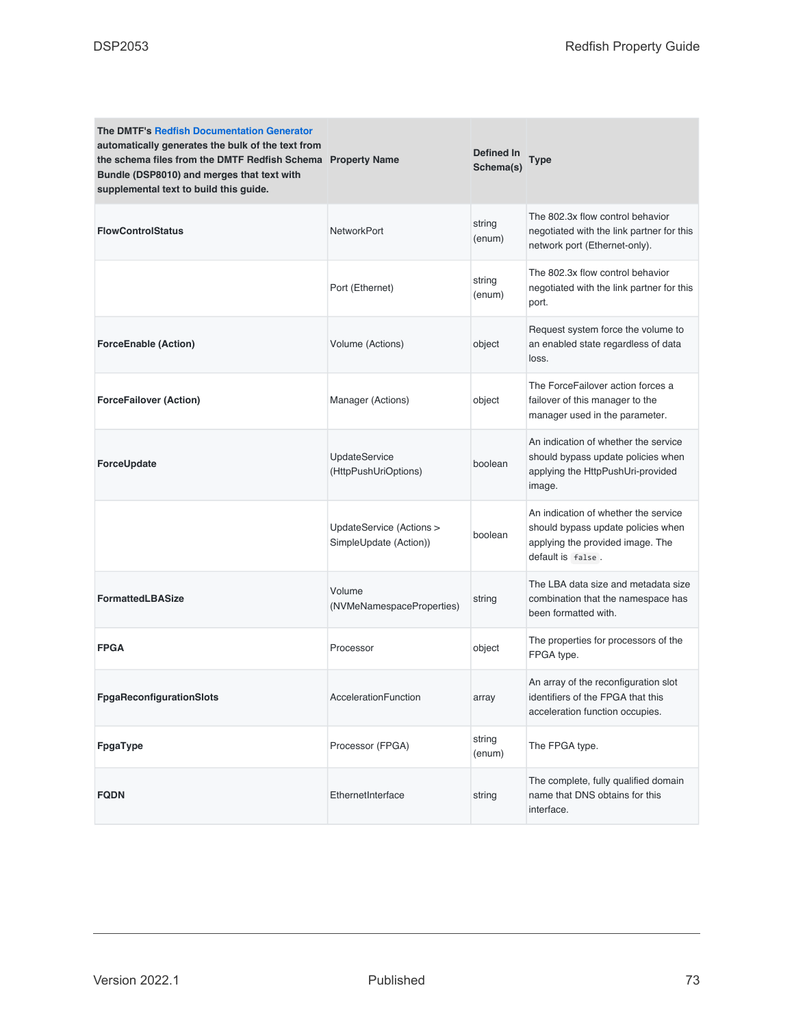| <b>The DMTF's Redfish Documentation Generator</b><br>automatically generates the bulk of the text from<br>the schema files from the DMTF Redfish Schema Property Name<br>Bundle (DSP8010) and merges that text with<br>supplemental text to build this guide. |                                                    | Defined In<br>Schema(s) | <b>Type</b>                                                                                                                         |
|---------------------------------------------------------------------------------------------------------------------------------------------------------------------------------------------------------------------------------------------------------------|----------------------------------------------------|-------------------------|-------------------------------------------------------------------------------------------------------------------------------------|
| <b>FlowControlStatus</b>                                                                                                                                                                                                                                      | <b>NetworkPort</b>                                 | string<br>(enum)        | The 802.3x flow control behavior<br>negotiated with the link partner for this<br>network port (Ethernet-only).                      |
|                                                                                                                                                                                                                                                               | Port (Ethernet)                                    | string<br>(enum)        | The 802.3x flow control behavior<br>negotiated with the link partner for this<br>port.                                              |
| <b>ForceEnable (Action)</b>                                                                                                                                                                                                                                   | Volume (Actions)                                   | object                  | Request system force the volume to<br>an enabled state regardless of data<br>loss.                                                  |
| <b>ForceFailover (Action)</b>                                                                                                                                                                                                                                 | Manager (Actions)                                  | object                  | The ForceFailover action forces a<br>failover of this manager to the<br>manager used in the parameter.                              |
| ForceUpdate                                                                                                                                                                                                                                                   | <b>UpdateService</b><br>(HttpPushUriOptions)       | boolean                 | An indication of whether the service<br>should bypass update policies when<br>applying the HttpPushUri-provided<br>image.           |
|                                                                                                                                                                                                                                                               | UpdateService (Actions ><br>SimpleUpdate (Action)) | boolean                 | An indication of whether the service<br>should bypass update policies when<br>applying the provided image. The<br>default is false. |
| <b>FormattedLBASize</b>                                                                                                                                                                                                                                       | Volume<br>(NVMeNamespaceProperties)                | string                  | The LBA data size and metadata size<br>combination that the namespace has<br>been formatted with.                                   |
| <b>FPGA</b>                                                                                                                                                                                                                                                   | Processor                                          | object                  | The properties for processors of the<br>FPGA type.                                                                                  |
| <b>FpgaReconfigurationSlots</b>                                                                                                                                                                                                                               | AccelerationFunction                               | array                   | An array of the reconfiguration slot<br>identifiers of the FPGA that this<br>acceleration function occupies.                        |
| FpgaType                                                                                                                                                                                                                                                      | Processor (FPGA)                                   | string<br>(enum)        | The FPGA type.                                                                                                                      |
| <b>FQDN</b>                                                                                                                                                                                                                                                   | EthernetInterface                                  | string                  | The complete, fully qualified domain<br>name that DNS obtains for this<br>interface.                                                |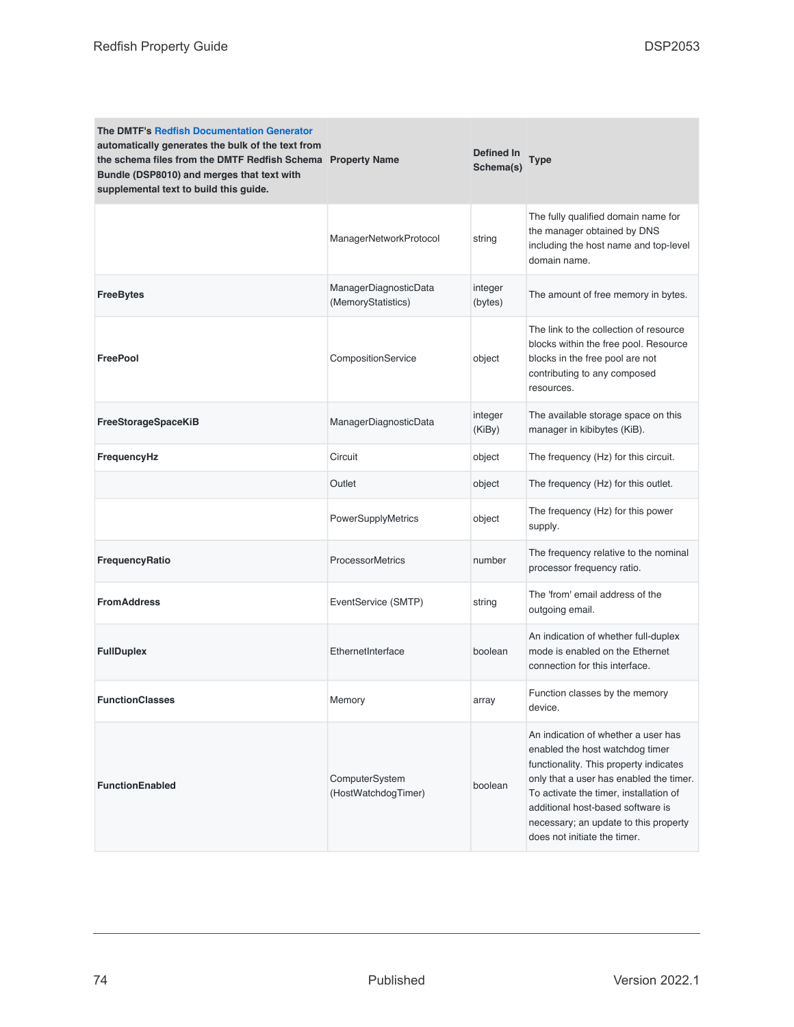| <b>The DMTF's Redfish Documentation Generator</b><br>automatically generates the bulk of the text from<br>the schema files from the DMTF Redfish Schema Property Name<br>Bundle (DSP8010) and merges that text with<br>supplemental text to build this guide. |                                             | Defined In<br>Schema(s) | <b>Type</b>                                                                                                                                                                                                                                                                                                         |
|---------------------------------------------------------------------------------------------------------------------------------------------------------------------------------------------------------------------------------------------------------------|---------------------------------------------|-------------------------|---------------------------------------------------------------------------------------------------------------------------------------------------------------------------------------------------------------------------------------------------------------------------------------------------------------------|
|                                                                                                                                                                                                                                                               | ManagerNetworkProtocol                      | string                  | The fully qualified domain name for<br>the manager obtained by DNS<br>including the host name and top-level<br>domain name.                                                                                                                                                                                         |
| <b>FreeBytes</b>                                                                                                                                                                                                                                              | ManagerDiagnosticData<br>(MemoryStatistics) | integer<br>(bytes)      | The amount of free memory in bytes.                                                                                                                                                                                                                                                                                 |
| <b>FreePool</b>                                                                                                                                                                                                                                               | CompositionService                          | object                  | The link to the collection of resource<br>blocks within the free pool. Resource<br>blocks in the free pool are not<br>contributing to any composed<br>resources.                                                                                                                                                    |
| FreeStorageSpaceKiB                                                                                                                                                                                                                                           | ManagerDiagnosticData                       | integer<br>(KiBy)       | The available storage space on this<br>manager in kibibytes (KiB).                                                                                                                                                                                                                                                  |
| FrequencyHz                                                                                                                                                                                                                                                   | Circuit                                     | object                  | The frequency (Hz) for this circuit.                                                                                                                                                                                                                                                                                |
|                                                                                                                                                                                                                                                               | Outlet                                      | object                  | The frequency (Hz) for this outlet.                                                                                                                                                                                                                                                                                 |
|                                                                                                                                                                                                                                                               | PowerSupplyMetrics                          | object                  | The frequency (Hz) for this power<br>supply.                                                                                                                                                                                                                                                                        |
| FrequencyRatio                                                                                                                                                                                                                                                | <b>ProcessorMetrics</b>                     | number                  | The frequency relative to the nominal<br>processor frequency ratio.                                                                                                                                                                                                                                                 |
| <b>FromAddress</b>                                                                                                                                                                                                                                            | EventService (SMTP)                         | string                  | The 'from' email address of the<br>outgoing email.                                                                                                                                                                                                                                                                  |
| <b>FullDuplex</b>                                                                                                                                                                                                                                             | EthernetInterface                           | boolean                 | An indication of whether full-duplex<br>mode is enabled on the Ethernet<br>connection for this interface.                                                                                                                                                                                                           |
| <b>FunctionClasses</b>                                                                                                                                                                                                                                        | Memory                                      | array                   | Function classes by the memory<br>device.                                                                                                                                                                                                                                                                           |
| <b>FunctionEnabled</b>                                                                                                                                                                                                                                        | ComputerSystem<br>(HostWatchdogTimer)       | boolean                 | An indication of whether a user has<br>enabled the host watchdog timer<br>functionality. This property indicates<br>only that a user has enabled the timer.<br>To activate the timer, installation of<br>additional host-based software is<br>necessary; an update to this property<br>does not initiate the timer. |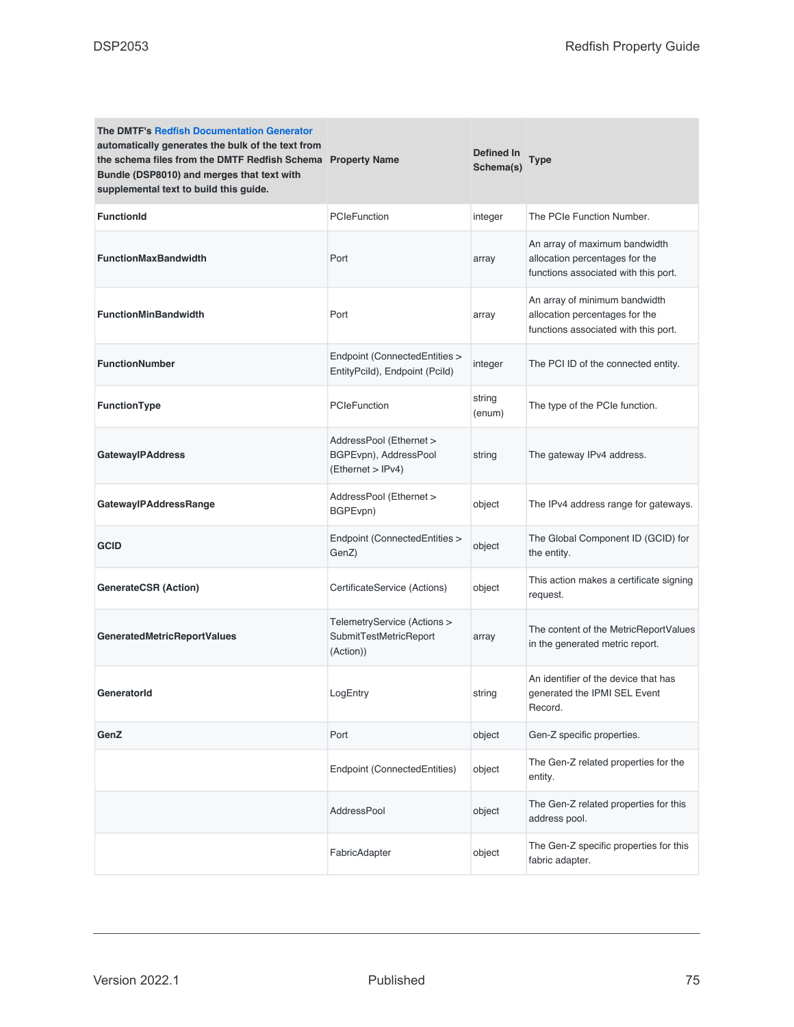| <b>The DMTF's Redfish Documentation Generator</b><br>automatically generates the bulk of the text from<br>the schema files from the DMTF Redfish Schema Property Name<br>Bundle (DSP8010) and merges that text with<br>supplemental text to build this guide. |                                                                       | Defined In<br>Schema(s) | Type                                                                                                    |
|---------------------------------------------------------------------------------------------------------------------------------------------------------------------------------------------------------------------------------------------------------------|-----------------------------------------------------------------------|-------------------------|---------------------------------------------------------------------------------------------------------|
| <b>FunctionId</b>                                                                                                                                                                                                                                             | PCIeFunction                                                          | integer                 | The PCIe Function Number.                                                                               |
| <b>FunctionMaxBandwidth</b>                                                                                                                                                                                                                                   | Port                                                                  | array                   | An array of maximum bandwidth<br>allocation percentages for the<br>functions associated with this port. |
| <b>FunctionMinBandwidth</b>                                                                                                                                                                                                                                   | Port                                                                  | array                   | An array of minimum bandwidth<br>allocation percentages for the<br>functions associated with this port. |
| <b>FunctionNumber</b>                                                                                                                                                                                                                                         | Endpoint (ConnectedEntities ><br>EntityPcild), Endpoint (Pcild)       | integer                 | The PCI ID of the connected entity.                                                                     |
| FunctionType                                                                                                                                                                                                                                                  | PCIeFunction                                                          | string<br>(enum)        | The type of the PCIe function.                                                                          |
| <b>GatewayIPAddress</b>                                                                                                                                                                                                                                       | AddressPool (Ethernet ><br>BGPEvpn), AddressPool<br>(Ethernet > IPv4) | string                  | The gateway IPv4 address.                                                                               |
| GatewaylPAddressRange                                                                                                                                                                                                                                         | AddressPool (Ethernet ><br>BGPEvpn)                                   | object                  | The IPv4 address range for gateways.                                                                    |
| <b>GCID</b>                                                                                                                                                                                                                                                   | Endpoint (ConnectedEntities ><br>GenZ)                                | object                  | The Global Component ID (GCID) for<br>the entity.                                                       |
| <b>GenerateCSR (Action)</b>                                                                                                                                                                                                                                   | CertificateService (Actions)                                          | object                  | This action makes a certificate signing<br>request.                                                     |
| <b>GeneratedMetricReportValues</b>                                                                                                                                                                                                                            | TelemetryService (Actions ><br>SubmitTestMetricReport<br>(Action))    | array                   | The content of the MetricReportValues<br>in the generated metric report.                                |
| GeneratorId                                                                                                                                                                                                                                                   | LogEntry                                                              | string                  | An identifier of the device that has<br>generated the IPMI SEL Event<br>Record.                         |
| GenZ                                                                                                                                                                                                                                                          | Port                                                                  | object                  | Gen-Z specific properties.                                                                              |
|                                                                                                                                                                                                                                                               | Endpoint (ConnectedEntities)                                          | object                  | The Gen-Z related properties for the<br>entity.                                                         |
|                                                                                                                                                                                                                                                               | AddressPool                                                           | object                  | The Gen-Z related properties for this<br>address pool.                                                  |
|                                                                                                                                                                                                                                                               | FabricAdapter                                                         | object                  | The Gen-Z specific properties for this<br>fabric adapter.                                               |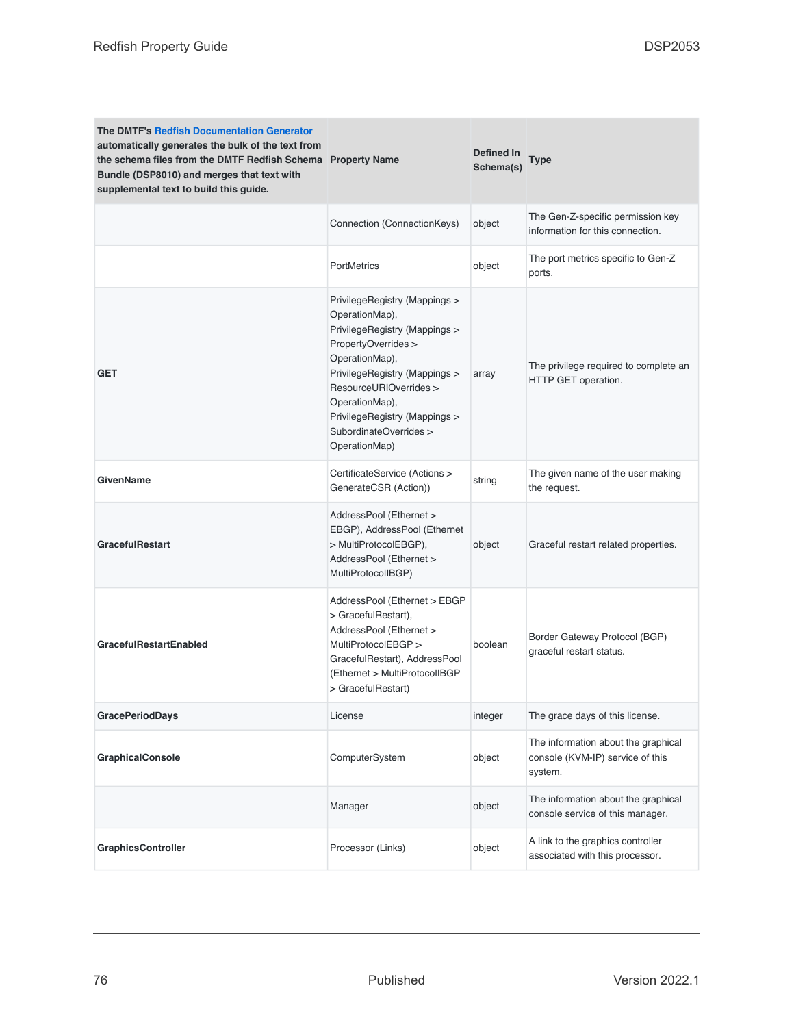| <b>The DMTF's Redfish Documentation Generator</b><br>automatically generates the bulk of the text from<br>the schema files from the DMTF Redfish Schema Property Name<br>Bundle (DSP8010) and merges that text with<br>supplemental text to build this guide. |                                                                                                                                                                                                                                                                                    | Defined In<br>Schema(s) | Type                                                                               |
|---------------------------------------------------------------------------------------------------------------------------------------------------------------------------------------------------------------------------------------------------------------|------------------------------------------------------------------------------------------------------------------------------------------------------------------------------------------------------------------------------------------------------------------------------------|-------------------------|------------------------------------------------------------------------------------|
|                                                                                                                                                                                                                                                               | Connection (ConnectionKeys)                                                                                                                                                                                                                                                        | object                  | The Gen-Z-specific permission key<br>information for this connection.              |
|                                                                                                                                                                                                                                                               | <b>PortMetrics</b>                                                                                                                                                                                                                                                                 | object                  | The port metrics specific to Gen-Z<br>ports.                                       |
| <b>GET</b>                                                                                                                                                                                                                                                    | PrivilegeRegistry (Mappings ><br>OperationMap),<br>PrivilegeRegistry (Mappings ><br>PropertyOverrides ><br>OperationMap),<br>PrivilegeRegistry (Mappings ><br>ResourceURIOverrides ><br>OperationMap),<br>PrivilegeRegistry (Mappings ><br>SubordinateOverrides ><br>OperationMap) | array                   | The privilege required to complete an<br>HTTP GET operation.                       |
| <b>GivenName</b>                                                                                                                                                                                                                                              | CertificateService (Actions ><br>GenerateCSR (Action))                                                                                                                                                                                                                             | string                  | The given name of the user making<br>the request.                                  |
| <b>GracefulRestart</b>                                                                                                                                                                                                                                        | AddressPool (Ethernet ><br>EBGP), AddressPool (Ethernet<br>> MultiProtocolEBGP),<br>AddressPool (Ethernet ><br>MultiProtocolIBGP)                                                                                                                                                  | object                  | Graceful restart related properties.                                               |
| <b>GracefulRestartEnabled</b>                                                                                                                                                                                                                                 | AddressPool (Ethernet > EBGP<br>> GracefulRestart),<br>AddressPool (Ethernet ><br>MultiProtocolEBGP ><br>GracefulRestart), AddressPool<br>(Ethernet > MultiProtocolIBGP<br>> GracefulRestart)                                                                                      | boolean                 | Border Gateway Protocol (BGP)<br>graceful restart status.                          |
| <b>GracePeriodDays</b>                                                                                                                                                                                                                                        | License                                                                                                                                                                                                                                                                            | integer                 | The grace days of this license.                                                    |
| <b>GraphicalConsole</b>                                                                                                                                                                                                                                       | ComputerSystem                                                                                                                                                                                                                                                                     | object                  | The information about the graphical<br>console (KVM-IP) service of this<br>system. |
|                                                                                                                                                                                                                                                               | Manager                                                                                                                                                                                                                                                                            | object                  | The information about the graphical<br>console service of this manager.            |
| <b>GraphicsController</b>                                                                                                                                                                                                                                     | Processor (Links)                                                                                                                                                                                                                                                                  | object                  | A link to the graphics controller<br>associated with this processor.               |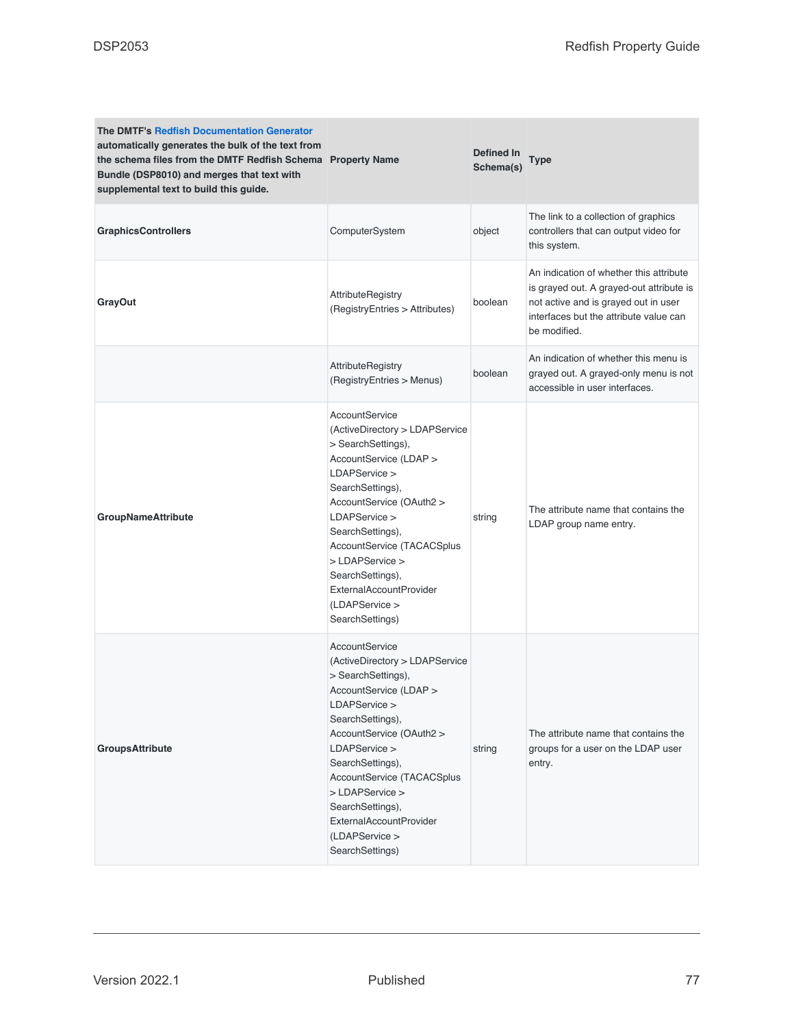| <b>The DMTF's Redfish Documentation Generator</b><br>automatically generates the bulk of the text from<br>the schema files from the DMTF Redfish Schema Property Name<br>Bundle (DSP8010) and merges that text with<br>supplemental text to build this guide. |                                                                                                                                                                                                                                                                                                                                             | Defined In<br>Schema(s) | <b>Type</b>                                                                                                                                                                           |
|---------------------------------------------------------------------------------------------------------------------------------------------------------------------------------------------------------------------------------------------------------------|---------------------------------------------------------------------------------------------------------------------------------------------------------------------------------------------------------------------------------------------------------------------------------------------------------------------------------------------|-------------------------|---------------------------------------------------------------------------------------------------------------------------------------------------------------------------------------|
| <b>GraphicsControllers</b>                                                                                                                                                                                                                                    | ComputerSystem                                                                                                                                                                                                                                                                                                                              | object                  | The link to a collection of graphics<br>controllers that can output video for<br>this system.                                                                                         |
| <b>GrayOut</b>                                                                                                                                                                                                                                                | <b>AttributeRegistry</b><br>(RegistryEntries > Attributes)                                                                                                                                                                                                                                                                                  | boolean                 | An indication of whether this attribute<br>is grayed out. A grayed-out attribute is<br>not active and is grayed out in user<br>interfaces but the attribute value can<br>be modified. |
|                                                                                                                                                                                                                                                               | <b>AttributeRegistry</b><br>(RegistryEntries > Menus)                                                                                                                                                                                                                                                                                       | boolean                 | An indication of whether this menu is<br>grayed out. A grayed-only menu is not<br>accessible in user interfaces.                                                                      |
| <b>GroupNameAttribute</b>                                                                                                                                                                                                                                     | AccountService<br>(ActiveDirectory > LDAPService<br>> SearchSettings),<br>AccountService (LDAP ><br>LDAPService ><br>SearchSettings),<br>AccountService (OAuth2 ><br>LDAPService ><br>SearchSettings),<br>AccountService (TACACSplus<br>> LDAPService ><br>SearchSettings),<br>ExternalAccountProvider<br>(LDAPService ><br>SearchSettings) | string                  | The attribute name that contains the<br>LDAP group name entry.                                                                                                                        |
| <b>GroupsAttribute</b>                                                                                                                                                                                                                                        | AccountService<br>(ActiveDirectory > LDAPService<br>> SearchSettings),<br>AccountService (LDAP ><br>LDAPService ><br>SearchSettings),<br>AccountService (OAuth2 ><br>LDAPService ><br>SearchSettings),<br>AccountService (TACACSplus<br>> LDAPService ><br>SearchSettings),<br>ExternalAccountProvider<br>(LDAPService ><br>SearchSettings) | string                  | The attribute name that contains the<br>groups for a user on the LDAP user<br>entry.                                                                                                  |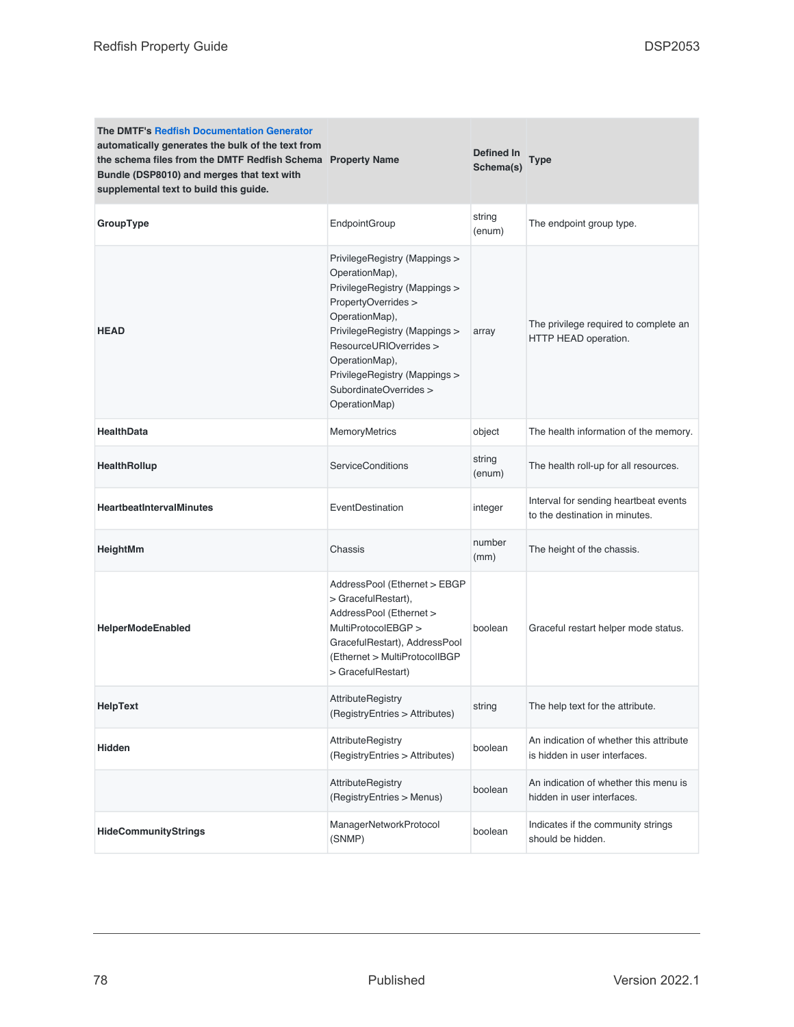| <b>The DMTF's Redfish Documentation Generator</b><br>automatically generates the bulk of the text from<br>the schema files from the DMTF Redfish Schema Property Name<br>Bundle (DSP8010) and merges that text with<br>supplemental text to build this guide. |                                                                                                                                                                                                                                                                                    | Defined In<br>Schema(s) | <b>Type</b>                                                              |
|---------------------------------------------------------------------------------------------------------------------------------------------------------------------------------------------------------------------------------------------------------------|------------------------------------------------------------------------------------------------------------------------------------------------------------------------------------------------------------------------------------------------------------------------------------|-------------------------|--------------------------------------------------------------------------|
| GroupType                                                                                                                                                                                                                                                     | EndpointGroup                                                                                                                                                                                                                                                                      | string<br>(enum)        | The endpoint group type.                                                 |
| <b>HEAD</b>                                                                                                                                                                                                                                                   | PrivilegeRegistry (Mappings ><br>OperationMap),<br>PrivilegeRegistry (Mappings ><br>PropertyOverrides ><br>OperationMap),<br>PrivilegeRegistry (Mappings ><br>ResourceURIOverrides ><br>OperationMap),<br>PrivilegeRegistry (Mappings ><br>SubordinateOverrides ><br>OperationMap) | array                   | The privilege required to complete an<br>HTTP HEAD operation.            |
| <b>HealthData</b>                                                                                                                                                                                                                                             | MemoryMetrics                                                                                                                                                                                                                                                                      | object                  | The health information of the memory.                                    |
| HealthRollup                                                                                                                                                                                                                                                  | <b>ServiceConditions</b>                                                                                                                                                                                                                                                           | string<br>(enum)        | The health roll-up for all resources.                                    |
| <b>HeartbeatIntervalMinutes</b>                                                                                                                                                                                                                               | EventDestination                                                                                                                                                                                                                                                                   | integer                 | Interval for sending heartbeat events<br>to the destination in minutes.  |
| HeightMm                                                                                                                                                                                                                                                      | Chassis                                                                                                                                                                                                                                                                            | number<br>(mm)          | The height of the chassis.                                               |
| <b>HelperModeEnabled</b>                                                                                                                                                                                                                                      | AddressPool (Ethernet > EBGP<br>> GracefulRestart),<br>AddressPool (Ethernet ><br>MultiProtocolEBGP ><br>GracefulRestart), AddressPool<br>(Ethernet > MultiProtocolIBGP)<br>> GracefulRestart)                                                                                     | boolean                 | Graceful restart helper mode status.                                     |
| HelpText                                                                                                                                                                                                                                                      | <b>AttributeRegistry</b><br>(RegistryEntries > Attributes)                                                                                                                                                                                                                         | string                  | The help text for the attribute.                                         |
| Hidden                                                                                                                                                                                                                                                        | <b>AttributeRegistry</b><br>(RegistryEntries > Attributes)                                                                                                                                                                                                                         | boolean                 | An indication of whether this attribute<br>is hidden in user interfaces. |
|                                                                                                                                                                                                                                                               | AttributeRegistry<br>(RegistryEntries > Menus)                                                                                                                                                                                                                                     | boolean                 | An indication of whether this menu is<br>hidden in user interfaces.      |
| <b>HideCommunityStrings</b>                                                                                                                                                                                                                                   | ManagerNetworkProtocol<br>(SNMP)                                                                                                                                                                                                                                                   | boolean                 | Indicates if the community strings<br>should be hidden.                  |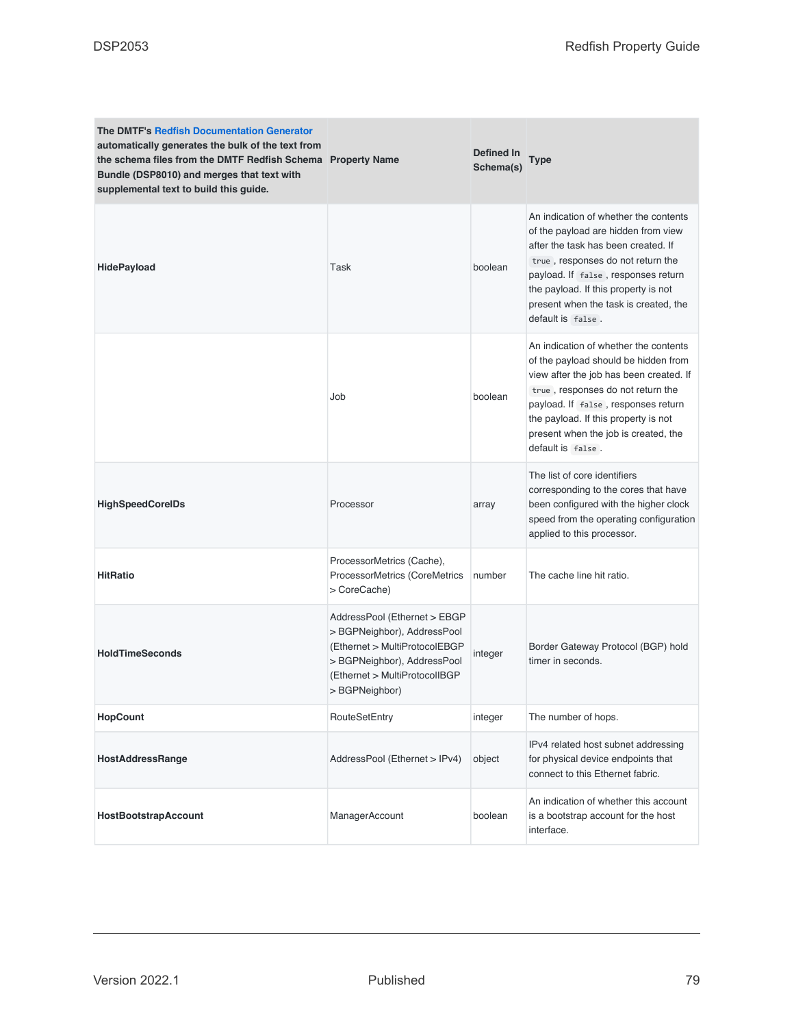| <b>The DMTF's Redfish Documentation Generator</b><br>automatically generates the bulk of the text from<br>the schema files from the DMTF Redfish Schema Property Name<br>Bundle (DSP8010) and merges that text with<br>supplemental text to build this guide. |                                                                                                                                                                                | Defined In<br>Schema(s) | Type                                                                                                                                                                                                                                                                                                      |
|---------------------------------------------------------------------------------------------------------------------------------------------------------------------------------------------------------------------------------------------------------------|--------------------------------------------------------------------------------------------------------------------------------------------------------------------------------|-------------------------|-----------------------------------------------------------------------------------------------------------------------------------------------------------------------------------------------------------------------------------------------------------------------------------------------------------|
| <b>HidePayload</b>                                                                                                                                                                                                                                            | Task                                                                                                                                                                           | boolean                 | An indication of whether the contents<br>of the payload are hidden from view<br>after the task has been created. If<br>true, responses do not return the<br>payload. If false, responses return<br>the payload. If this property is not<br>present when the task is created, the<br>default is false.     |
|                                                                                                                                                                                                                                                               | Job                                                                                                                                                                            | boolean                 | An indication of whether the contents<br>of the payload should be hidden from<br>view after the job has been created. If<br>true, responses do not return the<br>payload. If false, responses return<br>the payload. If this property is not<br>present when the job is created, the<br>default is false. |
| <b>HighSpeedCorelDs</b>                                                                                                                                                                                                                                       | Processor                                                                                                                                                                      | array                   | The list of core identifiers<br>corresponding to the cores that have<br>been configured with the higher clock<br>speed from the operating configuration<br>applied to this processor.                                                                                                                     |
| <b>HitRatio</b>                                                                                                                                                                                                                                               | ProcessorMetrics (Cache),<br>ProcessorMetrics (CoreMetrics<br>> CoreCache)                                                                                                     | number                  | The cache line hit ratio.                                                                                                                                                                                                                                                                                 |
| <b>HoldTimeSeconds</b>                                                                                                                                                                                                                                        | AddressPool (Ethernet > EBGP<br>> BGPNeighbor), AddressPool<br>(Ethernet > MultiProtocolEBGP<br>> BGPNeighbor), AddressPool<br>(Ethernet > MultiProtocolIBGP<br>> BGPNeighbor) | integer                 | Border Gateway Protocol (BGP) hold<br>timer in seconds.                                                                                                                                                                                                                                                   |
| <b>HopCount</b>                                                                                                                                                                                                                                               | RouteSetEntry                                                                                                                                                                  | integer                 | The number of hops.                                                                                                                                                                                                                                                                                       |
| <b>HostAddressRange</b>                                                                                                                                                                                                                                       | AddressPool (Ethernet > IPv4)                                                                                                                                                  | object                  | IPv4 related host subnet addressing<br>for physical device endpoints that<br>connect to this Ethernet fabric.                                                                                                                                                                                             |
| HostBootstrapAccount                                                                                                                                                                                                                                          | ManagerAccount                                                                                                                                                                 | boolean                 | An indication of whether this account<br>is a bootstrap account for the host<br>interface.                                                                                                                                                                                                                |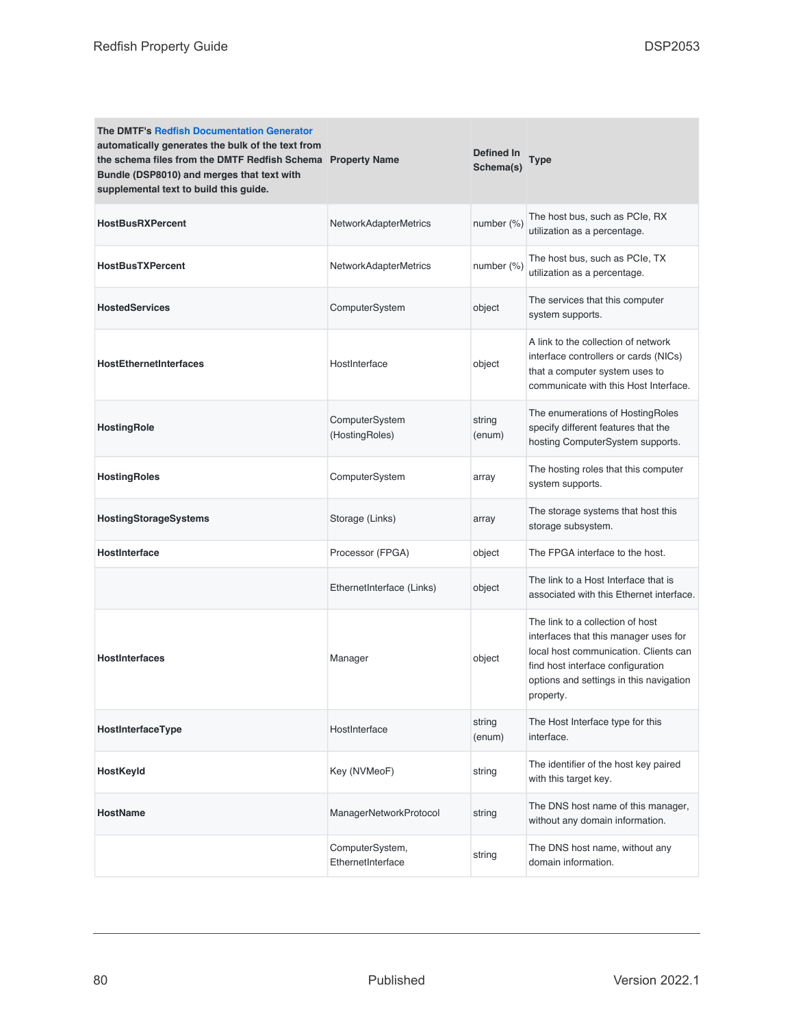| <b>The DMTF's Redfish Documentation Generator</b><br>automatically generates the bulk of the text from<br>the schema files from the DMTF Redfish Schema Property Name<br>Bundle (DSP8010) and merges that text with<br>supplemental text to build this guide. |                                      | Defined In<br>Schema(s) | Type                                                                                                                                                                                                            |
|---------------------------------------------------------------------------------------------------------------------------------------------------------------------------------------------------------------------------------------------------------------|--------------------------------------|-------------------------|-----------------------------------------------------------------------------------------------------------------------------------------------------------------------------------------------------------------|
| <b>HostBusRXPercent</b>                                                                                                                                                                                                                                       | <b>NetworkAdapterMetrics</b>         | number (%)              | The host bus, such as PCIe, RX<br>utilization as a percentage.                                                                                                                                                  |
| <b>HostBusTXPercent</b>                                                                                                                                                                                                                                       | <b>NetworkAdapterMetrics</b>         | number (%)              | The host bus, such as PCIe, TX<br>utilization as a percentage.                                                                                                                                                  |
| <b>HostedServices</b>                                                                                                                                                                                                                                         | ComputerSystem                       | object                  | The services that this computer<br>system supports.                                                                                                                                                             |
| <b>HostEthernetInterfaces</b>                                                                                                                                                                                                                                 | HostInterface                        | object                  | A link to the collection of network<br>interface controllers or cards (NICs)<br>that a computer system uses to<br>communicate with this Host Interface.                                                         |
| HostingRole                                                                                                                                                                                                                                                   | ComputerSystem<br>(HostingRoles)     | string<br>(enum)        | The enumerations of HostingRoles<br>specify different features that the<br>hosting ComputerSystem supports.                                                                                                     |
| <b>HostingRoles</b>                                                                                                                                                                                                                                           | ComputerSystem                       | array                   | The hosting roles that this computer<br>system supports.                                                                                                                                                        |
| <b>HostingStorageSystems</b>                                                                                                                                                                                                                                  | Storage (Links)                      | array                   | The storage systems that host this<br>storage subsystem.                                                                                                                                                        |
| HostInterface                                                                                                                                                                                                                                                 | Processor (FPGA)                     | object                  | The FPGA interface to the host.                                                                                                                                                                                 |
|                                                                                                                                                                                                                                                               | EthernetInterface (Links)            | object                  | The link to a Host Interface that is<br>associated with this Ethernet interface.                                                                                                                                |
| <b>HostInterfaces</b>                                                                                                                                                                                                                                         | Manager                              | object                  | The link to a collection of host<br>interfaces that this manager uses for<br>local host communication. Clients can<br>find host interface configuration<br>options and settings in this navigation<br>property. |
| <b>HostInterfaceType</b>                                                                                                                                                                                                                                      | HostInterface                        | string<br>(enum)        | The Host Interface type for this<br>interface.                                                                                                                                                                  |
| HostKeyId                                                                                                                                                                                                                                                     | Key (NVMeoF)                         | string                  | The identifier of the host key paired<br>with this target key.                                                                                                                                                  |
| HostName                                                                                                                                                                                                                                                      | ManagerNetworkProtocol               | string                  | The DNS host name of this manager,<br>without any domain information.                                                                                                                                           |
|                                                                                                                                                                                                                                                               | ComputerSystem,<br>EthernetInterface | string                  | The DNS host name, without any<br>domain information.                                                                                                                                                           |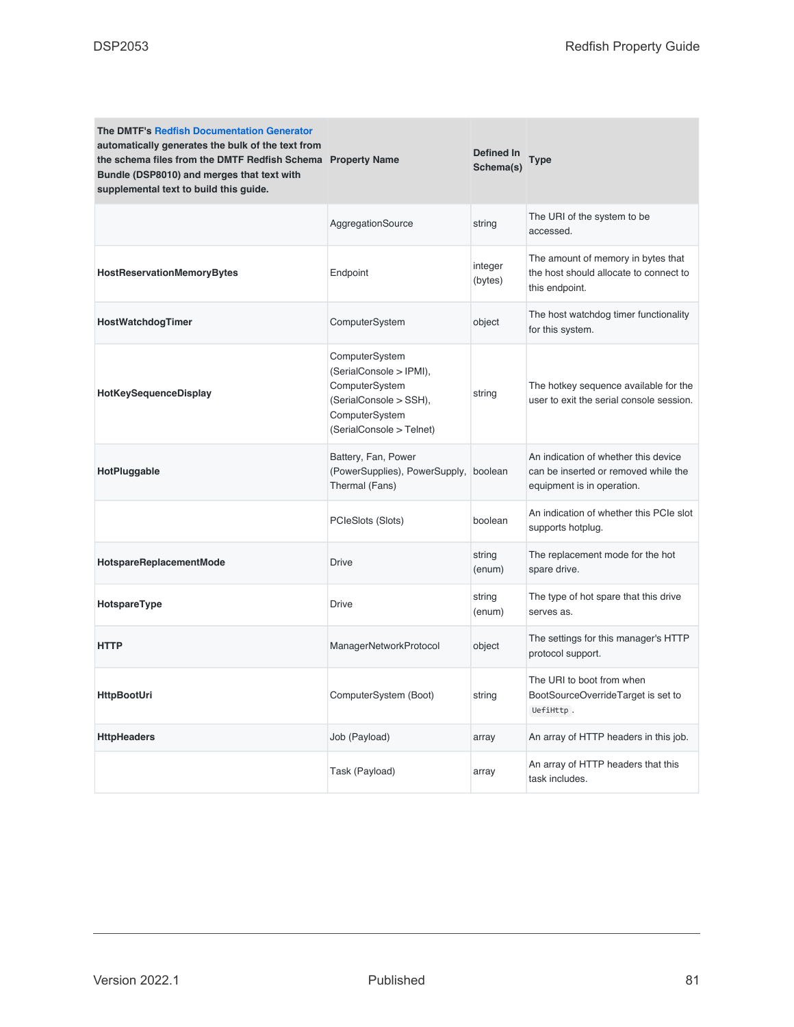| <b>The DMTF's Redfish Documentation Generator</b><br>automatically generates the bulk of the text from<br>the schema files from the DMTF Redfish Schema Property Name<br>Bundle (DSP8010) and merges that text with<br>supplemental text to build this guide. |                                                                                                                                     | Defined In<br>Schema(s) | Type                                                                                                       |
|---------------------------------------------------------------------------------------------------------------------------------------------------------------------------------------------------------------------------------------------------------------|-------------------------------------------------------------------------------------------------------------------------------------|-------------------------|------------------------------------------------------------------------------------------------------------|
|                                                                                                                                                                                                                                                               | AggregationSource                                                                                                                   | string                  | The URI of the system to be<br>accessed.                                                                   |
| HostReservationMemoryBytes                                                                                                                                                                                                                                    | Endpoint                                                                                                                            | integer<br>(bytes)      | The amount of memory in bytes that<br>the host should allocate to connect to<br>this endpoint.             |
| <b>HostWatchdogTimer</b>                                                                                                                                                                                                                                      | ComputerSystem                                                                                                                      | object                  | The host watchdog timer functionality<br>for this system.                                                  |
| HotKeySequenceDisplay                                                                                                                                                                                                                                         | ComputerSystem<br>(SerialConsole > IPMI),<br>ComputerSystem<br>(SerialConsole > SSH),<br>ComputerSystem<br>(SerialConsole > Telnet) | string                  | The hotkey sequence available for the<br>user to exit the serial console session.                          |
| HotPluggable                                                                                                                                                                                                                                                  | Battery, Fan, Power<br>(PowerSupplies), PowerSupply,<br>Thermal (Fans)                                                              | boolean                 | An indication of whether this device<br>can be inserted or removed while the<br>equipment is in operation. |
|                                                                                                                                                                                                                                                               | PCIeSlots (Slots)                                                                                                                   | boolean                 | An indication of whether this PCIe slot<br>supports hotplug.                                               |
| HotspareReplacementMode                                                                                                                                                                                                                                       | <b>Drive</b>                                                                                                                        | string<br>(enum)        | The replacement mode for the hot<br>spare drive.                                                           |
| HotspareType                                                                                                                                                                                                                                                  | <b>Drive</b>                                                                                                                        | string<br>(enum)        | The type of hot spare that this drive<br>serves as.                                                        |
| <b>HTTP</b>                                                                                                                                                                                                                                                   | ManagerNetworkProtocol                                                                                                              | object                  | The settings for this manager's HTTP<br>protocol support.                                                  |
| <b>HttpBootUri</b>                                                                                                                                                                                                                                            | ComputerSystem (Boot)                                                                                                               | string                  | The URI to boot from when<br>BootSourceOverrideTarget is set to<br>UefiHttp.                               |
| <b>HttpHeaders</b>                                                                                                                                                                                                                                            | Job (Payload)                                                                                                                       | array                   | An array of HTTP headers in this job.                                                                      |
|                                                                                                                                                                                                                                                               | Task (Payload)                                                                                                                      | array                   | An array of HTTP headers that this<br>task includes.                                                       |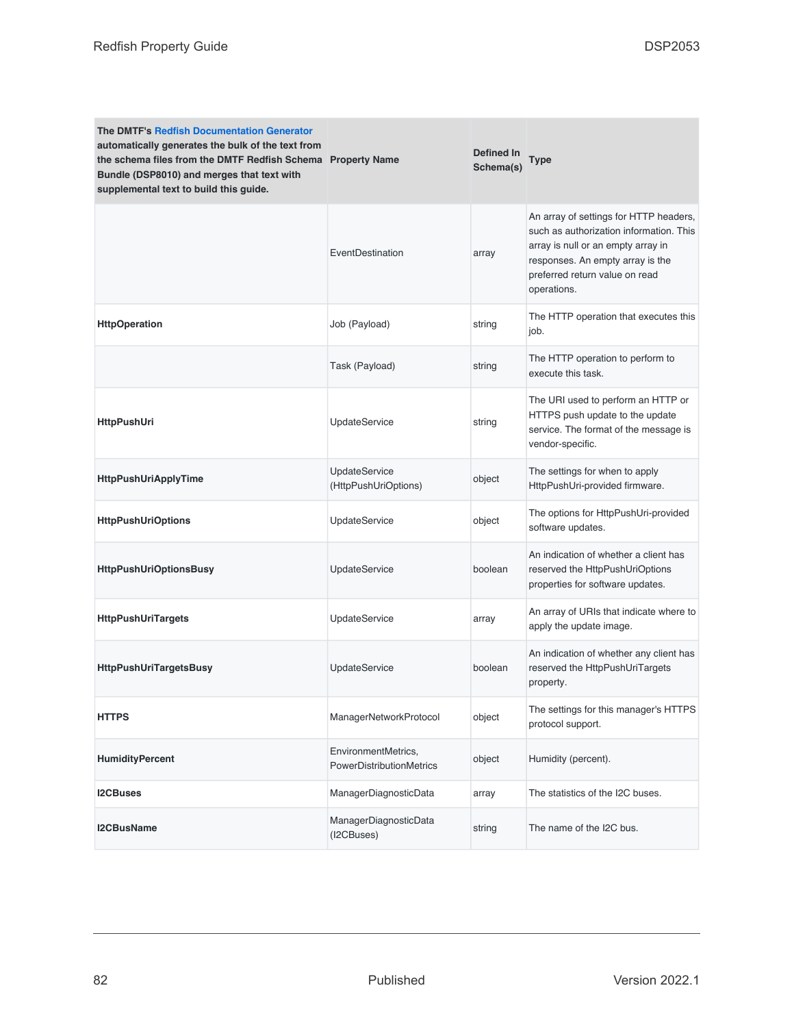| <b>The DMTF's Redfish Documentation Generator</b><br>automatically generates the bulk of the text from<br>the schema files from the DMTF Redfish Schema Property Name<br>Bundle (DSP8010) and merges that text with<br>supplemental text to build this guide. |                                                 | Defined In<br>Schema(s) | <b>Type</b>                                                                                                                                                                                                  |
|---------------------------------------------------------------------------------------------------------------------------------------------------------------------------------------------------------------------------------------------------------------|-------------------------------------------------|-------------------------|--------------------------------------------------------------------------------------------------------------------------------------------------------------------------------------------------------------|
|                                                                                                                                                                                                                                                               | EventDestination                                | array                   | An array of settings for HTTP headers,<br>such as authorization information. This<br>array is null or an empty array in<br>responses. An empty array is the<br>preferred return value on read<br>operations. |
| <b>HttpOperation</b>                                                                                                                                                                                                                                          | Job (Payload)                                   | string                  | The HTTP operation that executes this<br>job.                                                                                                                                                                |
|                                                                                                                                                                                                                                                               | Task (Payload)                                  | string                  | The HTTP operation to perform to<br>execute this task.                                                                                                                                                       |
| HttpPushUri                                                                                                                                                                                                                                                   | <b>UpdateService</b>                            | string                  | The URI used to perform an HTTP or<br>HTTPS push update to the update<br>service. The format of the message is<br>vendor-specific.                                                                           |
| <b>HttpPushUriApplyTime</b>                                                                                                                                                                                                                                   | <b>UpdateService</b><br>(HttpPushUriOptions)    | object                  | The settings for when to apply<br>HttpPushUri-provided firmware.                                                                                                                                             |
| <b>HttpPushUriOptions</b>                                                                                                                                                                                                                                     | <b>UpdateService</b>                            | object                  | The options for HttpPushUri-provided<br>software updates.                                                                                                                                                    |
| <b>HttpPushUriOptionsBusy</b>                                                                                                                                                                                                                                 | <b>UpdateService</b>                            | boolean                 | An indication of whether a client has<br>reserved the HttpPushUriOptions<br>properties for software updates.                                                                                                 |
| <b>HttpPushUriTargets</b>                                                                                                                                                                                                                                     | <b>UpdateService</b>                            | array                   | An array of URIs that indicate where to<br>apply the update image.                                                                                                                                           |
| <b>HttpPushUriTargetsBusy</b>                                                                                                                                                                                                                                 | <b>UpdateService</b>                            | boolean                 | An indication of whether any client has<br>reserved the HttpPushUriTargets<br>property.                                                                                                                      |
| <b>HTTPS</b>                                                                                                                                                                                                                                                  | ManagerNetworkProtocol                          | object                  | The settings for this manager's HTTPS<br>protocol support.                                                                                                                                                   |
| <b>HumidityPercent</b>                                                                                                                                                                                                                                        | EnvironmentMetrics,<br>PowerDistributionMetrics | object                  | Humidity (percent).                                                                                                                                                                                          |
| <b>I2CBuses</b>                                                                                                                                                                                                                                               | ManagerDiagnosticData                           | array                   | The statistics of the I2C buses.                                                                                                                                                                             |
| <b>I2CBusName</b>                                                                                                                                                                                                                                             | ManagerDiagnosticData<br>(I2CBuses)             | string                  | The name of the I2C bus.                                                                                                                                                                                     |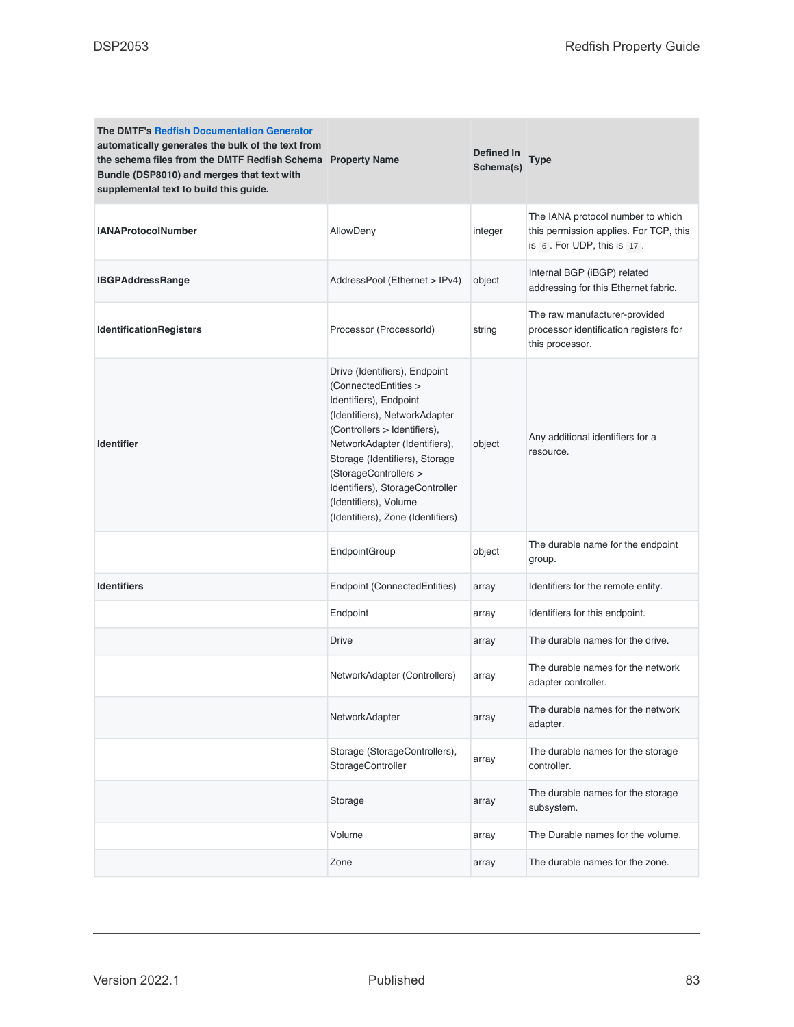| <b>The DMTF's Redfish Documentation Generator</b><br>automatically generates the bulk of the text from<br>the schema files from the DMTF Redfish Schema Property Name<br>Bundle (DSP8010) and merges that text with<br>supplemental text to build this guide. |                                                                                                                                                                                                                                                                                                                                               | Defined In<br>Schema(s) | Type                                                                                                      |
|---------------------------------------------------------------------------------------------------------------------------------------------------------------------------------------------------------------------------------------------------------------|-----------------------------------------------------------------------------------------------------------------------------------------------------------------------------------------------------------------------------------------------------------------------------------------------------------------------------------------------|-------------------------|-----------------------------------------------------------------------------------------------------------|
| <b>IANAProtocolNumber</b>                                                                                                                                                                                                                                     | AllowDeny                                                                                                                                                                                                                                                                                                                                     | integer                 | The IANA protocol number to which<br>this permission applies. For TCP, this<br>is 6. For UDP, this is 17. |
| <b>IBGPAddressRange</b>                                                                                                                                                                                                                                       | AddressPool (Ethernet > IPv4)                                                                                                                                                                                                                                                                                                                 | object                  | Internal BGP (iBGP) related<br>addressing for this Ethernet fabric.                                       |
| <b>IdentificationRegisters</b>                                                                                                                                                                                                                                | Processor (ProcessorId)                                                                                                                                                                                                                                                                                                                       | string                  | The raw manufacturer-provided<br>processor identification registers for<br>this processor.                |
| <b>Identifier</b>                                                                                                                                                                                                                                             | Drive (Identifiers), Endpoint<br>(ConnectedEntities ><br>Identifiers), Endpoint<br>(Identifiers), NetworkAdapter<br>(Controllers > Identifiers),<br>NetworkAdapter (Identifiers),<br>Storage (Identifiers), Storage<br>(StorageControllers ><br>Identifiers), StorageController<br>(Identifiers), Volume<br>(Identifiers), Zone (Identifiers) | object                  | Any additional identifiers for a<br>resource.                                                             |
|                                                                                                                                                                                                                                                               | EndpointGroup                                                                                                                                                                                                                                                                                                                                 | object                  | The durable name for the endpoint<br>group.                                                               |
| <b>Identifiers</b>                                                                                                                                                                                                                                            | Endpoint (ConnectedEntities)                                                                                                                                                                                                                                                                                                                  | array                   | Identifiers for the remote entity.                                                                        |
|                                                                                                                                                                                                                                                               | Endpoint                                                                                                                                                                                                                                                                                                                                      | array                   | Identifiers for this endpoint.                                                                            |
|                                                                                                                                                                                                                                                               | <b>Drive</b>                                                                                                                                                                                                                                                                                                                                  | array                   | The durable names for the drive.                                                                          |
|                                                                                                                                                                                                                                                               | NetworkAdapter (Controllers)                                                                                                                                                                                                                                                                                                                  | array                   | The durable names for the network<br>adapter controller.                                                  |
|                                                                                                                                                                                                                                                               | NetworkAdapter                                                                                                                                                                                                                                                                                                                                | array                   | The durable names for the network<br>adapter.                                                             |
|                                                                                                                                                                                                                                                               | Storage (StorageControllers),<br>StorageController                                                                                                                                                                                                                                                                                            | array                   | The durable names for the storage<br>controller.                                                          |
|                                                                                                                                                                                                                                                               | Storage                                                                                                                                                                                                                                                                                                                                       | array                   | The durable names for the storage<br>subsystem.                                                           |
|                                                                                                                                                                                                                                                               | Volume                                                                                                                                                                                                                                                                                                                                        | array                   | The Durable names for the volume.                                                                         |
|                                                                                                                                                                                                                                                               | Zone                                                                                                                                                                                                                                                                                                                                          | array                   | The durable names for the zone.                                                                           |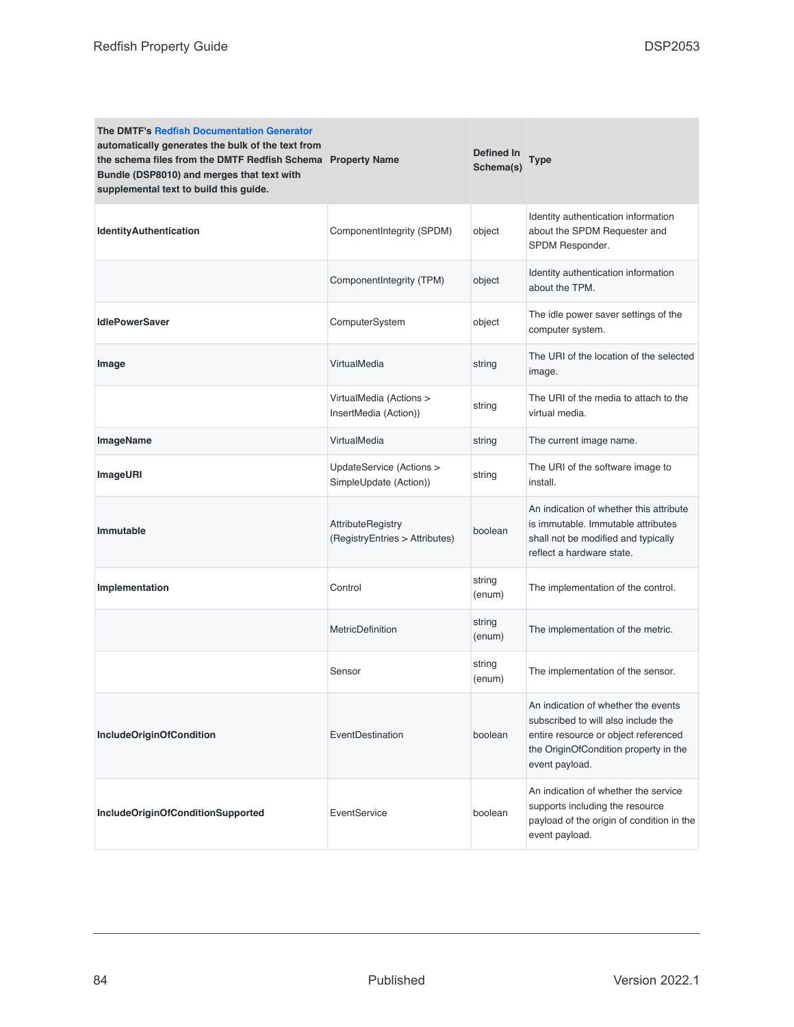| <b>The DMTF's Redfish Documentation Generator</b><br>automatically generates the bulk of the text from<br>the schema files from the DMTF Redfish Schema Property Name<br>Bundle (DSP8010) and merges that text with<br>supplemental text to build this guide. |                                                     | <b>Defined In</b><br>Schema(s) | Type                                                                                                                                                                          |
|---------------------------------------------------------------------------------------------------------------------------------------------------------------------------------------------------------------------------------------------------------------|-----------------------------------------------------|--------------------------------|-------------------------------------------------------------------------------------------------------------------------------------------------------------------------------|
| <b>IdentityAuthentication</b>                                                                                                                                                                                                                                 | ComponentIntegrity (SPDM)                           | object                         | Identity authentication information<br>about the SPDM Requester and<br>SPDM Responder.                                                                                        |
|                                                                                                                                                                                                                                                               | ComponentIntegrity (TPM)                            | object                         | Identity authentication information<br>about the TPM.                                                                                                                         |
| <b>IdlePowerSaver</b>                                                                                                                                                                                                                                         | ComputerSystem                                      | object                         | The idle power saver settings of the<br>computer system.                                                                                                                      |
| Image                                                                                                                                                                                                                                                         | VirtualMedia                                        | string                         | The URI of the location of the selected<br>image.                                                                                                                             |
|                                                                                                                                                                                                                                                               | VirtualMedia (Actions ><br>InsertMedia (Action))    | string                         | The URI of the media to attach to the<br>virtual media.                                                                                                                       |
| ImageName                                                                                                                                                                                                                                                     | VirtualMedia                                        | string                         | The current image name.                                                                                                                                                       |
| <b>ImageURI</b>                                                                                                                                                                                                                                               | UpdateService (Actions ><br>SimpleUpdate (Action))  | string                         | The URI of the software image to<br>install.                                                                                                                                  |
| Immutable                                                                                                                                                                                                                                                     | AttributeRegistry<br>(RegistryEntries > Attributes) | boolean                        | An indication of whether this attribute<br>is immutable. Immutable attributes<br>shall not be modified and typically<br>reflect a hardware state.                             |
| Implementation                                                                                                                                                                                                                                                | Control                                             | string<br>(enum)               | The implementation of the control.                                                                                                                                            |
|                                                                                                                                                                                                                                                               | MetricDefinition                                    | string<br>(enum)               | The implementation of the metric.                                                                                                                                             |
|                                                                                                                                                                                                                                                               | Sensor                                              | string<br>(enum)               | The implementation of the sensor.                                                                                                                                             |
| <b>IncludeOriginOfCondition</b>                                                                                                                                                                                                                               | EventDestination                                    | boolean                        | An indication of whether the events<br>subscribed to will also include the<br>entire resource or object referenced<br>the OriginOfCondition property in the<br>event payload. |
| IncludeOriginOfConditionSupported                                                                                                                                                                                                                             | EventService                                        | boolean                        | An indication of whether the service<br>supports including the resource<br>payload of the origin of condition in the<br>event payload.                                        |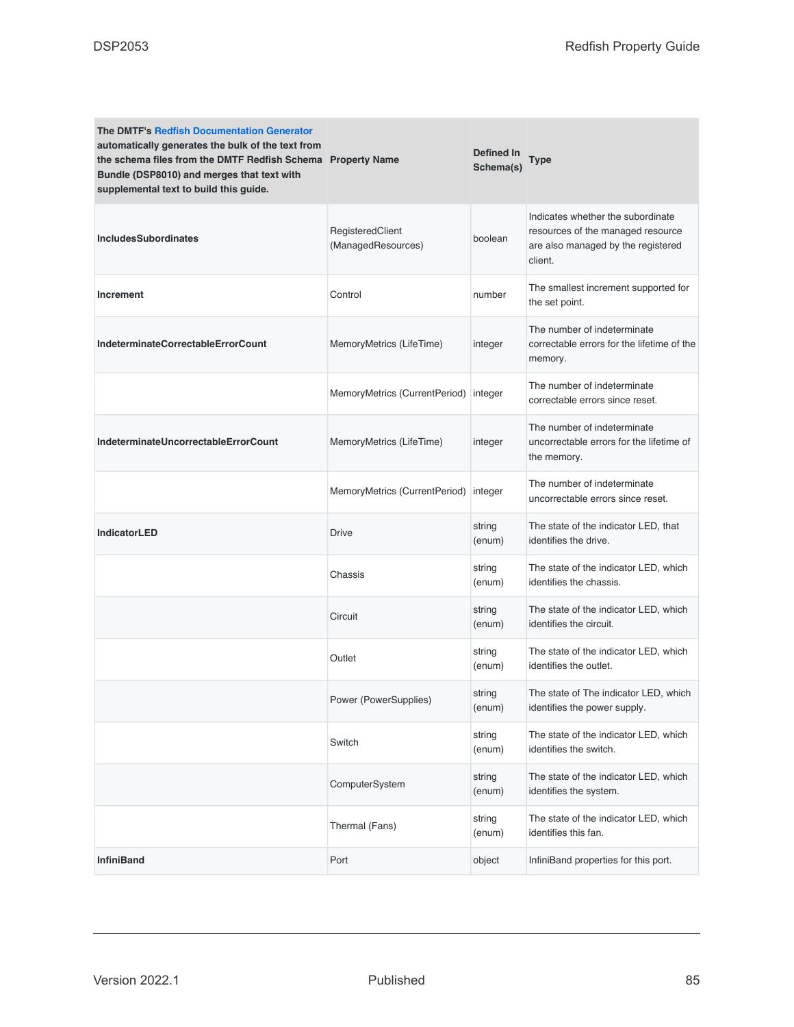| <b>The DMTF's Redfish Documentation Generator</b><br>automatically generates the bulk of the text from<br>the schema files from the DMTF Redfish Schema Property Name<br>Bundle (DSP8010) and merges that text with<br>supplemental text to build this guide. |                                        | Defined In<br>Schema(s) | <b>Type</b>                                                                                                             |
|---------------------------------------------------------------------------------------------------------------------------------------------------------------------------------------------------------------------------------------------------------------|----------------------------------------|-------------------------|-------------------------------------------------------------------------------------------------------------------------|
| <b>IncludesSubordinates</b>                                                                                                                                                                                                                                   | RegisteredClient<br>(ManagedResources) | boolean                 | Indicates whether the subordinate<br>resources of the managed resource<br>are also managed by the registered<br>client. |
| <b>Increment</b>                                                                                                                                                                                                                                              | Control                                | number                  | The smallest increment supported for<br>the set point.                                                                  |
| IndeterminateCorrectableErrorCount                                                                                                                                                                                                                            | MemoryMetrics (LifeTime)               | integer                 | The number of indeterminate<br>correctable errors for the lifetime of the<br>memory.                                    |
|                                                                                                                                                                                                                                                               | MemoryMetrics (CurrentPeriod)          | integer                 | The number of indeterminate<br>correctable errors since reset.                                                          |
| IndeterminateUncorrectableErrorCount                                                                                                                                                                                                                          | MemoryMetrics (LifeTime)               | integer                 | The number of indeterminate<br>uncorrectable errors for the lifetime of<br>the memory.                                  |
|                                                                                                                                                                                                                                                               | MemoryMetrics (CurrentPeriod)          | integer                 | The number of indeterminate<br>uncorrectable errors since reset.                                                        |
| <b>IndicatorLED</b>                                                                                                                                                                                                                                           | <b>Drive</b>                           | string<br>(enum)        | The state of the indicator LED, that<br>identifies the drive.                                                           |
|                                                                                                                                                                                                                                                               | Chassis                                | string<br>(enum)        | The state of the indicator LED, which<br>identifies the chassis.                                                        |
|                                                                                                                                                                                                                                                               | Circuit                                | string<br>(enum)        | The state of the indicator LED, which<br>identifies the circuit.                                                        |
|                                                                                                                                                                                                                                                               | Outlet                                 | string<br>(enum)        | The state of the indicator LED, which<br>identifies the outlet.                                                         |
|                                                                                                                                                                                                                                                               | Power (PowerSupplies)                  | string<br>(enum)        | The state of The indicator LED, which<br>identifies the power supply.                                                   |
|                                                                                                                                                                                                                                                               | Switch                                 | string<br>(enum)        | The state of the indicator LED, which<br>identifies the switch.                                                         |
|                                                                                                                                                                                                                                                               | ComputerSystem                         | string<br>(enum)        | The state of the indicator LED, which<br>identifies the system.                                                         |
|                                                                                                                                                                                                                                                               | Thermal (Fans)                         | string<br>(enum)        | The state of the indicator LED, which<br>identifies this fan.                                                           |
| <b>InfiniBand</b>                                                                                                                                                                                                                                             | Port                                   | object                  | InfiniBand properties for this port.                                                                                    |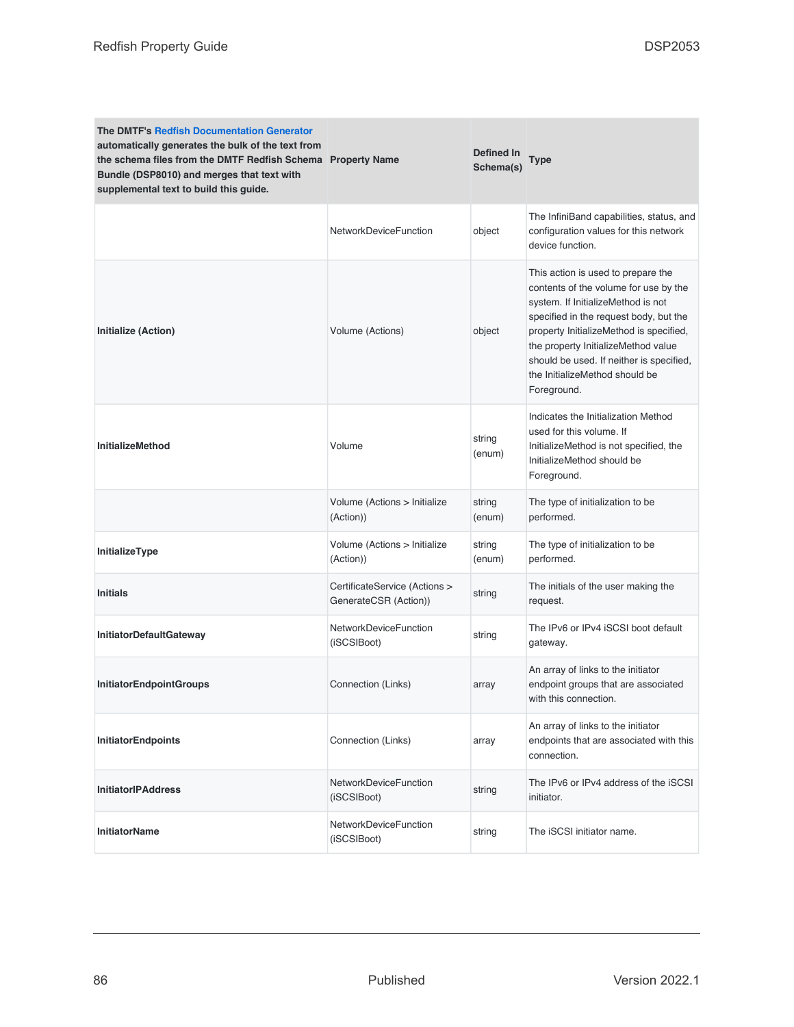| <b>The DMTF's Redfish Documentation Generator</b><br>automatically generates the bulk of the text from<br>the schema files from the DMTF Redfish Schema Property Name<br>Bundle (DSP8010) and merges that text with<br>supplemental text to build this guide. |                                                        | Defined In<br>Schema(s) | <b>Type</b>                                                                                                                                                                                                                                                                                                                                |
|---------------------------------------------------------------------------------------------------------------------------------------------------------------------------------------------------------------------------------------------------------------|--------------------------------------------------------|-------------------------|--------------------------------------------------------------------------------------------------------------------------------------------------------------------------------------------------------------------------------------------------------------------------------------------------------------------------------------------|
|                                                                                                                                                                                                                                                               | <b>NetworkDeviceFunction</b>                           | object                  | The InfiniBand capabilities, status, and<br>configuration values for this network<br>device function.                                                                                                                                                                                                                                      |
| Initialize (Action)                                                                                                                                                                                                                                           | Volume (Actions)                                       | object                  | This action is used to prepare the<br>contents of the volume for use by the<br>system. If InitializeMethod is not<br>specified in the request body, but the<br>property InitializeMethod is specified,<br>the property InitializeMethod value<br>should be used. If neither is specified,<br>the InitializeMethod should be<br>Foreground. |
| <b>InitializeMethod</b>                                                                                                                                                                                                                                       | Volume                                                 | string<br>(enum)        | Indicates the Initialization Method<br>used for this volume. If<br>InitializeMethod is not specified, the<br>InitializeMethod should be<br>Foreground.                                                                                                                                                                                     |
|                                                                                                                                                                                                                                                               | Volume (Actions > Initialize<br>(Action))              | string<br>(enum)        | The type of initialization to be<br>performed.                                                                                                                                                                                                                                                                                             |
| InitializeType                                                                                                                                                                                                                                                | Volume (Actions > Initialize<br>(Action))              | string<br>(enum)        | The type of initialization to be<br>performed.                                                                                                                                                                                                                                                                                             |
| <b>Initials</b>                                                                                                                                                                                                                                               | CertificateService (Actions ><br>GenerateCSR (Action)) | string                  | The initials of the user making the<br>request.                                                                                                                                                                                                                                                                                            |
| InitiatorDefaultGateway                                                                                                                                                                                                                                       | NetworkDeviceFunction<br>(iSCSIBoot)                   | string                  | The IPv6 or IPv4 iSCSI boot default<br>gateway.                                                                                                                                                                                                                                                                                            |
| <b>InitiatorEndpointGroups</b>                                                                                                                                                                                                                                | Connection (Links)                                     | array                   | An array of links to the initiator<br>endpoint groups that are associated<br>with this connection.                                                                                                                                                                                                                                         |
| <b>InitiatorEndpoints</b>                                                                                                                                                                                                                                     | Connection (Links)                                     | array                   | An array of links to the initiator<br>endpoints that are associated with this<br>connection.                                                                                                                                                                                                                                               |
| <b>InitiatorIPAddress</b>                                                                                                                                                                                                                                     | NetworkDeviceFunction<br>(iSCSIBoot)                   | string                  | The IPv6 or IPv4 address of the iSCSI<br>initiator.                                                                                                                                                                                                                                                                                        |
| <b>InitiatorName</b>                                                                                                                                                                                                                                          | <b>NetworkDeviceFunction</b><br>(iSCSIBoot)            | string                  | The iSCSI initiator name.                                                                                                                                                                                                                                                                                                                  |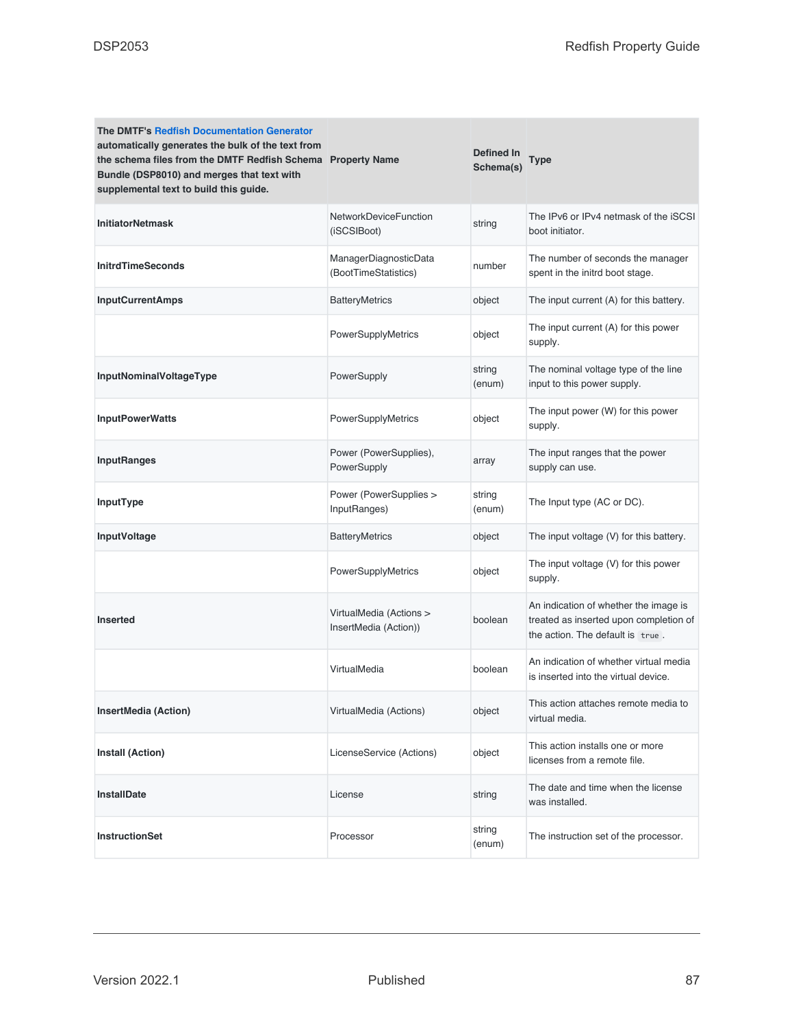| <b>The DMTF's Redfish Documentation Generator</b><br>automatically generates the bulk of the text from<br>the schema files from the DMTF Redfish Schema Property Name<br>Bundle (DSP8010) and merges that text with<br>supplemental text to build this guide. |                                                  | Defined In<br>Schema(s) | Type                                                                                                                |
|---------------------------------------------------------------------------------------------------------------------------------------------------------------------------------------------------------------------------------------------------------------|--------------------------------------------------|-------------------------|---------------------------------------------------------------------------------------------------------------------|
| <b>InitiatorNetmask</b>                                                                                                                                                                                                                                       | <b>NetworkDeviceFunction</b><br>(iSCSIBoot)      | string                  | The IPv6 or IPv4 netmask of the iSCSI<br>boot initiator.                                                            |
| <b>InitrdTimeSeconds</b>                                                                                                                                                                                                                                      | ManagerDiagnosticData<br>(BootTimeStatistics)    | number                  | The number of seconds the manager<br>spent in the initrd boot stage.                                                |
| <b>InputCurrentAmps</b>                                                                                                                                                                                                                                       | <b>BatteryMetrics</b>                            | object                  | The input current (A) for this battery.                                                                             |
|                                                                                                                                                                                                                                                               | PowerSupplyMetrics                               | object                  | The input current (A) for this power<br>supply.                                                                     |
| InputNominalVoltageType                                                                                                                                                                                                                                       | PowerSupply                                      | string<br>(enum)        | The nominal voltage type of the line<br>input to this power supply.                                                 |
| <b>InputPowerWatts</b>                                                                                                                                                                                                                                        | PowerSupplyMetrics                               | object                  | The input power (W) for this power<br>supply.                                                                       |
| <b>InputRanges</b>                                                                                                                                                                                                                                            | Power (PowerSupplies),<br>PowerSupply            | array                   | The input ranges that the power<br>supply can use.                                                                  |
| InputType                                                                                                                                                                                                                                                     | Power (PowerSupplies ><br>InputRanges)           | string<br>(enum)        | The Input type (AC or DC).                                                                                          |
| InputVoltage                                                                                                                                                                                                                                                  | <b>BatteryMetrics</b>                            | object                  | The input voltage (V) for this battery.                                                                             |
|                                                                                                                                                                                                                                                               | PowerSupplyMetrics                               | object                  | The input voltage (V) for this power<br>supply.                                                                     |
| <b>Inserted</b>                                                                                                                                                                                                                                               | VirtualMedia (Actions ><br>InsertMedia (Action)) | boolean                 | An indication of whether the image is<br>treated as inserted upon completion of<br>the action. The default is true. |
|                                                                                                                                                                                                                                                               | VirtualMedia                                     | boolean                 | An indication of whether virtual media<br>is inserted into the virtual device.                                      |
| <b>InsertMedia (Action)</b>                                                                                                                                                                                                                                   | VirtualMedia (Actions)                           | object                  | This action attaches remote media to<br>virtual media.                                                              |
| Install (Action)                                                                                                                                                                                                                                              | LicenseService (Actions)                         | object                  | This action installs one or more<br>licenses from a remote file.                                                    |
| <b>InstallDate</b>                                                                                                                                                                                                                                            | License                                          | string                  | The date and time when the license<br>was installed.                                                                |
| <b>InstructionSet</b>                                                                                                                                                                                                                                         | Processor                                        | string<br>(enum)        | The instruction set of the processor.                                                                               |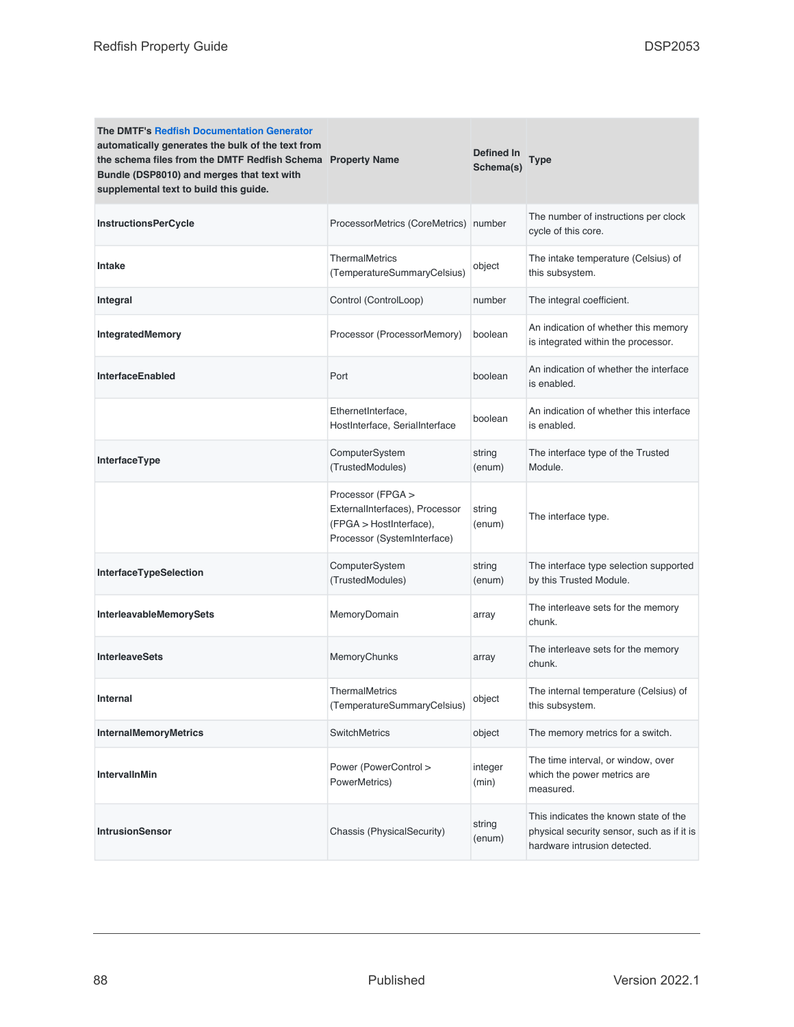| <b>The DMTF's Redfish Documentation Generator</b><br>automatically generates the bulk of the text from<br>the schema files from the DMTF Redfish Schema Property Name<br>Bundle (DSP8010) and merges that text with<br>supplemental text to build this guide. |                                                                                                               | Defined In<br>Schema(s) | Type                                                                                                                |
|---------------------------------------------------------------------------------------------------------------------------------------------------------------------------------------------------------------------------------------------------------------|---------------------------------------------------------------------------------------------------------------|-------------------------|---------------------------------------------------------------------------------------------------------------------|
| <b>InstructionsPerCycle</b>                                                                                                                                                                                                                                   | ProcessorMetrics (CoreMetrics) number                                                                         |                         | The number of instructions per clock<br>cycle of this core.                                                         |
| <b>Intake</b>                                                                                                                                                                                                                                                 | <b>ThermalMetrics</b><br>(TemperatureSummaryCelsius)                                                          | object                  | The intake temperature (Celsius) of<br>this subsystem.                                                              |
| Integral                                                                                                                                                                                                                                                      | Control (ControlLoop)                                                                                         | number                  | The integral coefficient.                                                                                           |
| <b>IntegratedMemory</b>                                                                                                                                                                                                                                       | Processor (ProcessorMemory)                                                                                   | boolean                 | An indication of whether this memory<br>is integrated within the processor.                                         |
| InterfaceEnabled                                                                                                                                                                                                                                              | Port                                                                                                          | boolean                 | An indication of whether the interface<br>is enabled.                                                               |
|                                                                                                                                                                                                                                                               | EthernetInterface,<br>HostInterface, SerialInterface                                                          | boolean                 | An indication of whether this interface<br>is enabled.                                                              |
| InterfaceType                                                                                                                                                                                                                                                 | ComputerSystem<br>(TrustedModules)                                                                            | string<br>(enum)        | The interface type of the Trusted<br>Module.                                                                        |
|                                                                                                                                                                                                                                                               | Processor (FPGA ><br>ExternalInterfaces), Processor<br>(FPGA > HostInterface),<br>Processor (SystemInterface) | string<br>(enum)        | The interface type.                                                                                                 |
| InterfaceTypeSelection                                                                                                                                                                                                                                        | ComputerSystem<br>(TrustedModules)                                                                            | string<br>(enum)        | The interface type selection supported<br>by this Trusted Module.                                                   |
| InterleavableMemorySets                                                                                                                                                                                                                                       | MemoryDomain                                                                                                  | array                   | The interleave sets for the memory<br>chunk.                                                                        |
| <b>InterleaveSets</b>                                                                                                                                                                                                                                         | MemoryChunks                                                                                                  | array                   | The interleave sets for the memory<br>chunk.                                                                        |
| <b>Internal</b>                                                                                                                                                                                                                                               | ThermalMetrics<br>(TemperatureSummaryCelsius)                                                                 | object                  | The internal temperature (Celsius) of<br>this subsystem.                                                            |
| <b>InternalMemoryMetrics</b>                                                                                                                                                                                                                                  | <b>SwitchMetrics</b>                                                                                          | object                  | The memory metrics for a switch.                                                                                    |
| <b>IntervallnMin</b>                                                                                                                                                                                                                                          | Power (PowerControl ><br>PowerMetrics)                                                                        | integer<br>(min)        | The time interval, or window, over<br>which the power metrics are<br>measured.                                      |
| <b>IntrusionSensor</b>                                                                                                                                                                                                                                        | Chassis (PhysicalSecurity)                                                                                    | string<br>(enum)        | This indicates the known state of the<br>physical security sensor, such as if it is<br>hardware intrusion detected. |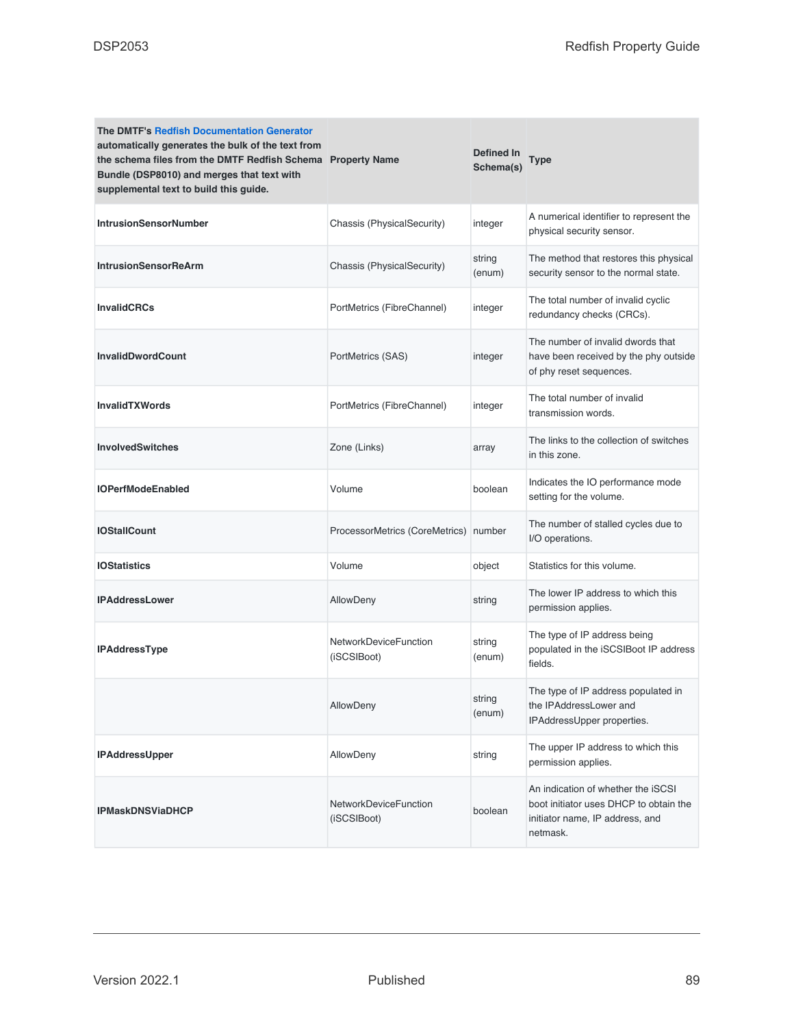| <b>The DMTF's Redfish Documentation Generator</b><br>automatically generates the bulk of the text from<br>the schema files from the DMTF Redfish Schema Property Name<br>Bundle (DSP8010) and merges that text with<br>supplemental text to build this guide. |                                       | Defined In<br>Schema(s) | Type                                                                                                                        |
|---------------------------------------------------------------------------------------------------------------------------------------------------------------------------------------------------------------------------------------------------------------|---------------------------------------|-------------------------|-----------------------------------------------------------------------------------------------------------------------------|
| <b>IntrusionSensorNumber</b>                                                                                                                                                                                                                                  | Chassis (PhysicalSecurity)            | integer                 | A numerical identifier to represent the<br>physical security sensor.                                                        |
| <b>IntrusionSensorReArm</b>                                                                                                                                                                                                                                   | Chassis (PhysicalSecurity)            | string<br>(enum)        | The method that restores this physical<br>security sensor to the normal state.                                              |
| <b>InvalidCRCs</b>                                                                                                                                                                                                                                            | PortMetrics (FibreChannel)            | integer                 | The total number of invalid cyclic<br>redundancy checks (CRCs).                                                             |
| <b>InvalidDwordCount</b>                                                                                                                                                                                                                                      | PortMetrics (SAS)                     | integer                 | The number of invalid dwords that<br>have been received by the phy outside<br>of phy reset sequences.                       |
| <b>InvalidTXWords</b>                                                                                                                                                                                                                                         | PortMetrics (FibreChannel)            | integer                 | The total number of invalid<br>transmission words.                                                                          |
| <b>InvolvedSwitches</b>                                                                                                                                                                                                                                       | Zone (Links)                          | array                   | The links to the collection of switches<br>in this zone.                                                                    |
| <b>IOPerfModeEnabled</b>                                                                                                                                                                                                                                      | Volume                                | boolean                 | Indicates the IO performance mode<br>setting for the volume.                                                                |
| <b>IOStallCount</b>                                                                                                                                                                                                                                           | ProcessorMetrics (CoreMetrics) number |                         | The number of stalled cycles due to<br>I/O operations.                                                                      |
| <b>IOStatistics</b>                                                                                                                                                                                                                                           | Volume                                | object                  | Statistics for this volume.                                                                                                 |
| <b>IPAddressLower</b>                                                                                                                                                                                                                                         | <b>AllowDeny</b>                      | string                  | The lower IP address to which this<br>permission applies.                                                                   |
| <b>IPAddressType</b>                                                                                                                                                                                                                                          | NetworkDeviceFunction<br>(iSCSIBoot)  | string<br>(enum)        | The type of IP address being<br>populated in the iSCSIBoot IP address<br>fields.                                            |
|                                                                                                                                                                                                                                                               | AllowDeny                             | string<br>(enum)        | The type of IP address populated in<br>the IPAddressLower and<br>IPAddressUpper properties.                                 |
| <b>IPAddressUpper</b>                                                                                                                                                                                                                                         | AllowDeny                             | string                  | The upper IP address to which this<br>permission applies.                                                                   |
| <b>IPMaskDNSViaDHCP</b>                                                                                                                                                                                                                                       | NetworkDeviceFunction<br>(iSCSIBoot)  | boolean                 | An indication of whether the iSCSI<br>boot initiator uses DHCP to obtain the<br>initiator name, IP address, and<br>netmask. |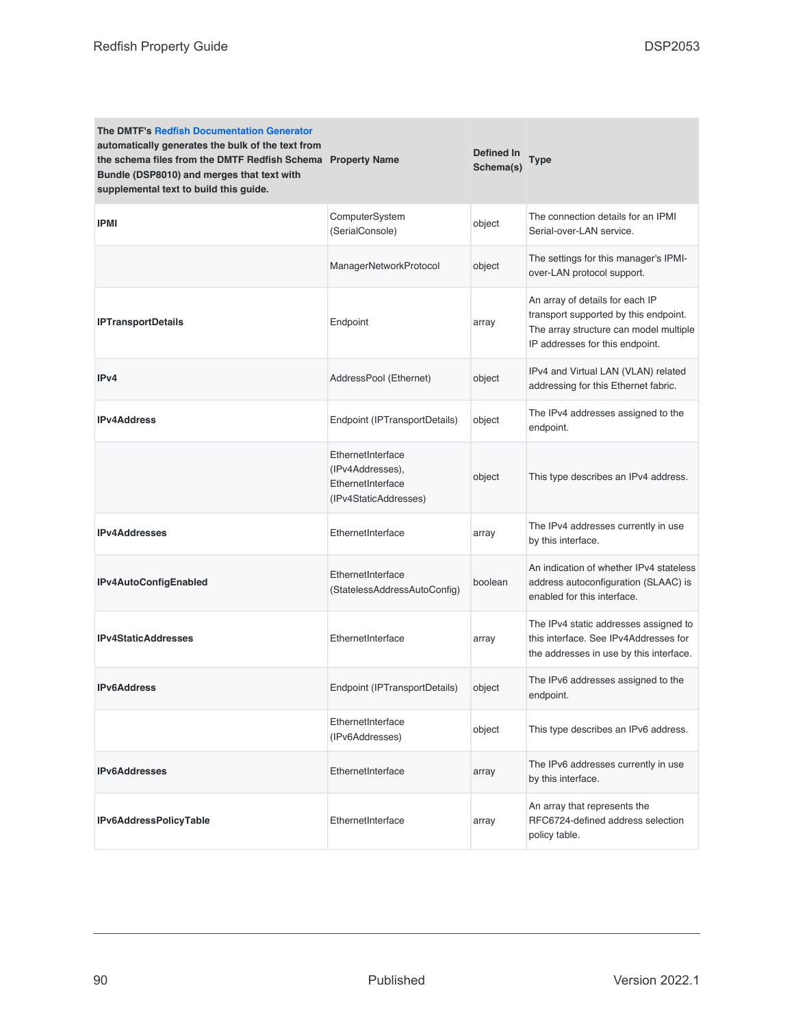| <b>The DMTF's Redfish Documentation Generator</b><br>automatically generates the bulk of the text from<br>the schema files from the DMTF Redfish Schema Property Name<br>Bundle (DSP8010) and merges that text with<br>supplemental text to build this guide. |                                                                                     | <b>Defined In</b><br>Schema(s) | Type                                                                                                                                                  |
|---------------------------------------------------------------------------------------------------------------------------------------------------------------------------------------------------------------------------------------------------------------|-------------------------------------------------------------------------------------|--------------------------------|-------------------------------------------------------------------------------------------------------------------------------------------------------|
| <b>IPMI</b>                                                                                                                                                                                                                                                   | ComputerSystem<br>(SerialConsole)                                                   | object                         | The connection details for an IPMI<br>Serial-over-LAN service.                                                                                        |
|                                                                                                                                                                                                                                                               | ManagerNetworkProtocol                                                              | object                         | The settings for this manager's IPMI-<br>over-LAN protocol support.                                                                                   |
| <b>IPTransportDetails</b>                                                                                                                                                                                                                                     | Endpoint                                                                            | array                          | An array of details for each IP<br>transport supported by this endpoint.<br>The array structure can model multiple<br>IP addresses for this endpoint. |
| IPv4                                                                                                                                                                                                                                                          | AddressPool (Ethernet)                                                              | object                         | IPv4 and Virtual LAN (VLAN) related<br>addressing for this Ethernet fabric.                                                                           |
| <b>IPv4Address</b>                                                                                                                                                                                                                                            | Endpoint (IPTransportDetails)                                                       | object                         | The IPv4 addresses assigned to the<br>endpoint.                                                                                                       |
|                                                                                                                                                                                                                                                               | EthernetInterface<br>(IPv4Addresses),<br>EthernetInterface<br>(IPv4StaticAddresses) | object                         | This type describes an IPv4 address.                                                                                                                  |
| <b>IPv4Addresses</b>                                                                                                                                                                                                                                          | EthernetInterface                                                                   | array                          | The IPv4 addresses currently in use<br>by this interface.                                                                                             |
| IPv4AutoConfigEnabled                                                                                                                                                                                                                                         | EthernetInterface<br>(StatelessAddressAutoConfig)                                   | boolean                        | An indication of whether IPv4 stateless<br>address autoconfiguration (SLAAC) is<br>enabled for this interface.                                        |
| <b>IPv4StaticAddresses</b>                                                                                                                                                                                                                                    | EthernetInterface                                                                   | array                          | The IPv4 static addresses assigned to<br>this interface. See IPv4Addresses for<br>the addresses in use by this interface.                             |
| <b>IPv6Address</b>                                                                                                                                                                                                                                            | Endpoint (IPTransportDetails)                                                       | object                         | The IPv6 addresses assigned to the<br>endpoint.                                                                                                       |
|                                                                                                                                                                                                                                                               | EthernetInterface<br>(IPv6Addresses)                                                | object                         | This type describes an IPv6 address.                                                                                                                  |
| <b>IPv6Addresses</b>                                                                                                                                                                                                                                          | EthernetInterface                                                                   | array                          | The IPv6 addresses currently in use<br>by this interface.                                                                                             |
| IPv6AddressPolicyTable                                                                                                                                                                                                                                        | EthernetInterface                                                                   | array                          | An array that represents the<br>RFC6724-defined address selection<br>policy table.                                                                    |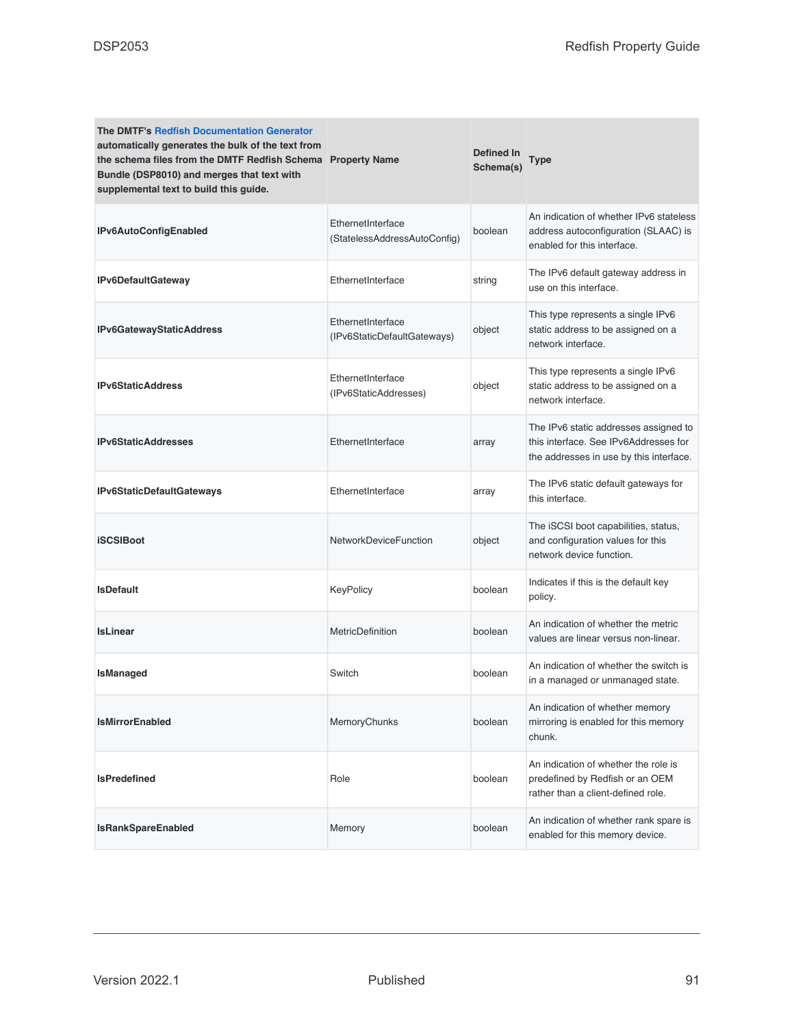| <b>The DMTF's Redfish Documentation Generator</b><br>automatically generates the bulk of the text from<br>the schema files from the DMTF Redfish Schema Property Name<br>Bundle (DSP8010) and merges that text with<br>supplemental text to build this guide. |                                                   | Defined In<br>Schema(s) | Type                                                                                                                      |
|---------------------------------------------------------------------------------------------------------------------------------------------------------------------------------------------------------------------------------------------------------------|---------------------------------------------------|-------------------------|---------------------------------------------------------------------------------------------------------------------------|
| IPv6AutoConfigEnabled                                                                                                                                                                                                                                         | EthernetInterface<br>(StatelessAddressAutoConfig) | boolean                 | An indication of whether IPv6 stateless<br>address autoconfiguration (SLAAC) is<br>enabled for this interface.            |
| IPv6DefaultGateway                                                                                                                                                                                                                                            | EthernetInterface                                 | string                  | The IPv6 default gateway address in<br>use on this interface.                                                             |
| IPv6GatewayStaticAddress                                                                                                                                                                                                                                      | EthernetInterface<br>(IPv6StaticDefaultGateways)  | object                  | This type represents a single IPv6<br>static address to be assigned on a<br>network interface.                            |
| <b>IPv6StaticAddress</b>                                                                                                                                                                                                                                      | EthernetInterface<br>(IPv6StaticAddresses)        | object                  | This type represents a single IPv6<br>static address to be assigned on a<br>network interface.                            |
| <b>IPv6StaticAddresses</b>                                                                                                                                                                                                                                    | EthernetInterface                                 | array                   | The IPv6 static addresses assigned to<br>this interface. See IPv6Addresses for<br>the addresses in use by this interface. |
| IPv6StaticDefaultGateways                                                                                                                                                                                                                                     | EthernetInterface                                 | array                   | The IPv6 static default gateways for<br>this interface.                                                                   |
| <b>iSCSIBoot</b>                                                                                                                                                                                                                                              | <b>NetworkDeviceFunction</b>                      | object                  | The iSCSI boot capabilities, status,<br>and configuration values for this<br>network device function.                     |
| <b>IsDefault</b>                                                                                                                                                                                                                                              | KeyPolicy                                         | boolean                 | Indicates if this is the default key<br>policy.                                                                           |
| <b>IsLinear</b>                                                                                                                                                                                                                                               | MetricDefinition                                  | boolean                 | An indication of whether the metric<br>values are linear versus non-linear.                                               |
| IsManaged                                                                                                                                                                                                                                                     | Switch                                            | boolean                 | An indication of whether the switch is<br>in a managed or unmanaged state.                                                |
| <b>IsMirrorEnabled</b>                                                                                                                                                                                                                                        | MemoryChunks                                      | boolean                 | An indication of whether memory<br>mirroring is enabled for this memory<br>chunk.                                         |
| <b>IsPredefined</b>                                                                                                                                                                                                                                           | Role                                              | boolean                 | An indication of whether the role is<br>predefined by Redfish or an OEM<br>rather than a client-defined role.             |
| <b>IsRankSpareEnabled</b>                                                                                                                                                                                                                                     | Memory                                            | boolean                 | An indication of whether rank spare is<br>enabled for this memory device.                                                 |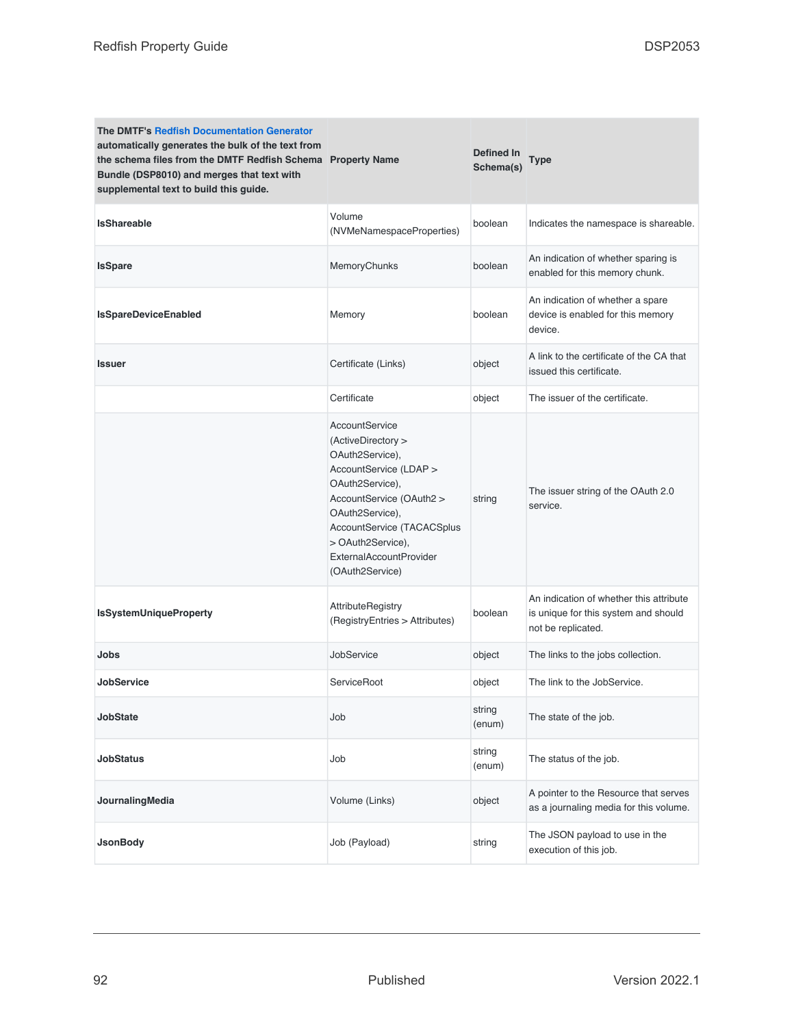| The DMTF's Redfish Documentation Generator<br>automatically generates the bulk of the text from<br>the schema files from the DMTF Redfish Schema Property Name<br>Bundle (DSP8010) and merges that text with<br>supplemental text to build this guide. |                                                                                                                                                                                                                                                             | Defined In<br>Schema(s) | Type                                                                                                  |
|--------------------------------------------------------------------------------------------------------------------------------------------------------------------------------------------------------------------------------------------------------|-------------------------------------------------------------------------------------------------------------------------------------------------------------------------------------------------------------------------------------------------------------|-------------------------|-------------------------------------------------------------------------------------------------------|
| <b>IsShareable</b>                                                                                                                                                                                                                                     | Volume<br>(NVMeNamespaceProperties)                                                                                                                                                                                                                         | boolean                 | Indicates the namespace is shareable.                                                                 |
| <b>IsSpare</b>                                                                                                                                                                                                                                         | MemoryChunks                                                                                                                                                                                                                                                | boolean                 | An indication of whether sparing is<br>enabled for this memory chunk.                                 |
| IsSpareDeviceEnabled                                                                                                                                                                                                                                   | Memory                                                                                                                                                                                                                                                      | boolean                 | An indication of whether a spare<br>device is enabled for this memory<br>device.                      |
| <b>Issuer</b>                                                                                                                                                                                                                                          | Certificate (Links)                                                                                                                                                                                                                                         | object                  | A link to the certificate of the CA that<br>issued this certificate.                                  |
|                                                                                                                                                                                                                                                        | Certificate                                                                                                                                                                                                                                                 | object                  | The issuer of the certificate.                                                                        |
|                                                                                                                                                                                                                                                        | AccountService<br>(ActiveDirectory ><br>OAuth2Service),<br>AccountService (LDAP ><br>OAuth2Service),<br>AccountService (OAuth2 ><br>OAuth2Service),<br>AccountService (TACACSplus<br>> OAuth2Service),<br><b>ExternalAccountProvider</b><br>(OAuth2Service) | string                  | The issuer string of the OAuth 2.0<br>service.                                                        |
| <b>IsSystemUniqueProperty</b>                                                                                                                                                                                                                          | AttributeRegistry<br>(RegistryEntries > Attributes)                                                                                                                                                                                                         | boolean                 | An indication of whether this attribute<br>is unique for this system and should<br>not be replicated. |
| Jobs                                                                                                                                                                                                                                                   | JobService                                                                                                                                                                                                                                                  | object                  | The links to the jobs collection.                                                                     |
| <b>JobService</b>                                                                                                                                                                                                                                      | ServiceRoot                                                                                                                                                                                                                                                 | object                  | The link to the JobService.                                                                           |
| <b>JobState</b>                                                                                                                                                                                                                                        | Job                                                                                                                                                                                                                                                         | string<br>(enum)        | The state of the job.                                                                                 |
| <b>JobStatus</b>                                                                                                                                                                                                                                       | Job                                                                                                                                                                                                                                                         | string<br>(enum)        | The status of the job.                                                                                |
| JournalingMedia                                                                                                                                                                                                                                        | Volume (Links)                                                                                                                                                                                                                                              | object                  | A pointer to the Resource that serves<br>as a journaling media for this volume.                       |
| <b>JsonBody</b>                                                                                                                                                                                                                                        | Job (Payload)                                                                                                                                                                                                                                               | string                  | The JSON payload to use in the<br>execution of this job.                                              |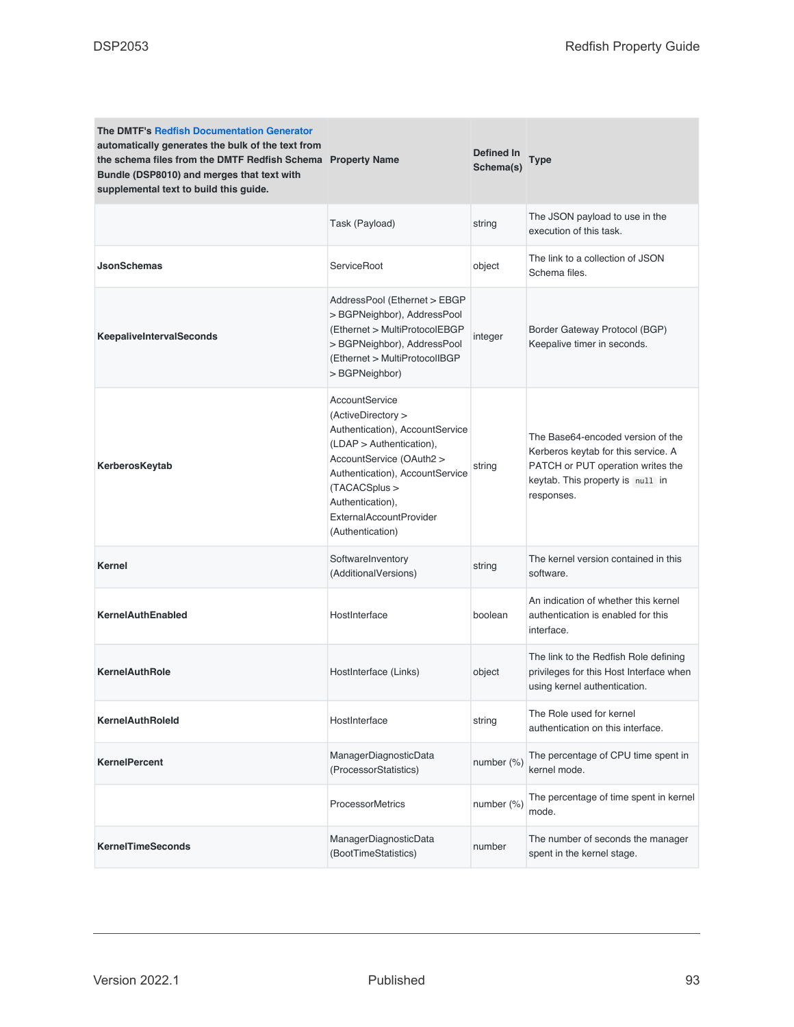| <b>The DMTF's Redfish Documentation Generator</b><br>automatically generates the bulk of the text from<br>the schema files from the DMTF Redfish Schema Property Name<br>Bundle (DSP8010) and merges that text with<br>supplemental text to build this guide. |                                                                                                                                                                                                                                                               | Defined In<br>Schema(s) | <b>Type</b>                                                                                                                                                     |
|---------------------------------------------------------------------------------------------------------------------------------------------------------------------------------------------------------------------------------------------------------------|---------------------------------------------------------------------------------------------------------------------------------------------------------------------------------------------------------------------------------------------------------------|-------------------------|-----------------------------------------------------------------------------------------------------------------------------------------------------------------|
|                                                                                                                                                                                                                                                               | Task (Payload)                                                                                                                                                                                                                                                | string                  | The JSON payload to use in the<br>execution of this task.                                                                                                       |
| <b>JsonSchemas</b>                                                                                                                                                                                                                                            | ServiceRoot                                                                                                                                                                                                                                                   | object                  | The link to a collection of JSON<br>Schema files.                                                                                                               |
| <b>KeepaliveIntervalSeconds</b>                                                                                                                                                                                                                               | AddressPool (Ethernet > EBGP<br>>BGPNeighbor), AddressPool<br>(Ethernet > MultiProtocolEBGP<br>> BGPNeighbor), AddressPool<br>(Ethernet > MultiProtocolIBGP<br>> BGPNeighbor)                                                                                 | integer                 | Border Gateway Protocol (BGP)<br>Keepalive timer in seconds.                                                                                                    |
| KerberosKeytab                                                                                                                                                                                                                                                | AccountService<br>(ActiveDirectory ><br>Authentication), AccountService<br>(LDAP > Authentication),<br>AccountService (OAuth2 ><br>Authentication), AccountService<br>(TACACSplus ><br>Authentication),<br><b>ExternalAccountProvider</b><br>(Authentication) | string                  | The Base64-encoded version of the<br>Kerberos keytab for this service. A<br>PATCH or PUT operation writes the<br>keytab. This property is null in<br>responses. |
| Kernel                                                                                                                                                                                                                                                        | SoftwareInventory<br>(AdditionalVersions)                                                                                                                                                                                                                     | string                  | The kernel version contained in this<br>software.                                                                                                               |
| <b>KernelAuthEnabled</b>                                                                                                                                                                                                                                      | HostInterface                                                                                                                                                                                                                                                 | boolean                 | An indication of whether this kernel<br>authentication is enabled for this<br>interface.                                                                        |
| <b>KernelAuthRole</b>                                                                                                                                                                                                                                         | HostInterface (Links)                                                                                                                                                                                                                                         | object                  | The link to the Redfish Role defining<br>privileges for this Host Interface when<br>using kernel authentication.                                                |
| <b>KernelAuthRoleld</b>                                                                                                                                                                                                                                       | HostInterface                                                                                                                                                                                                                                                 | string                  | The Role used for kernel<br>authentication on this interface.                                                                                                   |
| <b>KernelPercent</b>                                                                                                                                                                                                                                          | ManagerDiagnosticData<br>(ProcessorStatistics)                                                                                                                                                                                                                | number (%)              | The percentage of CPU time spent in<br>kernel mode.                                                                                                             |
|                                                                                                                                                                                                                                                               | <b>ProcessorMetrics</b>                                                                                                                                                                                                                                       | number (%)              | The percentage of time spent in kernel<br>mode.                                                                                                                 |
| <b>KernelTimeSeconds</b>                                                                                                                                                                                                                                      | ManagerDiagnosticData<br>(BootTimeStatistics)                                                                                                                                                                                                                 | number                  | The number of seconds the manager<br>spent in the kernel stage.                                                                                                 |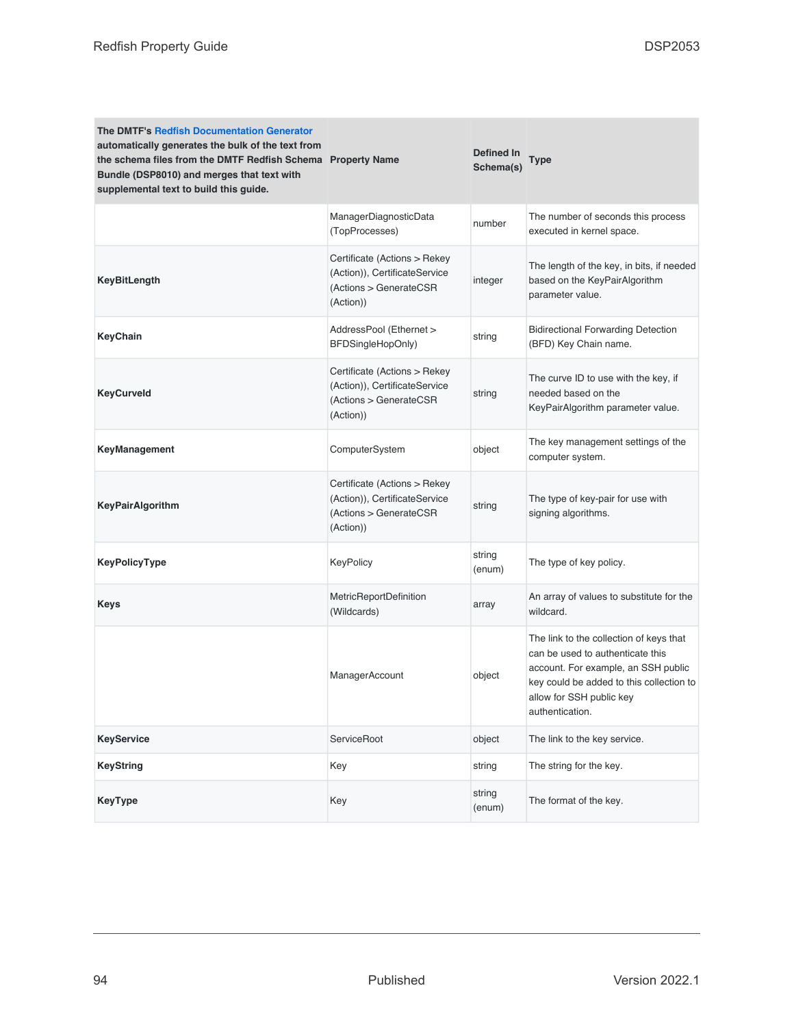| <b>The DMTF's Redfish Documentation Generator</b><br>automatically generates the bulk of the text from<br>the schema files from the DMTF Redfish Schema Property Name<br>Bundle (DSP8010) and merges that text with<br>supplemental text to build this guide. |                                                                                                      | Defined In<br>Schema(s) | Type                                                                                                                                                                                                          |
|---------------------------------------------------------------------------------------------------------------------------------------------------------------------------------------------------------------------------------------------------------------|------------------------------------------------------------------------------------------------------|-------------------------|---------------------------------------------------------------------------------------------------------------------------------------------------------------------------------------------------------------|
|                                                                                                                                                                                                                                                               | ManagerDiagnosticData<br>(TopProcesses)                                                              | number                  | The number of seconds this process<br>executed in kernel space.                                                                                                                                               |
| <b>KeyBitLength</b>                                                                                                                                                                                                                                           | Certificate (Actions > Rekey<br>(Action)), CertificateService<br>(Actions > GenerateCSR<br>(Action)) | integer                 | The length of the key, in bits, if needed<br>based on the KeyPairAlgorithm<br>parameter value.                                                                                                                |
| KeyChain                                                                                                                                                                                                                                                      | AddressPool (Ethernet ><br>BFDSingleHopOnly)                                                         | string                  | <b>Bidirectional Forwarding Detection</b><br>(BFD) Key Chain name.                                                                                                                                            |
| <b>KeyCurveld</b>                                                                                                                                                                                                                                             | Certificate (Actions > Rekey<br>(Action)), CertificateService<br>(Actions > GenerateCSR<br>(Action)) | string                  | The curve ID to use with the key, if<br>needed based on the<br>KeyPairAlgorithm parameter value.                                                                                                              |
| <b>KeyManagement</b>                                                                                                                                                                                                                                          | ComputerSystem                                                                                       | object                  | The key management settings of the<br>computer system.                                                                                                                                                        |
| <b>KeyPairAlgorithm</b>                                                                                                                                                                                                                                       | Certificate (Actions > Rekey<br>(Action)), CertificateService<br>(Actions > GenerateCSR<br>(Action)) | string                  | The type of key-pair for use with<br>signing algorithms.                                                                                                                                                      |
| KeyPolicyType                                                                                                                                                                                                                                                 | KeyPolicy                                                                                            | string<br>(enum)        | The type of key policy.                                                                                                                                                                                       |
| Keys                                                                                                                                                                                                                                                          | MetricReportDefinition<br>(Wildcards)                                                                | array                   | An array of values to substitute for the<br>wildcard.                                                                                                                                                         |
|                                                                                                                                                                                                                                                               | ManagerAccount                                                                                       | object                  | The link to the collection of keys that<br>can be used to authenticate this<br>account. For example, an SSH public<br>key could be added to this collection to<br>allow for SSH public key<br>authentication. |
| <b>KeyService</b>                                                                                                                                                                                                                                             | ServiceRoot                                                                                          | object                  | The link to the key service.                                                                                                                                                                                  |
| <b>KeyString</b>                                                                                                                                                                                                                                              | Key                                                                                                  | string                  | The string for the key.                                                                                                                                                                                       |
| <b>KeyType</b>                                                                                                                                                                                                                                                | Key                                                                                                  | string<br>(enum)        | The format of the key.                                                                                                                                                                                        |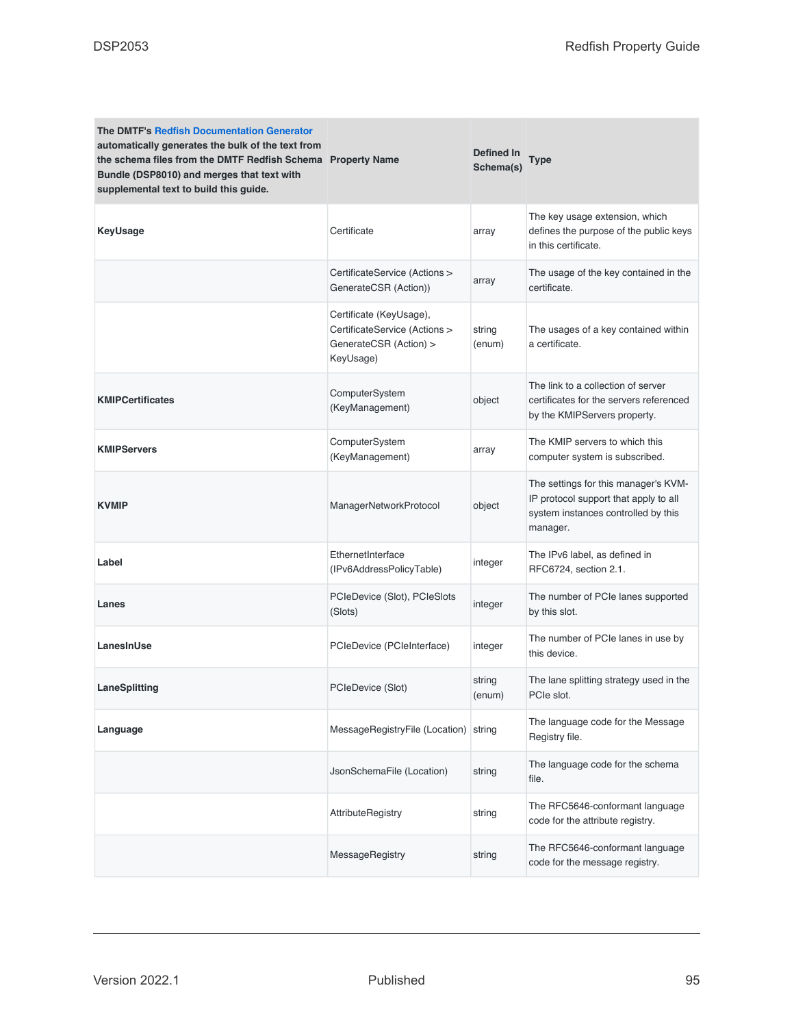| <b>The DMTF's Redfish Documentation Generator</b><br>automatically generates the bulk of the text from<br>the schema files from the DMTF Redfish Schema Property Name<br>Bundle (DSP8010) and merges that text with<br>supplemental text to build this guide. |                                                                                                 | Defined In<br>Schema(s) | <b>Type</b>                                                                                                                      |
|---------------------------------------------------------------------------------------------------------------------------------------------------------------------------------------------------------------------------------------------------------------|-------------------------------------------------------------------------------------------------|-------------------------|----------------------------------------------------------------------------------------------------------------------------------|
| <b>KeyUsage</b>                                                                                                                                                                                                                                               | Certificate                                                                                     | array                   | The key usage extension, which<br>defines the purpose of the public keys<br>in this certificate.                                 |
|                                                                                                                                                                                                                                                               | CertificateService (Actions ><br>GenerateCSR (Action))                                          | array                   | The usage of the key contained in the<br>certificate.                                                                            |
|                                                                                                                                                                                                                                                               | Certificate (KeyUsage),<br>CertificateService (Actions ><br>GenerateCSR (Action) ><br>KeyUsage) | string<br>(enum)        | The usages of a key contained within<br>a certificate.                                                                           |
| <b>KMIPCertificates</b>                                                                                                                                                                                                                                       | ComputerSystem<br>(KeyManagement)                                                               | object                  | The link to a collection of server<br>certificates for the servers referenced<br>by the KMIPServers property.                    |
| <b>KMIPServers</b>                                                                                                                                                                                                                                            | ComputerSystem<br>(KeyManagement)                                                               | array                   | The KMIP servers to which this<br>computer system is subscribed.                                                                 |
| <b>KVMIP</b>                                                                                                                                                                                                                                                  | ManagerNetworkProtocol                                                                          | object                  | The settings for this manager's KVM-<br>IP protocol support that apply to all<br>system instances controlled by this<br>manager. |
| Label                                                                                                                                                                                                                                                         | EthernetInterface<br>(IPv6AddressPolicyTable)                                                   | integer                 | The IPv6 label, as defined in<br>RFC6724, section 2.1.                                                                           |
| Lanes                                                                                                                                                                                                                                                         | PCIeDevice (Slot), PCIeSlots<br>(Slots)                                                         | integer                 | The number of PCIe lanes supported<br>by this slot.                                                                              |
| LanesInUse                                                                                                                                                                                                                                                    | PCIeDevice (PCIeInterface)                                                                      | integer                 | The number of PCIe lanes in use by<br>this device.                                                                               |
| LaneSplitting                                                                                                                                                                                                                                                 | PCIeDevice (Slot)                                                                               | string<br>(enum)        | The lane splitting strategy used in the<br>PCIe slot.                                                                            |
| Language                                                                                                                                                                                                                                                      | MessageRegistryFile (Location) string                                                           |                         | The language code for the Message<br>Registry file.                                                                              |
|                                                                                                                                                                                                                                                               | JsonSchemaFile (Location)                                                                       | string                  | The language code for the schema<br>file.                                                                                        |
|                                                                                                                                                                                                                                                               | AttributeRegistry                                                                               | string                  | The RFC5646-conformant language<br>code for the attribute registry.                                                              |
|                                                                                                                                                                                                                                                               | MessageRegistry                                                                                 | string                  | The RFC5646-conformant language<br>code for the message registry.                                                                |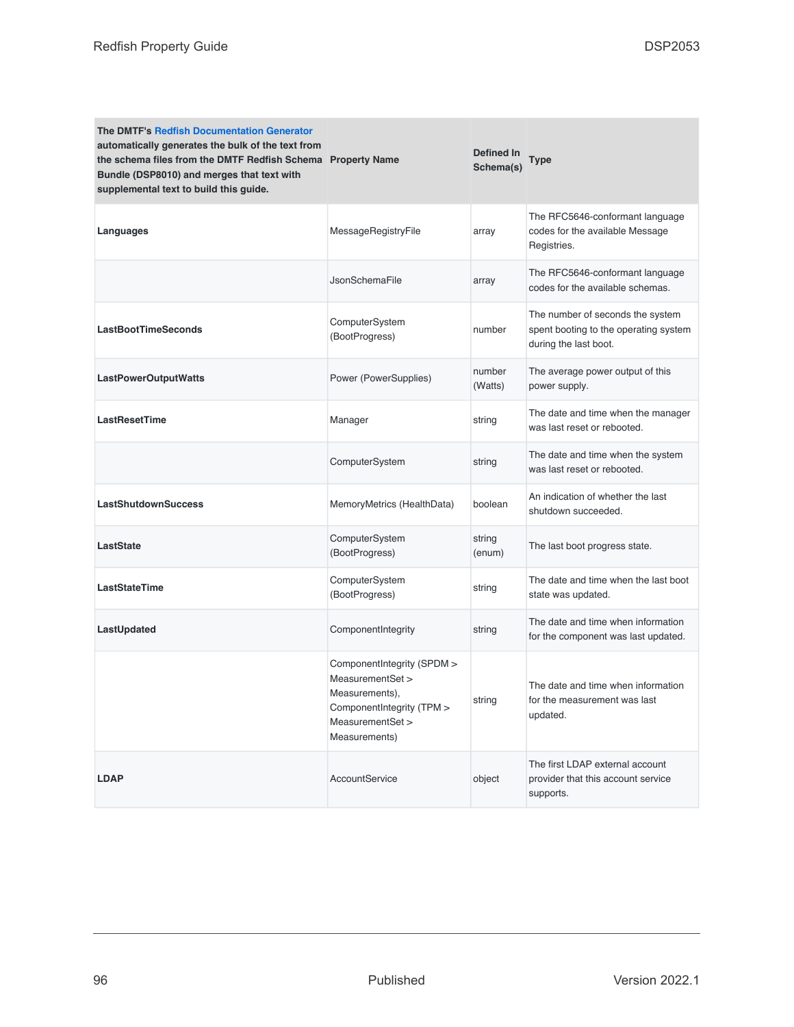| <b>The DMTF's Redfish Documentation Generator</b><br>automatically generates the bulk of the text from<br>the schema files from the DMTF Redfish Schema Property Name<br>Bundle (DSP8010) and merges that text with<br>supplemental text to build this guide. |                                                                                                                                    | Defined In<br>Schema(s) | <b>Type</b>                                                                                        |
|---------------------------------------------------------------------------------------------------------------------------------------------------------------------------------------------------------------------------------------------------------------|------------------------------------------------------------------------------------------------------------------------------------|-------------------------|----------------------------------------------------------------------------------------------------|
| Languages                                                                                                                                                                                                                                                     | MessageRegistryFile                                                                                                                | array                   | The RFC5646-conformant language<br>codes for the available Message<br>Registries.                  |
|                                                                                                                                                                                                                                                               | <b>JsonSchemaFile</b>                                                                                                              | array                   | The RFC5646-conformant language<br>codes for the available schemas.                                |
| <b>LastBootTimeSeconds</b>                                                                                                                                                                                                                                    | ComputerSystem<br>(BootProgress)                                                                                                   | number                  | The number of seconds the system<br>spent booting to the operating system<br>during the last boot. |
| <b>LastPowerOutputWatts</b>                                                                                                                                                                                                                                   | Power (PowerSupplies)                                                                                                              | number<br>(Watts)       | The average power output of this<br>power supply.                                                  |
| <b>LastResetTime</b>                                                                                                                                                                                                                                          | Manager                                                                                                                            | string                  | The date and time when the manager<br>was last reset or rebooted.                                  |
|                                                                                                                                                                                                                                                               | ComputerSystem                                                                                                                     | string                  | The date and time when the system<br>was last reset or rebooted.                                   |
| <b>LastShutdownSuccess</b>                                                                                                                                                                                                                                    | MemoryMetrics (HealthData)                                                                                                         | boolean                 | An indication of whether the last<br>shutdown succeeded.                                           |
| LastState                                                                                                                                                                                                                                                     | ComputerSystem<br>(BootProgress)                                                                                                   | string<br>(enum)        | The last boot progress state.                                                                      |
| <b>LastStateTime</b>                                                                                                                                                                                                                                          | ComputerSystem<br>(BootProgress)                                                                                                   | string                  | The date and time when the last boot<br>state was updated.                                         |
| LastUpdated                                                                                                                                                                                                                                                   | ComponentIntegrity                                                                                                                 | string                  | The date and time when information<br>for the component was last updated.                          |
|                                                                                                                                                                                                                                                               | ComponentIntegrity (SPDM ><br>MeasurementSet ><br>Measurements),<br>ComponentIntegrity (TPM ><br>MeasurementSet ><br>Measurements) | string                  | The date and time when information<br>for the measurement was last<br>updated.                     |
| <b>LDAP</b>                                                                                                                                                                                                                                                   | AccountService                                                                                                                     | object                  | The first LDAP external account<br>provider that this account service<br>supports.                 |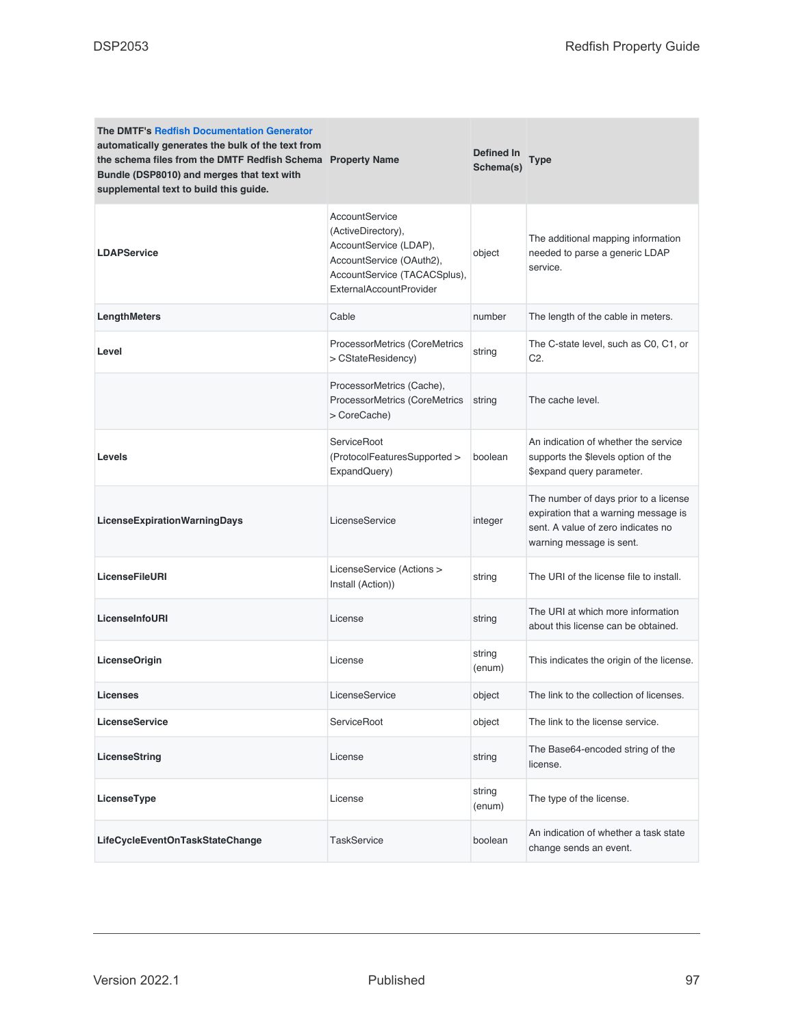| <b>The DMTF's Redfish Documentation Generator</b><br>automatically generates the bulk of the text from<br>the schema files from the DMTF Redfish Schema Property Name<br>Bundle (DSP8010) and merges that text with<br>supplemental text to build this guide. |                                                                                                                                                       | Defined In<br>Schema(s) | <b>Type</b>                                                                                                                                     |
|---------------------------------------------------------------------------------------------------------------------------------------------------------------------------------------------------------------------------------------------------------------|-------------------------------------------------------------------------------------------------------------------------------------------------------|-------------------------|-------------------------------------------------------------------------------------------------------------------------------------------------|
| <b>LDAPService</b>                                                                                                                                                                                                                                            | AccountService<br>(ActiveDirectory),<br>AccountService (LDAP),<br>AccountService (OAuth2),<br>AccountService (TACACSplus),<br>ExternalAccountProvider | object                  | The additional mapping information<br>needed to parse a generic LDAP<br>service.                                                                |
| LengthMeters                                                                                                                                                                                                                                                  | Cable                                                                                                                                                 | number                  | The length of the cable in meters.                                                                                                              |
| Level                                                                                                                                                                                                                                                         | ProcessorMetrics (CoreMetrics<br>> CStateResidency)                                                                                                   | string                  | The C-state level, such as C0, C1, or<br>C <sub>2</sub>                                                                                         |
|                                                                                                                                                                                                                                                               | ProcessorMetrics (Cache),<br>ProcessorMetrics (CoreMetrics<br>> CoreCache)                                                                            | string                  | The cache level.                                                                                                                                |
| Levels                                                                                                                                                                                                                                                        | ServiceRoot<br>(ProtocolFeaturesSupported ><br>ExpandQuery)                                                                                           | boolean                 | An indication of whether the service<br>supports the \$levels option of the<br>\$expand query parameter.                                        |
| LicenseExpirationWarningDays                                                                                                                                                                                                                                  | LicenseService                                                                                                                                        | integer                 | The number of days prior to a license<br>expiration that a warning message is<br>sent. A value of zero indicates no<br>warning message is sent. |
| <b>LicenseFileURI</b>                                                                                                                                                                                                                                         | LicenseService (Actions ><br>Install (Action))                                                                                                        | string                  | The URI of the license file to install.                                                                                                         |
| LicenseInfoURI                                                                                                                                                                                                                                                | License                                                                                                                                               | string                  | The URI at which more information<br>about this license can be obtained.                                                                        |
| <b>LicenseOrigin</b>                                                                                                                                                                                                                                          | License                                                                                                                                               | string<br>(enum)        | This indicates the origin of the license.                                                                                                       |
| Licenses                                                                                                                                                                                                                                                      | LicenseService                                                                                                                                        | object                  | The link to the collection of licenses.                                                                                                         |
| LicenseService                                                                                                                                                                                                                                                | ServiceRoot                                                                                                                                           | object                  | The link to the license service.                                                                                                                |
| LicenseString                                                                                                                                                                                                                                                 | License                                                                                                                                               | string                  | The Base64-encoded string of the<br>license.                                                                                                    |
| LicenseType                                                                                                                                                                                                                                                   | License                                                                                                                                               | string<br>(enum)        | The type of the license.                                                                                                                        |
| LifeCycleEventOnTaskStateChange                                                                                                                                                                                                                               | <b>TaskService</b>                                                                                                                                    | boolean                 | An indication of whether a task state<br>change sends an event.                                                                                 |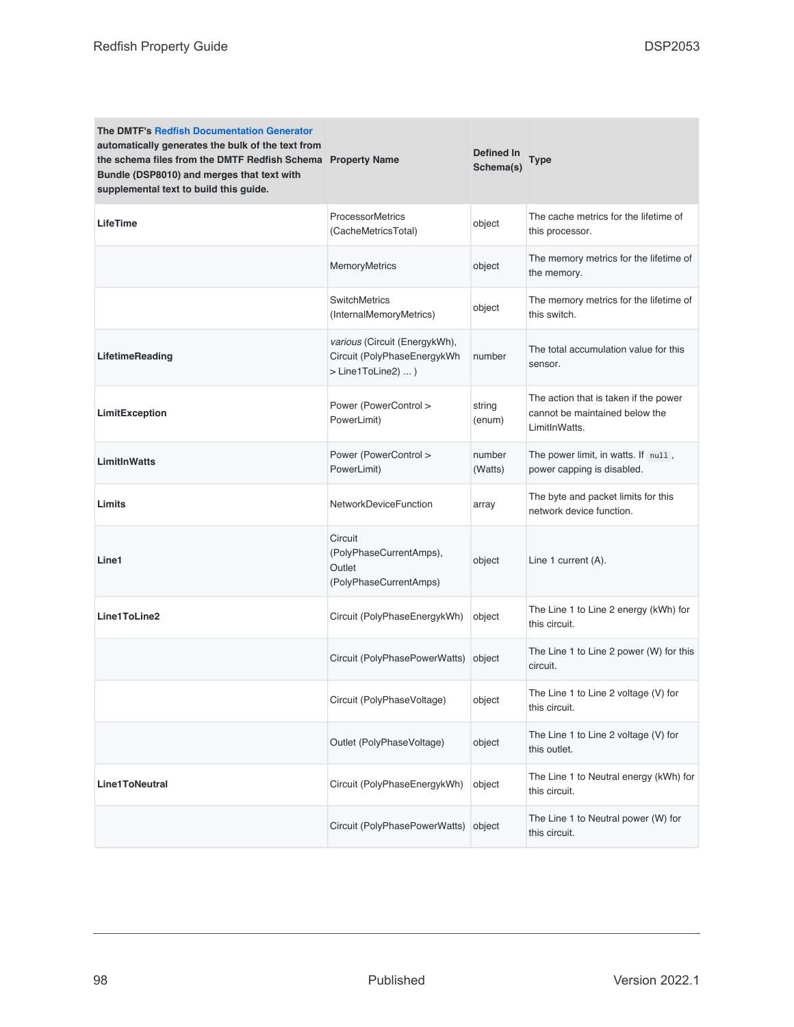| <b>The DMTF's Redfish Documentation Generator</b><br>automatically generates the bulk of the text from<br>the schema files from the DMTF Redfish Schema Property Name<br>Bundle (DSP8010) and merges that text with<br>supplemental text to build this guide. |                                                                                    | Defined In<br>Schema(s) | Type                                                                                     |
|---------------------------------------------------------------------------------------------------------------------------------------------------------------------------------------------------------------------------------------------------------------|------------------------------------------------------------------------------------|-------------------------|------------------------------------------------------------------------------------------|
| <b>LifeTime</b>                                                                                                                                                                                                                                               | ProcessorMetrics<br>(CacheMetricsTotal)                                            | object                  | The cache metrics for the lifetime of<br>this processor.                                 |
|                                                                                                                                                                                                                                                               | <b>MemoryMetrics</b>                                                               | object                  | The memory metrics for the lifetime of<br>the memory.                                    |
|                                                                                                                                                                                                                                                               | <b>SwitchMetrics</b><br>(InternalMemoryMetrics)                                    | object                  | The memory metrics for the lifetime of<br>this switch.                                   |
| LifetimeReading                                                                                                                                                                                                                                               | various (Circuit (EnergykWh),<br>Circuit (PolyPhaseEnergykWh<br>> Line1ToLine2)  ) | number                  | The total accumulation value for this<br>sensor.                                         |
| LimitException                                                                                                                                                                                                                                                | Power (PowerControl ><br>PowerLimit)                                               | string<br>(enum)        | The action that is taken if the power<br>cannot be maintained below the<br>LimitInWatts. |
| <b>LimitInWatts</b>                                                                                                                                                                                                                                           | Power (PowerControl ><br>PowerLimit)                                               | number<br>(Watts)       | The power limit, in watts. If null,<br>power capping is disabled.                        |
| Limits                                                                                                                                                                                                                                                        | <b>NetworkDeviceFunction</b>                                                       | array                   | The byte and packet limits for this<br>network device function.                          |
| Line1                                                                                                                                                                                                                                                         | Circuit<br>(PolyPhaseCurrentAmps),<br>Outlet<br>(PolyPhaseCurrentAmps)             | object                  | Line 1 current (A).                                                                      |
| Line1ToLine2                                                                                                                                                                                                                                                  | Circuit (PolyPhaseEnergykWh)                                                       | object                  | The Line 1 to Line 2 energy (kWh) for<br>this circuit.                                   |
|                                                                                                                                                                                                                                                               | Circuit (PolyPhasePowerWatts)                                                      | object                  | The Line 1 to Line 2 power (W) for this<br>circuit.                                      |
|                                                                                                                                                                                                                                                               | Circuit (PolyPhaseVoltage)                                                         | object                  | The Line 1 to Line 2 voltage (V) for<br>this circuit.                                    |
|                                                                                                                                                                                                                                                               | Outlet (PolyPhaseVoltage)                                                          | object                  | The Line 1 to Line 2 voltage (V) for<br>this outlet.                                     |
| Line1ToNeutral                                                                                                                                                                                                                                                | Circuit (PolyPhaseEnergykWh)                                                       | object                  | The Line 1 to Neutral energy (kWh) for<br>this circuit.                                  |
|                                                                                                                                                                                                                                                               | Circuit (PolyPhasePowerWatts)                                                      | object                  | The Line 1 to Neutral power (W) for<br>this circuit.                                     |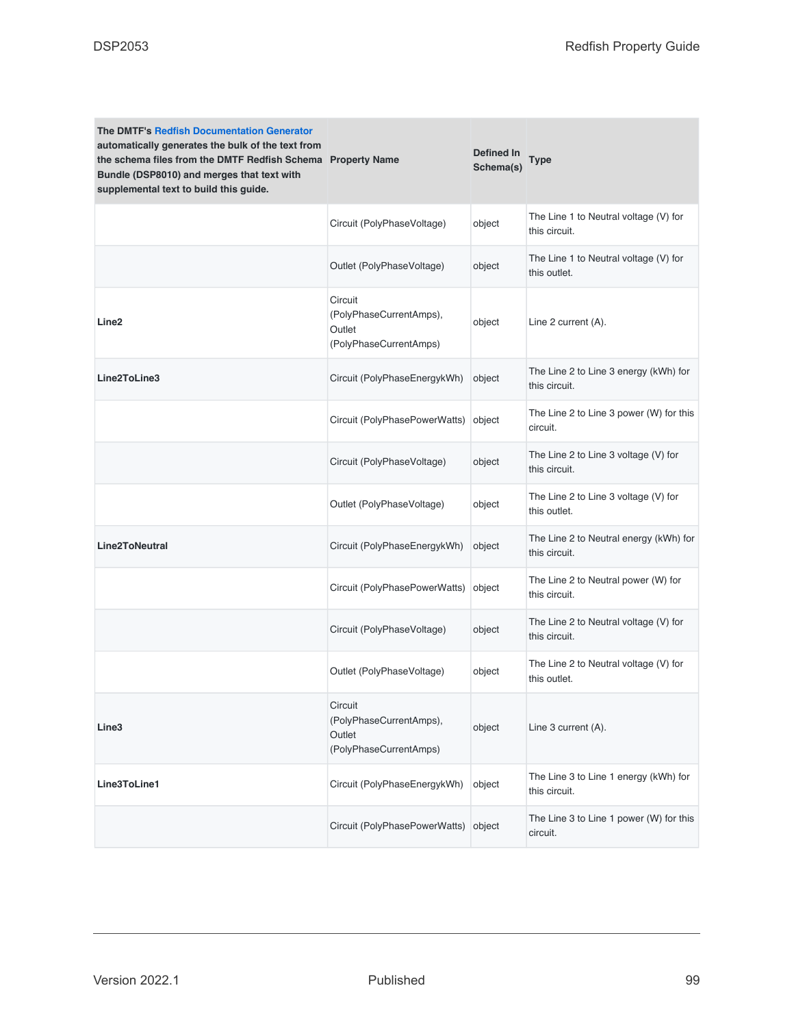| <b>The DMTF's Redfish Documentation Generator</b><br>automatically generates the bulk of the text from<br>the schema files from the DMTF Redfish Schema Property Name<br>Bundle (DSP8010) and merges that text with<br>supplemental text to build this guide. |                                                                        | Defined In<br>Schema(s) | Type                                                    |
|---------------------------------------------------------------------------------------------------------------------------------------------------------------------------------------------------------------------------------------------------------------|------------------------------------------------------------------------|-------------------------|---------------------------------------------------------|
|                                                                                                                                                                                                                                                               | Circuit (PolyPhaseVoltage)                                             | object                  | The Line 1 to Neutral voltage (V) for<br>this circuit.  |
|                                                                                                                                                                                                                                                               | Outlet (PolyPhaseVoltage)                                              | object                  | The Line 1 to Neutral voltage (V) for<br>this outlet.   |
| Line2                                                                                                                                                                                                                                                         | Circuit<br>(PolyPhaseCurrentAmps),<br>Outlet<br>(PolyPhaseCurrentAmps) | object                  | Line 2 current (A).                                     |
| Line2ToLine3                                                                                                                                                                                                                                                  | Circuit (PolyPhaseEnergykWh)                                           | object                  | The Line 2 to Line 3 energy (kWh) for<br>this circuit.  |
|                                                                                                                                                                                                                                                               | Circuit (PolyPhasePowerWatts)                                          | object                  | The Line 2 to Line 3 power (W) for this<br>circuit.     |
|                                                                                                                                                                                                                                                               | Circuit (PolyPhaseVoltage)                                             | object                  | The Line 2 to Line 3 voltage (V) for<br>this circuit.   |
|                                                                                                                                                                                                                                                               | Outlet (PolyPhaseVoltage)                                              | object                  | The Line 2 to Line 3 voltage (V) for<br>this outlet.    |
| <b>Line2ToNeutral</b>                                                                                                                                                                                                                                         | Circuit (PolyPhaseEnergykWh)                                           | object                  | The Line 2 to Neutral energy (kWh) for<br>this circuit. |
|                                                                                                                                                                                                                                                               | Circuit (PolyPhasePowerWatts)                                          | object                  | The Line 2 to Neutral power (W) for<br>this circuit.    |
|                                                                                                                                                                                                                                                               | Circuit (PolyPhaseVoltage)                                             | object                  | The Line 2 to Neutral voltage (V) for<br>this circuit.  |
|                                                                                                                                                                                                                                                               | Outlet (PolyPhaseVoltage)                                              | object                  | The Line 2 to Neutral voltage (V) for<br>this outlet.   |
| Line3                                                                                                                                                                                                                                                         | Circuit<br>(PolyPhaseCurrentAmps),<br>Outlet<br>(PolyPhaseCurrentAmps) | object                  | Line 3 current (A).                                     |
| Line3ToLine1                                                                                                                                                                                                                                                  | Circuit (PolyPhaseEnergykWh)                                           | object                  | The Line 3 to Line 1 energy (kWh) for<br>this circuit.  |
|                                                                                                                                                                                                                                                               | Circuit (PolyPhasePowerWatts)                                          | object                  | The Line 3 to Line 1 power (W) for this<br>circuit.     |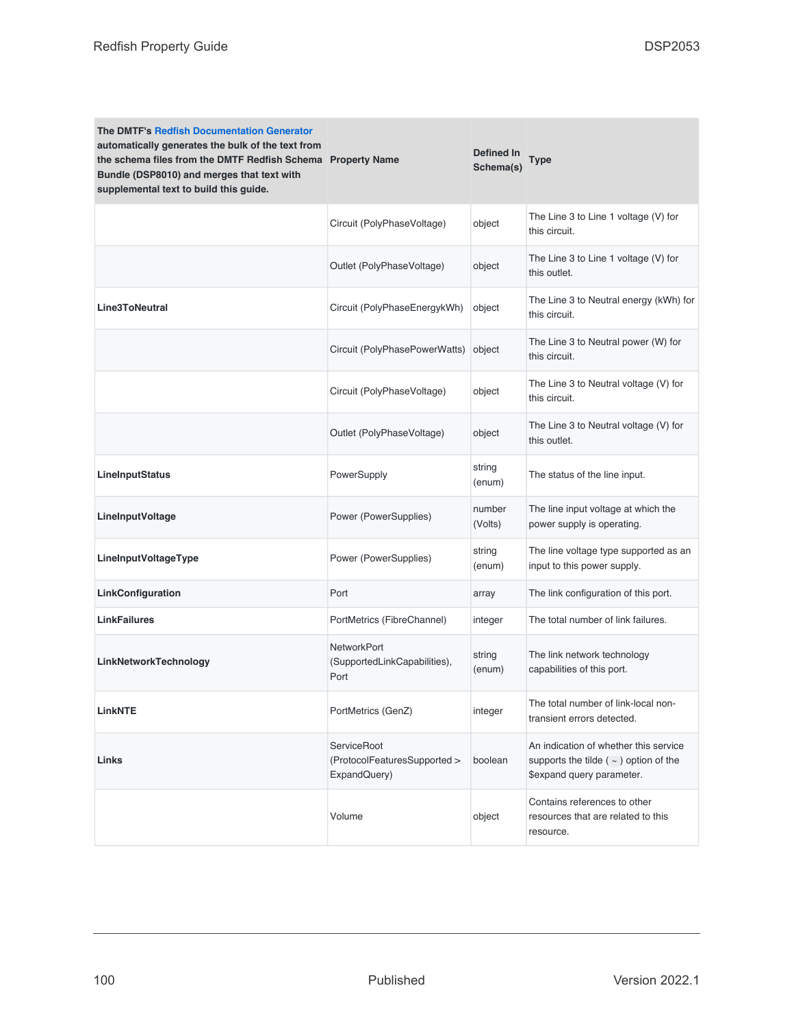| <b>The DMTF's Redfish Documentation Generator</b><br>automatically generates the bulk of the text from<br>the schema files from the DMTF Redfish Schema Property Name<br>Bundle (DSP8010) and merges that text with<br>supplemental text to build this guide. |                                                                    | Defined In<br>Schema(s) | Type                                                                                                              |
|---------------------------------------------------------------------------------------------------------------------------------------------------------------------------------------------------------------------------------------------------------------|--------------------------------------------------------------------|-------------------------|-------------------------------------------------------------------------------------------------------------------|
|                                                                                                                                                                                                                                                               | Circuit (PolyPhaseVoltage)                                         | object                  | The Line 3 to Line 1 voltage (V) for<br>this circuit.                                                             |
|                                                                                                                                                                                                                                                               | Outlet (PolyPhaseVoltage)                                          | object                  | The Line 3 to Line 1 voltage (V) for<br>this outlet.                                                              |
| <b>Line3ToNeutral</b>                                                                                                                                                                                                                                         | Circuit (PolyPhaseEnergykWh)                                       | object                  | The Line 3 to Neutral energy (kWh) for<br>this circuit.                                                           |
|                                                                                                                                                                                                                                                               | Circuit (PolyPhasePowerWatts)                                      | object                  | The Line 3 to Neutral power (W) for<br>this circuit.                                                              |
|                                                                                                                                                                                                                                                               | Circuit (PolyPhaseVoltage)                                         | object                  | The Line 3 to Neutral voltage (V) for<br>this circuit.                                                            |
|                                                                                                                                                                                                                                                               | Outlet (PolyPhaseVoltage)                                          | object                  | The Line 3 to Neutral voltage (V) for<br>this outlet.                                                             |
| LineInputStatus                                                                                                                                                                                                                                               | PowerSupply                                                        | string<br>(enum)        | The status of the line input.                                                                                     |
| LineInputVoltage                                                                                                                                                                                                                                              | Power (PowerSupplies)                                              | number<br>(Volts)       | The line input voltage at which the<br>power supply is operating.                                                 |
| LineInputVoltageType                                                                                                                                                                                                                                          | Power (PowerSupplies)                                              | string<br>(enum)        | The line voltage type supported as an<br>input to this power supply.                                              |
| LinkConfiguration                                                                                                                                                                                                                                             | Port                                                               | array                   | The link configuration of this port.                                                                              |
| <b>LinkFailures</b>                                                                                                                                                                                                                                           | PortMetrics (FibreChannel)                                         | integer                 | The total number of link failures.                                                                                |
| LinkNetworkTechnology                                                                                                                                                                                                                                         | <b>NetworkPort</b><br>(SupportedLinkCapabilities),<br>Port         | string<br>(enum)        | The link network technology<br>capabilities of this port.                                                         |
| <b>LinkNTE</b>                                                                                                                                                                                                                                                | PortMetrics (GenZ)                                                 | integer                 | The total number of link-local non-<br>transient errors detected.                                                 |
| Links                                                                                                                                                                                                                                                         | <b>ServiceRoot</b><br>(ProtocolFeaturesSupported ><br>ExpandQuery) | boolean                 | An indication of whether this service<br>supports the tilde ( $\sim$ ) option of the<br>\$expand query parameter. |
|                                                                                                                                                                                                                                                               | Volume                                                             | object                  | Contains references to other<br>resources that are related to this<br>resource.                                   |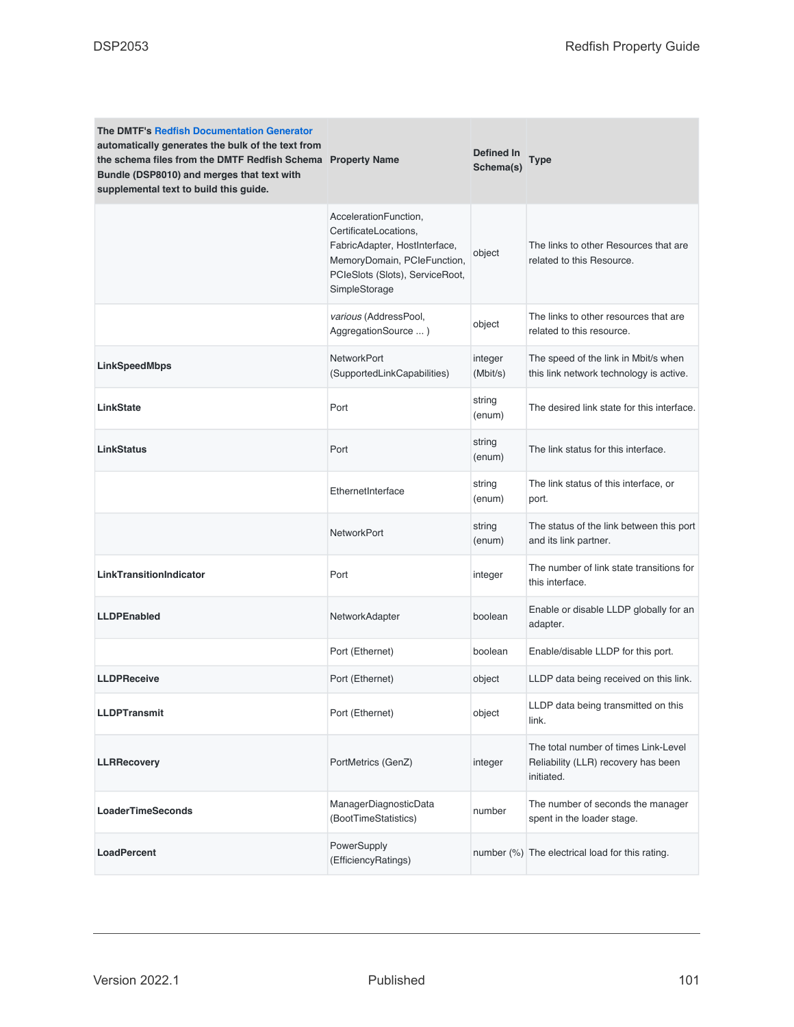| <b>The DMTF's Redfish Documentation Generator</b><br>automatically generates the bulk of the text from<br>the schema files from the DMTF Redfish Schema Property Name<br>Bundle (DSP8010) and merges that text with<br>supplemental text to build this guide. |                                                                                                                                                                    | Defined In<br>Schema(s) | <b>Type</b>                                                                               |
|---------------------------------------------------------------------------------------------------------------------------------------------------------------------------------------------------------------------------------------------------------------|--------------------------------------------------------------------------------------------------------------------------------------------------------------------|-------------------------|-------------------------------------------------------------------------------------------|
|                                                                                                                                                                                                                                                               | AccelerationFunction,<br>CertificateLocations,<br>FabricAdapter, HostInterface,<br>MemoryDomain, PCIeFunction,<br>PCIeSlots (Slots), ServiceRoot,<br>SimpleStorage | object                  | The links to other Resources that are<br>related to this Resource.                        |
|                                                                                                                                                                                                                                                               | various (AddressPool,<br>AggregationSource )                                                                                                                       | object                  | The links to other resources that are<br>related to this resource.                        |
| LinkSpeedMbps                                                                                                                                                                                                                                                 | <b>NetworkPort</b><br>(SupportedLinkCapabilities)                                                                                                                  | integer<br>(Mbit/s)     | The speed of the link in Mbit/s when<br>this link network technology is active.           |
| <b>LinkState</b>                                                                                                                                                                                                                                              | Port                                                                                                                                                               | string<br>(enum)        | The desired link state for this interface.                                                |
| <b>LinkStatus</b>                                                                                                                                                                                                                                             | Port                                                                                                                                                               | string<br>(enum)        | The link status for this interface.                                                       |
|                                                                                                                                                                                                                                                               | EthernetInterface                                                                                                                                                  | string<br>(enum)        | The link status of this interface, or<br>port.                                            |
|                                                                                                                                                                                                                                                               | <b>NetworkPort</b>                                                                                                                                                 | string<br>(enum)        | The status of the link between this port<br>and its link partner.                         |
| LinkTransitionIndicator                                                                                                                                                                                                                                       | Port                                                                                                                                                               | integer                 | The number of link state transitions for<br>this interface.                               |
| <b>LLDPEnabled</b>                                                                                                                                                                                                                                            | NetworkAdapter                                                                                                                                                     | boolean                 | Enable or disable LLDP globally for an<br>adapter.                                        |
|                                                                                                                                                                                                                                                               | Port (Ethernet)                                                                                                                                                    | boolean                 | Enable/disable LLDP for this port.                                                        |
| <b>LLDPReceive</b>                                                                                                                                                                                                                                            | Port (Ethernet)                                                                                                                                                    | object                  | LLDP data being received on this link.                                                    |
| <b>LLDPTransmit</b>                                                                                                                                                                                                                                           | Port (Ethernet)                                                                                                                                                    | object                  | LLDP data being transmitted on this<br>link.                                              |
| <b>LLRRecovery</b>                                                                                                                                                                                                                                            | PortMetrics (GenZ)                                                                                                                                                 | integer                 | The total number of times Link-Level<br>Reliability (LLR) recovery has been<br>initiated. |
| <b>LoaderTimeSeconds</b>                                                                                                                                                                                                                                      | ManagerDiagnosticData<br>(BootTimeStatistics)                                                                                                                      | number                  | The number of seconds the manager<br>spent in the loader stage.                           |
| <b>LoadPercent</b>                                                                                                                                                                                                                                            | PowerSupply<br>(EfficiencyRatings)                                                                                                                                 |                         | number (%) The electrical load for this rating.                                           |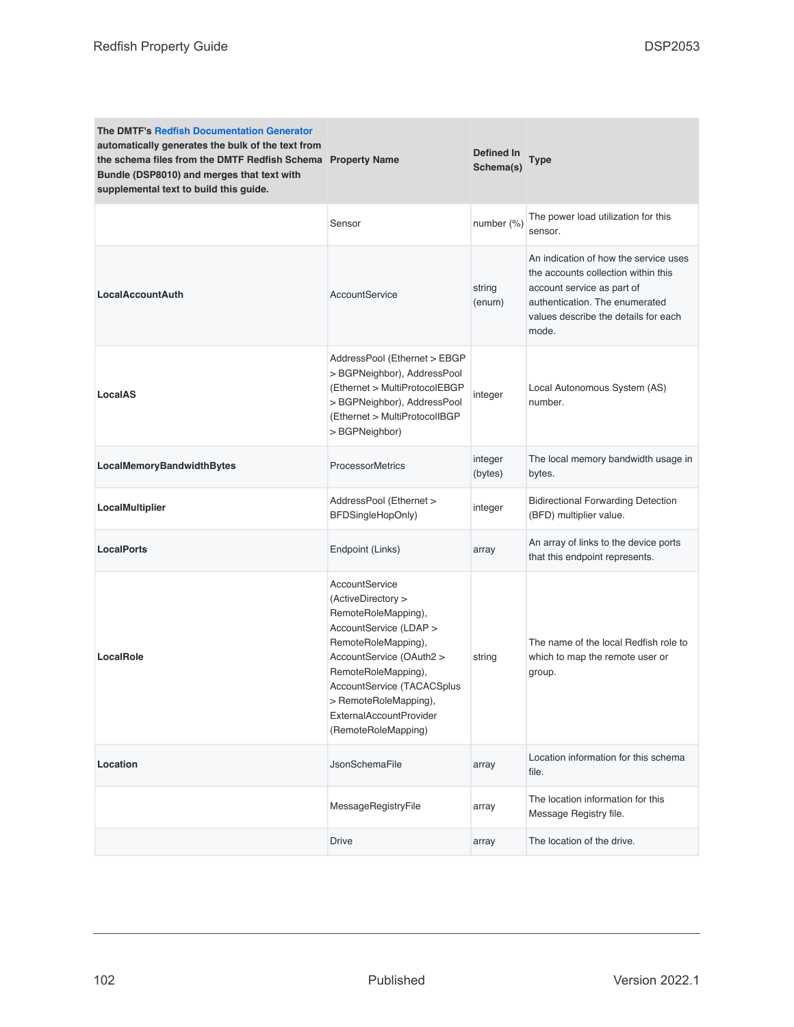| <b>The DMTF's Redfish Documentation Generator</b><br>automatically generates the bulk of the text from<br>the schema files from the DMTF Redfish Schema Property Name<br>Bundle (DSP8010) and merges that text with<br>supplemental text to build this guide. |                                                                                                                                                                                                                                                                                        | Defined In<br>Schema(s) | Type                                                                                                                                                                                          |
|---------------------------------------------------------------------------------------------------------------------------------------------------------------------------------------------------------------------------------------------------------------|----------------------------------------------------------------------------------------------------------------------------------------------------------------------------------------------------------------------------------------------------------------------------------------|-------------------------|-----------------------------------------------------------------------------------------------------------------------------------------------------------------------------------------------|
|                                                                                                                                                                                                                                                               | Sensor                                                                                                                                                                                                                                                                                 | number (%)              | The power load utilization for this<br>sensor.                                                                                                                                                |
| <b>LocalAccountAuth</b>                                                                                                                                                                                                                                       | AccountService                                                                                                                                                                                                                                                                         | string<br>(enum)        | An indication of how the service uses<br>the accounts collection within this<br>account service as part of<br>authentication. The enumerated<br>values describe the details for each<br>mode. |
| LocalAS                                                                                                                                                                                                                                                       | AddressPool (Ethernet > EBGP<br>> BGPNeighbor), AddressPool<br>(Ethernet > MultiProtocolEBGP<br>> BGPNeighbor), AddressPool<br>(Ethernet > MultiProtocolIBGP<br>> BGPNeighbor)                                                                                                         | integer                 | Local Autonomous System (AS)<br>number.                                                                                                                                                       |
| LocalMemoryBandwidthBytes                                                                                                                                                                                                                                     | <b>ProcessorMetrics</b>                                                                                                                                                                                                                                                                | integer<br>(bytes)      | The local memory bandwidth usage in<br>bytes.                                                                                                                                                 |
| LocalMultiplier                                                                                                                                                                                                                                               | AddressPool (Ethernet ><br>BFDSingleHopOnly)                                                                                                                                                                                                                                           | integer                 | <b>Bidirectional Forwarding Detection</b><br>(BFD) multiplier value.                                                                                                                          |
| <b>LocalPorts</b>                                                                                                                                                                                                                                             | Endpoint (Links)                                                                                                                                                                                                                                                                       | array                   | An array of links to the device ports<br>that this endpoint represents.                                                                                                                       |
| LocalRole                                                                                                                                                                                                                                                     | AccountService<br>(ActiveDirectory ><br>RemoteRoleMapping),<br>AccountService (LDAP ><br>RemoteRoleMapping),<br>AccountService (OAuth2 ><br>RemoteRoleMapping),<br><b>AccountService (TACACSplus</b><br>> RemoteRoleMapping),<br><b>ExternalAccountProvider</b><br>(RemoteRoleMapping) | string                  | The name of the local Redfish role to<br>which to map the remote user or<br>group.                                                                                                            |
| Location                                                                                                                                                                                                                                                      | <b>JsonSchemaFile</b>                                                                                                                                                                                                                                                                  | array                   | Location information for this schema<br>file.                                                                                                                                                 |
|                                                                                                                                                                                                                                                               | MessageRegistryFile                                                                                                                                                                                                                                                                    | array                   | The location information for this<br>Message Registry file.                                                                                                                                   |
|                                                                                                                                                                                                                                                               | Drive                                                                                                                                                                                                                                                                                  | array                   | The location of the drive.                                                                                                                                                                    |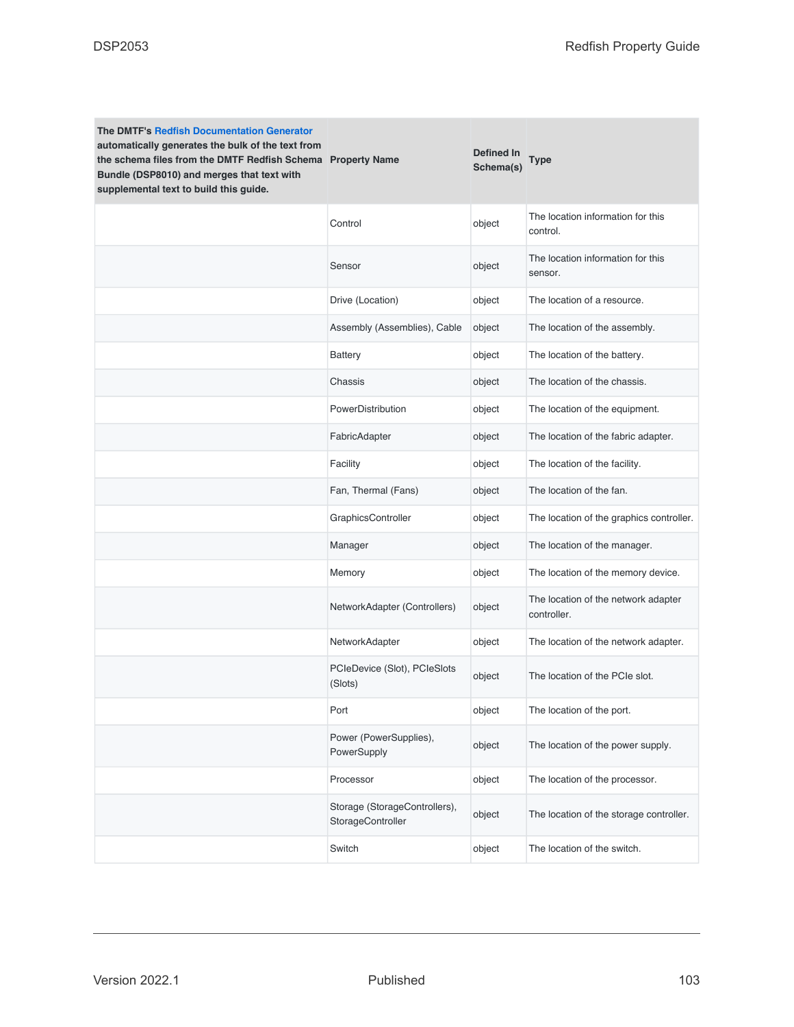| <b>The DMTF's Redfish Documentation Generator</b><br>automatically generates the bulk of the text from<br>the schema files from the DMTF Redfish Schema Property Name<br>Bundle (DSP8010) and merges that text with<br>supplemental text to build this guide. |                                                    | Defined In<br>Schema(s) | Type                                               |
|---------------------------------------------------------------------------------------------------------------------------------------------------------------------------------------------------------------------------------------------------------------|----------------------------------------------------|-------------------------|----------------------------------------------------|
|                                                                                                                                                                                                                                                               | Control                                            | object                  | The location information for this<br>control.      |
|                                                                                                                                                                                                                                                               | Sensor                                             | object                  | The location information for this<br>sensor.       |
|                                                                                                                                                                                                                                                               | Drive (Location)                                   | object                  | The location of a resource.                        |
|                                                                                                                                                                                                                                                               | Assembly (Assemblies), Cable                       | object                  | The location of the assembly.                      |
|                                                                                                                                                                                                                                                               | <b>Battery</b>                                     | object                  | The location of the battery.                       |
|                                                                                                                                                                                                                                                               | Chassis                                            | object                  | The location of the chassis.                       |
|                                                                                                                                                                                                                                                               | PowerDistribution                                  | object                  | The location of the equipment.                     |
|                                                                                                                                                                                                                                                               | FabricAdapter                                      | object                  | The location of the fabric adapter.                |
|                                                                                                                                                                                                                                                               | Facility                                           | object                  | The location of the facility.                      |
|                                                                                                                                                                                                                                                               | Fan, Thermal (Fans)                                | object                  | The location of the fan.                           |
|                                                                                                                                                                                                                                                               | GraphicsController                                 | object                  | The location of the graphics controller.           |
|                                                                                                                                                                                                                                                               | Manager                                            | object                  | The location of the manager.                       |
|                                                                                                                                                                                                                                                               | Memory                                             | object                  | The location of the memory device.                 |
|                                                                                                                                                                                                                                                               | NetworkAdapter (Controllers)                       | object                  | The location of the network adapter<br>controller. |
|                                                                                                                                                                                                                                                               | NetworkAdapter                                     | object                  | The location of the network adapter.               |
|                                                                                                                                                                                                                                                               | PCIeDevice (Slot), PCIeSlots<br>(Slots)            | object                  | The location of the PCIe slot.                     |
|                                                                                                                                                                                                                                                               | Port                                               | object                  | The location of the port.                          |
|                                                                                                                                                                                                                                                               | Power (PowerSupplies),<br>PowerSupply              | object                  | The location of the power supply.                  |
|                                                                                                                                                                                                                                                               | Processor                                          | object                  | The location of the processor.                     |
|                                                                                                                                                                                                                                                               | Storage (StorageControllers),<br>StorageController | object                  | The location of the storage controller.            |
|                                                                                                                                                                                                                                                               | Switch                                             | object                  | The location of the switch.                        |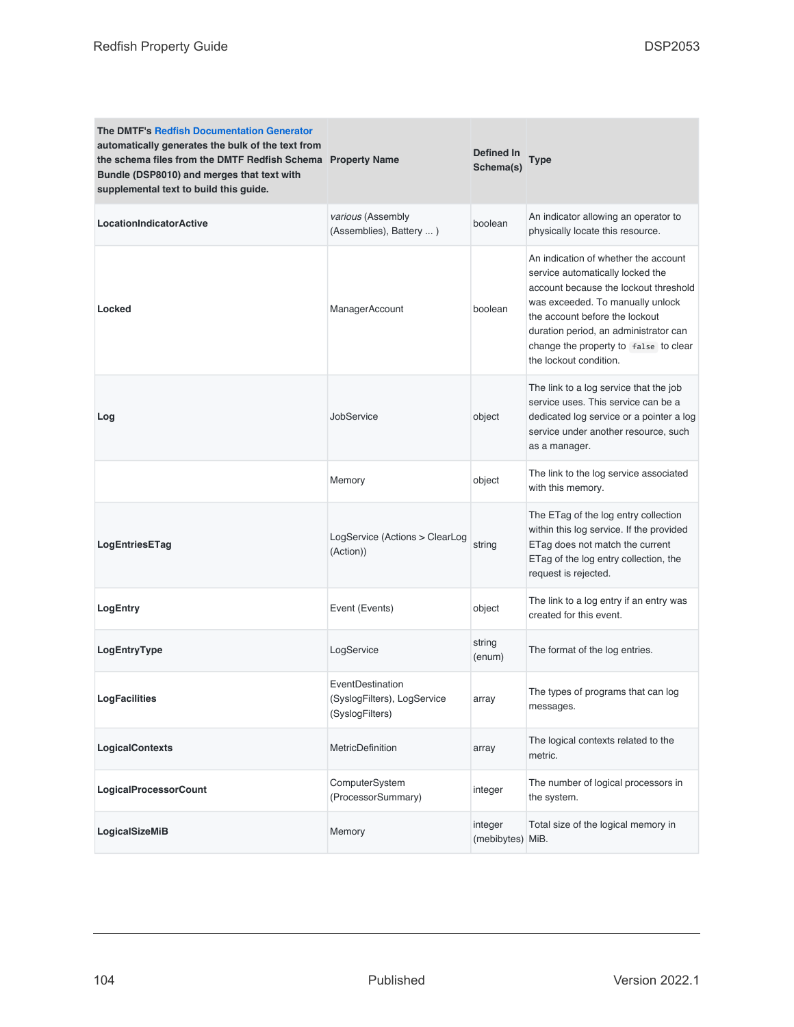| <b>The DMTF's Redfish Documentation Generator</b><br>automatically generates the bulk of the text from<br>the schema files from the DMTF Redfish Schema Property Name<br>Bundle (DSP8010) and merges that text with<br>supplemental text to build this guide. |                                                                    | Defined In<br>Schema(s)     | Type                                                                                                                                                                                                                                                                                                |
|---------------------------------------------------------------------------------------------------------------------------------------------------------------------------------------------------------------------------------------------------------------|--------------------------------------------------------------------|-----------------------------|-----------------------------------------------------------------------------------------------------------------------------------------------------------------------------------------------------------------------------------------------------------------------------------------------------|
| <b>LocationIndicatorActive</b>                                                                                                                                                                                                                                | various (Assembly<br>(Assemblies), Battery  )                      | boolean                     | An indicator allowing an operator to<br>physically locate this resource.                                                                                                                                                                                                                            |
| Locked                                                                                                                                                                                                                                                        | ManagerAccount                                                     | boolean                     | An indication of whether the account<br>service automatically locked the<br>account because the lockout threshold<br>was exceeded. To manually unlock<br>the account before the lockout<br>duration period, an administrator can<br>change the property to false to clear<br>the lockout condition. |
| Log                                                                                                                                                                                                                                                           | JobService                                                         | object                      | The link to a log service that the job<br>service uses. This service can be a<br>dedicated log service or a pointer a log<br>service under another resource, such<br>as a manager.                                                                                                                  |
|                                                                                                                                                                                                                                                               | Memory                                                             | object                      | The link to the log service associated<br>with this memory.                                                                                                                                                                                                                                         |
| LogEntriesETag                                                                                                                                                                                                                                                | LogService (Actions > ClearLog<br>(Action))                        | string                      | The ETag of the log entry collection<br>within this log service. If the provided<br>ETag does not match the current<br>ETag of the log entry collection, the<br>request is rejected.                                                                                                                |
| LogEntry                                                                                                                                                                                                                                                      | Event (Events)                                                     | object                      | The link to a log entry if an entry was<br>created for this event.                                                                                                                                                                                                                                  |
| LogEntryType                                                                                                                                                                                                                                                  | LogService                                                         | string<br>(enum)            | The format of the log entries.                                                                                                                                                                                                                                                                      |
| <b>LogFacilities</b>                                                                                                                                                                                                                                          | EventDestination<br>(SyslogFilters), LogService<br>(SyslogFilters) | array                       | The types of programs that can log<br>messages.                                                                                                                                                                                                                                                     |
| LogicalContexts                                                                                                                                                                                                                                               | MetricDefinition                                                   | array                       | The logical contexts related to the<br>metric.                                                                                                                                                                                                                                                      |
| <b>LogicalProcessorCount</b>                                                                                                                                                                                                                                  | ComputerSystem<br>(ProcessorSummary)                               | integer                     | The number of logical processors in<br>the system.                                                                                                                                                                                                                                                  |
| LogicalSizeMiB                                                                                                                                                                                                                                                | Memory                                                             | integer<br>(mebibytes) MiB. | Total size of the logical memory in                                                                                                                                                                                                                                                                 |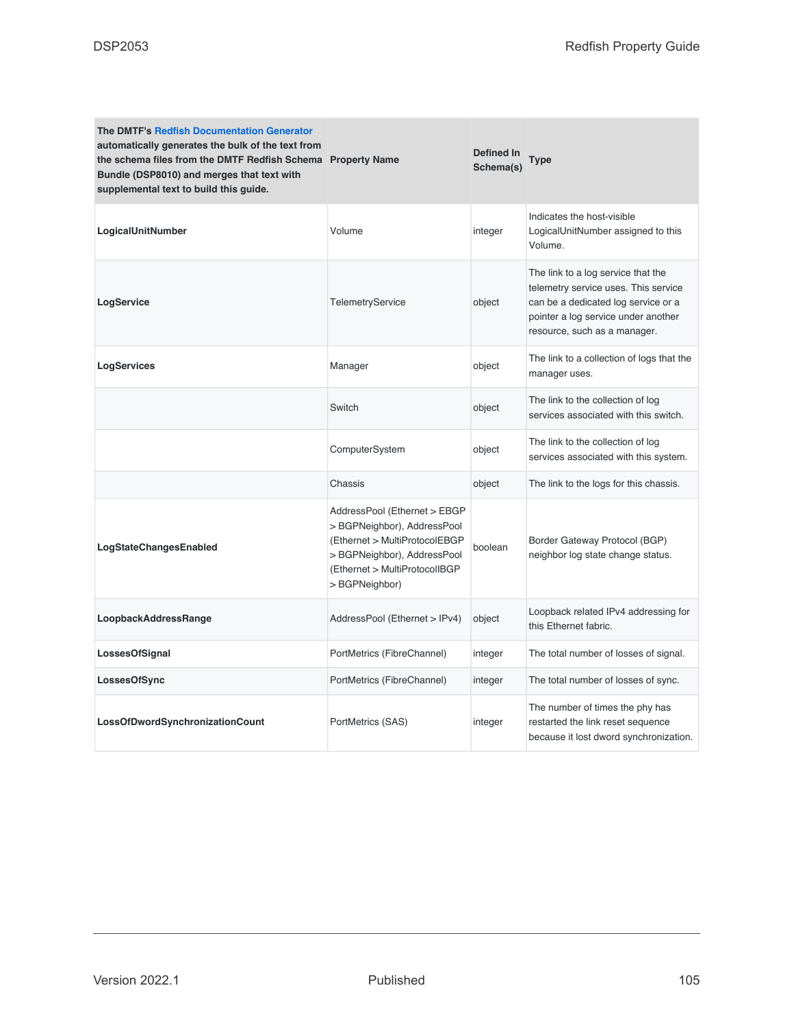| <b>The DMTF's Redfish Documentation Generator</b><br>automatically generates the bulk of the text from<br>the schema files from the DMTF Redfish Schema Property Name<br>Bundle (DSP8010) and merges that text with<br>supplemental text to build this guide. |                                                                                                                                                                               | Defined In<br>Schema(s) | <b>Type</b>                                                                                                                                                                              |
|---------------------------------------------------------------------------------------------------------------------------------------------------------------------------------------------------------------------------------------------------------------|-------------------------------------------------------------------------------------------------------------------------------------------------------------------------------|-------------------------|------------------------------------------------------------------------------------------------------------------------------------------------------------------------------------------|
| LogicalUnitNumber                                                                                                                                                                                                                                             | Volume                                                                                                                                                                        | integer                 | Indicates the host-visible<br>LogicalUnitNumber assigned to this<br>Volume.                                                                                                              |
| LogService                                                                                                                                                                                                                                                    | <b>TelemetryService</b>                                                                                                                                                       | object                  | The link to a log service that the<br>telemetry service uses. This service<br>can be a dedicated log service or a<br>pointer a log service under another<br>resource, such as a manager. |
| LogServices                                                                                                                                                                                                                                                   | Manager                                                                                                                                                                       | object                  | The link to a collection of logs that the<br>manager uses.                                                                                                                               |
|                                                                                                                                                                                                                                                               | Switch                                                                                                                                                                        | object                  | The link to the collection of log<br>services associated with this switch.                                                                                                               |
|                                                                                                                                                                                                                                                               | ComputerSystem                                                                                                                                                                | object                  | The link to the collection of log<br>services associated with this system.                                                                                                               |
|                                                                                                                                                                                                                                                               | Chassis                                                                                                                                                                       | object                  | The link to the logs for this chassis.                                                                                                                                                   |
| LogStateChangesEnabled                                                                                                                                                                                                                                        | AddressPool (Ethernet > EBGP<br>>BGPNeighbor), AddressPool<br>(Ethernet > MultiProtocolEBGP<br>> BGPNeighbor), AddressPool<br>(Ethernet > MultiProtocolIBGP<br>> BGPNeighbor) | boolean                 | Border Gateway Protocol (BGP)<br>neighbor log state change status.                                                                                                                       |
| LoopbackAddressRange                                                                                                                                                                                                                                          | AddressPool (Ethernet > IPv4)                                                                                                                                                 | object                  | Loopback related IPv4 addressing for<br>this Ethernet fabric.                                                                                                                            |
| LossesOfSignal                                                                                                                                                                                                                                                | PortMetrics (FibreChannel)                                                                                                                                                    | integer                 | The total number of losses of signal.                                                                                                                                                    |
| LossesOfSync                                                                                                                                                                                                                                                  | PortMetrics (FibreChannel)                                                                                                                                                    | integer                 | The total number of losses of sync.                                                                                                                                                      |
| LossOfDwordSynchronizationCount                                                                                                                                                                                                                               | PortMetrics (SAS)                                                                                                                                                             | integer                 | The number of times the phy has<br>restarted the link reset sequence<br>because it lost dword synchronization.                                                                           |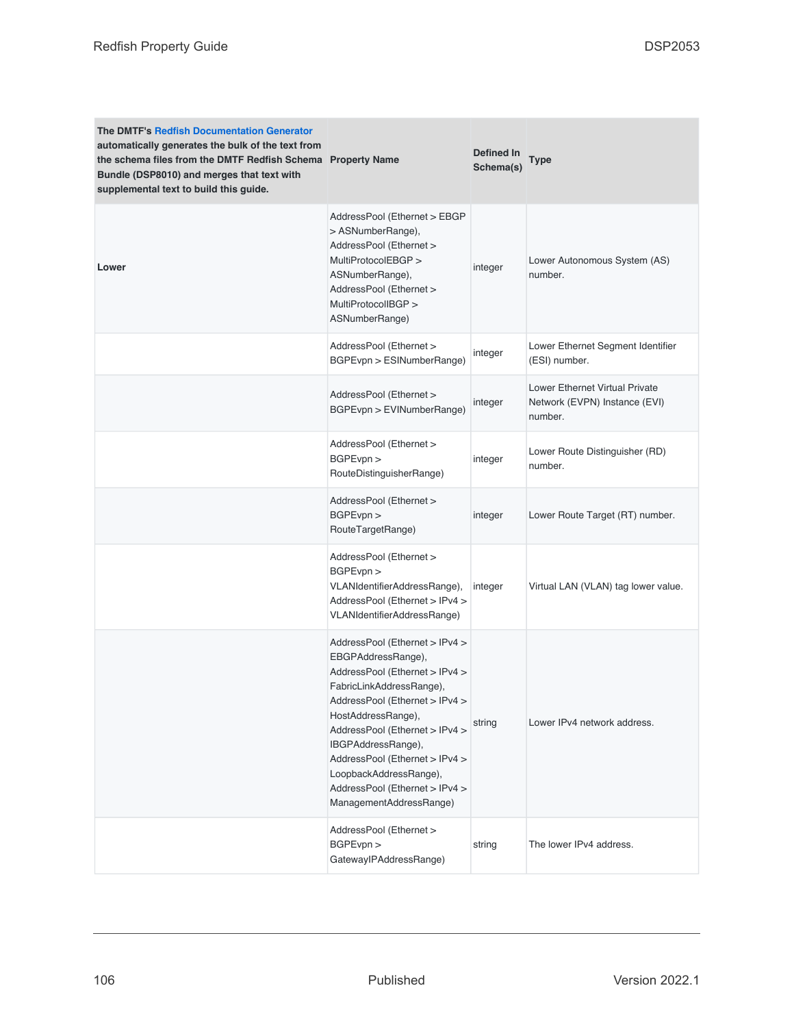| <b>The DMTF's Redfish Documentation Generator</b><br>automatically generates the bulk of the text from<br>the schema files from the DMTF Redfish Schema Property Name<br>Bundle (DSP8010) and merges that text with<br>supplemental text to build this guide. |                                                                                                                                                                                                                                                                                                                                                             | Defined In<br>Schema(s) | <b>Type</b>                                                                       |
|---------------------------------------------------------------------------------------------------------------------------------------------------------------------------------------------------------------------------------------------------------------|-------------------------------------------------------------------------------------------------------------------------------------------------------------------------------------------------------------------------------------------------------------------------------------------------------------------------------------------------------------|-------------------------|-----------------------------------------------------------------------------------|
| Lower                                                                                                                                                                                                                                                         | AddressPool (Ethernet > EBGP<br>> ASNumberRange),<br>AddressPool (Ethernet ><br>MultiProtocolEBGP ><br>ASNumberRange),<br>AddressPool (Ethernet ><br>MultiProtocolIBGP ><br>ASNumberRange)                                                                                                                                                                  | integer                 | Lower Autonomous System (AS)<br>number.                                           |
|                                                                                                                                                                                                                                                               | AddressPool (Ethernet ><br>BGPEvpn > ESINumberRange)                                                                                                                                                                                                                                                                                                        | integer                 | Lower Ethernet Segment Identifier<br>(ESI) number.                                |
|                                                                                                                                                                                                                                                               | AddressPool (Ethernet ><br>BGPEvpn > EVINumberRange)                                                                                                                                                                                                                                                                                                        | integer                 | <b>Lower Ethernet Virtual Private</b><br>Network (EVPN) Instance (EVI)<br>number. |
|                                                                                                                                                                                                                                                               | AddressPool (Ethernet ><br>BGPEvpn ><br>RouteDistinguisherRange)                                                                                                                                                                                                                                                                                            | integer                 | Lower Route Distinguisher (RD)<br>number.                                         |
|                                                                                                                                                                                                                                                               | AddressPool (Ethernet ><br>BGPEvpn ><br>RouteTargetRange)                                                                                                                                                                                                                                                                                                   | integer                 | Lower Route Target (RT) number.                                                   |
|                                                                                                                                                                                                                                                               | AddressPool (Ethernet ><br>BGPEvpn<br>VLANIdentifierAddressRange),<br>AddressPool (Ethernet > IPv4 ><br>VLANIdentifierAddressRange)                                                                                                                                                                                                                         | integer                 | Virtual LAN (VLAN) tag lower value.                                               |
|                                                                                                                                                                                                                                                               | AddressPool (Ethernet > IPv4 ><br>EBGPAddressRange),<br>AddressPool (Ethernet > IPv4 ><br>FabricLinkAddressRange),<br>AddressPool (Ethernet > IPv4 ><br>HostAddressRange),<br>AddressPool (Ethernet > IPv4 ><br>IBGPAddressRange),<br>AddressPool (Ethernet > IPv4 ><br>LoopbackAddressRange),<br>AddressPool (Ethernet > IPv4 ><br>ManagementAddressRange) | string                  | Lower IPv4 network address.                                                       |
|                                                                                                                                                                                                                                                               | AddressPool (Ethernet ><br>BGPEvpn ><br>GatewaylPAddressRange)                                                                                                                                                                                                                                                                                              | string                  | The lower IPv4 address.                                                           |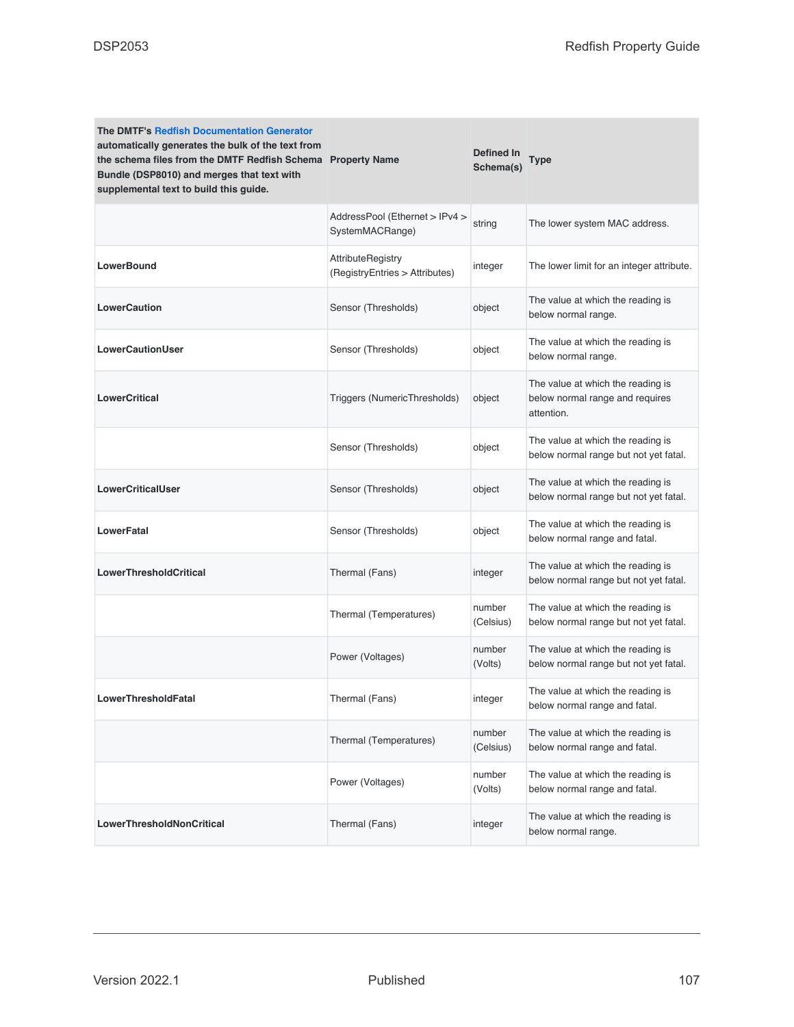| <b>The DMTF's Redfish Documentation Generator</b><br>automatically generates the bulk of the text from<br>the schema files from the DMTF Redfish Schema Property Name<br>Bundle (DSP8010) and merges that text with<br>supplemental text to build this guide. |                                                            | Defined In<br>Schema(s) | Type                                                                               |
|---------------------------------------------------------------------------------------------------------------------------------------------------------------------------------------------------------------------------------------------------------------|------------------------------------------------------------|-------------------------|------------------------------------------------------------------------------------|
|                                                                                                                                                                                                                                                               | AddressPool (Ethernet > IPv4 ><br>SystemMACRange)          | string                  | The lower system MAC address.                                                      |
| <b>LowerBound</b>                                                                                                                                                                                                                                             | <b>AttributeRegistry</b><br>(RegistryEntries > Attributes) | integer                 | The lower limit for an integer attribute.                                          |
| <b>LowerCaution</b>                                                                                                                                                                                                                                           | Sensor (Thresholds)                                        | object                  | The value at which the reading is<br>below normal range.                           |
| <b>LowerCautionUser</b>                                                                                                                                                                                                                                       | Sensor (Thresholds)                                        | object                  | The value at which the reading is<br>below normal range.                           |
| <b>LowerCritical</b>                                                                                                                                                                                                                                          | Triggers (NumericThresholds)                               | object                  | The value at which the reading is<br>below normal range and requires<br>attention. |
|                                                                                                                                                                                                                                                               | Sensor (Thresholds)                                        | object                  | The value at which the reading is<br>below normal range but not yet fatal.         |
| <b>LowerCriticalUser</b>                                                                                                                                                                                                                                      | Sensor (Thresholds)                                        | object                  | The value at which the reading is<br>below normal range but not yet fatal.         |
| LowerFatal                                                                                                                                                                                                                                                    | Sensor (Thresholds)                                        | object                  | The value at which the reading is<br>below normal range and fatal.                 |
| <b>LowerThresholdCritical</b>                                                                                                                                                                                                                                 | Thermal (Fans)                                             | integer                 | The value at which the reading is<br>below normal range but not yet fatal.         |
|                                                                                                                                                                                                                                                               | Thermal (Temperatures)                                     | number<br>(Celsius)     | The value at which the reading is<br>below normal range but not yet fatal.         |
|                                                                                                                                                                                                                                                               | Power (Voltages)                                           | number<br>(Volts)       | The value at which the reading is<br>below normal range but not yet fatal.         |
| <b>LowerThresholdFatal</b>                                                                                                                                                                                                                                    | Thermal (Fans)                                             | integer                 | The value at which the reading is<br>below normal range and fatal.                 |
|                                                                                                                                                                                                                                                               | Thermal (Temperatures)                                     | number<br>(Celsius)     | The value at which the reading is<br>below normal range and fatal.                 |
|                                                                                                                                                                                                                                                               | Power (Voltages)                                           | number<br>(Volts)       | The value at which the reading is<br>below normal range and fatal.                 |
| LowerThresholdNonCritical                                                                                                                                                                                                                                     | Thermal (Fans)                                             | integer                 | The value at which the reading is<br>below normal range.                           |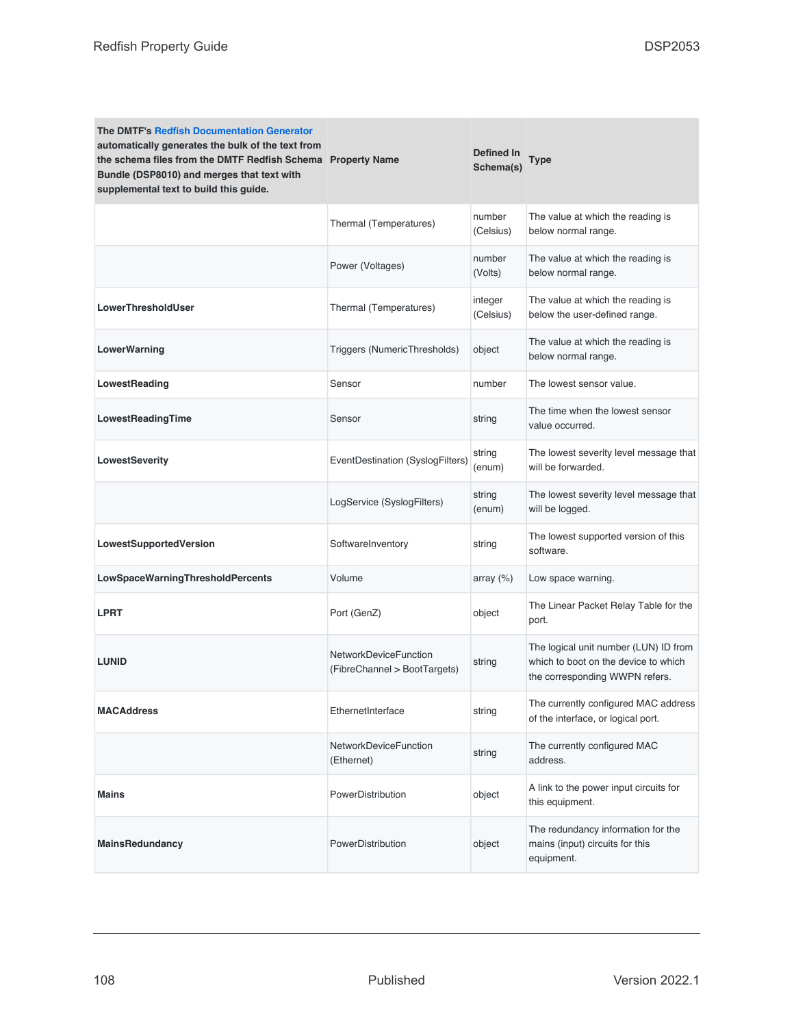| <b>The DMTF's Redfish Documentation Generator</b><br>automatically generates the bulk of the text from<br>the schema files from the DMTF Redfish Schema Property Name<br>Bundle (DSP8010) and merges that text with<br>supplemental text to build this guide. |                                                       | Defined In<br>Schema(s) | Type                                                                                                            |
|---------------------------------------------------------------------------------------------------------------------------------------------------------------------------------------------------------------------------------------------------------------|-------------------------------------------------------|-------------------------|-----------------------------------------------------------------------------------------------------------------|
|                                                                                                                                                                                                                                                               | Thermal (Temperatures)                                | number<br>(Celsius)     | The value at which the reading is<br>below normal range.                                                        |
|                                                                                                                                                                                                                                                               | Power (Voltages)                                      | number<br>(Volts)       | The value at which the reading is<br>below normal range.                                                        |
| LowerThresholdUser                                                                                                                                                                                                                                            | Thermal (Temperatures)                                | integer<br>(Celsius)    | The value at which the reading is<br>below the user-defined range.                                              |
| LowerWarning                                                                                                                                                                                                                                                  | Triggers (NumericThresholds)                          | object                  | The value at which the reading is<br>below normal range.                                                        |
| LowestReading                                                                                                                                                                                                                                                 | Sensor                                                | number                  | The lowest sensor value.                                                                                        |
| LowestReadingTime                                                                                                                                                                                                                                             | Sensor                                                | string                  | The time when the lowest sensor<br>value occurred.                                                              |
| LowestSeverity                                                                                                                                                                                                                                                | EventDestination (SyslogFilters)                      | string<br>(enum)        | The lowest severity level message that<br>will be forwarded.                                                    |
|                                                                                                                                                                                                                                                               | LogService (SyslogFilters)                            | string<br>(enum)        | The lowest severity level message that<br>will be logged.                                                       |
| LowestSupportedVersion                                                                                                                                                                                                                                        | SoftwareInventory                                     | string                  | The lowest supported version of this<br>software.                                                               |
| LowSpaceWarningThresholdPercents                                                                                                                                                                                                                              | Volume                                                | array $(\%)$            | Low space warning.                                                                                              |
| <b>LPRT</b>                                                                                                                                                                                                                                                   | Port (GenZ)                                           | object                  | The Linear Packet Relay Table for the<br>port.                                                                  |
| <b>LUNID</b>                                                                                                                                                                                                                                                  | NetworkDeviceFunction<br>(FibreChannel > BootTargets) | string                  | The logical unit number (LUN) ID from<br>which to boot on the device to which<br>the corresponding WWPN refers. |
| <b>MACAddress</b>                                                                                                                                                                                                                                             | EthernetInterface                                     | string                  | The currently configured MAC address<br>of the interface, or logical port.                                      |
|                                                                                                                                                                                                                                                               | <b>NetworkDeviceFunction</b><br>(Ethernet)            | string                  | The currently configured MAC<br>address.                                                                        |
| <b>Mains</b>                                                                                                                                                                                                                                                  | PowerDistribution                                     | object                  | A link to the power input circuits for<br>this equipment.                                                       |
| <b>MainsRedundancy</b>                                                                                                                                                                                                                                        | PowerDistribution                                     | object                  | The redundancy information for the<br>mains (input) circuits for this<br>equipment.                             |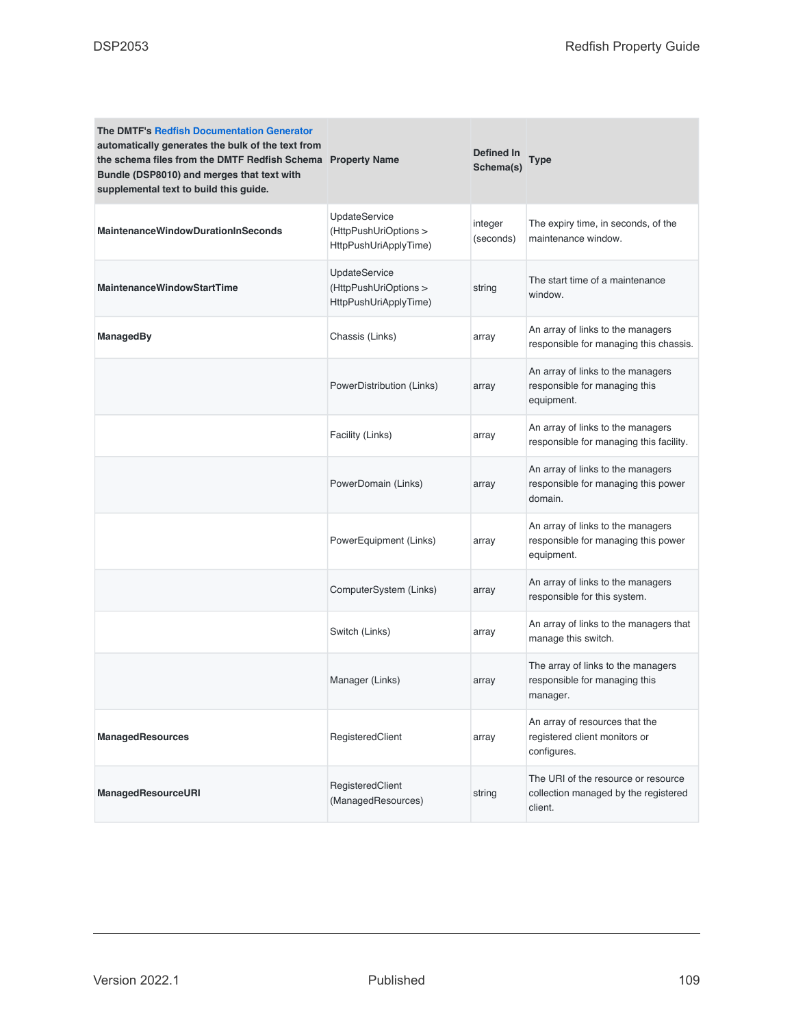| <b>The DMTF's Redfish Documentation Generator</b><br>automatically generates the bulk of the text from<br>the schema files from the DMTF Redfish Schema Property Name<br>Bundle (DSP8010) and merges that text with<br>supplemental text to build this guide. |                                                                        | Defined In<br>Schema(s) | Type                                                                                   |
|---------------------------------------------------------------------------------------------------------------------------------------------------------------------------------------------------------------------------------------------------------------|------------------------------------------------------------------------|-------------------------|----------------------------------------------------------------------------------------|
| <b>MaintenanceWindowDurationInSeconds</b>                                                                                                                                                                                                                     | <b>UpdateService</b><br>(HttpPushUriOptions ><br>HttpPushUriApplyTime) | integer<br>(seconds)    | The expiry time, in seconds, of the<br>maintenance window.                             |
| <b>MaintenanceWindowStartTime</b>                                                                                                                                                                                                                             | <b>UpdateService</b><br>(HttpPushUriOptions ><br>HttpPushUriApplyTime) | string                  | The start time of a maintenance<br>window.                                             |
| ManagedBy                                                                                                                                                                                                                                                     | Chassis (Links)                                                        | array                   | An array of links to the managers<br>responsible for managing this chassis.            |
|                                                                                                                                                                                                                                                               | PowerDistribution (Links)                                              | array                   | An array of links to the managers<br>responsible for managing this<br>equipment.       |
|                                                                                                                                                                                                                                                               | Facility (Links)                                                       | array                   | An array of links to the managers<br>responsible for managing this facility.           |
|                                                                                                                                                                                                                                                               | PowerDomain (Links)                                                    | array                   | An array of links to the managers<br>responsible for managing this power<br>domain.    |
|                                                                                                                                                                                                                                                               | PowerEquipment (Links)                                                 | array                   | An array of links to the managers<br>responsible for managing this power<br>equipment. |
|                                                                                                                                                                                                                                                               | ComputerSystem (Links)                                                 | array                   | An array of links to the managers<br>responsible for this system.                      |
|                                                                                                                                                                                                                                                               | Switch (Links)                                                         | array                   | An array of links to the managers that<br>manage this switch.                          |
|                                                                                                                                                                                                                                                               | Manager (Links)                                                        | array                   | The array of links to the managers<br>responsible for managing this<br>manager.        |
| <b>ManagedResources</b>                                                                                                                                                                                                                                       | RegisteredClient                                                       | array                   | An array of resources that the<br>registered client monitors or<br>configures.         |
| ManagedResourceURI                                                                                                                                                                                                                                            | RegisteredClient<br>(ManagedResources)                                 | string                  | The URI of the resource or resource<br>collection managed by the registered<br>client. |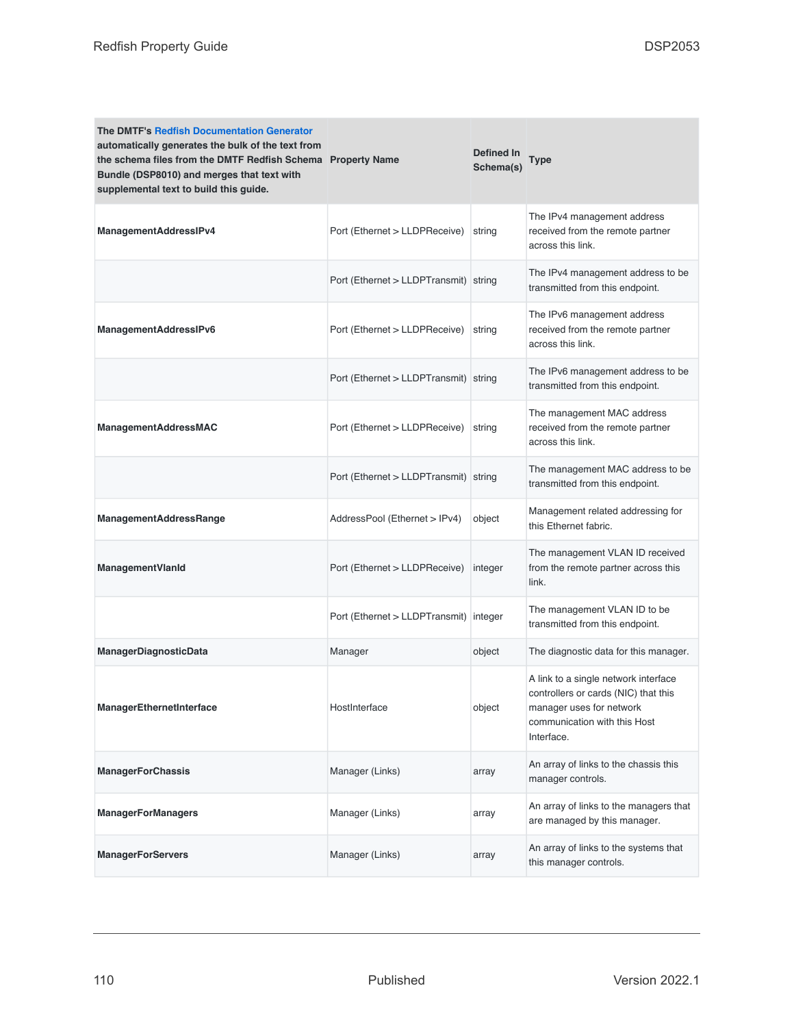| <b>The DMTF's Redfish Documentation Generator</b><br>automatically generates the bulk of the text from<br>the schema files from the DMTF Redfish Schema Property Name<br>Bundle (DSP8010) and merges that text with<br>supplemental text to build this guide. |                                        | Defined In<br>Schema(s) | Type                                                                                                                                                   |
|---------------------------------------------------------------------------------------------------------------------------------------------------------------------------------------------------------------------------------------------------------------|----------------------------------------|-------------------------|--------------------------------------------------------------------------------------------------------------------------------------------------------|
| ManagementAddressIPv4                                                                                                                                                                                                                                         | Port (Ethernet > LLDPReceive)          | string                  | The IPv4 management address<br>received from the remote partner<br>across this link.                                                                   |
|                                                                                                                                                                                                                                                               | Port (Ethernet > LLDPTransmit) string  |                         | The IPv4 management address to be<br>transmitted from this endpoint.                                                                                   |
| ManagementAddressIPv6                                                                                                                                                                                                                                         | Port (Ethernet > LLDPReceive)          | string                  | The IPv6 management address<br>received from the remote partner<br>across this link.                                                                   |
|                                                                                                                                                                                                                                                               | Port (Ethernet > LLDPTransmit) string  |                         | The IPv6 management address to be<br>transmitted from this endpoint.                                                                                   |
| <b>ManagementAddressMAC</b>                                                                                                                                                                                                                                   | Port (Ethernet > LLDPReceive)          | string                  | The management MAC address<br>received from the remote partner<br>across this link.                                                                    |
|                                                                                                                                                                                                                                                               | Port (Ethernet > LLDPTransmit) string  |                         | The management MAC address to be<br>transmitted from this endpoint.                                                                                    |
| <b>ManagementAddressRange</b>                                                                                                                                                                                                                                 | AddressPool (Ethernet > IPv4)          | object                  | Management related addressing for<br>this Ethernet fabric.                                                                                             |
| ManagementVlanId                                                                                                                                                                                                                                              | Port (Ethernet > LLDPReceive)          | integer                 | The management VLAN ID received<br>from the remote partner across this<br>link.                                                                        |
|                                                                                                                                                                                                                                                               | Port (Ethernet > LLDPTransmit) integer |                         | The management VLAN ID to be<br>transmitted from this endpoint.                                                                                        |
| <b>ManagerDiagnosticData</b>                                                                                                                                                                                                                                  | Manager                                | object                  | The diagnostic data for this manager.                                                                                                                  |
| ManagerEthernetInterface                                                                                                                                                                                                                                      | HostInterface                          | object                  | A link to a single network interface<br>controllers or cards (NIC) that this<br>manager uses for network<br>communication with this Host<br>Interface. |
| <b>ManagerForChassis</b>                                                                                                                                                                                                                                      | Manager (Links)                        | array                   | An array of links to the chassis this<br>manager controls.                                                                                             |
| <b>ManagerForManagers</b>                                                                                                                                                                                                                                     | Manager (Links)                        | array                   | An array of links to the managers that<br>are managed by this manager.                                                                                 |
| <b>ManagerForServers</b>                                                                                                                                                                                                                                      | Manager (Links)                        | array                   | An array of links to the systems that<br>this manager controls.                                                                                        |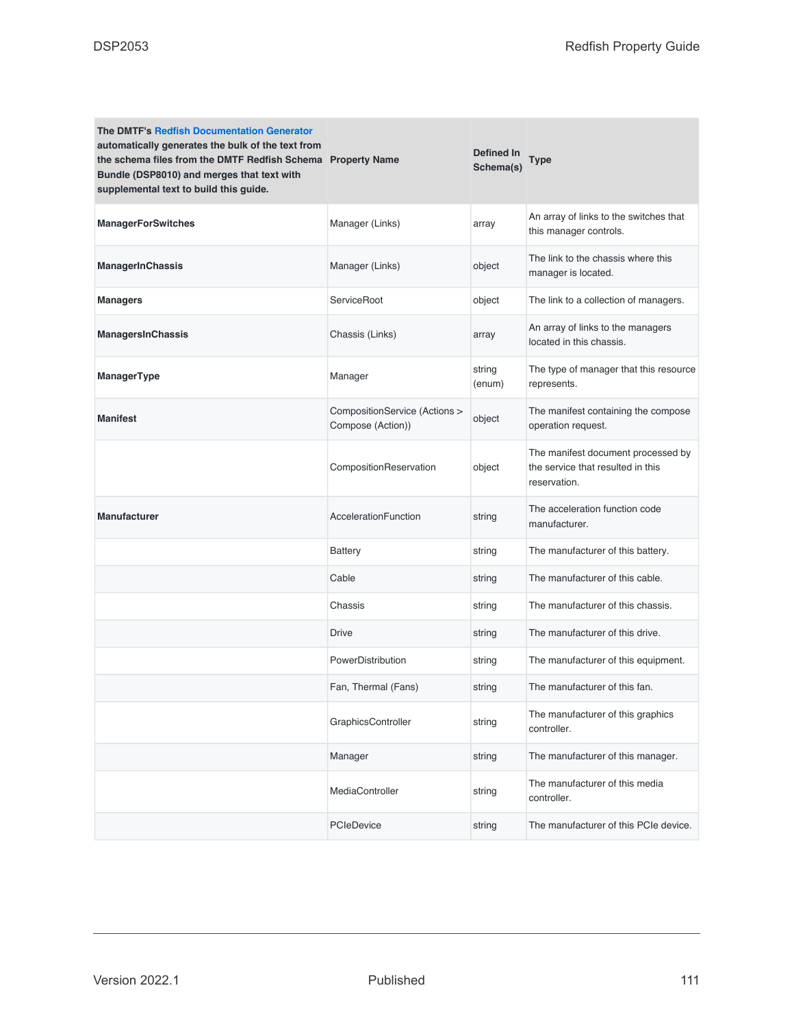| <b>The DMTF's Redfish Documentation Generator</b><br>automatically generates the bulk of the text from<br>the schema files from the DMTF Redfish Schema Property Name<br>Bundle (DSP8010) and merges that text with<br>supplemental text to build this guide. |                                                    | <b>Defined In</b><br>Schema(s) | <b>Type</b>                                                                             |
|---------------------------------------------------------------------------------------------------------------------------------------------------------------------------------------------------------------------------------------------------------------|----------------------------------------------------|--------------------------------|-----------------------------------------------------------------------------------------|
| <b>ManagerForSwitches</b>                                                                                                                                                                                                                                     | Manager (Links)                                    | array                          | An array of links to the switches that<br>this manager controls.                        |
| <b>ManagerInChassis</b>                                                                                                                                                                                                                                       | Manager (Links)                                    | object                         | The link to the chassis where this<br>manager is located.                               |
| Managers                                                                                                                                                                                                                                                      | ServiceRoot                                        | object                         | The link to a collection of managers.                                                   |
| <b>ManagersInChassis</b>                                                                                                                                                                                                                                      | Chassis (Links)                                    | array                          | An array of links to the managers<br>located in this chassis.                           |
| ManagerType                                                                                                                                                                                                                                                   | Manager                                            | string<br>(enum)               | The type of manager that this resource<br>represents.                                   |
| <b>Manifest</b>                                                                                                                                                                                                                                               | CompositionService (Actions ><br>Compose (Action)) | object                         | The manifest containing the compose<br>operation request.                               |
|                                                                                                                                                                                                                                                               | CompositionReservation                             | object                         | The manifest document processed by<br>the service that resulted in this<br>reservation. |
| <b>Manufacturer</b>                                                                                                                                                                                                                                           | AccelerationFunction                               | string                         | The acceleration function code<br>manufacturer.                                         |
|                                                                                                                                                                                                                                                               | <b>Battery</b>                                     | string                         | The manufacturer of this battery.                                                       |
|                                                                                                                                                                                                                                                               | Cable                                              | string                         | The manufacturer of this cable.                                                         |
|                                                                                                                                                                                                                                                               | Chassis                                            | string                         | The manufacturer of this chassis.                                                       |
|                                                                                                                                                                                                                                                               | <b>Drive</b>                                       | string                         | The manufacturer of this drive.                                                         |
|                                                                                                                                                                                                                                                               | PowerDistribution                                  | string                         | The manufacturer of this equipment.                                                     |
|                                                                                                                                                                                                                                                               | Fan, Thermal (Fans)                                | string                         | The manufacturer of this fan.                                                           |
|                                                                                                                                                                                                                                                               | GraphicsController                                 | string                         | The manufacturer of this graphics<br>controller.                                        |
|                                                                                                                                                                                                                                                               | Manager                                            | string                         | The manufacturer of this manager.                                                       |
|                                                                                                                                                                                                                                                               | MediaController                                    | string                         | The manufacturer of this media<br>controller.                                           |
|                                                                                                                                                                                                                                                               | PCIeDevice                                         | string                         | The manufacturer of this PCIe device.                                                   |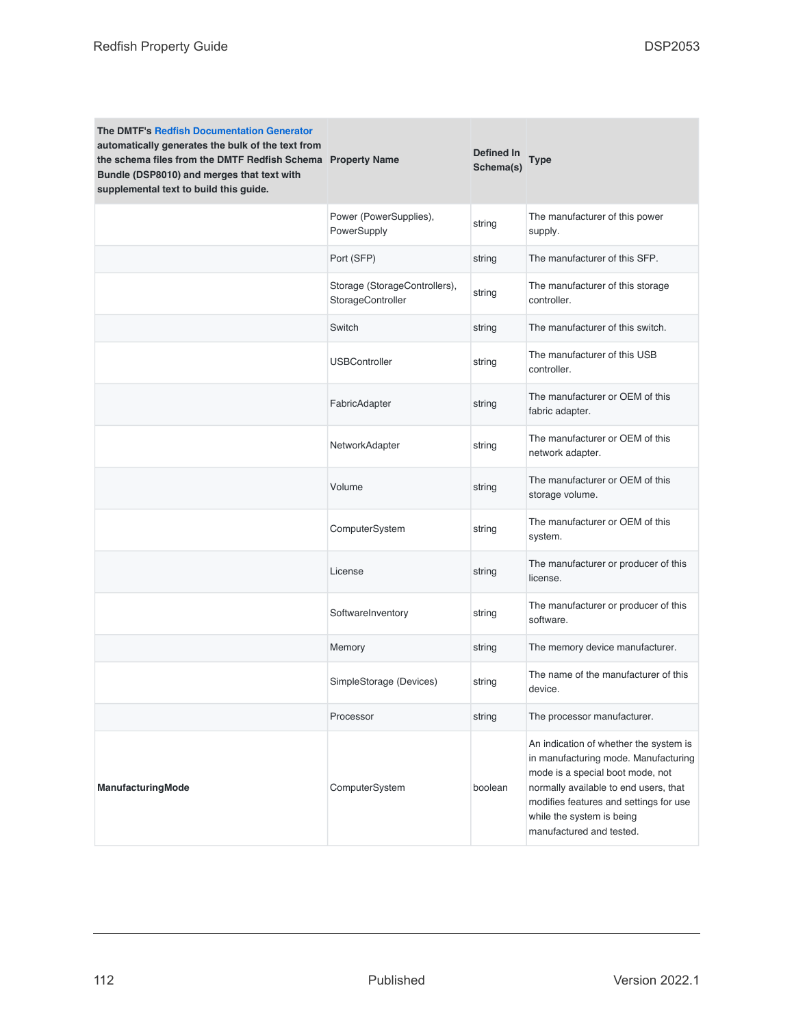| <b>The DMTF's Redfish Documentation Generator</b><br>automatically generates the bulk of the text from<br>the schema files from the DMTF Redfish Schema Property Name<br>Bundle (DSP8010) and merges that text with<br>supplemental text to build this guide. |                                                    | Defined In<br>Schema(s) | <b>Type</b>                                                                                                                                                                                                                                                    |
|---------------------------------------------------------------------------------------------------------------------------------------------------------------------------------------------------------------------------------------------------------------|----------------------------------------------------|-------------------------|----------------------------------------------------------------------------------------------------------------------------------------------------------------------------------------------------------------------------------------------------------------|
|                                                                                                                                                                                                                                                               | Power (PowerSupplies),<br>PowerSupply              | string                  | The manufacturer of this power<br>supply.                                                                                                                                                                                                                      |
|                                                                                                                                                                                                                                                               | Port (SFP)                                         | string                  | The manufacturer of this SFP.                                                                                                                                                                                                                                  |
|                                                                                                                                                                                                                                                               | Storage (StorageControllers),<br>StorageController | string                  | The manufacturer of this storage<br>controller.                                                                                                                                                                                                                |
|                                                                                                                                                                                                                                                               | Switch                                             | string                  | The manufacturer of this switch.                                                                                                                                                                                                                               |
|                                                                                                                                                                                                                                                               | <b>USBController</b>                               | string                  | The manufacturer of this USB<br>controller.                                                                                                                                                                                                                    |
|                                                                                                                                                                                                                                                               | FabricAdapter                                      | string                  | The manufacturer or OEM of this<br>fabric adapter.                                                                                                                                                                                                             |
|                                                                                                                                                                                                                                                               | NetworkAdapter                                     | string                  | The manufacturer or OEM of this<br>network adapter.                                                                                                                                                                                                            |
|                                                                                                                                                                                                                                                               | Volume                                             | string                  | The manufacturer or OEM of this<br>storage volume.                                                                                                                                                                                                             |
|                                                                                                                                                                                                                                                               | ComputerSystem                                     | string                  | The manufacturer or OEM of this<br>system.                                                                                                                                                                                                                     |
|                                                                                                                                                                                                                                                               | License                                            | string                  | The manufacturer or producer of this<br>license.                                                                                                                                                                                                               |
|                                                                                                                                                                                                                                                               | SoftwareInventory                                  | string                  | The manufacturer or producer of this<br>software.                                                                                                                                                                                                              |
|                                                                                                                                                                                                                                                               | Memory                                             | string                  | The memory device manufacturer.                                                                                                                                                                                                                                |
|                                                                                                                                                                                                                                                               | SimpleStorage (Devices)                            | string                  | The name of the manufacturer of this<br>device.                                                                                                                                                                                                                |
|                                                                                                                                                                                                                                                               | Processor                                          | string                  | The processor manufacturer.                                                                                                                                                                                                                                    |
| ManufacturingMode                                                                                                                                                                                                                                             | ComputerSystem                                     | boolean                 | An indication of whether the system is<br>in manufacturing mode. Manufacturing<br>mode is a special boot mode, not<br>normally available to end users, that<br>modifies features and settings for use<br>while the system is being<br>manufactured and tested. |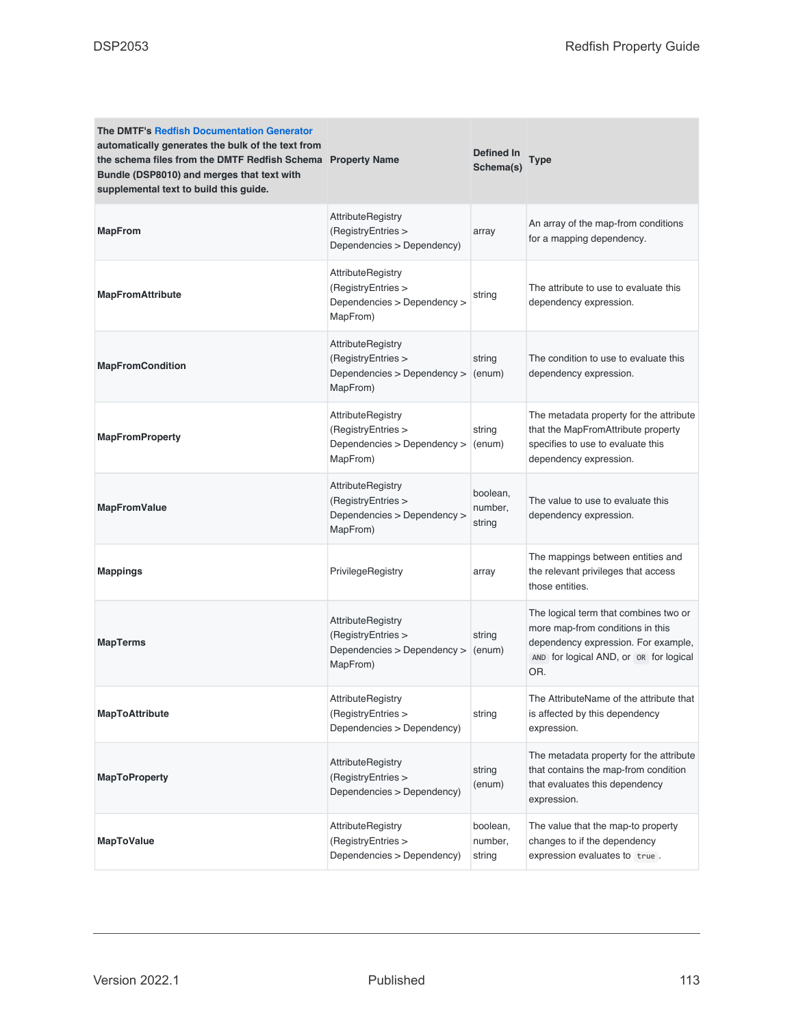| <b>The DMTF's Redfish Documentation Generator</b><br>automatically generates the bulk of the text from<br>the schema files from the DMTF Redfish Schema Property Name<br>Bundle (DSP8010) and merges that text with<br>supplemental text to build this guide. |                                                                                           | Defined In<br>Schema(s)       | Type                                                                                                                                                              |
|---------------------------------------------------------------------------------------------------------------------------------------------------------------------------------------------------------------------------------------------------------------|-------------------------------------------------------------------------------------------|-------------------------------|-------------------------------------------------------------------------------------------------------------------------------------------------------------------|
| <b>MapFrom</b>                                                                                                                                                                                                                                                | AttributeRegistry<br>(RegistryEntries ><br>Dependencies > Dependency)                     | array                         | An array of the map-from conditions<br>for a mapping dependency.                                                                                                  |
| <b>MapFromAttribute</b>                                                                                                                                                                                                                                       | AttributeRegistry<br>(RegistryEntries ><br>Dependencies > Dependency ><br>MapFrom)        | string                        | The attribute to use to evaluate this<br>dependency expression.                                                                                                   |
| <b>MapFromCondition</b>                                                                                                                                                                                                                                       | AttributeRegistry<br>(RegistryEntries ><br>Dependencies > Dependency ><br>MapFrom)        | string<br>(enum)              | The condition to use to evaluate this<br>dependency expression.                                                                                                   |
| <b>MapFromProperty</b>                                                                                                                                                                                                                                        | AttributeRegistry<br>(RegistryEntries ><br>Dependencies > Dependency ><br>MapFrom)        | string<br>(enum)              | The metadata property for the attribute<br>that the MapFromAttribute property<br>specifies to use to evaluate this<br>dependency expression.                      |
| <b>MapFromValue</b>                                                                                                                                                                                                                                           | AttributeRegistry<br>(RegistryEntries ><br>Dependencies > Dependency ><br>MapFrom)        | boolean,<br>number,<br>string | The value to use to evaluate this<br>dependency expression.                                                                                                       |
| <b>Mappings</b>                                                                                                                                                                                                                                               | PrivilegeRegistry                                                                         | array                         | The mappings between entities and<br>the relevant privileges that access<br>those entities.                                                                       |
| <b>MapTerms</b>                                                                                                                                                                                                                                               | <b>AttributeRegistry</b><br>(RegistryEntries ><br>Dependencies > Dependency ><br>MapFrom) | string<br>(enum)              | The logical term that combines two or<br>more map-from conditions in this<br>dependency expression. For example,<br>AND for logical AND, or OR for logical<br>OR. |
| <b>MapToAttribute</b>                                                                                                                                                                                                                                         | AttributeRegistry<br>(RegistryEntries ><br>Dependencies > Dependency)                     | string                        | The AttributeName of the attribute that<br>is affected by this dependency<br>expression.                                                                          |
| <b>MapToProperty</b>                                                                                                                                                                                                                                          | <b>AttributeRegistry</b><br>(RegistryEntries ><br>Dependencies > Dependency)              | string<br>(enum)              | The metadata property for the attribute<br>that contains the map-from condition<br>that evaluates this dependency<br>expression.                                  |
| <b>MapToValue</b>                                                                                                                                                                                                                                             | AttributeRegistry<br>(RegistryEntries ><br>Dependencies > Dependency)                     | boolean,<br>number,<br>string | The value that the map-to property<br>changes to if the dependency<br>expression evaluates to true.                                                               |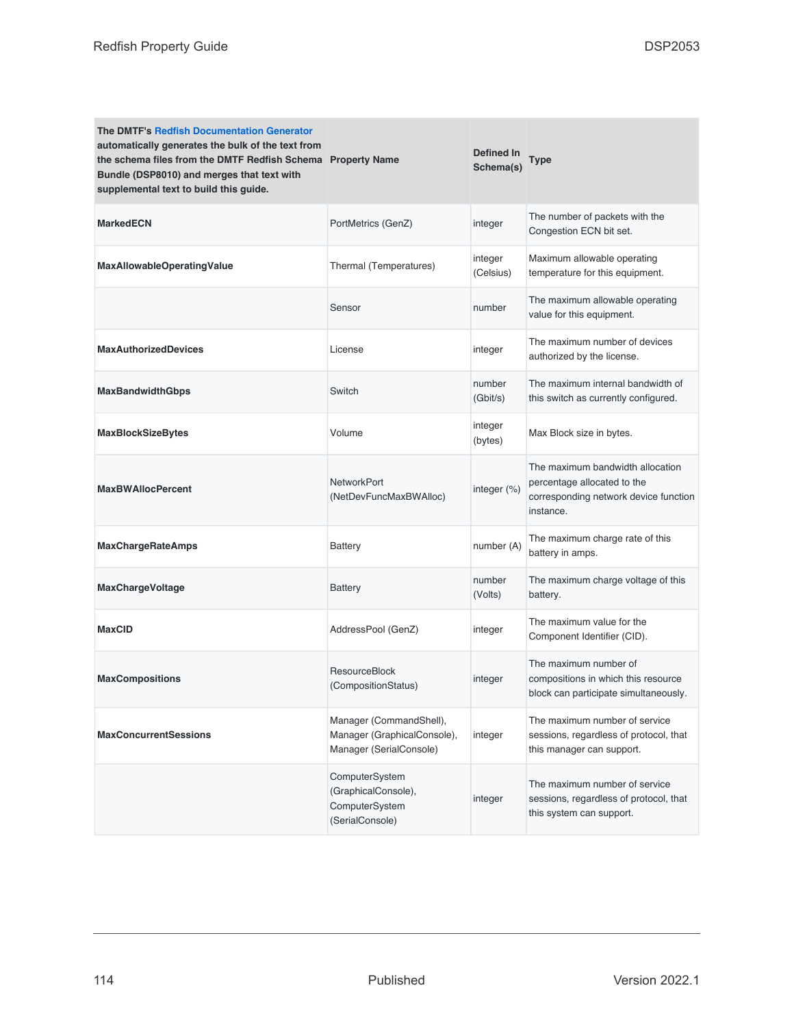| <b>The DMTF's Redfish Documentation Generator</b><br>automatically generates the bulk of the text from<br>the schema files from the DMTF Redfish Schema Property Name<br>Bundle (DSP8010) and merges that text with<br>supplemental text to build this guide. |                                                                                   | Defined In<br>Schema(s) | Type                                                                                                                  |
|---------------------------------------------------------------------------------------------------------------------------------------------------------------------------------------------------------------------------------------------------------------|-----------------------------------------------------------------------------------|-------------------------|-----------------------------------------------------------------------------------------------------------------------|
| <b>MarkedECN</b>                                                                                                                                                                                                                                              | PortMetrics (GenZ)                                                                | integer                 | The number of packets with the<br>Congestion ECN bit set.                                                             |
| <b>MaxAllowableOperatingValue</b>                                                                                                                                                                                                                             | Thermal (Temperatures)                                                            | integer<br>(Celsius)    | Maximum allowable operating<br>temperature for this equipment.                                                        |
|                                                                                                                                                                                                                                                               | Sensor                                                                            | number                  | The maximum allowable operating<br>value for this equipment.                                                          |
| <b>MaxAuthorizedDevices</b>                                                                                                                                                                                                                                   | License                                                                           | integer                 | The maximum number of devices<br>authorized by the license.                                                           |
| <b>MaxBandwidthGbps</b>                                                                                                                                                                                                                                       | Switch                                                                            | number<br>(Gbit/s)      | The maximum internal bandwidth of<br>this switch as currently configured.                                             |
| <b>MaxBlockSizeBytes</b>                                                                                                                                                                                                                                      | Volume                                                                            | integer<br>(bytes)      | Max Block size in bytes.                                                                                              |
| <b>MaxBWAllocPercent</b>                                                                                                                                                                                                                                      | NetworkPort<br>(NetDevFuncMaxBWAlloc)                                             | integer (%)             | The maximum bandwidth allocation<br>percentage allocated to the<br>corresponding network device function<br>instance. |
| <b>MaxChargeRateAmps</b>                                                                                                                                                                                                                                      | <b>Battery</b>                                                                    | number (A)              | The maximum charge rate of this<br>battery in amps.                                                                   |
| <b>MaxChargeVoltage</b>                                                                                                                                                                                                                                       | <b>Battery</b>                                                                    | number<br>(Volts)       | The maximum charge voltage of this<br>battery.                                                                        |
| <b>MaxCID</b>                                                                                                                                                                                                                                                 | AddressPool (GenZ)                                                                | integer                 | The maximum value for the<br>Component Identifier (CID).                                                              |
| <b>MaxCompositions</b>                                                                                                                                                                                                                                        | ResourceBlock<br>(CompositionStatus)                                              | integer                 | The maximum number of<br>compositions in which this resource<br>block can participate simultaneously.                 |
| <b>MaxConcurrentSessions</b>                                                                                                                                                                                                                                  | Manager (CommandShell),<br>Manager (GraphicalConsole),<br>Manager (SerialConsole) | integer                 | The maximum number of service<br>sessions, regardless of protocol, that<br>this manager can support.                  |
|                                                                                                                                                                                                                                                               | ComputerSystem<br>(GraphicalConsole),<br>ComputerSystem<br>(SerialConsole)        | integer                 | The maximum number of service<br>sessions, regardless of protocol, that<br>this system can support.                   |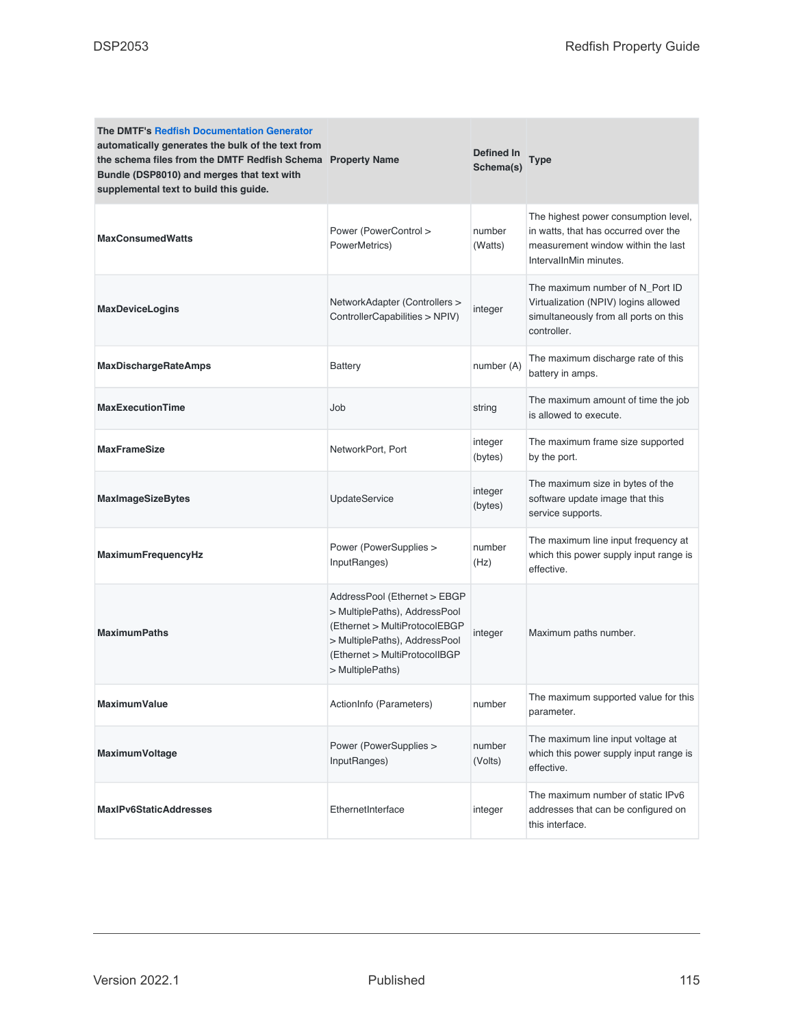| <b>The DMTF's Redfish Documentation Generator</b><br>automatically generates the bulk of the text from<br>the schema files from the DMTF Redfish Schema Property Name<br>Bundle (DSP8010) and merges that text with<br>supplemental text to build this guide. |                                                                                                                                                                                      | Defined In<br>Schema(s) | Type                                                                                                                                         |
|---------------------------------------------------------------------------------------------------------------------------------------------------------------------------------------------------------------------------------------------------------------|--------------------------------------------------------------------------------------------------------------------------------------------------------------------------------------|-------------------------|----------------------------------------------------------------------------------------------------------------------------------------------|
| <b>MaxConsumedWatts</b>                                                                                                                                                                                                                                       | Power (PowerControl ><br>PowerMetrics)                                                                                                                                               | number<br>(Watts)       | The highest power consumption level,<br>in watts, that has occurred over the<br>measurement window within the last<br>IntervalInMin minutes. |
| <b>MaxDeviceLogins</b>                                                                                                                                                                                                                                        | NetworkAdapter (Controllers ><br>ControllerCapabilities > NPIV)                                                                                                                      | integer                 | The maximum number of N_Port ID<br>Virtualization (NPIV) logins allowed<br>simultaneously from all ports on this<br>controller.              |
| <b>MaxDischargeRateAmps</b>                                                                                                                                                                                                                                   | <b>Battery</b>                                                                                                                                                                       | number (A)              | The maximum discharge rate of this<br>battery in amps.                                                                                       |
| <b>MaxExecutionTime</b>                                                                                                                                                                                                                                       | Job                                                                                                                                                                                  | string                  | The maximum amount of time the job<br>is allowed to execute.                                                                                 |
| <b>MaxFrameSize</b>                                                                                                                                                                                                                                           | NetworkPort, Port                                                                                                                                                                    | integer<br>(bytes)      | The maximum frame size supported<br>by the port.                                                                                             |
| <b>MaxImageSizeBytes</b>                                                                                                                                                                                                                                      | UpdateService                                                                                                                                                                        | integer<br>(bytes)      | The maximum size in bytes of the<br>software update image that this<br>service supports.                                                     |
| MaximumFrequencyHz                                                                                                                                                                                                                                            | Power (PowerSupplies ><br>InputRanges)                                                                                                                                               | number<br>(Hz)          | The maximum line input frequency at<br>which this power supply input range is<br>effective.                                                  |
| <b>MaximumPaths</b>                                                                                                                                                                                                                                           | AddressPool (Ethernet > EBGP<br>> MultiplePaths), AddressPool<br>(Ethernet > MultiProtocolEBGP<br>> MultiplePaths), AddressPool<br>(Ethernet > MultiProtocolIBGP<br>> MultiplePaths) | integer                 | Maximum paths number.                                                                                                                        |
| MaximumValue                                                                                                                                                                                                                                                  | ActionInfo (Parameters)                                                                                                                                                              | number                  | The maximum supported value for this<br>parameter.                                                                                           |
| MaximumVoltage                                                                                                                                                                                                                                                | Power (PowerSupplies ><br>InputRanges)                                                                                                                                               | number<br>(Volts)       | The maximum line input voltage at<br>which this power supply input range is<br>effective.                                                    |
| <b>MaxIPv6StaticAddresses</b>                                                                                                                                                                                                                                 | EthernetInterface                                                                                                                                                                    | integer                 | The maximum number of static IPv6<br>addresses that can be configured on<br>this interface.                                                  |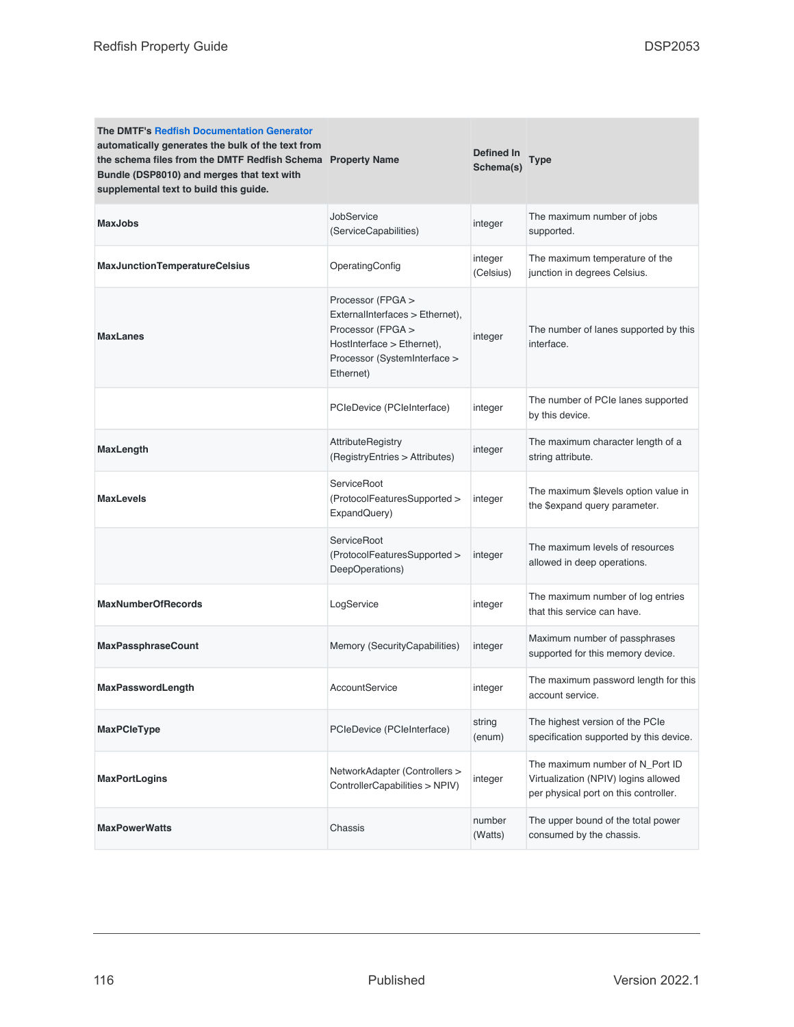| <b>The DMTF's Redfish Documentation Generator</b><br>automatically generates the bulk of the text from<br>the schema files from the DMTF Redfish Schema Property Name<br>Bundle (DSP8010) and merges that text with<br>supplemental text to build this guide. |                                                                                                                                                      | Defined In<br>Schema(s) | Type                                                                                                             |
|---------------------------------------------------------------------------------------------------------------------------------------------------------------------------------------------------------------------------------------------------------------|------------------------------------------------------------------------------------------------------------------------------------------------------|-------------------------|------------------------------------------------------------------------------------------------------------------|
| <b>MaxJobs</b>                                                                                                                                                                                                                                                | JobService<br>(ServiceCapabilities)                                                                                                                  | integer                 | The maximum number of jobs<br>supported.                                                                         |
| MaxJunctionTemperatureCelsius                                                                                                                                                                                                                                 | OperatingConfig                                                                                                                                      | integer<br>(Celsius)    | The maximum temperature of the<br>junction in degrees Celsius.                                                   |
| <b>MaxLanes</b>                                                                                                                                                                                                                                               | Processor (FPGA ><br>ExternalInterfaces > Ethernet),<br>Processor (FPGA ><br>HostInterface > Ethernet),<br>Processor (SystemInterface ><br>Ethernet) | integer                 | The number of lanes supported by this<br>interface.                                                              |
|                                                                                                                                                                                                                                                               | PCleDevice (PCleInterface)                                                                                                                           | integer                 | The number of PCIe lanes supported<br>by this device.                                                            |
| <b>MaxLength</b>                                                                                                                                                                                                                                              | <b>AttributeRegistry</b><br>(RegistryEntries > Attributes)                                                                                           | integer                 | The maximum character length of a<br>string attribute.                                                           |
| <b>MaxLevels</b>                                                                                                                                                                                                                                              | ServiceRoot<br>(ProtocolFeaturesSupported ><br>ExpandQuery)                                                                                          | integer                 | The maximum \$levels option value in<br>the \$expand query parameter.                                            |
|                                                                                                                                                                                                                                                               | ServiceRoot<br>(ProtocolFeaturesSupported ><br>DeepOperations)                                                                                       | integer                 | The maximum levels of resources<br>allowed in deep operations.                                                   |
| <b>MaxNumberOfRecords</b>                                                                                                                                                                                                                                     | LogService                                                                                                                                           | integer                 | The maximum number of log entries<br>that this service can have.                                                 |
| <b>MaxPassphraseCount</b>                                                                                                                                                                                                                                     | Memory (SecurityCapabilities)                                                                                                                        | integer                 | Maximum number of passphrases<br>supported for this memory device.                                               |
| <b>MaxPasswordLength</b>                                                                                                                                                                                                                                      | AccountService                                                                                                                                       | integer                 | The maximum password length for this<br>account service.                                                         |
| <b>MaxPCleType</b>                                                                                                                                                                                                                                            | PCIeDevice (PCIeInterface)                                                                                                                           | string<br>(enum)        | The highest version of the PCIe<br>specification supported by this device.                                       |
| MaxPortLogins                                                                                                                                                                                                                                                 | NetworkAdapter (Controllers ><br>ControllerCapabilities > NPIV)                                                                                      | integer                 | The maximum number of N_Port ID<br>Virtualization (NPIV) logins allowed<br>per physical port on this controller. |
| <b>MaxPowerWatts</b>                                                                                                                                                                                                                                          | Chassis                                                                                                                                              | number<br>(Watts)       | The upper bound of the total power<br>consumed by the chassis.                                                   |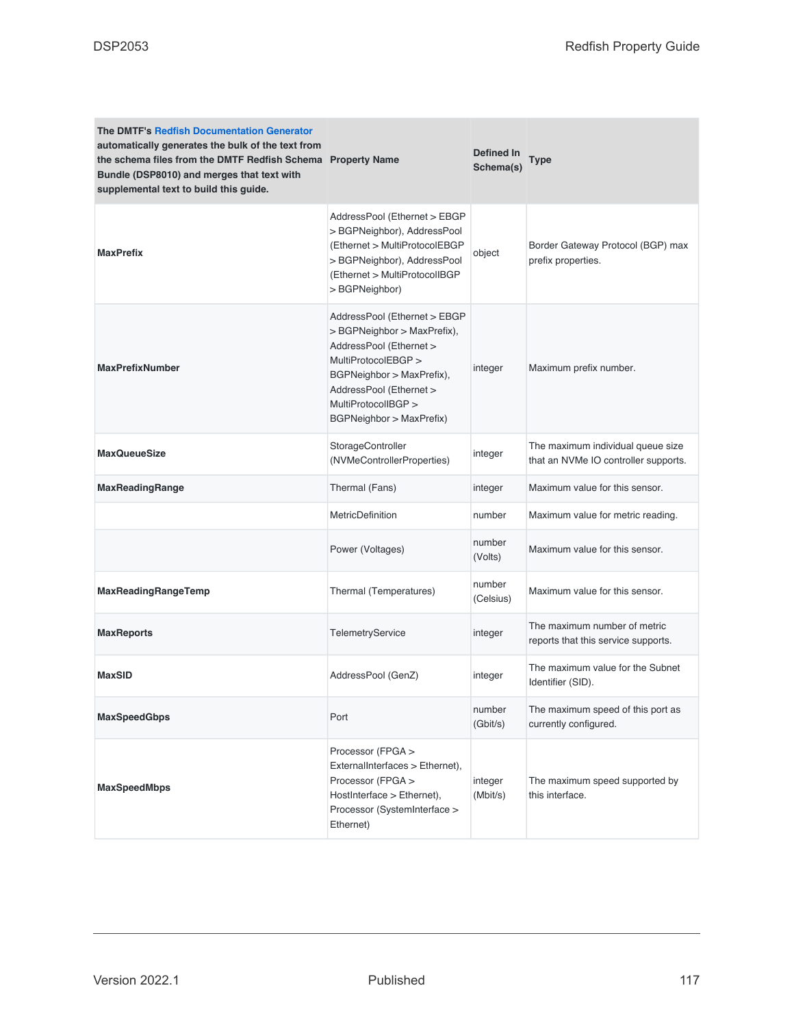| <b>The DMTF's Redfish Documentation Generator</b><br>automatically generates the bulk of the text from<br>the schema files from the DMTF Redfish Schema Property Name<br>Bundle (DSP8010) and merges that text with<br>supplemental text to build this guide. |                                                                                                                                                                                                                          | Defined In<br>Schema(s) | <b>Type</b>                                                               |
|---------------------------------------------------------------------------------------------------------------------------------------------------------------------------------------------------------------------------------------------------------------|--------------------------------------------------------------------------------------------------------------------------------------------------------------------------------------------------------------------------|-------------------------|---------------------------------------------------------------------------|
| <b>MaxPrefix</b>                                                                                                                                                                                                                                              | AddressPool (Ethernet > EBGP<br>> BGPNeighbor), AddressPool<br>(Ethernet > MultiProtocolEBGP<br>> BGPNeighbor), AddressPool<br>(Ethernet > MultiProtocolIBGP<br>> BGPNeighbor)                                           | object                  | Border Gateway Protocol (BGP) max<br>prefix properties.                   |
| <b>MaxPrefixNumber</b>                                                                                                                                                                                                                                        | AddressPool (Ethernet > EBGP<br>> BGPNeighbor > MaxPrefix),<br>AddressPool (Ethernet ><br>MultiProtocolEBGP ><br>BGPNeighbor > MaxPrefix),<br>AddressPool (Ethernet ><br>MultiProtocolIBGP ><br>BGPNeighbor > MaxPrefix) | integer                 | Maximum prefix number.                                                    |
| <b>MaxQueueSize</b>                                                                                                                                                                                                                                           | StorageController<br>(NVMeControllerProperties)                                                                                                                                                                          | integer                 | The maximum individual queue size<br>that an NVMe IO controller supports. |
| <b>MaxReadingRange</b>                                                                                                                                                                                                                                        | Thermal (Fans)                                                                                                                                                                                                           | integer                 | Maximum value for this sensor.                                            |
|                                                                                                                                                                                                                                                               | <b>MetricDefinition</b>                                                                                                                                                                                                  | number                  | Maximum value for metric reading.                                         |
|                                                                                                                                                                                                                                                               | Power (Voltages)                                                                                                                                                                                                         | number<br>(Volts)       | Maximum value for this sensor.                                            |
| MaxReadingRangeTemp                                                                                                                                                                                                                                           | Thermal (Temperatures)                                                                                                                                                                                                   | number<br>(Celsius)     | Maximum value for this sensor.                                            |
| <b>MaxReports</b>                                                                                                                                                                                                                                             | TelemetryService                                                                                                                                                                                                         | integer                 | The maximum number of metric<br>reports that this service supports.       |
| <b>MaxSID</b>                                                                                                                                                                                                                                                 | AddressPool (GenZ)                                                                                                                                                                                                       | integer                 | The maximum value for the Subnet<br>Identifier (SID).                     |
| <b>MaxSpeedGbps</b>                                                                                                                                                                                                                                           | Port                                                                                                                                                                                                                     | number<br>(Gbit/s)      | The maximum speed of this port as<br>currently configured.                |
| <b>MaxSpeedMbps</b>                                                                                                                                                                                                                                           | Processor (FPGA ><br>ExternalInterfaces > Ethernet),<br>Processor (FPGA ><br>HostInterface > Ethernet),<br>Processor (SystemInterface ><br>Ethernet)                                                                     | integer<br>(Mbit/s)     | The maximum speed supported by<br>this interface.                         |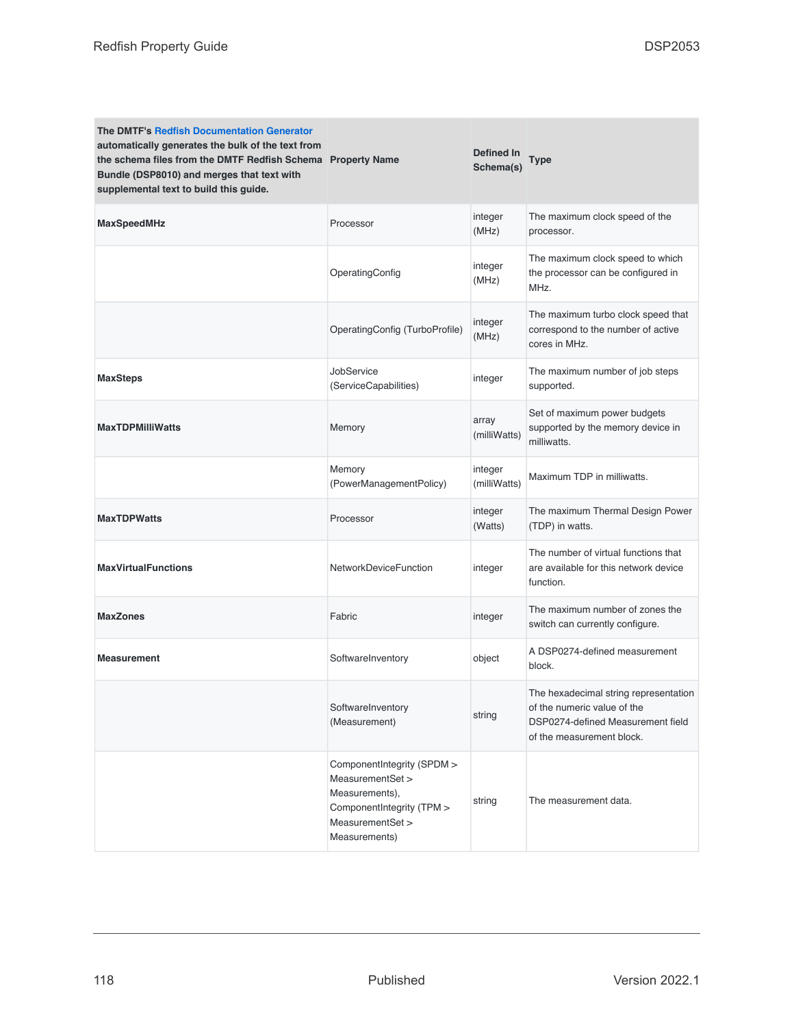| The DMTF's Redfish Documentation Generator<br>automatically generates the bulk of the text from<br>the schema files from the DMTF Redfish Schema Property Name<br>Bundle (DSP8010) and merges that text with<br>supplemental text to build this guide. |                                                                                                                                    | <b>Defined In</b><br>Schema(s) | Type                                                                                                                                   |
|--------------------------------------------------------------------------------------------------------------------------------------------------------------------------------------------------------------------------------------------------------|------------------------------------------------------------------------------------------------------------------------------------|--------------------------------|----------------------------------------------------------------------------------------------------------------------------------------|
| <b>MaxSpeedMHz</b>                                                                                                                                                                                                                                     | Processor                                                                                                                          | integer<br>(MHz)               | The maximum clock speed of the<br>processor.                                                                                           |
|                                                                                                                                                                                                                                                        | OperatingConfig                                                                                                                    | integer<br>(MHz)               | The maximum clock speed to which<br>the processor can be configured in<br>MHz.                                                         |
|                                                                                                                                                                                                                                                        | OperatingConfig (TurboProfile)                                                                                                     | integer<br>(MHz)               | The maximum turbo clock speed that<br>correspond to the number of active<br>cores in MHz.                                              |
| <b>MaxSteps</b>                                                                                                                                                                                                                                        | JobService<br>(ServiceCapabilities)                                                                                                | integer                        | The maximum number of job steps<br>supported.                                                                                          |
| <b>MaxTDPMilliWatts</b>                                                                                                                                                                                                                                | Memory                                                                                                                             | array<br>(milliWatts)          | Set of maximum power budgets<br>supported by the memory device in<br>milliwatts.                                                       |
|                                                                                                                                                                                                                                                        | Memory<br>(PowerManagementPolicy)                                                                                                  | integer<br>(milliWatts)        | Maximum TDP in milliwatts.                                                                                                             |
| <b>MaxTDPWatts</b>                                                                                                                                                                                                                                     | Processor                                                                                                                          | integer<br>(Watts)             | The maximum Thermal Design Power<br>(TDP) in watts.                                                                                    |
| <b>MaxVirtualFunctions</b>                                                                                                                                                                                                                             | <b>NetworkDeviceFunction</b>                                                                                                       | integer                        | The number of virtual functions that<br>are available for this network device<br>function.                                             |
| <b>MaxZones</b>                                                                                                                                                                                                                                        | Fabric                                                                                                                             | integer                        | The maximum number of zones the<br>switch can currently configure.                                                                     |
| <b>Measurement</b>                                                                                                                                                                                                                                     | SoftwareInventory                                                                                                                  | object                         | A DSP0274-defined measurement<br>block.                                                                                                |
|                                                                                                                                                                                                                                                        | SoftwareInventory<br>(Measurement)                                                                                                 | string                         | The hexadecimal string representation<br>of the numeric value of the<br>DSP0274-defined Measurement field<br>of the measurement block. |
|                                                                                                                                                                                                                                                        | ComponentIntegrity (SPDM ><br>MeasurementSet ><br>Measurements),<br>ComponentIntegrity (TPM ><br>MeasurementSet ><br>Measurements) | string                         | The measurement data.                                                                                                                  |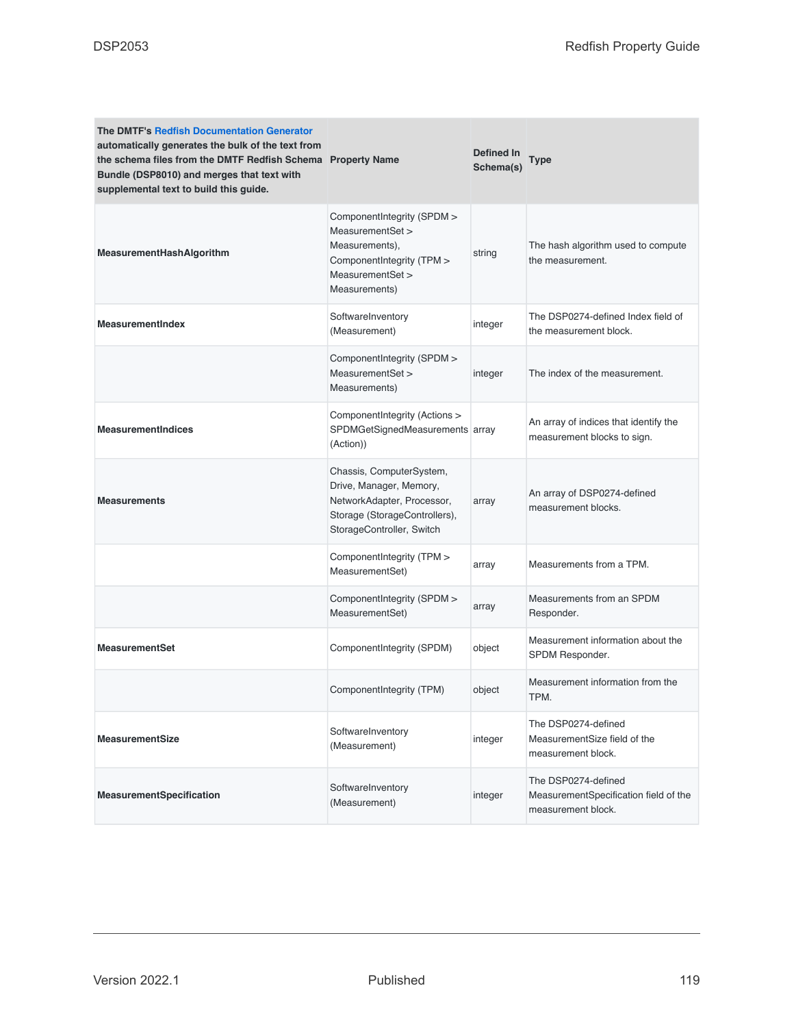| <b>The DMTF's Redfish Documentation Generator</b><br>automatically generates the bulk of the text from<br>the schema files from the DMTF Redfish Schema Property Name<br>Bundle (DSP8010) and merges that text with<br>supplemental text to build this guide. |                                                                                                                                                 | Defined In<br>Schema(s) | Type                                                                               |
|---------------------------------------------------------------------------------------------------------------------------------------------------------------------------------------------------------------------------------------------------------------|-------------------------------------------------------------------------------------------------------------------------------------------------|-------------------------|------------------------------------------------------------------------------------|
| MeasurementHashAlgorithm                                                                                                                                                                                                                                      | ComponentIntegrity (SPDM ><br>MeasurementSet ><br>Measurements),<br>ComponentIntegrity (TPM ><br>MeasurementSet ><br>Measurements)              | string                  | The hash algorithm used to compute<br>the measurement.                             |
| <b>MeasurementIndex</b>                                                                                                                                                                                                                                       | SoftwareInventory<br>(Measurement)                                                                                                              | integer                 | The DSP0274-defined Index field of<br>the measurement block.                       |
|                                                                                                                                                                                                                                                               | ComponentIntegrity (SPDM ><br>MeasurementSet ><br>Measurements)                                                                                 | integer                 | The index of the measurement.                                                      |
| <b>MeasurementIndices</b>                                                                                                                                                                                                                                     | ComponentIntegrity (Actions ><br>SPDMGetSignedMeasurements array<br>(Action))                                                                   |                         | An array of indices that identify the<br>measurement blocks to sign.               |
| <b>Measurements</b>                                                                                                                                                                                                                                           | Chassis, ComputerSystem,<br>Drive, Manager, Memory,<br>NetworkAdapter, Processor,<br>Storage (StorageControllers),<br>StorageController, Switch | array                   | An array of DSP0274-defined<br>measurement blocks.                                 |
|                                                                                                                                                                                                                                                               | ComponentIntegrity (TPM ><br>MeasurementSet)                                                                                                    | array                   | Measurements from a TPM.                                                           |
|                                                                                                                                                                                                                                                               | ComponentIntegrity (SPDM ><br>MeasurementSet)                                                                                                   | array                   | Measurements from an SPDM<br>Responder.                                            |
| <b>MeasurementSet</b>                                                                                                                                                                                                                                         | ComponentIntegrity (SPDM)                                                                                                                       | object                  | Measurement information about the<br>SPDM Responder.                               |
|                                                                                                                                                                                                                                                               | Component Integrity (TPM)                                                                                                                       | object                  | Measurement information from the<br>TPM.                                           |
| <b>MeasurementSize</b>                                                                                                                                                                                                                                        | SoftwareInventory<br>(Measurement)                                                                                                              | integer                 | The DSP0274-defined<br>MeasurementSize field of the<br>measurement block.          |
| MeasurementSpecification                                                                                                                                                                                                                                      | SoftwareInventory<br>(Measurement)                                                                                                              | integer                 | The DSP0274-defined<br>MeasurementSpecification field of the<br>measurement block. |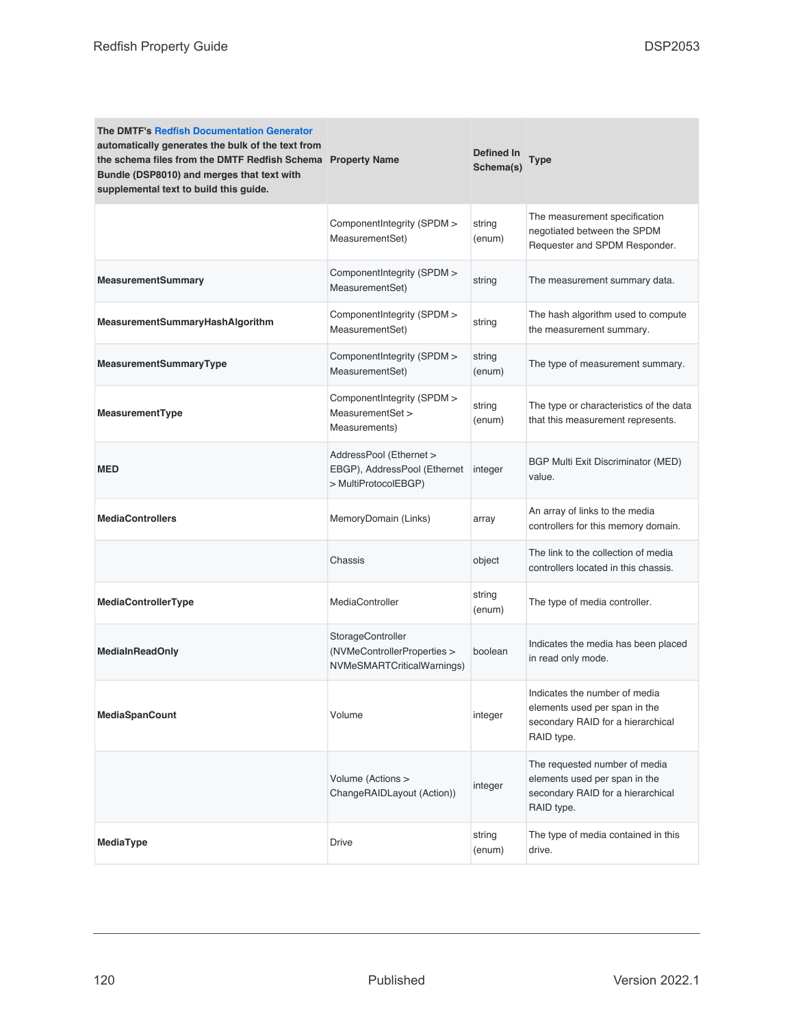| <b>The DMTF's Redfish Documentation Generator</b><br>automatically generates the bulk of the text from<br>the schema files from the DMTF Redfish Schema Property Name<br>Bundle (DSP8010) and merges that text with<br>supplemental text to build this guide. |                                                                                 | <b>Defined In</b><br>Schema(s) | Type                                                                                                              |
|---------------------------------------------------------------------------------------------------------------------------------------------------------------------------------------------------------------------------------------------------------------|---------------------------------------------------------------------------------|--------------------------------|-------------------------------------------------------------------------------------------------------------------|
|                                                                                                                                                                                                                                                               | ComponentIntegrity (SPDM ><br>MeasurementSet)                                   | string<br>(enum)               | The measurement specification<br>negotiated between the SPDM<br>Requester and SPDM Responder.                     |
| <b>MeasurementSummary</b>                                                                                                                                                                                                                                     | ComponentIntegrity (SPDM ><br>MeasurementSet)                                   | string                         | The measurement summary data.                                                                                     |
| MeasurementSummaryHashAlgorithm                                                                                                                                                                                                                               | ComponentIntegrity (SPDM ><br>MeasurementSet)                                   | string                         | The hash algorithm used to compute<br>the measurement summary.                                                    |
| MeasurementSummaryType                                                                                                                                                                                                                                        | ComponentIntegrity (SPDM ><br>MeasurementSet)                                   | string<br>(enum)               | The type of measurement summary.                                                                                  |
| MeasurementType                                                                                                                                                                                                                                               | ComponentIntegrity (SPDM ><br>MeasurementSet ><br>Measurements)                 | string<br>(enum)               | The type or characteristics of the data<br>that this measurement represents.                                      |
| MED                                                                                                                                                                                                                                                           | AddressPool (Ethernet ><br>EBGP), AddressPool (Ethernet<br>> MultiProtocolEBGP) | integer                        | <b>BGP Multi Exit Discriminator (MED)</b><br>value.                                                               |
| <b>MediaControllers</b>                                                                                                                                                                                                                                       | MemoryDomain (Links)                                                            | array                          | An array of links to the media<br>controllers for this memory domain.                                             |
|                                                                                                                                                                                                                                                               | Chassis                                                                         | object                         | The link to the collection of media<br>controllers located in this chassis.                                       |
| MediaControllerType                                                                                                                                                                                                                                           | MediaController                                                                 | string<br>(enum)               | The type of media controller.                                                                                     |
| <b>MediaInReadOnly</b>                                                                                                                                                                                                                                        | StorageController<br>(NVMeControllerProperties ><br>NVMeSMARTCriticalWarnings)  | boolean                        | Indicates the media has been placed<br>in read only mode.                                                         |
| <b>MediaSpanCount</b>                                                                                                                                                                                                                                         | Volume                                                                          | integer                        | Indicates the number of media<br>elements used per span in the<br>secondary RAID for a hierarchical<br>RAID type. |
|                                                                                                                                                                                                                                                               | Volume (Actions ><br>ChangeRAIDLayout (Action))                                 | integer                        | The requested number of media<br>elements used per span in the<br>secondary RAID for a hierarchical<br>RAID type. |
| MediaType                                                                                                                                                                                                                                                     | Drive                                                                           | string<br>(enum)               | The type of media contained in this<br>drive.                                                                     |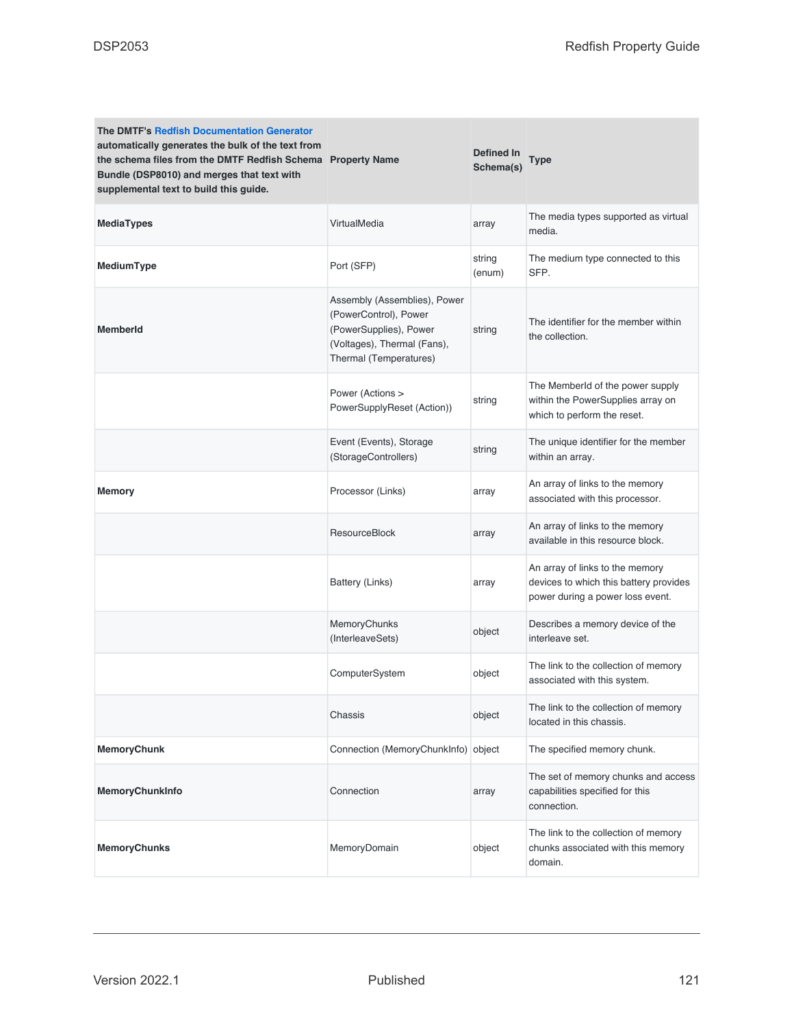| <b>The DMTF's Redfish Documentation Generator</b><br>automatically generates the bulk of the text from<br>the schema files from the DMTF Redfish Schema Property Name<br>Bundle (DSP8010) and merges that text with<br>supplemental text to build this guide. |                                                                                                                                          | Defined In<br>Schema(s) | Type                                                                                                          |
|---------------------------------------------------------------------------------------------------------------------------------------------------------------------------------------------------------------------------------------------------------------|------------------------------------------------------------------------------------------------------------------------------------------|-------------------------|---------------------------------------------------------------------------------------------------------------|
| <b>MediaTypes</b>                                                                                                                                                                                                                                             | VirtualMedia                                                                                                                             | array                   | The media types supported as virtual<br>media.                                                                |
| MediumType                                                                                                                                                                                                                                                    | Port (SFP)                                                                                                                               | string<br>(enum)        | The medium type connected to this<br>SFP.                                                                     |
| <b>MemberId</b>                                                                                                                                                                                                                                               | Assembly (Assemblies), Power<br>(PowerControl), Power<br>(PowerSupplies), Power<br>(Voltages), Thermal (Fans),<br>Thermal (Temperatures) | string                  | The identifier for the member within<br>the collection.                                                       |
|                                                                                                                                                                                                                                                               | Power (Actions ><br>PowerSupplyReset (Action))                                                                                           | string                  | The Memberld of the power supply<br>within the PowerSupplies array on<br>which to perform the reset.          |
|                                                                                                                                                                                                                                                               | Event (Events), Storage<br>(StorageControllers)                                                                                          | string                  | The unique identifier for the member<br>within an array.                                                      |
| <b>Memory</b>                                                                                                                                                                                                                                                 | Processor (Links)                                                                                                                        | array                   | An array of links to the memory<br>associated with this processor.                                            |
|                                                                                                                                                                                                                                                               | <b>ResourceBlock</b>                                                                                                                     | array                   | An array of links to the memory<br>available in this resource block.                                          |
|                                                                                                                                                                                                                                                               | Battery (Links)                                                                                                                          | array                   | An array of links to the memory<br>devices to which this battery provides<br>power during a power loss event. |
|                                                                                                                                                                                                                                                               | MemoryChunks<br>(InterleaveSets)                                                                                                         | object                  | Describes a memory device of the<br>interleave set.                                                           |
|                                                                                                                                                                                                                                                               | ComputerSystem                                                                                                                           | object                  | The link to the collection of memory<br>associated with this system.                                          |
|                                                                                                                                                                                                                                                               | Chassis                                                                                                                                  | object                  | The link to the collection of memory<br>located in this chassis.                                              |
| <b>MemoryChunk</b>                                                                                                                                                                                                                                            | Connection (MemoryChunkInfo) object                                                                                                      |                         | The specified memory chunk.                                                                                   |
| MemoryChunkInfo                                                                                                                                                                                                                                               | Connection                                                                                                                               | array                   | The set of memory chunks and access<br>capabilities specified for this<br>connection.                         |
| <b>MemoryChunks</b>                                                                                                                                                                                                                                           | MemoryDomain                                                                                                                             | object                  | The link to the collection of memory<br>chunks associated with this memory<br>domain.                         |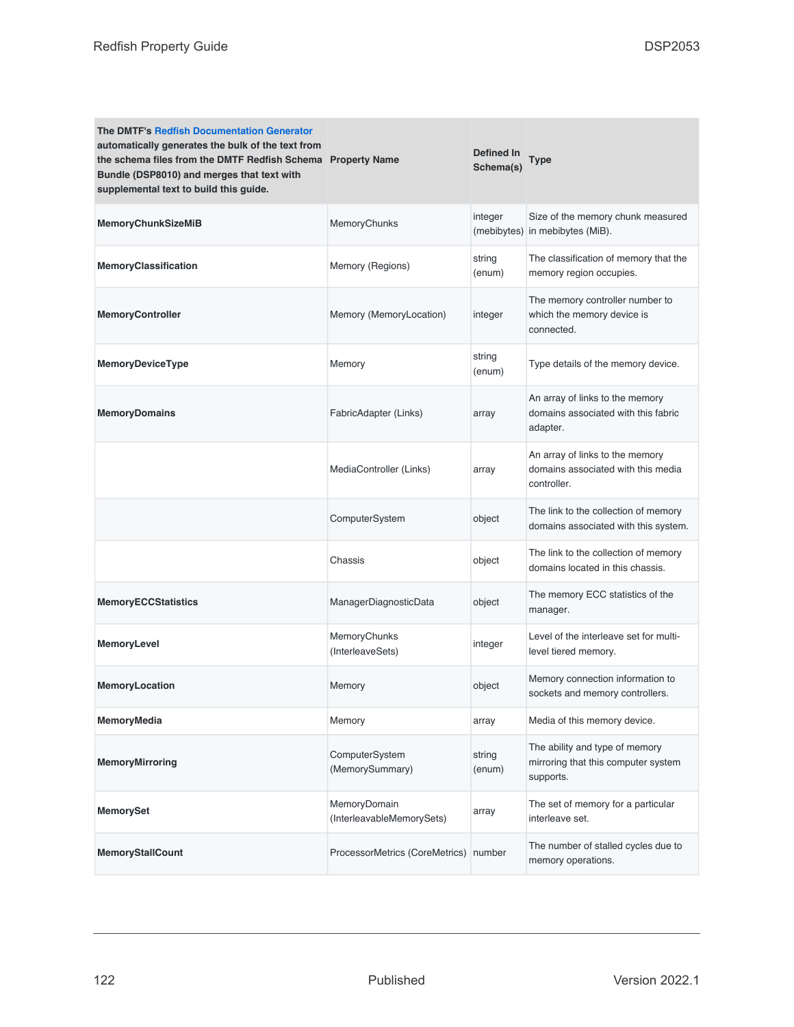| <b>The DMTF's Redfish Documentation Generator</b><br>automatically generates the bulk of the text from<br>the schema files from the DMTF Redfish Schema Property Name<br>Bundle (DSP8010) and merges that text with<br>supplemental text to build this guide. |                                           | Defined In<br>Schema(s) | Type                                                                                 |
|---------------------------------------------------------------------------------------------------------------------------------------------------------------------------------------------------------------------------------------------------------------|-------------------------------------------|-------------------------|--------------------------------------------------------------------------------------|
| <b>MemoryChunkSizeMiB</b>                                                                                                                                                                                                                                     | MemoryChunks                              | integer<br>(mebibytes)  | Size of the memory chunk measured<br>in mebibytes (MiB).                             |
| MemoryClassification                                                                                                                                                                                                                                          | Memory (Regions)                          | string<br>(enum)        | The classification of memory that the<br>memory region occupies.                     |
| <b>MemoryController</b>                                                                                                                                                                                                                                       | Memory (MemoryLocation)                   | integer                 | The memory controller number to<br>which the memory device is<br>connected.          |
| MemoryDeviceType                                                                                                                                                                                                                                              | Memory                                    | string<br>(enum)        | Type details of the memory device.                                                   |
| <b>MemoryDomains</b>                                                                                                                                                                                                                                          | FabricAdapter (Links)                     | array                   | An array of links to the memory<br>domains associated with this fabric<br>adapter.   |
|                                                                                                                                                                                                                                                               | MediaController (Links)                   | array                   | An array of links to the memory<br>domains associated with this media<br>controller. |
|                                                                                                                                                                                                                                                               | ComputerSystem                            | object                  | The link to the collection of memory<br>domains associated with this system.         |
|                                                                                                                                                                                                                                                               | Chassis                                   | object                  | The link to the collection of memory<br>domains located in this chassis.             |
| <b>MemoryECCStatistics</b>                                                                                                                                                                                                                                    | ManagerDiagnosticData                     | object                  | The memory ECC statistics of the<br>manager.                                         |
| MemoryLevel                                                                                                                                                                                                                                                   | MemoryChunks<br>(InterleaveSets)          | integer                 | Level of the interleave set for multi-<br>level tiered memory.                       |
| <b>MemoryLocation</b>                                                                                                                                                                                                                                         | Memory                                    | object                  | Memory connection information to<br>sockets and memory controllers.                  |
| MemoryMedia                                                                                                                                                                                                                                                   | Memory                                    | array                   | Media of this memory device.                                                         |
| <b>MemoryMirroring</b>                                                                                                                                                                                                                                        | ComputerSystem<br>(MemorySummary)         | string<br>(enum)        | The ability and type of memory<br>mirroring that this computer system<br>supports.   |
| <b>MemorySet</b>                                                                                                                                                                                                                                              | MemoryDomain<br>(InterleavableMemorySets) | array                   | The set of memory for a particular<br>interleave set.                                |
| <b>MemoryStallCount</b>                                                                                                                                                                                                                                       | ProcessorMetrics (CoreMetrics) number     |                         | The number of stalled cycles due to<br>memory operations.                            |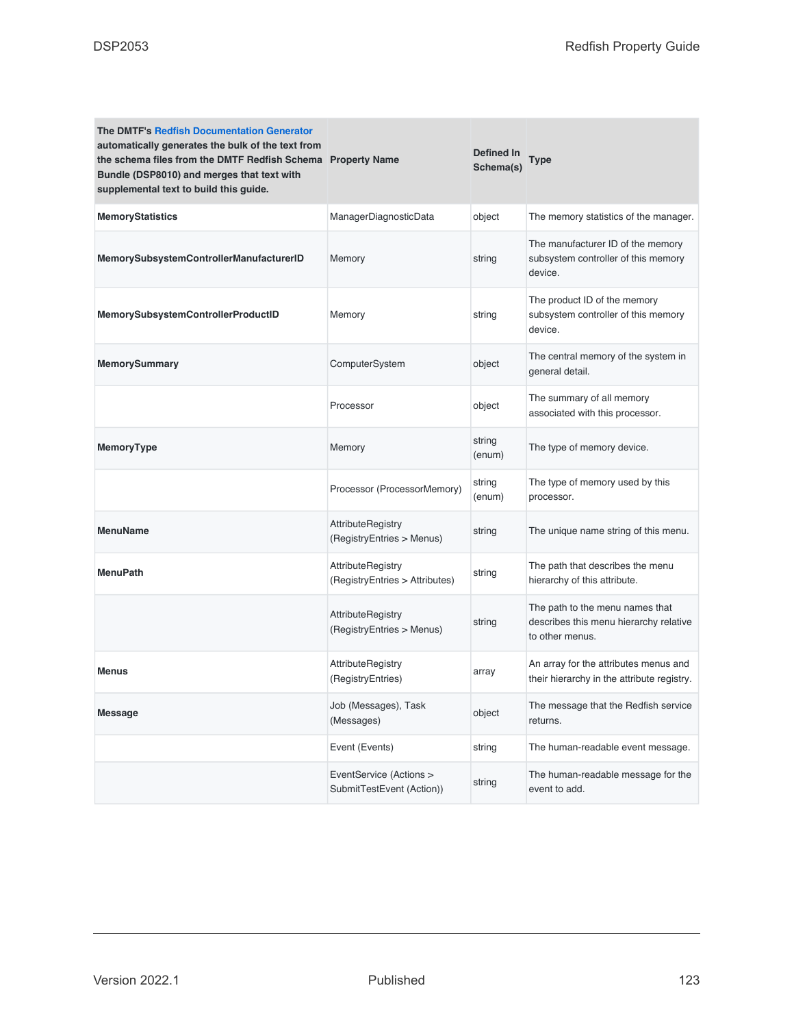| <b>The DMTF's Redfish Documentation Generator</b><br>automatically generates the bulk of the text from<br>the schema files from the DMTF Redfish Schema Property Name<br>Bundle (DSP8010) and merges that text with<br>supplemental text to build this guide. |                                                            | Defined In<br>Schema(s) | Type                                                                                         |
|---------------------------------------------------------------------------------------------------------------------------------------------------------------------------------------------------------------------------------------------------------------|------------------------------------------------------------|-------------------------|----------------------------------------------------------------------------------------------|
| <b>MemoryStatistics</b>                                                                                                                                                                                                                                       | ManagerDiagnosticData                                      | object                  | The memory statistics of the manager.                                                        |
| MemorySubsystemControllerManufacturerID                                                                                                                                                                                                                       | Memory                                                     | string                  | The manufacturer ID of the memory<br>subsystem controller of this memory<br>device.          |
| MemorySubsystemControllerProductID                                                                                                                                                                                                                            | Memory                                                     | string                  | The product ID of the memory<br>subsystem controller of this memory<br>device.               |
| <b>MemorySummary</b>                                                                                                                                                                                                                                          | ComputerSystem                                             | object                  | The central memory of the system in<br>general detail.                                       |
|                                                                                                                                                                                                                                                               | Processor                                                  | object                  | The summary of all memory<br>associated with this processor.                                 |
| <b>MemoryType</b>                                                                                                                                                                                                                                             | Memory                                                     | string<br>(enum)        | The type of memory device.                                                                   |
|                                                                                                                                                                                                                                                               | Processor (ProcessorMemory)                                | string<br>(enum)        | The type of memory used by this<br>processor.                                                |
| <b>MenuName</b>                                                                                                                                                                                                                                               | <b>AttributeRegistry</b><br>(RegistryEntries > Menus)      | string                  | The unique name string of this menu.                                                         |
| <b>MenuPath</b>                                                                                                                                                                                                                                               | <b>AttributeRegistry</b><br>(RegistryEntries > Attributes) | string                  | The path that describes the menu<br>hierarchy of this attribute.                             |
|                                                                                                                                                                                                                                                               | <b>AttributeRegistry</b><br>(RegistryEntries > Menus)      | string                  | The path to the menu names that<br>describes this menu hierarchy relative<br>to other menus. |
| <b>Menus</b>                                                                                                                                                                                                                                                  | <b>AttributeRegistry</b><br>(RegistryEntries)              | array                   | An array for the attributes menus and<br>their hierarchy in the attribute registry.          |
| <b>Message</b>                                                                                                                                                                                                                                                | Job (Messages), Task<br>(Messages)                         | object                  | The message that the Redfish service<br>returns.                                             |
|                                                                                                                                                                                                                                                               | Event (Events)                                             | string                  | The human-readable event message.                                                            |
|                                                                                                                                                                                                                                                               | EventService (Actions ><br>SubmitTestEvent (Action))       | string                  | The human-readable message for the<br>event to add.                                          |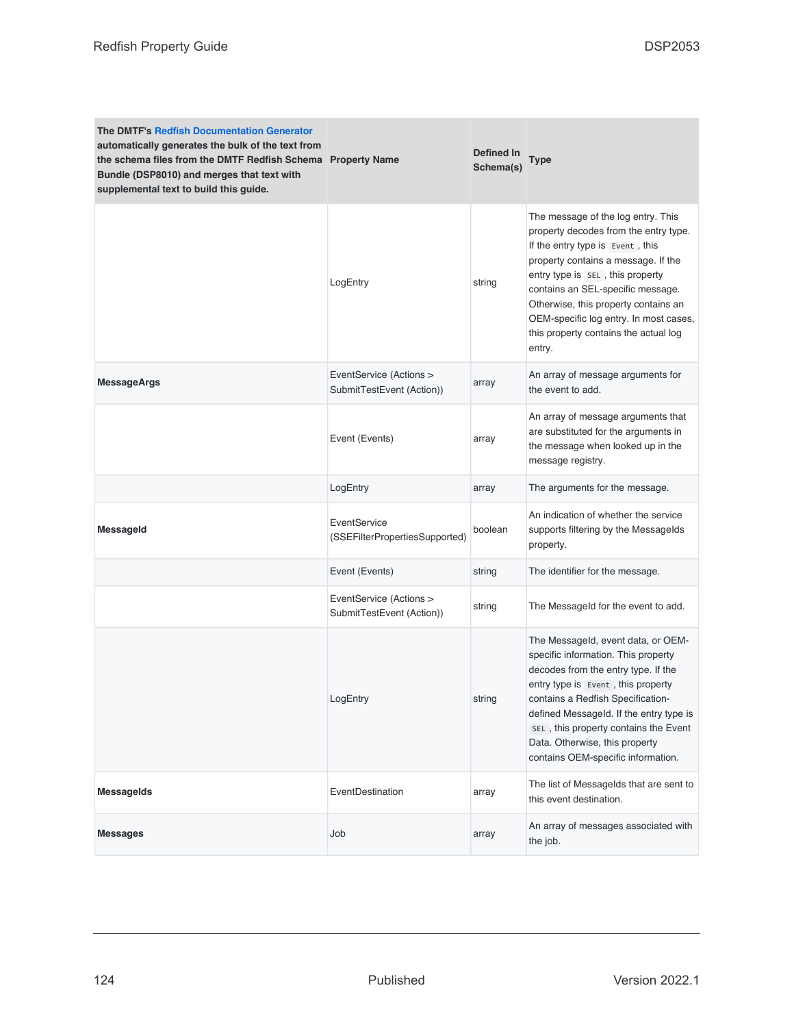| <b>The DMTF's Redfish Documentation Generator</b><br>automatically generates the bulk of the text from<br>the schema files from the DMTF Redfish Schema Property Name<br>Bundle (DSP8010) and merges that text with<br>supplemental text to build this guide. |                                                      | Defined In<br>Schema(s) | Type                                                                                                                                                                                                                                                                                                                                                                 |
|---------------------------------------------------------------------------------------------------------------------------------------------------------------------------------------------------------------------------------------------------------------|------------------------------------------------------|-------------------------|----------------------------------------------------------------------------------------------------------------------------------------------------------------------------------------------------------------------------------------------------------------------------------------------------------------------------------------------------------------------|
|                                                                                                                                                                                                                                                               | LogEntry                                             | string                  | The message of the log entry. This<br>property decodes from the entry type.<br>If the entry type is Event, this<br>property contains a message. If the<br>entry type is SEL, this property<br>contains an SEL-specific message.<br>Otherwise, this property contains an<br>OEM-specific log entry. In most cases,<br>this property contains the actual log<br>entry. |
| <b>MessageArgs</b>                                                                                                                                                                                                                                            | EventService (Actions ><br>SubmitTestEvent (Action)) | array                   | An array of message arguments for<br>the event to add.                                                                                                                                                                                                                                                                                                               |
|                                                                                                                                                                                                                                                               | Event (Events)                                       | array                   | An array of message arguments that<br>are substituted for the arguments in<br>the message when looked up in the<br>message registry.                                                                                                                                                                                                                                 |
|                                                                                                                                                                                                                                                               | LogEntry                                             | array                   | The arguments for the message.                                                                                                                                                                                                                                                                                                                                       |
| <b>Messageld</b>                                                                                                                                                                                                                                              | EventService<br>(SSEFilterPropertiesSupported)       | boolean                 | An indication of whether the service<br>supports filtering by the MessageIds<br>property.                                                                                                                                                                                                                                                                            |
|                                                                                                                                                                                                                                                               | Event (Events)                                       | string                  | The identifier for the message.                                                                                                                                                                                                                                                                                                                                      |
|                                                                                                                                                                                                                                                               | EventService (Actions ><br>SubmitTestEvent (Action)) | string                  | The Messageld for the event to add.                                                                                                                                                                                                                                                                                                                                  |
|                                                                                                                                                                                                                                                               | LogEntry                                             | string                  | The Messageld, event data, or OEM-<br>specific information. This property<br>decodes from the entry type. If the<br>entry type is Event, this property<br>contains a Redfish Specification-<br>defined Messageld. If the entry type is<br>SEL, this property contains the Event<br>Data. Otherwise, this property<br>contains OEM-specific information.              |
| <b>MessageIds</b>                                                                                                                                                                                                                                             | EventDestination                                     | array                   | The list of Messagelds that are sent to<br>this event destination.                                                                                                                                                                                                                                                                                                   |
| <b>Messages</b>                                                                                                                                                                                                                                               | Job                                                  | array                   | An array of messages associated with<br>the job.                                                                                                                                                                                                                                                                                                                     |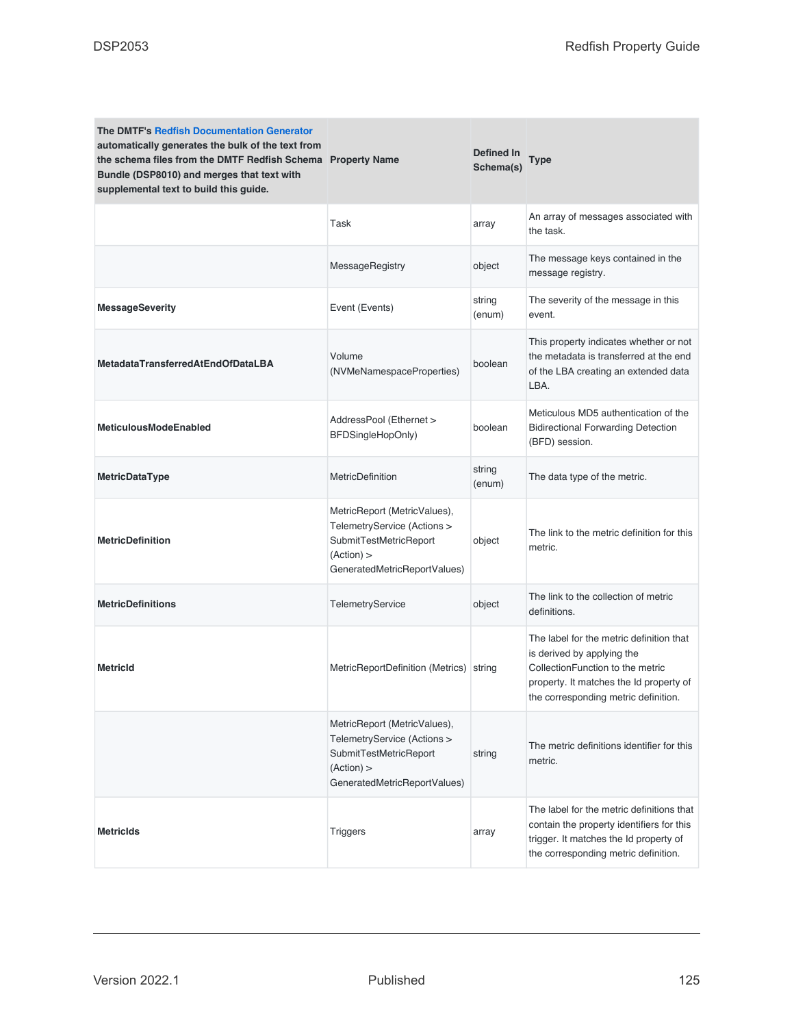| <b>The DMTF's Redfish Documentation Generator</b><br>automatically generates the bulk of the text from<br>the schema files from the DMTF Redfish Schema Property Name<br>Bundle (DSP8010) and merges that text with<br>supplemental text to build this guide. |                                                                                                                                     | Defined In<br>Schema(s) | Type                                                                                                                                                                                          |
|---------------------------------------------------------------------------------------------------------------------------------------------------------------------------------------------------------------------------------------------------------------|-------------------------------------------------------------------------------------------------------------------------------------|-------------------------|-----------------------------------------------------------------------------------------------------------------------------------------------------------------------------------------------|
|                                                                                                                                                                                                                                                               | Task                                                                                                                                | array                   | An array of messages associated with<br>the task.                                                                                                                                             |
|                                                                                                                                                                                                                                                               | MessageRegistry                                                                                                                     | object                  | The message keys contained in the<br>message registry.                                                                                                                                        |
| <b>MessageSeverity</b>                                                                                                                                                                                                                                        | Event (Events)                                                                                                                      | string<br>(enum)        | The severity of the message in this<br>event.                                                                                                                                                 |
| <b>MetadataTransferredAtEndOfDataLBA</b>                                                                                                                                                                                                                      | Volume<br>(NVMeNamespaceProperties)                                                                                                 | boolean                 | This property indicates whether or not<br>the metadata is transferred at the end<br>of the LBA creating an extended data<br>LBA.                                                              |
| <b>MeticulousModeEnabled</b>                                                                                                                                                                                                                                  | AddressPool (Ethernet ><br>BFDSingleHopOnly)                                                                                        | boolean                 | Meticulous MD5 authentication of the<br><b>Bidirectional Forwarding Detection</b><br>(BFD) session.                                                                                           |
| MetricDataType                                                                                                                                                                                                                                                | MetricDefinition                                                                                                                    | string<br>(enum)        | The data type of the metric.                                                                                                                                                                  |
| <b>MetricDefinition</b>                                                                                                                                                                                                                                       | MetricReport (MetricValues),<br>TelemetryService (Actions ><br>SubmitTestMetricReport<br>(Action) ><br>GeneratedMetricReportValues) | object                  | The link to the metric definition for this<br>metric.                                                                                                                                         |
| <b>MetricDefinitions</b>                                                                                                                                                                                                                                      | TelemetryService                                                                                                                    | object                  | The link to the collection of metric<br>definitions.                                                                                                                                          |
| <b>Metricid</b>                                                                                                                                                                                                                                               | MetricReportDefinition (Metrics) string                                                                                             |                         | The label for the metric definition that<br>is derived by applying the<br>CollectionFunction to the metric<br>property. It matches the Id property of<br>the corresponding metric definition. |
|                                                                                                                                                                                                                                                               | MetricReport (MetricValues),<br>TelemetryService (Actions ><br>SubmitTestMetricReport<br>(Action) ><br>GeneratedMetricReportValues) | string                  | The metric definitions identifier for this<br>metric.                                                                                                                                         |
| <b>Metricids</b>                                                                                                                                                                                                                                              | <b>Triggers</b>                                                                                                                     | array                   | The label for the metric definitions that<br>contain the property identifiers for this<br>trigger. It matches the Id property of<br>the corresponding metric definition.                      |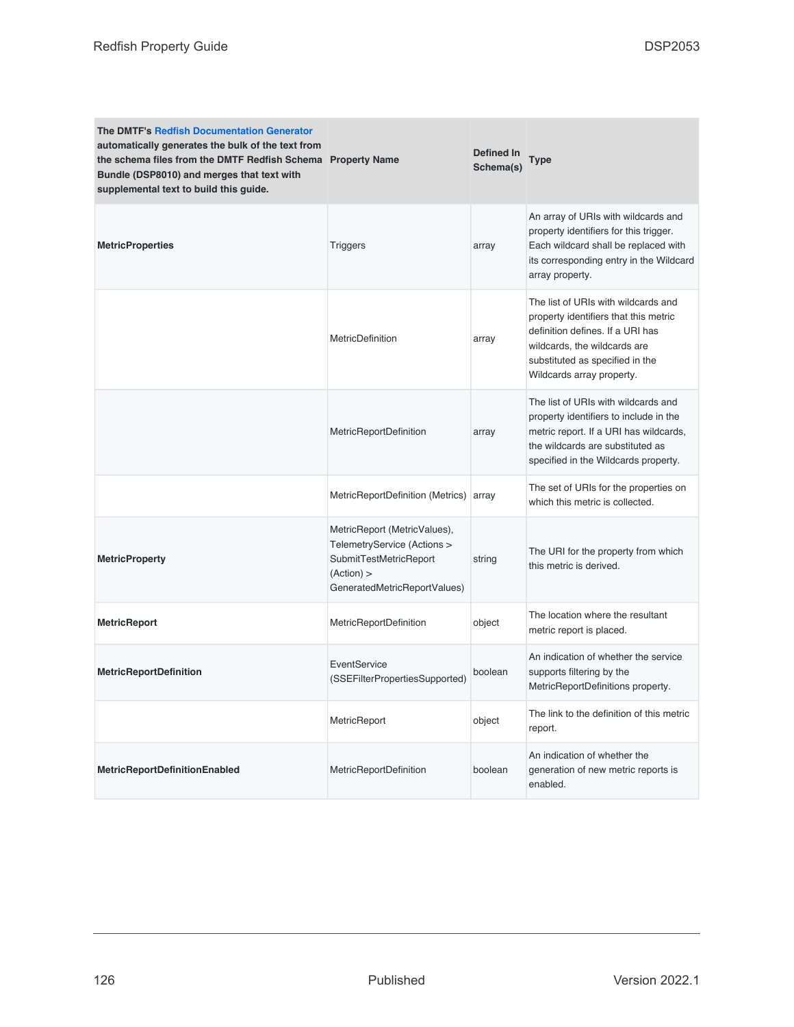| <b>The DMTF's Redfish Documentation Generator</b><br>automatically generates the bulk of the text from<br>the schema files from the DMTF Redfish Schema Property Name<br>Bundle (DSP8010) and merges that text with<br>supplemental text to build this guide. |                                                                                                                                     | <b>Defined In</b><br>Schema(s) | <b>Type</b>                                                                                                                                                                                                      |
|---------------------------------------------------------------------------------------------------------------------------------------------------------------------------------------------------------------------------------------------------------------|-------------------------------------------------------------------------------------------------------------------------------------|--------------------------------|------------------------------------------------------------------------------------------------------------------------------------------------------------------------------------------------------------------|
| <b>MetricProperties</b>                                                                                                                                                                                                                                       | <b>Triggers</b>                                                                                                                     | array                          | An array of URIs with wildcards and<br>property identifiers for this trigger.<br>Each wildcard shall be replaced with<br>its corresponding entry in the Wildcard<br>array property.                              |
|                                                                                                                                                                                                                                                               | <b>MetricDefinition</b>                                                                                                             | array                          | The list of URIs with wildcards and<br>property identifiers that this metric<br>definition defines. If a URI has<br>wildcards, the wildcards are<br>substituted as specified in the<br>Wildcards array property. |
|                                                                                                                                                                                                                                                               | <b>MetricReportDefinition</b>                                                                                                       | array                          | The list of URIs with wildcards and<br>property identifiers to include in the<br>metric report. If a URI has wildcards,<br>the wildcards are substituted as<br>specified in the Wildcards property.              |
|                                                                                                                                                                                                                                                               | MetricReportDefinition (Metrics) array                                                                                              |                                | The set of URIs for the properties on<br>which this metric is collected.                                                                                                                                         |
| <b>MetricProperty</b>                                                                                                                                                                                                                                         | MetricReport (MetricValues),<br>TelemetryService (Actions ><br>SubmitTestMetricReport<br>(Action) ><br>GeneratedMetricReportValues) | string                         | The URI for the property from which<br>this metric is derived.                                                                                                                                                   |
| <b>MetricReport</b>                                                                                                                                                                                                                                           | MetricReportDefinition                                                                                                              | object                         | The location where the resultant<br>metric report is placed.                                                                                                                                                     |
| <b>MetricReportDefinition</b>                                                                                                                                                                                                                                 | EventService<br>(SSEFilterPropertiesSupported)                                                                                      | boolean                        | An indication of whether the service<br>supports filtering by the<br>MetricReportDefinitions property.                                                                                                           |
|                                                                                                                                                                                                                                                               | MetricReport                                                                                                                        | object                         | The link to the definition of this metric<br>report.                                                                                                                                                             |
| <b>MetricReportDefinitionEnabled</b>                                                                                                                                                                                                                          | MetricReportDefinition                                                                                                              | boolean                        | An indication of whether the<br>generation of new metric reports is<br>enabled.                                                                                                                                  |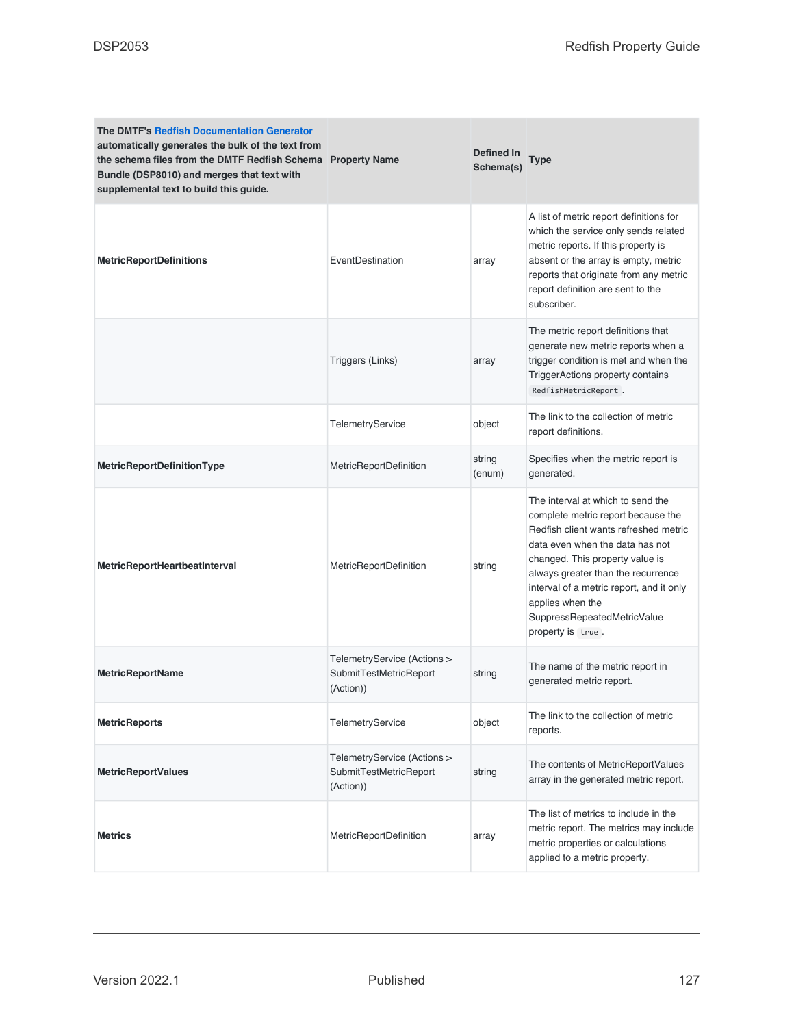| <b>The DMTF's Redfish Documentation Generator</b><br>automatically generates the bulk of the text from<br>the schema files from the DMTF Redfish Schema Property Name<br>Bundle (DSP8010) and merges that text with<br>supplemental text to build this guide. |                                                                    | <b>Defined In</b><br>Schema(s) | Type                                                                                                                                                                                                                                                                                                                                             |
|---------------------------------------------------------------------------------------------------------------------------------------------------------------------------------------------------------------------------------------------------------------|--------------------------------------------------------------------|--------------------------------|--------------------------------------------------------------------------------------------------------------------------------------------------------------------------------------------------------------------------------------------------------------------------------------------------------------------------------------------------|
| <b>MetricReportDefinitions</b>                                                                                                                                                                                                                                | EventDestination                                                   | array                          | A list of metric report definitions for<br>which the service only sends related<br>metric reports. If this property is<br>absent or the array is empty, metric<br>reports that originate from any metric<br>report definition are sent to the<br>subscriber.                                                                                     |
|                                                                                                                                                                                                                                                               | Triggers (Links)                                                   | array                          | The metric report definitions that<br>generate new metric reports when a<br>trigger condition is met and when the<br>TriggerActions property contains<br>RedfishMetricReport.                                                                                                                                                                    |
|                                                                                                                                                                                                                                                               | TelemetryService                                                   | object                         | The link to the collection of metric<br>report definitions.                                                                                                                                                                                                                                                                                      |
| MetricReportDefinitionType                                                                                                                                                                                                                                    | <b>MetricReportDefinition</b>                                      | string<br>(enum)               | Specifies when the metric report is<br>generated.                                                                                                                                                                                                                                                                                                |
| MetricReportHeartbeatInterval                                                                                                                                                                                                                                 | MetricReportDefinition                                             | string                         | The interval at which to send the<br>complete metric report because the<br>Redfish client wants refreshed metric<br>data even when the data has not<br>changed. This property value is<br>always greater than the recurrence<br>interval of a metric report, and it only<br>applies when the<br>SuppressRepeatedMetricValue<br>property is true. |
| <b>MetricReportName</b>                                                                                                                                                                                                                                       | TelemetryService (Actions ><br>SubmitTestMetricReport<br>(Action)) | string                         | The name of the metric report in<br>generated metric report.                                                                                                                                                                                                                                                                                     |
| <b>MetricReports</b>                                                                                                                                                                                                                                          | TelemetryService                                                   | object                         | The link to the collection of metric<br>reports.                                                                                                                                                                                                                                                                                                 |
| <b>MetricReportValues</b>                                                                                                                                                                                                                                     | TelemetryService (Actions ><br>SubmitTestMetricReport<br>(Action)) | string                         | The contents of MetricReportValues<br>array in the generated metric report.                                                                                                                                                                                                                                                                      |
| <b>Metrics</b>                                                                                                                                                                                                                                                | MetricReportDefinition                                             | array                          | The list of metrics to include in the<br>metric report. The metrics may include<br>metric properties or calculations<br>applied to a metric property.                                                                                                                                                                                            |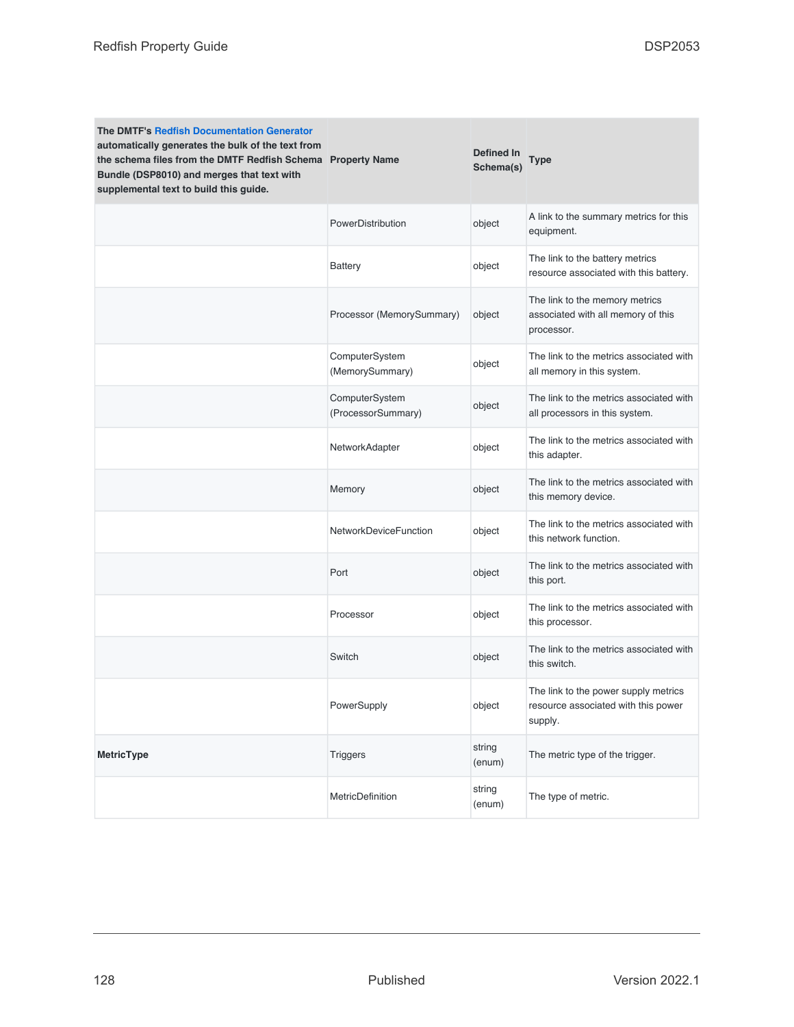| <b>The DMTF's Redfish Documentation Generator</b><br>automatically generates the bulk of the text from<br>the schema files from the DMTF Redfish Schema Property Name<br>Bundle (DSP8010) and merges that text with<br>supplemental text to build this guide. |                                      | <b>Defined In</b><br>Schema(s) | Type                                                                                   |
|---------------------------------------------------------------------------------------------------------------------------------------------------------------------------------------------------------------------------------------------------------------|--------------------------------------|--------------------------------|----------------------------------------------------------------------------------------|
|                                                                                                                                                                                                                                                               | PowerDistribution                    | object                         | A link to the summary metrics for this<br>equipment.                                   |
|                                                                                                                                                                                                                                                               | Battery                              | object                         | The link to the battery metrics<br>resource associated with this battery.              |
|                                                                                                                                                                                                                                                               | Processor (MemorySummary)            | object                         | The link to the memory metrics<br>associated with all memory of this<br>processor.     |
|                                                                                                                                                                                                                                                               | ComputerSystem<br>(MemorySummary)    | object                         | The link to the metrics associated with<br>all memory in this system.                  |
|                                                                                                                                                                                                                                                               | ComputerSystem<br>(ProcessorSummary) | object                         | The link to the metrics associated with<br>all processors in this system.              |
|                                                                                                                                                                                                                                                               | NetworkAdapter                       | object                         | The link to the metrics associated with<br>this adapter.                               |
|                                                                                                                                                                                                                                                               | Memory                               | object                         | The link to the metrics associated with<br>this memory device.                         |
|                                                                                                                                                                                                                                                               | <b>NetworkDeviceFunction</b>         | object                         | The link to the metrics associated with<br>this network function.                      |
|                                                                                                                                                                                                                                                               | Port                                 | object                         | The link to the metrics associated with<br>this port.                                  |
|                                                                                                                                                                                                                                                               | Processor                            | object                         | The link to the metrics associated with<br>this processor.                             |
|                                                                                                                                                                                                                                                               | Switch                               | object                         | The link to the metrics associated with<br>this switch.                                |
|                                                                                                                                                                                                                                                               | PowerSupply                          | object                         | The link to the power supply metrics<br>resource associated with this power<br>supply. |
| <b>MetricType</b>                                                                                                                                                                                                                                             | <b>Triggers</b>                      | string<br>(enum)               | The metric type of the trigger.                                                        |
|                                                                                                                                                                                                                                                               | MetricDefinition                     | string<br>(enum)               | The type of metric.                                                                    |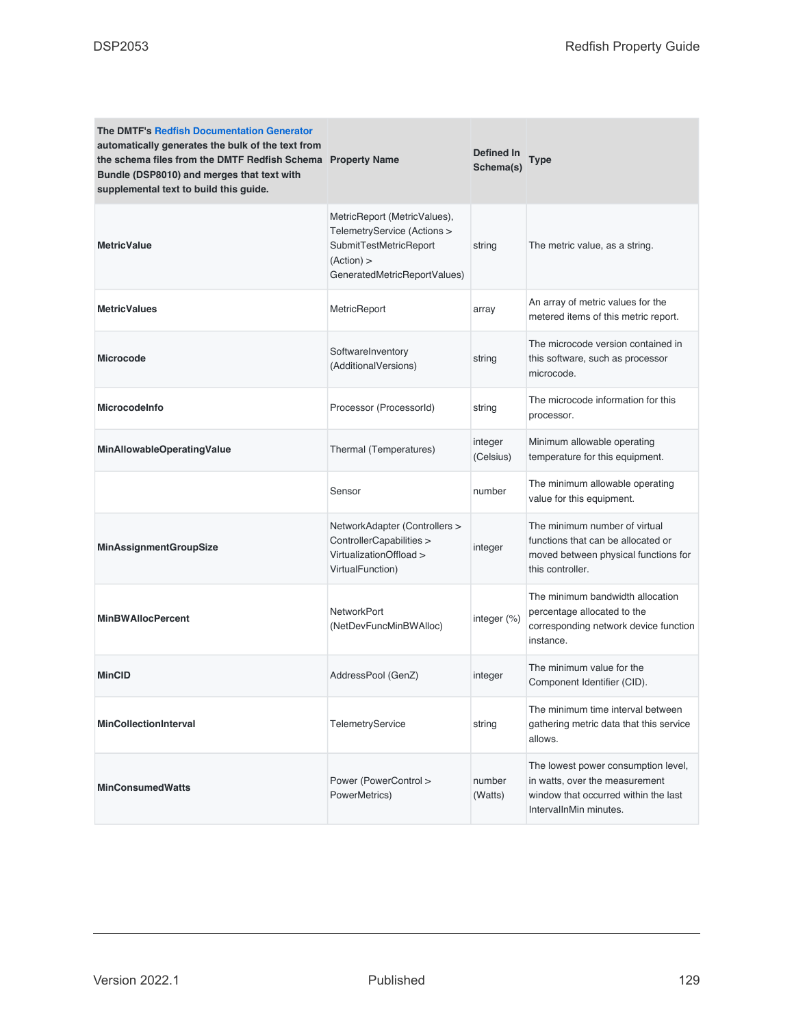| <b>The DMTF's Redfish Documentation Generator</b><br>automatically generates the bulk of the text from<br>the schema files from the DMTF Redfish Schema Property Name<br>Bundle (DSP8010) and merges that text with<br>supplemental text to build this guide. |                                                                                                                                     | Defined In<br>Schema(s) | <b>Type</b>                                                                                                                             |
|---------------------------------------------------------------------------------------------------------------------------------------------------------------------------------------------------------------------------------------------------------------|-------------------------------------------------------------------------------------------------------------------------------------|-------------------------|-----------------------------------------------------------------------------------------------------------------------------------------|
| <b>MetricValue</b>                                                                                                                                                                                                                                            | MetricReport (MetricValues),<br>TelemetryService (Actions ><br>SubmitTestMetricReport<br>(Action) ><br>GeneratedMetricReportValues) | string                  | The metric value, as a string.                                                                                                          |
| <b>MetricValues</b>                                                                                                                                                                                                                                           | MetricReport                                                                                                                        | array                   | An array of metric values for the<br>metered items of this metric report.                                                               |
| <b>Microcode</b>                                                                                                                                                                                                                                              | SoftwareInventory<br>(AdditionalVersions)                                                                                           | string                  | The microcode version contained in<br>this software, such as processor<br>microcode.                                                    |
| <b>Microcodelnfo</b>                                                                                                                                                                                                                                          | Processor (ProcessorId)                                                                                                             | string                  | The microcode information for this<br>processor.                                                                                        |
| MinAllowableOperatingValue                                                                                                                                                                                                                                    | Thermal (Temperatures)                                                                                                              | integer<br>(Celsius)    | Minimum allowable operating<br>temperature for this equipment.                                                                          |
|                                                                                                                                                                                                                                                               | Sensor                                                                                                                              | number                  | The minimum allowable operating<br>value for this equipment.                                                                            |
| <b>MinAssignmentGroupSize</b>                                                                                                                                                                                                                                 | NetworkAdapter (Controllers ><br>ControllerCapabilities ><br>VirtualizationOffload ><br>VirtualFunction)                            | integer                 | The minimum number of virtual<br>functions that can be allocated or<br>moved between physical functions for<br>this controller.         |
| <b>MinBWAllocPercent</b>                                                                                                                                                                                                                                      | <b>NetworkPort</b><br>(NetDevFuncMinBWAlloc)                                                                                        | integer (%)             | The minimum bandwidth allocation<br>percentage allocated to the<br>corresponding network device function<br>instance.                   |
| <b>MinCID</b>                                                                                                                                                                                                                                                 | AddressPool (GenZ)                                                                                                                  | integer                 | The minimum value for the<br>Component Identifier (CID).                                                                                |
| <b>MinCollectionInterval</b>                                                                                                                                                                                                                                  | <b>TelemetryService</b>                                                                                                             | string                  | The minimum time interval between<br>gathering metric data that this service<br>allows.                                                 |
| <b>MinConsumedWatts</b>                                                                                                                                                                                                                                       | Power (PowerControl ><br>PowerMetrics)                                                                                              | number<br>(Watts)       | The lowest power consumption level,<br>in watts, over the measurement<br>window that occurred within the last<br>IntervalInMin minutes. |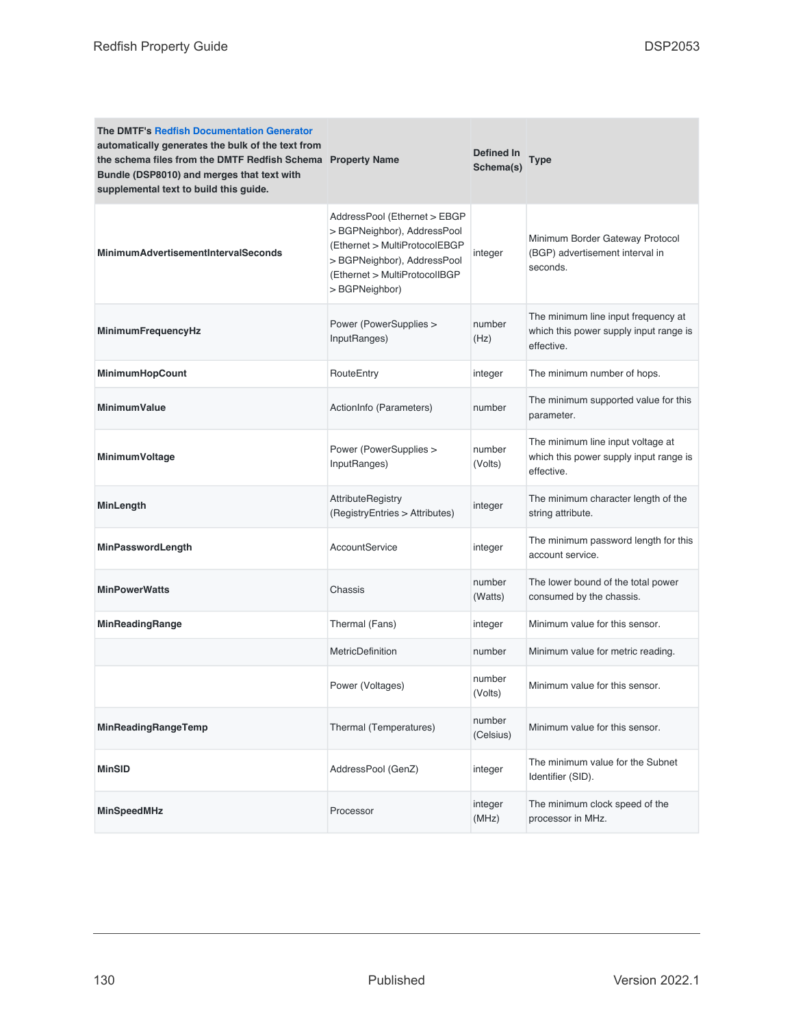| <b>The DMTF's Redfish Documentation Generator</b><br>automatically generates the bulk of the text from<br>the schema files from the DMTF Redfish Schema Property Name<br>Bundle (DSP8010) and merges that text with<br>supplemental text to build this guide. |                                                                                                                                                                                | Defined In<br>Schema(s) | <b>Type</b>                                                                                 |
|---------------------------------------------------------------------------------------------------------------------------------------------------------------------------------------------------------------------------------------------------------------|--------------------------------------------------------------------------------------------------------------------------------------------------------------------------------|-------------------------|---------------------------------------------------------------------------------------------|
| <b>MinimumAdvertisementIntervalSeconds</b>                                                                                                                                                                                                                    | AddressPool (Ethernet > EBGP<br>> BGPNeighbor), AddressPool<br>(Ethernet > MultiProtocolEBGP<br>> BGPNeighbor), AddressPool<br>(Ethernet > MultiProtocolIBGP<br>> BGPNeighbor) | integer                 | Minimum Border Gateway Protocol<br>(BGP) advertisement interval in<br>seconds.              |
| MinimumFrequencyHz                                                                                                                                                                                                                                            | Power (PowerSupplies ><br>InputRanges)                                                                                                                                         | number<br>(Hz)          | The minimum line input frequency at<br>which this power supply input range is<br>effective. |
| MinimumHopCount                                                                                                                                                                                                                                               | RouteEntry                                                                                                                                                                     | integer                 | The minimum number of hops.                                                                 |
| <b>MinimumValue</b>                                                                                                                                                                                                                                           | ActionInfo (Parameters)                                                                                                                                                        | number                  | The minimum supported value for this<br>parameter.                                          |
| <b>MinimumVoltage</b>                                                                                                                                                                                                                                         | Power (PowerSupplies ><br>InputRanges)                                                                                                                                         | number<br>(Volts)       | The minimum line input voltage at<br>which this power supply input range is<br>effective.   |
| MinLength                                                                                                                                                                                                                                                     | <b>AttributeRegistry</b><br>(RegistryEntries > Attributes)                                                                                                                     | integer                 | The minimum character length of the<br>string attribute.                                    |
| MinPasswordLength                                                                                                                                                                                                                                             | <b>AccountService</b>                                                                                                                                                          | integer                 | The minimum password length for this<br>account service.                                    |
| <b>MinPowerWatts</b>                                                                                                                                                                                                                                          | Chassis                                                                                                                                                                        | number<br>(Watts)       | The lower bound of the total power<br>consumed by the chassis.                              |
| MinReadingRange                                                                                                                                                                                                                                               | Thermal (Fans)                                                                                                                                                                 | integer                 | Minimum value for this sensor.                                                              |
|                                                                                                                                                                                                                                                               | MetricDefinition                                                                                                                                                               | number                  | Minimum value for metric reading.                                                           |
|                                                                                                                                                                                                                                                               | Power (Voltages)                                                                                                                                                               | number<br>(Volts)       | Minimum value for this sensor.                                                              |
| MinReadingRangeTemp                                                                                                                                                                                                                                           | Thermal (Temperatures)                                                                                                                                                         | number<br>(Celsius)     | Minimum value for this sensor.                                                              |
| <b>MinSID</b>                                                                                                                                                                                                                                                 | AddressPool (GenZ)                                                                                                                                                             | integer                 | The minimum value for the Subnet<br>Identifier (SID).                                       |
| <b>MinSpeedMHz</b>                                                                                                                                                                                                                                            | Processor                                                                                                                                                                      | integer<br>(MHz)        | The minimum clock speed of the<br>processor in MHz.                                         |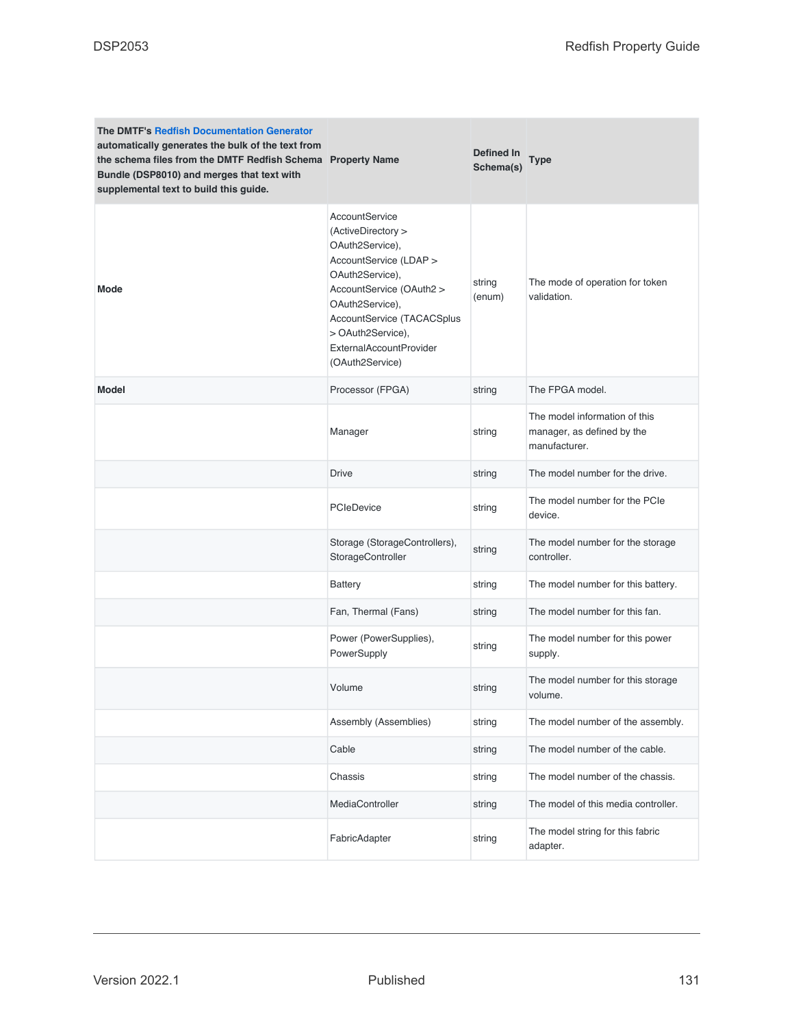| <b>The DMTF's Redfish Documentation Generator</b><br>automatically generates the bulk of the text from<br>the schema files from the DMTF Redfish Schema Property Name<br>Bundle (DSP8010) and merges that text with<br>supplemental text to build this guide. |                                                                                                                                                                                                                                                      | Defined In<br>Schema(s) | <b>Type</b>                                                                  |
|---------------------------------------------------------------------------------------------------------------------------------------------------------------------------------------------------------------------------------------------------------------|------------------------------------------------------------------------------------------------------------------------------------------------------------------------------------------------------------------------------------------------------|-------------------------|------------------------------------------------------------------------------|
| <b>Mode</b>                                                                                                                                                                                                                                                   | AccountService<br>(ActiveDirectory ><br>OAuth2Service),<br>AccountService (LDAP ><br>OAuth2Service),<br>AccountService (OAuth2 ><br>OAuth2Service),<br>AccountService (TACACSplus<br>> OAuth2Service),<br>ExternalAccountProvider<br>(OAuth2Service) | string<br>(enum)        | The mode of operation for token<br>validation.                               |
| <b>Model</b>                                                                                                                                                                                                                                                  | Processor (FPGA)                                                                                                                                                                                                                                     | string                  | The FPGA model.                                                              |
|                                                                                                                                                                                                                                                               | Manager                                                                                                                                                                                                                                              | string                  | The model information of this<br>manager, as defined by the<br>manufacturer. |
|                                                                                                                                                                                                                                                               | <b>Drive</b>                                                                                                                                                                                                                                         | string                  | The model number for the drive.                                              |
|                                                                                                                                                                                                                                                               | PCleDevice                                                                                                                                                                                                                                           | string                  | The model number for the PCIe<br>device.                                     |
|                                                                                                                                                                                                                                                               | Storage (StorageControllers),<br>StorageController                                                                                                                                                                                                   | string                  | The model number for the storage<br>controller.                              |
|                                                                                                                                                                                                                                                               | <b>Battery</b>                                                                                                                                                                                                                                       | string                  | The model number for this battery.                                           |
|                                                                                                                                                                                                                                                               | Fan, Thermal (Fans)                                                                                                                                                                                                                                  | string                  | The model number for this fan.                                               |
|                                                                                                                                                                                                                                                               | Power (PowerSupplies),<br>PowerSupply                                                                                                                                                                                                                | string                  | The model number for this power<br>supply.                                   |
|                                                                                                                                                                                                                                                               | Volume                                                                                                                                                                                                                                               | string                  | The model number for this storage<br>volume.                                 |
|                                                                                                                                                                                                                                                               | Assembly (Assemblies)                                                                                                                                                                                                                                | string                  | The model number of the assembly.                                            |
|                                                                                                                                                                                                                                                               | Cable                                                                                                                                                                                                                                                | string                  | The model number of the cable.                                               |
|                                                                                                                                                                                                                                                               | Chassis                                                                                                                                                                                                                                              | string                  | The model number of the chassis.                                             |
|                                                                                                                                                                                                                                                               | MediaController                                                                                                                                                                                                                                      | string                  | The model of this media controller.                                          |
|                                                                                                                                                                                                                                                               | FabricAdapter                                                                                                                                                                                                                                        | string                  | The model string for this fabric<br>adapter.                                 |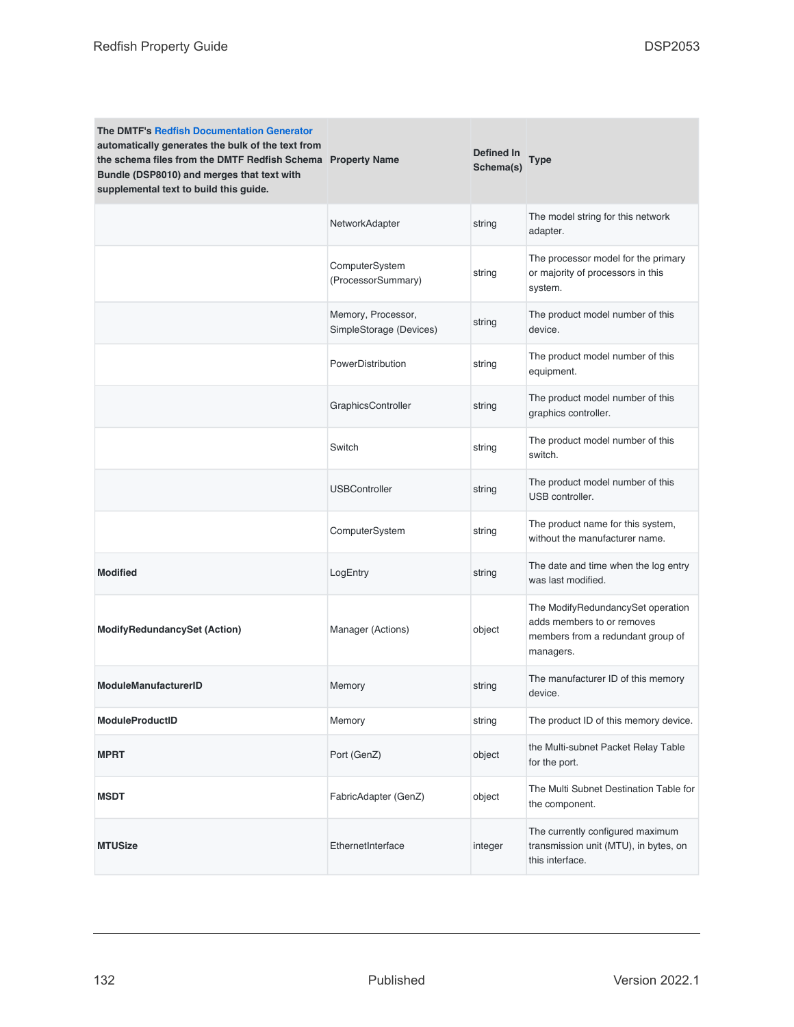| <b>The DMTF's Redfish Documentation Generator</b><br>automatically generates the bulk of the text from<br>the schema files from the DMTF Redfish Schema Property Name<br>Bundle (DSP8010) and merges that text with<br>supplemental text to build this guide. |                                               | Defined In<br>Schema(s) | Type                                                                                                              |
|---------------------------------------------------------------------------------------------------------------------------------------------------------------------------------------------------------------------------------------------------------------|-----------------------------------------------|-------------------------|-------------------------------------------------------------------------------------------------------------------|
|                                                                                                                                                                                                                                                               | NetworkAdapter                                | string                  | The model string for this network<br>adapter.                                                                     |
|                                                                                                                                                                                                                                                               | ComputerSystem<br>(ProcessorSummary)          | string                  | The processor model for the primary<br>or majority of processors in this<br>system.                               |
|                                                                                                                                                                                                                                                               | Memory, Processor,<br>SimpleStorage (Devices) | string                  | The product model number of this<br>device.                                                                       |
|                                                                                                                                                                                                                                                               | PowerDistribution                             | string                  | The product model number of this<br>equipment.                                                                    |
|                                                                                                                                                                                                                                                               | GraphicsController                            | string                  | The product model number of this<br>graphics controller.                                                          |
|                                                                                                                                                                                                                                                               | Switch                                        | string                  | The product model number of this<br>switch.                                                                       |
|                                                                                                                                                                                                                                                               | <b>USBController</b>                          | string                  | The product model number of this<br>USB controller.                                                               |
|                                                                                                                                                                                                                                                               | ComputerSystem                                | string                  | The product name for this system,<br>without the manufacturer name.                                               |
| <b>Modified</b>                                                                                                                                                                                                                                               | LogEntry                                      | string                  | The date and time when the log entry<br>was last modified.                                                        |
| <b>ModifyRedundancySet (Action)</b>                                                                                                                                                                                                                           | Manager (Actions)                             | object                  | The ModifyRedundancySet operation<br>adds members to or removes<br>members from a redundant group of<br>managers. |
| <b>ModuleManufacturerID</b>                                                                                                                                                                                                                                   | Memory                                        | string                  | The manufacturer ID of this memory<br>device.                                                                     |
| <b>ModuleProductID</b>                                                                                                                                                                                                                                        | Memory                                        | string                  | The product ID of this memory device.                                                                             |
| <b>MPRT</b>                                                                                                                                                                                                                                                   | Port (GenZ)                                   | object                  | the Multi-subnet Packet Relay Table<br>for the port.                                                              |
| <b>MSDT</b>                                                                                                                                                                                                                                                   | FabricAdapter (GenZ)                          | object                  | The Multi Subnet Destination Table for<br>the component.                                                          |
| <b>MTUSize</b>                                                                                                                                                                                                                                                | EthernetInterface                             | integer                 | The currently configured maximum<br>transmission unit (MTU), in bytes, on<br>this interface.                      |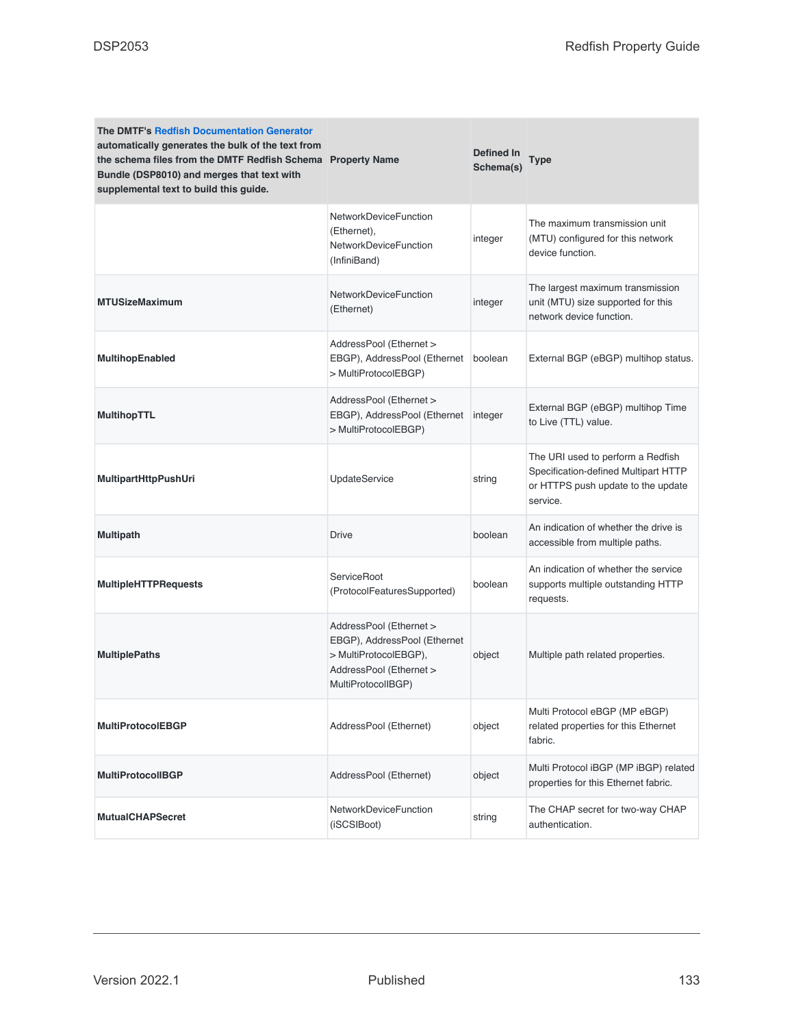| <b>The DMTF's Redfish Documentation Generator</b><br>automatically generates the bulk of the text from<br>the schema files from the DMTF Redfish Schema Property Name<br>Bundle (DSP8010) and merges that text with<br>supplemental text to build this guide. |                                                                                                                                   | Defined In<br>Schema(s) | <b>Type</b>                                                                                                                 |
|---------------------------------------------------------------------------------------------------------------------------------------------------------------------------------------------------------------------------------------------------------------|-----------------------------------------------------------------------------------------------------------------------------------|-------------------------|-----------------------------------------------------------------------------------------------------------------------------|
|                                                                                                                                                                                                                                                               | NetworkDeviceFunction<br>(Ethernet),<br>NetworkDeviceFunction<br>(InfiniBand)                                                     | integer                 | The maximum transmission unit<br>(MTU) configured for this network<br>device function.                                      |
| <b>MTUSizeMaximum</b>                                                                                                                                                                                                                                         | NetworkDeviceFunction<br>(Ethernet)                                                                                               | integer                 | The largest maximum transmission<br>unit (MTU) size supported for this<br>network device function.                          |
| <b>MultihopEnabled</b>                                                                                                                                                                                                                                        | AddressPool (Ethernet ><br>EBGP), AddressPool (Ethernet<br>> MultiProtocolEBGP)                                                   | boolean                 | External BGP (eBGP) multihop status.                                                                                        |
| <b>MultihopTTL</b>                                                                                                                                                                                                                                            | AddressPool (Ethernet ><br>EBGP), AddressPool (Ethernet<br>> MultiProtocolEBGP)                                                   | integer                 | External BGP (eBGP) multihop Time<br>to Live (TTL) value.                                                                   |
| <b>MultipartHttpPushUri</b>                                                                                                                                                                                                                                   | <b>UpdateService</b>                                                                                                              | string                  | The URI used to perform a Redfish<br>Specification-defined Multipart HTTP<br>or HTTPS push update to the update<br>service. |
| <b>Multipath</b>                                                                                                                                                                                                                                              | <b>Drive</b>                                                                                                                      | boolean                 | An indication of whether the drive is<br>accessible from multiple paths.                                                    |
| <b>MultipleHTTPRequests</b>                                                                                                                                                                                                                                   | ServiceRoot<br>(ProtocolFeaturesSupported)                                                                                        | boolean                 | An indication of whether the service<br>supports multiple outstanding HTTP<br>requests.                                     |
| <b>MultiplePaths</b>                                                                                                                                                                                                                                          | AddressPool (Ethernet ><br>EBGP), AddressPool (Ethernet<br>> MultiProtocolEBGP),<br>AddressPool (Ethernet ><br>MultiProtocolIBGP) | object                  | Multiple path related properties.                                                                                           |
| <b>MultiProtocolEBGP</b>                                                                                                                                                                                                                                      | AddressPool (Ethernet)                                                                                                            | object                  | Multi Protocol eBGP (MP eBGP)<br>related properties for this Ethernet<br>fabric.                                            |
| <b>MultiProtocollBGP</b>                                                                                                                                                                                                                                      | AddressPool (Ethernet)                                                                                                            | object                  | Multi Protocol iBGP (MP iBGP) related<br>properties for this Ethernet fabric.                                               |
| <b>MutualCHAPSecret</b>                                                                                                                                                                                                                                       | NetworkDeviceFunction<br>(iSCSIBoot)                                                                                              | string                  | The CHAP secret for two-way CHAP<br>authentication.                                                                         |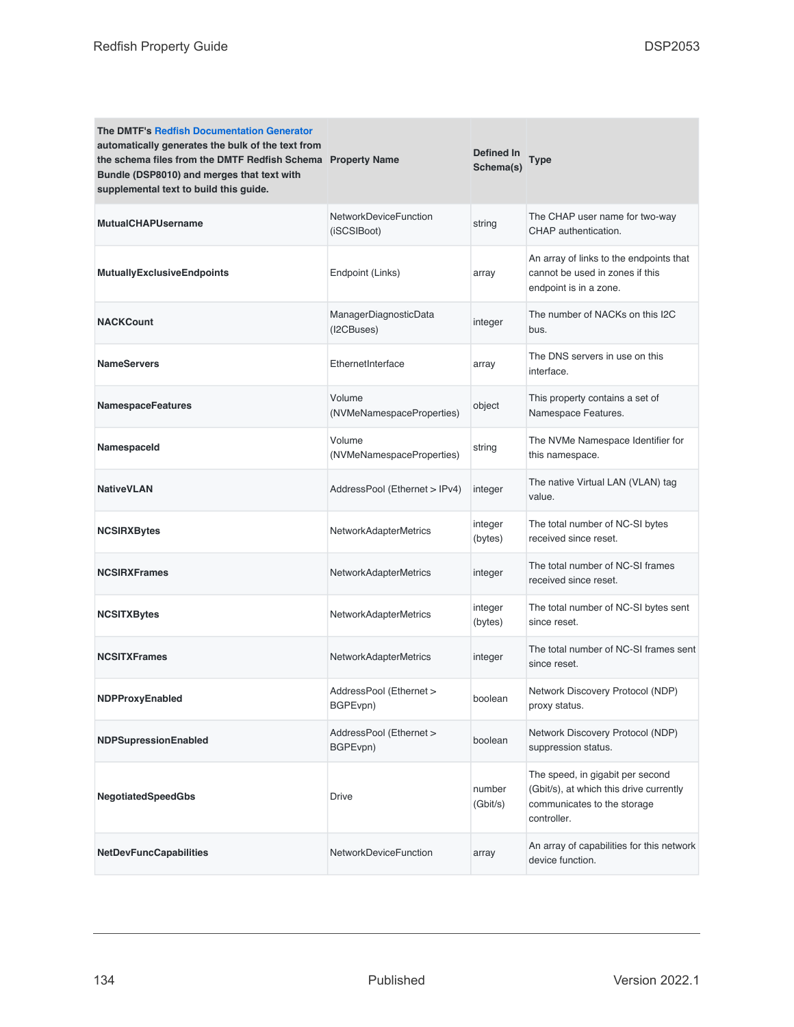| <b>The DMTF's Redfish Documentation Generator</b><br>automatically generates the bulk of the text from<br>the schema files from the DMTF Redfish Schema Property Name<br>Bundle (DSP8010) and merges that text with<br>supplemental text to build this guide. |                                             | Defined In<br>Schema(s) | Type                                                                                                                      |
|---------------------------------------------------------------------------------------------------------------------------------------------------------------------------------------------------------------------------------------------------------------|---------------------------------------------|-------------------------|---------------------------------------------------------------------------------------------------------------------------|
| <b>MutualCHAPUsername</b>                                                                                                                                                                                                                                     | <b>NetworkDeviceFunction</b><br>(iSCSIBoot) | string                  | The CHAP user name for two-way<br>CHAP authentication.                                                                    |
| <b>MutuallyExclusiveEndpoints</b>                                                                                                                                                                                                                             | Endpoint (Links)                            | array                   | An array of links to the endpoints that<br>cannot be used in zones if this<br>endpoint is in a zone.                      |
| <b>NACKCount</b>                                                                                                                                                                                                                                              | ManagerDiagnosticData<br>(I2CBuses)         | integer                 | The number of NACKs on this I2C<br>bus.                                                                                   |
| <b>NameServers</b>                                                                                                                                                                                                                                            | EthernetInterface                           | array                   | The DNS servers in use on this<br>interface.                                                                              |
| <b>NamespaceFeatures</b>                                                                                                                                                                                                                                      | Volume<br>(NVMeNamespaceProperties)         | object                  | This property contains a set of<br>Namespace Features.                                                                    |
| NamespaceId                                                                                                                                                                                                                                                   | Volume<br>(NVMeNamespaceProperties)         | string                  | The NVMe Namespace Identifier for<br>this namespace.                                                                      |
| <b>NativeVLAN</b>                                                                                                                                                                                                                                             | AddressPool (Ethernet > IPv4)               | integer                 | The native Virtual LAN (VLAN) tag<br>value.                                                                               |
| <b>NCSIRXBytes</b>                                                                                                                                                                                                                                            | NetworkAdapterMetrics                       | integer<br>(bytes)      | The total number of NC-SI bytes<br>received since reset.                                                                  |
| <b>NCSIRXFrames</b>                                                                                                                                                                                                                                           | NetworkAdapterMetrics                       | integer                 | The total number of NC-SI frames<br>received since reset.                                                                 |
| <b>NCSITXBytes</b>                                                                                                                                                                                                                                            | NetworkAdapterMetrics                       | integer<br>(bytes)      | The total number of NC-SI bytes sent<br>since reset.                                                                      |
| <b>NCSITXFrames</b>                                                                                                                                                                                                                                           | NetworkAdapterMetrics                       | integer                 | The total number of NC-SI frames sent<br>since reset.                                                                     |
| <b>NDPProxyEnabled</b>                                                                                                                                                                                                                                        | AddressPool (Ethernet ><br>BGPEvpn)         | boolean                 | Network Discovery Protocol (NDP)<br>proxy status.                                                                         |
| <b>NDPSupressionEnabled</b>                                                                                                                                                                                                                                   | AddressPool (Ethernet ><br>BGPEvpn)         | boolean                 | Network Discovery Protocol (NDP)<br>suppression status.                                                                   |
| <b>NegotiatedSpeedGbs</b>                                                                                                                                                                                                                                     | Drive                                       | number<br>(Gbit/s)      | The speed, in gigabit per second<br>(Gbit/s), at which this drive currently<br>communicates to the storage<br>controller. |
| <b>NetDevFuncCapabilities</b>                                                                                                                                                                                                                                 | <b>NetworkDeviceFunction</b>                | array                   | An array of capabilities for this network<br>device function.                                                             |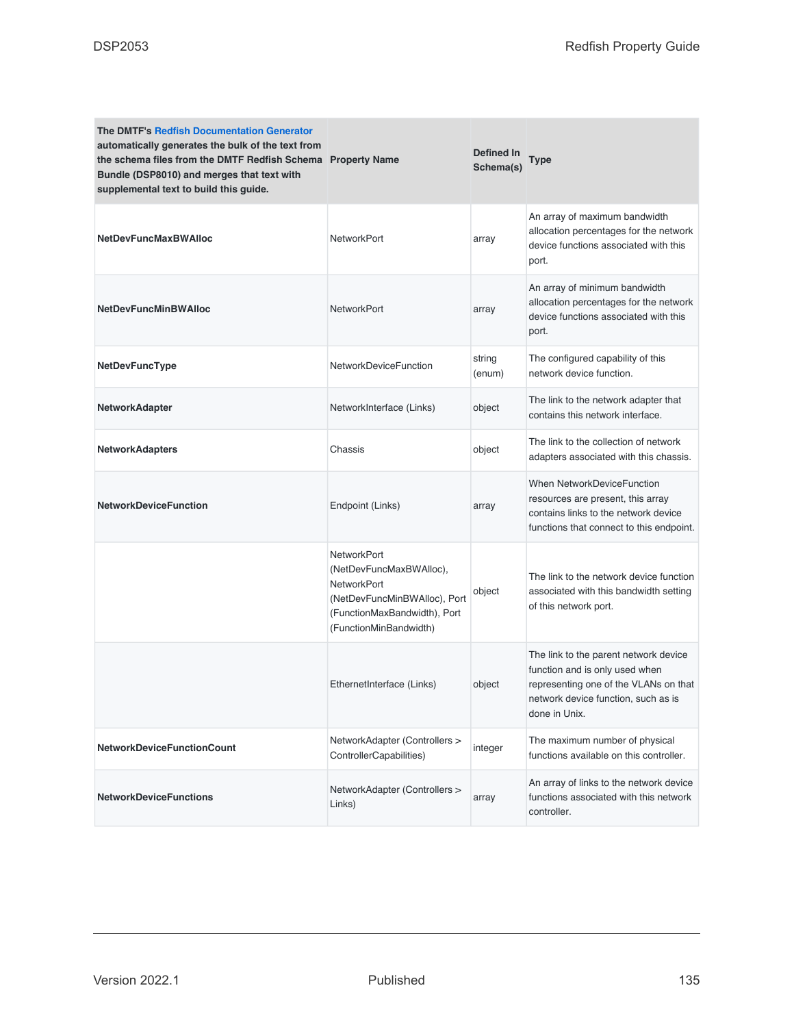| <b>The DMTF's Redfish Documentation Generator</b><br>automatically generates the bulk of the text from<br>the schema files from the DMTF Redfish Schema Property Name<br>Bundle (DSP8010) and merges that text with<br>supplemental text to build this guide. |                                                                                                                                                               | Defined In<br>Schema(s) | <b>Type</b>                                                                                                                                                              |
|---------------------------------------------------------------------------------------------------------------------------------------------------------------------------------------------------------------------------------------------------------------|---------------------------------------------------------------------------------------------------------------------------------------------------------------|-------------------------|--------------------------------------------------------------------------------------------------------------------------------------------------------------------------|
| <b>NetDevFuncMaxBWAlloc</b>                                                                                                                                                                                                                                   | <b>NetworkPort</b>                                                                                                                                            | array                   | An array of maximum bandwidth<br>allocation percentages for the network<br>device functions associated with this<br>port.                                                |
| <b>NetDevFuncMinBWAlloc</b>                                                                                                                                                                                                                                   | <b>NetworkPort</b>                                                                                                                                            | array                   | An array of minimum bandwidth<br>allocation percentages for the network<br>device functions associated with this<br>port.                                                |
| NetDevFuncType                                                                                                                                                                                                                                                | NetworkDeviceFunction                                                                                                                                         | string<br>(enum)        | The configured capability of this<br>network device function.                                                                                                            |
| <b>NetworkAdapter</b>                                                                                                                                                                                                                                         | NetworkInterface (Links)                                                                                                                                      | object                  | The link to the network adapter that<br>contains this network interface.                                                                                                 |
| <b>NetworkAdapters</b>                                                                                                                                                                                                                                        | Chassis                                                                                                                                                       | object                  | The link to the collection of network<br>adapters associated with this chassis.                                                                                          |
| <b>NetworkDeviceFunction</b>                                                                                                                                                                                                                                  | Endpoint (Links)                                                                                                                                              | array                   | When NetworkDeviceFunction<br>resources are present, this array<br>contains links to the network device<br>functions that connect to this endpoint.                      |
|                                                                                                                                                                                                                                                               | <b>NetworkPort</b><br>(NetDevFuncMaxBWAlloc),<br><b>NetworkPort</b><br>(NetDevFuncMinBWAlloc), Port<br>(FunctionMaxBandwidth), Port<br>(FunctionMinBandwidth) | object                  | The link to the network device function<br>associated with this bandwidth setting<br>of this network port.                                                               |
|                                                                                                                                                                                                                                                               | EthernetInterface (Links)                                                                                                                                     | object                  | The link to the parent network device<br>function and is only used when<br>representing one of the VLANs on that<br>network device function, such as is<br>done in Unix. |
| <b>NetworkDeviceFunctionCount</b>                                                                                                                                                                                                                             | NetworkAdapter (Controllers ><br>ControllerCapabilities)                                                                                                      | integer                 | The maximum number of physical<br>functions available on this controller.                                                                                                |
| <b>NetworkDeviceFunctions</b>                                                                                                                                                                                                                                 | NetworkAdapter (Controllers ><br>Links)                                                                                                                       | array                   | An array of links to the network device<br>functions associated with this network<br>controller.                                                                         |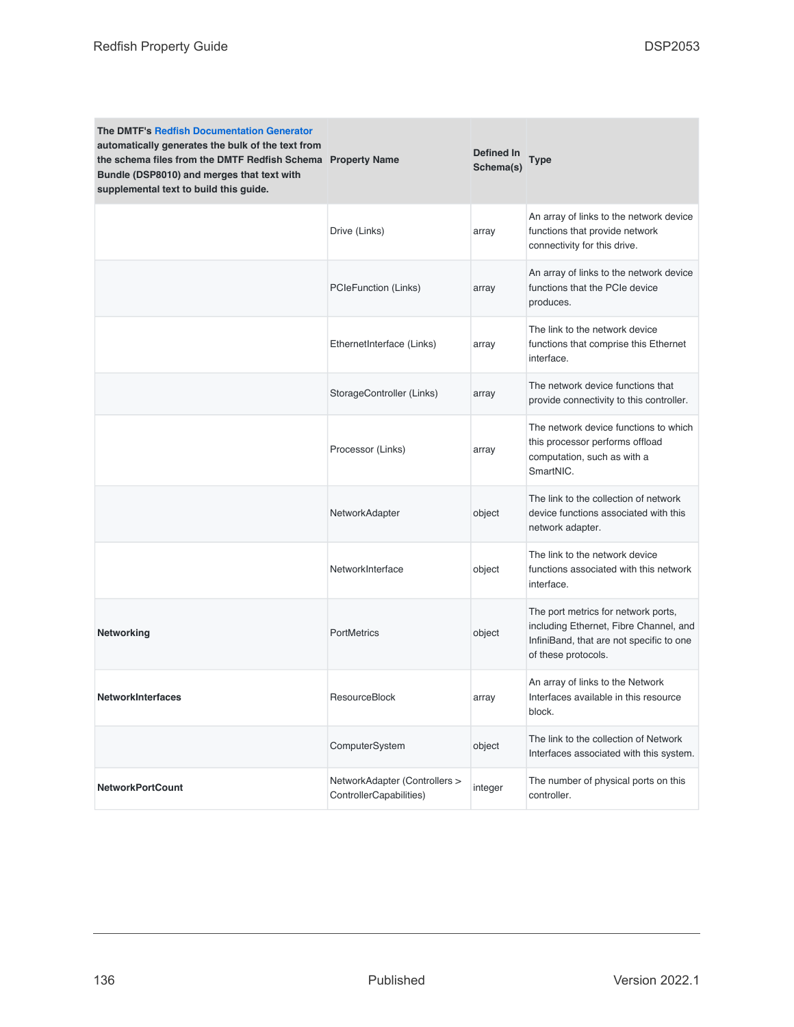| <b>The DMTF's Redfish Documentation Generator</b><br>automatically generates the bulk of the text from<br>the schema files from the DMTF Redfish Schema Property Name<br>Bundle (DSP8010) and merges that text with<br>supplemental text to build this guide. |                                                          | Defined In<br>Schema(s) | <b>Type</b>                                                                                                                                      |
|---------------------------------------------------------------------------------------------------------------------------------------------------------------------------------------------------------------------------------------------------------------|----------------------------------------------------------|-------------------------|--------------------------------------------------------------------------------------------------------------------------------------------------|
|                                                                                                                                                                                                                                                               | Drive (Links)                                            | array                   | An array of links to the network device<br>functions that provide network<br>connectivity for this drive.                                        |
|                                                                                                                                                                                                                                                               | <b>PCIeFunction (Links)</b>                              | array                   | An array of links to the network device<br>functions that the PCIe device<br>produces.                                                           |
|                                                                                                                                                                                                                                                               | EthernetInterface (Links)                                | array                   | The link to the network device<br>functions that comprise this Ethernet<br>interface.                                                            |
|                                                                                                                                                                                                                                                               | StorageController (Links)                                | array                   | The network device functions that<br>provide connectivity to this controller.                                                                    |
|                                                                                                                                                                                                                                                               | Processor (Links)                                        | array                   | The network device functions to which<br>this processor performs offload<br>computation, such as with a<br>SmartNIC.                             |
|                                                                                                                                                                                                                                                               | NetworkAdapter                                           | object                  | The link to the collection of network<br>device functions associated with this<br>network adapter.                                               |
|                                                                                                                                                                                                                                                               | NetworkInterface                                         | object                  | The link to the network device<br>functions associated with this network<br>interface.                                                           |
| Networking                                                                                                                                                                                                                                                    | <b>PortMetrics</b>                                       | object                  | The port metrics for network ports,<br>including Ethernet, Fibre Channel, and<br>InfiniBand, that are not specific to one<br>of these protocols. |
| <b>NetworkInterfaces</b>                                                                                                                                                                                                                                      | <b>ResourceBlock</b>                                     | array                   | An array of links to the Network<br>Interfaces available in this resource<br>block.                                                              |
|                                                                                                                                                                                                                                                               | ComputerSystem                                           | object                  | The link to the collection of Network<br>Interfaces associated with this system.                                                                 |
| <b>NetworkPortCount</b>                                                                                                                                                                                                                                       | NetworkAdapter (Controllers ><br>ControllerCapabilities) | integer                 | The number of physical ports on this<br>controller.                                                                                              |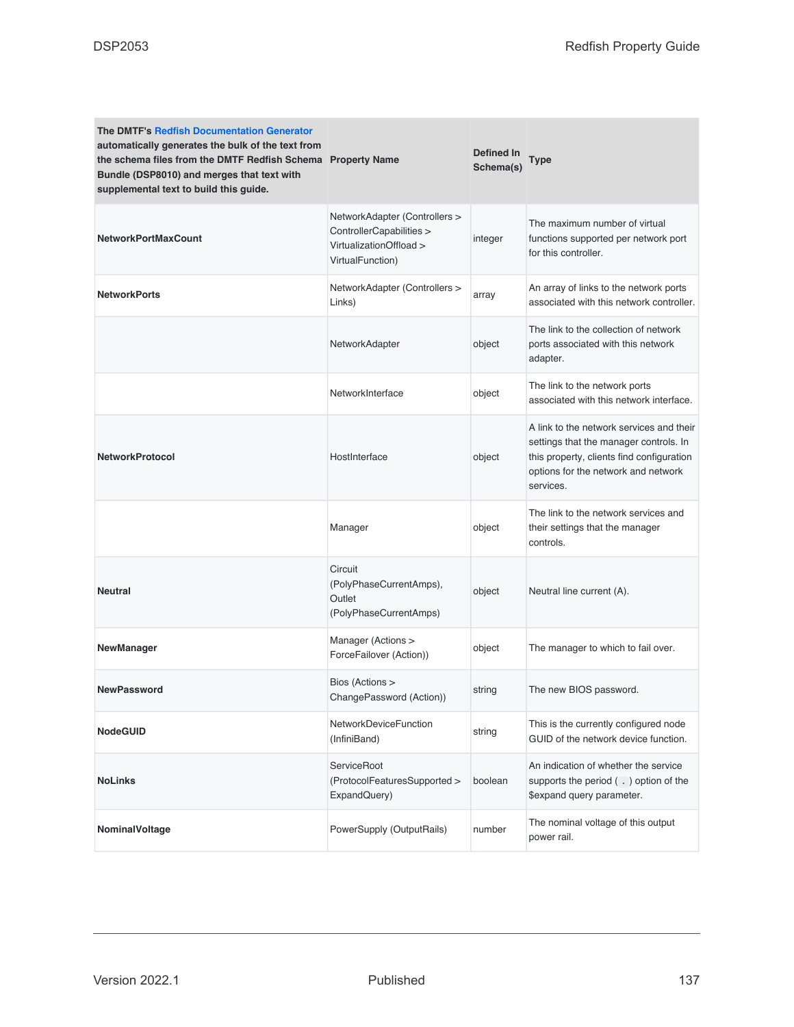| <b>The DMTF's Redfish Documentation Generator</b><br>automatically generates the bulk of the text from<br>the schema files from the DMTF Redfish Schema Property Name<br>Bundle (DSP8010) and merges that text with<br>supplemental text to build this guide. |                                                                                                          | Defined In<br>Schema(s) | <b>Type</b>                                                                                                                                                                         |
|---------------------------------------------------------------------------------------------------------------------------------------------------------------------------------------------------------------------------------------------------------------|----------------------------------------------------------------------------------------------------------|-------------------------|-------------------------------------------------------------------------------------------------------------------------------------------------------------------------------------|
| <b>NetworkPortMaxCount</b>                                                                                                                                                                                                                                    | NetworkAdapter (Controllers ><br>ControllerCapabilities ><br>VirtualizationOffload ><br>VirtualFunction) | integer                 | The maximum number of virtual<br>functions supported per network port<br>for this controller.                                                                                       |
| <b>NetworkPorts</b>                                                                                                                                                                                                                                           | NetworkAdapter (Controllers ><br>Links)                                                                  | array                   | An array of links to the network ports<br>associated with this network controller.                                                                                                  |
|                                                                                                                                                                                                                                                               | NetworkAdapter                                                                                           | object                  | The link to the collection of network<br>ports associated with this network<br>adapter.                                                                                             |
|                                                                                                                                                                                                                                                               | NetworkInterface                                                                                         | object                  | The link to the network ports<br>associated with this network interface.                                                                                                            |
| <b>NetworkProtocol</b>                                                                                                                                                                                                                                        | HostInterface                                                                                            | object                  | A link to the network services and their<br>settings that the manager controls. In<br>this property, clients find configuration<br>options for the network and network<br>services. |
|                                                                                                                                                                                                                                                               | Manager                                                                                                  | object                  | The link to the network services and<br>their settings that the manager<br>controls.                                                                                                |
| <b>Neutral</b>                                                                                                                                                                                                                                                | Circuit<br>(PolyPhaseCurrentAmps),<br>Outlet<br>(PolyPhaseCurrentAmps)                                   | object                  | Neutral line current (A).                                                                                                                                                           |
| <b>NewManager</b>                                                                                                                                                                                                                                             | Manager (Actions ><br>ForceFailover (Action))                                                            | object                  | The manager to which to fail over.                                                                                                                                                  |
| <b>NewPassword</b>                                                                                                                                                                                                                                            | Bios (Actions ><br>ChangePassword (Action))                                                              | string                  | The new BIOS password.                                                                                                                                                              |
| <b>NodeGUID</b>                                                                                                                                                                                                                                               | NetworkDeviceFunction<br>(InfiniBand)                                                                    | string                  | This is the currently configured node<br>GUID of the network device function.                                                                                                       |
| <b>NoLinks</b>                                                                                                                                                                                                                                                | <b>ServiceRoot</b><br>(ProtocolFeaturesSupported ><br>ExpandQuery)                                       | boolean                 | An indication of whether the service<br>supports the period (.) option of the<br>\$expand query parameter.                                                                          |
| NominalVoltage                                                                                                                                                                                                                                                | PowerSupply (OutputRails)                                                                                | number                  | The nominal voltage of this output<br>power rail.                                                                                                                                   |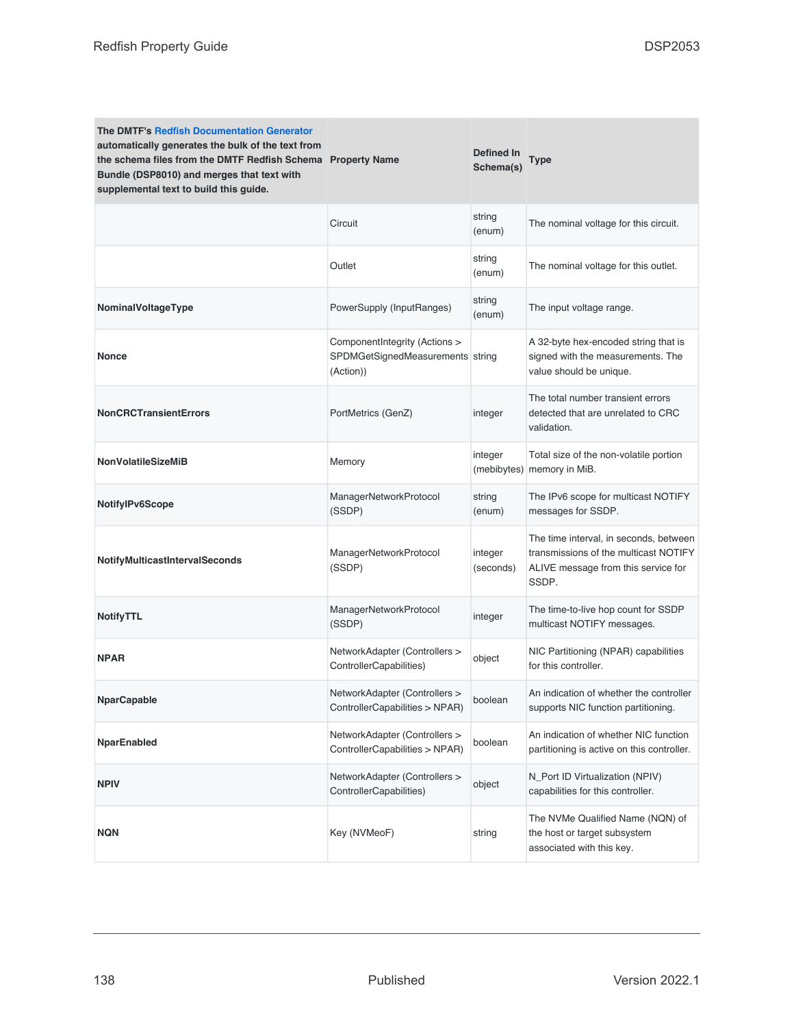| <b>The DMTF's Redfish Documentation Generator</b><br>automatically generates the bulk of the text from<br>the schema files from the DMTF Redfish Schema Property Name<br>Bundle (DSP8010) and merges that text with<br>supplemental text to build this guide. |                                                                                | Defined In<br>Schema(s) | Type                                                                                                                            |
|---------------------------------------------------------------------------------------------------------------------------------------------------------------------------------------------------------------------------------------------------------------|--------------------------------------------------------------------------------|-------------------------|---------------------------------------------------------------------------------------------------------------------------------|
|                                                                                                                                                                                                                                                               | Circuit                                                                        | string<br>(enum)        | The nominal voltage for this circuit.                                                                                           |
|                                                                                                                                                                                                                                                               | Outlet                                                                         | string<br>(enum)        | The nominal voltage for this outlet.                                                                                            |
| NominalVoltageType                                                                                                                                                                                                                                            | PowerSupply (InputRanges)                                                      | string<br>(enum)        | The input voltage range.                                                                                                        |
| Nonce                                                                                                                                                                                                                                                         | ComponentIntegrity (Actions ><br>SPDMGetSignedMeasurements string<br>(Action)) |                         | A 32-byte hex-encoded string that is<br>signed with the measurements. The<br>value should be unique.                            |
| <b>NonCRCTransientErrors</b>                                                                                                                                                                                                                                  | PortMetrics (GenZ)                                                             | integer                 | The total number transient errors<br>detected that are unrelated to CRC<br>validation.                                          |
| <b>NonVolatileSizeMiB</b>                                                                                                                                                                                                                                     | Memory                                                                         | integer                 | Total size of the non-volatile portion<br>(mebibytes) memory in MiB.                                                            |
| NotifylPv6Scope                                                                                                                                                                                                                                               | ManagerNetworkProtocol<br>(SSDP)                                               | string<br>(enum)        | The IPv6 scope for multicast NOTIFY<br>messages for SSDP.                                                                       |
| NotifyMulticastIntervalSeconds                                                                                                                                                                                                                                | ManagerNetworkProtocol<br>(SSDP)                                               | integer<br>(seconds)    | The time interval, in seconds, between<br>transmissions of the multicast NOTIFY<br>ALIVE message from this service for<br>SSDP. |
| NotifyTTL                                                                                                                                                                                                                                                     | ManagerNetworkProtocol<br>(SSDP)                                               | integer                 | The time-to-live hop count for SSDP<br>multicast NOTIFY messages.                                                               |
| <b>NPAR</b>                                                                                                                                                                                                                                                   | NetworkAdapter (Controllers ><br>ControllerCapabilities)                       | object                  | NIC Partitioning (NPAR) capabilities<br>for this controller.                                                                    |
| <b>NparCapable</b>                                                                                                                                                                                                                                            | NetworkAdapter (Controllers ><br>ControllerCapabilities > NPAR)                | boolean                 | An indication of whether the controller<br>supports NIC function partitioning.                                                  |
| <b>NparEnabled</b>                                                                                                                                                                                                                                            | NetworkAdapter (Controllers ><br>ControllerCapabilities > NPAR)                | boolean                 | An indication of whether NIC function<br>partitioning is active on this controller.                                             |
| <b>NPIV</b>                                                                                                                                                                                                                                                   | NetworkAdapter (Controllers ><br>ControllerCapabilities)                       | object                  | N_Port ID Virtualization (NPIV)<br>capabilities for this controller.                                                            |
| <b>NQN</b>                                                                                                                                                                                                                                                    | Key (NVMeoF)                                                                   | string                  | The NVMe Qualified Name (NQN) of<br>the host or target subsystem<br>associated with this key.                                   |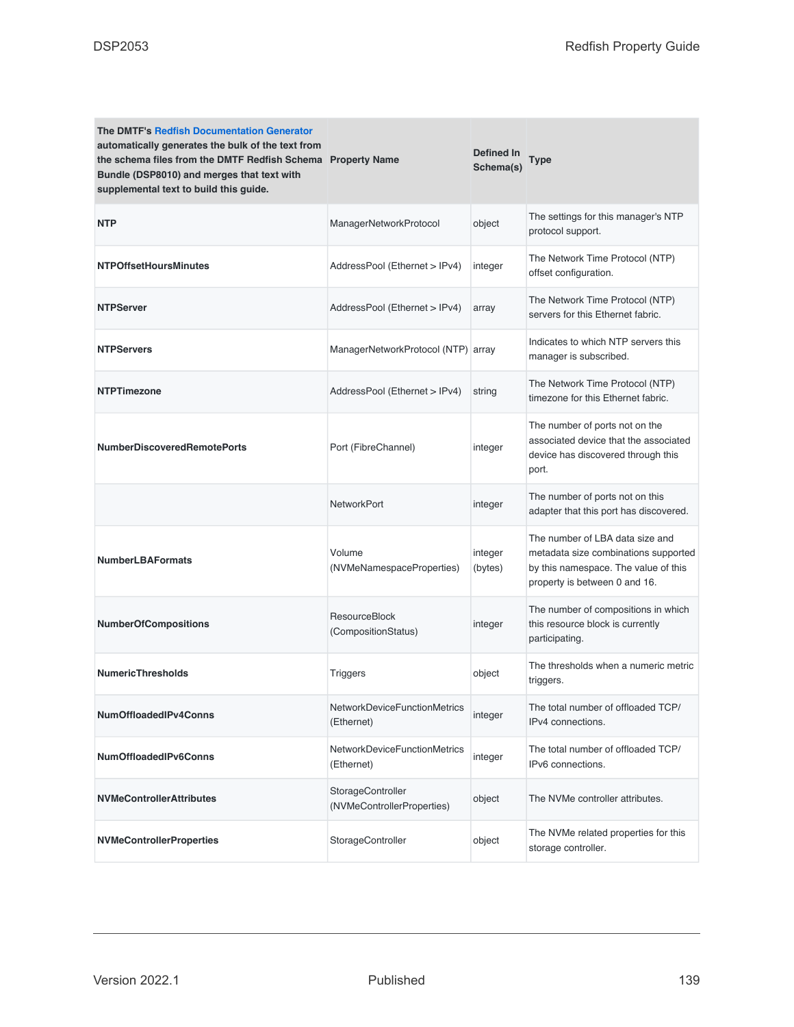| <b>The DMTF's Redfish Documentation Generator</b><br>automatically generates the bulk of the text from<br>the schema files from the DMTF Redfish Schema Property Name<br>Bundle (DSP8010) and merges that text with<br>supplemental text to build this guide. |                                                   | Defined In<br>Schema(s) | Type                                                                                                                                             |
|---------------------------------------------------------------------------------------------------------------------------------------------------------------------------------------------------------------------------------------------------------------|---------------------------------------------------|-------------------------|--------------------------------------------------------------------------------------------------------------------------------------------------|
| <b>NTP</b>                                                                                                                                                                                                                                                    | ManagerNetworkProtocol                            | object                  | The settings for this manager's NTP<br>protocol support.                                                                                         |
| <b>NTPOffsetHoursMinutes</b>                                                                                                                                                                                                                                  | AddressPool (Ethernet > IPv4)                     | integer                 | The Network Time Protocol (NTP)<br>offset configuration.                                                                                         |
| <b>NTPServer</b>                                                                                                                                                                                                                                              | AddressPool (Ethernet > IPv4)                     | array                   | The Network Time Protocol (NTP)<br>servers for this Ethernet fabric.                                                                             |
| <b>NTPServers</b>                                                                                                                                                                                                                                             | ManagerNetworkProtocol (NTP) array                |                         | Indicates to which NTP servers this<br>manager is subscribed.                                                                                    |
| <b>NTPTimezone</b>                                                                                                                                                                                                                                            | AddressPool (Ethernet > IPv4)                     | string                  | The Network Time Protocol (NTP)<br>timezone for this Ethernet fabric.                                                                            |
| <b>NumberDiscoveredRemotePorts</b>                                                                                                                                                                                                                            | Port (FibreChannel)                               | integer                 | The number of ports not on the<br>associated device that the associated<br>device has discovered through this<br>port.                           |
|                                                                                                                                                                                                                                                               | NetworkPort                                       | integer                 | The number of ports not on this<br>adapter that this port has discovered.                                                                        |
| <b>NumberLBAFormats</b>                                                                                                                                                                                                                                       | Volume<br>(NVMeNamespaceProperties)               | integer<br>(bytes)      | The number of LBA data size and<br>metadata size combinations supported<br>by this namespace. The value of this<br>property is between 0 and 16. |
| <b>NumberOfCompositions</b>                                                                                                                                                                                                                                   | <b>ResourceBlock</b><br>(CompositionStatus)       | integer                 | The number of compositions in which<br>this resource block is currently<br>participating.                                                        |
| <b>NumericThresholds</b>                                                                                                                                                                                                                                      | <b>Triggers</b>                                   | object                  | The thresholds when a numeric metric<br>triggers.                                                                                                |
| NumOffloadedIPv4Conns                                                                                                                                                                                                                                         | NetworkDeviceFunctionMetrics<br>(Ethernet)        | integer                 | The total number of offloaded TCP/<br>IPv4 connections.                                                                                          |
| NumOffloadedIPv6Conns                                                                                                                                                                                                                                         | <b>NetworkDeviceFunctionMetrics</b><br>(Ethernet) | integer                 | The total number of offloaded TCP/<br>IPv6 connections.                                                                                          |
| <b>NVMeControllerAttributes</b>                                                                                                                                                                                                                               | StorageController<br>(NVMeControllerProperties)   | object                  | The NVMe controller attributes.                                                                                                                  |
| <b>NVMeControllerProperties</b>                                                                                                                                                                                                                               | StorageController                                 | object                  | The NVMe related properties for this<br>storage controller.                                                                                      |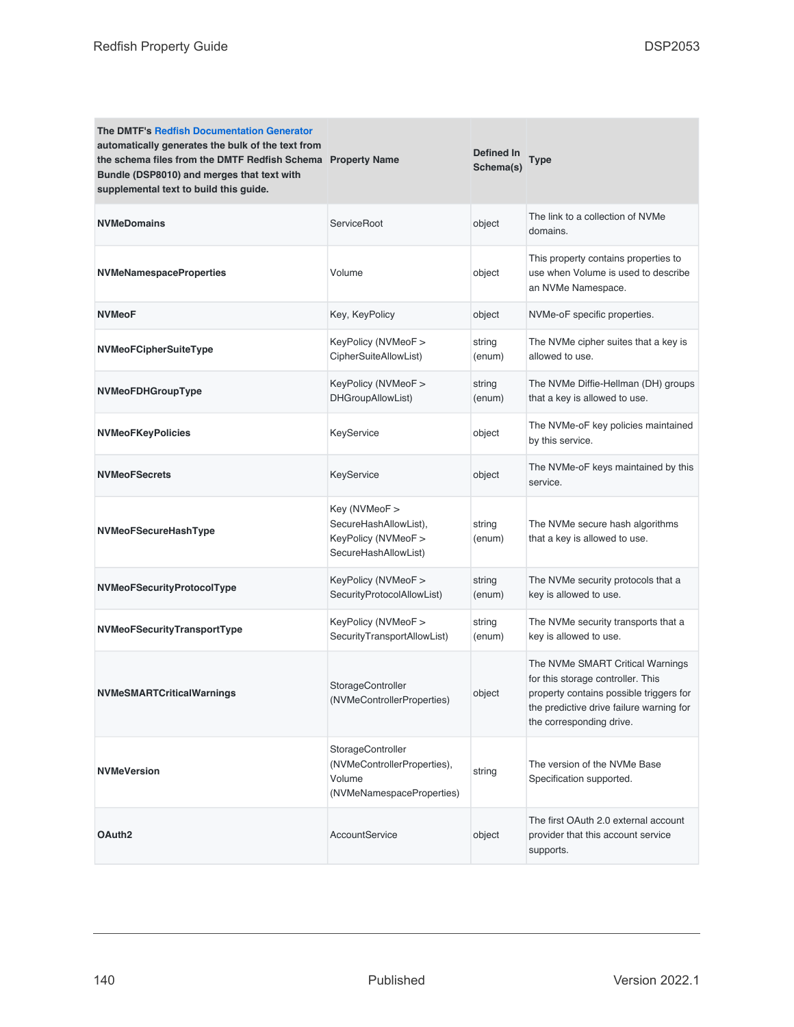| <b>The DMTF's Redfish Documentation Generator</b><br>automatically generates the bulk of the text from<br>the schema files from the DMTF Redfish Schema Property Name<br>Bundle (DSP8010) and merges that text with<br>supplemental text to build this guide. |                                                                                         | Defined In<br>Schema(s) | Type                                                                                                                                                                                     |
|---------------------------------------------------------------------------------------------------------------------------------------------------------------------------------------------------------------------------------------------------------------|-----------------------------------------------------------------------------------------|-------------------------|------------------------------------------------------------------------------------------------------------------------------------------------------------------------------------------|
| <b>NVMeDomains</b>                                                                                                                                                                                                                                            | <b>ServiceRoot</b>                                                                      | object                  | The link to a collection of NVMe<br>domains.                                                                                                                                             |
| <b>NVMeNamespaceProperties</b>                                                                                                                                                                                                                                | Volume                                                                                  | object                  | This property contains properties to<br>use when Volume is used to describe<br>an NVMe Namespace.                                                                                        |
| <b>NVMeoF</b>                                                                                                                                                                                                                                                 | Key, KeyPolicy                                                                          | object                  | NVMe-oF specific properties.                                                                                                                                                             |
| NVMeoFCipherSuiteType                                                                                                                                                                                                                                         | KeyPolicy (NVMeoF ><br>CipherSuiteAllowList)                                            | string<br>(enum)        | The NVMe cipher suites that a key is<br>allowed to use.                                                                                                                                  |
| NVMeoFDHGroupType                                                                                                                                                                                                                                             | KeyPolicy (NVMeoF ><br>DHGroupAllowList)                                                | string<br>(enum)        | The NVMe Diffie-Hellman (DH) groups<br>that a key is allowed to use.                                                                                                                     |
| <b>NVMeoFKeyPolicies</b>                                                                                                                                                                                                                                      | KeyService                                                                              | object                  | The NVMe-oF key policies maintained<br>by this service.                                                                                                                                  |
| <b>NVMeoFSecrets</b>                                                                                                                                                                                                                                          | KeyService                                                                              | object                  | The NVMe-oF keys maintained by this<br>service.                                                                                                                                          |
| NVMeoFSecureHashType                                                                                                                                                                                                                                          | Key (NVMeoF ><br>SecureHashAllowList),<br>KeyPolicy (NVMeoF ><br>SecureHashAllowList)   | string<br>(enum)        | The NVMe secure hash algorithms<br>that a key is allowed to use.                                                                                                                         |
| NVMeoFSecurityProtocolType                                                                                                                                                                                                                                    | KeyPolicy (NVMeoF ><br>SecurityProtocolAllowList)                                       | string<br>(enum)        | The NVMe security protocols that a<br>key is allowed to use.                                                                                                                             |
| NVMeoFSecurityTransportType                                                                                                                                                                                                                                   | KeyPolicy (NVMeoF ><br>SecurityTransportAllowList)                                      | string<br>(enum)        | The NVMe security transports that a<br>key is allowed to use.                                                                                                                            |
| NVMeSMARTCriticalWarnings                                                                                                                                                                                                                                     | StorageController<br>(NVMeControllerProperties)                                         | object                  | The NVMe SMART Critical Warnings<br>for this storage controller. This<br>property contains possible triggers for<br>the predictive drive failure warning for<br>the corresponding drive. |
| <b>NVMeVersion</b>                                                                                                                                                                                                                                            | StorageController<br>(NVMeControllerProperties),<br>Volume<br>(NVMeNamespaceProperties) | string                  | The version of the NVMe Base<br>Specification supported.                                                                                                                                 |
| OAuth <sub>2</sub>                                                                                                                                                                                                                                            | AccountService                                                                          | object                  | The first OAuth 2.0 external account<br>provider that this account service<br>supports.                                                                                                  |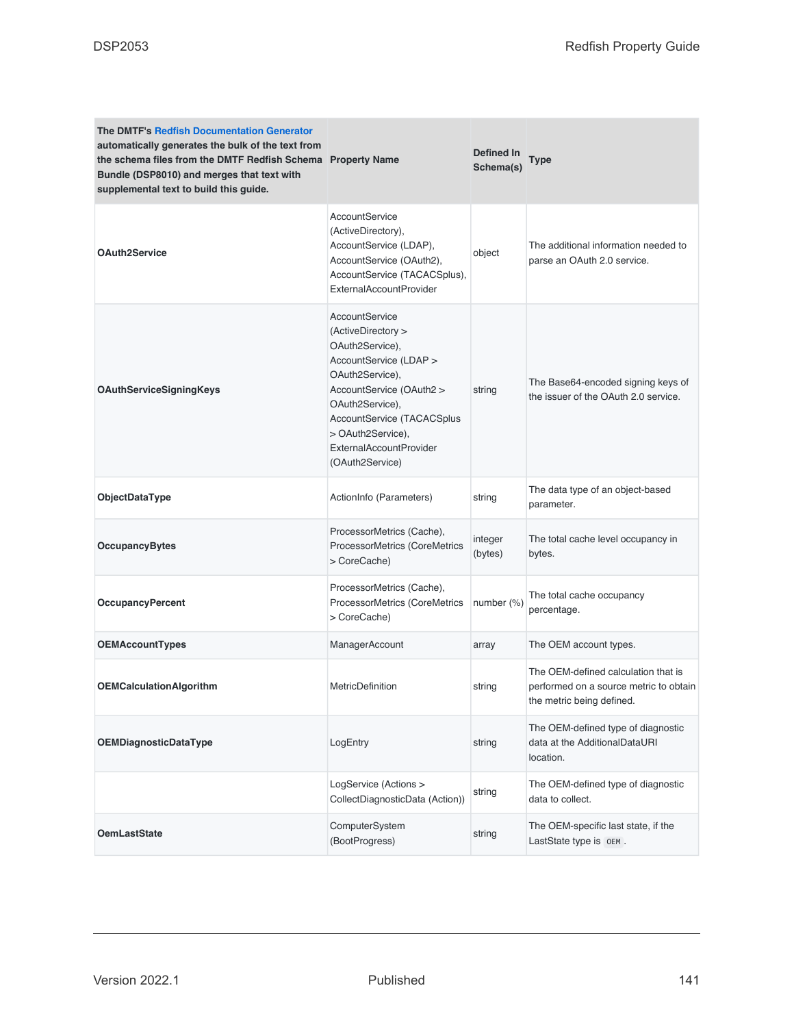| <b>The DMTF's Redfish Documentation Generator</b><br>automatically generates the bulk of the text from<br>the schema files from the DMTF Redfish Schema Property Name<br>Bundle (DSP8010) and merges that text with<br>supplemental text to build this guide. |                                                                                                                                                                                                                                                             | Defined In<br>Schema(s) | <b>Type</b>                                                                                                |
|---------------------------------------------------------------------------------------------------------------------------------------------------------------------------------------------------------------------------------------------------------------|-------------------------------------------------------------------------------------------------------------------------------------------------------------------------------------------------------------------------------------------------------------|-------------------------|------------------------------------------------------------------------------------------------------------|
| <b>OAuth2Service</b>                                                                                                                                                                                                                                          | AccountService<br>(ActiveDirectory),<br>AccountService (LDAP),<br>AccountService (OAuth2),<br>AccountService (TACACSplus),<br><b>ExternalAccountProvider</b>                                                                                                | object                  | The additional information needed to<br>parse an OAuth 2.0 service.                                        |
| OAuthServiceSigningKeys                                                                                                                                                                                                                                       | AccountService<br>(ActiveDirectory ><br>OAuth2Service),<br>AccountService (LDAP ><br>OAuth2Service),<br>AccountService (OAuth2 ><br>OAuth2Service),<br>AccountService (TACACSplus<br>> OAuth2Service),<br><b>ExternalAccountProvider</b><br>(OAuth2Service) | string                  | The Base64-encoded signing keys of<br>the issuer of the OAuth 2.0 service.                                 |
| ObjectDataType                                                                                                                                                                                                                                                | ActionInfo (Parameters)                                                                                                                                                                                                                                     | string                  | The data type of an object-based<br>parameter.                                                             |
| <b>OccupancyBytes</b>                                                                                                                                                                                                                                         | ProcessorMetrics (Cache),<br>ProcessorMetrics (CoreMetrics<br>> CoreCache)                                                                                                                                                                                  | integer<br>(bytes)      | The total cache level occupancy in<br>bytes.                                                               |
| <b>OccupancyPercent</b>                                                                                                                                                                                                                                       | ProcessorMetrics (Cache),<br>ProcessorMetrics (CoreMetrics<br>> CoreCache)                                                                                                                                                                                  | number $(\%)$           | The total cache occupancy<br>percentage.                                                                   |
| <b>OEMAccountTypes</b>                                                                                                                                                                                                                                        | ManagerAccount                                                                                                                                                                                                                                              | array                   | The OEM account types.                                                                                     |
| <b>OEMCalculationAlgorithm</b>                                                                                                                                                                                                                                | <b>MetricDefinition</b>                                                                                                                                                                                                                                     | string                  | The OEM-defined calculation that is<br>performed on a source metric to obtain<br>the metric being defined. |
| <b>OEMDiagnosticDataType</b>                                                                                                                                                                                                                                  | LogEntry                                                                                                                                                                                                                                                    | string                  | The OEM-defined type of diagnostic<br>data at the AdditionalDataURI<br>location.                           |
|                                                                                                                                                                                                                                                               | LogService (Actions ><br>CollectDiagnosticData (Action))                                                                                                                                                                                                    | string                  | The OEM-defined type of diagnostic<br>data to collect.                                                     |
| <b>OemLastState</b>                                                                                                                                                                                                                                           | ComputerSystem<br>(BootProgress)                                                                                                                                                                                                                            | string                  | The OEM-specific last state, if the<br>LastState type is OEM.                                              |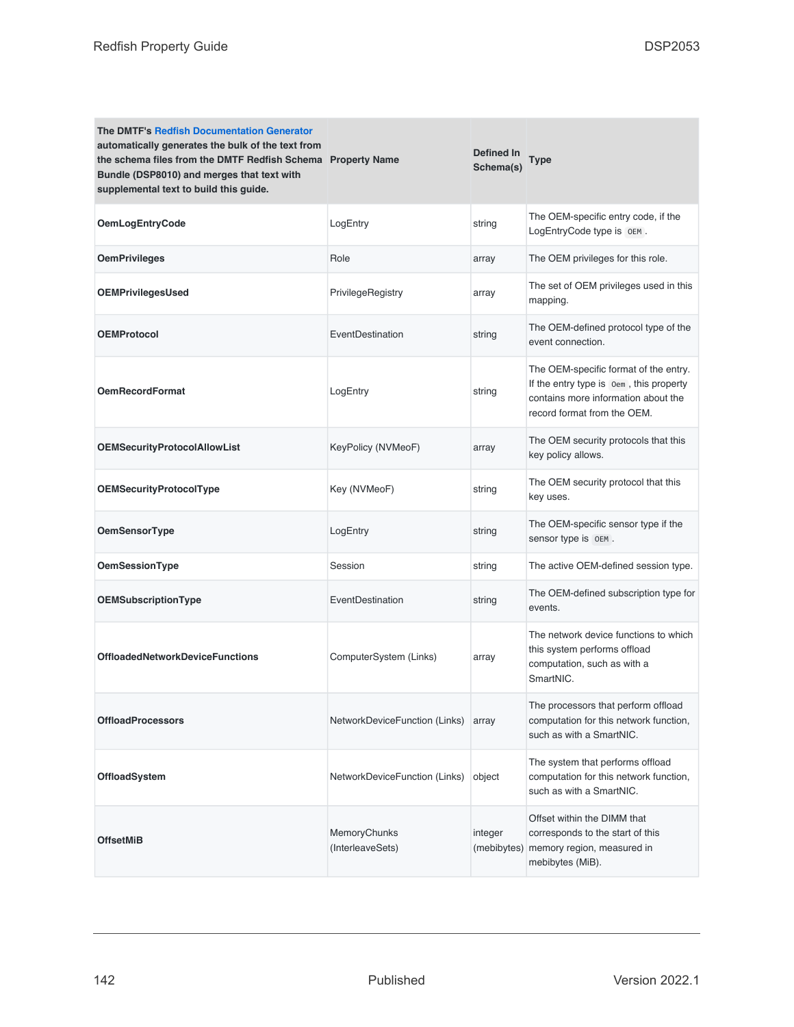| <b>The DMTF's Redfish Documentation Generator</b><br>automatically generates the bulk of the text from<br>the schema files from the DMTF Redfish Schema Property Name<br>Bundle (DSP8010) and merges that text with<br>supplemental text to build this guide. |                                  | Defined In<br>Schema(s) | Type                                                                                                                                                   |
|---------------------------------------------------------------------------------------------------------------------------------------------------------------------------------------------------------------------------------------------------------------|----------------------------------|-------------------------|--------------------------------------------------------------------------------------------------------------------------------------------------------|
| <b>OemLogEntryCode</b>                                                                                                                                                                                                                                        | LogEntry                         | string                  | The OEM-specific entry code, if the<br>LogEntryCode type is OEM.                                                                                       |
| <b>OemPrivileges</b>                                                                                                                                                                                                                                          | Role                             | array                   | The OEM privileges for this role.                                                                                                                      |
| <b>OEMPrivilegesUsed</b>                                                                                                                                                                                                                                      | PrivilegeRegistry                | array                   | The set of OEM privileges used in this<br>mapping.                                                                                                     |
| <b>OEMProtocol</b>                                                                                                                                                                                                                                            | EventDestination                 | string                  | The OEM-defined protocol type of the<br>event connection.                                                                                              |
| <b>OemRecordFormat</b>                                                                                                                                                                                                                                        | LogEntry                         | string                  | The OEM-specific format of the entry.<br>If the entry type is oem, this property<br>contains more information about the<br>record format from the OEM. |
| <b>OEMSecurityProtocolAllowList</b>                                                                                                                                                                                                                           | KeyPolicy (NVMeoF)               | array                   | The OEM security protocols that this<br>key policy allows.                                                                                             |
| <b>OEMSecurityProtocolType</b>                                                                                                                                                                                                                                | Key (NVMeoF)                     | string                  | The OEM security protocol that this<br>key uses.                                                                                                       |
| <b>OemSensorType</b>                                                                                                                                                                                                                                          | LogEntry                         | string                  | The OEM-specific sensor type if the<br>sensor type is OEM.                                                                                             |
| OemSessionType                                                                                                                                                                                                                                                | Session                          | string                  | The active OEM-defined session type.                                                                                                                   |
| OEMSubscriptionType                                                                                                                                                                                                                                           | EventDestination                 | string                  | The OEM-defined subscription type for<br>events.                                                                                                       |
| <b>OffloadedNetworkDeviceFunctions</b>                                                                                                                                                                                                                        | ComputerSystem (Links)           | array                   | The network device functions to which<br>this system performs offload<br>computation, such as with a<br>SmartNIC.                                      |
| <b>OffloadProcessors</b>                                                                                                                                                                                                                                      | NetworkDeviceFunction (Links)    | array                   | The processors that perform offload<br>computation for this network function,<br>such as with a SmartNIC.                                              |
| OffloadSystem                                                                                                                                                                                                                                                 | NetworkDeviceFunction (Links)    | object                  | The system that performs offload<br>computation for this network function,<br>such as with a SmartNIC.                                                 |
| <b>OffsetMiB</b>                                                                                                                                                                                                                                              | MemoryChunks<br>(InterleaveSets) | integer<br>(mebibytes)  | Offset within the DIMM that<br>corresponds to the start of this<br>memory region, measured in<br>mebibytes (MiB).                                      |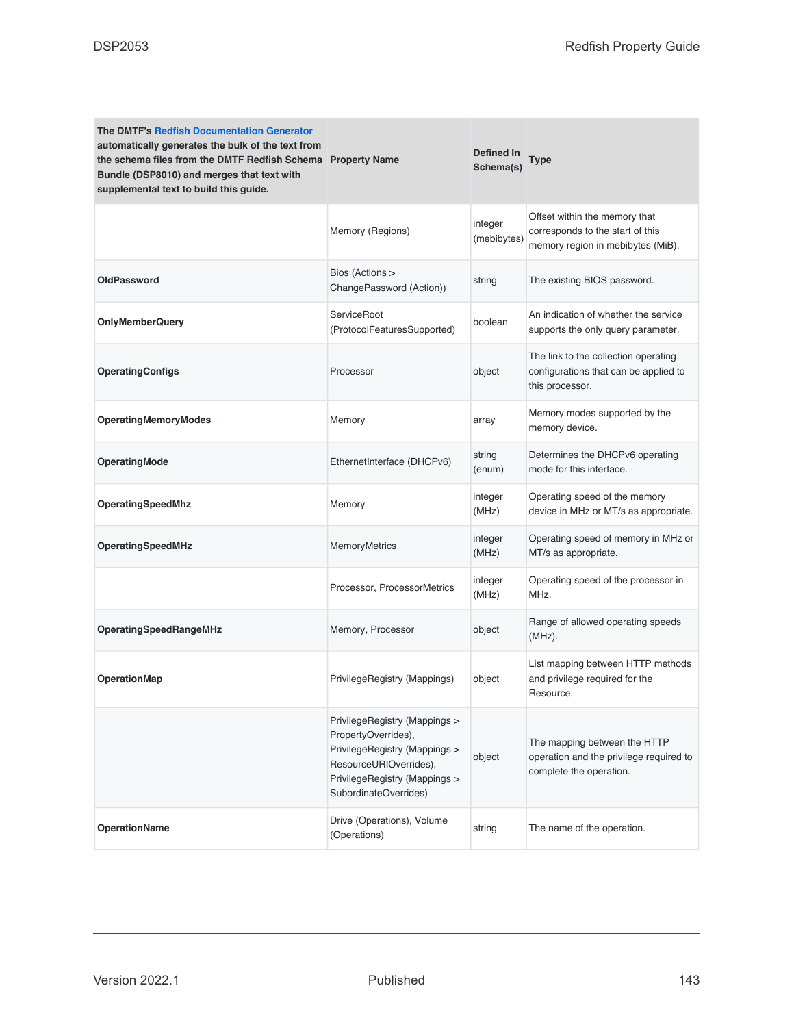| <b>The DMTF's Redfish Documentation Generator</b><br>automatically generates the bulk of the text from<br>the schema files from the DMTF Redfish Schema Property Name<br>Bundle (DSP8010) and merges that text with<br>supplemental text to build this guide. |                                                                                                                                                                           | Defined In<br>Schema(s) | Type                                                                                                   |
|---------------------------------------------------------------------------------------------------------------------------------------------------------------------------------------------------------------------------------------------------------------|---------------------------------------------------------------------------------------------------------------------------------------------------------------------------|-------------------------|--------------------------------------------------------------------------------------------------------|
|                                                                                                                                                                                                                                                               | Memory (Regions)                                                                                                                                                          | integer<br>(mebibytes)  | Offset within the memory that<br>corresponds to the start of this<br>memory region in mebibytes (MiB). |
| OldPassword                                                                                                                                                                                                                                                   | Bios (Actions ><br>ChangePassword (Action))                                                                                                                               | string                  | The existing BIOS password.                                                                            |
| <b>OnlyMemberQuery</b>                                                                                                                                                                                                                                        | <b>ServiceRoot</b><br>(ProtocolFeaturesSupported)                                                                                                                         | boolean                 | An indication of whether the service<br>supports the only query parameter.                             |
| <b>OperatingConfigs</b>                                                                                                                                                                                                                                       | Processor                                                                                                                                                                 | object                  | The link to the collection operating<br>configurations that can be applied to<br>this processor.       |
| <b>OperatingMemoryModes</b>                                                                                                                                                                                                                                   | Memory                                                                                                                                                                    | array                   | Memory modes supported by the<br>memory device.                                                        |
| <b>OperatingMode</b>                                                                                                                                                                                                                                          | EthernetInterface (DHCPv6)                                                                                                                                                | string<br>(enum)        | Determines the DHCPv6 operating<br>mode for this interface.                                            |
| OperatingSpeedMhz                                                                                                                                                                                                                                             | Memory                                                                                                                                                                    | integer<br>(MHz)        | Operating speed of the memory<br>device in MHz or MT/s as appropriate.                                 |
| OperatingSpeedMHz                                                                                                                                                                                                                                             | <b>MemoryMetrics</b>                                                                                                                                                      | integer<br>(MHz)        | Operating speed of memory in MHz or<br>MT/s as appropriate.                                            |
|                                                                                                                                                                                                                                                               | Processor, ProcessorMetrics                                                                                                                                               | integer<br>(MHz)        | Operating speed of the processor in<br>MHz.                                                            |
| OperatingSpeedRangeMHz                                                                                                                                                                                                                                        | Memory, Processor                                                                                                                                                         | object                  | Range of allowed operating speeds<br>$(MHz)$ .                                                         |
| <b>OperationMap</b>                                                                                                                                                                                                                                           | PrivilegeRegistry (Mappings)                                                                                                                                              | object                  | List mapping between HTTP methods<br>and privilege required for the<br>Resource.                       |
|                                                                                                                                                                                                                                                               | PrivilegeRegistry (Mappings ><br>PropertyOverrides),<br>PrivilegeRegistry (Mappings ><br>ResourceURIOverrides),<br>PrivilegeRegistry (Mappings ><br>SubordinateOverrides) | object                  | The mapping between the HTTP<br>operation and the privilege required to<br>complete the operation.     |
| <b>OperationName</b>                                                                                                                                                                                                                                          | Drive (Operations), Volume<br>(Operations)                                                                                                                                | string                  | The name of the operation.                                                                             |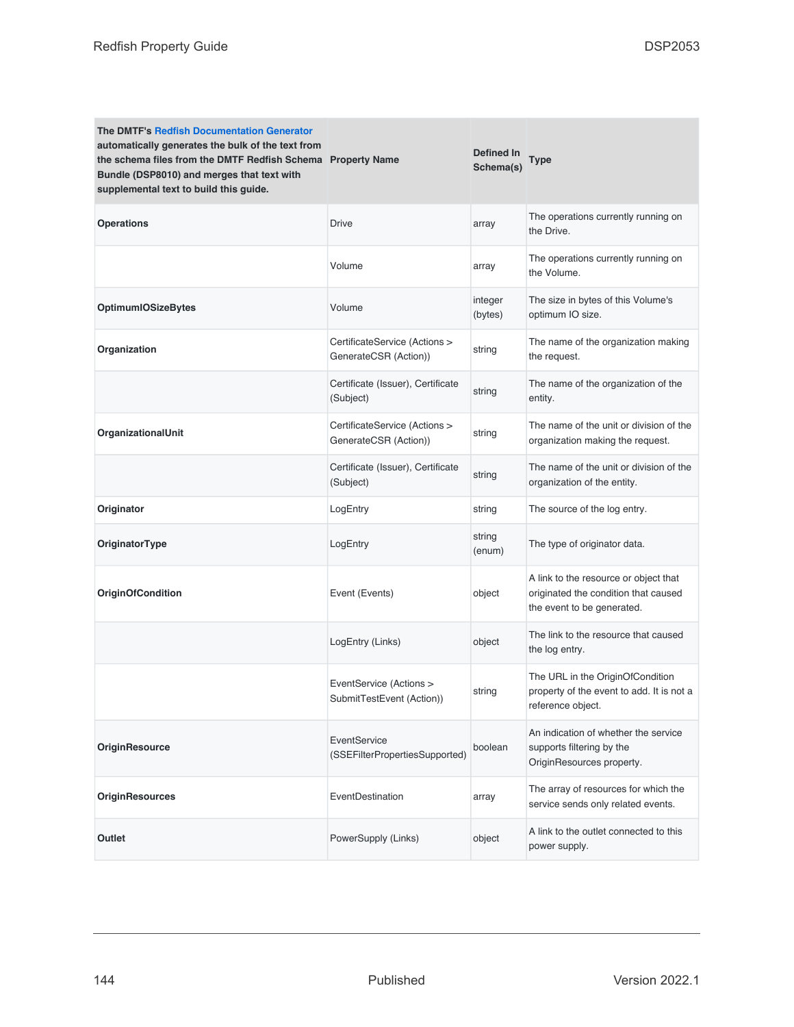| <b>The DMTF's Redfish Documentation Generator</b><br>automatically generates the bulk of the text from<br>the schema files from the DMTF Redfish Schema Property Name<br>Bundle (DSP8010) and merges that text with<br>supplemental text to build this guide. |                                                        | Defined In<br>Schema(s) | <b>Type</b>                                                                                                 |
|---------------------------------------------------------------------------------------------------------------------------------------------------------------------------------------------------------------------------------------------------------------|--------------------------------------------------------|-------------------------|-------------------------------------------------------------------------------------------------------------|
| <b>Operations</b>                                                                                                                                                                                                                                             | <b>Drive</b>                                           | array                   | The operations currently running on<br>the Drive.                                                           |
|                                                                                                                                                                                                                                                               | Volume                                                 | array                   | The operations currently running on<br>the Volume.                                                          |
| <b>OptimumIOSizeBytes</b>                                                                                                                                                                                                                                     | Volume                                                 | integer<br>(bytes)      | The size in bytes of this Volume's<br>optimum IO size.                                                      |
| Organization                                                                                                                                                                                                                                                  | CertificateService (Actions ><br>GenerateCSR (Action)) | string                  | The name of the organization making<br>the request.                                                         |
|                                                                                                                                                                                                                                                               | Certificate (Issuer), Certificate<br>(Subject)         | string                  | The name of the organization of the<br>entity.                                                              |
| OrganizationalUnit                                                                                                                                                                                                                                            | CertificateService (Actions ><br>GenerateCSR (Action)) | string                  | The name of the unit or division of the<br>organization making the request.                                 |
|                                                                                                                                                                                                                                                               | Certificate (Issuer), Certificate<br>(Subject)         | string                  | The name of the unit or division of the<br>organization of the entity.                                      |
| Originator                                                                                                                                                                                                                                                    | LogEntry                                               | string                  | The source of the log entry.                                                                                |
| OriginatorType                                                                                                                                                                                                                                                | LogEntry                                               | string<br>(enum)        | The type of originator data.                                                                                |
| <b>OriginOfCondition</b>                                                                                                                                                                                                                                      | Event (Events)                                         | object                  | A link to the resource or object that<br>originated the condition that caused<br>the event to be generated. |
|                                                                                                                                                                                                                                                               | LogEntry (Links)                                       | object                  | The link to the resource that caused<br>the log entry.                                                      |
|                                                                                                                                                                                                                                                               | EventService (Actions ><br>SubmitTestEvent (Action))   | string                  | The URL in the OriginOfCondition<br>property of the event to add. It is not a<br>reference object.          |
| <b>OriginResource</b>                                                                                                                                                                                                                                         | EventService<br>(SSEFilterPropertiesSupported)         | boolean                 | An indication of whether the service<br>supports filtering by the<br>OriginResources property.              |
| <b>OriginResources</b>                                                                                                                                                                                                                                        | EventDestination                                       | array                   | The array of resources for which the<br>service sends only related events.                                  |
| Outlet                                                                                                                                                                                                                                                        | PowerSupply (Links)                                    | object                  | A link to the outlet connected to this<br>power supply.                                                     |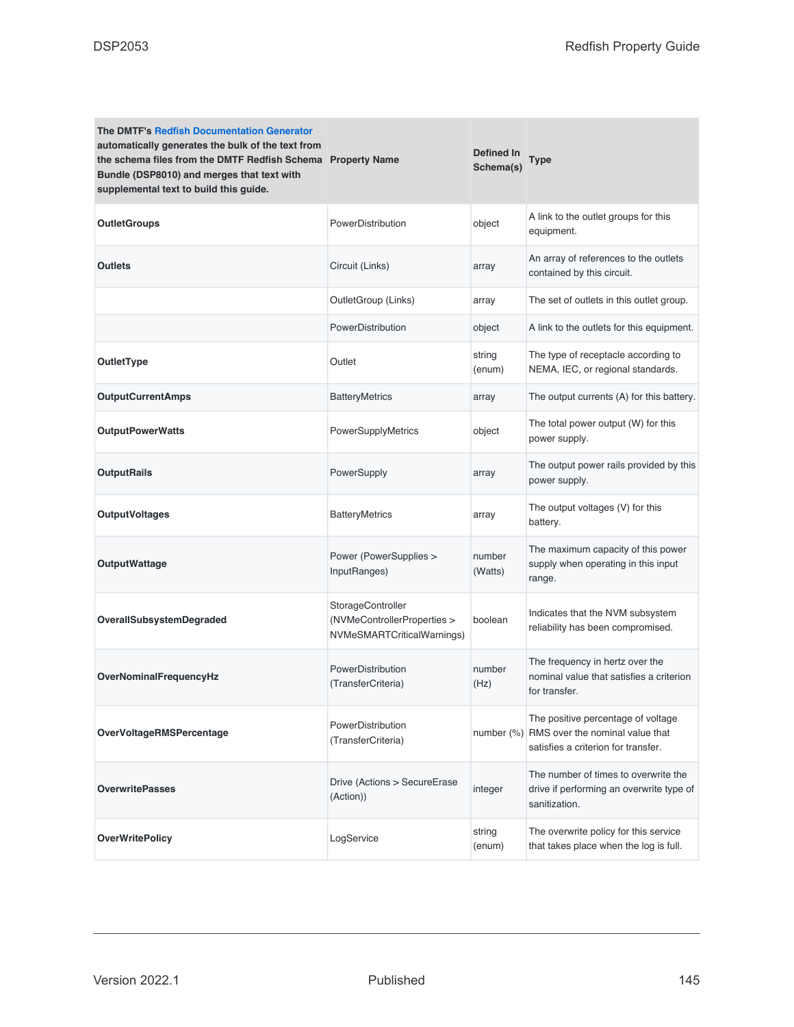| <b>The DMTF's Redfish Documentation Generator</b><br>automatically generates the bulk of the text from<br>the schema files from the DMTF Redfish Schema Property Name<br>Bundle (DSP8010) and merges that text with<br>supplemental text to build this guide. |                                                                                | <b>Defined In</b><br>Schema(s) | <b>Type</b>                                                                                                             |
|---------------------------------------------------------------------------------------------------------------------------------------------------------------------------------------------------------------------------------------------------------------|--------------------------------------------------------------------------------|--------------------------------|-------------------------------------------------------------------------------------------------------------------------|
| <b>OutletGroups</b>                                                                                                                                                                                                                                           | PowerDistribution                                                              | object                         | A link to the outlet groups for this<br>equipment.                                                                      |
| <b>Outlets</b>                                                                                                                                                                                                                                                | Circuit (Links)                                                                | array                          | An array of references to the outlets<br>contained by this circuit.                                                     |
|                                                                                                                                                                                                                                                               | OutletGroup (Links)                                                            | array                          | The set of outlets in this outlet group.                                                                                |
|                                                                                                                                                                                                                                                               | PowerDistribution                                                              | object                         | A link to the outlets for this equipment.                                                                               |
| OutletType                                                                                                                                                                                                                                                    | Outlet                                                                         | string<br>(enum)               | The type of receptacle according to<br>NEMA, IEC, or regional standards.                                                |
| <b>OutputCurrentAmps</b>                                                                                                                                                                                                                                      | <b>BatteryMetrics</b>                                                          | array                          | The output currents (A) for this battery.                                                                               |
| <b>OutputPowerWatts</b>                                                                                                                                                                                                                                       | PowerSupplyMetrics                                                             | object                         | The total power output (W) for this<br>power supply.                                                                    |
| <b>OutputRails</b>                                                                                                                                                                                                                                            | PowerSupply                                                                    | array                          | The output power rails provided by this<br>power supply.                                                                |
| <b>OutputVoltages</b>                                                                                                                                                                                                                                         | <b>BatteryMetrics</b>                                                          | array                          | The output voltages (V) for this<br>battery.                                                                            |
| <b>OutputWattage</b>                                                                                                                                                                                                                                          | Power (PowerSupplies ><br>InputRanges)                                         | number<br>(Watts)              | The maximum capacity of this power<br>supply when operating in this input<br>range.                                     |
| <b>OverallSubsystemDegraded</b>                                                                                                                                                                                                                               | StorageController<br>(NVMeControllerProperties ><br>NVMeSMARTCriticalWarnings) | boolean                        | Indicates that the NVM subsystem<br>reliability has been compromised.                                                   |
| <b>OverNominalFrequencyHz</b>                                                                                                                                                                                                                                 | PowerDistribution<br>(TransferCriteria)                                        | number<br>(Hz)                 | The frequency in hertz over the<br>nominal value that satisfies a criterion<br>for transfer.                            |
| <b>OverVoltageRMSPercentage</b>                                                                                                                                                                                                                               | PowerDistribution<br>(TransferCriteria)                                        |                                | The positive percentage of voltage<br>number (%) RMS over the nominal value that<br>satisfies a criterion for transfer. |
| <b>OverwritePasses</b>                                                                                                                                                                                                                                        | Drive (Actions > SecureErase<br>(Action))                                      | integer                        | The number of times to overwrite the<br>drive if performing an overwrite type of<br>sanitization.                       |
| <b>OverWritePolicy</b>                                                                                                                                                                                                                                        | LogService                                                                     | string<br>(enum)               | The overwrite policy for this service<br>that takes place when the log is full.                                         |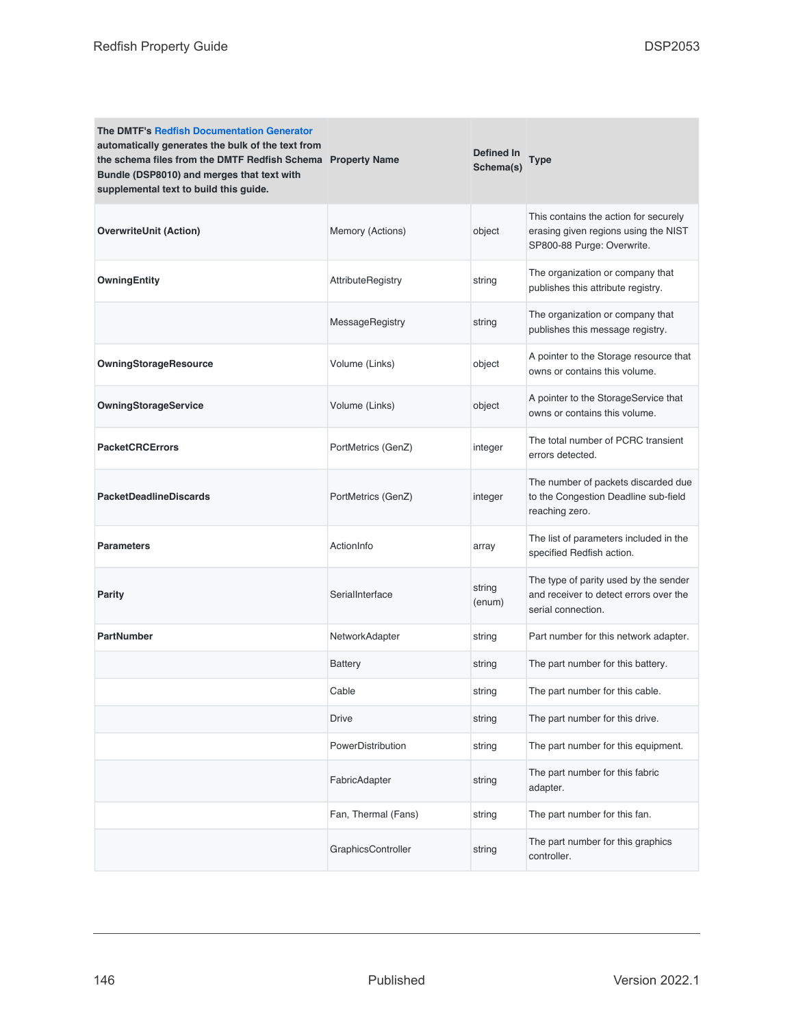| <b>The DMTF's Redfish Documentation Generator</b><br>automatically generates the bulk of the text from<br>the schema files from the DMTF Redfish Schema Property Name<br>Bundle (DSP8010) and merges that text with<br>supplemental text to build this guide. |                          | Defined In<br>Schema(s) | Type                                                                                                        |
|---------------------------------------------------------------------------------------------------------------------------------------------------------------------------------------------------------------------------------------------------------------|--------------------------|-------------------------|-------------------------------------------------------------------------------------------------------------|
| <b>OverwriteUnit (Action)</b>                                                                                                                                                                                                                                 | Memory (Actions)         | object                  | This contains the action for securely<br>erasing given regions using the NIST<br>SP800-88 Purge: Overwrite. |
| <b>OwningEntity</b>                                                                                                                                                                                                                                           | <b>AttributeRegistry</b> | string                  | The organization or company that<br>publishes this attribute registry.                                      |
|                                                                                                                                                                                                                                                               | MessageRegistry          | string                  | The organization or company that<br>publishes this message registry.                                        |
| <b>OwningStorageResource</b>                                                                                                                                                                                                                                  | Volume (Links)           | object                  | A pointer to the Storage resource that<br>owns or contains this volume.                                     |
| <b>OwningStorageService</b>                                                                                                                                                                                                                                   | Volume (Links)           | object                  | A pointer to the StorageService that<br>owns or contains this volume.                                       |
| <b>PacketCRCErrors</b>                                                                                                                                                                                                                                        | PortMetrics (GenZ)       | integer                 | The total number of PCRC transient<br>errors detected.                                                      |
| <b>PacketDeadlineDiscards</b>                                                                                                                                                                                                                                 | PortMetrics (GenZ)       | integer                 | The number of packets discarded due<br>to the Congestion Deadline sub-field<br>reaching zero.               |
| <b>Parameters</b>                                                                                                                                                                                                                                             | ActionInfo               | array                   | The list of parameters included in the<br>specified Redfish action.                                         |
| Parity                                                                                                                                                                                                                                                        | SerialInterface          | string<br>(enum)        | The type of parity used by the sender<br>and receiver to detect errors over the<br>serial connection.       |
| <b>PartNumber</b>                                                                                                                                                                                                                                             | NetworkAdapter           | string                  | Part number for this network adapter.                                                                       |
|                                                                                                                                                                                                                                                               | <b>Battery</b>           | string                  | The part number for this battery.                                                                           |
|                                                                                                                                                                                                                                                               | Cable                    | string                  | The part number for this cable.                                                                             |
|                                                                                                                                                                                                                                                               | Drive                    | string                  | The part number for this drive.                                                                             |
|                                                                                                                                                                                                                                                               | PowerDistribution        | string                  | The part number for this equipment.                                                                         |
|                                                                                                                                                                                                                                                               | FabricAdapter            | string                  | The part number for this fabric<br>adapter.                                                                 |
|                                                                                                                                                                                                                                                               | Fan, Thermal (Fans)      | string                  | The part number for this fan.                                                                               |
|                                                                                                                                                                                                                                                               | GraphicsController       | string                  | The part number for this graphics<br>controller.                                                            |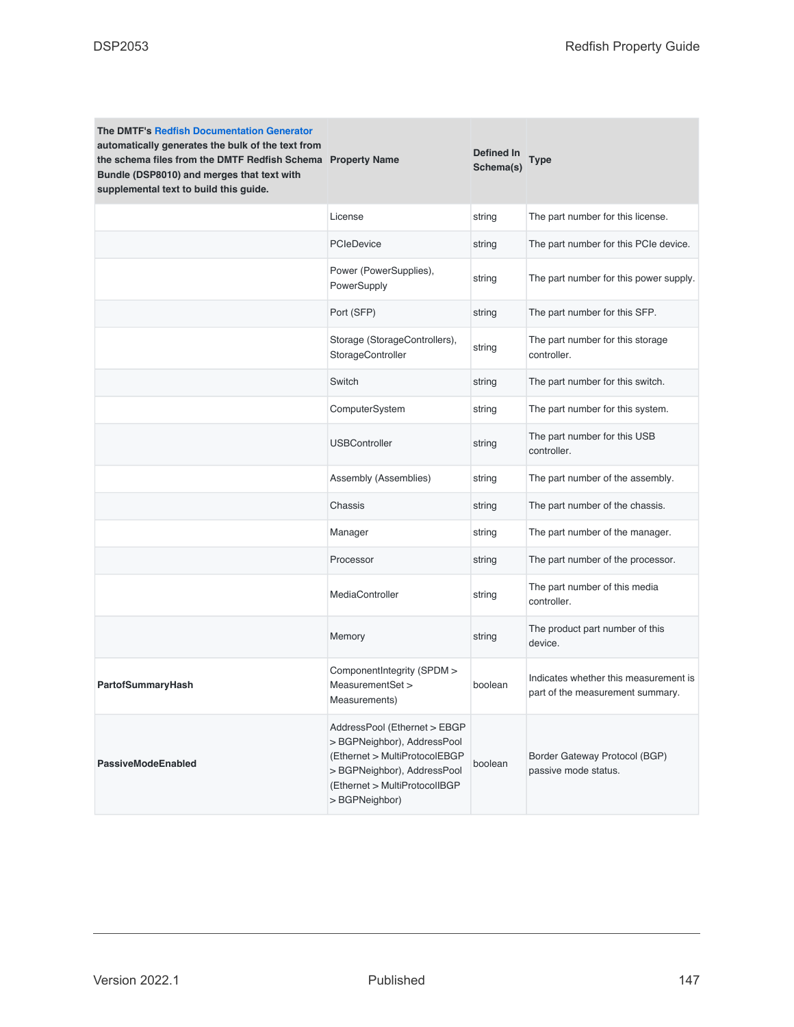| <b>The DMTF's Redfish Documentation Generator</b><br>automatically generates the bulk of the text from<br>the schema files from the DMTF Redfish Schema Property Name<br>Bundle (DSP8010) and merges that text with<br>supplemental text to build this guide. |                                                                                                                                                                                | Defined In<br>Schema(s) | Type                                                                      |
|---------------------------------------------------------------------------------------------------------------------------------------------------------------------------------------------------------------------------------------------------------------|--------------------------------------------------------------------------------------------------------------------------------------------------------------------------------|-------------------------|---------------------------------------------------------------------------|
|                                                                                                                                                                                                                                                               | License                                                                                                                                                                        | string                  | The part number for this license.                                         |
|                                                                                                                                                                                                                                                               | <b>PCIeDevice</b>                                                                                                                                                              | string                  | The part number for this PCIe device.                                     |
|                                                                                                                                                                                                                                                               | Power (PowerSupplies),<br>PowerSupply                                                                                                                                          | string                  | The part number for this power supply.                                    |
|                                                                                                                                                                                                                                                               | Port (SFP)                                                                                                                                                                     | string                  | The part number for this SFP.                                             |
|                                                                                                                                                                                                                                                               | Storage (StorageControllers),<br>StorageController                                                                                                                             | string                  | The part number for this storage<br>controller.                           |
|                                                                                                                                                                                                                                                               | Switch                                                                                                                                                                         | string                  | The part number for this switch.                                          |
|                                                                                                                                                                                                                                                               | ComputerSystem                                                                                                                                                                 | string                  | The part number for this system.                                          |
|                                                                                                                                                                                                                                                               | <b>USBController</b>                                                                                                                                                           | string                  | The part number for this USB<br>controller.                               |
|                                                                                                                                                                                                                                                               | Assembly (Assemblies)                                                                                                                                                          | string                  | The part number of the assembly.                                          |
|                                                                                                                                                                                                                                                               | Chassis                                                                                                                                                                        | string                  | The part number of the chassis.                                           |
|                                                                                                                                                                                                                                                               | Manager                                                                                                                                                                        | string                  | The part number of the manager.                                           |
|                                                                                                                                                                                                                                                               | Processor                                                                                                                                                                      | string                  | The part number of the processor.                                         |
|                                                                                                                                                                                                                                                               | MediaController                                                                                                                                                                | string                  | The part number of this media<br>controller.                              |
|                                                                                                                                                                                                                                                               | Memory                                                                                                                                                                         | string                  | The product part number of this<br>device.                                |
| PartofSummaryHash                                                                                                                                                                                                                                             | ComponentIntegrity (SPDM ><br>MeasurementSet ><br>Measurements)                                                                                                                | boolean                 | Indicates whether this measurement is<br>part of the measurement summary. |
| <b>PassiveModeEnabled</b>                                                                                                                                                                                                                                     | AddressPool (Ethernet > EBGP<br>> BGPNeighbor), AddressPool<br>(Ethernet > MultiProtocolEBGP<br>> BGPNeighbor), AddressPool<br>(Ethernet > MultiProtocolIBGP<br>> BGPNeighbor) | boolean                 | Border Gateway Protocol (BGP)<br>passive mode status.                     |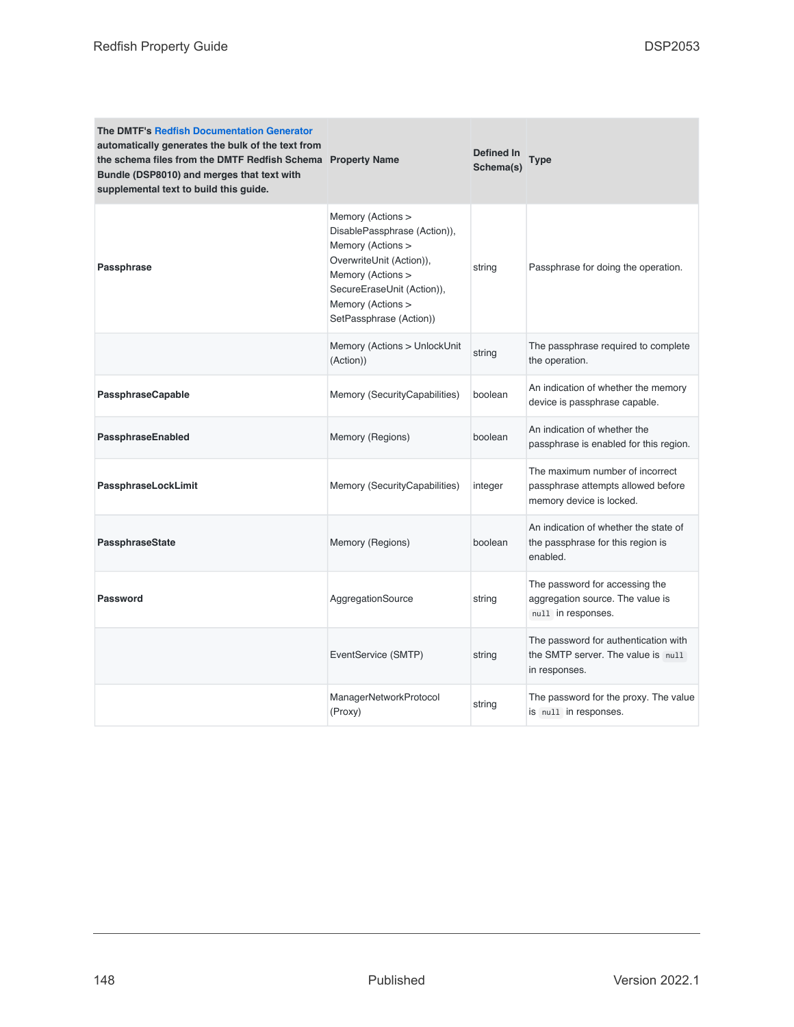| <b>The DMTF's Redfish Documentation Generator</b><br>automatically generates the bulk of the text from<br>the schema files from the DMTF Redfish Schema Property Name<br>Bundle (DSP8010) and merges that text with<br>supplemental text to build this guide. |                                                                                                                                                                                                       | Defined In<br>Schema(s) | <b>Type</b>                                                                                       |
|---------------------------------------------------------------------------------------------------------------------------------------------------------------------------------------------------------------------------------------------------------------|-------------------------------------------------------------------------------------------------------------------------------------------------------------------------------------------------------|-------------------------|---------------------------------------------------------------------------------------------------|
| <b>Passphrase</b>                                                                                                                                                                                                                                             | Memory (Actions ><br>DisablePassphrase (Action)),<br>Memory (Actions ><br>OverwriteUnit (Action)),<br>Memory (Actions ><br>SecureEraseUnit (Action)),<br>Memory (Actions ><br>SetPassphrase (Action)) | string                  | Passphrase for doing the operation.                                                               |
|                                                                                                                                                                                                                                                               | Memory (Actions > UnlockUnit<br>(Action))                                                                                                                                                             | string                  | The passphrase required to complete<br>the operation.                                             |
| <b>PassphraseCapable</b>                                                                                                                                                                                                                                      | Memory (SecurityCapabilities)                                                                                                                                                                         | boolean                 | An indication of whether the memory<br>device is passphrase capable.                              |
| PassphraseEnabled                                                                                                                                                                                                                                             | Memory (Regions)                                                                                                                                                                                      | boolean                 | An indication of whether the<br>passphrase is enabled for this region.                            |
| PassphraseLockLimit                                                                                                                                                                                                                                           | Memory (SecurityCapabilities)                                                                                                                                                                         | integer                 | The maximum number of incorrect<br>passphrase attempts allowed before<br>memory device is locked. |
| PassphraseState                                                                                                                                                                                                                                               | Memory (Regions)                                                                                                                                                                                      | boolean                 | An indication of whether the state of<br>the passphrase for this region is<br>enabled.            |
| <b>Password</b>                                                                                                                                                                                                                                               | AggregationSource                                                                                                                                                                                     | string                  | The password for accessing the<br>aggregation source. The value is<br>null in responses.          |
|                                                                                                                                                                                                                                                               | EventService (SMTP)                                                                                                                                                                                   | string                  | The password for authentication with<br>the SMTP server. The value is null<br>in responses.       |
|                                                                                                                                                                                                                                                               | ManagerNetworkProtocol<br>(Proxy)                                                                                                                                                                     | string                  | The password for the proxy. The value<br>is null in responses.                                    |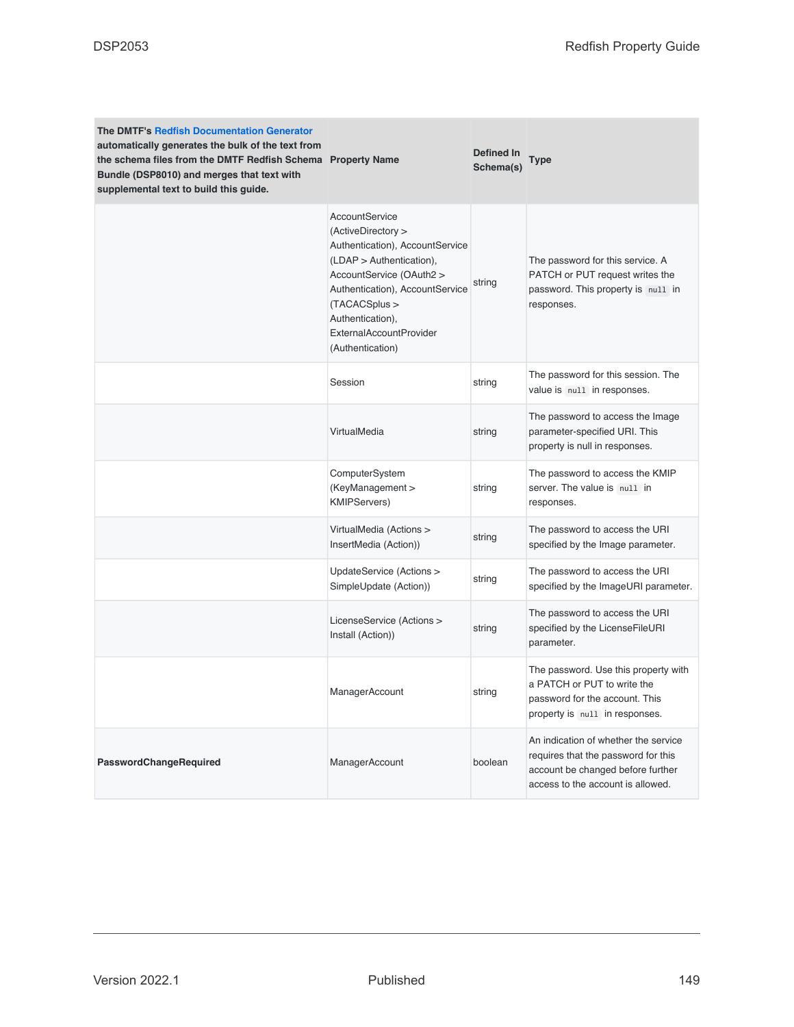| <b>The DMTF's Redfish Documentation Generator</b><br>automatically generates the bulk of the text from<br>the schema files from the DMTF Redfish Schema Property Name<br>Bundle (DSP8010) and merges that text with<br>supplemental text to build this guide. |                                                                                                                                                                                                                                                        | Defined In<br>Schema(s) | Type                                                                                                                                                  |
|---------------------------------------------------------------------------------------------------------------------------------------------------------------------------------------------------------------------------------------------------------------|--------------------------------------------------------------------------------------------------------------------------------------------------------------------------------------------------------------------------------------------------------|-------------------------|-------------------------------------------------------------------------------------------------------------------------------------------------------|
|                                                                                                                                                                                                                                                               | AccountService<br>(ActiveDirectory ><br>Authentication), AccountService<br>(LDAP > Authentication),<br>AccountService (OAuth2 ><br>Authentication), AccountService<br>(TACACSplus ><br>Authentication),<br>ExternalAccountProvider<br>(Authentication) | string                  | The password for this service. A<br>PATCH or PUT request writes the<br>password. This property is null in<br>responses.                               |
|                                                                                                                                                                                                                                                               | Session                                                                                                                                                                                                                                                | string                  | The password for this session. The<br>value is null in responses.                                                                                     |
|                                                                                                                                                                                                                                                               | VirtualMedia                                                                                                                                                                                                                                           | string                  | The password to access the Image<br>parameter-specified URI. This<br>property is null in responses.                                                   |
|                                                                                                                                                                                                                                                               | ComputerSystem<br>(KeyManagement ><br><b>KMIPServers)</b>                                                                                                                                                                                              | string                  | The password to access the KMIP<br>server. The value is null in<br>responses.                                                                         |
|                                                                                                                                                                                                                                                               | VirtualMedia (Actions ><br>InsertMedia (Action))                                                                                                                                                                                                       | string                  | The password to access the URI<br>specified by the Image parameter.                                                                                   |
|                                                                                                                                                                                                                                                               | UpdateService (Actions ><br>SimpleUpdate (Action))                                                                                                                                                                                                     | string                  | The password to access the URI<br>specified by the ImageURI parameter.                                                                                |
|                                                                                                                                                                                                                                                               | LicenseService (Actions ><br>Install (Action))                                                                                                                                                                                                         | string                  | The password to access the URI<br>specified by the LicenseFileURI<br>parameter.                                                                       |
|                                                                                                                                                                                                                                                               | ManagerAccount                                                                                                                                                                                                                                         | string                  | The password. Use this property with<br>a PATCH or PUT to write the<br>password for the account. This<br>property is null in responses.               |
| PasswordChangeRequired                                                                                                                                                                                                                                        | ManagerAccount                                                                                                                                                                                                                                         | boolean                 | An indication of whether the service<br>requires that the password for this<br>account be changed before further<br>access to the account is allowed. |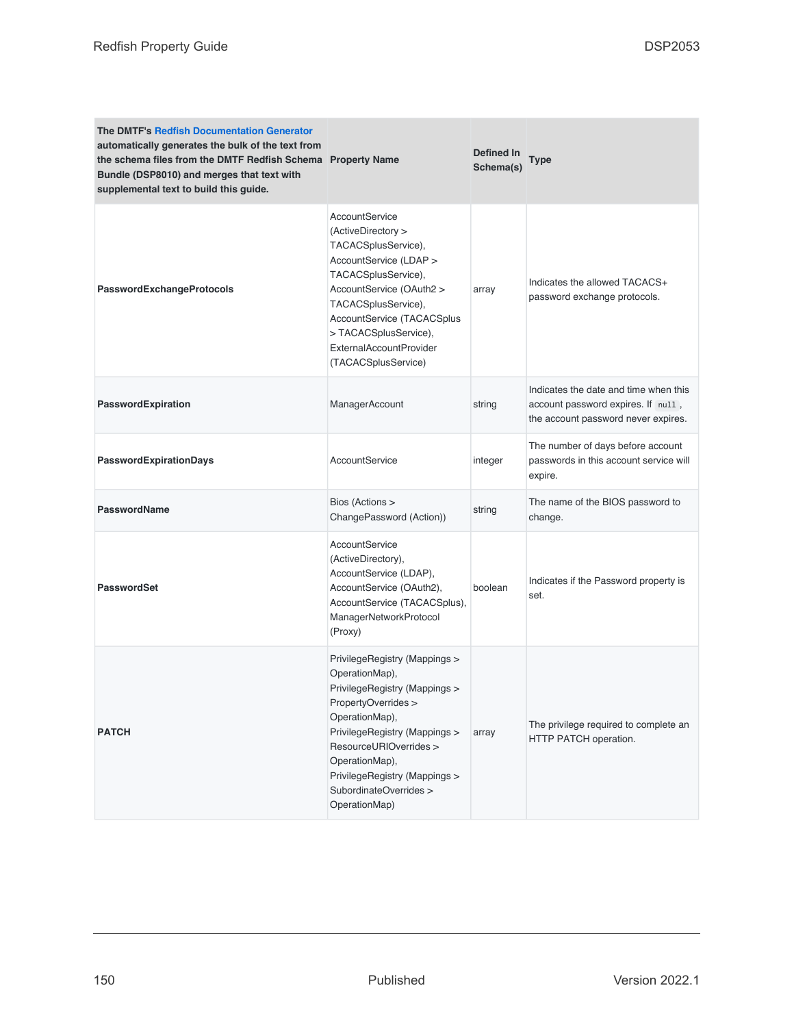| <b>The DMTF's Redfish Documentation Generator</b><br>automatically generates the bulk of the text from<br>the schema files from the DMTF Redfish Schema Property Name<br>Bundle (DSP8010) and merges that text with<br>supplemental text to build this guide. |                                                                                                                                                                                                                                                                                    | Defined In<br>Schema(s) | <b>Type</b>                                                                                                        |
|---------------------------------------------------------------------------------------------------------------------------------------------------------------------------------------------------------------------------------------------------------------|------------------------------------------------------------------------------------------------------------------------------------------------------------------------------------------------------------------------------------------------------------------------------------|-------------------------|--------------------------------------------------------------------------------------------------------------------|
| PasswordExchangeProtocols                                                                                                                                                                                                                                     | AccountService<br>(ActiveDirectory ><br>TACACSplusService),<br>AccountService (LDAP ><br>TACACSplusService),<br>AccountService (OAuth2 ><br>TACACSplusService),<br>AccountService (TACACSplus<br>>TACACSplusService),<br>ExternalAccountProvider<br>(TACACSplusService)            | array                   | Indicates the allowed TACACS+<br>password exchange protocols.                                                      |
| PasswordExpiration                                                                                                                                                                                                                                            | ManagerAccount                                                                                                                                                                                                                                                                     | string                  | Indicates the date and time when this<br>account password expires. If null,<br>the account password never expires. |
| PasswordExpirationDays                                                                                                                                                                                                                                        | AccountService                                                                                                                                                                                                                                                                     | integer                 | The number of days before account<br>passwords in this account service will<br>expire.                             |
| <b>PasswordName</b>                                                                                                                                                                                                                                           | Bios (Actions ><br>ChangePassword (Action))                                                                                                                                                                                                                                        | string                  | The name of the BIOS password to<br>change.                                                                        |
| <b>PasswordSet</b>                                                                                                                                                                                                                                            | AccountService<br>(ActiveDirectory),<br>AccountService (LDAP),<br>AccountService (OAuth2),<br>AccountService (TACACSplus),<br>ManagerNetworkProtocol<br>(Proxy)                                                                                                                    | boolean                 | Indicates if the Password property is<br>set.                                                                      |
| <b>PATCH</b>                                                                                                                                                                                                                                                  | PrivilegeRegistry (Mappings ><br>OperationMap),<br>PrivilegeRegistry (Mappings ><br>PropertyOverrides ><br>OperationMap),<br>PrivilegeRegistry (Mappings ><br>ResourceURIOverrides ><br>OperationMap),<br>PrivilegeRegistry (Mappings ><br>SubordinateOverrides ><br>OperationMap) | array                   | The privilege required to complete an<br>HTTP PATCH operation.                                                     |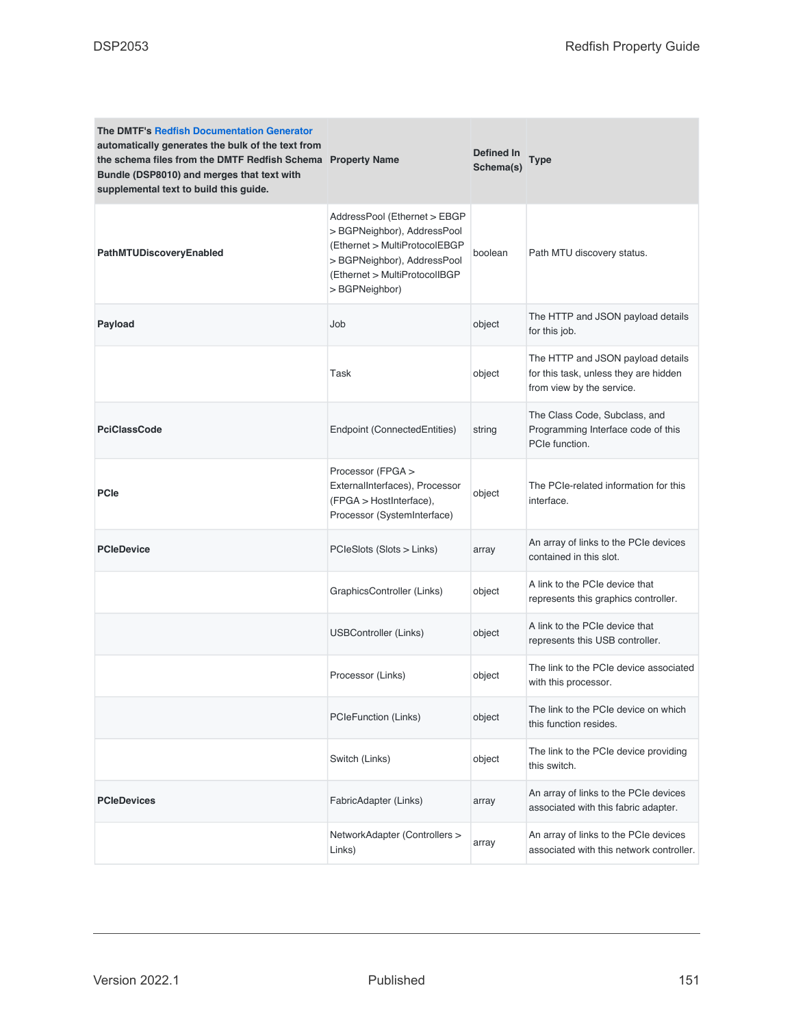| <b>The DMTF's Redfish Documentation Generator</b><br>automatically generates the bulk of the text from<br>the schema files from the DMTF Redfish Schema Property Name<br>Bundle (DSP8010) and merges that text with<br>supplemental text to build this guide. |                                                                                                                                                                               | Defined In<br>Schema(s) | <b>Type</b>                                                                                             |
|---------------------------------------------------------------------------------------------------------------------------------------------------------------------------------------------------------------------------------------------------------------|-------------------------------------------------------------------------------------------------------------------------------------------------------------------------------|-------------------------|---------------------------------------------------------------------------------------------------------|
| PathMTUDiscoveryEnabled                                                                                                                                                                                                                                       | AddressPool (Ethernet > EBGP<br>> BGPNeighbor), AddressPool<br>(Ethernet > MultiProtocolEBGP<br>>BGPNeighbor), AddressPool<br>(Ethernet > MultiProtocolIBGP<br>> BGPNeighbor) | boolean                 | Path MTU discovery status.                                                                              |
| Payload                                                                                                                                                                                                                                                       | Job                                                                                                                                                                           | object                  | The HTTP and JSON payload details<br>for this job.                                                      |
|                                                                                                                                                                                                                                                               | Task                                                                                                                                                                          | object                  | The HTTP and JSON payload details<br>for this task, unless they are hidden<br>from view by the service. |
| <b>PciClassCode</b>                                                                                                                                                                                                                                           | Endpoint (ConnectedEntities)                                                                                                                                                  | string                  | The Class Code, Subclass, and<br>Programming Interface code of this<br>PCIe function.                   |
| <b>PCIe</b>                                                                                                                                                                                                                                                   | Processor (FPGA ><br>ExternalInterfaces), Processor<br>(FPGA > HostInterface),<br>Processor (SystemInterface)                                                                 | object                  | The PCIe-related information for this<br>interface.                                                     |
| <b>PCIeDevice</b>                                                                                                                                                                                                                                             | PCIeSlots (Slots > Links)                                                                                                                                                     | array                   | An array of links to the PCIe devices<br>contained in this slot.                                        |
|                                                                                                                                                                                                                                                               | GraphicsController (Links)                                                                                                                                                    | object                  | A link to the PCIe device that<br>represents this graphics controller.                                  |
|                                                                                                                                                                                                                                                               | <b>USBController (Links)</b>                                                                                                                                                  | object                  | A link to the PCIe device that<br>represents this USB controller.                                       |
|                                                                                                                                                                                                                                                               | Processor (Links)                                                                                                                                                             | object                  | The link to the PCIe device associated<br>with this processor.                                          |
|                                                                                                                                                                                                                                                               | PCIeFunction (Links)                                                                                                                                                          | object                  | The link to the PCIe device on which<br>this function resides.                                          |
|                                                                                                                                                                                                                                                               | Switch (Links)                                                                                                                                                                | object                  | The link to the PCIe device providing<br>this switch.                                                   |
| <b>PCIeDevices</b>                                                                                                                                                                                                                                            | FabricAdapter (Links)                                                                                                                                                         | array                   | An array of links to the PCIe devices<br>associated with this fabric adapter.                           |
|                                                                                                                                                                                                                                                               | NetworkAdapter (Controllers ><br>Links)                                                                                                                                       | array                   | An array of links to the PCIe devices<br>associated with this network controller.                       |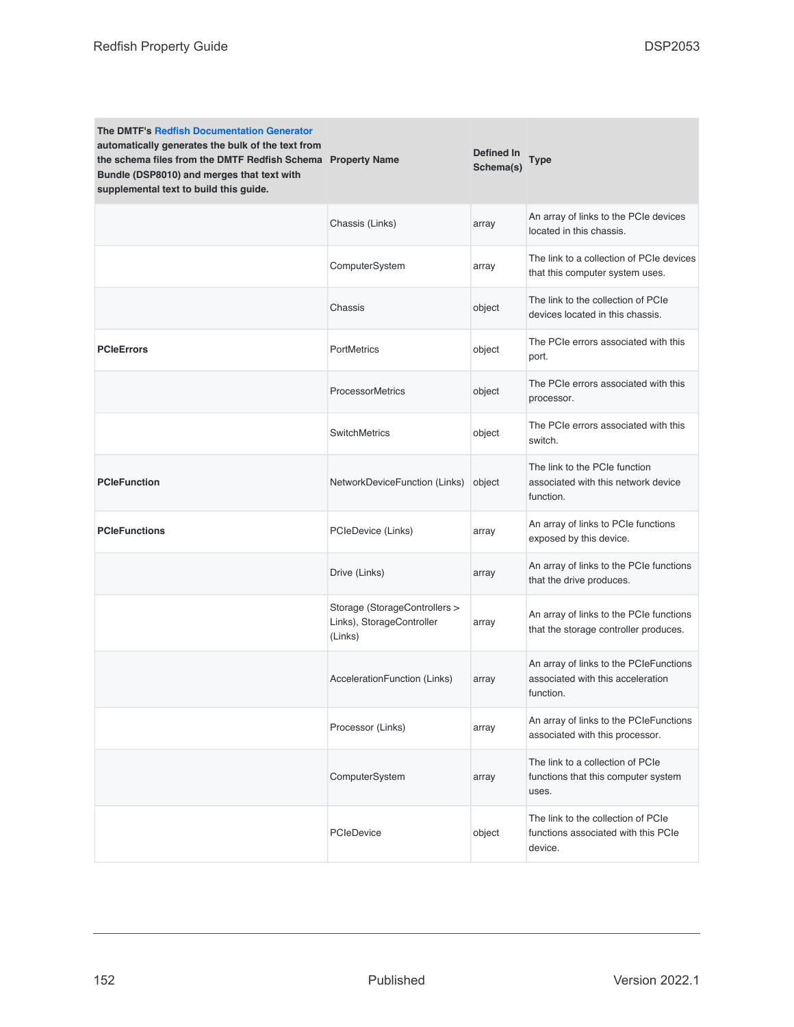| <b>The DMTF's Redfish Documentation Generator</b><br>automatically generates the bulk of the text from<br>the schema files from the DMTF Redfish Schema Property Name<br>Bundle (DSP8010) and merges that text with<br>supplemental text to build this guide. |                                                                       | Defined In<br>Schema(s) | Type                                                                                     |
|---------------------------------------------------------------------------------------------------------------------------------------------------------------------------------------------------------------------------------------------------------------|-----------------------------------------------------------------------|-------------------------|------------------------------------------------------------------------------------------|
|                                                                                                                                                                                                                                                               | Chassis (Links)                                                       | array                   | An array of links to the PCIe devices<br>located in this chassis.                        |
|                                                                                                                                                                                                                                                               | ComputerSystem                                                        | array                   | The link to a collection of PCIe devices<br>that this computer system uses.              |
|                                                                                                                                                                                                                                                               | Chassis                                                               | object                  | The link to the collection of PCIe<br>devices located in this chassis.                   |
| <b>PCIeErrors</b>                                                                                                                                                                                                                                             | PortMetrics                                                           | object                  | The PCIe errors associated with this<br>port.                                            |
|                                                                                                                                                                                                                                                               | <b>ProcessorMetrics</b>                                               | object                  | The PCIe errors associated with this<br>processor.                                       |
|                                                                                                                                                                                                                                                               | <b>SwitchMetrics</b>                                                  | object                  | The PCIe errors associated with this<br>switch.                                          |
| <b>PCIeFunction</b>                                                                                                                                                                                                                                           | NetworkDeviceFunction (Links)                                         | object                  | The link to the PCIe function<br>associated with this network device<br>function.        |
| <b>PCIeFunctions</b>                                                                                                                                                                                                                                          | PCIeDevice (Links)                                                    | array                   | An array of links to PCIe functions<br>exposed by this device.                           |
|                                                                                                                                                                                                                                                               | Drive (Links)                                                         | array                   | An array of links to the PCIe functions<br>that the drive produces.                      |
|                                                                                                                                                                                                                                                               | Storage (StorageControllers ><br>Links), StorageController<br>(Links) | array                   | An array of links to the PCIe functions<br>that the storage controller produces.         |
|                                                                                                                                                                                                                                                               | AccelerationFunction (Links)                                          | array                   | An array of links to the PCIeFunctions<br>associated with this acceleration<br>function. |
|                                                                                                                                                                                                                                                               | Processor (Links)                                                     | array                   | An array of links to the PCIeFunctions<br>associated with this processor.                |
|                                                                                                                                                                                                                                                               | ComputerSystem                                                        | array                   | The link to a collection of PCIe<br>functions that this computer system<br>uses.         |
|                                                                                                                                                                                                                                                               | PCIeDevice                                                            | object                  | The link to the collection of PCIe<br>functions associated with this PCIe<br>device.     |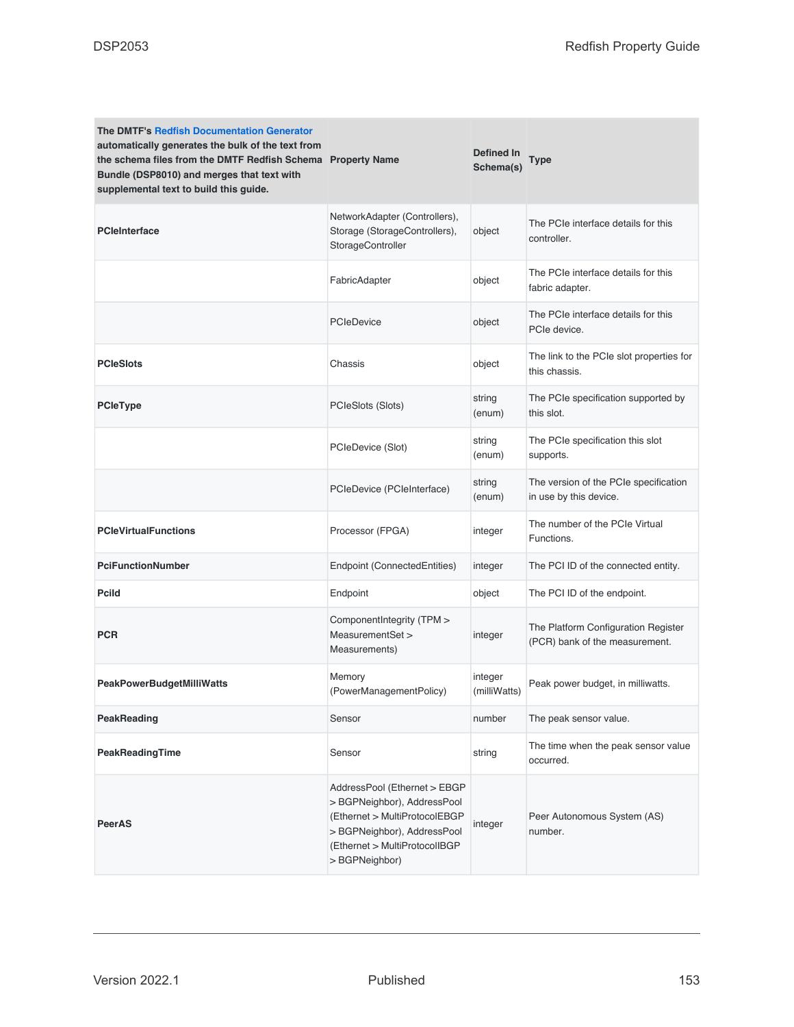| <b>The DMTF's Redfish Documentation Generator</b><br>automatically generates the bulk of the text from<br>the schema files from the DMTF Redfish Schema Property Name<br>Bundle (DSP8010) and merges that text with<br>supplemental text to build this guide. |                                                                                                                                                                                | Defined In<br>Schema(s) | <b>Type</b>                                                           |
|---------------------------------------------------------------------------------------------------------------------------------------------------------------------------------------------------------------------------------------------------------------|--------------------------------------------------------------------------------------------------------------------------------------------------------------------------------|-------------------------|-----------------------------------------------------------------------|
| <b>PCleInterface</b>                                                                                                                                                                                                                                          | NetworkAdapter (Controllers),<br>Storage (StorageControllers),<br>StorageController                                                                                            | object                  | The PCIe interface details for this<br>controller.                    |
|                                                                                                                                                                                                                                                               | FabricAdapter                                                                                                                                                                  | object                  | The PCIe interface details for this<br>fabric adapter.                |
|                                                                                                                                                                                                                                                               | <b>PCIeDevice</b>                                                                                                                                                              | object                  | The PCIe interface details for this<br>PCIe device.                   |
| <b>PCIeSlots</b>                                                                                                                                                                                                                                              | Chassis                                                                                                                                                                        | object                  | The link to the PCIe slot properties for<br>this chassis.             |
| <b>PCleType</b>                                                                                                                                                                                                                                               | PCIeSlots (Slots)                                                                                                                                                              | string<br>(enum)        | The PCIe specification supported by<br>this slot.                     |
|                                                                                                                                                                                                                                                               | PCIeDevice (Slot)                                                                                                                                                              | string<br>(enum)        | The PCIe specification this slot<br>supports.                         |
|                                                                                                                                                                                                                                                               | PCIeDevice (PCIeInterface)                                                                                                                                                     | string<br>(enum)        | The version of the PCIe specification<br>in use by this device.       |
| <b>PCIeVirtualFunctions</b>                                                                                                                                                                                                                                   | Processor (FPGA)                                                                                                                                                               | integer                 | The number of the PCIe Virtual<br>Functions.                          |
| <b>PciFunctionNumber</b>                                                                                                                                                                                                                                      | Endpoint (ConnectedEntities)                                                                                                                                                   | integer                 | The PCI ID of the connected entity.                                   |
| <b>Pcild</b>                                                                                                                                                                                                                                                  | Endpoint                                                                                                                                                                       | object                  | The PCI ID of the endpoint.                                           |
| <b>PCR</b>                                                                                                                                                                                                                                                    | ComponentIntegrity (TPM ><br>MeasurementSet ><br>Measurements)                                                                                                                 | integer                 | The Platform Configuration Register<br>(PCR) bank of the measurement. |
| <b>PeakPowerBudgetMilliWatts</b>                                                                                                                                                                                                                              | Memory<br>(PowerManagementPolicy)                                                                                                                                              | integer<br>(milliWatts) | Peak power budget, in milliwatts.                                     |
| <b>PeakReading</b>                                                                                                                                                                                                                                            | Sensor                                                                                                                                                                         | number                  | The peak sensor value.                                                |
| PeakReadingTime                                                                                                                                                                                                                                               | Sensor                                                                                                                                                                         | string                  | The time when the peak sensor value<br>occurred.                      |
| <b>PeerAS</b>                                                                                                                                                                                                                                                 | AddressPool (Ethernet > EBGP<br>> BGPNeighbor), AddressPool<br>(Ethernet > MultiProtocolEBGP<br>> BGPNeighbor), AddressPool<br>(Ethernet > MultiProtocolIBGP<br>> BGPNeighbor) | integer                 | Peer Autonomous System (AS)<br>number.                                |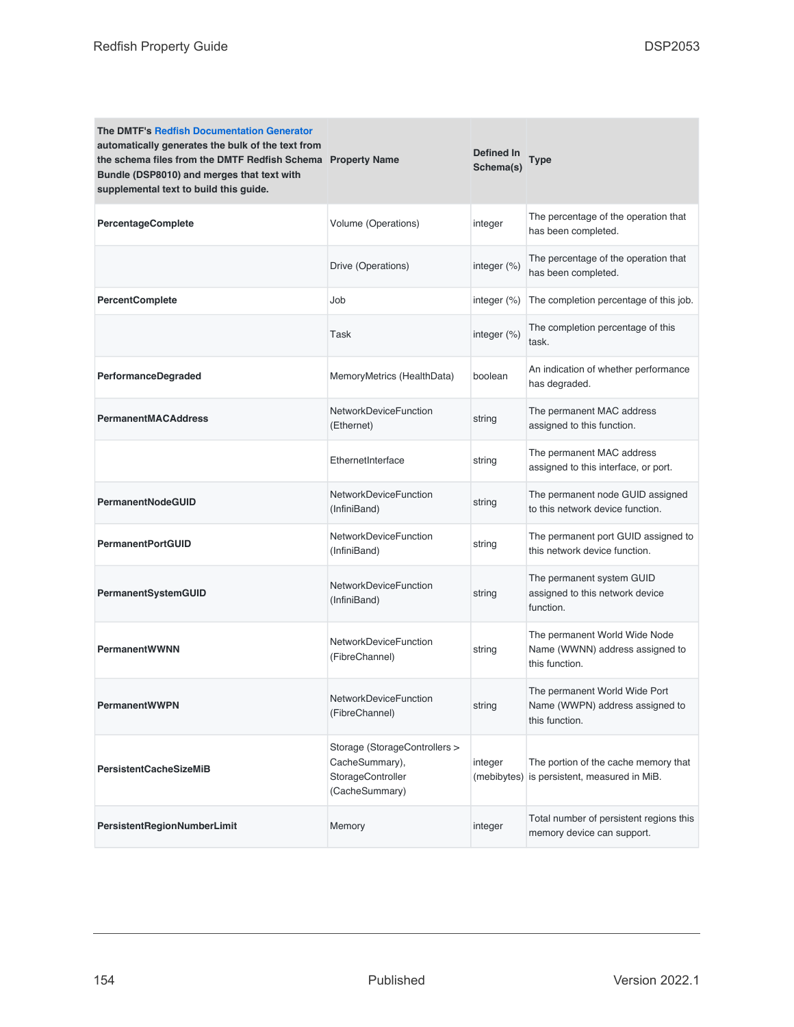| <b>The DMTF's Redfish Documentation Generator</b><br>automatically generates the bulk of the text from<br>the schema files from the DMTF Redfish Schema Property Name<br>Bundle (DSP8010) and merges that text with<br>supplemental text to build this guide. |                                                                                        | Defined In<br>Schema(s) | <b>Type</b>                                                                        |
|---------------------------------------------------------------------------------------------------------------------------------------------------------------------------------------------------------------------------------------------------------------|----------------------------------------------------------------------------------------|-------------------------|------------------------------------------------------------------------------------|
| <b>PercentageComplete</b>                                                                                                                                                                                                                                     | Volume (Operations)                                                                    | integer                 | The percentage of the operation that<br>has been completed.                        |
|                                                                                                                                                                                                                                                               | Drive (Operations)                                                                     | integer (%)             | The percentage of the operation that<br>has been completed.                        |
| <b>PercentComplete</b>                                                                                                                                                                                                                                        | Job                                                                                    | integer (%)             | The completion percentage of this job.                                             |
|                                                                                                                                                                                                                                                               | Task                                                                                   | integer (%)             | The completion percentage of this<br>task.                                         |
| PerformanceDegraded                                                                                                                                                                                                                                           | MemoryMetrics (HealthData)                                                             | boolean                 | An indication of whether performance<br>has degraded.                              |
| <b>PermanentMACAddress</b>                                                                                                                                                                                                                                    | <b>NetworkDeviceFunction</b><br>(Ethernet)                                             | string                  | The permanent MAC address<br>assigned to this function.                            |
|                                                                                                                                                                                                                                                               | EthernetInterface                                                                      | string                  | The permanent MAC address<br>assigned to this interface, or port.                  |
| <b>PermanentNodeGUID</b>                                                                                                                                                                                                                                      | NetworkDeviceFunction<br>(InfiniBand)                                                  | string                  | The permanent node GUID assigned<br>to this network device function.               |
| <b>PermanentPortGUID</b>                                                                                                                                                                                                                                      | <b>NetworkDeviceFunction</b><br>(InfiniBand)                                           | string                  | The permanent port GUID assigned to<br>this network device function.               |
| PermanentSystemGUID                                                                                                                                                                                                                                           | <b>NetworkDeviceFunction</b><br>(InfiniBand)                                           | string                  | The permanent system GUID<br>assigned to this network device<br>function.          |
| <b>PermanentWWNN</b>                                                                                                                                                                                                                                          | NetworkDeviceFunction<br>(FibreChannel)                                                | string                  | The permanent World Wide Node<br>Name (WWNN) address assigned to<br>this function. |
| <b>PermanentWWPN</b>                                                                                                                                                                                                                                          | <b>NetworkDeviceFunction</b><br>(FibreChannel)                                         | string                  | The permanent World Wide Port<br>Name (WWPN) address assigned to<br>this function. |
| <b>PersistentCacheSizeMiB</b>                                                                                                                                                                                                                                 | Storage (StorageControllers ><br>CacheSummary),<br>StorageController<br>(CacheSummary) | integer<br>(mebibytes)  | The portion of the cache memory that<br>is persistent, measured in MiB.            |
| PersistentRegionNumberLimit                                                                                                                                                                                                                                   | Memory                                                                                 | integer                 | Total number of persistent regions this<br>memory device can support.              |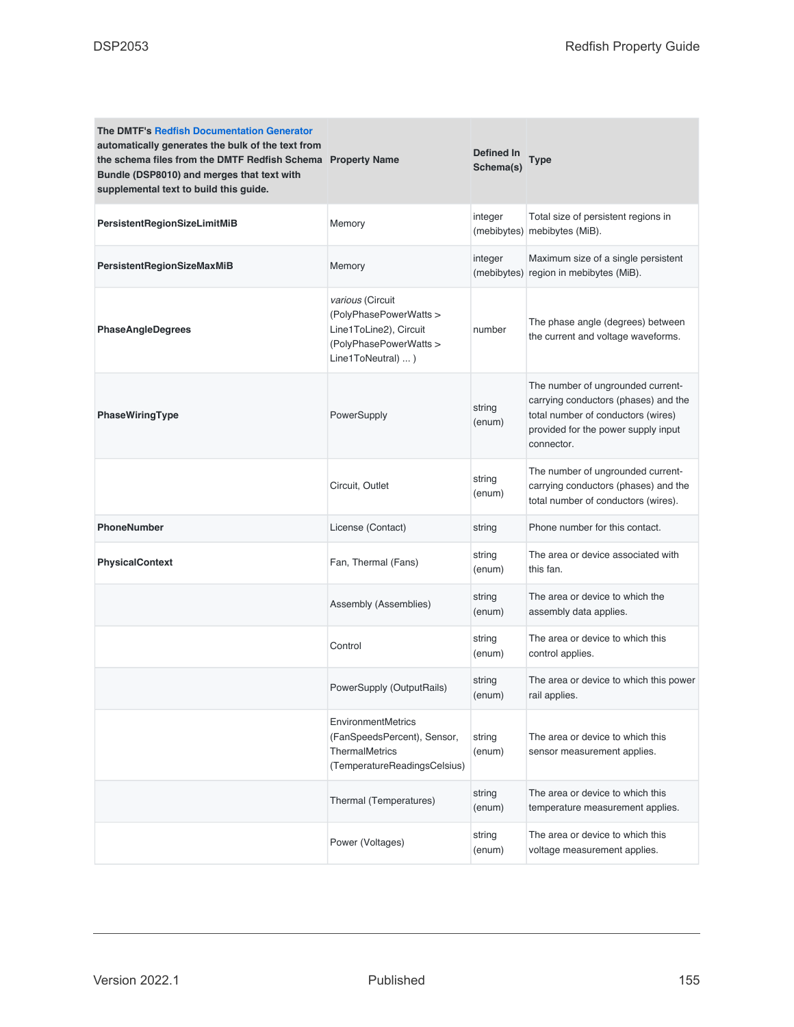| <b>The DMTF's Redfish Documentation Generator</b><br>automatically generates the bulk of the text from<br>the schema files from the DMTF Redfish Schema Property Name<br>Bundle (DSP8010) and merges that text with<br>supplemental text to build this guide. |                                                                                                                      | Defined In<br>Schema(s) | <b>Type</b>                                                                                                                                                          |
|---------------------------------------------------------------------------------------------------------------------------------------------------------------------------------------------------------------------------------------------------------------|----------------------------------------------------------------------------------------------------------------------|-------------------------|----------------------------------------------------------------------------------------------------------------------------------------------------------------------|
| PersistentRegionSizeLimitMiB                                                                                                                                                                                                                                  | Memory                                                                                                               | integer<br>(mebibytes)  | Total size of persistent regions in<br>mebibytes (MiB).                                                                                                              |
| PersistentRegionSizeMaxMiB                                                                                                                                                                                                                                    | Memory                                                                                                               | integer<br>(mebibytes)  | Maximum size of a single persistent<br>region in mebibytes (MiB).                                                                                                    |
| <b>PhaseAngleDegrees</b>                                                                                                                                                                                                                                      | various (Circuit<br>(PolyPhasePowerWatts ><br>Line1ToLine2), Circuit<br>(PolyPhasePowerWatts ><br>Line1ToNeutral)  ) | number                  | The phase angle (degrees) between<br>the current and voltage waveforms.                                                                                              |
| PhaseWiringType                                                                                                                                                                                                                                               | PowerSupply                                                                                                          | string<br>(enum)        | The number of ungrounded current-<br>carrying conductors (phases) and the<br>total number of conductors (wires)<br>provided for the power supply input<br>connector. |
|                                                                                                                                                                                                                                                               | Circuit, Outlet                                                                                                      | string<br>(enum)        | The number of ungrounded current-<br>carrying conductors (phases) and the<br>total number of conductors (wires).                                                     |
| PhoneNumber                                                                                                                                                                                                                                                   | License (Contact)                                                                                                    | string                  | Phone number for this contact.                                                                                                                                       |
| <b>PhysicalContext</b>                                                                                                                                                                                                                                        | Fan, Thermal (Fans)                                                                                                  | string<br>(enum)        | The area or device associated with<br>this fan.                                                                                                                      |
|                                                                                                                                                                                                                                                               | Assembly (Assemblies)                                                                                                | string<br>(enum)        | The area or device to which the<br>assembly data applies.                                                                                                            |
|                                                                                                                                                                                                                                                               | Control                                                                                                              | string<br>(enum)        | The area or device to which this<br>control applies.                                                                                                                 |
|                                                                                                                                                                                                                                                               | PowerSupply (OutputRails)                                                                                            | string<br>(enum)        | The area or device to which this power<br>rail applies.                                                                                                              |
|                                                                                                                                                                                                                                                               | <b>EnvironmentMetrics</b><br>(FanSpeedsPercent), Sensor,<br>ThermalMetrics<br>(TemperatureReadingsCelsius)           | string<br>(enum)        | The area or device to which this<br>sensor measurement applies.                                                                                                      |
|                                                                                                                                                                                                                                                               | Thermal (Temperatures)                                                                                               | string<br>(enum)        | The area or device to which this<br>temperature measurement applies.                                                                                                 |
|                                                                                                                                                                                                                                                               | Power (Voltages)                                                                                                     | string<br>(enum)        | The area or device to which this<br>voltage measurement applies.                                                                                                     |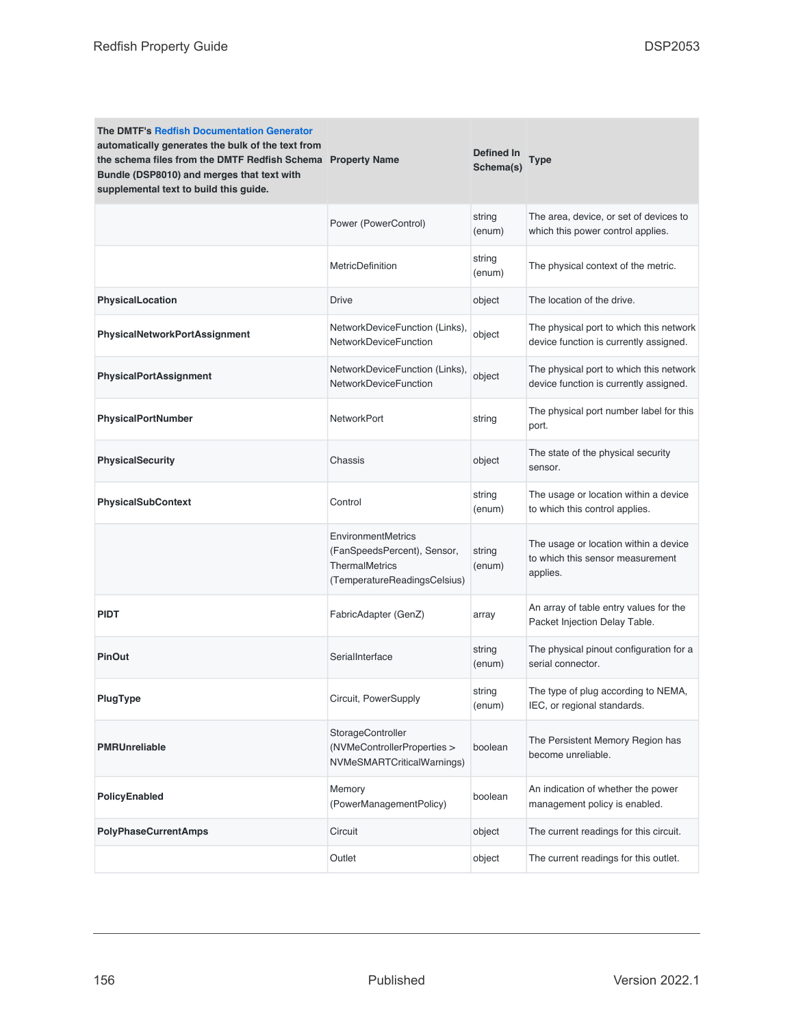| <b>The DMTF's Redfish Documentation Generator</b><br>automatically generates the bulk of the text from<br>the schema files from the DMTF Redfish Schema Property Name<br>Bundle (DSP8010) and merges that text with<br>supplemental text to build this guide. |                                                                                                            | Defined In<br>Schema(s) | <b>Type</b>                                                                           |
|---------------------------------------------------------------------------------------------------------------------------------------------------------------------------------------------------------------------------------------------------------------|------------------------------------------------------------------------------------------------------------|-------------------------|---------------------------------------------------------------------------------------|
|                                                                                                                                                                                                                                                               | Power (PowerControl)                                                                                       | string<br>(enum)        | The area, device, or set of devices to<br>which this power control applies.           |
|                                                                                                                                                                                                                                                               | <b>MetricDefinition</b>                                                                                    | string<br>(enum)        | The physical context of the metric.                                                   |
| <b>PhysicalLocation</b>                                                                                                                                                                                                                                       | <b>Drive</b>                                                                                               | object                  | The location of the drive.                                                            |
| PhysicalNetworkPortAssignment                                                                                                                                                                                                                                 | NetworkDeviceFunction (Links),<br><b>NetworkDeviceFunction</b>                                             | object                  | The physical port to which this network<br>device function is currently assigned.     |
| <b>PhysicalPortAssignment</b>                                                                                                                                                                                                                                 | NetworkDeviceFunction (Links),<br><b>NetworkDeviceFunction</b>                                             | object                  | The physical port to which this network<br>device function is currently assigned.     |
| PhysicalPortNumber                                                                                                                                                                                                                                            | NetworkPort                                                                                                | string                  | The physical port number label for this<br>port.                                      |
| <b>PhysicalSecurity</b>                                                                                                                                                                                                                                       | Chassis                                                                                                    | object                  | The state of the physical security<br>sensor.                                         |
| <b>PhysicalSubContext</b>                                                                                                                                                                                                                                     | Control                                                                                                    | string<br>(enum)        | The usage or location within a device<br>to which this control applies.               |
|                                                                                                                                                                                                                                                               | EnvironmentMetrics<br>(FanSpeedsPercent), Sensor,<br><b>ThermalMetrics</b><br>(TemperatureReadingsCelsius) | string<br>(enum)        | The usage or location within a device<br>to which this sensor measurement<br>applies. |
| <b>PIDT</b>                                                                                                                                                                                                                                                   | FabricAdapter (GenZ)                                                                                       | array                   | An array of table entry values for the<br>Packet Injection Delay Table.               |
| <b>PinOut</b>                                                                                                                                                                                                                                                 | SerialInterface                                                                                            | string<br>(enum)        | The physical pinout configuration for a<br>serial connector.                          |
| PlugType                                                                                                                                                                                                                                                      | Circuit, PowerSupply                                                                                       | string<br>(enum)        | The type of plug according to NEMA,<br>IEC, or regional standards.                    |
| <b>PMRUnreliable</b>                                                                                                                                                                                                                                          | StorageController<br>(NVMeControllerProperties ><br>NVMeSMARTCriticalWarnings)                             | boolean                 | The Persistent Memory Region has<br>become unreliable.                                |
| PolicyEnabled                                                                                                                                                                                                                                                 | Memory<br>(PowerManagementPolicy)                                                                          | boolean                 | An indication of whether the power<br>management policy is enabled.                   |
| <b>PolyPhaseCurrentAmps</b>                                                                                                                                                                                                                                   | Circuit                                                                                                    | object                  | The current readings for this circuit.                                                |
|                                                                                                                                                                                                                                                               | Outlet                                                                                                     | object                  | The current readings for this outlet.                                                 |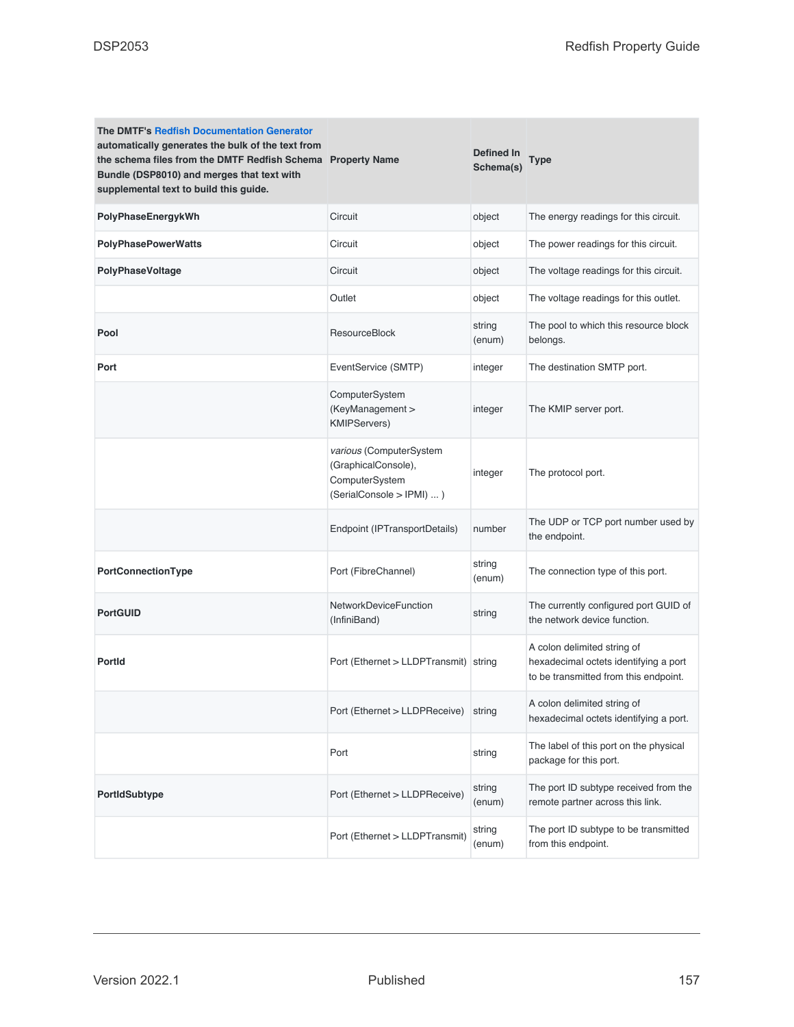| <b>The DMTF's Redfish Documentation Generator</b><br>automatically generates the bulk of the text from<br>the schema files from the DMTF Redfish Schema Property Name<br>Bundle (DSP8010) and merges that text with<br>supplemental text to build this guide. |                                                                                               | Defined In<br>Schema(s) | Type                                                                                                          |
|---------------------------------------------------------------------------------------------------------------------------------------------------------------------------------------------------------------------------------------------------------------|-----------------------------------------------------------------------------------------------|-------------------------|---------------------------------------------------------------------------------------------------------------|
| PolyPhaseEnergykWh                                                                                                                                                                                                                                            | Circuit                                                                                       | object                  | The energy readings for this circuit.                                                                         |
| <b>PolyPhasePowerWatts</b>                                                                                                                                                                                                                                    | Circuit                                                                                       | object                  | The power readings for this circuit.                                                                          |
| PolyPhaseVoltage                                                                                                                                                                                                                                              | Circuit                                                                                       | object                  | The voltage readings for this circuit.                                                                        |
|                                                                                                                                                                                                                                                               | Outlet                                                                                        | object                  | The voltage readings for this outlet.                                                                         |
| Pool                                                                                                                                                                                                                                                          | <b>ResourceBlock</b>                                                                          | string<br>(enum)        | The pool to which this resource block<br>belongs.                                                             |
| Port                                                                                                                                                                                                                                                          | EventService (SMTP)                                                                           | integer                 | The destination SMTP port.                                                                                    |
|                                                                                                                                                                                                                                                               | ComputerSystem<br>(KeyManagement ><br><b>KMIPServers)</b>                                     | integer                 | The KMIP server port.                                                                                         |
|                                                                                                                                                                                                                                                               | various (ComputerSystem<br>(GraphicalConsole),<br>ComputerSystem<br>(SerialConsole > IPMI)  ) | integer                 | The protocol port.                                                                                            |
|                                                                                                                                                                                                                                                               | Endpoint (IPTransportDetails)                                                                 | number                  | The UDP or TCP port number used by<br>the endpoint.                                                           |
| PortConnectionType                                                                                                                                                                                                                                            | Port (FibreChannel)                                                                           | string<br>(enum)        | The connection type of this port.                                                                             |
| <b>PortGUID</b>                                                                                                                                                                                                                                               | <b>NetworkDeviceFunction</b><br>(InfiniBand)                                                  | string                  | The currently configured port GUID of<br>the network device function.                                         |
| <b>PortId</b>                                                                                                                                                                                                                                                 | Port (Ethernet > LLDPTransmit) string                                                         |                         | A colon delimited string of<br>hexadecimal octets identifying a port<br>to be transmitted from this endpoint. |
|                                                                                                                                                                                                                                                               | Port (Ethernet > LLDPReceive)                                                                 | string                  | A colon delimited string of<br>hexadecimal octets identifying a port.                                         |
|                                                                                                                                                                                                                                                               | Port                                                                                          | string                  | The label of this port on the physical<br>package for this port.                                              |
| PortIdSubtype                                                                                                                                                                                                                                                 | Port (Ethernet > LLDPReceive)                                                                 | string<br>(enum)        | The port ID subtype received from the<br>remote partner across this link.                                     |
|                                                                                                                                                                                                                                                               | Port (Ethernet > LLDPTransmit)                                                                | string<br>(enum)        | The port ID subtype to be transmitted<br>from this endpoint.                                                  |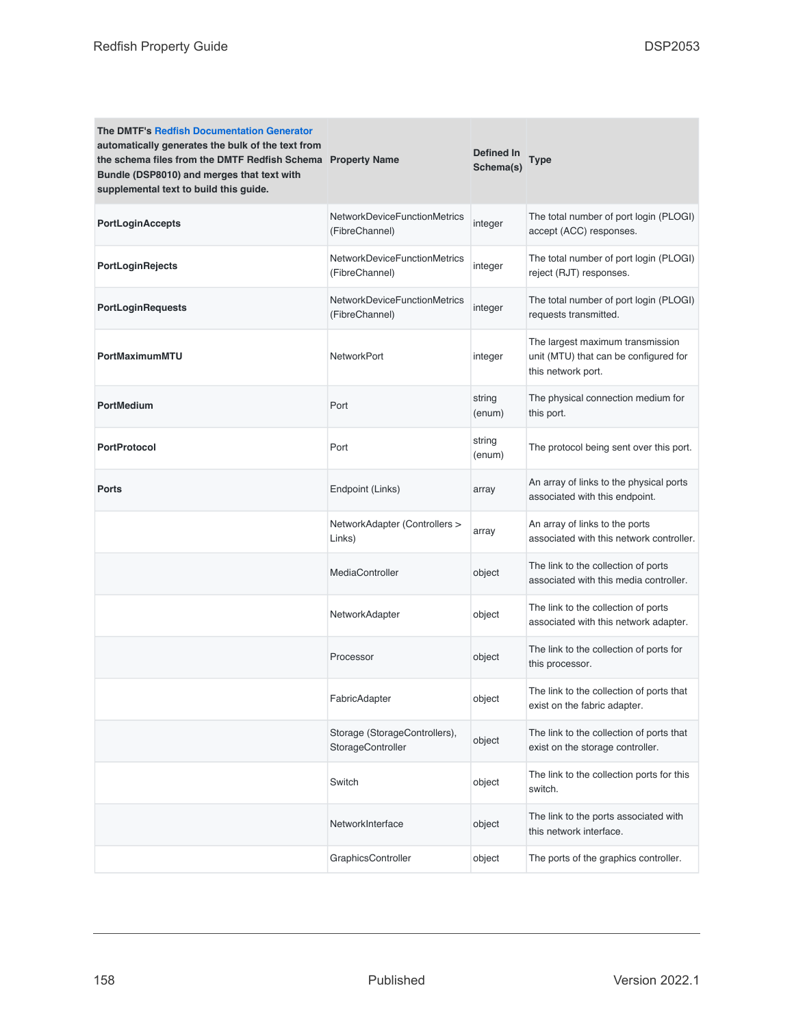| <b>The DMTF's Redfish Documentation Generator</b><br>automatically generates the bulk of the text from<br>the schema files from the DMTF Redfish Schema Property Name<br>Bundle (DSP8010) and merges that text with<br>supplemental text to build this guide. |                                                       | Defined In<br>Schema(s) | Type                                                                                            |
|---------------------------------------------------------------------------------------------------------------------------------------------------------------------------------------------------------------------------------------------------------------|-------------------------------------------------------|-------------------------|-------------------------------------------------------------------------------------------------|
| PortLoginAccepts                                                                                                                                                                                                                                              | NetworkDeviceFunctionMetrics<br>(FibreChannel)        | integer                 | The total number of port login (PLOGI)<br>accept (ACC) responses.                               |
| PortLoginRejects                                                                                                                                                                                                                                              | <b>NetworkDeviceFunctionMetrics</b><br>(FibreChannel) | integer                 | The total number of port login (PLOGI)<br>reject (RJT) responses.                               |
| PortLoginRequests                                                                                                                                                                                                                                             | NetworkDeviceFunctionMetrics<br>(FibreChannel)        | integer                 | The total number of port login (PLOGI)<br>requests transmitted.                                 |
| PortMaximumMTU                                                                                                                                                                                                                                                | <b>NetworkPort</b>                                    | integer                 | The largest maximum transmission<br>unit (MTU) that can be configured for<br>this network port. |
| PortMedium                                                                                                                                                                                                                                                    | Port                                                  | string<br>(enum)        | The physical connection medium for<br>this port.                                                |
| <b>PortProtocol</b>                                                                                                                                                                                                                                           | Port                                                  | string<br>(enum)        | The protocol being sent over this port.                                                         |
| <b>Ports</b>                                                                                                                                                                                                                                                  | Endpoint (Links)                                      | array                   | An array of links to the physical ports<br>associated with this endpoint.                       |
|                                                                                                                                                                                                                                                               | NetworkAdapter (Controllers ><br>Links)               | array                   | An array of links to the ports<br>associated with this network controller.                      |
|                                                                                                                                                                                                                                                               | MediaController                                       | object                  | The link to the collection of ports<br>associated with this media controller.                   |
|                                                                                                                                                                                                                                                               | NetworkAdapter                                        | object                  | The link to the collection of ports<br>associated with this network adapter.                    |
|                                                                                                                                                                                                                                                               | Processor                                             | object                  | The link to the collection of ports for<br>this processor.                                      |
|                                                                                                                                                                                                                                                               | FabricAdapter                                         | object                  | The link to the collection of ports that<br>exist on the fabric adapter.                        |
|                                                                                                                                                                                                                                                               | Storage (StorageControllers),<br>StorageController    | object                  | The link to the collection of ports that<br>exist on the storage controller.                    |
|                                                                                                                                                                                                                                                               | Switch                                                | object                  | The link to the collection ports for this<br>switch.                                            |
|                                                                                                                                                                                                                                                               | NetworkInterface                                      | object                  | The link to the ports associated with<br>this network interface.                                |
|                                                                                                                                                                                                                                                               | GraphicsController                                    | object                  | The ports of the graphics controller.                                                           |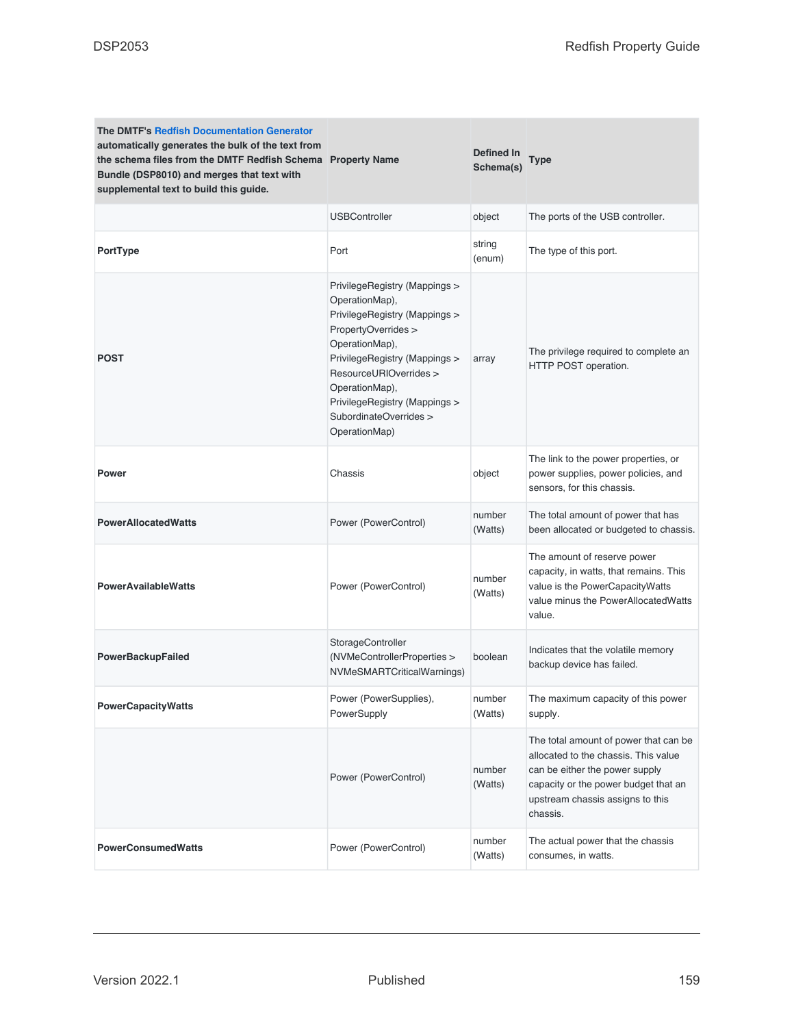| <b>The DMTF's Redfish Documentation Generator</b><br>automatically generates the bulk of the text from<br>the schema files from the DMTF Redfish Schema Property Name<br>Bundle (DSP8010) and merges that text with<br>supplemental text to build this guide. |                                                                                                                                                                                                                                                                                    | Defined In<br>Schema(s) | <b>Type</b>                                                                                                                                                                                             |
|---------------------------------------------------------------------------------------------------------------------------------------------------------------------------------------------------------------------------------------------------------------|------------------------------------------------------------------------------------------------------------------------------------------------------------------------------------------------------------------------------------------------------------------------------------|-------------------------|---------------------------------------------------------------------------------------------------------------------------------------------------------------------------------------------------------|
|                                                                                                                                                                                                                                                               | <b>USBController</b>                                                                                                                                                                                                                                                               | object                  | The ports of the USB controller.                                                                                                                                                                        |
| PortType                                                                                                                                                                                                                                                      | Port                                                                                                                                                                                                                                                                               | string<br>(enum)        | The type of this port.                                                                                                                                                                                  |
| <b>POST</b>                                                                                                                                                                                                                                                   | PrivilegeRegistry (Mappings ><br>OperationMap),<br>PrivilegeRegistry (Mappings ><br>PropertyOverrides ><br>OperationMap),<br>PrivilegeRegistry (Mappings ><br>ResourceURIOverrides ><br>OperationMap),<br>PrivilegeRegistry (Mappings ><br>SubordinateOverrides ><br>OperationMap) | array                   | The privilege required to complete an<br>HTTP POST operation.                                                                                                                                           |
| Power                                                                                                                                                                                                                                                         | Chassis                                                                                                                                                                                                                                                                            | object                  | The link to the power properties, or<br>power supplies, power policies, and<br>sensors, for this chassis.                                                                                               |
| <b>PowerAllocatedWatts</b>                                                                                                                                                                                                                                    | Power (PowerControl)                                                                                                                                                                                                                                                               | number<br>(Watts)       | The total amount of power that has<br>been allocated or budgeted to chassis.                                                                                                                            |
| <b>PowerAvailableWatts</b>                                                                                                                                                                                                                                    | Power (PowerControl)                                                                                                                                                                                                                                                               | number<br>(Watts)       | The amount of reserve power<br>capacity, in watts, that remains. This<br>value is the PowerCapacityWatts<br>value minus the PowerAllocatedWatts<br>value.                                               |
| <b>PowerBackupFailed</b>                                                                                                                                                                                                                                      | StorageController<br>(NVMeControllerProperties ><br>NVMeSMARTCriticalWarnings)                                                                                                                                                                                                     | boolean                 | Indicates that the volatile memory<br>backup device has failed.                                                                                                                                         |
| <b>PowerCapacityWatts</b>                                                                                                                                                                                                                                     | Power (PowerSupplies),<br>PowerSupply                                                                                                                                                                                                                                              | number<br>(Watts)       | The maximum capacity of this power<br>supply.                                                                                                                                                           |
|                                                                                                                                                                                                                                                               | Power (PowerControl)                                                                                                                                                                                                                                                               | number<br>(Watts)       | The total amount of power that can be<br>allocated to the chassis. This value<br>can be either the power supply<br>capacity or the power budget that an<br>upstream chassis assigns to this<br>chassis. |
| <b>PowerConsumedWatts</b>                                                                                                                                                                                                                                     | Power (PowerControl)                                                                                                                                                                                                                                                               | number<br>(Watts)       | The actual power that the chassis<br>consumes, in watts.                                                                                                                                                |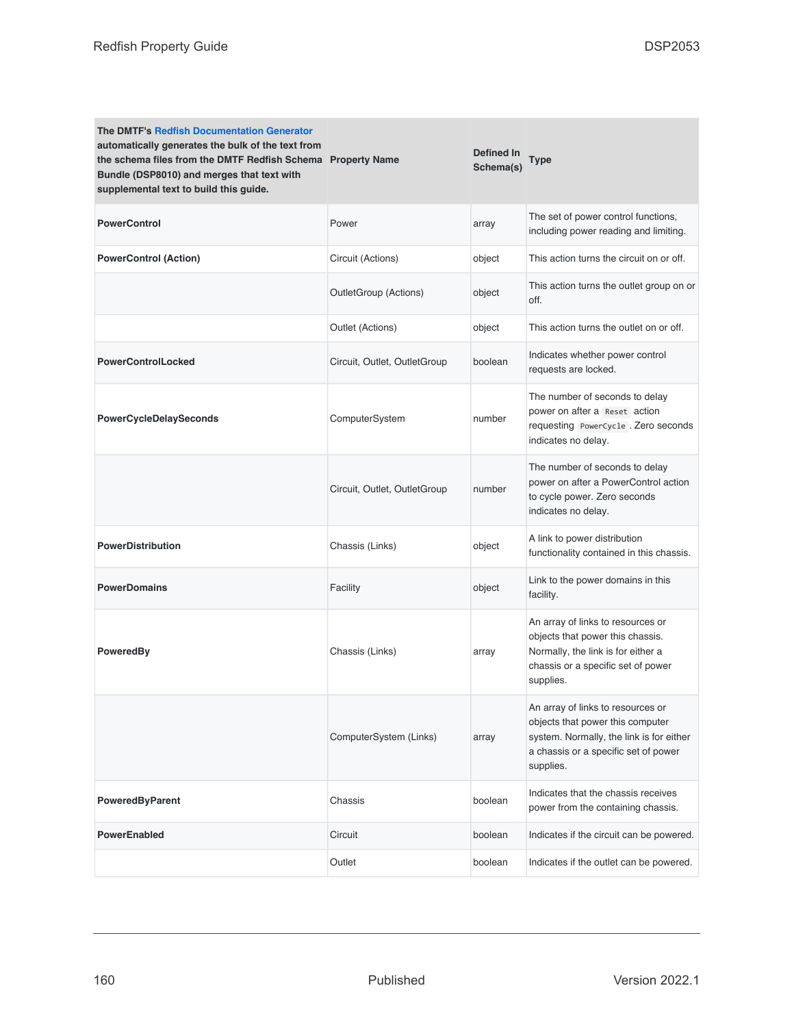| <b>The DMTF's Redfish Documentation Generator</b><br>automatically generates the bulk of the text from<br>the schema files from the DMTF Redfish Schema Property Name<br>Bundle (DSP8010) and merges that text with<br>supplemental text to build this guide. |                              | Defined In<br>Schema(s) | <b>Type</b>                                                                                                                                                            |
|---------------------------------------------------------------------------------------------------------------------------------------------------------------------------------------------------------------------------------------------------------------|------------------------------|-------------------------|------------------------------------------------------------------------------------------------------------------------------------------------------------------------|
| <b>PowerControl</b>                                                                                                                                                                                                                                           | Power                        | array                   | The set of power control functions,<br>including power reading and limiting.                                                                                           |
| <b>PowerControl (Action)</b>                                                                                                                                                                                                                                  | Circuit (Actions)            | object                  | This action turns the circuit on or off.                                                                                                                               |
|                                                                                                                                                                                                                                                               | OutletGroup (Actions)        | object                  | This action turns the outlet group on or<br>off.                                                                                                                       |
|                                                                                                                                                                                                                                                               | Outlet (Actions)             | object                  | This action turns the outlet on or off.                                                                                                                                |
| <b>PowerControlLocked</b>                                                                                                                                                                                                                                     | Circuit, Outlet, OutletGroup | boolean                 | Indicates whether power control<br>requests are locked.                                                                                                                |
| <b>PowerCycleDelaySeconds</b>                                                                                                                                                                                                                                 | ComputerSystem               | number                  | The number of seconds to delay<br>power on after a Reset action<br>requesting PowerCycle. Zero seconds<br>indicates no delay.                                          |
|                                                                                                                                                                                                                                                               | Circuit, Outlet, OutletGroup | number                  | The number of seconds to delay<br>power on after a PowerControl action<br>to cycle power. Zero seconds<br>indicates no delay.                                          |
| <b>PowerDistribution</b>                                                                                                                                                                                                                                      | Chassis (Links)              | object                  | A link to power distribution<br>functionality contained in this chassis.                                                                                               |
| <b>PowerDomains</b>                                                                                                                                                                                                                                           | Facility                     | object                  | Link to the power domains in this<br>facility.                                                                                                                         |
| PoweredBy                                                                                                                                                                                                                                                     | Chassis (Links)              | array                   | An array of links to resources or<br>objects that power this chassis.<br>Normally, the link is for either a<br>chassis or a specific set of power<br>supplies.         |
|                                                                                                                                                                                                                                                               | ComputerSystem (Links)       | array                   | An array of links to resources or<br>objects that power this computer<br>system. Normally, the link is for either<br>a chassis or a specific set of power<br>supplies. |
| <b>PoweredByParent</b>                                                                                                                                                                                                                                        | Chassis                      | boolean                 | Indicates that the chassis receives<br>power from the containing chassis.                                                                                              |
| <b>PowerEnabled</b>                                                                                                                                                                                                                                           | Circuit                      | boolean                 | Indicates if the circuit can be powered.                                                                                                                               |
|                                                                                                                                                                                                                                                               | Outlet                       | boolean                 | Indicates if the outlet can be powered.                                                                                                                                |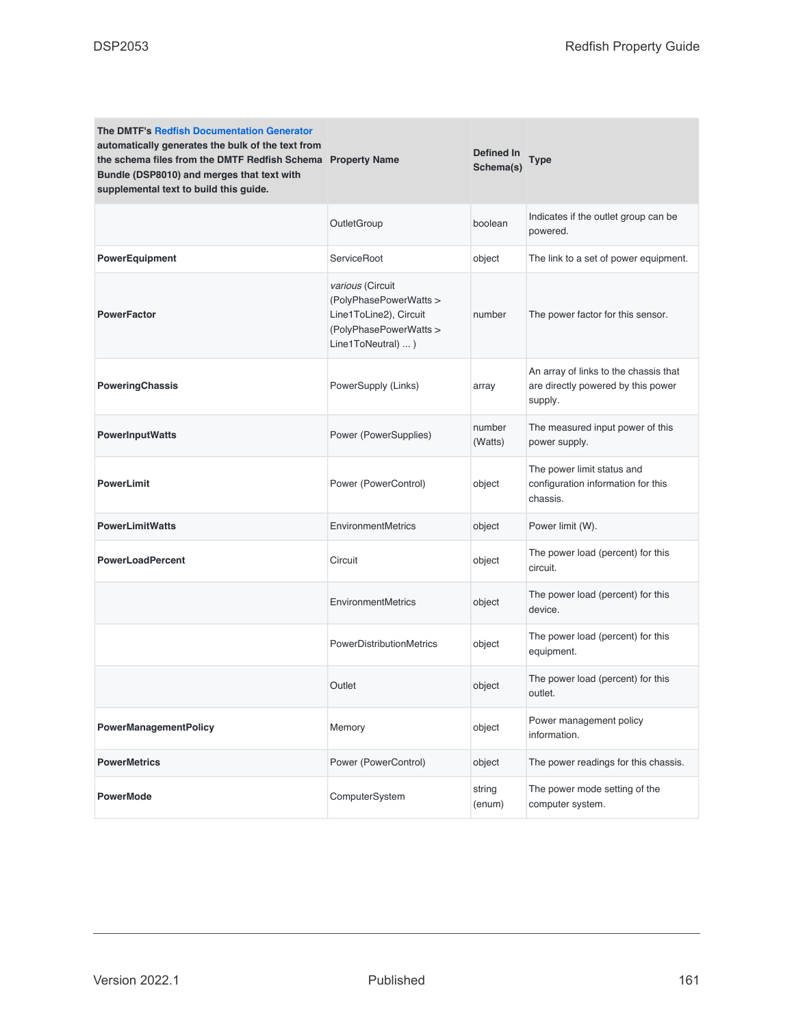| <b>The DMTF's Redfish Documentation Generator</b><br>automatically generates the bulk of the text from<br>the schema files from the DMTF Redfish Schema Property Name<br>Bundle (DSP8010) and merges that text with<br>supplemental text to build this guide. |                                                                                                                             | <b>Defined In</b><br>Schema(s) | Type                                                                                   |
|---------------------------------------------------------------------------------------------------------------------------------------------------------------------------------------------------------------------------------------------------------------|-----------------------------------------------------------------------------------------------------------------------------|--------------------------------|----------------------------------------------------------------------------------------|
|                                                                                                                                                                                                                                                               | OutletGroup                                                                                                                 | boolean                        | Indicates if the outlet group can be<br>powered.                                       |
| <b>PowerEquipment</b>                                                                                                                                                                                                                                         | ServiceRoot                                                                                                                 | object                         | The link to a set of power equipment.                                                  |
| <b>PowerFactor</b>                                                                                                                                                                                                                                            | <i>various</i> (Circuit<br>(PolyPhasePowerWatts ><br>Line1ToLine2), Circuit<br>(PolyPhasePowerWatts ><br>Line1ToNeutral)  ) | number                         | The power factor for this sensor.                                                      |
| PoweringChassis                                                                                                                                                                                                                                               | PowerSupply (Links)                                                                                                         | array                          | An array of links to the chassis that<br>are directly powered by this power<br>supply. |
| <b>PowerInputWatts</b>                                                                                                                                                                                                                                        | Power (PowerSupplies)                                                                                                       | number<br>(Watts)              | The measured input power of this<br>power supply.                                      |
| <b>PowerLimit</b>                                                                                                                                                                                                                                             | Power (PowerControl)                                                                                                        | object                         | The power limit status and<br>configuration information for this<br>chassis.           |
| <b>PowerLimitWatts</b>                                                                                                                                                                                                                                        | <b>EnvironmentMetrics</b>                                                                                                   | object                         | Power limit (W).                                                                       |
| <b>PowerLoadPercent</b>                                                                                                                                                                                                                                       | Circuit                                                                                                                     | object                         | The power load (percent) for this<br>circuit.                                          |
|                                                                                                                                                                                                                                                               | EnvironmentMetrics                                                                                                          | object                         | The power load (percent) for this<br>device.                                           |
|                                                                                                                                                                                                                                                               | PowerDistributionMetrics                                                                                                    | object                         | The power load (percent) for this<br>equipment.                                        |
|                                                                                                                                                                                                                                                               | Outlet                                                                                                                      | object                         | The power load (percent) for this<br>outlet.                                           |
| PowerManagementPolicy                                                                                                                                                                                                                                         | Memory                                                                                                                      | object                         | Power management policy<br>information.                                                |
| <b>PowerMetrics</b>                                                                                                                                                                                                                                           | Power (PowerControl)                                                                                                        | object                         | The power readings for this chassis.                                                   |
| <b>PowerMode</b>                                                                                                                                                                                                                                              | ComputerSystem                                                                                                              | string<br>(enum)               | The power mode setting of the<br>computer system.                                      |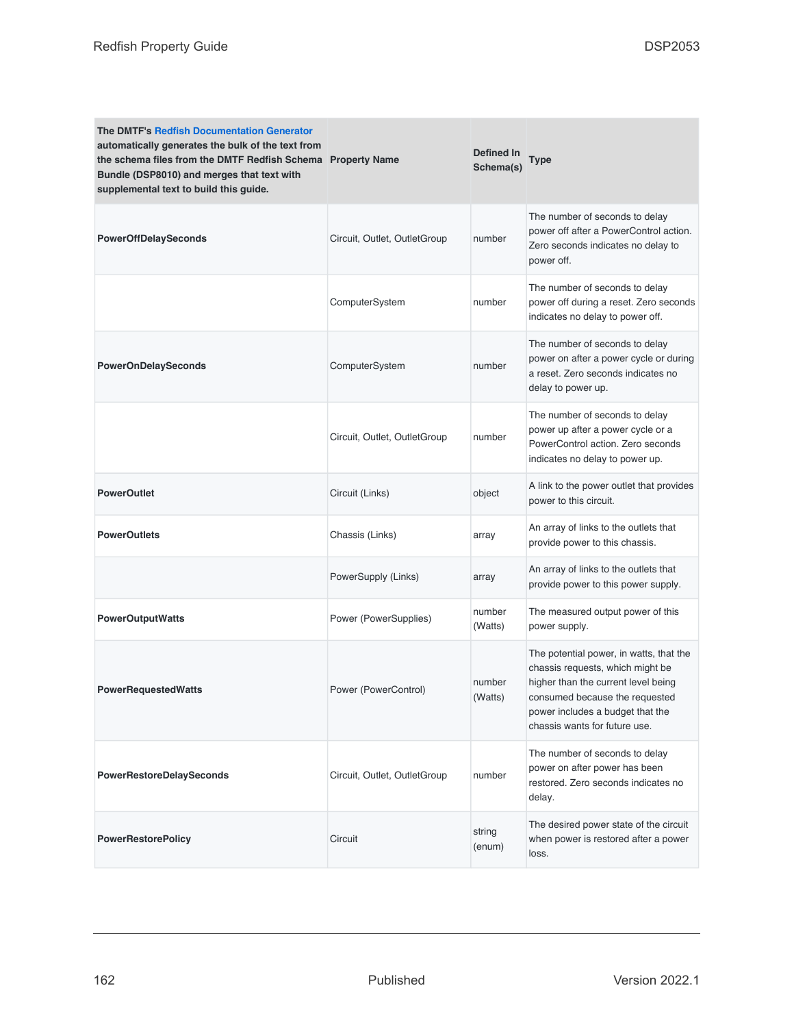| <b>The DMTF's Redfish Documentation Generator</b><br>automatically generates the bulk of the text from<br>the schema files from the DMTF Redfish Schema Property Name<br>Bundle (DSP8010) and merges that text with<br>supplemental text to build this guide. |                              | Defined In<br>Schema(s) | <b>Type</b>                                                                                                                                                                                                               |
|---------------------------------------------------------------------------------------------------------------------------------------------------------------------------------------------------------------------------------------------------------------|------------------------------|-------------------------|---------------------------------------------------------------------------------------------------------------------------------------------------------------------------------------------------------------------------|
| <b>PowerOffDelaySeconds</b>                                                                                                                                                                                                                                   | Circuit, Outlet, OutletGroup | number                  | The number of seconds to delay<br>power off after a PowerControl action.<br>Zero seconds indicates no delay to<br>power off.                                                                                              |
|                                                                                                                                                                                                                                                               | ComputerSystem               | number                  | The number of seconds to delay<br>power off during a reset. Zero seconds<br>indicates no delay to power off.                                                                                                              |
| <b>PowerOnDelaySeconds</b>                                                                                                                                                                                                                                    | ComputerSystem               | number                  | The number of seconds to delay<br>power on after a power cycle or during<br>a reset. Zero seconds indicates no<br>delay to power up.                                                                                      |
|                                                                                                                                                                                                                                                               | Circuit, Outlet, OutletGroup | number                  | The number of seconds to delay<br>power up after a power cycle or a<br>PowerControl action. Zero seconds<br>indicates no delay to power up.                                                                               |
| <b>PowerOutlet</b>                                                                                                                                                                                                                                            | Circuit (Links)              | object                  | A link to the power outlet that provides<br>power to this circuit.                                                                                                                                                        |
| <b>PowerOutlets</b>                                                                                                                                                                                                                                           | Chassis (Links)              | array                   | An array of links to the outlets that<br>provide power to this chassis.                                                                                                                                                   |
|                                                                                                                                                                                                                                                               | PowerSupply (Links)          | array                   | An array of links to the outlets that<br>provide power to this power supply.                                                                                                                                              |
| <b>PowerOutputWatts</b>                                                                                                                                                                                                                                       | Power (PowerSupplies)        | number<br>(Watts)       | The measured output power of this<br>power supply.                                                                                                                                                                        |
| <b>PowerRequestedWatts</b>                                                                                                                                                                                                                                    | Power (PowerControl)         | number<br>(Watts)       | The potential power, in watts, that the<br>chassis requests, which might be<br>higher than the current level being<br>consumed because the requested<br>power includes a budget that the<br>chassis wants for future use. |
| <b>PowerRestoreDelaySeconds</b>                                                                                                                                                                                                                               | Circuit, Outlet, OutletGroup | number                  | The number of seconds to delay<br>power on after power has been<br>restored. Zero seconds indicates no<br>delay.                                                                                                          |
| <b>PowerRestorePolicy</b>                                                                                                                                                                                                                                     | Circuit                      | string<br>(enum)        | The desired power state of the circuit<br>when power is restored after a power<br>loss.                                                                                                                                   |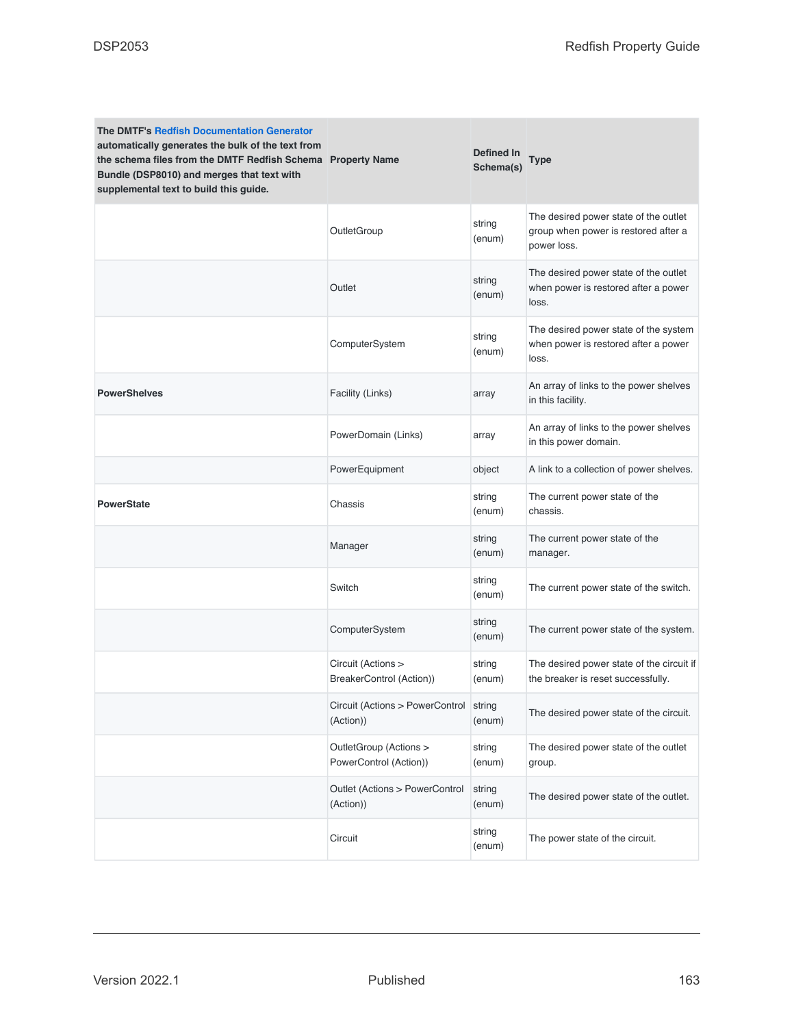| <b>The DMTF's Redfish Documentation Generator</b><br>automatically generates the bulk of the text from<br>the schema files from the DMTF Redfish Schema Property Name<br>Bundle (DSP8010) and merges that text with<br>supplemental text to build this guide. |                                                  | Defined In<br>Schema(s) | Type                                                                                         |
|---------------------------------------------------------------------------------------------------------------------------------------------------------------------------------------------------------------------------------------------------------------|--------------------------------------------------|-------------------------|----------------------------------------------------------------------------------------------|
|                                                                                                                                                                                                                                                               | OutletGroup                                      | string<br>(enum)        | The desired power state of the outlet<br>group when power is restored after a<br>power loss. |
|                                                                                                                                                                                                                                                               | Outlet                                           | string<br>(enum)        | The desired power state of the outlet<br>when power is restored after a power<br>loss.       |
|                                                                                                                                                                                                                                                               | ComputerSystem                                   | string<br>(enum)        | The desired power state of the system<br>when power is restored after a power<br>loss.       |
| <b>PowerShelves</b>                                                                                                                                                                                                                                           | Facility (Links)                                 | array                   | An array of links to the power shelves<br>in this facility.                                  |
|                                                                                                                                                                                                                                                               | PowerDomain (Links)                              | array                   | An array of links to the power shelves<br>in this power domain.                              |
|                                                                                                                                                                                                                                                               | PowerEquipment                                   | object                  | A link to a collection of power shelves.                                                     |
| <b>PowerState</b>                                                                                                                                                                                                                                             | Chassis                                          | string<br>(enum)        | The current power state of the<br>chassis.                                                   |
|                                                                                                                                                                                                                                                               | Manager                                          | string<br>(enum)        | The current power state of the<br>manager.                                                   |
|                                                                                                                                                                                                                                                               | Switch                                           | string<br>(enum)        | The current power state of the switch.                                                       |
|                                                                                                                                                                                                                                                               | ComputerSystem                                   | string<br>(enum)        | The current power state of the system.                                                       |
|                                                                                                                                                                                                                                                               | Circuit (Actions ><br>BreakerControl (Action))   | string<br>(enum)        | The desired power state of the circuit if<br>the breaker is reset successfully.              |
|                                                                                                                                                                                                                                                               | Circuit (Actions > PowerControl<br>(Action))     | string<br>(enum)        | The desired power state of the circuit.                                                      |
|                                                                                                                                                                                                                                                               | OutletGroup (Actions ><br>PowerControl (Action)) | string<br>(enum)        | The desired power state of the outlet<br>group.                                              |
|                                                                                                                                                                                                                                                               | Outlet (Actions > PowerControl<br>(Action))      | string<br>(enum)        | The desired power state of the outlet.                                                       |
|                                                                                                                                                                                                                                                               | Circuit                                          | string<br>(enum)        | The power state of the circuit.                                                              |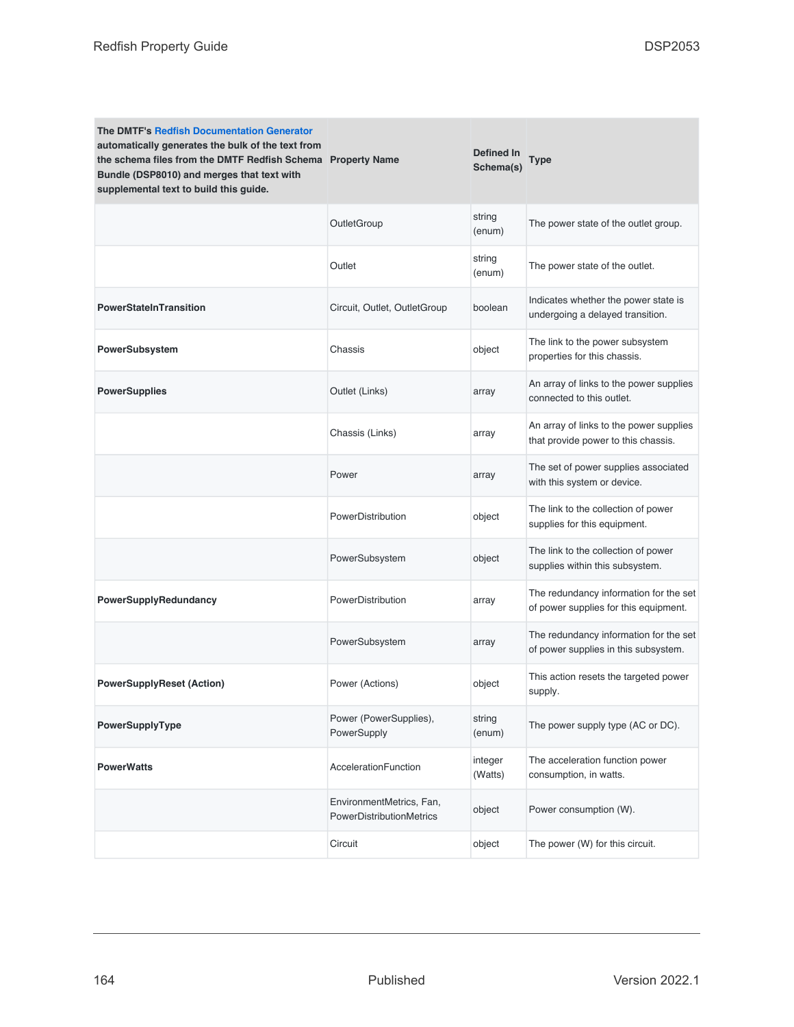| <b>The DMTF's Redfish Documentation Generator</b><br>automatically generates the bulk of the text from<br>the schema files from the DMTF Redfish Schema Property Name<br>Bundle (DSP8010) and merges that text with<br>supplemental text to build this guide. |                                                             | Defined In<br>Schema(s) | <b>Type</b>                                                                     |
|---------------------------------------------------------------------------------------------------------------------------------------------------------------------------------------------------------------------------------------------------------------|-------------------------------------------------------------|-------------------------|---------------------------------------------------------------------------------|
|                                                                                                                                                                                                                                                               | OutletGroup                                                 | string<br>(enum)        | The power state of the outlet group.                                            |
|                                                                                                                                                                                                                                                               | Outlet                                                      | string<br>(enum)        | The power state of the outlet.                                                  |
| <b>PowerStateInTransition</b>                                                                                                                                                                                                                                 | Circuit, Outlet, OutletGroup                                | boolean                 | Indicates whether the power state is<br>undergoing a delayed transition.        |
| PowerSubsystem                                                                                                                                                                                                                                                | Chassis                                                     | object                  | The link to the power subsystem<br>properties for this chassis.                 |
| <b>PowerSupplies</b>                                                                                                                                                                                                                                          | Outlet (Links)                                              | array                   | An array of links to the power supplies<br>connected to this outlet.            |
|                                                                                                                                                                                                                                                               | Chassis (Links)                                             | array                   | An array of links to the power supplies<br>that provide power to this chassis.  |
|                                                                                                                                                                                                                                                               | Power                                                       | array                   | The set of power supplies associated<br>with this system or device.             |
|                                                                                                                                                                                                                                                               | PowerDistribution                                           | object                  | The link to the collection of power<br>supplies for this equipment.             |
|                                                                                                                                                                                                                                                               | PowerSubsystem                                              | object                  | The link to the collection of power<br>supplies within this subsystem.          |
| PowerSupplyRedundancy                                                                                                                                                                                                                                         | PowerDistribution                                           | array                   | The redundancy information for the set<br>of power supplies for this equipment. |
|                                                                                                                                                                                                                                                               | PowerSubsystem                                              | array                   | The redundancy information for the set<br>of power supplies in this subsystem.  |
| <b>PowerSupplyReset (Action)</b>                                                                                                                                                                                                                              | Power (Actions)                                             | object                  | This action resets the targeted power<br>supply.                                |
| PowerSupplyType                                                                                                                                                                                                                                               | Power (PowerSupplies),<br>PowerSupply                       | string<br>(enum)        | The power supply type (AC or DC).                                               |
| <b>PowerWatts</b>                                                                                                                                                                                                                                             | AccelerationFunction                                        | integer<br>(Watts)      | The acceleration function power<br>consumption, in watts.                       |
|                                                                                                                                                                                                                                                               | EnvironmentMetrics, Fan,<br><b>PowerDistributionMetrics</b> | object                  | Power consumption (W).                                                          |
|                                                                                                                                                                                                                                                               | Circuit                                                     | object                  | The power (W) for this circuit.                                                 |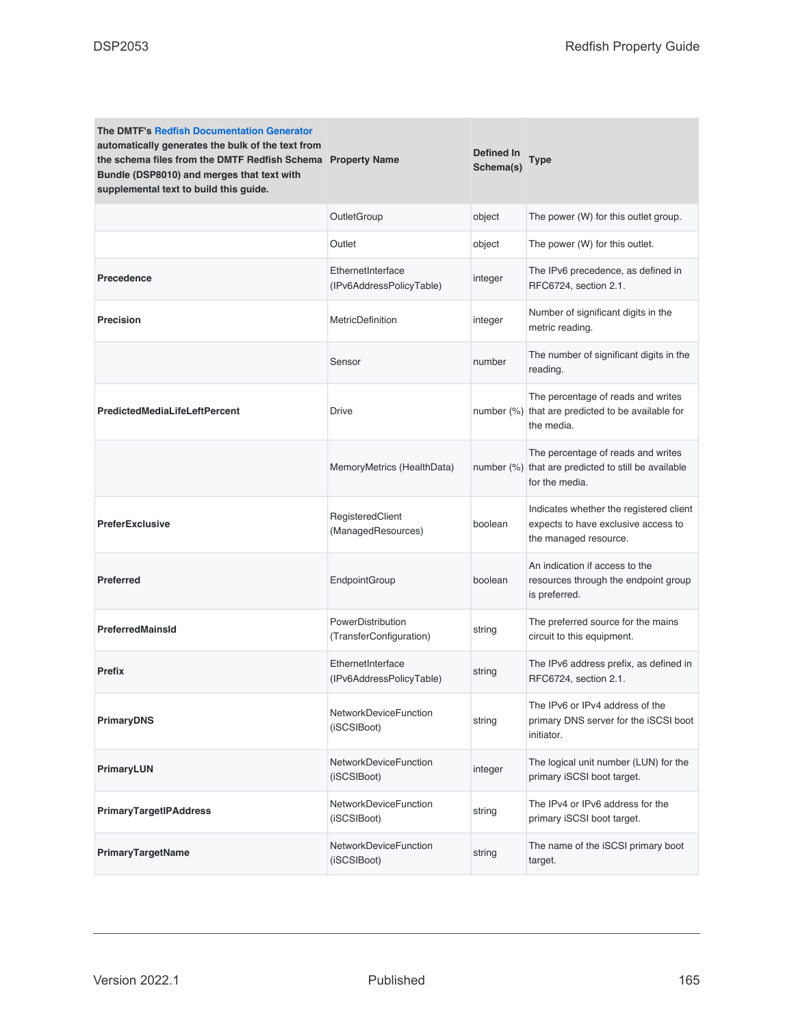| <b>The DMTF's Redfish Documentation Generator</b><br>automatically generates the bulk of the text from<br>the schema files from the DMTF Redfish Schema Property Name<br>Bundle (DSP8010) and merges that text with<br>supplemental text to build this guide. |                                               | Defined In<br>Schema(s) | Type                                                                                                        |
|---------------------------------------------------------------------------------------------------------------------------------------------------------------------------------------------------------------------------------------------------------------|-----------------------------------------------|-------------------------|-------------------------------------------------------------------------------------------------------------|
|                                                                                                                                                                                                                                                               | OutletGroup                                   | object                  | The power (W) for this outlet group.                                                                        |
|                                                                                                                                                                                                                                                               | Outlet                                        | object                  | The power (W) for this outlet.                                                                              |
| Precedence                                                                                                                                                                                                                                                    | EthernetInterface<br>(IPv6AddressPolicyTable) | integer                 | The IPv6 precedence, as defined in<br>RFC6724, section 2.1.                                                 |
| <b>Precision</b>                                                                                                                                                                                                                                              | MetricDefinition                              | integer                 | Number of significant digits in the<br>metric reading.                                                      |
|                                                                                                                                                                                                                                                               | Sensor                                        | number                  | The number of significant digits in the<br>reading.                                                         |
| <b>PredictedMediaLifeLeftPercent</b>                                                                                                                                                                                                                          | Drive                                         |                         | The percentage of reads and writes<br>number (%) that are predicted to be available for<br>the media.       |
|                                                                                                                                                                                                                                                               | MemoryMetrics (HealthData)                    |                         | The percentage of reads and writes<br>number (%) that are predicted to still be available<br>for the media. |
| <b>PreferExclusive</b>                                                                                                                                                                                                                                        | RegisteredClient<br>(ManagedResources)        | boolean                 | Indicates whether the registered client<br>expects to have exclusive access to<br>the managed resource.     |
| <b>Preferred</b>                                                                                                                                                                                                                                              | EndpointGroup                                 | boolean                 | An indication if access to the<br>resources through the endpoint group<br>is preferred.                     |
| <b>PreferredMainsId</b>                                                                                                                                                                                                                                       | PowerDistribution<br>(TransferConfiguration)  | string                  | The preferred source for the mains<br>circuit to this equipment.                                            |
| <b>Prefix</b>                                                                                                                                                                                                                                                 | EthernetInterface<br>(IPv6AddressPolicyTable) | string                  | The IPv6 address prefix, as defined in<br>RFC6724, section 2.1.                                             |
| <b>PrimaryDNS</b>                                                                                                                                                                                                                                             | NetworkDeviceFunction<br>(iSCSIBoot)          | string                  | The IPv6 or IPv4 address of the<br>primary DNS server for the iSCSI boot<br>initiator.                      |
| PrimaryLUN                                                                                                                                                                                                                                                    | <b>NetworkDeviceFunction</b><br>(iSCSIBoot)   | integer                 | The logical unit number (LUN) for the<br>primary iSCSI boot target.                                         |
| <b>PrimaryTargetIPAddress</b>                                                                                                                                                                                                                                 | <b>NetworkDeviceFunction</b><br>(iSCSIBoot)   | string                  | The IPv4 or IPv6 address for the<br>primary iSCSI boot target.                                              |
| PrimaryTargetName                                                                                                                                                                                                                                             | <b>NetworkDeviceFunction</b><br>(iSCSIBoot)   | string                  | The name of the iSCSI primary boot<br>target.                                                               |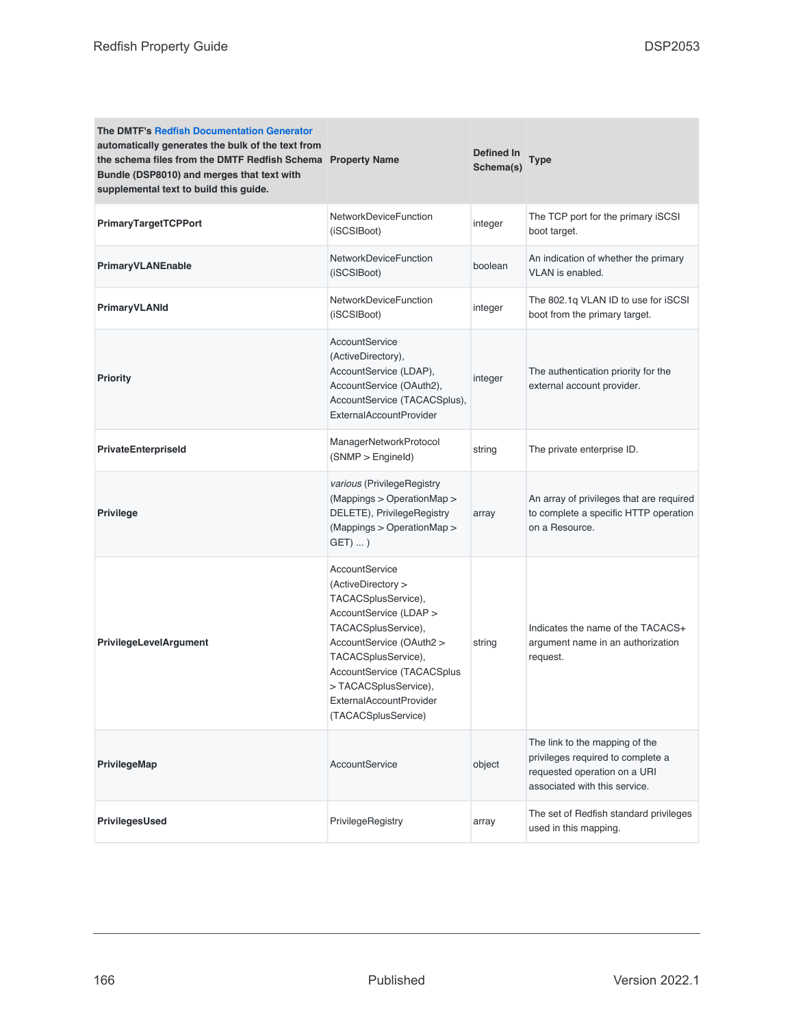| <b>The DMTF's Redfish Documentation Generator</b><br>automatically generates the bulk of the text from<br>the schema files from the DMTF Redfish Schema Property Name<br>Bundle (DSP8010) and merges that text with<br>supplemental text to build this guide. |                                                                                                                                                                                                                                                                                | Defined In<br>Schema(s) | Type                                                                                                                                 |
|---------------------------------------------------------------------------------------------------------------------------------------------------------------------------------------------------------------------------------------------------------------|--------------------------------------------------------------------------------------------------------------------------------------------------------------------------------------------------------------------------------------------------------------------------------|-------------------------|--------------------------------------------------------------------------------------------------------------------------------------|
| <b>PrimaryTargetTCPPort</b>                                                                                                                                                                                                                                   | NetworkDeviceFunction<br>(iSCSIBoot)                                                                                                                                                                                                                                           | integer                 | The TCP port for the primary iSCSI<br>boot target.                                                                                   |
| PrimaryVLANEnable                                                                                                                                                                                                                                             | NetworkDeviceFunction<br>(iSCSIBoot)                                                                                                                                                                                                                                           | boolean                 | An indication of whether the primary<br>VLAN is enabled.                                                                             |
| PrimaryVLANId                                                                                                                                                                                                                                                 | NetworkDeviceFunction<br>(iSCSIBoot)                                                                                                                                                                                                                                           | integer                 | The 802.1q VLAN ID to use for iSCSI<br>boot from the primary target.                                                                 |
| <b>Priority</b>                                                                                                                                                                                                                                               | AccountService<br>(ActiveDirectory),<br>AccountService (LDAP),<br>AccountService (OAuth2),<br>AccountService (TACACSplus),<br><b>ExternalAccountProvider</b>                                                                                                                   | integer                 | The authentication priority for the<br>external account provider.                                                                    |
| <b>PrivateEnterpriseld</b>                                                                                                                                                                                                                                    | ManagerNetworkProtocol<br>(SNMP > Engineld)                                                                                                                                                                                                                                    | string                  | The private enterprise ID.                                                                                                           |
| <b>Privilege</b>                                                                                                                                                                                                                                              | various (PrivilegeRegistry<br>(Mappings > OperationMap ><br>DELETE), PrivilegeRegistry<br>(Mappings > OperationMap ><br>$GET) $ )                                                                                                                                              | array                   | An array of privileges that are required<br>to complete a specific HTTP operation<br>on a Resource.                                  |
| <b>PrivilegeLevelArgument</b>                                                                                                                                                                                                                                 | <b>AccountService</b><br>(ActiveDirectory ><br>TACACSplusService),<br>AccountService (LDAP ><br>TACACSplusService),<br>AccountService (OAuth2 ><br>TACACSplusService),<br>AccountService (TACACSplus<br>>TACACSplusService),<br>ExternalAccountProvider<br>(TACACSplusService) | string                  | Indicates the name of the TACACS+<br>argument name in an authorization<br>request.                                                   |
| PrivilegeMap                                                                                                                                                                                                                                                  | AccountService                                                                                                                                                                                                                                                                 | object                  | The link to the mapping of the<br>privileges required to complete a<br>requested operation on a URI<br>associated with this service. |
| PrivilegesUsed                                                                                                                                                                                                                                                | PrivilegeRegistry                                                                                                                                                                                                                                                              | array                   | The set of Redfish standard privileges<br>used in this mapping.                                                                      |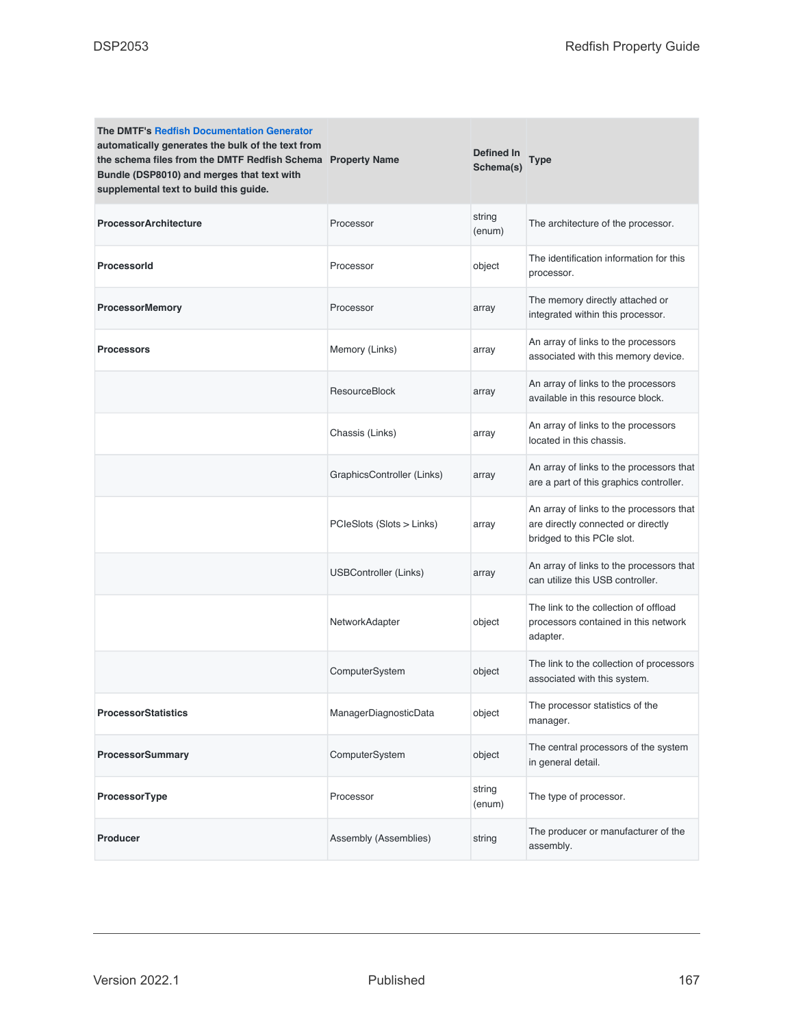| <b>The DMTF's Redfish Documentation Generator</b><br>automatically generates the bulk of the text from<br>the schema files from the DMTF Redfish Schema Property Name<br>Bundle (DSP8010) and merges that text with<br>supplemental text to build this guide. |                              | <b>Defined In</b><br>Schema(s) | <b>Type</b>                                                                                                  |
|---------------------------------------------------------------------------------------------------------------------------------------------------------------------------------------------------------------------------------------------------------------|------------------------------|--------------------------------|--------------------------------------------------------------------------------------------------------------|
| <b>ProcessorArchitecture</b>                                                                                                                                                                                                                                  | Processor                    | string<br>(enum)               | The architecture of the processor.                                                                           |
| ProcessorId                                                                                                                                                                                                                                                   | Processor                    | object                         | The identification information for this<br>processor.                                                        |
| <b>ProcessorMemory</b>                                                                                                                                                                                                                                        | Processor                    | array                          | The memory directly attached or<br>integrated within this processor.                                         |
| <b>Processors</b>                                                                                                                                                                                                                                             | Memory (Links)               | array                          | An array of links to the processors<br>associated with this memory device.                                   |
|                                                                                                                                                                                                                                                               | <b>ResourceBlock</b>         | array                          | An array of links to the processors<br>available in this resource block.                                     |
|                                                                                                                                                                                                                                                               | Chassis (Links)              | array                          | An array of links to the processors<br>located in this chassis.                                              |
|                                                                                                                                                                                                                                                               | GraphicsController (Links)   | array                          | An array of links to the processors that<br>are a part of this graphics controller.                          |
|                                                                                                                                                                                                                                                               | PCIeSlots (Slots > Links)    | array                          | An array of links to the processors that<br>are directly connected or directly<br>bridged to this PCIe slot. |
|                                                                                                                                                                                                                                                               | <b>USBController (Links)</b> | array                          | An array of links to the processors that<br>can utilize this USB controller.                                 |
|                                                                                                                                                                                                                                                               | NetworkAdapter               | object                         | The link to the collection of offload<br>processors contained in this network<br>adapter.                    |
|                                                                                                                                                                                                                                                               | ComputerSystem               | object                         | The link to the collection of processors<br>associated with this system.                                     |
| <b>ProcessorStatistics</b>                                                                                                                                                                                                                                    | ManagerDiagnosticData        | object                         | The processor statistics of the<br>manager.                                                                  |
| <b>ProcessorSummary</b>                                                                                                                                                                                                                                       | ComputerSystem               | object                         | The central processors of the system<br>in general detail.                                                   |
| ProcessorType                                                                                                                                                                                                                                                 | Processor                    | string<br>(enum)               | The type of processor.                                                                                       |
| <b>Producer</b>                                                                                                                                                                                                                                               | Assembly (Assemblies)        | string                         | The producer or manufacturer of the<br>assembly.                                                             |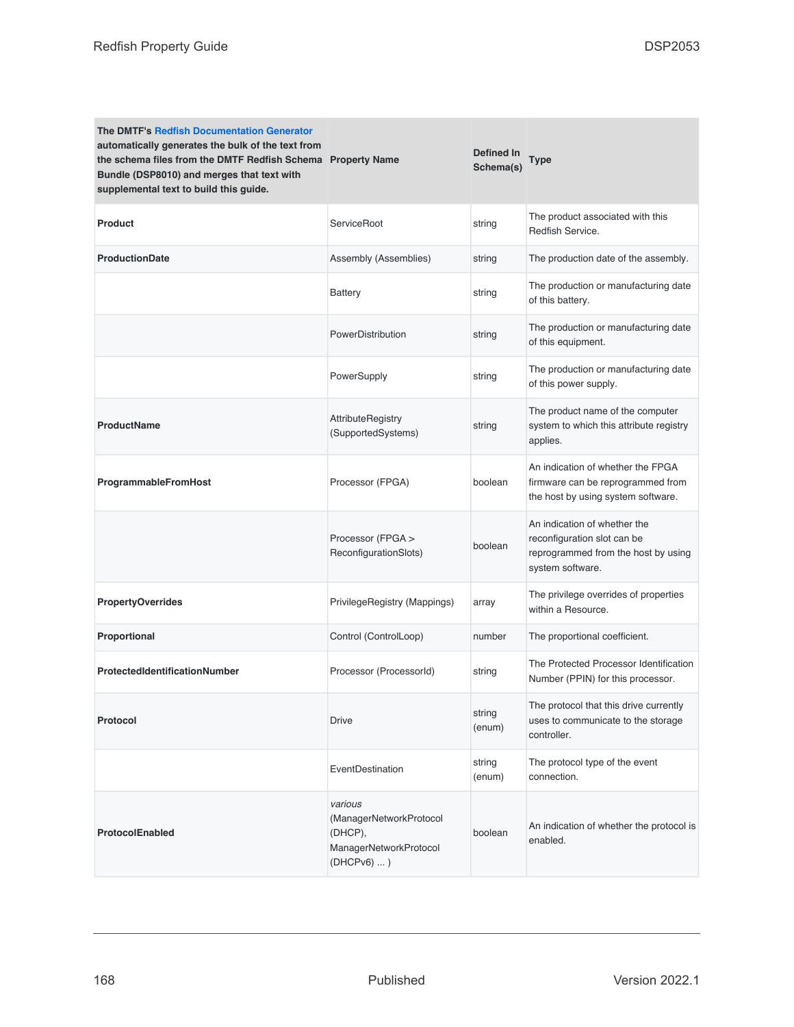| <b>The DMTF's Redfish Documentation Generator</b><br>automatically generates the bulk of the text from<br>the schema files from the DMTF Redfish Schema Property Name<br>Bundle (DSP8010) and merges that text with<br>supplemental text to build this guide. |                                                                                         | Defined In<br>Schema(s) | <b>Type</b>                                                                                                            |
|---------------------------------------------------------------------------------------------------------------------------------------------------------------------------------------------------------------------------------------------------------------|-----------------------------------------------------------------------------------------|-------------------------|------------------------------------------------------------------------------------------------------------------------|
| Product                                                                                                                                                                                                                                                       | ServiceRoot                                                                             | string                  | The product associated with this<br>Redfish Service.                                                                   |
| <b>ProductionDate</b>                                                                                                                                                                                                                                         | Assembly (Assemblies)                                                                   | string                  | The production date of the assembly.                                                                                   |
|                                                                                                                                                                                                                                                               | <b>Battery</b>                                                                          | string                  | The production or manufacturing date<br>of this battery.                                                               |
|                                                                                                                                                                                                                                                               | PowerDistribution                                                                       | string                  | The production or manufacturing date<br>of this equipment.                                                             |
|                                                                                                                                                                                                                                                               | PowerSupply                                                                             | string                  | The production or manufacturing date<br>of this power supply.                                                          |
| <b>ProductName</b>                                                                                                                                                                                                                                            | <b>AttributeRegistry</b><br>(SupportedSystems)                                          | string                  | The product name of the computer<br>system to which this attribute registry<br>applies.                                |
| ProgrammableFromHost                                                                                                                                                                                                                                          | Processor (FPGA)                                                                        | boolean                 | An indication of whether the FPGA<br>firmware can be reprogrammed from<br>the host by using system software.           |
|                                                                                                                                                                                                                                                               | Processor (FPGA ><br>ReconfigurationSlots)                                              | boolean                 | An indication of whether the<br>reconfiguration slot can be<br>reprogrammed from the host by using<br>system software. |
| <b>PropertyOverrides</b>                                                                                                                                                                                                                                      | PrivilegeRegistry (Mappings)                                                            | array                   | The privilege overrides of properties<br>within a Resource.                                                            |
| Proportional                                                                                                                                                                                                                                                  | Control (ControlLoop)                                                                   | number                  | The proportional coefficient.                                                                                          |
| ProtectedIdentificationNumber                                                                                                                                                                                                                                 | Processor (ProcessorId)                                                                 | string                  | The Protected Processor Identification<br>Number (PPIN) for this processor.                                            |
| Protocol                                                                                                                                                                                                                                                      | <b>Drive</b>                                                                            | string<br>(enum)        | The protocol that this drive currently<br>uses to communicate to the storage<br>controller.                            |
|                                                                                                                                                                                                                                                               | EventDestination                                                                        | string<br>(enum)        | The protocol type of the event<br>connection.                                                                          |
| ProtocolEnabled                                                                                                                                                                                                                                               | various<br>(ManagerNetworkProtocol<br>(DHCP),<br>ManagerNetworkProtocol<br>$(DHCPv6)$ ) | boolean                 | An indication of whether the protocol is<br>enabled.                                                                   |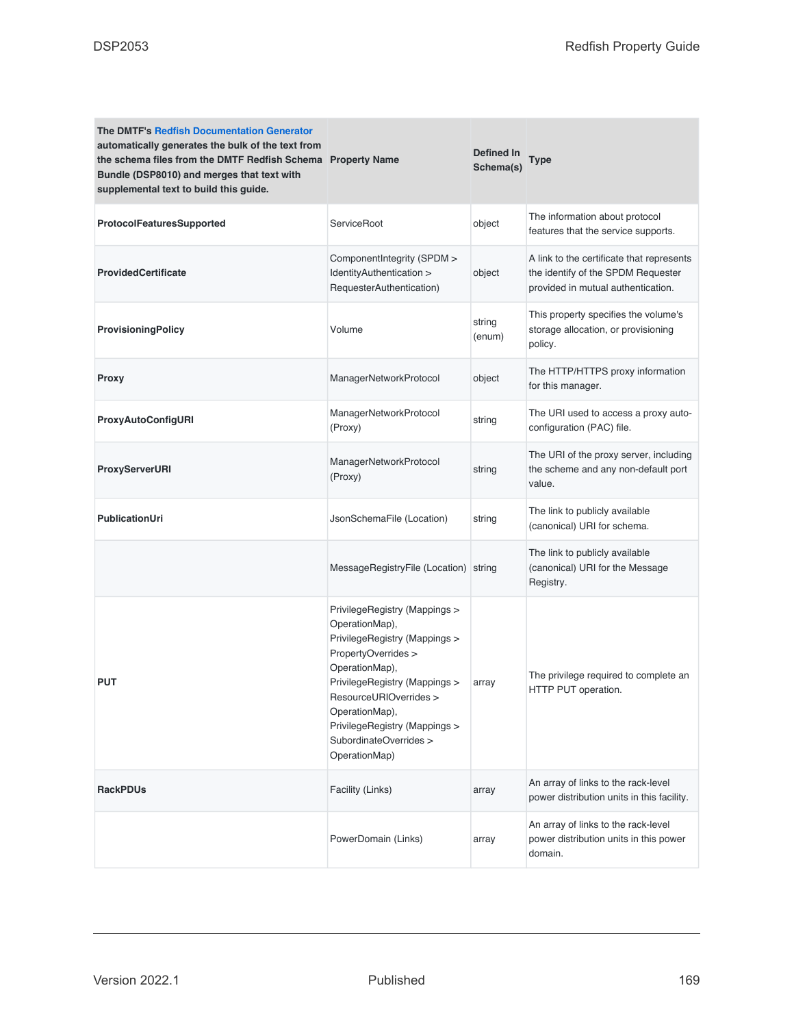| <b>The DMTF's Redfish Documentation Generator</b><br>automatically generates the bulk of the text from<br>the schema files from the DMTF Redfish Schema Property Name<br>Bundle (DSP8010) and merges that text with<br>supplemental text to build this guide. |                                                                                                                                                                                                                                                                                    | <b>Defined In</b><br>Schema(s) | Type                                                                                                                  |
|---------------------------------------------------------------------------------------------------------------------------------------------------------------------------------------------------------------------------------------------------------------|------------------------------------------------------------------------------------------------------------------------------------------------------------------------------------------------------------------------------------------------------------------------------------|--------------------------------|-----------------------------------------------------------------------------------------------------------------------|
| ProtocolFeaturesSupported                                                                                                                                                                                                                                     | ServiceRoot                                                                                                                                                                                                                                                                        | object                         | The information about protocol<br>features that the service supports.                                                 |
| <b>ProvidedCertificate</b>                                                                                                                                                                                                                                    | ComponentIntegrity (SPDM ><br>IdentityAuthentication ><br>RequesterAuthentication)                                                                                                                                                                                                 | object                         | A link to the certificate that represents<br>the identify of the SPDM Requester<br>provided in mutual authentication. |
| <b>ProvisioningPolicy</b>                                                                                                                                                                                                                                     | Volume                                                                                                                                                                                                                                                                             | string<br>(enum)               | This property specifies the volume's<br>storage allocation, or provisioning<br>policy.                                |
| Proxy                                                                                                                                                                                                                                                         | ManagerNetworkProtocol                                                                                                                                                                                                                                                             | object                         | The HTTP/HTTPS proxy information<br>for this manager.                                                                 |
| ProxyAutoConfigURI                                                                                                                                                                                                                                            | ManagerNetworkProtocol<br>(Proxy)                                                                                                                                                                                                                                                  | string                         | The URI used to access a proxy auto-<br>configuration (PAC) file.                                                     |
| ProxyServerURI                                                                                                                                                                                                                                                | ManagerNetworkProtocol<br>(Proxy)                                                                                                                                                                                                                                                  | string                         | The URI of the proxy server, including<br>the scheme and any non-default port<br>value.                               |
| <b>PublicationUri</b>                                                                                                                                                                                                                                         | JsonSchemaFile (Location)                                                                                                                                                                                                                                                          | string                         | The link to publicly available<br>(canonical) URI for schema.                                                         |
|                                                                                                                                                                                                                                                               | MessageRegistryFile (Location) string                                                                                                                                                                                                                                              |                                | The link to publicly available<br>(canonical) URI for the Message<br>Registry.                                        |
| <b>PUT</b>                                                                                                                                                                                                                                                    | PrivilegeRegistry (Mappings ><br>OperationMap),<br>PrivilegeRegistry (Mappings ><br>PropertyOverrides ><br>OperationMap),<br>PrivilegeRegistry (Mappings ><br>ResourceURIOverrides ><br>OperationMap),<br>PrivilegeRegistry (Mappings ><br>SubordinateOverrides ><br>OperationMap) | array                          | The privilege required to complete an<br>HTTP PUT operation.                                                          |
| <b>RackPDUs</b>                                                                                                                                                                                                                                               | Facility (Links)                                                                                                                                                                                                                                                                   | array                          | An array of links to the rack-level<br>power distribution units in this facility.                                     |
|                                                                                                                                                                                                                                                               | PowerDomain (Links)                                                                                                                                                                                                                                                                | array                          | An array of links to the rack-level<br>power distribution units in this power<br>domain.                              |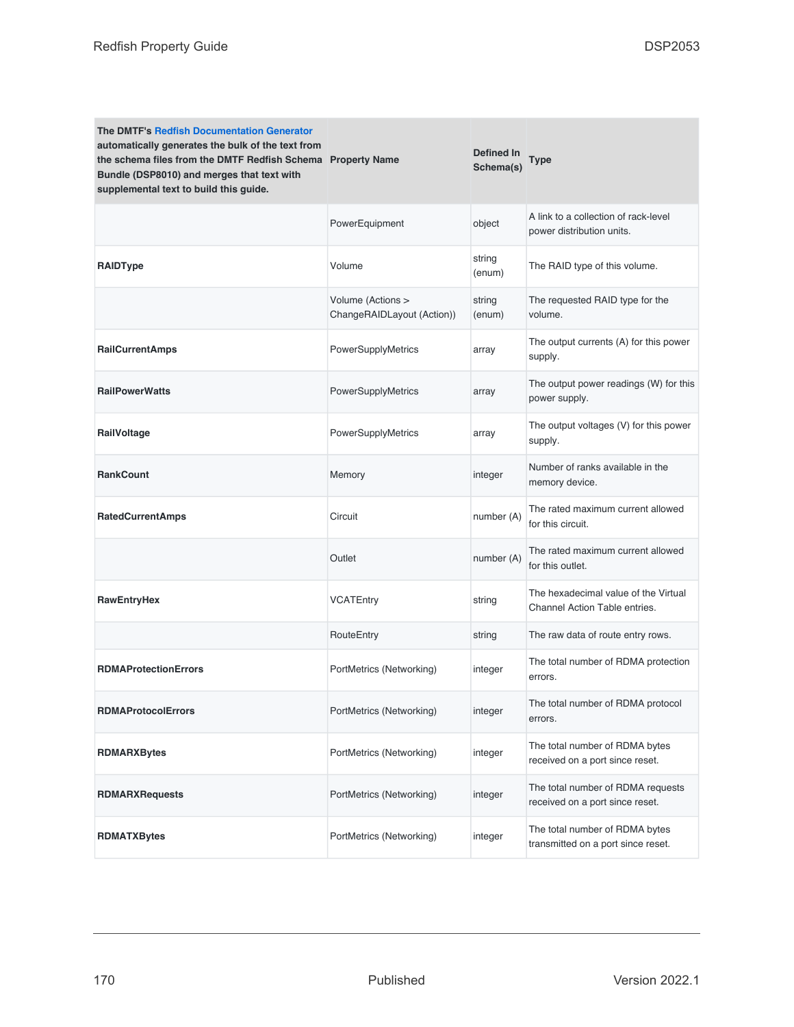| <b>The DMTF's Redfish Documentation Generator</b><br>automatically generates the bulk of the text from<br>the schema files from the DMTF Redfish Schema Property Name<br>Bundle (DSP8010) and merges that text with<br>supplemental text to build this guide. |                                                 | Defined In<br>Schema(s) | Type                                                                  |
|---------------------------------------------------------------------------------------------------------------------------------------------------------------------------------------------------------------------------------------------------------------|-------------------------------------------------|-------------------------|-----------------------------------------------------------------------|
|                                                                                                                                                                                                                                                               | PowerEquipment                                  | object                  | A link to a collection of rack-level<br>power distribution units.     |
| <b>RAIDType</b>                                                                                                                                                                                                                                               | Volume                                          | string<br>(enum)        | The RAID type of this volume.                                         |
|                                                                                                                                                                                                                                                               | Volume (Actions ><br>ChangeRAIDLayout (Action)) | string<br>(enum)        | The requested RAID type for the<br>volume.                            |
| <b>RailCurrentAmps</b>                                                                                                                                                                                                                                        | PowerSupplyMetrics                              | array                   | The output currents (A) for this power<br>supply.                     |
| <b>RailPowerWatts</b>                                                                                                                                                                                                                                         | PowerSupplyMetrics                              | array                   | The output power readings (W) for this<br>power supply.               |
| RailVoltage                                                                                                                                                                                                                                                   | PowerSupplyMetrics                              | array                   | The output voltages (V) for this power<br>supply.                     |
| <b>RankCount</b>                                                                                                                                                                                                                                              | Memory                                          | integer                 | Number of ranks available in the<br>memory device.                    |
| <b>RatedCurrentAmps</b>                                                                                                                                                                                                                                       | Circuit                                         | number (A)              | The rated maximum current allowed<br>for this circuit.                |
|                                                                                                                                                                                                                                                               | Outlet                                          | number (A)              | The rated maximum current allowed<br>for this outlet.                 |
| RawEntryHex                                                                                                                                                                                                                                                   | <b>VCATEntry</b>                                | string                  | The hexadecimal value of the Virtual<br>Channel Action Table entries. |
|                                                                                                                                                                                                                                                               | RouteEntry                                      | string                  | The raw data of route entry rows.                                     |
| <b>RDMAProtectionErrors</b>                                                                                                                                                                                                                                   | PortMetrics (Networking)                        | integer                 | The total number of RDMA protection<br>errors.                        |
| <b>RDMAProtocolErrors</b>                                                                                                                                                                                                                                     | PortMetrics (Networking)                        | integer                 | The total number of RDMA protocol<br>errors.                          |
| <b>RDMARXBytes</b>                                                                                                                                                                                                                                            | PortMetrics (Networking)                        | integer                 | The total number of RDMA bytes<br>received on a port since reset.     |
| <b>RDMARXRequests</b>                                                                                                                                                                                                                                         | PortMetrics (Networking)                        | integer                 | The total number of RDMA requests<br>received on a port since reset.  |
| <b>RDMATXBytes</b>                                                                                                                                                                                                                                            | PortMetrics (Networking)                        | integer                 | The total number of RDMA bytes<br>transmitted on a port since reset.  |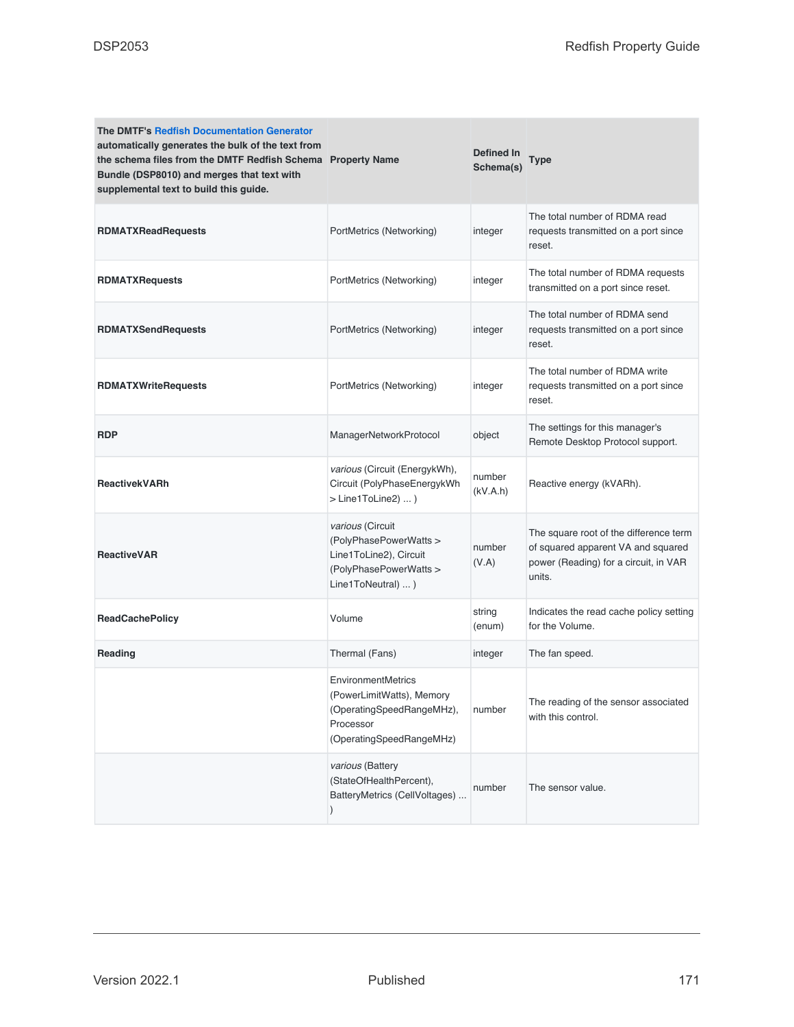| <b>The DMTF's Redfish Documentation Generator</b><br>automatically generates the bulk of the text from<br>the schema files from the DMTF Redfish Schema Property Name<br>Bundle (DSP8010) and merges that text with<br>supplemental text to build this guide. |                                                                                                                              | <b>Defined In</b><br>Schema(s) | Type                                                                                                                            |
|---------------------------------------------------------------------------------------------------------------------------------------------------------------------------------------------------------------------------------------------------------------|------------------------------------------------------------------------------------------------------------------------------|--------------------------------|---------------------------------------------------------------------------------------------------------------------------------|
| <b>RDMATXReadRequests</b>                                                                                                                                                                                                                                     | PortMetrics (Networking)                                                                                                     | integer                        | The total number of RDMA read<br>requests transmitted on a port since<br>reset.                                                 |
| <b>RDMATXRequests</b>                                                                                                                                                                                                                                         | PortMetrics (Networking)                                                                                                     | integer                        | The total number of RDMA requests<br>transmitted on a port since reset.                                                         |
| <b>RDMATXSendRequests</b>                                                                                                                                                                                                                                     | PortMetrics (Networking)                                                                                                     | integer                        | The total number of RDMA send<br>requests transmitted on a port since<br>reset.                                                 |
| <b>RDMATXWriteRequests</b>                                                                                                                                                                                                                                    | PortMetrics (Networking)                                                                                                     | integer                        | The total number of RDMA write<br>requests transmitted on a port since<br>reset.                                                |
| <b>RDP</b>                                                                                                                                                                                                                                                    | ManagerNetworkProtocol                                                                                                       | object                         | The settings for this manager's<br>Remote Desktop Protocol support.                                                             |
| <b>ReactivekVARh</b>                                                                                                                                                                                                                                          | various (Circuit (EnergykWh),<br>Circuit (PolyPhaseEnergykWh<br>$>$ Line1ToLine2) )                                          | number<br>(kV.A.h)             | Reactive energy (kVARh).                                                                                                        |
| <b>ReactiveVAR</b>                                                                                                                                                                                                                                            | various (Circuit<br>(PolyPhasePowerWatts ><br>Line1ToLine2), Circuit<br>(PolyPhasePowerWatts ><br>Line1ToNeutral)  )         | number<br>(V.A)                | The square root of the difference term<br>of squared apparent VA and squared<br>power (Reading) for a circuit, in VAR<br>units. |
| <b>ReadCachePolicy</b>                                                                                                                                                                                                                                        | Volume                                                                                                                       | string<br>(enum)               | Indicates the read cache policy setting<br>for the Volume.                                                                      |
| Reading                                                                                                                                                                                                                                                       | Thermal (Fans)                                                                                                               | integer                        | The fan speed.                                                                                                                  |
|                                                                                                                                                                                                                                                               | <b>EnvironmentMetrics</b><br>(PowerLimitWatts), Memory<br>(OperatingSpeedRangeMHz),<br>Processor<br>(OperatingSpeedRangeMHz) | number                         | The reading of the sensor associated<br>with this control.                                                                      |
|                                                                                                                                                                                                                                                               | various (Battery<br>(StateOfHealthPercent),<br>BatteryMetrics (CellVoltages)<br>$\mathcal{E}$                                | number                         | The sensor value.                                                                                                               |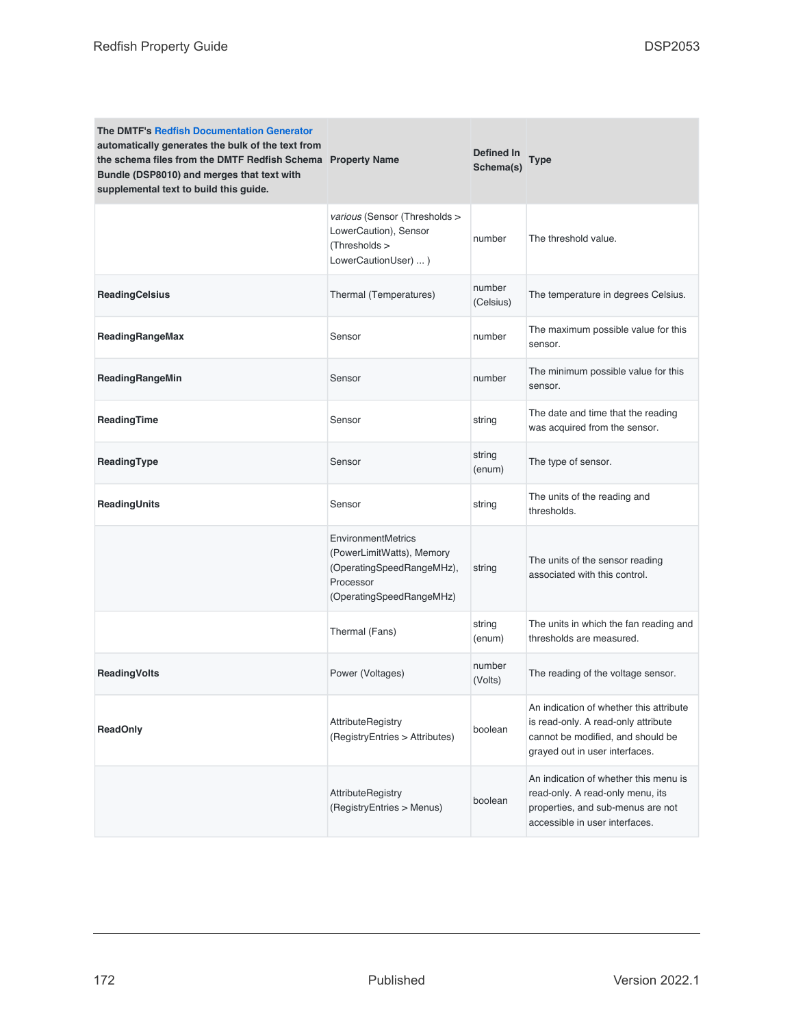| <b>The DMTF's Redfish Documentation Generator</b><br>automatically generates the bulk of the text from<br>the schema files from the DMTF Redfish Schema Property Name<br>Bundle (DSP8010) and merges that text with<br>supplemental text to build this guide. |                                                                                                                              | Defined In<br>Schema(s) | <b>Type</b>                                                                                                                                           |
|---------------------------------------------------------------------------------------------------------------------------------------------------------------------------------------------------------------------------------------------------------------|------------------------------------------------------------------------------------------------------------------------------|-------------------------|-------------------------------------------------------------------------------------------------------------------------------------------------------|
|                                                                                                                                                                                                                                                               | various (Sensor (Thresholds ><br>LowerCaution), Sensor<br>(Thresholds ><br>LowerCautionUser)  )                              | number                  | The threshold value.                                                                                                                                  |
| <b>ReadingCelsius</b>                                                                                                                                                                                                                                         | Thermal (Temperatures)                                                                                                       | number<br>(Celsius)     | The temperature in degrees Celsius.                                                                                                                   |
| ReadingRangeMax                                                                                                                                                                                                                                               | Sensor                                                                                                                       | number                  | The maximum possible value for this<br>sensor.                                                                                                        |
| ReadingRangeMin                                                                                                                                                                                                                                               | Sensor                                                                                                                       | number                  | The minimum possible value for this<br>sensor.                                                                                                        |
| ReadingTime                                                                                                                                                                                                                                                   | Sensor                                                                                                                       | string                  | The date and time that the reading<br>was acquired from the sensor.                                                                                   |
| ReadingType                                                                                                                                                                                                                                                   | Sensor                                                                                                                       | string<br>(enum)        | The type of sensor.                                                                                                                                   |
| ReadingUnits                                                                                                                                                                                                                                                  | Sensor                                                                                                                       | string                  | The units of the reading and<br>thresholds.                                                                                                           |
|                                                                                                                                                                                                                                                               | <b>EnvironmentMetrics</b><br>(PowerLimitWatts), Memory<br>(OperatingSpeedRangeMHz),<br>Processor<br>(OperatingSpeedRangeMHz) | string                  | The units of the sensor reading<br>associated with this control.                                                                                      |
|                                                                                                                                                                                                                                                               | Thermal (Fans)                                                                                                               | string<br>(enum)        | The units in which the fan reading and<br>thresholds are measured.                                                                                    |
| <b>ReadingVolts</b>                                                                                                                                                                                                                                           | Power (Voltages)                                                                                                             | number<br>(Volts)       | The reading of the voltage sensor.                                                                                                                    |
| <b>ReadOnly</b>                                                                                                                                                                                                                                               | <b>AttributeRegistry</b><br>(RegistryEntries > Attributes)                                                                   | boolean                 | An indication of whether this attribute<br>is read-only. A read-only attribute<br>cannot be modified, and should be<br>grayed out in user interfaces. |
|                                                                                                                                                                                                                                                               | AttributeRegistry<br>(RegistryEntries > Menus)                                                                               | boolean                 | An indication of whether this menu is<br>read-only. A read-only menu, its<br>properties, and sub-menus are not<br>accessible in user interfaces.      |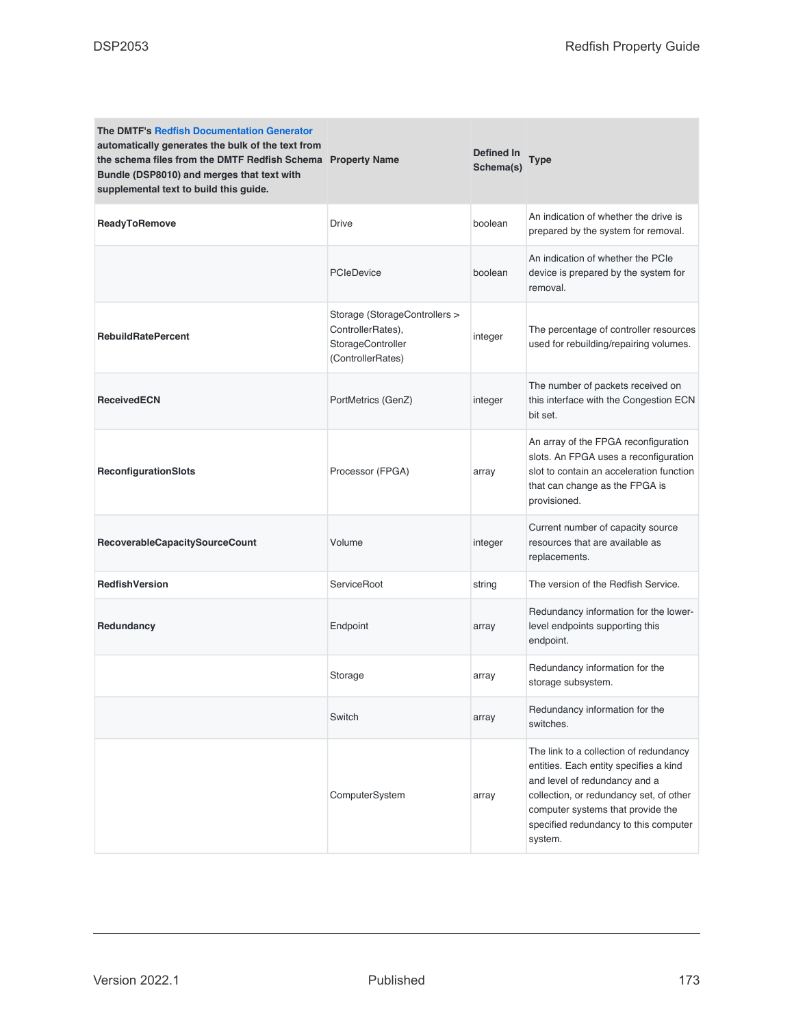| <b>The DMTF's Redfish Documentation Generator</b><br>automatically generates the bulk of the text from<br>the schema files from the DMTF Redfish Schema Property Name<br>Bundle (DSP8010) and merges that text with<br>supplemental text to build this guide. |                                                                                              | <b>Defined In</b><br>Schema(s) | Type                                                                                                                                                                                                                                                  |
|---------------------------------------------------------------------------------------------------------------------------------------------------------------------------------------------------------------------------------------------------------------|----------------------------------------------------------------------------------------------|--------------------------------|-------------------------------------------------------------------------------------------------------------------------------------------------------------------------------------------------------------------------------------------------------|
| ReadyToRemove                                                                                                                                                                                                                                                 | <b>Drive</b>                                                                                 | boolean                        | An indication of whether the drive is<br>prepared by the system for removal.                                                                                                                                                                          |
|                                                                                                                                                                                                                                                               | <b>PCIeDevice</b>                                                                            | boolean                        | An indication of whether the PCIe<br>device is prepared by the system for<br>removal.                                                                                                                                                                 |
| <b>RebuildRatePercent</b>                                                                                                                                                                                                                                     | Storage (StorageControllers ><br>ControllerRates),<br>StorageController<br>(ControllerRates) | integer                        | The percentage of controller resources<br>used for rebuilding/repairing volumes.                                                                                                                                                                      |
| <b>ReceivedECN</b>                                                                                                                                                                                                                                            | PortMetrics (GenZ)                                                                           | integer                        | The number of packets received on<br>this interface with the Congestion ECN<br>bit set.                                                                                                                                                               |
| <b>ReconfigurationSlots</b>                                                                                                                                                                                                                                   | Processor (FPGA)                                                                             | array                          | An array of the FPGA reconfiguration<br>slots. An FPGA uses a reconfiguration<br>slot to contain an acceleration function<br>that can change as the FPGA is<br>provisioned.                                                                           |
| RecoverableCapacitySourceCount                                                                                                                                                                                                                                | Volume                                                                                       | integer                        | Current number of capacity source<br>resources that are available as<br>replacements.                                                                                                                                                                 |
| <b>RedfishVersion</b>                                                                                                                                                                                                                                         | ServiceRoot                                                                                  | string                         | The version of the Redfish Service.                                                                                                                                                                                                                   |
| Redundancy                                                                                                                                                                                                                                                    | Endpoint                                                                                     | array                          | Redundancy information for the lower-<br>level endpoints supporting this<br>endpoint.                                                                                                                                                                 |
|                                                                                                                                                                                                                                                               | Storage                                                                                      | array                          | Redundancy information for the<br>storage subsystem.                                                                                                                                                                                                  |
|                                                                                                                                                                                                                                                               | Switch                                                                                       | array                          | Redundancy information for the<br>switches.                                                                                                                                                                                                           |
|                                                                                                                                                                                                                                                               | ComputerSystem                                                                               | array                          | The link to a collection of redundancy<br>entities. Each entity specifies a kind<br>and level of redundancy and a<br>collection, or redundancy set, of other<br>computer systems that provide the<br>specified redundancy to this computer<br>system. |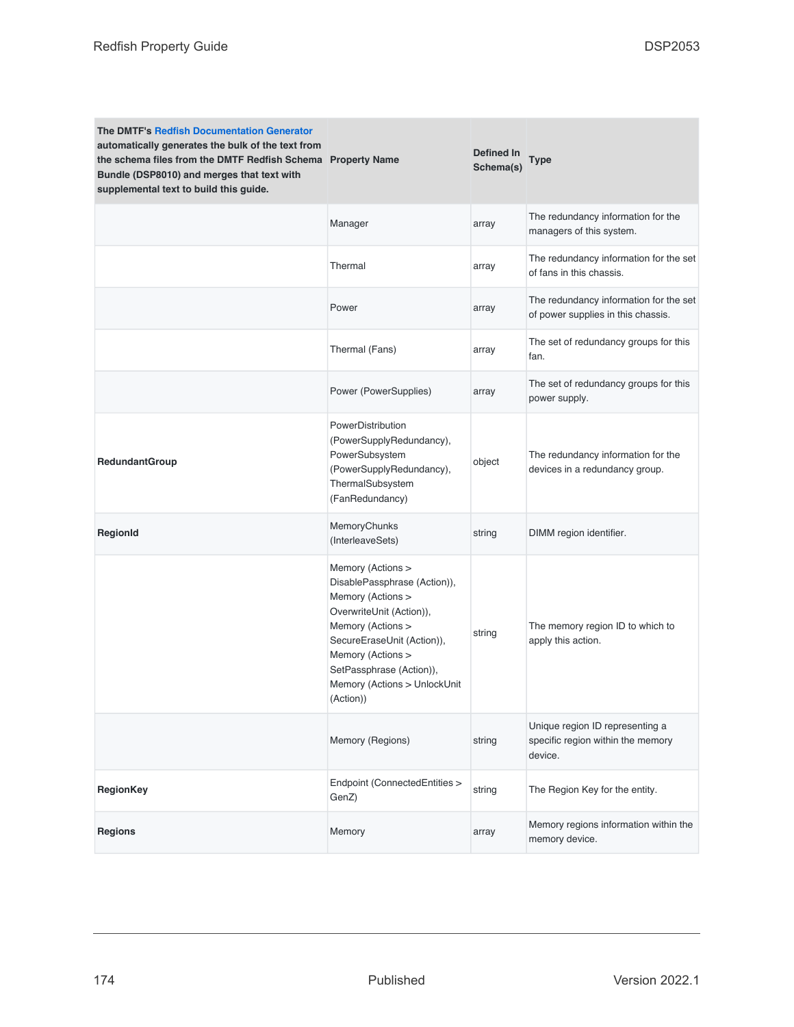| <b>The DMTF's Redfish Documentation Generator</b><br>automatically generates the bulk of the text from<br>the schema files from the DMTF Redfish Schema Property Name<br>Bundle (DSP8010) and merges that text with<br>supplemental text to build this guide. |                                                                                                                                                                                                                                                     | Defined In<br>Schema(s) | Type                                                                            |
|---------------------------------------------------------------------------------------------------------------------------------------------------------------------------------------------------------------------------------------------------------------|-----------------------------------------------------------------------------------------------------------------------------------------------------------------------------------------------------------------------------------------------------|-------------------------|---------------------------------------------------------------------------------|
|                                                                                                                                                                                                                                                               | Manager                                                                                                                                                                                                                                             | array                   | The redundancy information for the<br>managers of this system.                  |
|                                                                                                                                                                                                                                                               | Thermal                                                                                                                                                                                                                                             | array                   | The redundancy information for the set<br>of fans in this chassis.              |
|                                                                                                                                                                                                                                                               | Power                                                                                                                                                                                                                                               | array                   | The redundancy information for the set<br>of power supplies in this chassis.    |
|                                                                                                                                                                                                                                                               | Thermal (Fans)                                                                                                                                                                                                                                      | array                   | The set of redundancy groups for this<br>fan.                                   |
|                                                                                                                                                                                                                                                               | Power (PowerSupplies)                                                                                                                                                                                                                               | array                   | The set of redundancy groups for this<br>power supply.                          |
| <b>RedundantGroup</b>                                                                                                                                                                                                                                         | PowerDistribution<br>(PowerSupplyRedundancy),<br>PowerSubsystem<br>(PowerSupplyRedundancy),<br>ThermalSubsystem<br>(FanRedundancy)                                                                                                                  | object                  | The redundancy information for the<br>devices in a redundancy group.            |
| RegionId                                                                                                                                                                                                                                                      | MemoryChunks<br>(InterleaveSets)                                                                                                                                                                                                                    | string                  | DIMM region identifier.                                                         |
|                                                                                                                                                                                                                                                               | Memory (Actions ><br>DisablePassphrase (Action)),<br>Memory (Actions ><br>OverwriteUnit (Action)),<br>Memory (Actions ><br>SecureEraseUnit (Action)),<br>Memory (Actions ><br>SetPassphrase (Action)),<br>Memory (Actions > UnlockUnit<br>(Action)) | string                  | The memory region ID to which to<br>apply this action.                          |
|                                                                                                                                                                                                                                                               | Memory (Regions)                                                                                                                                                                                                                                    | string                  | Unique region ID representing a<br>specific region within the memory<br>device. |
| <b>RegionKey</b>                                                                                                                                                                                                                                              | Endpoint (ConnectedEntities ><br>GenZ)                                                                                                                                                                                                              | string                  | The Region Key for the entity.                                                  |
| Regions                                                                                                                                                                                                                                                       | Memory                                                                                                                                                                                                                                              | array                   | Memory regions information within the<br>memory device.                         |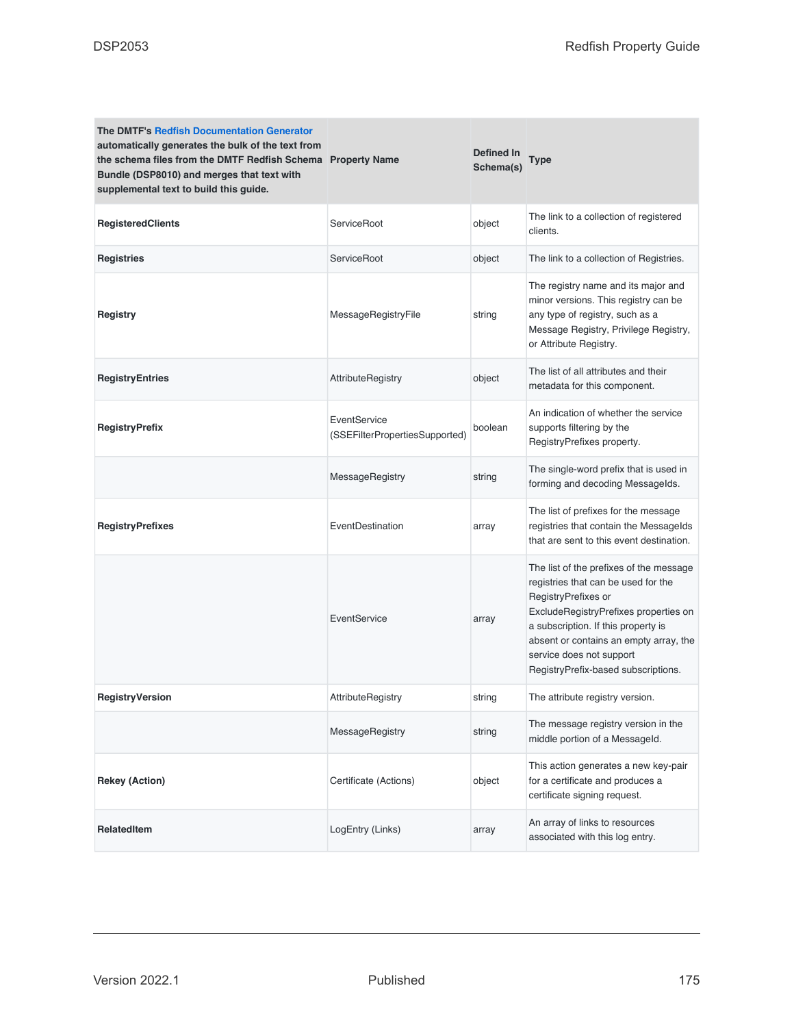| <b>The DMTF's Redfish Documentation Generator</b><br>automatically generates the bulk of the text from<br>the schema files from the DMTF Redfish Schema Property Name<br>Bundle (DSP8010) and merges that text with<br>supplemental text to build this guide. |                                                | Defined In<br>Schema(s) | Type                                                                                                                                                                                                                                                                                               |
|---------------------------------------------------------------------------------------------------------------------------------------------------------------------------------------------------------------------------------------------------------------|------------------------------------------------|-------------------------|----------------------------------------------------------------------------------------------------------------------------------------------------------------------------------------------------------------------------------------------------------------------------------------------------|
| <b>RegisteredClients</b>                                                                                                                                                                                                                                      | ServiceRoot                                    | object                  | The link to a collection of registered<br>clients.                                                                                                                                                                                                                                                 |
| <b>Registries</b>                                                                                                                                                                                                                                             | ServiceRoot                                    | object                  | The link to a collection of Registries.                                                                                                                                                                                                                                                            |
| <b>Registry</b>                                                                                                                                                                                                                                               | MessageRegistryFile                            | string                  | The registry name and its major and<br>minor versions. This registry can be<br>any type of registry, such as a<br>Message Registry, Privilege Registry,<br>or Attribute Registry.                                                                                                                  |
| <b>RegistryEntries</b>                                                                                                                                                                                                                                        | AttributeRegistry                              | object                  | The list of all attributes and their<br>metadata for this component.                                                                                                                                                                                                                               |
| <b>RegistryPrefix</b>                                                                                                                                                                                                                                         | EventService<br>(SSEFilterPropertiesSupported) | boolean                 | An indication of whether the service<br>supports filtering by the<br>RegistryPrefixes property.                                                                                                                                                                                                    |
|                                                                                                                                                                                                                                                               | MessageRegistry                                | string                  | The single-word prefix that is used in<br>forming and decoding Messagelds.                                                                                                                                                                                                                         |
| <b>RegistryPrefixes</b>                                                                                                                                                                                                                                       | EventDestination                               | array                   | The list of prefixes for the message<br>registries that contain the Messagelds<br>that are sent to this event destination.                                                                                                                                                                         |
|                                                                                                                                                                                                                                                               | EventService                                   | array                   | The list of the prefixes of the message<br>registries that can be used for the<br>RegistryPrefixes or<br>ExcludeRegistryPrefixes properties on<br>a subscription. If this property is<br>absent or contains an empty array, the<br>service does not support<br>RegistryPrefix-based subscriptions. |
| <b>RegistryVersion</b>                                                                                                                                                                                                                                        | <b>AttributeRegistry</b>                       | string                  | The attribute registry version.                                                                                                                                                                                                                                                                    |
|                                                                                                                                                                                                                                                               | MessageRegistry                                | string                  | The message registry version in the<br>middle portion of a MessageId.                                                                                                                                                                                                                              |
| <b>Rekey (Action)</b>                                                                                                                                                                                                                                         | Certificate (Actions)                          | object                  | This action generates a new key-pair<br>for a certificate and produces a<br>certificate signing request.                                                                                                                                                                                           |
| <b>RelatedItem</b>                                                                                                                                                                                                                                            | LogEntry (Links)                               | array                   | An array of links to resources<br>associated with this log entry.                                                                                                                                                                                                                                  |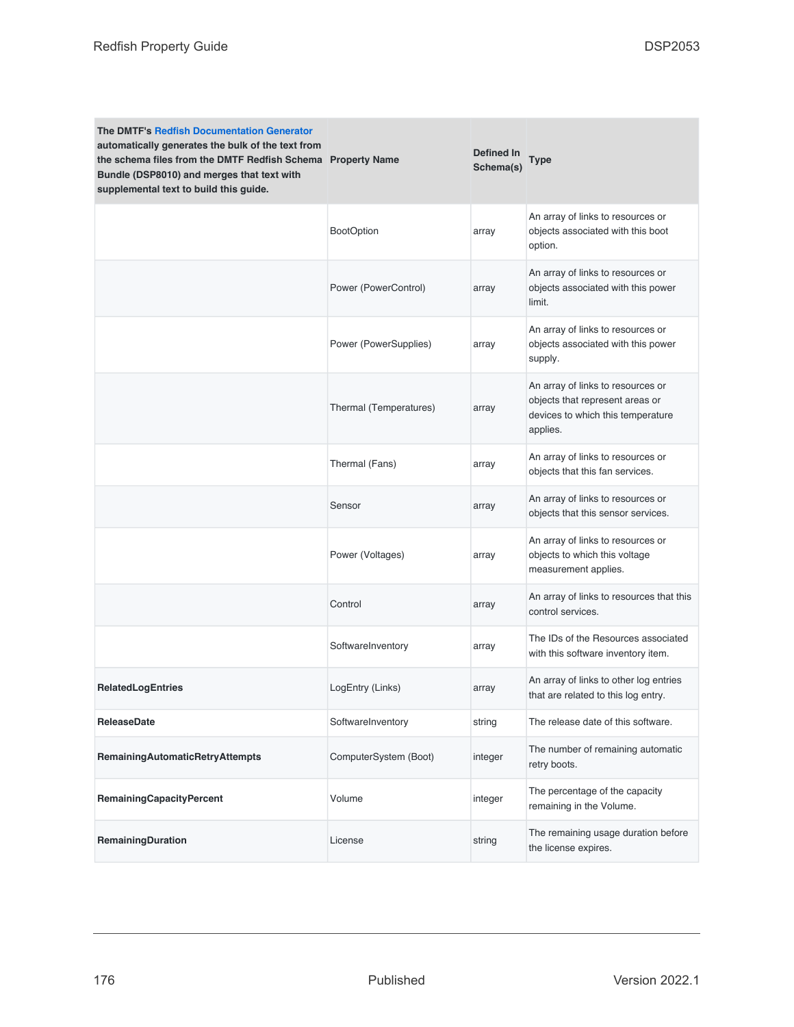| <b>The DMTF's Redfish Documentation Generator</b><br>automatically generates the bulk of the text from<br>the schema files from the DMTF Redfish Schema Property Name<br>Bundle (DSP8010) and merges that text with<br>supplemental text to build this guide. |                        | Defined In<br>Schema(s) | Type                                                                                                                  |
|---------------------------------------------------------------------------------------------------------------------------------------------------------------------------------------------------------------------------------------------------------------|------------------------|-------------------------|-----------------------------------------------------------------------------------------------------------------------|
|                                                                                                                                                                                                                                                               | <b>BootOption</b>      | array                   | An array of links to resources or<br>objects associated with this boot<br>option.                                     |
|                                                                                                                                                                                                                                                               | Power (PowerControl)   | array                   | An array of links to resources or<br>objects associated with this power<br>limit.                                     |
|                                                                                                                                                                                                                                                               | Power (PowerSupplies)  | array                   | An array of links to resources or<br>objects associated with this power<br>supply.                                    |
|                                                                                                                                                                                                                                                               | Thermal (Temperatures) | array                   | An array of links to resources or<br>objects that represent areas or<br>devices to which this temperature<br>applies. |
|                                                                                                                                                                                                                                                               | Thermal (Fans)         | array                   | An array of links to resources or<br>objects that this fan services.                                                  |
|                                                                                                                                                                                                                                                               | Sensor                 | array                   | An array of links to resources or<br>objects that this sensor services.                                               |
|                                                                                                                                                                                                                                                               | Power (Voltages)       | array                   | An array of links to resources or<br>objects to which this voltage<br>measurement applies.                            |
|                                                                                                                                                                                                                                                               | Control                | array                   | An array of links to resources that this<br>control services.                                                         |
|                                                                                                                                                                                                                                                               | SoftwareInventory      | array                   | The IDs of the Resources associated<br>with this software inventory item.                                             |
| <b>RelatedLogEntries</b>                                                                                                                                                                                                                                      | LogEntry (Links)       | array                   | An array of links to other log entries<br>that are related to this log entry.                                         |
| <b>ReleaseDate</b>                                                                                                                                                                                                                                            | SoftwareInventory      | string                  | The release date of this software.                                                                                    |
| <b>RemainingAutomaticRetryAttempts</b>                                                                                                                                                                                                                        | ComputerSystem (Boot)  | integer                 | The number of remaining automatic<br>retry boots.                                                                     |
| <b>RemainingCapacityPercent</b>                                                                                                                                                                                                                               | Volume                 | integer                 | The percentage of the capacity<br>remaining in the Volume.                                                            |
| RemainingDuration                                                                                                                                                                                                                                             | License                | string                  | The remaining usage duration before<br>the license expires.                                                           |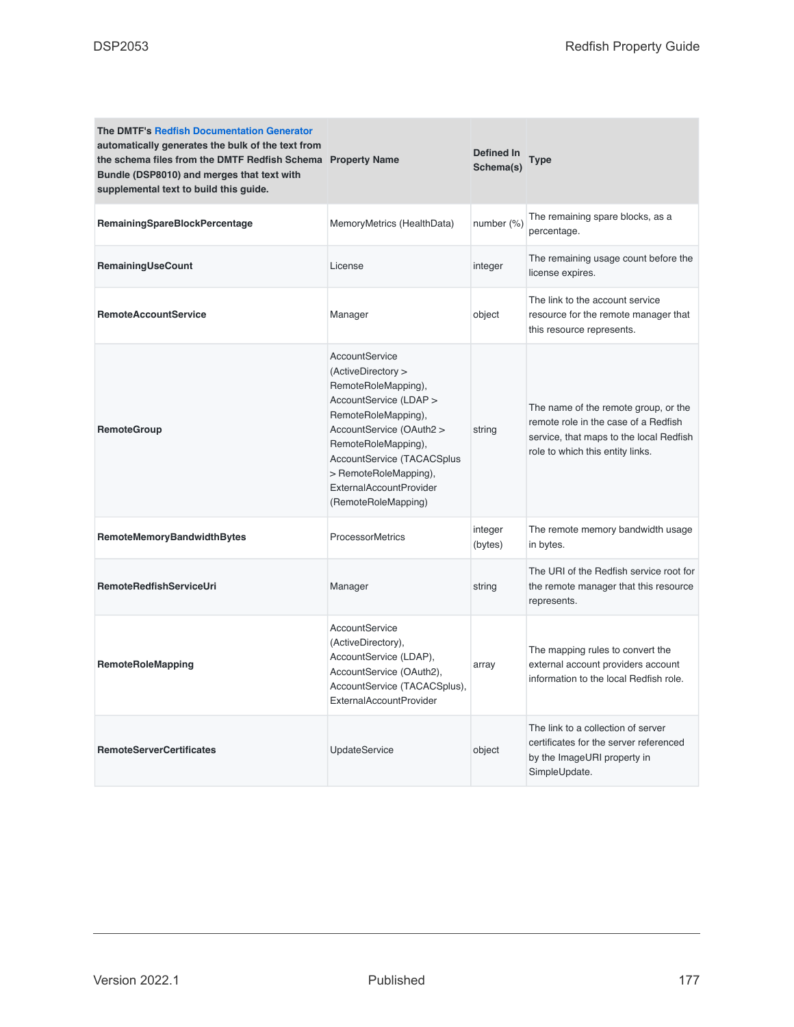| <b>The DMTF's Redfish Documentation Generator</b><br>automatically generates the bulk of the text from<br>the schema files from the DMTF Redfish Schema Property Name<br>Bundle (DSP8010) and merges that text with<br>supplemental text to build this guide. |                                                                                                                                                                                                                                                                                        | Defined In<br>Schema(s) | <b>Type</b>                                                                                                                                                 |
|---------------------------------------------------------------------------------------------------------------------------------------------------------------------------------------------------------------------------------------------------------------|----------------------------------------------------------------------------------------------------------------------------------------------------------------------------------------------------------------------------------------------------------------------------------------|-------------------------|-------------------------------------------------------------------------------------------------------------------------------------------------------------|
| <b>RemainingSpareBlockPercentage</b>                                                                                                                                                                                                                          | MemoryMetrics (HealthData)                                                                                                                                                                                                                                                             | number (%)              | The remaining spare blocks, as a<br>percentage.                                                                                                             |
| RemainingUseCount                                                                                                                                                                                                                                             | License                                                                                                                                                                                                                                                                                | integer                 | The remaining usage count before the<br>license expires.                                                                                                    |
| <b>RemoteAccountService</b>                                                                                                                                                                                                                                   | Manager                                                                                                                                                                                                                                                                                | object                  | The link to the account service<br>resource for the remote manager that<br>this resource represents.                                                        |
| <b>RemoteGroup</b>                                                                                                                                                                                                                                            | <b>AccountService</b><br>(ActiveDirectory ><br>RemoteRoleMapping),<br>AccountService (LDAP ><br>RemoteRoleMapping),<br>AccountService (OAuth2 ><br>RemoteRoleMapping),<br>AccountService (TACACSplus<br>> RemoteRoleMapping),<br><b>ExternalAccountProvider</b><br>(RemoteRoleMapping) | string                  | The name of the remote group, or the<br>remote role in the case of a Redfish<br>service, that maps to the local Redfish<br>role to which this entity links. |
| <b>RemoteMemoryBandwidthBytes</b>                                                                                                                                                                                                                             | <b>ProcessorMetrics</b>                                                                                                                                                                                                                                                                | integer<br>(bytes)      | The remote memory bandwidth usage<br>in bytes.                                                                                                              |
| <b>RemoteRedfishServiceUri</b>                                                                                                                                                                                                                                | Manager                                                                                                                                                                                                                                                                                | string                  | The URI of the Redfish service root for<br>the remote manager that this resource<br>represents.                                                             |
| <b>RemoteRoleMapping</b>                                                                                                                                                                                                                                      | AccountService<br>(ActiveDirectory),<br>AccountService (LDAP),<br>AccountService (OAuth2),<br>AccountService (TACACSplus),<br><b>ExternalAccountProvider</b>                                                                                                                           | array                   | The mapping rules to convert the<br>external account providers account<br>information to the local Redfish role.                                            |
| <b>RemoteServerCertificates</b>                                                                                                                                                                                                                               | <b>UpdateService</b>                                                                                                                                                                                                                                                                   | object                  | The link to a collection of server<br>certificates for the server referenced<br>by the ImageURI property in<br>SimpleUpdate.                                |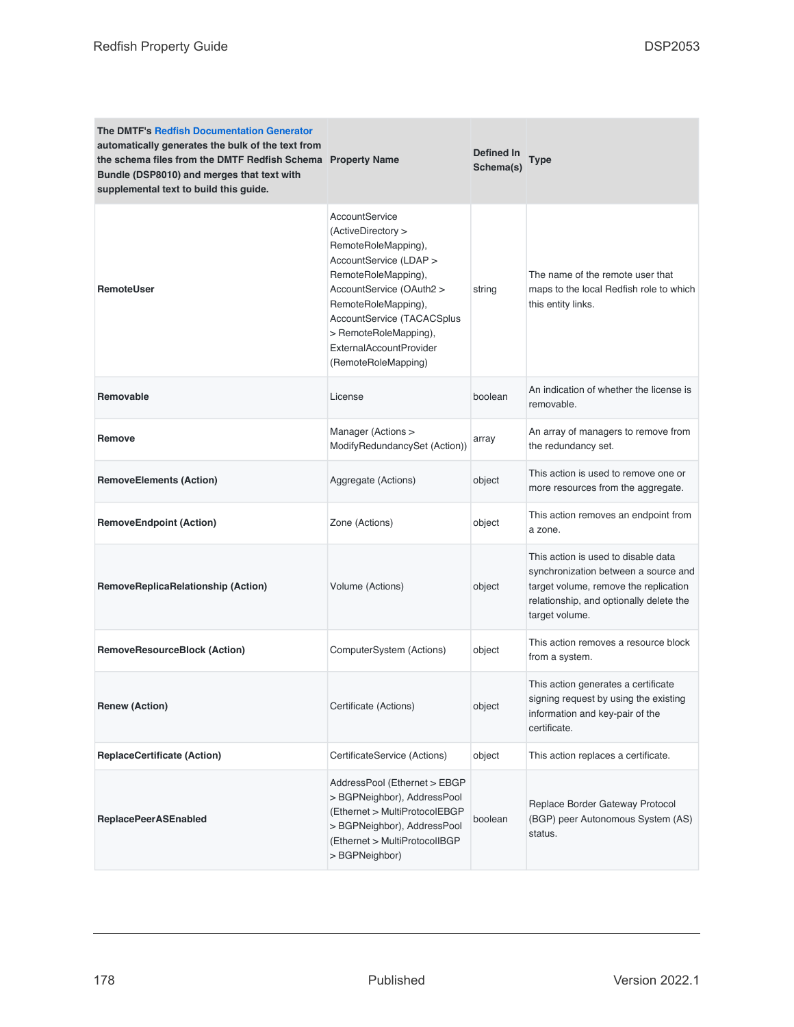| <b>The DMTF's Redfish Documentation Generator</b><br>automatically generates the bulk of the text from<br>the schema files from the DMTF Redfish Schema Property Name<br>Bundle (DSP8010) and merges that text with<br>supplemental text to build this guide. |                                                                                                                                                                                                                                                                          | Defined In<br>Schema(s) | Type                                                                                                                                                                              |
|---------------------------------------------------------------------------------------------------------------------------------------------------------------------------------------------------------------------------------------------------------------|--------------------------------------------------------------------------------------------------------------------------------------------------------------------------------------------------------------------------------------------------------------------------|-------------------------|-----------------------------------------------------------------------------------------------------------------------------------------------------------------------------------|
| <b>RemoteUser</b>                                                                                                                                                                                                                                             | AccountService<br>(ActiveDirectory ><br>RemoteRoleMapping),<br>AccountService (LDAP ><br>RemoteRoleMapping),<br>AccountService (OAuth2 ><br>RemoteRoleMapping),<br>AccountService (TACACSplus<br>> RemoteRoleMapping),<br>ExternalAccountProvider<br>(RemoteRoleMapping) | string                  | The name of the remote user that<br>maps to the local Redfish role to which<br>this entity links.                                                                                 |
| <b>Removable</b>                                                                                                                                                                                                                                              | License                                                                                                                                                                                                                                                                  | boolean                 | An indication of whether the license is<br>removable.                                                                                                                             |
| Remove                                                                                                                                                                                                                                                        | Manager (Actions ><br>ModifyRedundancySet (Action))                                                                                                                                                                                                                      | array                   | An array of managers to remove from<br>the redundancy set.                                                                                                                        |
| <b>RemoveElements (Action)</b>                                                                                                                                                                                                                                | Aggregate (Actions)                                                                                                                                                                                                                                                      | object                  | This action is used to remove one or<br>more resources from the aggregate.                                                                                                        |
| <b>RemoveEndpoint (Action)</b>                                                                                                                                                                                                                                | Zone (Actions)                                                                                                                                                                                                                                                           | object                  | This action removes an endpoint from<br>a zone.                                                                                                                                   |
| RemoveReplicaRelationship (Action)                                                                                                                                                                                                                            | Volume (Actions)                                                                                                                                                                                                                                                         | object                  | This action is used to disable data<br>synchronization between a source and<br>target volume, remove the replication<br>relationship, and optionally delete the<br>target volume. |
| <b>RemoveResourceBlock (Action)</b>                                                                                                                                                                                                                           | ComputerSystem (Actions)                                                                                                                                                                                                                                                 | object                  | This action removes a resource block<br>from a system.                                                                                                                            |
| <b>Renew (Action)</b>                                                                                                                                                                                                                                         | Certificate (Actions)                                                                                                                                                                                                                                                    | object                  | This action generates a certificate<br>signing request by using the existing<br>information and key-pair of the<br>certificate.                                                   |
| <b>ReplaceCertificate (Action)</b>                                                                                                                                                                                                                            | CertificateService (Actions)                                                                                                                                                                                                                                             | object                  | This action replaces a certificate.                                                                                                                                               |
| <b>ReplacePeerASEnabled</b>                                                                                                                                                                                                                                   | AddressPool (Ethernet > EBGP<br>> BGPNeighbor), AddressPool<br>(Ethernet > MultiProtocolEBGP<br>> BGPNeighbor), AddressPool<br>(Ethernet > MultiProtocolIBGP<br>> BGPNeighbor)                                                                                           | boolean                 | Replace Border Gateway Protocol<br>(BGP) peer Autonomous System (AS)<br>status.                                                                                                   |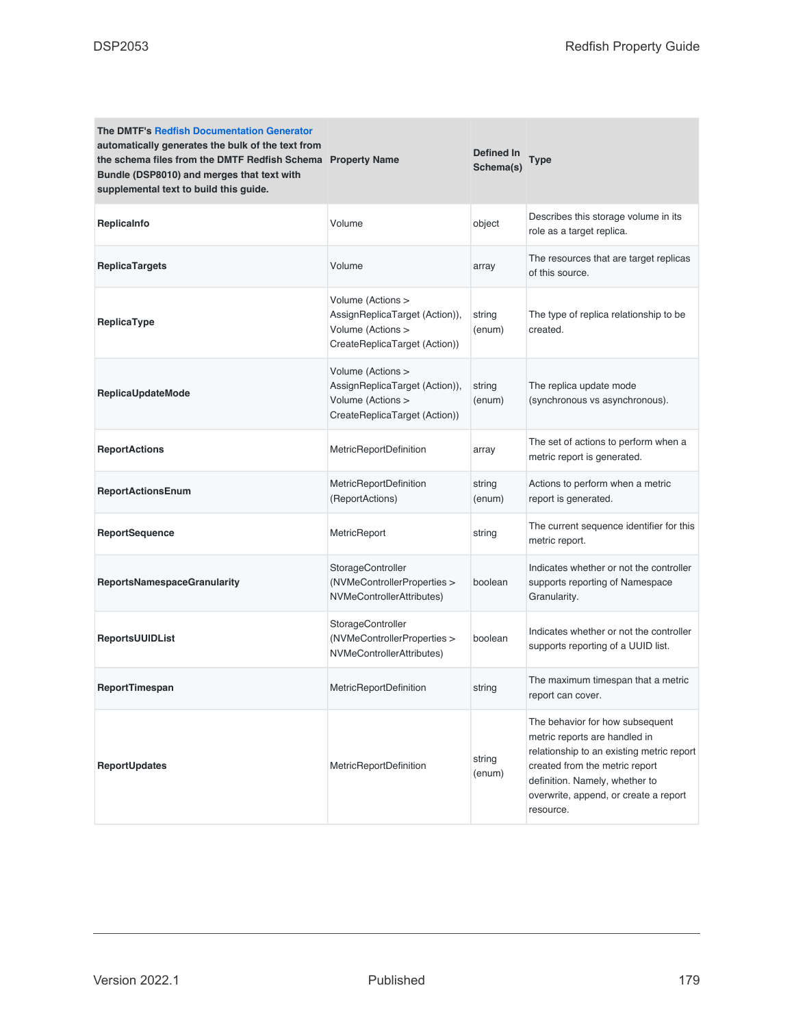| <b>The DMTF's Redfish Documentation Generator</b><br>automatically generates the bulk of the text from<br>the schema files from the DMTF Redfish Schema Property Name<br>Bundle (DSP8010) and merges that text with<br>supplemental text to build this guide. |                                                                                                           | Defined In<br>Schema(s) | <b>Type</b>                                                                                                                                                                                                                             |
|---------------------------------------------------------------------------------------------------------------------------------------------------------------------------------------------------------------------------------------------------------------|-----------------------------------------------------------------------------------------------------------|-------------------------|-----------------------------------------------------------------------------------------------------------------------------------------------------------------------------------------------------------------------------------------|
| Replicalnfo                                                                                                                                                                                                                                                   | Volume                                                                                                    | object                  | Describes this storage volume in its<br>role as a target replica.                                                                                                                                                                       |
| <b>ReplicaTargets</b>                                                                                                                                                                                                                                         | Volume                                                                                                    | array                   | The resources that are target replicas<br>of this source.                                                                                                                                                                               |
| ReplicaType                                                                                                                                                                                                                                                   | Volume (Actions ><br>AssignReplicaTarget (Action)),<br>Volume (Actions ><br>CreateReplicaTarget (Action)) | string<br>(enum)        | The type of replica relationship to be<br>created.                                                                                                                                                                                      |
| <b>ReplicaUpdateMode</b>                                                                                                                                                                                                                                      | Volume (Actions ><br>AssignReplicaTarget (Action)),<br>Volume (Actions ><br>CreateReplicaTarget (Action)) | string<br>(enum)        | The replica update mode<br>(synchronous vs asynchronous).                                                                                                                                                                               |
| <b>ReportActions</b>                                                                                                                                                                                                                                          | MetricReportDefinition                                                                                    | array                   | The set of actions to perform when a<br>metric report is generated.                                                                                                                                                                     |
| <b>ReportActionsEnum</b>                                                                                                                                                                                                                                      | MetricReportDefinition<br>(ReportActions)                                                                 | string<br>(enum)        | Actions to perform when a metric<br>report is generated.                                                                                                                                                                                |
| <b>ReportSequence</b>                                                                                                                                                                                                                                         | MetricReport                                                                                              | string                  | The current sequence identifier for this<br>metric report.                                                                                                                                                                              |
| <b>ReportsNamespaceGranularity</b>                                                                                                                                                                                                                            | StorageController<br>(NVMeControllerProperties ><br>NVMeControllerAttributes)                             | boolean                 | Indicates whether or not the controller<br>supports reporting of Namespace<br>Granularity.                                                                                                                                              |
| <b>ReportsUUIDList</b>                                                                                                                                                                                                                                        | StorageController<br>(NVMeControllerProperties ><br>NVMeControllerAttributes)                             | boolean                 | Indicates whether or not the controller<br>supports reporting of a UUID list.                                                                                                                                                           |
| ReportTimespan                                                                                                                                                                                                                                                | <b>MetricReportDefinition</b>                                                                             | string                  | The maximum timespan that a metric<br>report can cover.                                                                                                                                                                                 |
| <b>ReportUpdates</b>                                                                                                                                                                                                                                          | MetricReportDefinition                                                                                    | string<br>(enum)        | The behavior for how subsequent<br>metric reports are handled in<br>relationship to an existing metric report<br>created from the metric report<br>definition. Namely, whether to<br>overwrite, append, or create a report<br>resource. |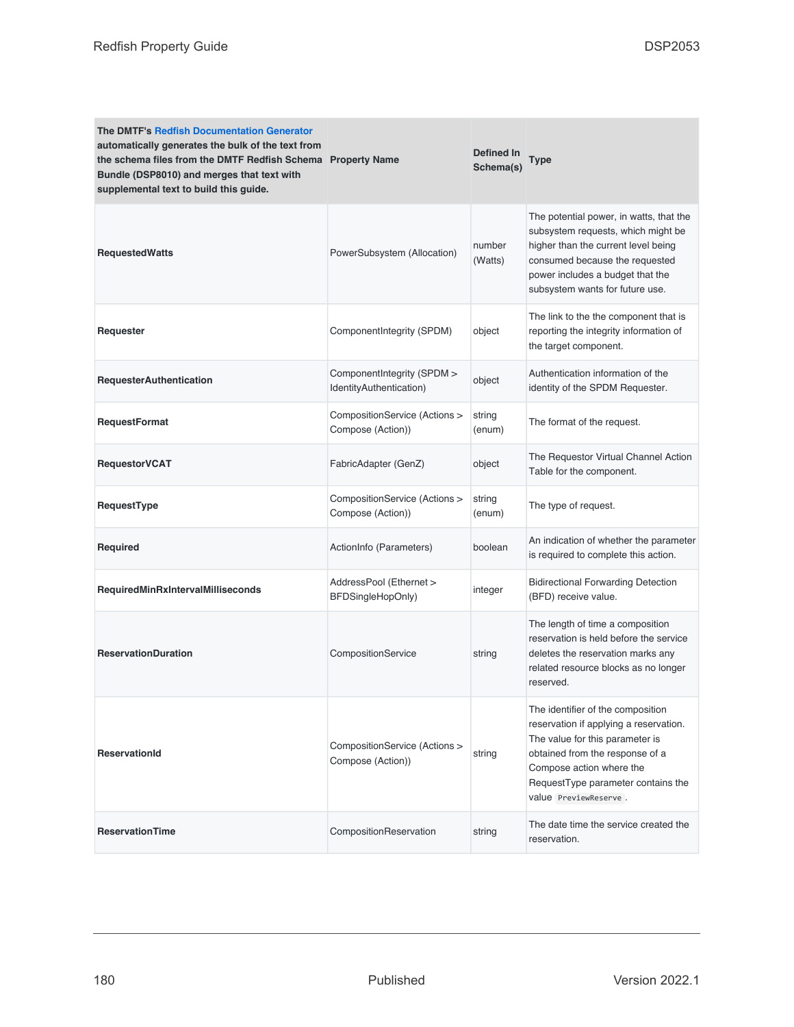| <b>The DMTF's Redfish Documentation Generator</b><br>automatically generates the bulk of the text from<br>the schema files from the DMTF Redfish Schema Property Name<br>Bundle (DSP8010) and merges that text with<br>supplemental text to build this guide. |                                                       | <b>Defined In</b><br>Schema(s) | Type                                                                                                                                                                                                                                         |
|---------------------------------------------------------------------------------------------------------------------------------------------------------------------------------------------------------------------------------------------------------------|-------------------------------------------------------|--------------------------------|----------------------------------------------------------------------------------------------------------------------------------------------------------------------------------------------------------------------------------------------|
| <b>RequestedWatts</b>                                                                                                                                                                                                                                         | PowerSubsystem (Allocation)                           | number<br>(Watts)              | The potential power, in watts, that the<br>subsystem requests, which might be<br>higher than the current level being<br>consumed because the requested<br>power includes a budget that the<br>subsystem wants for future use.                |
| Requester                                                                                                                                                                                                                                                     | Component Integrity (SPDM)                            | object                         | The link to the the component that is<br>reporting the integrity information of<br>the target component.                                                                                                                                     |
| <b>RequesterAuthentication</b>                                                                                                                                                                                                                                | ComponentIntegrity (SPDM ><br>IdentityAuthentication) | object                         | Authentication information of the<br>identity of the SPDM Requester.                                                                                                                                                                         |
| RequestFormat                                                                                                                                                                                                                                                 | CompositionService (Actions ><br>Compose (Action))    | string<br>(enum)               | The format of the request.                                                                                                                                                                                                                   |
| <b>RequestorVCAT</b>                                                                                                                                                                                                                                          | FabricAdapter (GenZ)                                  | object                         | The Requestor Virtual Channel Action<br>Table for the component.                                                                                                                                                                             |
| RequestType                                                                                                                                                                                                                                                   | CompositionService (Actions ><br>Compose (Action))    | string<br>(enum)               | The type of request.                                                                                                                                                                                                                         |
| Required                                                                                                                                                                                                                                                      | ActionInfo (Parameters)                               | boolean                        | An indication of whether the parameter<br>is required to complete this action.                                                                                                                                                               |
| RequiredMinRxIntervalMilliseconds                                                                                                                                                                                                                             | AddressPool (Ethernet ><br>BFDSingleHopOnly)          | integer                        | <b>Bidirectional Forwarding Detection</b><br>(BFD) receive value.                                                                                                                                                                            |
| <b>ReservationDuration</b>                                                                                                                                                                                                                                    | CompositionService                                    | string                         | The length of time a composition<br>reservation is held before the service<br>deletes the reservation marks any<br>related resource blocks as no longer<br>reserved.                                                                         |
| <b>ReservationId</b>                                                                                                                                                                                                                                          | CompositionService (Actions ><br>Compose (Action))    | string                         | The identifier of the composition<br>reservation if applying a reservation.<br>The value for this parameter is<br>obtained from the response of a<br>Compose action where the<br>RequestType parameter contains the<br>value PreviewReserve. |
| <b>ReservationTime</b>                                                                                                                                                                                                                                        | CompositionReservation                                | string                         | The date time the service created the<br>reservation.                                                                                                                                                                                        |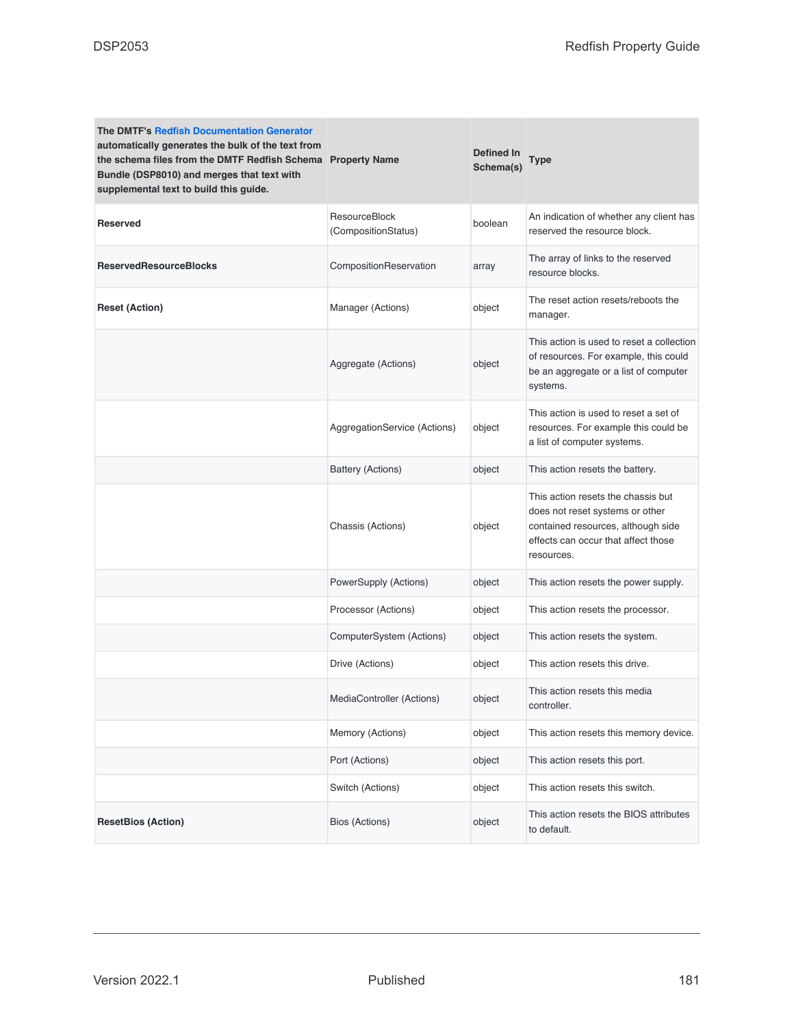| <b>The DMTF's Redfish Documentation Generator</b><br>automatically generates the bulk of the text from<br>the schema files from the DMTF Redfish Schema Property Name<br>Bundle (DSP8010) and merges that text with<br>supplemental text to build this guide. |                                      | <b>Defined In</b><br>Schema(s) | Type                                                                                                                                                             |
|---------------------------------------------------------------------------------------------------------------------------------------------------------------------------------------------------------------------------------------------------------------|--------------------------------------|--------------------------------|------------------------------------------------------------------------------------------------------------------------------------------------------------------|
| <b>Reserved</b>                                                                                                                                                                                                                                               | ResourceBlock<br>(CompositionStatus) | boolean                        | An indication of whether any client has<br>reserved the resource block.                                                                                          |
| <b>ReservedResourceBlocks</b>                                                                                                                                                                                                                                 | CompositionReservation               | array                          | The array of links to the reserved<br>resource blocks.                                                                                                           |
| <b>Reset (Action)</b>                                                                                                                                                                                                                                         | Manager (Actions)                    | object                         | The reset action resets/reboots the<br>manager.                                                                                                                  |
|                                                                                                                                                                                                                                                               | Aggregate (Actions)                  | object                         | This action is used to reset a collection<br>of resources. For example, this could<br>be an aggregate or a list of computer<br>systems.                          |
|                                                                                                                                                                                                                                                               | AggregationService (Actions)         | object                         | This action is used to reset a set of<br>resources. For example this could be<br>a list of computer systems.                                                     |
|                                                                                                                                                                                                                                                               | Battery (Actions)                    | object                         | This action resets the battery.                                                                                                                                  |
|                                                                                                                                                                                                                                                               | Chassis (Actions)                    | object                         | This action resets the chassis but<br>does not reset systems or other<br>contained resources, although side<br>effects can occur that affect those<br>resources. |
|                                                                                                                                                                                                                                                               | PowerSupply (Actions)                | object                         | This action resets the power supply.                                                                                                                             |
|                                                                                                                                                                                                                                                               | Processor (Actions)                  | object                         | This action resets the processor.                                                                                                                                |
|                                                                                                                                                                                                                                                               | ComputerSystem (Actions)             | object                         | This action resets the system.                                                                                                                                   |
|                                                                                                                                                                                                                                                               | Drive (Actions)                      | object                         | This action resets this drive.                                                                                                                                   |
|                                                                                                                                                                                                                                                               | MediaController (Actions)            | object                         | This action resets this media<br>controller.                                                                                                                     |
|                                                                                                                                                                                                                                                               | Memory (Actions)                     | object                         | This action resets this memory device.                                                                                                                           |
|                                                                                                                                                                                                                                                               | Port (Actions)                       | object                         | This action resets this port.                                                                                                                                    |
|                                                                                                                                                                                                                                                               | Switch (Actions)                     | object                         | This action resets this switch.                                                                                                                                  |
| <b>ResetBios (Action)</b>                                                                                                                                                                                                                                     | Bios (Actions)                       | object                         | This action resets the BIOS attributes<br>to default.                                                                                                            |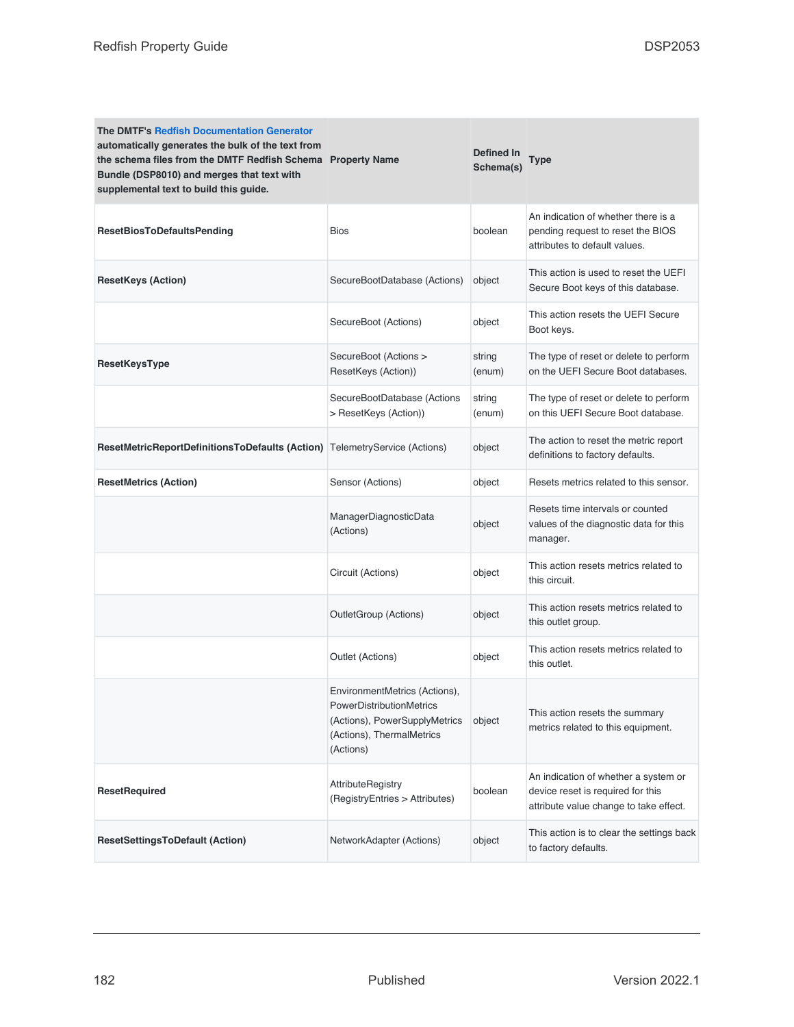| <b>The DMTF's Redfish Documentation Generator</b><br>automatically generates the bulk of the text from<br>the schema files from the DMTF Redfish Schema Property Name<br>Bundle (DSP8010) and merges that text with<br>supplemental text to build this guide. |                                                                                                                                      | Defined In<br>Schema(s) | <b>Type</b>                                                                                                         |
|---------------------------------------------------------------------------------------------------------------------------------------------------------------------------------------------------------------------------------------------------------------|--------------------------------------------------------------------------------------------------------------------------------------|-------------------------|---------------------------------------------------------------------------------------------------------------------|
| <b>ResetBiosToDefaultsPending</b>                                                                                                                                                                                                                             | <b>Bios</b>                                                                                                                          | boolean                 | An indication of whether there is a<br>pending request to reset the BIOS<br>attributes to default values.           |
| <b>ResetKeys (Action)</b>                                                                                                                                                                                                                                     | SecureBootDatabase (Actions)                                                                                                         | object                  | This action is used to reset the UEFI<br>Secure Boot keys of this database.                                         |
|                                                                                                                                                                                                                                                               | SecureBoot (Actions)                                                                                                                 | object                  | This action resets the UEFI Secure<br>Boot keys.                                                                    |
| ResetKeysType                                                                                                                                                                                                                                                 | SecureBoot (Actions ><br>ResetKeys (Action))                                                                                         | string<br>(enum)        | The type of reset or delete to perform<br>on the UEFI Secure Boot databases.                                        |
|                                                                                                                                                                                                                                                               | SecureBootDatabase (Actions<br>> ResetKeys (Action))                                                                                 | string<br>(enum)        | The type of reset or delete to perform<br>on this UEFI Secure Boot database.                                        |
| ResetMetricReportDefinitionsToDefaults (Action)                                                                                                                                                                                                               | TelemetryService (Actions)                                                                                                           | object                  | The action to reset the metric report<br>definitions to factory defaults.                                           |
| <b>ResetMetrics (Action)</b>                                                                                                                                                                                                                                  | Sensor (Actions)                                                                                                                     | object                  | Resets metrics related to this sensor.                                                                              |
|                                                                                                                                                                                                                                                               | ManagerDiagnosticData<br>(Actions)                                                                                                   | object                  | Resets time intervals or counted<br>values of the diagnostic data for this<br>manager.                              |
|                                                                                                                                                                                                                                                               | Circuit (Actions)                                                                                                                    | object                  | This action resets metrics related to<br>this circuit.                                                              |
|                                                                                                                                                                                                                                                               | OutletGroup (Actions)                                                                                                                | object                  | This action resets metrics related to<br>this outlet group.                                                         |
|                                                                                                                                                                                                                                                               | Outlet (Actions)                                                                                                                     | object                  | This action resets metrics related to<br>this outlet.                                                               |
|                                                                                                                                                                                                                                                               | EnvironmentMetrics (Actions),<br>PowerDistributionMetrics<br>(Actions), PowerSupplyMetrics<br>(Actions), ThermalMetrics<br>(Actions) | object                  | This action resets the summary<br>metrics related to this equipment.                                                |
| <b>ResetRequired</b>                                                                                                                                                                                                                                          | <b>AttributeRegistry</b><br>(RegistryEntries > Attributes)                                                                           | boolean                 | An indication of whether a system or<br>device reset is required for this<br>attribute value change to take effect. |
| <b>ResetSettingsToDefault (Action)</b>                                                                                                                                                                                                                        | NetworkAdapter (Actions)                                                                                                             | object                  | This action is to clear the settings back<br>to factory defaults.                                                   |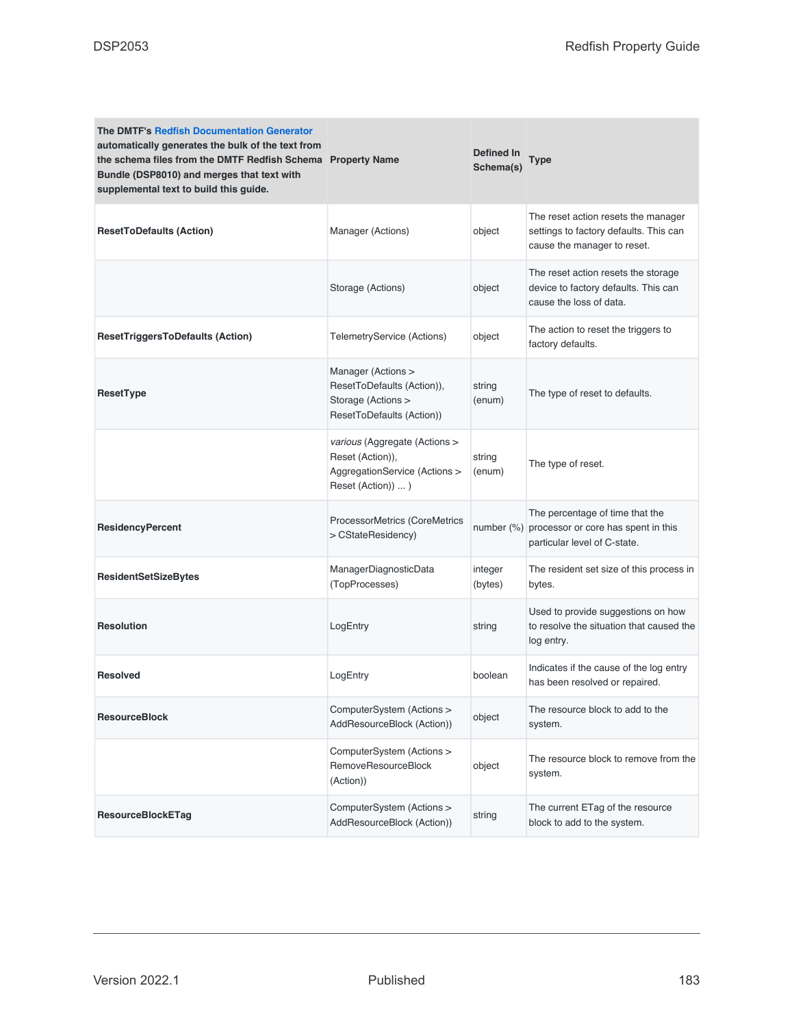| <b>The DMTF's Redfish Documentation Generator</b><br>automatically generates the bulk of the text from<br>the schema files from the DMTF Redfish Schema Property Name<br>Bundle (DSP8010) and merges that text with<br>supplemental text to build this guide. |                                                                                                          | Defined In<br>Schema(s) | Type                                                                                                         |
|---------------------------------------------------------------------------------------------------------------------------------------------------------------------------------------------------------------------------------------------------------------|----------------------------------------------------------------------------------------------------------|-------------------------|--------------------------------------------------------------------------------------------------------------|
| <b>ResetToDefaults (Action)</b>                                                                                                                                                                                                                               | Manager (Actions)                                                                                        | object                  | The reset action resets the manager<br>settings to factory defaults. This can<br>cause the manager to reset. |
|                                                                                                                                                                                                                                                               | Storage (Actions)                                                                                        | object                  | The reset action resets the storage<br>device to factory defaults. This can<br>cause the loss of data.       |
| <b>ResetTriggersToDefaults (Action)</b>                                                                                                                                                                                                                       | TelemetryService (Actions)                                                                               | object                  | The action to reset the triggers to<br>factory defaults.                                                     |
| ResetType                                                                                                                                                                                                                                                     | Manager (Actions ><br>ResetToDefaults (Action)),<br>Storage (Actions ><br>ResetToDefaults (Action))      | string<br>(enum)        | The type of reset to defaults.                                                                               |
|                                                                                                                                                                                                                                                               | various (Aggregate (Actions ><br>Reset (Action)),<br>AggregationService (Actions ><br>Reset (Action))  ) | string<br>(enum)        | The type of reset.                                                                                           |
| <b>ResidencyPercent</b>                                                                                                                                                                                                                                       | ProcessorMetrics (CoreMetrics<br>> CStateResidency)                                                      | number $(\%)$           | The percentage of time that the<br>processor or core has spent in this<br>particular level of C-state.       |
| <b>ResidentSetSizeBytes</b>                                                                                                                                                                                                                                   | ManagerDiagnosticData<br>(TopProcesses)                                                                  | integer<br>(bytes)      | The resident set size of this process in<br>bytes.                                                           |
| <b>Resolution</b>                                                                                                                                                                                                                                             | LogEntry                                                                                                 | string                  | Used to provide suggestions on how<br>to resolve the situation that caused the<br>log entry.                 |
| <b>Resolved</b>                                                                                                                                                                                                                                               | LogEntry                                                                                                 | boolean                 | Indicates if the cause of the log entry<br>has been resolved or repaired.                                    |
| <b>ResourceBlock</b>                                                                                                                                                                                                                                          | ComputerSystem (Actions ><br>AddResourceBlock (Action))                                                  | object                  | The resource block to add to the<br>system.                                                                  |
|                                                                                                                                                                                                                                                               | ComputerSystem (Actions ><br>RemoveResourceBlock<br>(Action))                                            | object                  | The resource block to remove from the<br>system.                                                             |
| <b>ResourceBlockETag</b>                                                                                                                                                                                                                                      | ComputerSystem (Actions ><br>AddResourceBlock (Action))                                                  | string                  | The current ETag of the resource<br>block to add to the system.                                              |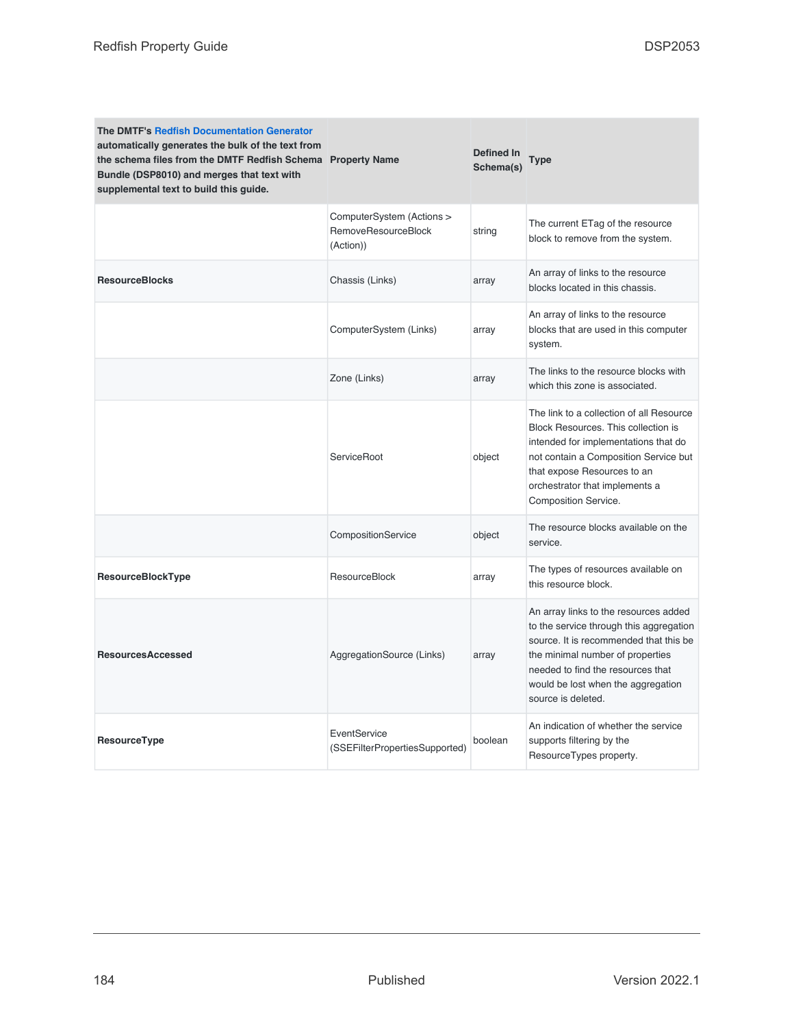| The DMTF's Redfish Documentation Generator<br>automatically generates the bulk of the text from<br>the schema files from the DMTF Redfish Schema Property Name<br>Bundle (DSP8010) and merges that text with<br>supplemental text to build this guide. |                                                               | Defined In<br>Schema(s) | Type                                                                                                                                                                                                                                                            |
|--------------------------------------------------------------------------------------------------------------------------------------------------------------------------------------------------------------------------------------------------------|---------------------------------------------------------------|-------------------------|-----------------------------------------------------------------------------------------------------------------------------------------------------------------------------------------------------------------------------------------------------------------|
|                                                                                                                                                                                                                                                        | ComputerSystem (Actions ><br>RemoveResourceBlock<br>(Action)) | string                  | The current ETag of the resource<br>block to remove from the system.                                                                                                                                                                                            |
| <b>ResourceBlocks</b>                                                                                                                                                                                                                                  | Chassis (Links)                                               | array                   | An array of links to the resource<br>blocks located in this chassis.                                                                                                                                                                                            |
|                                                                                                                                                                                                                                                        | ComputerSystem (Links)                                        | array                   | An array of links to the resource<br>blocks that are used in this computer<br>system.                                                                                                                                                                           |
|                                                                                                                                                                                                                                                        | Zone (Links)                                                  | array                   | The links to the resource blocks with<br>which this zone is associated.                                                                                                                                                                                         |
|                                                                                                                                                                                                                                                        | ServiceRoot                                                   | object                  | The link to a collection of all Resource<br>Block Resources. This collection is<br>intended for implementations that do<br>not contain a Composition Service but<br>that expose Resources to an<br>orchestrator that implements a<br>Composition Service.       |
|                                                                                                                                                                                                                                                        | CompositionService                                            | object                  | The resource blocks available on the<br>service.                                                                                                                                                                                                                |
| ResourceBlockType                                                                                                                                                                                                                                      | <b>ResourceBlock</b>                                          | array                   | The types of resources available on<br>this resource block.                                                                                                                                                                                                     |
| <b>ResourcesAccessed</b>                                                                                                                                                                                                                               | AggregationSource (Links)                                     | array                   | An array links to the resources added<br>to the service through this aggregation<br>source. It is recommended that this be<br>the minimal number of properties<br>needed to find the resources that<br>would be lost when the aggregation<br>source is deleted. |
| ResourceType                                                                                                                                                                                                                                           | EventService<br>(SSEFilterPropertiesSupported)                | boolean                 | An indication of whether the service<br>supports filtering by the<br>ResourceTypes property.                                                                                                                                                                    |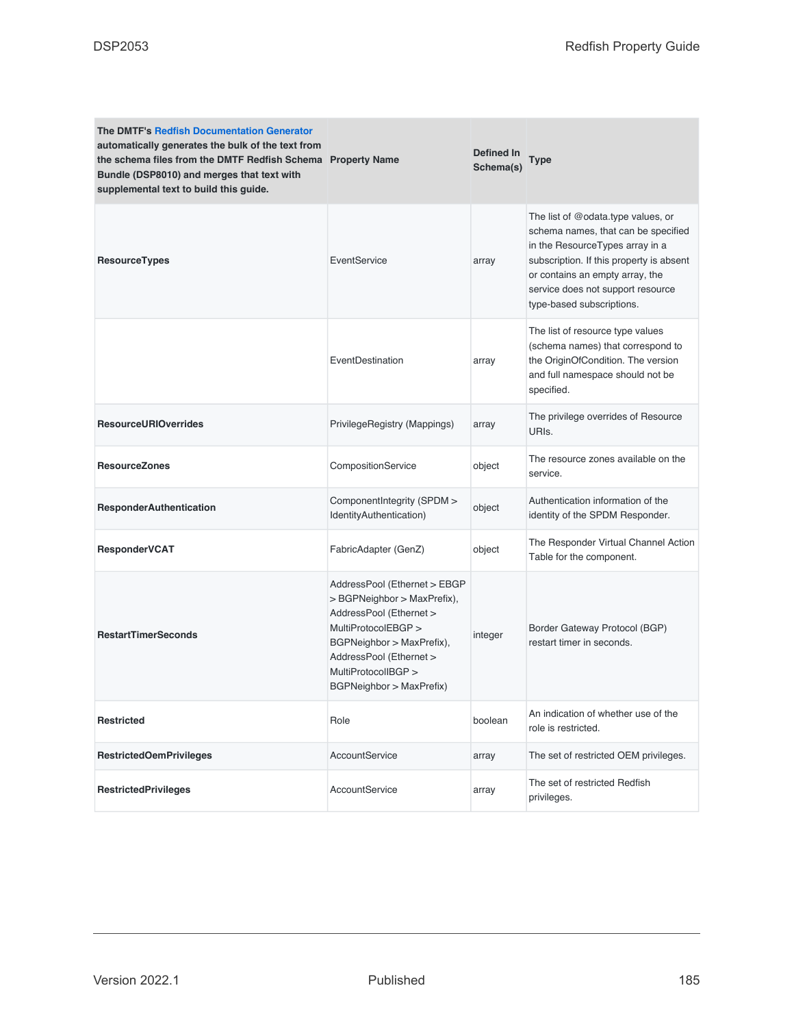| <b>The DMTF's Redfish Documentation Generator</b><br>automatically generates the bulk of the text from<br>the schema files from the DMTF Redfish Schema Property Name<br>Bundle (DSP8010) and merges that text with<br>supplemental text to build this guide. |                                                                                                                                                                                                                          | <b>Defined In</b><br>Schema(s) | Type                                                                                                                                                                                                                                                          |
|---------------------------------------------------------------------------------------------------------------------------------------------------------------------------------------------------------------------------------------------------------------|--------------------------------------------------------------------------------------------------------------------------------------------------------------------------------------------------------------------------|--------------------------------|---------------------------------------------------------------------------------------------------------------------------------------------------------------------------------------------------------------------------------------------------------------|
| ResourceTypes                                                                                                                                                                                                                                                 | EventService                                                                                                                                                                                                             | array                          | The list of @odata.type values, or<br>schema names, that can be specified<br>in the ResourceTypes array in a<br>subscription. If this property is absent<br>or contains an empty array, the<br>service does not support resource<br>type-based subscriptions. |
|                                                                                                                                                                                                                                                               | EventDestination                                                                                                                                                                                                         | array                          | The list of resource type values<br>(schema names) that correspond to<br>the OriginOfCondition. The version<br>and full namespace should not be<br>specified.                                                                                                 |
| <b>ResourceURIOverrides</b>                                                                                                                                                                                                                                   | PrivilegeRegistry (Mappings)                                                                                                                                                                                             | array                          | The privilege overrides of Resource<br>URIs.                                                                                                                                                                                                                  |
| <b>ResourceZones</b>                                                                                                                                                                                                                                          | CompositionService                                                                                                                                                                                                       | object                         | The resource zones available on the<br>service.                                                                                                                                                                                                               |
| <b>ResponderAuthentication</b>                                                                                                                                                                                                                                | ComponentIntegrity (SPDM ><br>IdentityAuthentication)                                                                                                                                                                    | object                         | Authentication information of the<br>identity of the SPDM Responder.                                                                                                                                                                                          |
| ResponderVCAT                                                                                                                                                                                                                                                 | FabricAdapter (GenZ)                                                                                                                                                                                                     | object                         | The Responder Virtual Channel Action<br>Table for the component.                                                                                                                                                                                              |
| <b>RestartTimerSeconds</b>                                                                                                                                                                                                                                    | AddressPool (Ethernet > EBGP<br>> BGPNeighbor > MaxPrefix),<br>AddressPool (Ethernet ><br>MultiProtocolEBGP ><br>BGPNeighbor > MaxPrefix),<br>AddressPool (Ethernet ><br>MultiProtocolIBGP ><br>BGPNeighbor > MaxPrefix) | integer                        | Border Gateway Protocol (BGP)<br>restart timer in seconds.                                                                                                                                                                                                    |
| <b>Restricted</b>                                                                                                                                                                                                                                             | Role                                                                                                                                                                                                                     | boolean                        | An indication of whether use of the<br>role is restricted.                                                                                                                                                                                                    |
| <b>RestrictedOemPrivileges</b>                                                                                                                                                                                                                                | AccountService                                                                                                                                                                                                           | array                          | The set of restricted OEM privileges.                                                                                                                                                                                                                         |
| <b>RestrictedPrivileges</b>                                                                                                                                                                                                                                   | AccountService                                                                                                                                                                                                           | array                          | The set of restricted Redfish<br>privileges.                                                                                                                                                                                                                  |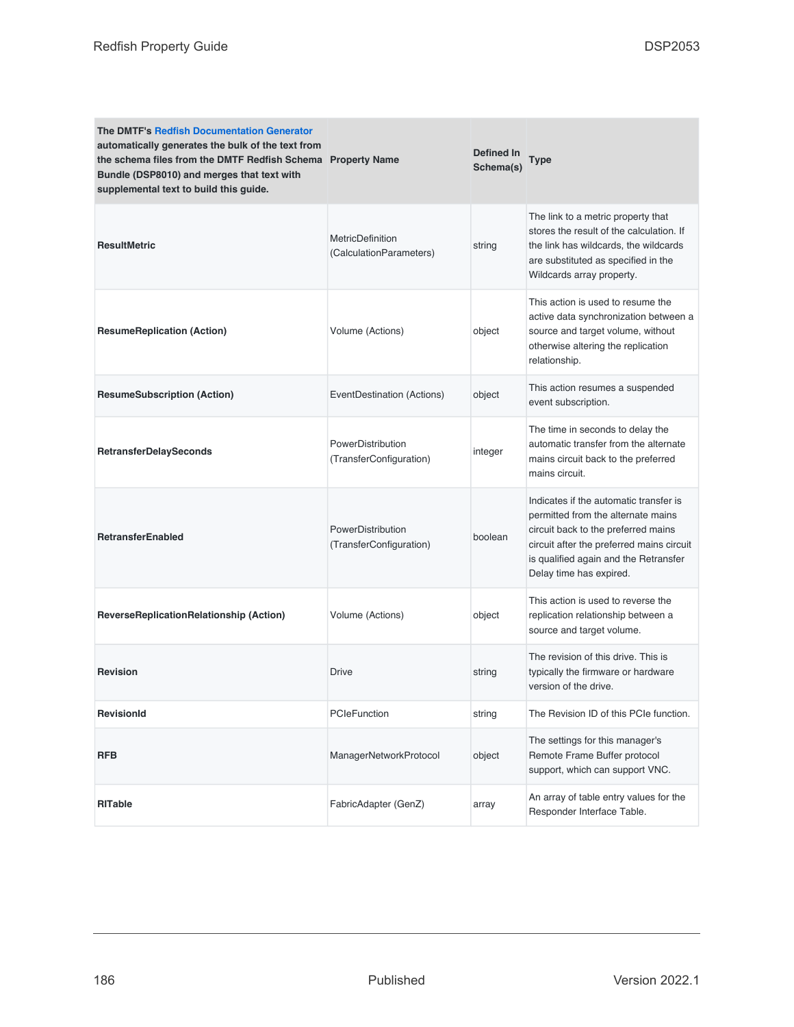| <b>The DMTF's Redfish Documentation Generator</b><br>automatically generates the bulk of the text from<br>the schema files from the DMTF Redfish Schema Property Name<br>Bundle (DSP8010) and merges that text with<br>supplemental text to build this guide. |                                                    | Defined In<br>Schema(s) | Type                                                                                                                                                                                                                                 |
|---------------------------------------------------------------------------------------------------------------------------------------------------------------------------------------------------------------------------------------------------------------|----------------------------------------------------|-------------------------|--------------------------------------------------------------------------------------------------------------------------------------------------------------------------------------------------------------------------------------|
| <b>ResultMetric</b>                                                                                                                                                                                                                                           | <b>MetricDefinition</b><br>(CalculationParameters) | string                  | The link to a metric property that<br>stores the result of the calculation. If<br>the link has wildcards, the wildcards<br>are substituted as specified in the<br>Wildcards array property.                                          |
| <b>ResumeReplication (Action)</b>                                                                                                                                                                                                                             | Volume (Actions)                                   | object                  | This action is used to resume the<br>active data synchronization between a<br>source and target volume, without<br>otherwise altering the replication<br>relationship.                                                               |
| <b>ResumeSubscription (Action)</b>                                                                                                                                                                                                                            | EventDestination (Actions)                         | object                  | This action resumes a suspended<br>event subscription.                                                                                                                                                                               |
| <b>RetransferDelaySeconds</b>                                                                                                                                                                                                                                 | PowerDistribution<br>(TransferConfiguration)       | integer                 | The time in seconds to delay the<br>automatic transfer from the alternate<br>mains circuit back to the preferred<br>mains circuit.                                                                                                   |
| <b>RetransferEnabled</b>                                                                                                                                                                                                                                      | PowerDistribution<br>(TransferConfiguration)       | boolean                 | Indicates if the automatic transfer is<br>permitted from the alternate mains<br>circuit back to the preferred mains<br>circuit after the preferred mains circuit<br>is qualified again and the Retransfer<br>Delay time has expired. |
| <b>ReverseReplicationRelationship (Action)</b>                                                                                                                                                                                                                | Volume (Actions)                                   | object                  | This action is used to reverse the<br>replication relationship between a<br>source and target volume.                                                                                                                                |
| <b>Revision</b>                                                                                                                                                                                                                                               | <b>Drive</b>                                       | string                  | The revision of this drive. This is<br>typically the firmware or hardware<br>version of the drive.                                                                                                                                   |
| <b>RevisionId</b>                                                                                                                                                                                                                                             | <b>PCIeFunction</b>                                | string                  | The Revision ID of this PCIe function.                                                                                                                                                                                               |
| <b>RFB</b>                                                                                                                                                                                                                                                    | ManagerNetworkProtocol                             | object                  | The settings for this manager's<br>Remote Frame Buffer protocol<br>support, which can support VNC.                                                                                                                                   |
| <b>RITable</b>                                                                                                                                                                                                                                                | FabricAdapter (GenZ)                               | array                   | An array of table entry values for the<br>Responder Interface Table.                                                                                                                                                                 |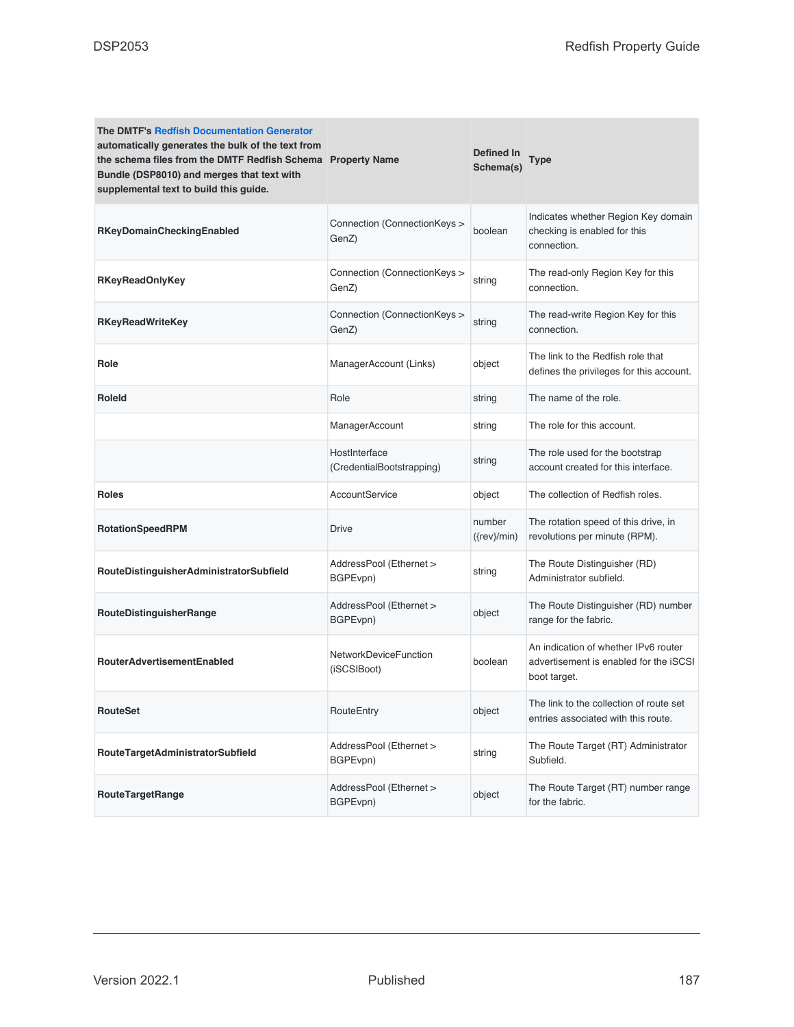| <b>The DMTF's Redfish Documentation Generator</b><br>automatically generates the bulk of the text from<br>the schema files from the DMTF Redfish Schema Property Name<br>Bundle (DSP8010) and merges that text with<br>supplemental text to build this guide. |                                            | Defined In<br>Schema(s)  | <b>Type</b>                                                                                    |
|---------------------------------------------------------------------------------------------------------------------------------------------------------------------------------------------------------------------------------------------------------------|--------------------------------------------|--------------------------|------------------------------------------------------------------------------------------------|
| RKeyDomainCheckingEnabled                                                                                                                                                                                                                                     | Connection (ConnectionKeys ><br>GenZ)      | boolean                  | Indicates whether Region Key domain<br>checking is enabled for this<br>connection.             |
| <b>RKeyReadOnlyKey</b>                                                                                                                                                                                                                                        | Connection (ConnectionKeys ><br>GenZ)      | string                   | The read-only Region Key for this<br>connection.                                               |
| <b>RKeyReadWriteKey</b>                                                                                                                                                                                                                                       | Connection (ConnectionKeys ><br>GenZ)      | string                   | The read-write Region Key for this<br>connection.                                              |
| Role                                                                                                                                                                                                                                                          | ManagerAccount (Links)                     | object                   | The link to the Redfish role that<br>defines the privileges for this account.                  |
| <b>Roleld</b>                                                                                                                                                                                                                                                 | Role                                       | string                   | The name of the role.                                                                          |
|                                                                                                                                                                                                                                                               | ManagerAccount                             | string                   | The role for this account.                                                                     |
|                                                                                                                                                                                                                                                               | HostInterface<br>(CredentialBootstrapping) | string                   | The role used for the bootstrap<br>account created for this interface.                         |
| <b>Roles</b>                                                                                                                                                                                                                                                  | <b>AccountService</b>                      | object                   | The collection of Redfish roles.                                                               |
| RotationSpeedRPM                                                                                                                                                                                                                                              | <b>Drive</b>                               | number<br>$({rev}$ /min) | The rotation speed of this drive, in<br>revolutions per minute (RPM).                          |
| RouteDistinguisherAdministratorSubfield                                                                                                                                                                                                                       | AddressPool (Ethernet ><br>BGPEvpn)        | string                   | The Route Distinguisher (RD)<br>Administrator subfield.                                        |
| RouteDistinguisherRange                                                                                                                                                                                                                                       | AddressPool (Ethernet ><br>BGPEvpn)        | object                   | The Route Distinguisher (RD) number<br>range for the fabric.                                   |
| <b>RouterAdvertisementEnabled</b>                                                                                                                                                                                                                             | NetworkDeviceFunction<br>(iSCSIBoot)       | boolean                  | An indication of whether IPv6 router<br>advertisement is enabled for the iSCSI<br>boot target. |
| <b>RouteSet</b>                                                                                                                                                                                                                                               | RouteEntry                                 | object                   | The link to the collection of route set<br>entries associated with this route.                 |
| RouteTargetAdministratorSubfield                                                                                                                                                                                                                              | AddressPool (Ethernet ><br>BGPEvpn)        | string                   | The Route Target (RT) Administrator<br>Subfield.                                               |
| <b>RouteTargetRange</b>                                                                                                                                                                                                                                       | AddressPool (Ethernet ><br>BGPEvpn)        | object                   | The Route Target (RT) number range<br>for the fabric.                                          |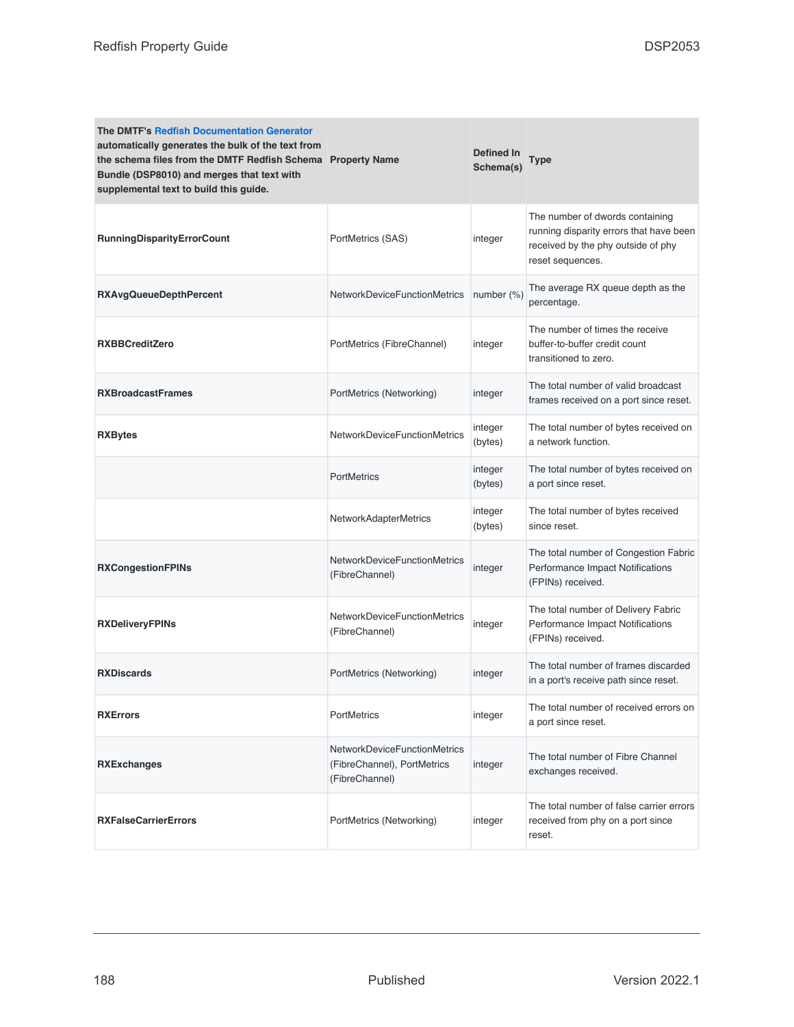| <b>The DMTF's Redfish Documentation Generator</b><br>automatically generates the bulk of the text from<br>the schema files from the DMTF Redfish Schema Property Name<br>Bundle (DSP8010) and merges that text with<br>supplemental text to build this guide. |                                                                                      | Defined In<br>Schema(s) | Type                                                                                                                                 |
|---------------------------------------------------------------------------------------------------------------------------------------------------------------------------------------------------------------------------------------------------------------|--------------------------------------------------------------------------------------|-------------------------|--------------------------------------------------------------------------------------------------------------------------------------|
| <b>RunningDisparityErrorCount</b>                                                                                                                                                                                                                             | PortMetrics (SAS)                                                                    | integer                 | The number of dwords containing<br>running disparity errors that have been<br>received by the phy outside of phy<br>reset sequences. |
| <b>RXAvgQueueDepthPercent</b>                                                                                                                                                                                                                                 | NetworkDeviceFunctionMetrics                                                         | number $(\%)$           | The average RX queue depth as the<br>percentage.                                                                                     |
| <b>RXBBCreditZero</b>                                                                                                                                                                                                                                         | PortMetrics (FibreChannel)                                                           | integer                 | The number of times the receive<br>buffer-to-buffer credit count<br>transitioned to zero.                                            |
| <b>RXBroadcastFrames</b>                                                                                                                                                                                                                                      | PortMetrics (Networking)                                                             | integer                 | The total number of valid broadcast<br>frames received on a port since reset.                                                        |
| <b>RXBytes</b>                                                                                                                                                                                                                                                | NetworkDeviceFunctionMetrics                                                         | integer<br>(bytes)      | The total number of bytes received on<br>a network function.                                                                         |
|                                                                                                                                                                                                                                                               | <b>PortMetrics</b>                                                                   | integer<br>(bytes)      | The total number of bytes received on<br>a port since reset.                                                                         |
|                                                                                                                                                                                                                                                               | <b>NetworkAdapterMetrics</b>                                                         | integer<br>(bytes)      | The total number of bytes received<br>since reset.                                                                                   |
| <b>RXCongestionFPINs</b>                                                                                                                                                                                                                                      | NetworkDeviceFunctionMetrics<br>(FibreChannel)                                       | integer                 | The total number of Congestion Fabric<br>Performance Impact Notifications<br>(FPINs) received.                                       |
| <b>RXDeliveryFPINs</b>                                                                                                                                                                                                                                        | NetworkDeviceFunctionMetrics<br>(FibreChannel)                                       | integer                 | The total number of Delivery Fabric<br>Performance Impact Notifications<br>(FPINs) received.                                         |
| <b>RXDiscards</b>                                                                                                                                                                                                                                             | PortMetrics (Networking)                                                             | integer                 | The total number of frames discarded<br>in a port's receive path since reset.                                                        |
| <b>RXErrors</b>                                                                                                                                                                                                                                               | PortMetrics                                                                          | integer                 | The total number of received errors on<br>a port since reset.                                                                        |
| <b>RXExchanges</b>                                                                                                                                                                                                                                            | <b>NetworkDeviceFunctionMetrics</b><br>(FibreChannel), PortMetrics<br>(FibreChannel) | integer                 | The total number of Fibre Channel<br>exchanges received.                                                                             |
| <b>RXFalseCarrierErrors</b>                                                                                                                                                                                                                                   | PortMetrics (Networking)                                                             | integer                 | The total number of false carrier errors<br>received from phy on a port since<br>reset.                                              |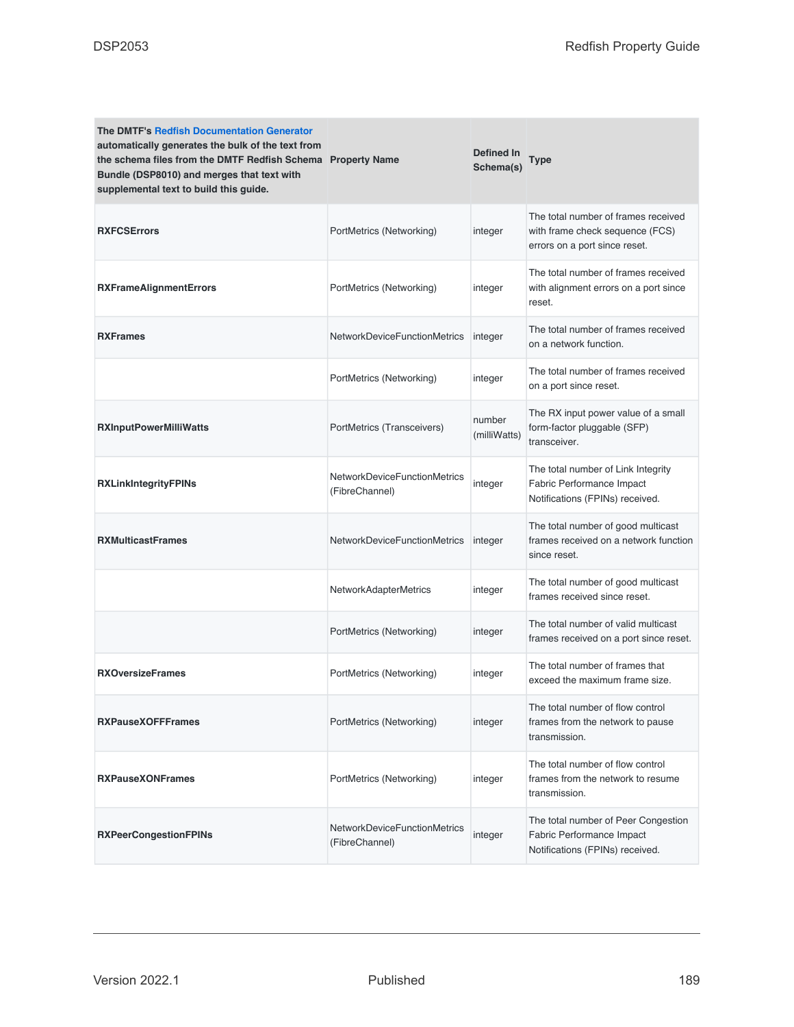| <b>The DMTF's Redfish Documentation Generator</b><br>automatically generates the bulk of the text from<br>the schema files from the DMTF Redfish Schema Property Name<br>Bundle (DSP8010) and merges that text with<br>supplemental text to build this guide. |                                                | Defined In<br>Schema(s) | Type                                                                                                    |
|---------------------------------------------------------------------------------------------------------------------------------------------------------------------------------------------------------------------------------------------------------------|------------------------------------------------|-------------------------|---------------------------------------------------------------------------------------------------------|
| <b>RXFCSErrors</b>                                                                                                                                                                                                                                            | PortMetrics (Networking)                       | integer                 | The total number of frames received<br>with frame check sequence (FCS)<br>errors on a port since reset. |
| <b>RXFrameAlignmentErrors</b>                                                                                                                                                                                                                                 | PortMetrics (Networking)                       | integer                 | The total number of frames received<br>with alignment errors on a port since<br>reset.                  |
| <b>RXFrames</b>                                                                                                                                                                                                                                               | <b>NetworkDeviceFunctionMetrics</b>            | integer                 | The total number of frames received<br>on a network function.                                           |
|                                                                                                                                                                                                                                                               | PortMetrics (Networking)                       | integer                 | The total number of frames received<br>on a port since reset.                                           |
| <b>RXInputPowerMilliWatts</b>                                                                                                                                                                                                                                 | PortMetrics (Transceivers)                     | number<br>(milliWatts)  | The RX input power value of a small<br>form-factor pluggable (SFP)<br>transceiver.                      |
| <b>RXLinkIntegrityFPINs</b>                                                                                                                                                                                                                                   | NetworkDeviceFunctionMetrics<br>(FibreChannel) | integer                 | The total number of Link Integrity<br>Fabric Performance Impact<br>Notifications (FPINs) received.      |
| <b>RXMulticastFrames</b>                                                                                                                                                                                                                                      | NetworkDeviceFunctionMetrics                   | integer                 | The total number of good multicast<br>frames received on a network function<br>since reset.             |
|                                                                                                                                                                                                                                                               | <b>NetworkAdapterMetrics</b>                   | integer                 | The total number of good multicast<br>frames received since reset.                                      |
|                                                                                                                                                                                                                                                               | PortMetrics (Networking)                       | integer                 | The total number of valid multicast<br>frames received on a port since reset.                           |
| <b>RXOversizeFrames</b>                                                                                                                                                                                                                                       | PortMetrics (Networking)                       | integer                 | The total number of frames that<br>exceed the maximum frame size.                                       |
| <b>RXPauseXOFFFrames</b>                                                                                                                                                                                                                                      | PortMetrics (Networking)                       | integer                 | The total number of flow control<br>frames from the network to pause<br>transmission.                   |
| <b>RXPauseXONFrames</b>                                                                                                                                                                                                                                       | PortMetrics (Networking)                       | integer                 | The total number of flow control<br>frames from the network to resume<br>transmission.                  |
| <b>RXPeerCongestionFPINs</b>                                                                                                                                                                                                                                  | NetworkDeviceFunctionMetrics<br>(FibreChannel) | integer                 | The total number of Peer Congestion<br>Fabric Performance Impact<br>Notifications (FPINs) received.     |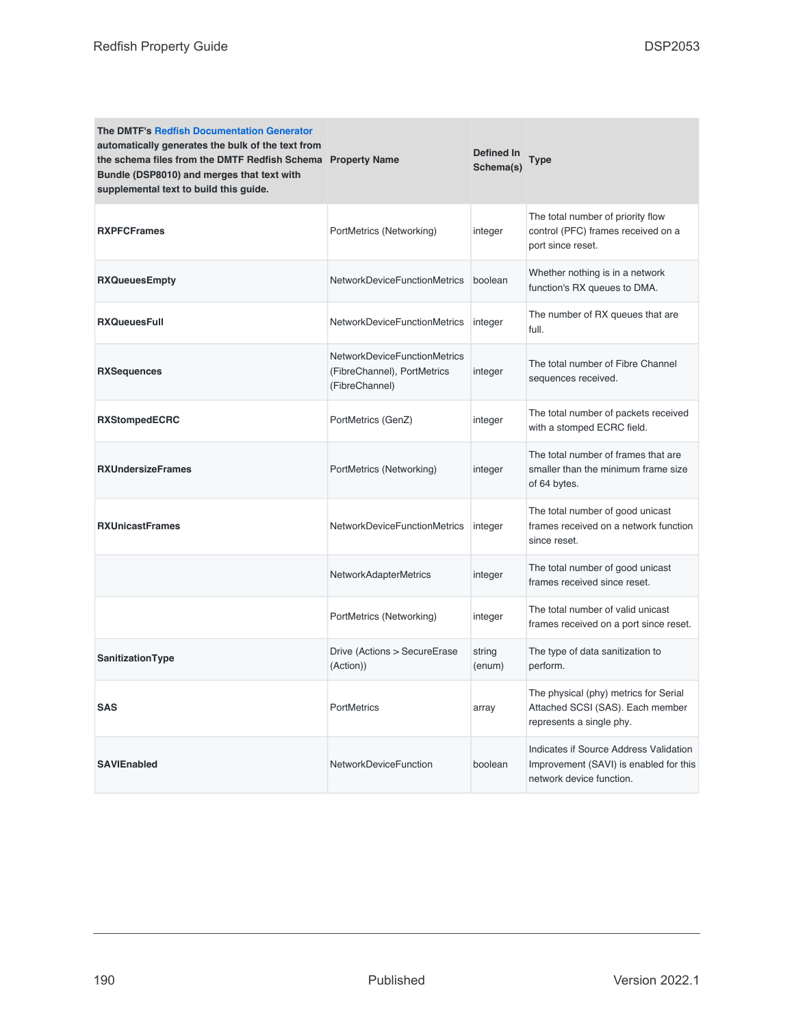| <b>The DMTF's Redfish Documentation Generator</b><br>automatically generates the bulk of the text from<br>the schema files from the DMTF Redfish Schema Property Name<br>Bundle (DSP8010) and merges that text with<br>supplemental text to build this guide. |                                                                                      | Defined In<br>Schema(s) | <b>Type</b>                                                                                                  |
|---------------------------------------------------------------------------------------------------------------------------------------------------------------------------------------------------------------------------------------------------------------|--------------------------------------------------------------------------------------|-------------------------|--------------------------------------------------------------------------------------------------------------|
| <b>RXPFCFrames</b>                                                                                                                                                                                                                                            | PortMetrics (Networking)                                                             | integer                 | The total number of priority flow<br>control (PFC) frames received on a<br>port since reset.                 |
| <b>RXQueuesEmpty</b>                                                                                                                                                                                                                                          | <b>NetworkDeviceFunctionMetrics</b>                                                  | boolean                 | Whether nothing is in a network<br>function's RX queues to DMA.                                              |
| <b>RXQueuesFull</b>                                                                                                                                                                                                                                           | <b>NetworkDeviceFunctionMetrics</b>                                                  | integer                 | The number of RX queues that are<br>full.                                                                    |
| <b>RXSequences</b>                                                                                                                                                                                                                                            | <b>NetworkDeviceFunctionMetrics</b><br>(FibreChannel), PortMetrics<br>(FibreChannel) | integer                 | The total number of Fibre Channel<br>sequences received.                                                     |
| <b>RXStompedECRC</b>                                                                                                                                                                                                                                          | PortMetrics (GenZ)                                                                   | integer                 | The total number of packets received<br>with a stomped ECRC field.                                           |
| <b>RXUndersizeFrames</b>                                                                                                                                                                                                                                      | PortMetrics (Networking)                                                             | integer                 | The total number of frames that are<br>smaller than the minimum frame size<br>of 64 bytes.                   |
| <b>RXUnicastFrames</b>                                                                                                                                                                                                                                        | <b>NetworkDeviceFunctionMetrics</b>                                                  | integer                 | The total number of good unicast<br>frames received on a network function<br>since reset.                    |
|                                                                                                                                                                                                                                                               | <b>NetworkAdapterMetrics</b>                                                         | integer                 | The total number of good unicast<br>frames received since reset.                                             |
|                                                                                                                                                                                                                                                               | PortMetrics (Networking)                                                             | integer                 | The total number of valid unicast<br>frames received on a port since reset.                                  |
| SanitizationType                                                                                                                                                                                                                                              | Drive (Actions > SecureErase<br>(Action))                                            | string<br>(enum)        | The type of data sanitization to<br>perform.                                                                 |
| <b>SAS</b>                                                                                                                                                                                                                                                    | <b>PortMetrics</b>                                                                   | array                   | The physical (phy) metrics for Serial<br>Attached SCSI (SAS). Each member<br>represents a single phy.        |
| <b>SAVIEnabled</b>                                                                                                                                                                                                                                            | <b>NetworkDeviceFunction</b>                                                         | boolean                 | Indicates if Source Address Validation<br>Improvement (SAVI) is enabled for this<br>network device function. |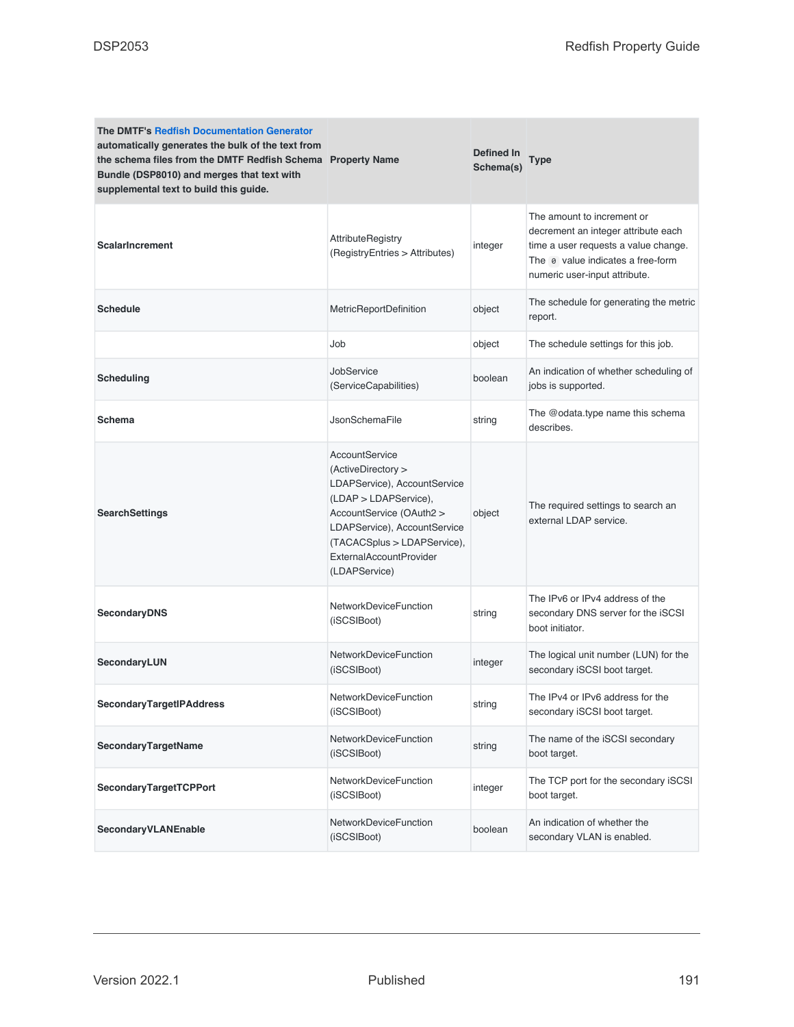| <b>The DMTF's Redfish Documentation Generator</b><br>automatically generates the bulk of the text from<br>the schema files from the DMTF Redfish Schema Property Name<br>Bundle (DSP8010) and merges that text with<br>supplemental text to build this guide. |                                                                                                                                                                                                                                             | Defined In<br>Schema(s) | Type                                                                                                                                                                            |
|---------------------------------------------------------------------------------------------------------------------------------------------------------------------------------------------------------------------------------------------------------------|---------------------------------------------------------------------------------------------------------------------------------------------------------------------------------------------------------------------------------------------|-------------------------|---------------------------------------------------------------------------------------------------------------------------------------------------------------------------------|
| <b>ScalarIncrement</b>                                                                                                                                                                                                                                        | AttributeRegistry<br>(RegistryEntries > Attributes)                                                                                                                                                                                         | integer                 | The amount to increment or<br>decrement an integer attribute each<br>time a user requests a value change.<br>The e value indicates a free-form<br>numeric user-input attribute. |
| <b>Schedule</b>                                                                                                                                                                                                                                               | MetricReportDefinition                                                                                                                                                                                                                      | object                  | The schedule for generating the metric<br>report.                                                                                                                               |
|                                                                                                                                                                                                                                                               | Job                                                                                                                                                                                                                                         | object                  | The schedule settings for this job.                                                                                                                                             |
| <b>Scheduling</b>                                                                                                                                                                                                                                             | JobService<br>(ServiceCapabilities)                                                                                                                                                                                                         | boolean                 | An indication of whether scheduling of<br>jobs is supported.                                                                                                                    |
| Schema                                                                                                                                                                                                                                                        | <b>JsonSchemaFile</b>                                                                                                                                                                                                                       | string                  | The @odata.type name this schema<br>describes.                                                                                                                                  |
| <b>SearchSettings</b>                                                                                                                                                                                                                                         | AccountService<br>(ActiveDirectory ><br>LDAPService), AccountService<br>(LDAP > LDAPService),<br>AccountService (OAuth2 ><br>LDAPService), AccountService<br>(TACACSplus > LDAPService),<br><b>ExternalAccountProvider</b><br>(LDAPService) | object                  | The required settings to search an<br>external LDAP service.                                                                                                                    |
| <b>SecondaryDNS</b>                                                                                                                                                                                                                                           | NetworkDeviceFunction<br>(iSCSIBoot)                                                                                                                                                                                                        | string                  | The IPv6 or IPv4 address of the<br>secondary DNS server for the iSCSI<br>boot initiator.                                                                                        |
| SecondaryLUN                                                                                                                                                                                                                                                  | <b>NetworkDeviceFunction</b><br>(iSCSIBoot)                                                                                                                                                                                                 | integer                 | The logical unit number (LUN) for the<br>secondary iSCSI boot target.                                                                                                           |
| <b>SecondaryTargetIPAddress</b>                                                                                                                                                                                                                               | <b>NetworkDeviceFunction</b><br>(iSCSIBoot)                                                                                                                                                                                                 | string                  | The IPv4 or IPv6 address for the<br>secondary iSCSI boot target.                                                                                                                |
| SecondaryTargetName                                                                                                                                                                                                                                           | <b>NetworkDeviceFunction</b><br>(iSCSIBoot)                                                                                                                                                                                                 | string                  | The name of the iSCSI secondary<br>boot target.                                                                                                                                 |
| <b>SecondaryTargetTCPPort</b>                                                                                                                                                                                                                                 | <b>NetworkDeviceFunction</b><br>(iSCSIBoot)                                                                                                                                                                                                 | integer                 | The TCP port for the secondary iSCSI<br>boot target.                                                                                                                            |
| SecondaryVLANEnable                                                                                                                                                                                                                                           | <b>NetworkDeviceFunction</b><br>(iSCSIBoot)                                                                                                                                                                                                 | boolean                 | An indication of whether the<br>secondary VLAN is enabled.                                                                                                                      |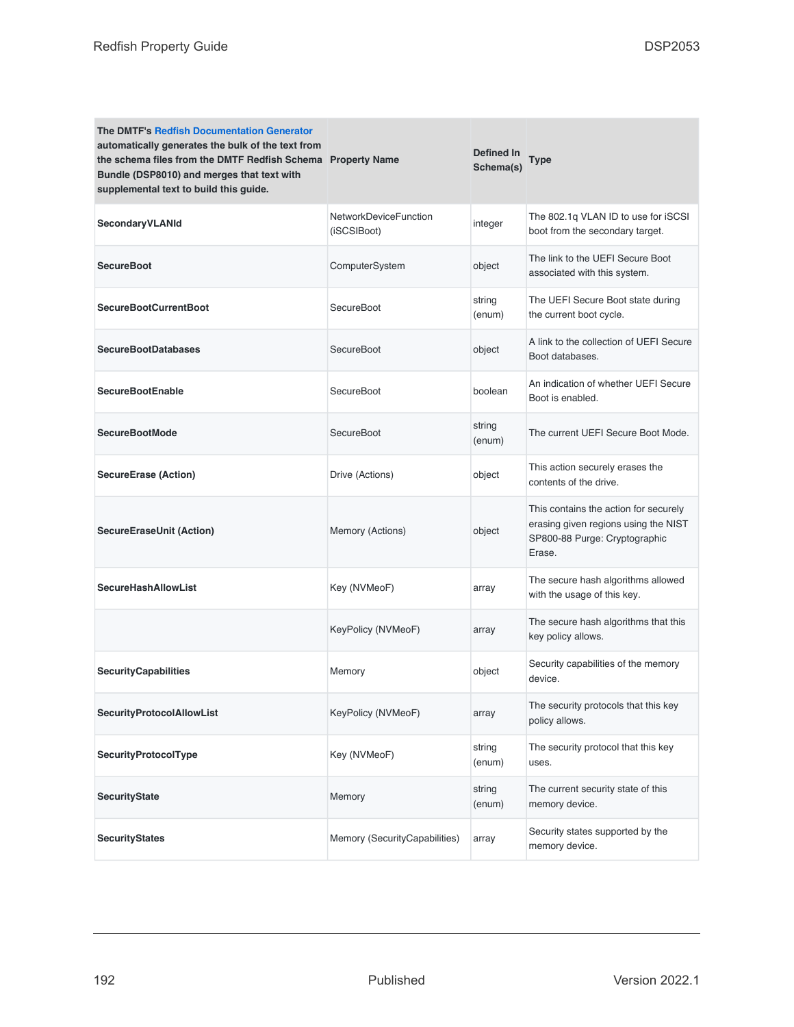| <b>The DMTF's Redfish Documentation Generator</b><br>automatically generates the bulk of the text from<br>the schema files from the DMTF Redfish Schema Property Name<br>Bundle (DSP8010) and merges that text with<br>supplemental text to build this guide. |                                      | Defined In<br>Schema(s) | Type                                                                                                                     |
|---------------------------------------------------------------------------------------------------------------------------------------------------------------------------------------------------------------------------------------------------------------|--------------------------------------|-------------------------|--------------------------------------------------------------------------------------------------------------------------|
| SecondaryVLANId                                                                                                                                                                                                                                               | NetworkDeviceFunction<br>(iSCSIBoot) | integer                 | The 802.1q VLAN ID to use for iSCSI<br>boot from the secondary target.                                                   |
| <b>SecureBoot</b>                                                                                                                                                                                                                                             | ComputerSystem                       | object                  | The link to the UEFI Secure Boot<br>associated with this system.                                                         |
| <b>SecureBootCurrentBoot</b>                                                                                                                                                                                                                                  | SecureBoot                           | string<br>(enum)        | The UEFI Secure Boot state during<br>the current boot cycle.                                                             |
| <b>SecureBootDatabases</b>                                                                                                                                                                                                                                    | SecureBoot                           | object                  | A link to the collection of UEFI Secure<br>Boot databases.                                                               |
| <b>SecureBootEnable</b>                                                                                                                                                                                                                                       | SecureBoot                           | boolean                 | An indication of whether UEFI Secure<br>Boot is enabled.                                                                 |
| <b>SecureBootMode</b>                                                                                                                                                                                                                                         | SecureBoot                           | string<br>(enum)        | The current UEFI Secure Boot Mode.                                                                                       |
| <b>SecureErase (Action)</b>                                                                                                                                                                                                                                   | Drive (Actions)                      | object                  | This action securely erases the<br>contents of the drive.                                                                |
| <b>SecureEraseUnit (Action)</b>                                                                                                                                                                                                                               | Memory (Actions)                     | object                  | This contains the action for securely<br>erasing given regions using the NIST<br>SP800-88 Purge: Cryptographic<br>Erase. |
| <b>SecureHashAllowList</b>                                                                                                                                                                                                                                    | Key (NVMeoF)                         | array                   | The secure hash algorithms allowed<br>with the usage of this key.                                                        |
|                                                                                                                                                                                                                                                               | KeyPolicy (NVMeoF)                   | array                   | The secure hash algorithms that this<br>key policy allows.                                                               |
| <b>SecurityCapabilities</b>                                                                                                                                                                                                                                   | Memory                               | object                  | Security capabilities of the memory<br>device.                                                                           |
| <b>SecurityProtocolAllowList</b>                                                                                                                                                                                                                              | KeyPolicy (NVMeoF)                   | array                   | The security protocols that this key<br>policy allows.                                                                   |
| <b>SecurityProtocolType</b>                                                                                                                                                                                                                                   | Key (NVMeoF)                         | string<br>(enum)        | The security protocol that this key<br>uses.                                                                             |
| <b>SecurityState</b>                                                                                                                                                                                                                                          | Memory                               | string<br>(enum)        | The current security state of this<br>memory device.                                                                     |
| <b>SecurityStates</b>                                                                                                                                                                                                                                         | Memory (SecurityCapabilities)        | array                   | Security states supported by the<br>memory device.                                                                       |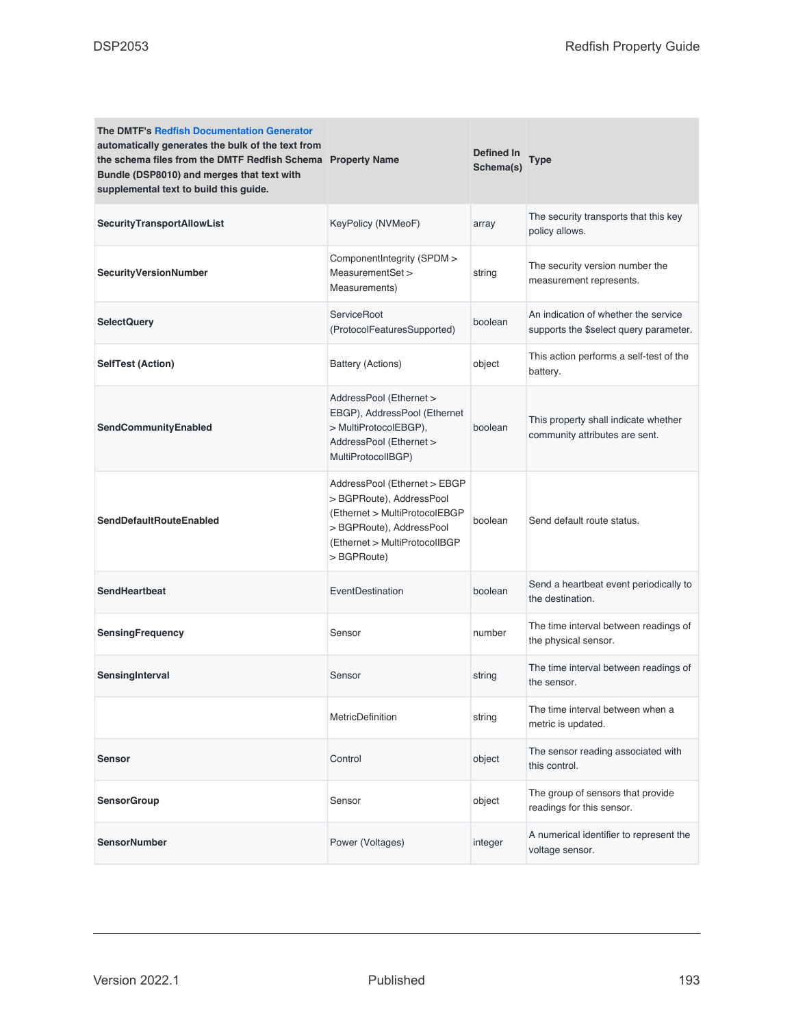| <b>The DMTF's Redfish Documentation Generator</b><br>automatically generates the bulk of the text from<br>the schema files from the DMTF Redfish Schema Property Name<br>Bundle (DSP8010) and merges that text with<br>supplemental text to build this guide. |                                                                                                                                                                       | Defined In<br>Schema(s) | Type                                                                           |
|---------------------------------------------------------------------------------------------------------------------------------------------------------------------------------------------------------------------------------------------------------------|-----------------------------------------------------------------------------------------------------------------------------------------------------------------------|-------------------------|--------------------------------------------------------------------------------|
| <b>SecurityTransportAllowList</b>                                                                                                                                                                                                                             | KeyPolicy (NVMeoF)                                                                                                                                                    | array                   | The security transports that this key<br>policy allows.                        |
| SecurityVersionNumber                                                                                                                                                                                                                                         | ComponentIntegrity (SPDM ><br>MeasurementSet ><br>Measurements)                                                                                                       | string                  | The security version number the<br>measurement represents.                     |
| <b>SelectQuery</b>                                                                                                                                                                                                                                            | ServiceRoot<br>(ProtocolFeaturesSupported)                                                                                                                            | boolean                 | An indication of whether the service<br>supports the \$select query parameter. |
| <b>SelfTest (Action)</b>                                                                                                                                                                                                                                      | Battery (Actions)                                                                                                                                                     | object                  | This action performs a self-test of the<br>battery.                            |
| SendCommunityEnabled                                                                                                                                                                                                                                          | AddressPool (Ethernet ><br>EBGP), AddressPool (Ethernet<br>> MultiProtocolEBGP),<br>AddressPool (Ethernet ><br>MultiProtocolIBGP)                                     | boolean                 | This property shall indicate whether<br>community attributes are sent.         |
| <b>SendDefaultRouteEnabled</b>                                                                                                                                                                                                                                | AddressPool (Ethernet > EBGP<br>> BGPRoute), AddressPool<br>(Ethernet > MultiProtocolEBGP<br>> BGPRoute), AddressPool<br>(Ethernet > MultiProtocolIBGP<br>> BGPRoute) | boolean                 | Send default route status.                                                     |
| <b>SendHeartbeat</b>                                                                                                                                                                                                                                          | EventDestination                                                                                                                                                      | boolean                 | Send a heartbeat event periodically to<br>the destination.                     |
| <b>SensingFrequency</b>                                                                                                                                                                                                                                       | Sensor                                                                                                                                                                | number                  | The time interval between readings of<br>the physical sensor.                  |
| SensingInterval                                                                                                                                                                                                                                               | Sensor                                                                                                                                                                | string                  | The time interval between readings of<br>the sensor.                           |
|                                                                                                                                                                                                                                                               | <b>MetricDefinition</b>                                                                                                                                               | string                  | The time interval between when a<br>metric is updated.                         |
| Sensor                                                                                                                                                                                                                                                        | Control                                                                                                                                                               | object                  | The sensor reading associated with<br>this control.                            |
| <b>SensorGroup</b>                                                                                                                                                                                                                                            | Sensor                                                                                                                                                                | object                  | The group of sensors that provide<br>readings for this sensor.                 |
| <b>SensorNumber</b>                                                                                                                                                                                                                                           | Power (Voltages)                                                                                                                                                      | integer                 | A numerical identifier to represent the<br>voltage sensor.                     |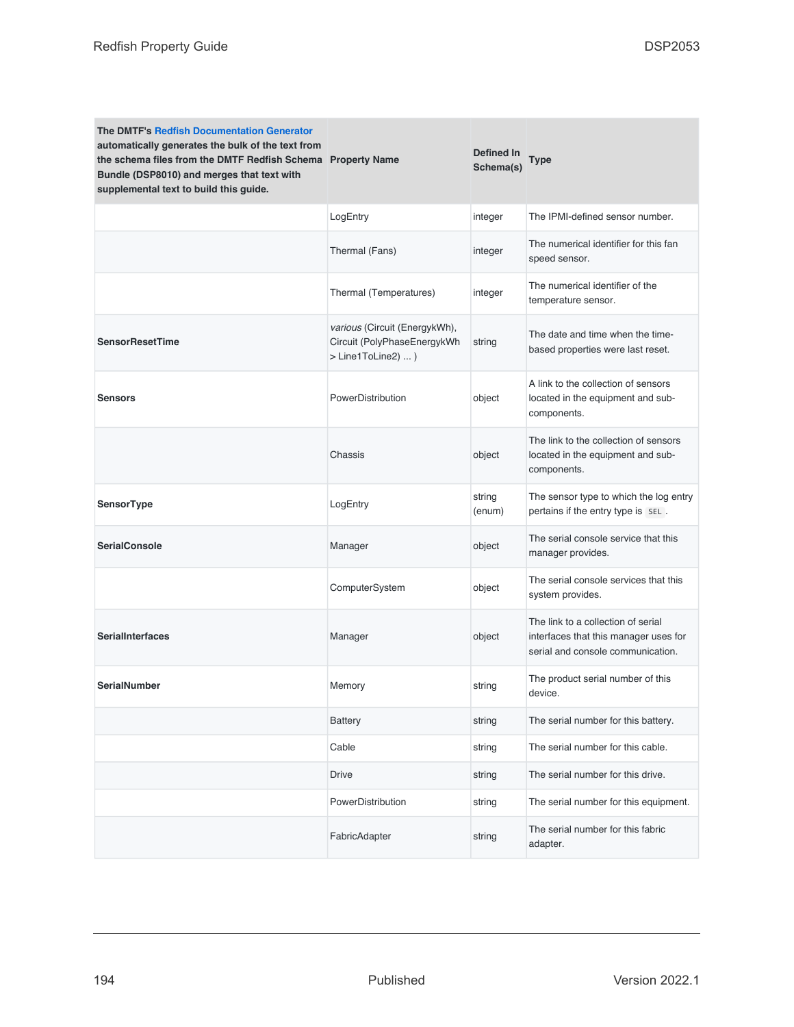| <b>The DMTF's Redfish Documentation Generator</b><br>automatically generates the bulk of the text from<br>the schema files from the DMTF Redfish Schema Property Name<br>Bundle (DSP8010) and merges that text with<br>supplemental text to build this guide. |                                                                                    | Defined In<br>Schema(s) | Type                                                                                                             |
|---------------------------------------------------------------------------------------------------------------------------------------------------------------------------------------------------------------------------------------------------------------|------------------------------------------------------------------------------------|-------------------------|------------------------------------------------------------------------------------------------------------------|
|                                                                                                                                                                                                                                                               | LogEntry                                                                           | integer                 | The IPMI-defined sensor number.                                                                                  |
|                                                                                                                                                                                                                                                               | Thermal (Fans)                                                                     | integer                 | The numerical identifier for this fan<br>speed sensor.                                                           |
|                                                                                                                                                                                                                                                               | Thermal (Temperatures)                                                             | integer                 | The numerical identifier of the<br>temperature sensor.                                                           |
| <b>SensorResetTime</b>                                                                                                                                                                                                                                        | various (Circuit (EnergykWh),<br>Circuit (PolyPhaseEnergykWh<br>> Line1ToLine2)  ) | string                  | The date and time when the time-<br>based properties were last reset.                                            |
| <b>Sensors</b>                                                                                                                                                                                                                                                | PowerDistribution                                                                  | object                  | A link to the collection of sensors<br>located in the equipment and sub-<br>components.                          |
|                                                                                                                                                                                                                                                               | Chassis                                                                            | object                  | The link to the collection of sensors<br>located in the equipment and sub-<br>components.                        |
| SensorType                                                                                                                                                                                                                                                    | LogEntry                                                                           | string<br>(enum)        | The sensor type to which the log entry<br>pertains if the entry type is SEL.                                     |
| <b>SerialConsole</b>                                                                                                                                                                                                                                          | Manager                                                                            | object                  | The serial console service that this<br>manager provides.                                                        |
|                                                                                                                                                                                                                                                               | ComputerSystem                                                                     | object                  | The serial console services that this<br>system provides.                                                        |
| <b>SerialInterfaces</b>                                                                                                                                                                                                                                       | Manager                                                                            | object                  | The link to a collection of serial<br>interfaces that this manager uses for<br>serial and console communication. |
| <b>SerialNumber</b>                                                                                                                                                                                                                                           | Memory                                                                             | string                  | The product serial number of this<br>device.                                                                     |
|                                                                                                                                                                                                                                                               | <b>Battery</b>                                                                     | string                  | The serial number for this battery.                                                                              |
|                                                                                                                                                                                                                                                               | Cable                                                                              | string                  | The serial number for this cable.                                                                                |
|                                                                                                                                                                                                                                                               | Drive                                                                              | string                  | The serial number for this drive.                                                                                |
|                                                                                                                                                                                                                                                               | PowerDistribution                                                                  | string                  | The serial number for this equipment.                                                                            |
|                                                                                                                                                                                                                                                               | FabricAdapter                                                                      | string                  | The serial number for this fabric<br>adapter.                                                                    |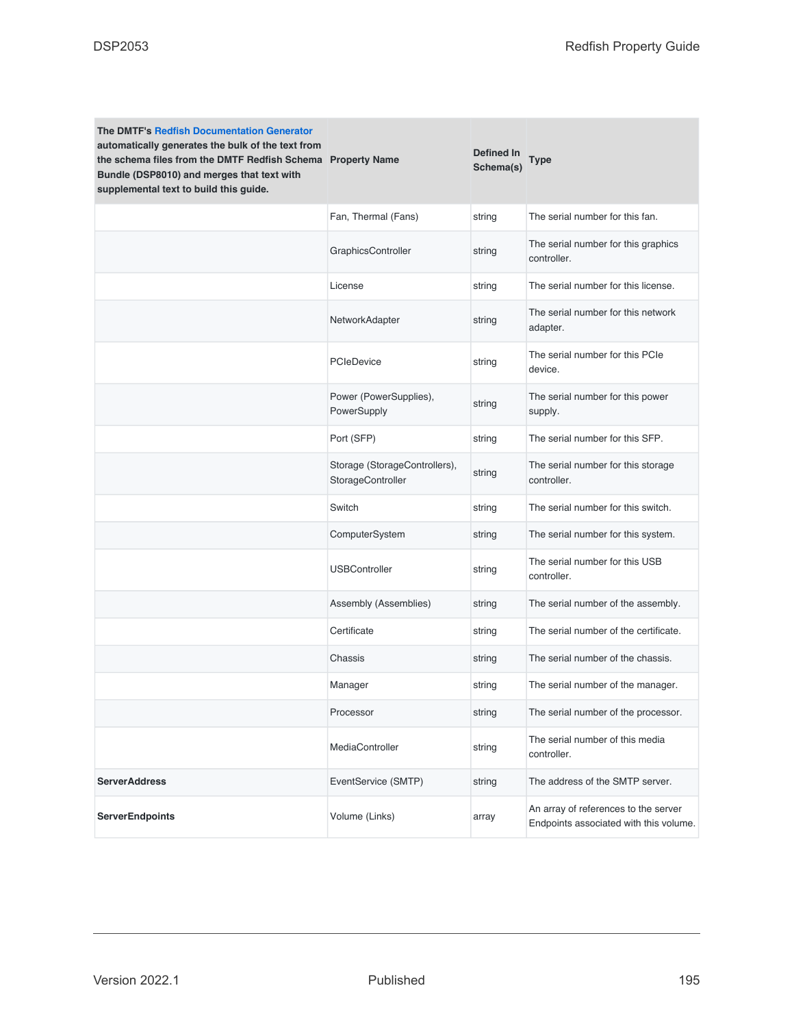| <b>The DMTF's Redfish Documentation Generator</b><br>automatically generates the bulk of the text from<br>the schema files from the DMTF Redfish Schema Property Name<br>Bundle (DSP8010) and merges that text with<br>supplemental text to build this guide. |                                                    | Defined In<br>Schema(s) | <b>Type</b>                                                                    |
|---------------------------------------------------------------------------------------------------------------------------------------------------------------------------------------------------------------------------------------------------------------|----------------------------------------------------|-------------------------|--------------------------------------------------------------------------------|
|                                                                                                                                                                                                                                                               | Fan, Thermal (Fans)                                | string                  | The serial number for this fan.                                                |
|                                                                                                                                                                                                                                                               | GraphicsController                                 | string                  | The serial number for this graphics<br>controller.                             |
|                                                                                                                                                                                                                                                               | License                                            | string                  | The serial number for this license.                                            |
|                                                                                                                                                                                                                                                               | NetworkAdapter                                     | string                  | The serial number for this network<br>adapter.                                 |
|                                                                                                                                                                                                                                                               | <b>PCIeDevice</b>                                  | string                  | The serial number for this PCIe<br>device.                                     |
|                                                                                                                                                                                                                                                               | Power (PowerSupplies),<br>PowerSupply              | string                  | The serial number for this power<br>supply.                                    |
|                                                                                                                                                                                                                                                               | Port (SFP)                                         | string                  | The serial number for this SFP.                                                |
|                                                                                                                                                                                                                                                               | Storage (StorageControllers),<br>StorageController | string                  | The serial number for this storage<br>controller.                              |
|                                                                                                                                                                                                                                                               | Switch                                             | string                  | The serial number for this switch.                                             |
|                                                                                                                                                                                                                                                               | ComputerSystem                                     | string                  | The serial number for this system.                                             |
|                                                                                                                                                                                                                                                               | <b>USBController</b>                               | string                  | The serial number for this USB<br>controller.                                  |
|                                                                                                                                                                                                                                                               | Assembly (Assemblies)                              | string                  | The serial number of the assembly.                                             |
|                                                                                                                                                                                                                                                               | Certificate                                        | string                  | The serial number of the certificate.                                          |
|                                                                                                                                                                                                                                                               | Chassis                                            | string                  | The serial number of the chassis.                                              |
|                                                                                                                                                                                                                                                               | Manager                                            | string                  | The serial number of the manager.                                              |
|                                                                                                                                                                                                                                                               | Processor                                          | string                  | The serial number of the processor.                                            |
|                                                                                                                                                                                                                                                               | MediaController                                    | string                  | The serial number of this media<br>controller.                                 |
| <b>ServerAddress</b>                                                                                                                                                                                                                                          | EventService (SMTP)                                | string                  | The address of the SMTP server.                                                |
| <b>ServerEndpoints</b>                                                                                                                                                                                                                                        | Volume (Links)                                     | array                   | An array of references to the server<br>Endpoints associated with this volume. |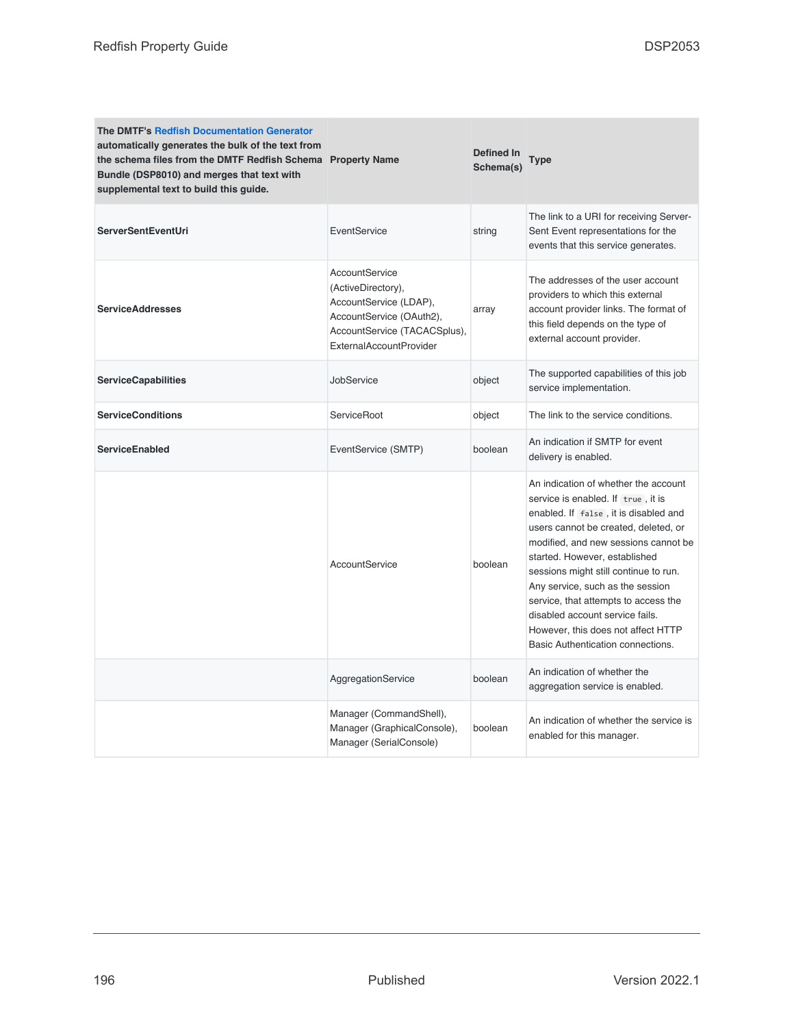| <b>The DMTF's Redfish Documentation Generator</b><br>automatically generates the bulk of the text from<br>the schema files from the DMTF Redfish Schema Property Name<br>Bundle (DSP8010) and merges that text with<br>supplemental text to build this guide. |                                                                                                                                                              | Defined In<br>Schema(s) | Type                                                                                                                                                                                                                                                                                                                                                                                                                                                                    |
|---------------------------------------------------------------------------------------------------------------------------------------------------------------------------------------------------------------------------------------------------------------|--------------------------------------------------------------------------------------------------------------------------------------------------------------|-------------------------|-------------------------------------------------------------------------------------------------------------------------------------------------------------------------------------------------------------------------------------------------------------------------------------------------------------------------------------------------------------------------------------------------------------------------------------------------------------------------|
| <b>ServerSentEventUri</b>                                                                                                                                                                                                                                     | EventService                                                                                                                                                 | string                  | The link to a URI for receiving Server-<br>Sent Event representations for the<br>events that this service generates.                                                                                                                                                                                                                                                                                                                                                    |
| <b>ServiceAddresses</b>                                                                                                                                                                                                                                       | AccountService<br>(ActiveDirectory).<br>AccountService (LDAP),<br>AccountService (OAuth2),<br>AccountService (TACACSplus),<br><b>ExternalAccountProvider</b> | array                   | The addresses of the user account<br>providers to which this external<br>account provider links. The format of<br>this field depends on the type of<br>external account provider.                                                                                                                                                                                                                                                                                       |
| <b>ServiceCapabilities</b>                                                                                                                                                                                                                                    | JobService                                                                                                                                                   | object                  | The supported capabilities of this job<br>service implementation.                                                                                                                                                                                                                                                                                                                                                                                                       |
| <b>ServiceConditions</b>                                                                                                                                                                                                                                      | ServiceRoot                                                                                                                                                  | object                  | The link to the service conditions.                                                                                                                                                                                                                                                                                                                                                                                                                                     |
| <b>ServiceEnabled</b>                                                                                                                                                                                                                                         | EventService (SMTP)                                                                                                                                          | boolean                 | An indication if SMTP for event<br>delivery is enabled.                                                                                                                                                                                                                                                                                                                                                                                                                 |
|                                                                                                                                                                                                                                                               | AccountService                                                                                                                                               | boolean                 | An indication of whether the account<br>service is enabled. If true, it is<br>enabled. If false, it is disabled and<br>users cannot be created, deleted, or<br>modified, and new sessions cannot be<br>started. However, established<br>sessions might still continue to run.<br>Any service, such as the session<br>service, that attempts to access the<br>disabled account service fails.<br>However, this does not affect HTTP<br>Basic Authentication connections. |
|                                                                                                                                                                                                                                                               | AggregationService                                                                                                                                           | boolean                 | An indication of whether the<br>aggregation service is enabled.                                                                                                                                                                                                                                                                                                                                                                                                         |
|                                                                                                                                                                                                                                                               | Manager (CommandShell),<br>Manager (GraphicalConsole),<br>Manager (SerialConsole)                                                                            | boolean                 | An indication of whether the service is<br>enabled for this manager.                                                                                                                                                                                                                                                                                                                                                                                                    |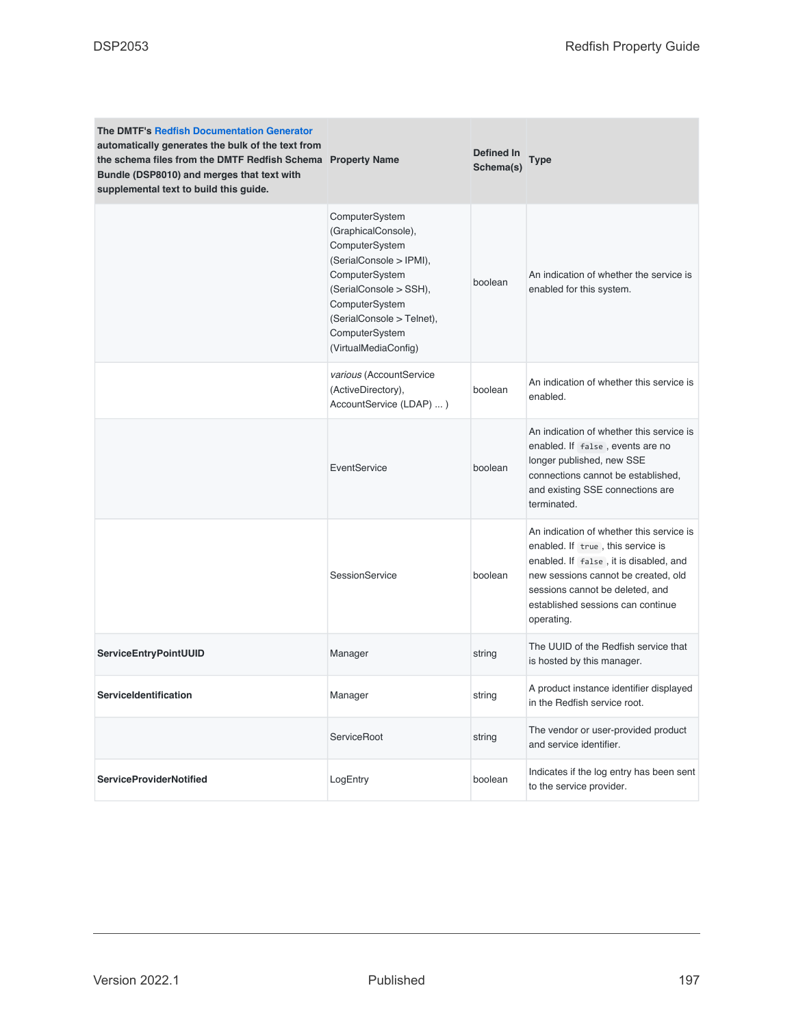| <b>The DMTF's Redfish Documentation Generator</b><br>automatically generates the bulk of the text from<br>the schema files from the DMTF Redfish Schema Property Name<br>Bundle (DSP8010) and merges that text with<br>supplemental text to build this guide. |                                                                                                                                                                                                                         | Defined In<br>Schema(s) | Type                                                                                                                                                                                                                                                 |
|---------------------------------------------------------------------------------------------------------------------------------------------------------------------------------------------------------------------------------------------------------------|-------------------------------------------------------------------------------------------------------------------------------------------------------------------------------------------------------------------------|-------------------------|------------------------------------------------------------------------------------------------------------------------------------------------------------------------------------------------------------------------------------------------------|
|                                                                                                                                                                                                                                                               | ComputerSystem<br>(GraphicalConsole),<br>ComputerSystem<br>(SerialConsole > IPMI),<br>ComputerSystem<br>(SerialConsole > SSH),<br>ComputerSystem<br>(SerialConsole > Telnet),<br>ComputerSystem<br>(VirtualMediaConfig) | boolean                 | An indication of whether the service is<br>enabled for this system.                                                                                                                                                                                  |
|                                                                                                                                                                                                                                                               | various (AccountService<br>(ActiveDirectory),<br>AccountService (LDAP) )                                                                                                                                                | boolean                 | An indication of whether this service is<br>enabled.                                                                                                                                                                                                 |
|                                                                                                                                                                                                                                                               | EventService                                                                                                                                                                                                            | boolean                 | An indication of whether this service is<br>enabled. If false, events are no<br>longer published, new SSE<br>connections cannot be established,<br>and existing SSE connections are<br>terminated.                                                   |
|                                                                                                                                                                                                                                                               | SessionService                                                                                                                                                                                                          | boolean                 | An indication of whether this service is<br>enabled. If true, this service is<br>enabled. If false, it is disabled, and<br>new sessions cannot be created, old<br>sessions cannot be deleted, and<br>established sessions can continue<br>operating. |
| ServiceEntryPointUUID                                                                                                                                                                                                                                         | Manager                                                                                                                                                                                                                 | string                  | The UUID of the Redfish service that<br>is hosted by this manager.                                                                                                                                                                                   |
| ServiceIdentification                                                                                                                                                                                                                                         | Manager                                                                                                                                                                                                                 | string                  | A product instance identifier displayed<br>in the Redfish service root.                                                                                                                                                                              |
|                                                                                                                                                                                                                                                               | ServiceRoot                                                                                                                                                                                                             | string                  | The vendor or user-provided product<br>and service identifier.                                                                                                                                                                                       |
| <b>ServiceProviderNotified</b>                                                                                                                                                                                                                                | LogEntry                                                                                                                                                                                                                | boolean                 | Indicates if the log entry has been sent<br>to the service provider.                                                                                                                                                                                 |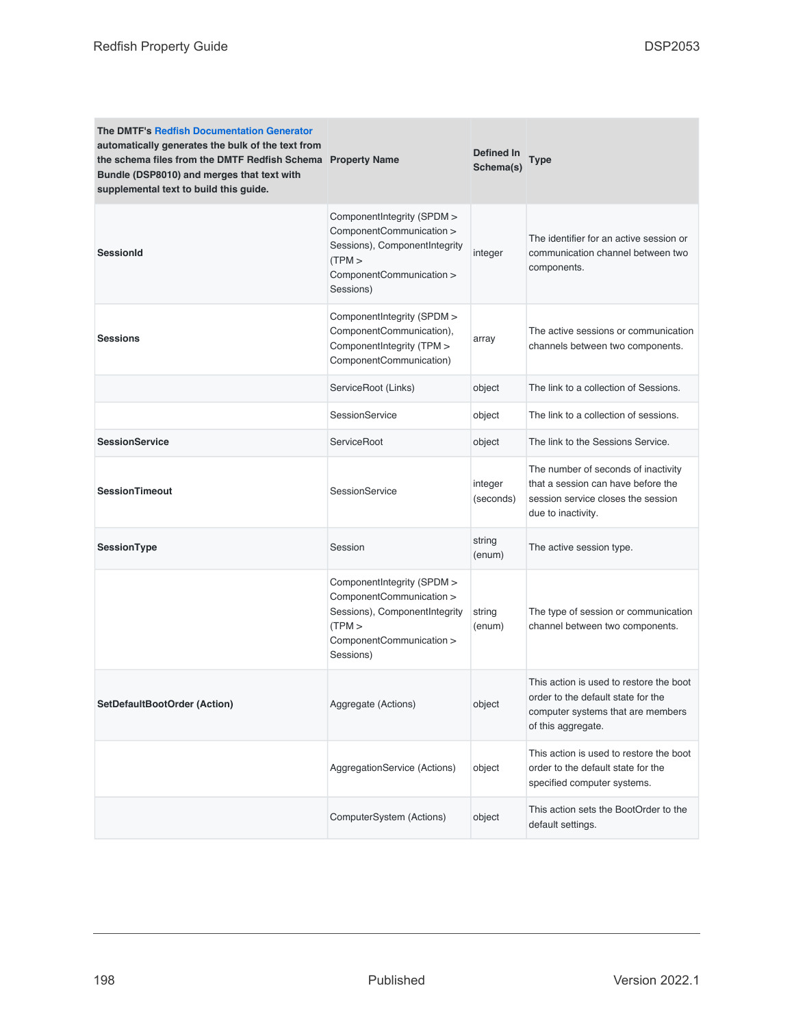| <b>The DMTF's Redfish Documentation Generator</b><br>automatically generates the bulk of the text from<br>the schema files from the DMTF Redfish Schema Property Name<br>Bundle (DSP8010) and merges that text with<br>supplemental text to build this guide. |                                                                                                                                            | Defined In<br>Schema(s) | Type                                                                                                                                     |
|---------------------------------------------------------------------------------------------------------------------------------------------------------------------------------------------------------------------------------------------------------------|--------------------------------------------------------------------------------------------------------------------------------------------|-------------------------|------------------------------------------------------------------------------------------------------------------------------------------|
| <b>SessionId</b>                                                                                                                                                                                                                                              | ComponentIntegrity (SPDM ><br>ComponentCommunication ><br>Sessions), ComponentIntegrity<br>(TPM ><br>ComponentCommunication ><br>Sessions) | integer                 | The identifier for an active session or<br>communication channel between two<br>components.                                              |
| <b>Sessions</b>                                                                                                                                                                                                                                               | ComponentIntegrity (SPDM ><br>ComponentCommunication),<br>ComponentIntegrity (TPM ><br>ComponentCommunication)                             | array                   | The active sessions or communication<br>channels between two components.                                                                 |
|                                                                                                                                                                                                                                                               | ServiceRoot (Links)                                                                                                                        | object                  | The link to a collection of Sessions.                                                                                                    |
|                                                                                                                                                                                                                                                               | SessionService                                                                                                                             | object                  | The link to a collection of sessions.                                                                                                    |
| <b>SessionService</b>                                                                                                                                                                                                                                         | ServiceRoot                                                                                                                                | object                  | The link to the Sessions Service.                                                                                                        |
| <b>SessionTimeout</b>                                                                                                                                                                                                                                         | <b>SessionService</b>                                                                                                                      | integer<br>(seconds)    | The number of seconds of inactivity<br>that a session can have before the<br>session service closes the session<br>due to inactivity.    |
| SessionType                                                                                                                                                                                                                                                   | Session                                                                                                                                    | string<br>(enum)        | The active session type.                                                                                                                 |
|                                                                                                                                                                                                                                                               | ComponentIntegrity (SPDM ><br>ComponentCommunication ><br>Sessions), ComponentIntegrity<br>(TPM ><br>ComponentCommunication ><br>Sessions) | string<br>(enum)        | The type of session or communication<br>channel between two components.                                                                  |
| SetDefaultBootOrder (Action)                                                                                                                                                                                                                                  | Aggregate (Actions)                                                                                                                        | object                  | This action is used to restore the boot<br>order to the default state for the<br>computer systems that are members<br>of this aggregate. |
|                                                                                                                                                                                                                                                               | AggregationService (Actions)                                                                                                               | object                  | This action is used to restore the boot<br>order to the default state for the<br>specified computer systems.                             |
|                                                                                                                                                                                                                                                               | ComputerSystem (Actions)                                                                                                                   | object                  | This action sets the BootOrder to the<br>default settings.                                                                               |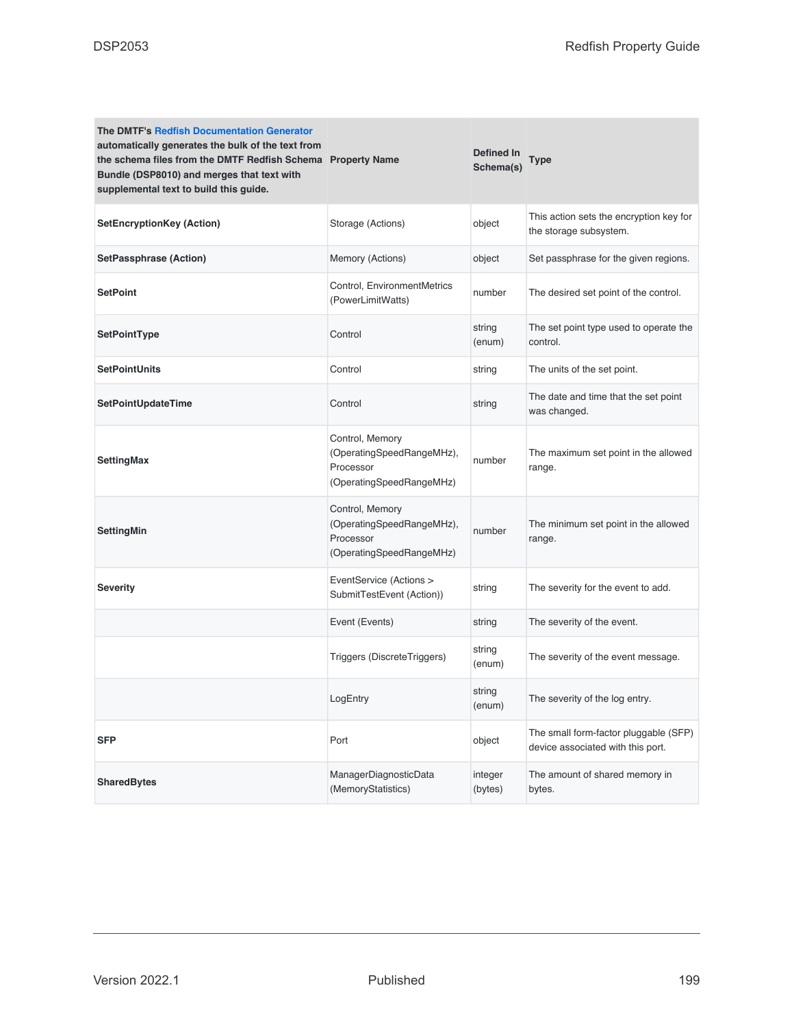| <b>The DMTF's Redfish Documentation Generator</b><br>automatically generates the bulk of the text from<br>the schema files from the DMTF Redfish Schema Property Name<br>Bundle (DSP8010) and merges that text with<br>supplemental text to build this guide. |                                                                                       | Defined In<br>Schema(s) | Type                                                                       |
|---------------------------------------------------------------------------------------------------------------------------------------------------------------------------------------------------------------------------------------------------------------|---------------------------------------------------------------------------------------|-------------------------|----------------------------------------------------------------------------|
| <b>SetEncryptionKey (Action)</b>                                                                                                                                                                                                                              | Storage (Actions)                                                                     | object                  | This action sets the encryption key for<br>the storage subsystem.          |
| <b>SetPassphrase (Action)</b>                                                                                                                                                                                                                                 | Memory (Actions)                                                                      | object                  | Set passphrase for the given regions.                                      |
| <b>SetPoint</b>                                                                                                                                                                                                                                               | Control, EnvironmentMetrics<br>(PowerLimitWatts)                                      | number                  | The desired set point of the control.                                      |
| SetPointType                                                                                                                                                                                                                                                  | Control                                                                               | string<br>(enum)        | The set point type used to operate the<br>control.                         |
| <b>SetPointUnits</b>                                                                                                                                                                                                                                          | Control                                                                               | string                  | The units of the set point.                                                |
| SetPointUpdateTime                                                                                                                                                                                                                                            | Control                                                                               | string                  | The date and time that the set point<br>was changed.                       |
| <b>SettingMax</b>                                                                                                                                                                                                                                             | Control, Memory<br>(OperatingSpeedRangeMHz),<br>Processor<br>(OperatingSpeedRangeMHz) | number                  | The maximum set point in the allowed<br>range.                             |
| SettingMin                                                                                                                                                                                                                                                    | Control, Memory<br>(OperatingSpeedRangeMHz),<br>Processor<br>(OperatingSpeedRangeMHz) | number                  | The minimum set point in the allowed<br>range.                             |
| Severity                                                                                                                                                                                                                                                      | EventService (Actions ><br>SubmitTestEvent (Action))                                  | string                  | The severity for the event to add.                                         |
|                                                                                                                                                                                                                                                               | Event (Events)                                                                        | string                  | The severity of the event.                                                 |
|                                                                                                                                                                                                                                                               | Triggers (DiscreteTriggers)                                                           | string<br>(enum)        | The severity of the event message.                                         |
|                                                                                                                                                                                                                                                               | LogEntry                                                                              | string<br>(enum)        | The severity of the log entry.                                             |
| <b>SFP</b>                                                                                                                                                                                                                                                    | Port                                                                                  | object                  | The small form-factor pluggable (SFP)<br>device associated with this port. |
| <b>SharedBytes</b>                                                                                                                                                                                                                                            | ManagerDiagnosticData<br>(MemoryStatistics)                                           | integer<br>(bytes)      | The amount of shared memory in<br>bytes.                                   |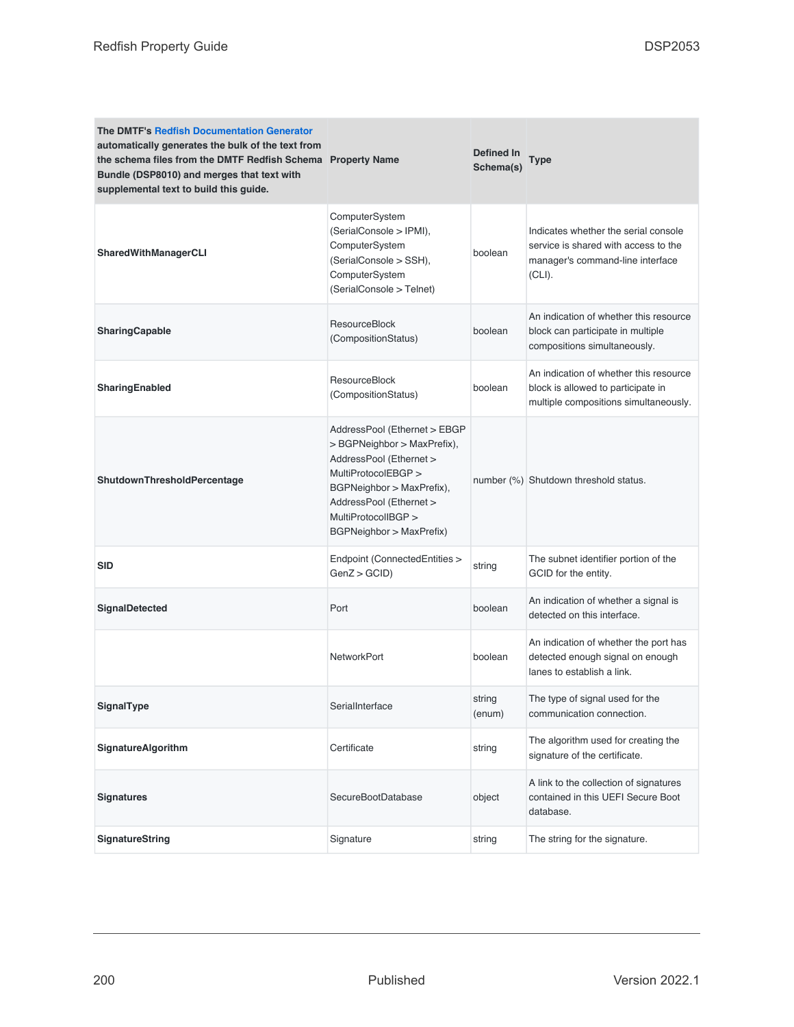| <b>The DMTF's Redfish Documentation Generator</b><br>automatically generates the bulk of the text from<br>the schema files from the DMTF Redfish Schema Property Name<br>Bundle (DSP8010) and merges that text with<br>supplemental text to build this guide. |                                                                                                                                                                                                                          | <b>Defined In</b><br>Schema(s) | <b>Type</b>                                                                                                                |
|---------------------------------------------------------------------------------------------------------------------------------------------------------------------------------------------------------------------------------------------------------------|--------------------------------------------------------------------------------------------------------------------------------------------------------------------------------------------------------------------------|--------------------------------|----------------------------------------------------------------------------------------------------------------------------|
| SharedWithManagerCLI                                                                                                                                                                                                                                          | ComputerSystem<br>(SerialConsole > IPMI),<br>ComputerSystem<br>(SerialConsole > SSH),<br>ComputerSystem<br>(SerialConsole > Telnet)                                                                                      | boolean                        | Indicates whether the serial console<br>service is shared with access to the<br>manager's command-line interface<br>(CLI). |
| SharingCapable                                                                                                                                                                                                                                                | <b>ResourceBlock</b><br>(CompositionStatus)                                                                                                                                                                              | boolean                        | An indication of whether this resource<br>block can participate in multiple<br>compositions simultaneously.                |
| <b>SharingEnabled</b>                                                                                                                                                                                                                                         | <b>ResourceBlock</b><br>(CompositionStatus)                                                                                                                                                                              | boolean                        | An indication of whether this resource<br>block is allowed to participate in<br>multiple compositions simultaneously.      |
| ShutdownThresholdPercentage                                                                                                                                                                                                                                   | AddressPool (Ethernet > EBGP<br>> BGPNeighbor > MaxPrefix),<br>AddressPool (Ethernet ><br>MultiProtocolEBGP ><br>BGPNeighbor > MaxPrefix),<br>AddressPool (Ethernet ><br>MultiProtocolIBGP ><br>BGPNeighbor > MaxPrefix) |                                | number (%) Shutdown threshold status.                                                                                      |
| <b>SID</b>                                                                                                                                                                                                                                                    | Endpoint (ConnectedEntities ><br>GenZ > GCID                                                                                                                                                                             | string                         | The subnet identifier portion of the<br>GCID for the entity.                                                               |
| <b>SignalDetected</b>                                                                                                                                                                                                                                         | Port                                                                                                                                                                                                                     | boolean                        | An indication of whether a signal is<br>detected on this interface.                                                        |
|                                                                                                                                                                                                                                                               | <b>NetworkPort</b>                                                                                                                                                                                                       | boolean                        | An indication of whether the port has<br>detected enough signal on enough<br>lanes to establish a link.                    |
| SignalType                                                                                                                                                                                                                                                    | SerialInterface                                                                                                                                                                                                          | string<br>(enum)               | The type of signal used for the<br>communication connection.                                                               |
| SignatureAlgorithm                                                                                                                                                                                                                                            | Certificate                                                                                                                                                                                                              | string                         | The algorithm used for creating the<br>signature of the certificate.                                                       |
| <b>Signatures</b>                                                                                                                                                                                                                                             | SecureBootDatabase                                                                                                                                                                                                       | object                         | A link to the collection of signatures<br>contained in this UEFI Secure Boot<br>database.                                  |
| SignatureString                                                                                                                                                                                                                                               | Signature                                                                                                                                                                                                                | string                         | The string for the signature.                                                                                              |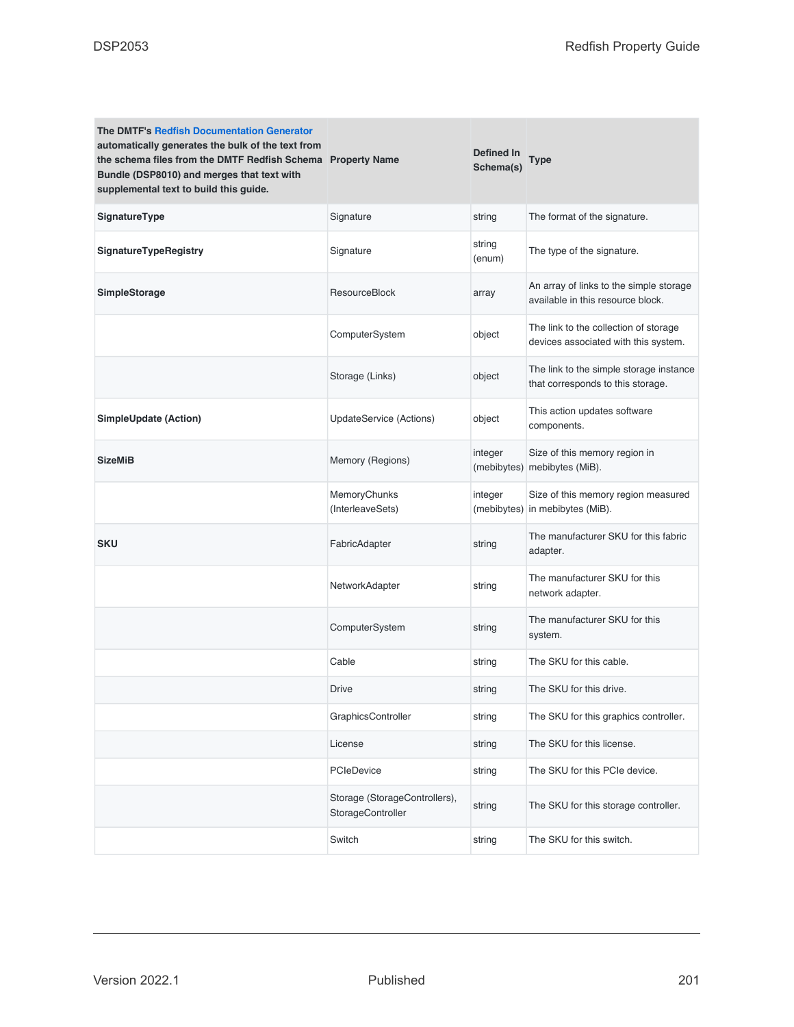| <b>The DMTF's Redfish Documentation Generator</b><br>automatically generates the bulk of the text from<br>the schema files from the DMTF Redfish Schema Property Name<br>Bundle (DSP8010) and merges that text with<br>supplemental text to build this guide. |                                                    | Defined In<br>Schema(s) | Type                                                                          |
|---------------------------------------------------------------------------------------------------------------------------------------------------------------------------------------------------------------------------------------------------------------|----------------------------------------------------|-------------------------|-------------------------------------------------------------------------------|
| SignatureType                                                                                                                                                                                                                                                 | Signature                                          | string                  | The format of the signature.                                                  |
| SignatureTypeRegistry                                                                                                                                                                                                                                         | Signature                                          | string<br>(enum)        | The type of the signature.                                                    |
| SimpleStorage                                                                                                                                                                                                                                                 | ResourceBlock                                      | array                   | An array of links to the simple storage<br>available in this resource block.  |
|                                                                                                                                                                                                                                                               | ComputerSystem                                     | object                  | The link to the collection of storage<br>devices associated with this system. |
|                                                                                                                                                                                                                                                               | Storage (Links)                                    | object                  | The link to the simple storage instance<br>that corresponds to this storage.  |
| <b>SimpleUpdate (Action)</b>                                                                                                                                                                                                                                  | UpdateService (Actions)                            | object                  | This action updates software<br>components.                                   |
| <b>SizeMiB</b>                                                                                                                                                                                                                                                | Memory (Regions)                                   | integer                 | Size of this memory region in<br>(mebibytes) mebibytes (MiB).                 |
|                                                                                                                                                                                                                                                               | MemoryChunks<br>(InterleaveSets)                   | integer                 | Size of this memory region measured<br>(mebibytes) in mebibytes (MiB).        |
| <b>SKU</b>                                                                                                                                                                                                                                                    | FabricAdapter                                      | string                  | The manufacturer SKU for this fabric<br>adapter.                              |
|                                                                                                                                                                                                                                                               | NetworkAdapter                                     | string                  | The manufacturer SKU for this<br>network adapter.                             |
|                                                                                                                                                                                                                                                               | ComputerSystem                                     | string                  | The manufacturer SKU for this<br>system.                                      |
|                                                                                                                                                                                                                                                               | Cable                                              | string                  | The SKU for this cable.                                                       |
|                                                                                                                                                                                                                                                               | Drive                                              | string                  | The SKU for this drive.                                                       |
|                                                                                                                                                                                                                                                               | GraphicsController                                 | string                  | The SKU for this graphics controller.                                         |
|                                                                                                                                                                                                                                                               | License                                            | string                  | The SKU for this license.                                                     |
|                                                                                                                                                                                                                                                               | <b>PCIeDevice</b>                                  | string                  | The SKU for this PCIe device.                                                 |
|                                                                                                                                                                                                                                                               | Storage (StorageControllers),<br>StorageController | string                  | The SKU for this storage controller.                                          |
|                                                                                                                                                                                                                                                               | Switch                                             | string                  | The SKU for this switch.                                                      |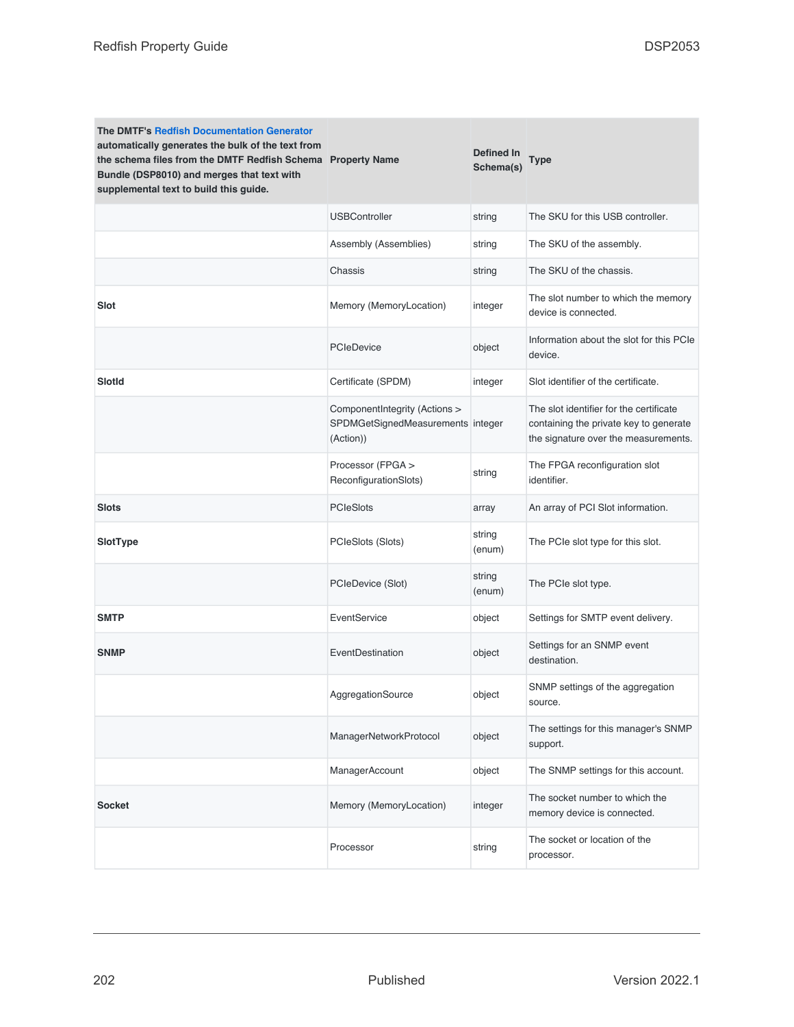| <b>The DMTF's Redfish Documentation Generator</b><br>automatically generates the bulk of the text from<br>the schema files from the DMTF Redfish Schema Property Name<br>Bundle (DSP8010) and merges that text with<br>supplemental text to build this guide. |                                                                                 | <b>Defined In</b><br>Schema(s) | Type                                                                                                                      |
|---------------------------------------------------------------------------------------------------------------------------------------------------------------------------------------------------------------------------------------------------------------|---------------------------------------------------------------------------------|--------------------------------|---------------------------------------------------------------------------------------------------------------------------|
|                                                                                                                                                                                                                                                               | <b>USBController</b>                                                            | string                         | The SKU for this USB controller.                                                                                          |
|                                                                                                                                                                                                                                                               | Assembly (Assemblies)                                                           | string                         | The SKU of the assembly.                                                                                                  |
|                                                                                                                                                                                                                                                               | Chassis                                                                         | string                         | The SKU of the chassis.                                                                                                   |
| Slot                                                                                                                                                                                                                                                          | Memory (MemoryLocation)                                                         | integer                        | The slot number to which the memory<br>device is connected.                                                               |
|                                                                                                                                                                                                                                                               | <b>PCIeDevice</b>                                                               | object                         | Information about the slot for this PCIe<br>device.                                                                       |
| Slotld                                                                                                                                                                                                                                                        | Certificate (SPDM)                                                              | integer                        | Slot identifier of the certificate.                                                                                       |
|                                                                                                                                                                                                                                                               | ComponentIntegrity (Actions ><br>SPDMGetSignedMeasurements integer<br>(Action)) |                                | The slot identifier for the certificate<br>containing the private key to generate<br>the signature over the measurements. |
|                                                                                                                                                                                                                                                               | Processor (FPGA ><br>ReconfigurationSlots)                                      | string                         | The FPGA reconfiguration slot<br>identifier.                                                                              |
| Slots                                                                                                                                                                                                                                                         | <b>PCIeSlots</b>                                                                | array                          | An array of PCI Slot information.                                                                                         |
| SlotType                                                                                                                                                                                                                                                      | PCIeSlots (Slots)                                                               | string<br>(enum)               | The PCIe slot type for this slot.                                                                                         |
|                                                                                                                                                                                                                                                               | PCIeDevice (Slot)                                                               | string<br>(enum)               | The PCIe slot type.                                                                                                       |
| <b>SMTP</b>                                                                                                                                                                                                                                                   | EventService                                                                    | object                         | Settings for SMTP event delivery.                                                                                         |
| <b>SNMP</b>                                                                                                                                                                                                                                                   | EventDestination                                                                | object                         | Settings for an SNMP event<br>destination.                                                                                |
|                                                                                                                                                                                                                                                               | AggregationSource                                                               | object                         | SNMP settings of the aggregation<br>source.                                                                               |
|                                                                                                                                                                                                                                                               | ManagerNetworkProtocol                                                          | object                         | The settings for this manager's SNMP<br>support.                                                                          |
|                                                                                                                                                                                                                                                               | ManagerAccount                                                                  | object                         | The SNMP settings for this account.                                                                                       |
| <b>Socket</b>                                                                                                                                                                                                                                                 | Memory (MemoryLocation)                                                         | integer                        | The socket number to which the<br>memory device is connected.                                                             |
|                                                                                                                                                                                                                                                               | Processor                                                                       | string                         | The socket or location of the<br>processor.                                                                               |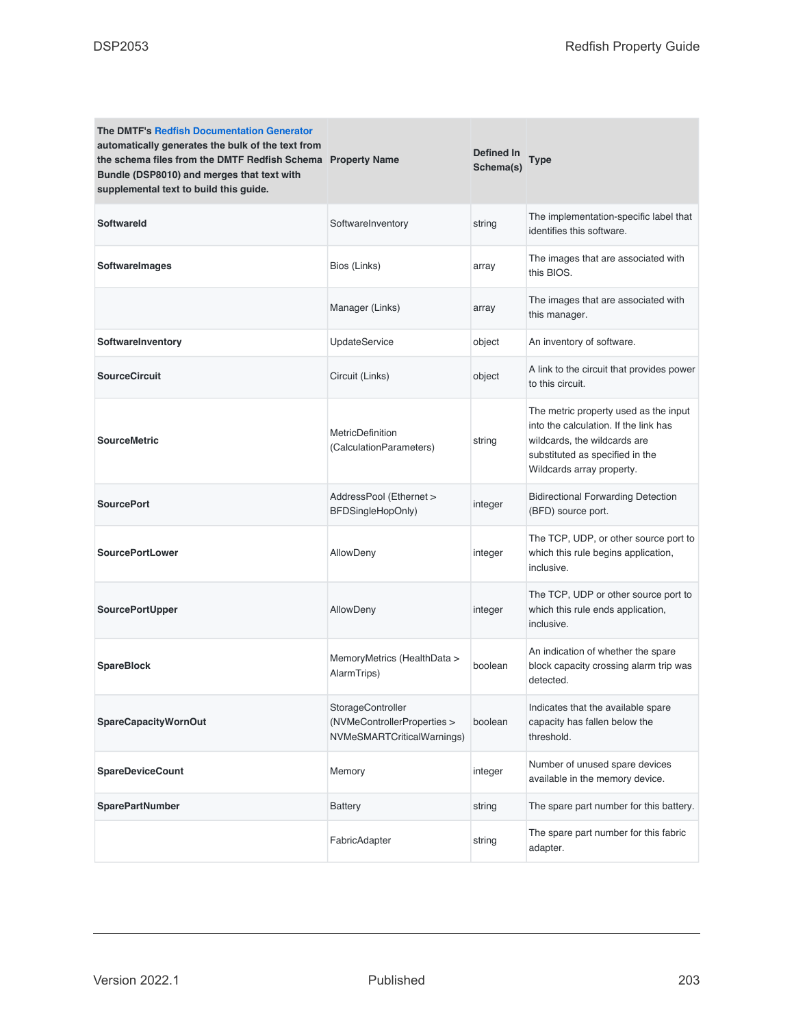| <b>The DMTF's Redfish Documentation Generator</b><br>automatically generates the bulk of the text from<br>the schema files from the DMTF Redfish Schema Property Name<br>Bundle (DSP8010) and merges that text with<br>supplemental text to build this guide. |                                                                                | Defined In<br>Schema(s) | Type                                                                                                                                                                           |
|---------------------------------------------------------------------------------------------------------------------------------------------------------------------------------------------------------------------------------------------------------------|--------------------------------------------------------------------------------|-------------------------|--------------------------------------------------------------------------------------------------------------------------------------------------------------------------------|
| <b>Softwareld</b>                                                                                                                                                                                                                                             | SoftwareInventory                                                              | string                  | The implementation-specific label that<br>identifies this software.                                                                                                            |
| <b>SoftwareImages</b>                                                                                                                                                                                                                                         | Bios (Links)                                                                   | array                   | The images that are associated with<br>this BIOS.                                                                                                                              |
|                                                                                                                                                                                                                                                               | Manager (Links)                                                                | array                   | The images that are associated with<br>this manager.                                                                                                                           |
| SoftwareInventory                                                                                                                                                                                                                                             | <b>UpdateService</b>                                                           | object                  | An inventory of software.                                                                                                                                                      |
| <b>SourceCircuit</b>                                                                                                                                                                                                                                          | Circuit (Links)                                                                | object                  | A link to the circuit that provides power<br>to this circuit.                                                                                                                  |
| <b>SourceMetric</b>                                                                                                                                                                                                                                           | <b>MetricDefinition</b><br>(CalculationParameters)                             | string                  | The metric property used as the input<br>into the calculation. If the link has<br>wildcards, the wildcards are<br>substituted as specified in the<br>Wildcards array property. |
| <b>SourcePort</b>                                                                                                                                                                                                                                             | AddressPool (Ethernet ><br>BFDSingleHopOnly)                                   | integer                 | <b>Bidirectional Forwarding Detection</b><br>(BFD) source port.                                                                                                                |
| <b>SourcePortLower</b>                                                                                                                                                                                                                                        | <b>AllowDeny</b>                                                               | integer                 | The TCP, UDP, or other source port to<br>which this rule begins application,<br>inclusive.                                                                                     |
| <b>SourcePortUpper</b>                                                                                                                                                                                                                                        | AllowDeny                                                                      | integer                 | The TCP, UDP or other source port to<br>which this rule ends application,<br>inclusive.                                                                                        |
| <b>SpareBlock</b>                                                                                                                                                                                                                                             | MemoryMetrics (HealthData ><br>AlarmTrips)                                     | boolean                 | An indication of whether the spare<br>block capacity crossing alarm trip was<br>detected.                                                                                      |
| <b>SpareCapacityWornOut</b>                                                                                                                                                                                                                                   | StorageController<br>(NVMeControllerProperties ><br>NVMeSMARTCriticalWarnings) | boolean                 | Indicates that the available spare<br>capacity has fallen below the<br>threshold.                                                                                              |
| <b>SpareDeviceCount</b>                                                                                                                                                                                                                                       | Memory                                                                         | integer                 | Number of unused spare devices<br>available in the memory device.                                                                                                              |
| <b>SparePartNumber</b>                                                                                                                                                                                                                                        | Battery                                                                        | string                  | The spare part number for this battery.                                                                                                                                        |
|                                                                                                                                                                                                                                                               | FabricAdapter                                                                  | string                  | The spare part number for this fabric<br>adapter.                                                                                                                              |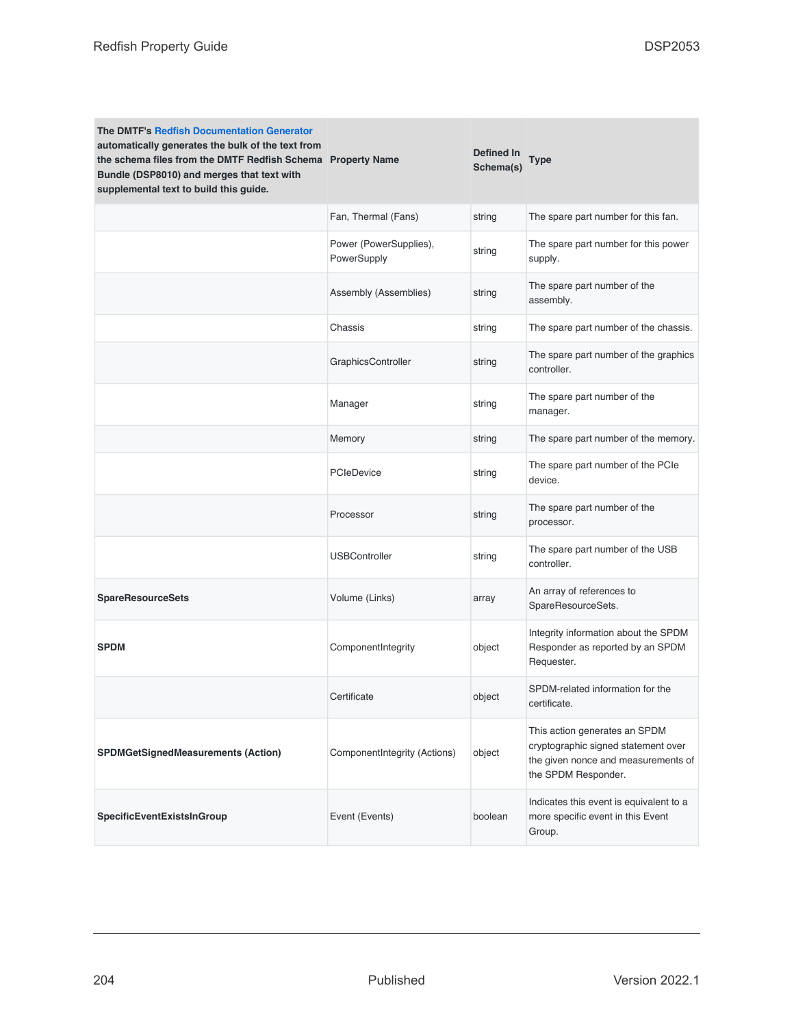| <b>The DMTF's Redfish Documentation Generator</b><br>automatically generates the bulk of the text from<br>the schema files from the DMTF Redfish Schema Property Name<br>Bundle (DSP8010) and merges that text with<br>supplemental text to build this guide. |                                       | <b>Defined In</b><br>Schema(s) | Type                                                                                                                               |
|---------------------------------------------------------------------------------------------------------------------------------------------------------------------------------------------------------------------------------------------------------------|---------------------------------------|--------------------------------|------------------------------------------------------------------------------------------------------------------------------------|
|                                                                                                                                                                                                                                                               | Fan, Thermal (Fans)                   | string                         | The spare part number for this fan.                                                                                                |
|                                                                                                                                                                                                                                                               | Power (PowerSupplies),<br>PowerSupply | string                         | The spare part number for this power<br>supply.                                                                                    |
|                                                                                                                                                                                                                                                               | Assembly (Assemblies)                 | string                         | The spare part number of the<br>assembly.                                                                                          |
|                                                                                                                                                                                                                                                               | Chassis                               | string                         | The spare part number of the chassis.                                                                                              |
|                                                                                                                                                                                                                                                               | GraphicsController                    | string                         | The spare part number of the graphics<br>controller.                                                                               |
|                                                                                                                                                                                                                                                               | Manager                               | string                         | The spare part number of the<br>manager.                                                                                           |
|                                                                                                                                                                                                                                                               | Memory                                | string                         | The spare part number of the memory.                                                                                               |
|                                                                                                                                                                                                                                                               | <b>PCIeDevice</b>                     | string                         | The spare part number of the PCIe<br>device.                                                                                       |
|                                                                                                                                                                                                                                                               | Processor                             | string                         | The spare part number of the<br>processor.                                                                                         |
|                                                                                                                                                                                                                                                               | <b>USBController</b>                  | string                         | The spare part number of the USB<br>controller.                                                                                    |
| <b>SpareResourceSets</b>                                                                                                                                                                                                                                      | Volume (Links)                        | array                          | An array of references to<br>SpareResourceSets.                                                                                    |
| <b>SPDM</b>                                                                                                                                                                                                                                                   | ComponentIntegrity                    | object                         | Integrity information about the SPDM<br>Responder as reported by an SPDM<br>Requester.                                             |
|                                                                                                                                                                                                                                                               | Certificate                           | object                         | SPDM-related information for the<br>certificate.                                                                                   |
| SPDMGetSignedMeasurements (Action)                                                                                                                                                                                                                            | ComponentIntegrity (Actions)          | object                         | This action generates an SPDM<br>cryptographic signed statement over<br>the given nonce and measurements of<br>the SPDM Responder. |
| SpecificEventExistsInGroup                                                                                                                                                                                                                                    | Event (Events)                        | boolean                        | Indicates this event is equivalent to a<br>more specific event in this Event<br>Group.                                             |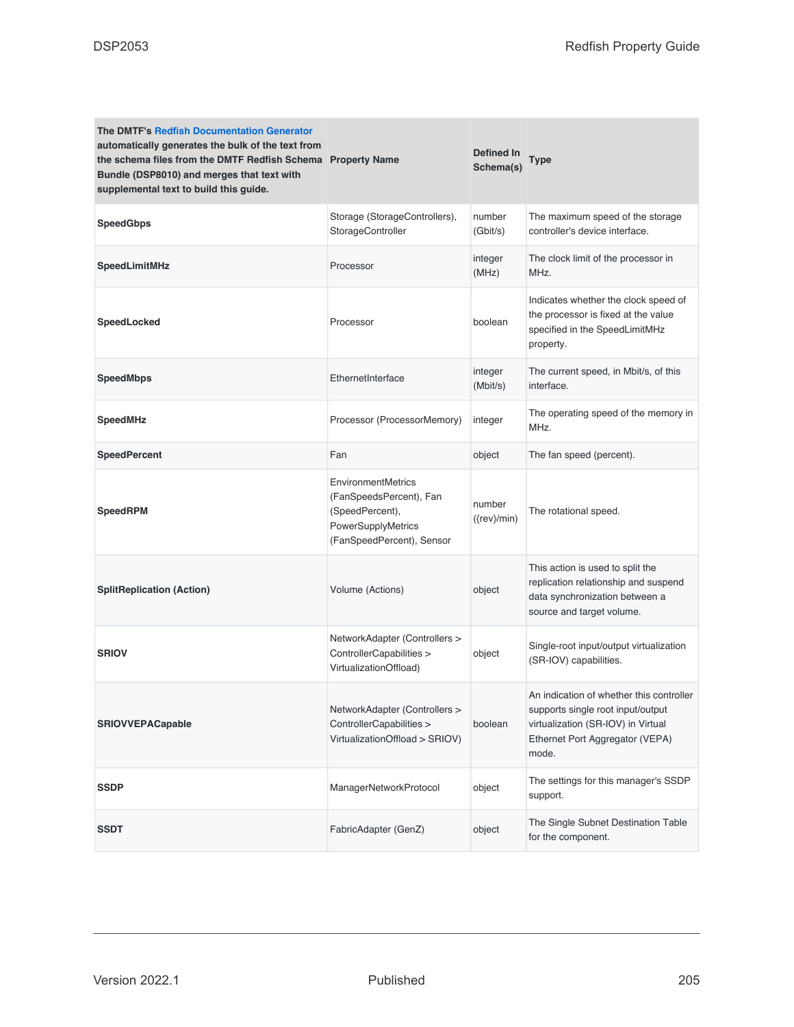| The DMTF's Redfish Documentation Generator<br>automatically generates the bulk of the text from<br>the schema files from the DMTF Redfish Schema Property Name<br>Bundle (DSP8010) and merges that text with<br>supplemental text to build this guide. |                                                                                                                            | Defined In<br>Schema(s)  | <b>Type</b>                                                                                                                                                     |
|--------------------------------------------------------------------------------------------------------------------------------------------------------------------------------------------------------------------------------------------------------|----------------------------------------------------------------------------------------------------------------------------|--------------------------|-----------------------------------------------------------------------------------------------------------------------------------------------------------------|
| <b>SpeedGbps</b>                                                                                                                                                                                                                                       | Storage (StorageControllers),<br>StorageController                                                                         | number<br>(Gbit/s)       | The maximum speed of the storage<br>controller's device interface.                                                                                              |
| SpeedLimitMHz                                                                                                                                                                                                                                          | Processor                                                                                                                  | integer<br>(MHz)         | The clock limit of the processor in<br>MHz.                                                                                                                     |
| SpeedLocked                                                                                                                                                                                                                                            | Processor                                                                                                                  | boolean                  | Indicates whether the clock speed of<br>the processor is fixed at the value<br>specified in the SpeedLimitMHz<br>property.                                      |
| <b>SpeedMbps</b>                                                                                                                                                                                                                                       | EthernetInterface                                                                                                          | integer<br>(Mbit/s)      | The current speed, in Mbit/s, of this<br>interface.                                                                                                             |
| <b>SpeedMHz</b>                                                                                                                                                                                                                                        | Processor (ProcessorMemory)                                                                                                | integer                  | The operating speed of the memory in<br>MHz.                                                                                                                    |
| <b>SpeedPercent</b>                                                                                                                                                                                                                                    | Fan                                                                                                                        | object                   | The fan speed (percent).                                                                                                                                        |
| <b>SpeedRPM</b>                                                                                                                                                                                                                                        | <b>EnvironmentMetrics</b><br>(FanSpeedsPercent), Fan<br>(SpeedPercent),<br>PowerSupplyMetrics<br>(FanSpeedPercent), Sensor | number<br>$({rev}$ /min) | The rotational speed.                                                                                                                                           |
| <b>SplitReplication (Action)</b>                                                                                                                                                                                                                       | Volume (Actions)                                                                                                           | object                   | This action is used to split the<br>replication relationship and suspend<br>data synchronization between a<br>source and target volume.                         |
| <b>SRIOV</b>                                                                                                                                                                                                                                           | NetworkAdapter (Controllers ><br>ControllerCapabilities ><br>VirtualizationOffload)                                        | object                   | Single-root input/output virtualization<br>(SR-IOV) capabilities.                                                                                               |
| <b>SRIOVVEPACapable</b>                                                                                                                                                                                                                                | NetworkAdapter (Controllers ><br>ControllerCapabilities ><br>VirtualizationOffload > SRIOV)                                | boolean                  | An indication of whether this controller<br>supports single root input/output<br>virtualization (SR-IOV) in Virtual<br>Ethernet Port Aggregator (VEPA)<br>mode. |
| <b>SSDP</b>                                                                                                                                                                                                                                            | ManagerNetworkProtocol                                                                                                     | object                   | The settings for this manager's SSDP<br>support.                                                                                                                |
| <b>SSDT</b>                                                                                                                                                                                                                                            | FabricAdapter (GenZ)                                                                                                       | object                   | The Single Subnet Destination Table<br>for the component.                                                                                                       |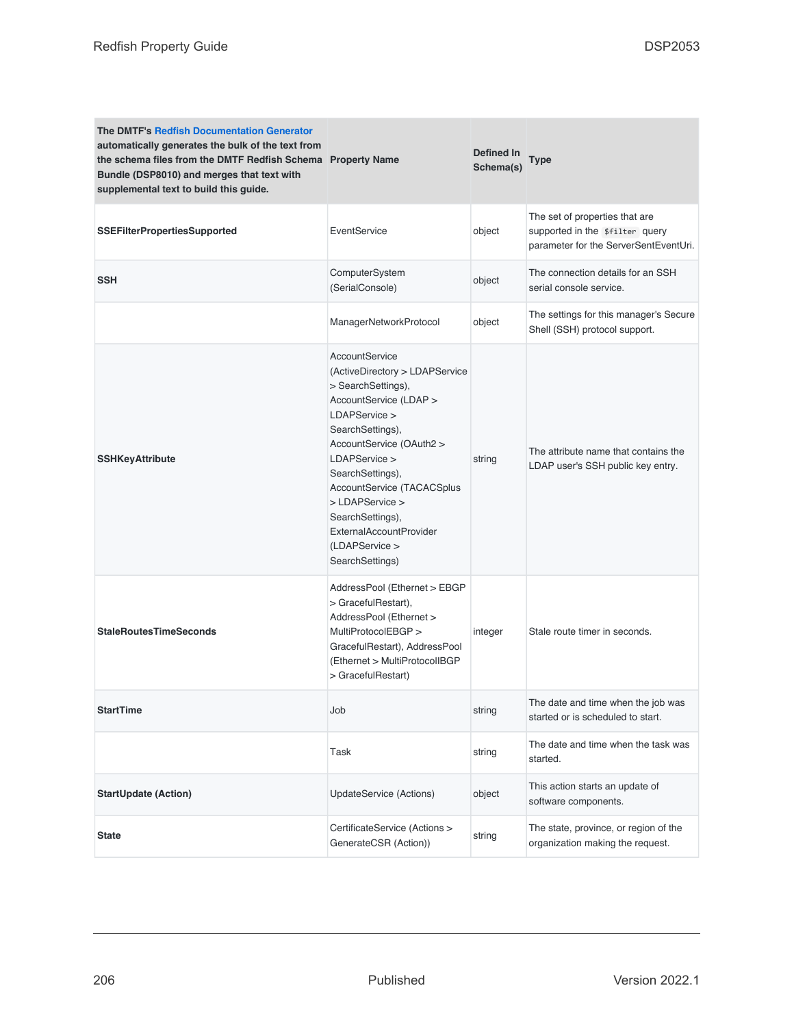| The DMTF's Redfish Documentation Generator<br>automatically generates the bulk of the text from<br>the schema files from the DMTF Redfish Schema Property Name<br>Bundle (DSP8010) and merges that text with<br>supplemental text to build this guide. |                                                                                                                                                                                                                                                                                                                                             | Defined In<br>Schema(s) | Type                                                                                                       |
|--------------------------------------------------------------------------------------------------------------------------------------------------------------------------------------------------------------------------------------------------------|---------------------------------------------------------------------------------------------------------------------------------------------------------------------------------------------------------------------------------------------------------------------------------------------------------------------------------------------|-------------------------|------------------------------------------------------------------------------------------------------------|
| <b>SSEFilterPropertiesSupported</b>                                                                                                                                                                                                                    | EventService                                                                                                                                                                                                                                                                                                                                | object                  | The set of properties that are<br>supported in the \$filter query<br>parameter for the ServerSentEventUri. |
| <b>SSH</b>                                                                                                                                                                                                                                             | ComputerSystem<br>(SerialConsole)                                                                                                                                                                                                                                                                                                           | object                  | The connection details for an SSH<br>serial console service.                                               |
|                                                                                                                                                                                                                                                        | ManagerNetworkProtocol                                                                                                                                                                                                                                                                                                                      | object                  | The settings for this manager's Secure<br>Shell (SSH) protocol support.                                    |
| <b>SSHKeyAttribute</b>                                                                                                                                                                                                                                 | AccountService<br>(ActiveDirectory > LDAPService<br>> SearchSettings).<br>AccountService (LDAP ><br>LDAPService ><br>SearchSettings),<br>AccountService (OAuth2 ><br>LDAPService ><br>SearchSettings),<br>AccountService (TACACSplus<br>> LDAPService ><br>SearchSettings),<br>ExternalAccountProvider<br>(LDAPService ><br>SearchSettings) | string                  | The attribute name that contains the<br>LDAP user's SSH public key entry.                                  |
| <b>StaleRoutesTimeSeconds</b>                                                                                                                                                                                                                          | AddressPool (Ethernet > EBGP<br>> GracefulRestart),<br>AddressPool (Ethernet ><br>MultiProtocolEBGP ><br>GracefulRestart), AddressPool<br>(Ethernet > MultiProtocolIBGP<br>> GracefulRestart)                                                                                                                                               | integer                 | Stale route timer in seconds.                                                                              |
| <b>StartTime</b>                                                                                                                                                                                                                                       | Job                                                                                                                                                                                                                                                                                                                                         | string                  | The date and time when the job was<br>started or is scheduled to start.                                    |
|                                                                                                                                                                                                                                                        | Task                                                                                                                                                                                                                                                                                                                                        | string                  | The date and time when the task was<br>started.                                                            |
| <b>StartUpdate (Action)</b>                                                                                                                                                                                                                            | UpdateService (Actions)                                                                                                                                                                                                                                                                                                                     | object                  | This action starts an update of<br>software components.                                                    |
| <b>State</b>                                                                                                                                                                                                                                           | CertificateService (Actions ><br>GenerateCSR (Action))                                                                                                                                                                                                                                                                                      | string                  | The state, province, or region of the<br>organization making the request.                                  |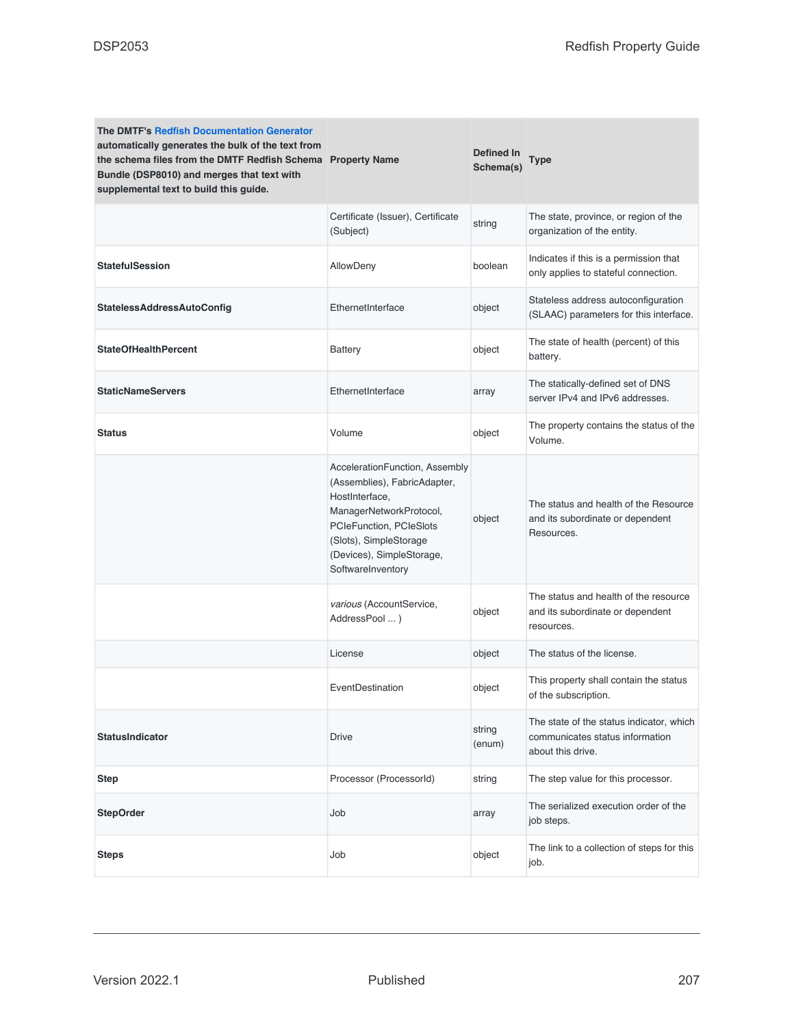| <b>The DMTF's Redfish Documentation Generator</b><br>automatically generates the bulk of the text from<br>the schema files from the DMTF Redfish Schema Property Name<br>Bundle (DSP8010) and merges that text with<br>supplemental text to build this guide. |                                                                                                                                                                                                                    | <b>Defined In</b><br>Schema(s) | <b>Type</b>                                                                                      |
|---------------------------------------------------------------------------------------------------------------------------------------------------------------------------------------------------------------------------------------------------------------|--------------------------------------------------------------------------------------------------------------------------------------------------------------------------------------------------------------------|--------------------------------|--------------------------------------------------------------------------------------------------|
|                                                                                                                                                                                                                                                               | Certificate (Issuer), Certificate<br>(Subject)                                                                                                                                                                     | string                         | The state, province, or region of the<br>organization of the entity.                             |
| <b>StatefulSession</b>                                                                                                                                                                                                                                        | AllowDeny                                                                                                                                                                                                          | boolean                        | Indicates if this is a permission that<br>only applies to stateful connection.                   |
| <b>StatelessAddressAutoConfig</b>                                                                                                                                                                                                                             | EthernetInterface                                                                                                                                                                                                  | object                         | Stateless address autoconfiguration<br>(SLAAC) parameters for this interface.                    |
| <b>StateOfHealthPercent</b>                                                                                                                                                                                                                                   | <b>Battery</b>                                                                                                                                                                                                     | object                         | The state of health (percent) of this<br>battery.                                                |
| <b>StaticNameServers</b>                                                                                                                                                                                                                                      | EthernetInterface                                                                                                                                                                                                  | array                          | The statically-defined set of DNS<br>server IPv4 and IPv6 addresses.                             |
| <b>Status</b>                                                                                                                                                                                                                                                 | Volume                                                                                                                                                                                                             | object                         | The property contains the status of the<br>Volume.                                               |
|                                                                                                                                                                                                                                                               | AccelerationFunction, Assembly<br>(Assemblies), FabricAdapter,<br>HostInterface,<br>ManagerNetworkProtocol,<br>PCIeFunction, PCIeSlots<br>(Slots), SimpleStorage<br>(Devices), SimpleStorage,<br>SoftwareInventory | object                         | The status and health of the Resource<br>and its subordinate or dependent<br>Resources.          |
|                                                                                                                                                                                                                                                               | various (AccountService,<br>AddressPool )                                                                                                                                                                          | object                         | The status and health of the resource<br>and its subordinate or dependent<br>resources.          |
|                                                                                                                                                                                                                                                               | License                                                                                                                                                                                                            | object                         | The status of the license.                                                                       |
|                                                                                                                                                                                                                                                               | EventDestination                                                                                                                                                                                                   | object                         | This property shall contain the status<br>of the subscription.                                   |
| <b>StatusIndicator</b>                                                                                                                                                                                                                                        | <b>Drive</b>                                                                                                                                                                                                       | string<br>(enum)               | The state of the status indicator, which<br>communicates status information<br>about this drive. |
| <b>Step</b>                                                                                                                                                                                                                                                   | Processor (ProcessorId)                                                                                                                                                                                            | string                         | The step value for this processor.                                                               |
| <b>StepOrder</b>                                                                                                                                                                                                                                              | Job                                                                                                                                                                                                                | array                          | The serialized execution order of the<br>job steps.                                              |
| <b>Steps</b>                                                                                                                                                                                                                                                  | Job                                                                                                                                                                                                                | object                         | The link to a collection of steps for this<br>job.                                               |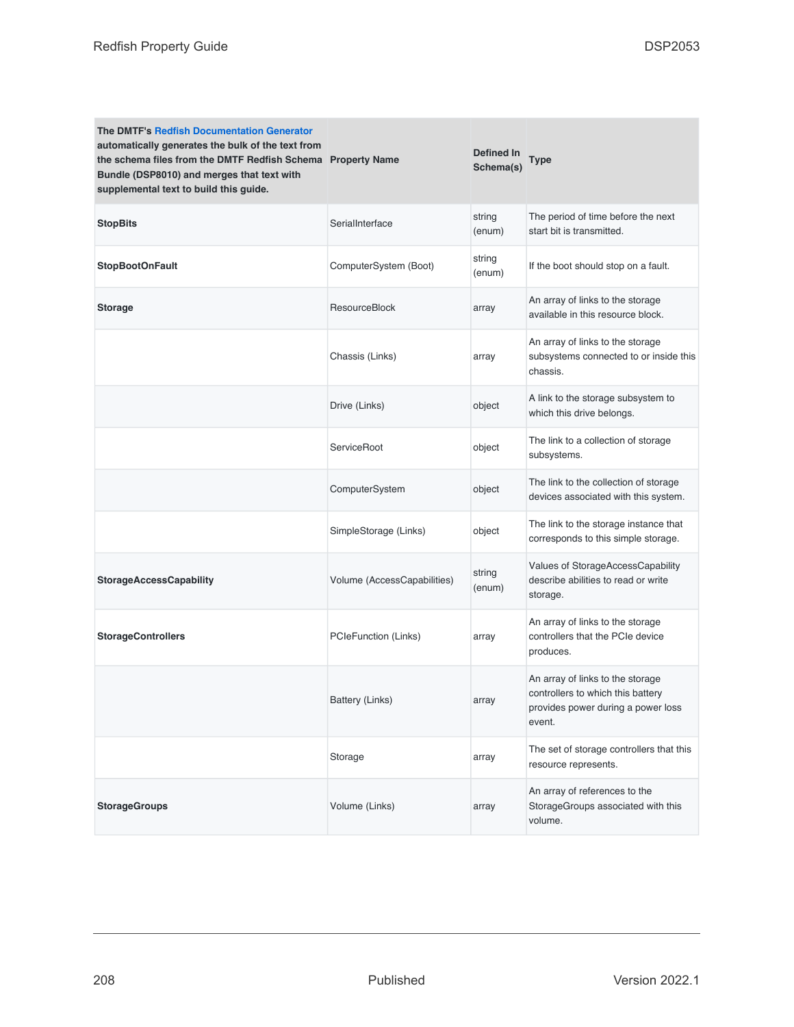| <b>The DMTF's Redfish Documentation Generator</b><br>automatically generates the bulk of the text from<br>the schema files from the DMTF Redfish Schema Property Name<br>Bundle (DSP8010) and merges that text with<br>supplemental text to build this guide. |                             | Defined In<br>Schema(s) | <b>Type</b>                                                                                                           |
|---------------------------------------------------------------------------------------------------------------------------------------------------------------------------------------------------------------------------------------------------------------|-----------------------------|-------------------------|-----------------------------------------------------------------------------------------------------------------------|
| <b>StopBits</b>                                                                                                                                                                                                                                               | SerialInterface             | string<br>(enum)        | The period of time before the next<br>start bit is transmitted.                                                       |
| <b>StopBootOnFault</b>                                                                                                                                                                                                                                        | ComputerSystem (Boot)       | string<br>(enum)        | If the boot should stop on a fault.                                                                                   |
| <b>Storage</b>                                                                                                                                                                                                                                                | ResourceBlock               | array                   | An array of links to the storage<br>available in this resource block.                                                 |
|                                                                                                                                                                                                                                                               | Chassis (Links)             | array                   | An array of links to the storage<br>subsystems connected to or inside this<br>chassis.                                |
|                                                                                                                                                                                                                                                               | Drive (Links)               | object                  | A link to the storage subsystem to<br>which this drive belongs.                                                       |
|                                                                                                                                                                                                                                                               | ServiceRoot                 | object                  | The link to a collection of storage<br>subsystems.                                                                    |
|                                                                                                                                                                                                                                                               | ComputerSystem              | object                  | The link to the collection of storage<br>devices associated with this system.                                         |
|                                                                                                                                                                                                                                                               | SimpleStorage (Links)       | object                  | The link to the storage instance that<br>corresponds to this simple storage.                                          |
| <b>StorageAccessCapability</b>                                                                                                                                                                                                                                | Volume (AccessCapabilities) | string<br>(enum)        | Values of StorageAccessCapability<br>describe abilities to read or write<br>storage.                                  |
| <b>StorageControllers</b>                                                                                                                                                                                                                                     | PCIeFunction (Links)        | array                   | An array of links to the storage<br>controllers that the PCIe device<br>produces.                                     |
|                                                                                                                                                                                                                                                               | Battery (Links)             | array                   | An array of links to the storage<br>controllers to which this battery<br>provides power during a power loss<br>event. |
|                                                                                                                                                                                                                                                               | Storage                     | array                   | The set of storage controllers that this<br>resource represents.                                                      |
| <b>StorageGroups</b>                                                                                                                                                                                                                                          | Volume (Links)              | array                   | An array of references to the<br>StorageGroups associated with this<br>volume.                                        |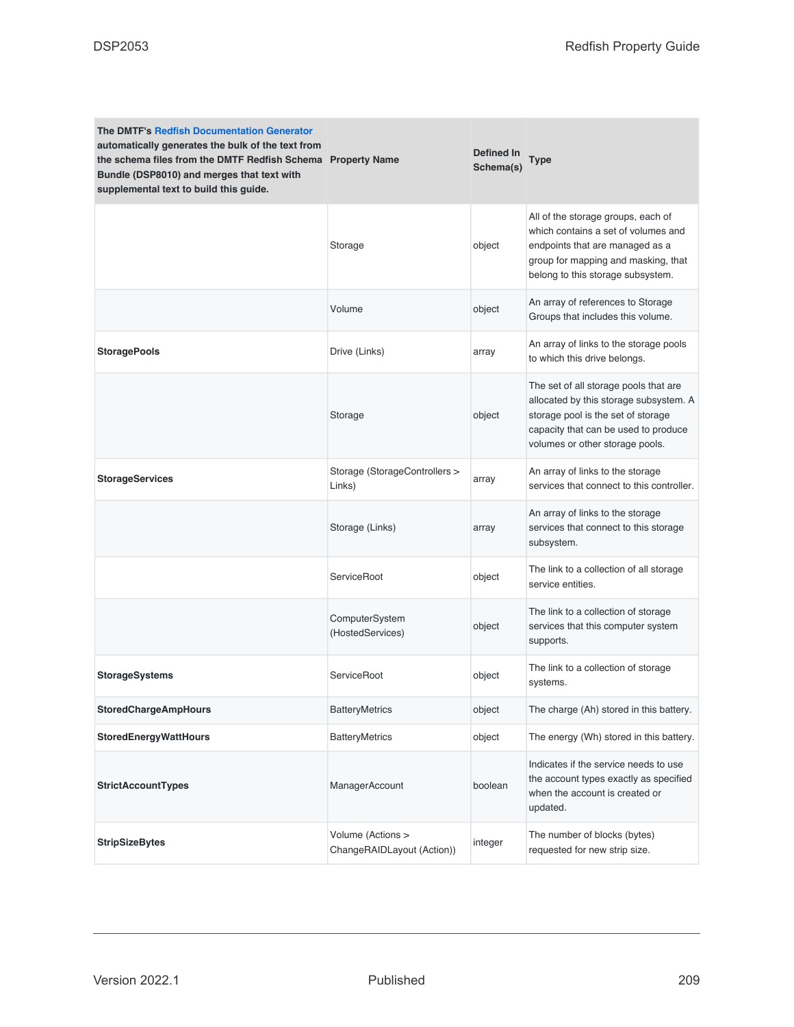| <b>The DMTF's Redfish Documentation Generator</b><br>automatically generates the bulk of the text from<br>the schema files from the DMTF Redfish Schema Property Name<br>Bundle (DSP8010) and merges that text with<br>supplemental text to build this guide. |                                                 | Defined In<br>Schema(s) | <b>Type</b>                                                                                                                                                                                      |
|---------------------------------------------------------------------------------------------------------------------------------------------------------------------------------------------------------------------------------------------------------------|-------------------------------------------------|-------------------------|--------------------------------------------------------------------------------------------------------------------------------------------------------------------------------------------------|
|                                                                                                                                                                                                                                                               | Storage                                         | object                  | All of the storage groups, each of<br>which contains a set of volumes and<br>endpoints that are managed as a<br>group for mapping and masking, that<br>belong to this storage subsystem.         |
|                                                                                                                                                                                                                                                               | Volume                                          | object                  | An array of references to Storage<br>Groups that includes this volume.                                                                                                                           |
| <b>StoragePools</b>                                                                                                                                                                                                                                           | Drive (Links)                                   | array                   | An array of links to the storage pools<br>to which this drive belongs.                                                                                                                           |
|                                                                                                                                                                                                                                                               | Storage                                         | object                  | The set of all storage pools that are<br>allocated by this storage subsystem. A<br>storage pool is the set of storage<br>capacity that can be used to produce<br>volumes or other storage pools. |
| <b>StorageServices</b>                                                                                                                                                                                                                                        | Storage (StorageControllers ><br>Links)         | array                   | An array of links to the storage<br>services that connect to this controller.                                                                                                                    |
|                                                                                                                                                                                                                                                               | Storage (Links)                                 | array                   | An array of links to the storage<br>services that connect to this storage<br>subsystem.                                                                                                          |
|                                                                                                                                                                                                                                                               | ServiceRoot                                     | object                  | The link to a collection of all storage<br>service entities.                                                                                                                                     |
|                                                                                                                                                                                                                                                               | ComputerSystem<br>(HostedServices)              | object                  | The link to a collection of storage<br>services that this computer system<br>supports.                                                                                                           |
| <b>StorageSystems</b>                                                                                                                                                                                                                                         | ServiceRoot                                     | object                  | The link to a collection of storage<br>systems.                                                                                                                                                  |
| <b>StoredChargeAmpHours</b>                                                                                                                                                                                                                                   | <b>BatteryMetrics</b>                           | object                  | The charge (Ah) stored in this battery.                                                                                                                                                          |
| <b>StoredEnergyWattHours</b>                                                                                                                                                                                                                                  | <b>BatteryMetrics</b>                           | object                  | The energy (Wh) stored in this battery.                                                                                                                                                          |
| <b>StrictAccountTypes</b>                                                                                                                                                                                                                                     | ManagerAccount                                  | boolean                 | Indicates if the service needs to use<br>the account types exactly as specified<br>when the account is created or<br>updated.                                                                    |
| <b>StripSizeBytes</b>                                                                                                                                                                                                                                         | Volume (Actions ><br>ChangeRAIDLayout (Action)) | integer                 | The number of blocks (bytes)<br>requested for new strip size.                                                                                                                                    |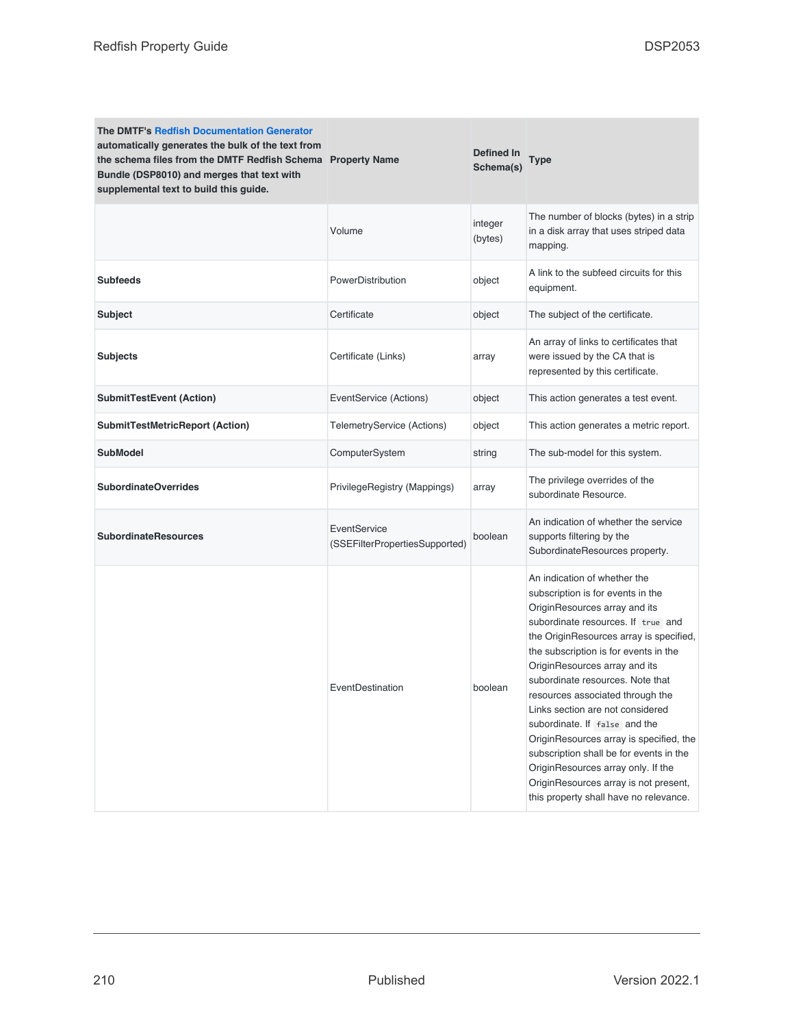| <b>The DMTF's Redfish Documentation Generator</b><br>automatically generates the bulk of the text from<br>the schema files from the DMTF Redfish Schema Property Name<br>Bundle (DSP8010) and merges that text with<br>supplemental text to build this guide. |                                                | Defined In<br>Schema(s) | Type                                                                                                                                                                                                                                                                                                                                                                                                                                                                                                                                                                                                                      |
|---------------------------------------------------------------------------------------------------------------------------------------------------------------------------------------------------------------------------------------------------------------|------------------------------------------------|-------------------------|---------------------------------------------------------------------------------------------------------------------------------------------------------------------------------------------------------------------------------------------------------------------------------------------------------------------------------------------------------------------------------------------------------------------------------------------------------------------------------------------------------------------------------------------------------------------------------------------------------------------------|
|                                                                                                                                                                                                                                                               | Volume                                         | integer<br>(bytes)      | The number of blocks (bytes) in a strip<br>in a disk array that uses striped data<br>mapping.                                                                                                                                                                                                                                                                                                                                                                                                                                                                                                                             |
| <b>Subfeeds</b>                                                                                                                                                                                                                                               | PowerDistribution                              | object                  | A link to the subfeed circuits for this<br>equipment.                                                                                                                                                                                                                                                                                                                                                                                                                                                                                                                                                                     |
| Subject                                                                                                                                                                                                                                                       | Certificate                                    | object                  | The subject of the certificate.                                                                                                                                                                                                                                                                                                                                                                                                                                                                                                                                                                                           |
| <b>Subjects</b>                                                                                                                                                                                                                                               | Certificate (Links)                            | array                   | An array of links to certificates that<br>were issued by the CA that is<br>represented by this certificate.                                                                                                                                                                                                                                                                                                                                                                                                                                                                                                               |
| <b>SubmitTestEvent (Action)</b>                                                                                                                                                                                                                               | EventService (Actions)                         | object                  | This action generates a test event.                                                                                                                                                                                                                                                                                                                                                                                                                                                                                                                                                                                       |
| <b>SubmitTestMetricReport (Action)</b>                                                                                                                                                                                                                        | TelemetryService (Actions)                     | object                  | This action generates a metric report.                                                                                                                                                                                                                                                                                                                                                                                                                                                                                                                                                                                    |
| <b>SubModel</b>                                                                                                                                                                                                                                               | ComputerSystem                                 | string                  | The sub-model for this system.                                                                                                                                                                                                                                                                                                                                                                                                                                                                                                                                                                                            |
| <b>SubordinateOverrides</b>                                                                                                                                                                                                                                   | PrivilegeRegistry (Mappings)                   | array                   | The privilege overrides of the<br>subordinate Resource.                                                                                                                                                                                                                                                                                                                                                                                                                                                                                                                                                                   |
| <b>SubordinateResources</b>                                                                                                                                                                                                                                   | EventService<br>(SSEFilterPropertiesSupported) | boolean                 | An indication of whether the service<br>supports filtering by the<br>SubordinateResources property.                                                                                                                                                                                                                                                                                                                                                                                                                                                                                                                       |
|                                                                                                                                                                                                                                                               | EventDestination                               | boolean                 | An indication of whether the<br>subscription is for events in the<br>OriginResources array and its<br>subordinate resources. If true and<br>the OriginResources array is specified,<br>the subscription is for events in the<br>OriginResources array and its<br>subordinate resources. Note that<br>resources associated through the<br>Links section are not considered<br>subordinate. If false and the<br>OriginResources array is specified, the<br>subscription shall be for events in the<br>OriginResources array only. If the<br>OriginResources array is not present,<br>this property shall have no relevance. |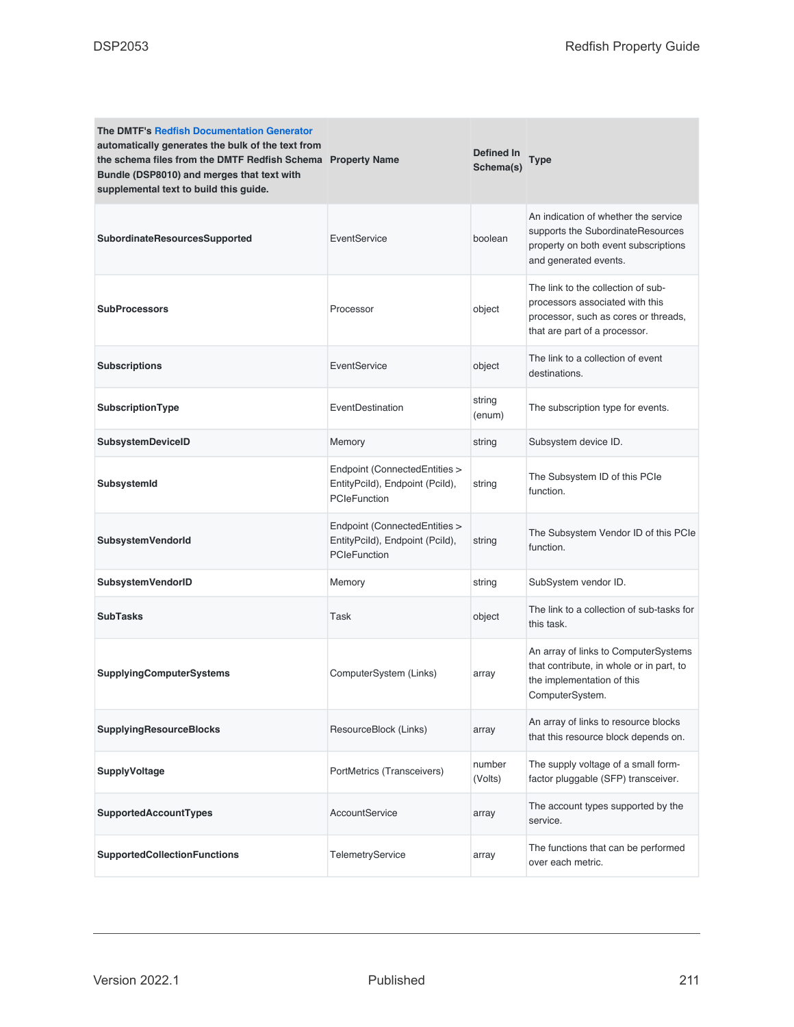| <b>The DMTF's Redfish Documentation Generator</b><br>automatically generates the bulk of the text from<br>the schema files from the DMTF Redfish Schema Property Name<br>Bundle (DSP8010) and merges that text with<br>supplemental text to build this guide. |                                                                                         | <b>Defined In</b><br>Schema(s) | Type                                                                                                                                           |
|---------------------------------------------------------------------------------------------------------------------------------------------------------------------------------------------------------------------------------------------------------------|-----------------------------------------------------------------------------------------|--------------------------------|------------------------------------------------------------------------------------------------------------------------------------------------|
| SubordinateResourcesSupported                                                                                                                                                                                                                                 | EventService                                                                            | boolean                        | An indication of whether the service<br>supports the SubordinateResources<br>property on both event subscriptions<br>and generated events.     |
| <b>SubProcessors</b>                                                                                                                                                                                                                                          | Processor                                                                               | object                         | The link to the collection of sub-<br>processors associated with this<br>processor, such as cores or threads,<br>that are part of a processor. |
| <b>Subscriptions</b>                                                                                                                                                                                                                                          | EventService                                                                            | object                         | The link to a collection of event<br>destinations.                                                                                             |
| SubscriptionType                                                                                                                                                                                                                                              | EventDestination                                                                        | string<br>(enum)               | The subscription type for events.                                                                                                              |
| SubsystemDeviceID                                                                                                                                                                                                                                             | Memory                                                                                  | string                         | Subsystem device ID.                                                                                                                           |
| SubsystemId                                                                                                                                                                                                                                                   | Endpoint (ConnectedEntities ><br>EntityPcild), Endpoint (Pcild),<br><b>PCIeFunction</b> | string                         | The Subsystem ID of this PCIe<br>function.                                                                                                     |
| <b>SubsystemVendorld</b>                                                                                                                                                                                                                                      | Endpoint (ConnectedEntities ><br>EntityPcild), Endpoint (Pcild),<br>PCIeFunction        | string                         | The Subsystem Vendor ID of this PCIe<br>function.                                                                                              |
| <b>SubsystemVendorID</b>                                                                                                                                                                                                                                      | Memory                                                                                  | string                         | SubSystem vendor ID.                                                                                                                           |
| <b>SubTasks</b>                                                                                                                                                                                                                                               | Task                                                                                    | object                         | The link to a collection of sub-tasks for<br>this task.                                                                                        |
| <b>SupplyingComputerSystems</b>                                                                                                                                                                                                                               | ComputerSystem (Links)                                                                  | array                          | An array of links to ComputerSystems<br>that contribute, in whole or in part, to<br>the implementation of this<br>ComputerSystem.              |
| <b>SupplyingResourceBlocks</b>                                                                                                                                                                                                                                | ResourceBlock (Links)                                                                   | array                          | An array of links to resource blocks<br>that this resource block depends on.                                                                   |
| <b>SupplyVoltage</b>                                                                                                                                                                                                                                          | PortMetrics (Transceivers)                                                              | number<br>(Volts)              | The supply voltage of a small form-<br>factor pluggable (SFP) transceiver.                                                                     |
| SupportedAccountTypes                                                                                                                                                                                                                                         | AccountService                                                                          | array                          | The account types supported by the<br>service.                                                                                                 |
| <b>SupportedCollectionFunctions</b>                                                                                                                                                                                                                           | TelemetryService                                                                        | array                          | The functions that can be performed<br>over each metric.                                                                                       |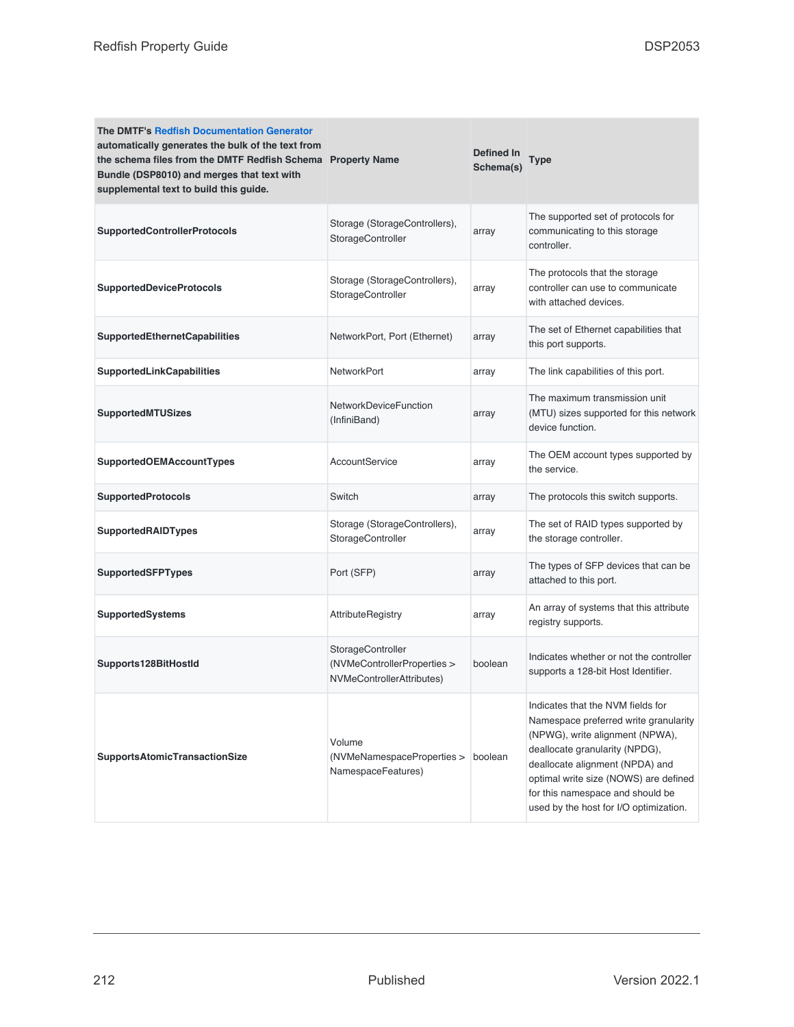| <b>The DMTF's Redfish Documentation Generator</b><br>automatically generates the bulk of the text from<br>the schema files from the DMTF Redfish Schema Property Name<br>Bundle (DSP8010) and merges that text with<br>supplemental text to build this guide. |                                                                               | Defined In<br>Schema(s) | Type                                                                                                                                                                                                                                                                                                      |
|---------------------------------------------------------------------------------------------------------------------------------------------------------------------------------------------------------------------------------------------------------------|-------------------------------------------------------------------------------|-------------------------|-----------------------------------------------------------------------------------------------------------------------------------------------------------------------------------------------------------------------------------------------------------------------------------------------------------|
| <b>SupportedControllerProtocols</b>                                                                                                                                                                                                                           | Storage (StorageControllers),<br>StorageController                            | array                   | The supported set of protocols for<br>communicating to this storage<br>controller.                                                                                                                                                                                                                        |
| SupportedDeviceProtocols                                                                                                                                                                                                                                      | Storage (StorageControllers),<br>StorageController                            | array                   | The protocols that the storage<br>controller can use to communicate<br>with attached devices.                                                                                                                                                                                                             |
| <b>SupportedEthernetCapabilities</b>                                                                                                                                                                                                                          | NetworkPort, Port (Ethernet)                                                  | array                   | The set of Ethernet capabilities that<br>this port supports.                                                                                                                                                                                                                                              |
| <b>SupportedLinkCapabilities</b>                                                                                                                                                                                                                              | <b>NetworkPort</b>                                                            | array                   | The link capabilities of this port.                                                                                                                                                                                                                                                                       |
| SupportedMTUSizes                                                                                                                                                                                                                                             | NetworkDeviceFunction<br>(InfiniBand)                                         | array                   | The maximum transmission unit<br>(MTU) sizes supported for this network<br>device function.                                                                                                                                                                                                               |
| <b>SupportedOEMAccountTypes</b>                                                                                                                                                                                                                               | AccountService                                                                | array                   | The OEM account types supported by<br>the service.                                                                                                                                                                                                                                                        |
| <b>SupportedProtocols</b>                                                                                                                                                                                                                                     | Switch                                                                        | array                   | The protocols this switch supports.                                                                                                                                                                                                                                                                       |
| <b>SupportedRAIDTypes</b>                                                                                                                                                                                                                                     | Storage (StorageControllers),<br>StorageController                            | array                   | The set of RAID types supported by<br>the storage controller.                                                                                                                                                                                                                                             |
| <b>SupportedSFPTypes</b>                                                                                                                                                                                                                                      | Port (SFP)                                                                    | array                   | The types of SFP devices that can be<br>attached to this port.                                                                                                                                                                                                                                            |
| SupportedSystems                                                                                                                                                                                                                                              | <b>AttributeRegistry</b>                                                      | array                   | An array of systems that this attribute<br>registry supports.                                                                                                                                                                                                                                             |
| Supports128BitHostId                                                                                                                                                                                                                                          | StorageController<br>(NVMeControllerProperties ><br>NVMeControllerAttributes) | boolean                 | Indicates whether or not the controller<br>supports a 128-bit Host Identifier.                                                                                                                                                                                                                            |
| <b>SupportsAtomicTransactionSize</b>                                                                                                                                                                                                                          | Volume<br>(NVMeNamespaceProperties ><br>NamespaceFeatures)                    | boolean                 | Indicates that the NVM fields for<br>Namespace preferred write granularity<br>(NPWG), write alignment (NPWA),<br>deallocate granularity (NPDG),<br>deallocate alignment (NPDA) and<br>optimal write size (NOWS) are defined<br>for this namespace and should be<br>used by the host for I/O optimization. |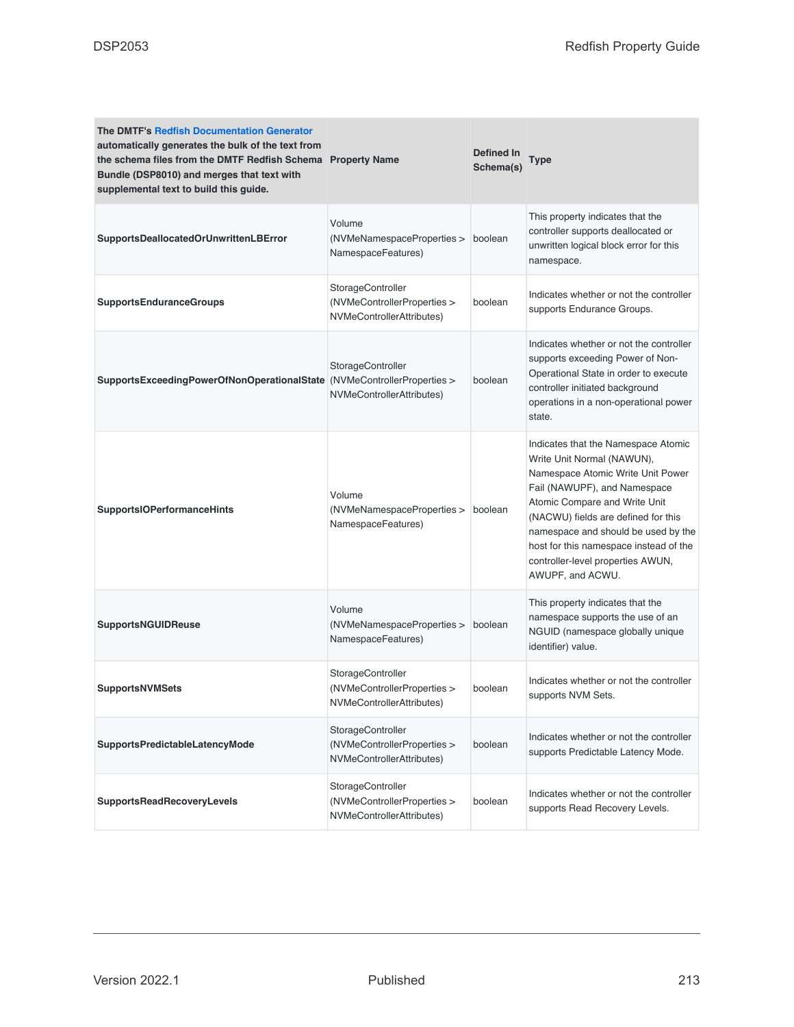| <b>The DMTF's Redfish Documentation Generator</b><br>automatically generates the bulk of the text from<br>the schema files from the DMTF Redfish Schema Property Name<br>Bundle (DSP8010) and merges that text with<br>supplemental text to build this guide. |                                                                               | Defined In<br>Schema(s) | Type                                                                                                                                                                                                                                                                                                                                                     |
|---------------------------------------------------------------------------------------------------------------------------------------------------------------------------------------------------------------------------------------------------------------|-------------------------------------------------------------------------------|-------------------------|----------------------------------------------------------------------------------------------------------------------------------------------------------------------------------------------------------------------------------------------------------------------------------------------------------------------------------------------------------|
| SupportsDeallocatedOrUnwrittenLBError                                                                                                                                                                                                                         | Volume<br>(NVMeNamespaceProperties ><br>NamespaceFeatures)                    | boolean                 | This property indicates that the<br>controller supports deallocated or<br>unwritten logical block error for this<br>namespace.                                                                                                                                                                                                                           |
| <b>SupportsEnduranceGroups</b>                                                                                                                                                                                                                                | StorageController<br>(NVMeControllerProperties ><br>NVMeControllerAttributes) | boolean                 | Indicates whether or not the controller<br>supports Endurance Groups.                                                                                                                                                                                                                                                                                    |
| SupportsExceedingPowerOfNonOperationalState (NVMeControllerProperties >                                                                                                                                                                                       | StorageController<br>NVMeControllerAttributes)                                | boolean                 | Indicates whether or not the controller<br>supports exceeding Power of Non-<br>Operational State in order to execute<br>controller initiated background<br>operations in a non-operational power<br>state.                                                                                                                                               |
| <b>SupportsIOPerformanceHints</b>                                                                                                                                                                                                                             | Volume<br>(NVMeNamespaceProperties ><br>NamespaceFeatures)                    | boolean                 | Indicates that the Namespace Atomic<br>Write Unit Normal (NAWUN),<br>Namespace Atomic Write Unit Power<br>Fail (NAWUPF), and Namespace<br>Atomic Compare and Write Unit<br>(NACWU) fields are defined for this<br>namespace and should be used by the<br>host for this namespace instead of the<br>controller-level properties AWUN,<br>AWUPF, and ACWU. |
| <b>SupportsNGUIDReuse</b>                                                                                                                                                                                                                                     | Volume<br>(NVMeNamespaceProperties ><br>NamespaceFeatures)                    | boolean                 | This property indicates that the<br>namespace supports the use of an<br>NGUID (namespace globally unique<br>identifier) value.                                                                                                                                                                                                                           |
| <b>SupportsNVMSets</b>                                                                                                                                                                                                                                        | StorageController<br>(NVMeControllerProperties ><br>NVMeControllerAttributes) | boolean                 | Indicates whether or not the controller<br>supports NVM Sets.                                                                                                                                                                                                                                                                                            |
| <b>SupportsPredictableLatencyMode</b>                                                                                                                                                                                                                         | StorageController<br>(NVMeControllerProperties ><br>NVMeControllerAttributes) | boolean                 | Indicates whether or not the controller<br>supports Predictable Latency Mode.                                                                                                                                                                                                                                                                            |
| <b>SupportsReadRecoveryLevels</b>                                                                                                                                                                                                                             | StorageController<br>(NVMeControllerProperties ><br>NVMeControllerAttributes) | boolean                 | Indicates whether or not the controller<br>supports Read Recovery Levels.                                                                                                                                                                                                                                                                                |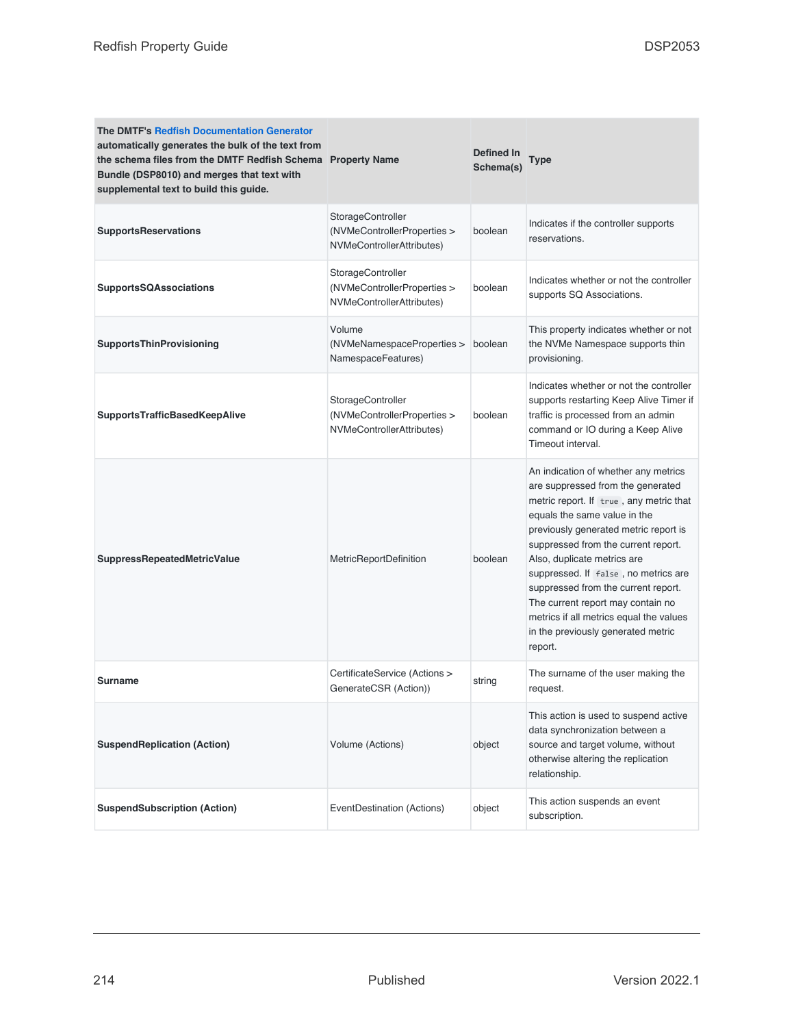| <b>The DMTF's Redfish Documentation Generator</b><br>automatically generates the bulk of the text from<br>the schema files from the DMTF Redfish Schema Property Name<br>Bundle (DSP8010) and merges that text with<br>supplemental text to build this guide. |                                                                               | Defined In<br>Schema(s) | Type                                                                                                                                                                                                                                                                                                                                                                                                                                                                                |
|---------------------------------------------------------------------------------------------------------------------------------------------------------------------------------------------------------------------------------------------------------------|-------------------------------------------------------------------------------|-------------------------|-------------------------------------------------------------------------------------------------------------------------------------------------------------------------------------------------------------------------------------------------------------------------------------------------------------------------------------------------------------------------------------------------------------------------------------------------------------------------------------|
| <b>SupportsReservations</b>                                                                                                                                                                                                                                   | StorageController<br>(NVMeControllerProperties ><br>NVMeControllerAttributes) | boolean                 | Indicates if the controller supports<br>reservations.                                                                                                                                                                                                                                                                                                                                                                                                                               |
| <b>SupportsSQAssociations</b>                                                                                                                                                                                                                                 | StorageController<br>(NVMeControllerProperties ><br>NVMeControllerAttributes) | boolean                 | Indicates whether or not the controller<br>supports SQ Associations.                                                                                                                                                                                                                                                                                                                                                                                                                |
| <b>SupportsThinProvisioning</b>                                                                                                                                                                                                                               | Volume<br>(NVMeNamespaceProperties ><br>NamespaceFeatures)                    | boolean                 | This property indicates whether or not<br>the NVMe Namespace supports thin<br>provisioning.                                                                                                                                                                                                                                                                                                                                                                                         |
| <b>SupportsTrafficBasedKeepAlive</b>                                                                                                                                                                                                                          | StorageController<br>(NVMeControllerProperties ><br>NVMeControllerAttributes) | boolean                 | Indicates whether or not the controller<br>supports restarting Keep Alive Timer if<br>traffic is processed from an admin<br>command or IO during a Keep Alive<br>Timeout interval.                                                                                                                                                                                                                                                                                                  |
| <b>SuppressRepeatedMetricValue</b>                                                                                                                                                                                                                            | MetricReportDefinition                                                        | boolean                 | An indication of whether any metrics<br>are suppressed from the generated<br>metric report. If true, any metric that<br>equals the same value in the<br>previously generated metric report is<br>suppressed from the current report.<br>Also, duplicate metrics are<br>suppressed. If false, no metrics are<br>suppressed from the current report.<br>The current report may contain no<br>metrics if all metrics equal the values<br>in the previously generated metric<br>report. |
| <b>Surname</b>                                                                                                                                                                                                                                                | CertificateService (Actions ><br>GenerateCSR (Action))                        | string                  | The surname of the user making the<br>request.                                                                                                                                                                                                                                                                                                                                                                                                                                      |
| <b>SuspendReplication (Action)</b>                                                                                                                                                                                                                            | Volume (Actions)                                                              | object                  | This action is used to suspend active<br>data synchronization between a<br>source and target volume, without<br>otherwise altering the replication<br>relationship.                                                                                                                                                                                                                                                                                                                 |
| <b>SuspendSubscription (Action)</b>                                                                                                                                                                                                                           | EventDestination (Actions)                                                    | object                  | This action suspends an event<br>subscription.                                                                                                                                                                                                                                                                                                                                                                                                                                      |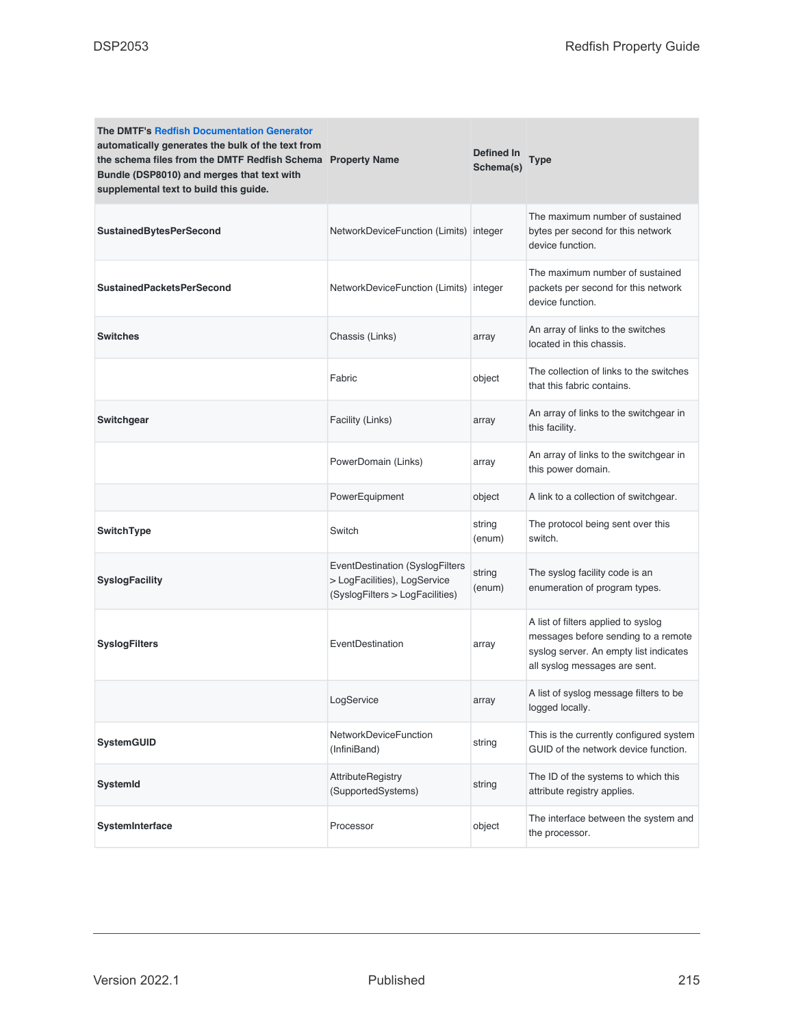| <b>The DMTF's Redfish Documentation Generator</b><br>automatically generates the bulk of the text from<br>the schema files from the DMTF Redfish Schema Property Name<br>Bundle (DSP8010) and merges that text with<br>supplemental text to build this guide. |                                                                                                    | <b>Defined In</b><br>Schema(s) | Type                                                                                                                                                  |
|---------------------------------------------------------------------------------------------------------------------------------------------------------------------------------------------------------------------------------------------------------------|----------------------------------------------------------------------------------------------------|--------------------------------|-------------------------------------------------------------------------------------------------------------------------------------------------------|
| <b>SustainedBytesPerSecond</b>                                                                                                                                                                                                                                | NetworkDeviceFunction (Limits) integer                                                             |                                | The maximum number of sustained<br>bytes per second for this network<br>device function.                                                              |
| <b>SustainedPacketsPerSecond</b>                                                                                                                                                                                                                              | NetworkDeviceFunction (Limits) integer                                                             |                                | The maximum number of sustained<br>packets per second for this network<br>device function.                                                            |
| <b>Switches</b>                                                                                                                                                                                                                                               | Chassis (Links)                                                                                    | array                          | An array of links to the switches<br>located in this chassis.                                                                                         |
|                                                                                                                                                                                                                                                               | Fabric                                                                                             | object                         | The collection of links to the switches<br>that this fabric contains.                                                                                 |
| Switchgear                                                                                                                                                                                                                                                    | Facility (Links)                                                                                   | array                          | An array of links to the switchgear in<br>this facility.                                                                                              |
|                                                                                                                                                                                                                                                               | PowerDomain (Links)                                                                                | array                          | An array of links to the switchgear in<br>this power domain.                                                                                          |
|                                                                                                                                                                                                                                                               | PowerEquipment                                                                                     | object                         | A link to a collection of switchgear.                                                                                                                 |
| SwitchType                                                                                                                                                                                                                                                    | Switch                                                                                             | string<br>(enum)               | The protocol being sent over this<br>switch.                                                                                                          |
| <b>SyslogFacility</b>                                                                                                                                                                                                                                         | EventDestination (SyslogFilters<br>> LogFacilities), LogService<br>(SyslogFilters > LogFacilities) | string<br>(enum)               | The syslog facility code is an<br>enumeration of program types.                                                                                       |
| <b>SyslogFilters</b>                                                                                                                                                                                                                                          | EventDestination                                                                                   | array                          | A list of filters applied to syslog<br>messages before sending to a remote<br>syslog server. An empty list indicates<br>all syslog messages are sent. |
|                                                                                                                                                                                                                                                               | LogService                                                                                         | array                          | A list of syslog message filters to be<br>logged locally.                                                                                             |
| <b>SystemGUID</b>                                                                                                                                                                                                                                             | NetworkDeviceFunction<br>(InfiniBand)                                                              | string                         | This is the currently configured system<br>GUID of the network device function.                                                                       |
| <b>SystemId</b>                                                                                                                                                                                                                                               | AttributeRegistry<br>(SupportedSystems)                                                            | string                         | The ID of the systems to which this<br>attribute registry applies.                                                                                    |
| SystemInterface                                                                                                                                                                                                                                               | Processor                                                                                          | object                         | The interface between the system and<br>the processor.                                                                                                |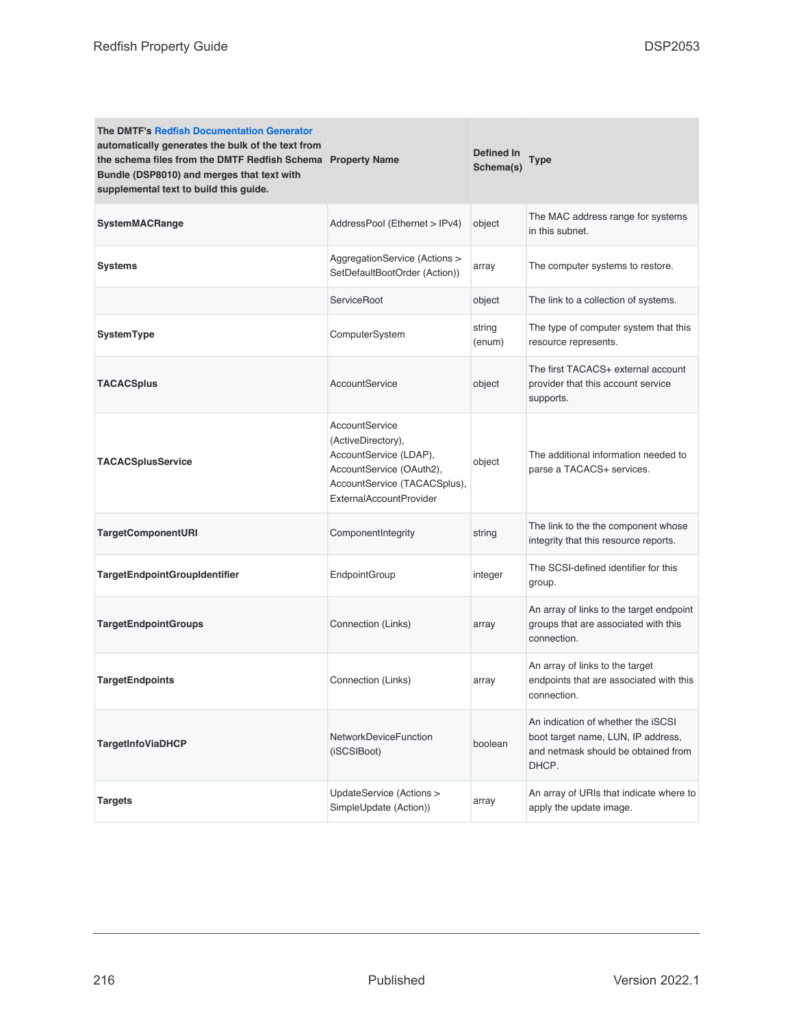| <b>The DMTF's Redfish Documentation Generator</b><br>automatically generates the bulk of the text from<br>the schema files from the DMTF Redfish Schema Property Name<br>Bundle (DSP8010) and merges that text with<br>supplemental text to build this guide. |                                                                                                                                                              | Defined In<br>Schema(s) | Type                                                                                                                     |
|---------------------------------------------------------------------------------------------------------------------------------------------------------------------------------------------------------------------------------------------------------------|--------------------------------------------------------------------------------------------------------------------------------------------------------------|-------------------------|--------------------------------------------------------------------------------------------------------------------------|
| <b>SystemMACRange</b>                                                                                                                                                                                                                                         | AddressPool (Ethernet > IPv4)                                                                                                                                | object                  | The MAC address range for systems<br>in this subnet.                                                                     |
| Systems                                                                                                                                                                                                                                                       | AggregationService (Actions ><br>SetDefaultBootOrder (Action))                                                                                               | array                   | The computer systems to restore.                                                                                         |
|                                                                                                                                                                                                                                                               | <b>ServiceRoot</b>                                                                                                                                           | object                  | The link to a collection of systems.                                                                                     |
| SystemType                                                                                                                                                                                                                                                    | ComputerSystem                                                                                                                                               | string<br>(enum)        | The type of computer system that this<br>resource represents.                                                            |
| <b>TACACSplus</b>                                                                                                                                                                                                                                             | AccountService                                                                                                                                               | object                  | The first TACACS+ external account<br>provider that this account service<br>supports.                                    |
| <b>TACACSplusService</b>                                                                                                                                                                                                                                      | AccountService<br>(ActiveDirectory),<br>AccountService (LDAP),<br>AccountService (OAuth2),<br>AccountService (TACACSplus),<br><b>ExternalAccountProvider</b> | object                  | The additional information needed to<br>parse a TACACS+ services.                                                        |
| <b>TargetComponentURI</b>                                                                                                                                                                                                                                     | ComponentIntegrity                                                                                                                                           | string                  | The link to the the component whose<br>integrity that this resource reports.                                             |
| <b>TargetEndpointGroupIdentifier</b>                                                                                                                                                                                                                          | EndpointGroup                                                                                                                                                | integer                 | The SCSI-defined identifier for this<br>group.                                                                           |
| <b>TargetEndpointGroups</b>                                                                                                                                                                                                                                   | Connection (Links)                                                                                                                                           | array                   | An array of links to the target endpoint<br>groups that are associated with this<br>connection.                          |
| <b>TargetEndpoints</b>                                                                                                                                                                                                                                        | Connection (Links)                                                                                                                                           | array                   | An array of links to the target<br>endpoints that are associated with this<br>connection.                                |
| <b>TargetInfoViaDHCP</b>                                                                                                                                                                                                                                      | NetworkDeviceFunction<br>(iSCSIBoot)                                                                                                                         | boolean                 | An indication of whether the iSCSI<br>boot target name, LUN, IP address,<br>and netmask should be obtained from<br>DHCP. |
| <b>Targets</b>                                                                                                                                                                                                                                                | UpdateService (Actions ><br>SimpleUpdate (Action))                                                                                                           | array                   | An array of URIs that indicate where to<br>apply the update image.                                                       |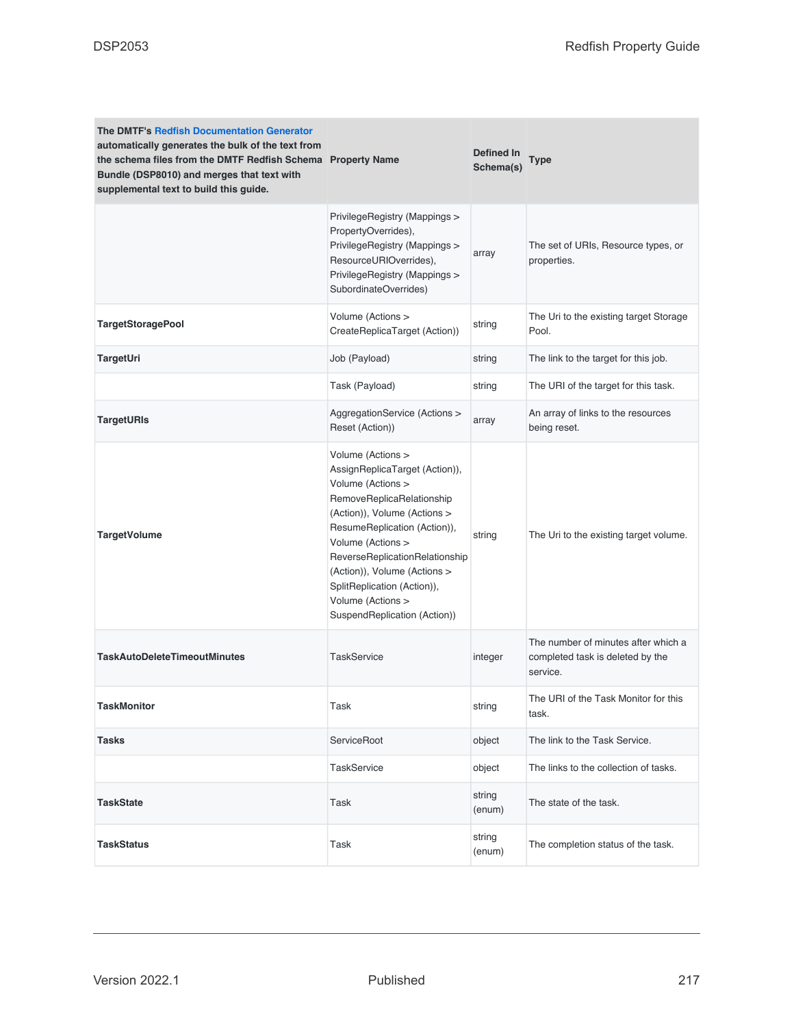| <b>The DMTF's Redfish Documentation Generator</b><br>automatically generates the bulk of the text from<br>the schema files from the DMTF Redfish Schema Property Name<br>Bundle (DSP8010) and merges that text with<br>supplemental text to build this guide. |                                                                                                                                                                                                                                                                                                                                                  | Defined In<br>Schema(s) | <b>Type</b>                                                                         |
|---------------------------------------------------------------------------------------------------------------------------------------------------------------------------------------------------------------------------------------------------------------|--------------------------------------------------------------------------------------------------------------------------------------------------------------------------------------------------------------------------------------------------------------------------------------------------------------------------------------------------|-------------------------|-------------------------------------------------------------------------------------|
|                                                                                                                                                                                                                                                               | PrivilegeRegistry (Mappings ><br>PropertyOverrides),<br>PrivilegeRegistry (Mappings ><br>ResourceURIOverrides),<br>PrivilegeRegistry (Mappings ><br>SubordinateOverrides)                                                                                                                                                                        | array                   | The set of URIs, Resource types, or<br>properties.                                  |
| <b>TargetStoragePool</b>                                                                                                                                                                                                                                      | Volume (Actions ><br>CreateReplicaTarget (Action))                                                                                                                                                                                                                                                                                               | string                  | The Uri to the existing target Storage<br>Pool.                                     |
| TargetUri                                                                                                                                                                                                                                                     | Job (Payload)                                                                                                                                                                                                                                                                                                                                    | string                  | The link to the target for this job.                                                |
|                                                                                                                                                                                                                                                               | Task (Payload)                                                                                                                                                                                                                                                                                                                                   | string                  | The URI of the target for this task.                                                |
| <b>TargetURIs</b>                                                                                                                                                                                                                                             | AggregationService (Actions ><br>Reset (Action))                                                                                                                                                                                                                                                                                                 | array                   | An array of links to the resources<br>being reset.                                  |
| <b>TargetVolume</b>                                                                                                                                                                                                                                           | Volume (Actions ><br>AssignReplicaTarget (Action)),<br>Volume (Actions ><br>RemoveReplicaRelationship<br>(Action)), Volume (Actions ><br>ResumeReplication (Action)),<br>Volume (Actions ><br>ReverseReplicationRelationship<br>(Action)), Volume (Actions ><br>SplitReplication (Action)),<br>Volume (Actions ><br>SuspendReplication (Action)) | string                  | The Uri to the existing target volume.                                              |
| <b>TaskAutoDeleteTimeoutMinutes</b>                                                                                                                                                                                                                           | <b>TaskService</b>                                                                                                                                                                                                                                                                                                                               | integer                 | The number of minutes after which a<br>completed task is deleted by the<br>service. |
| <b>TaskMonitor</b>                                                                                                                                                                                                                                            | Task                                                                                                                                                                                                                                                                                                                                             | string                  | The URI of the Task Monitor for this<br>task.                                       |
| <b>Tasks</b>                                                                                                                                                                                                                                                  | ServiceRoot                                                                                                                                                                                                                                                                                                                                      | object                  | The link to the Task Service.                                                       |
|                                                                                                                                                                                                                                                               | <b>TaskService</b>                                                                                                                                                                                                                                                                                                                               | object                  | The links to the collection of tasks.                                               |
| <b>TaskState</b>                                                                                                                                                                                                                                              | Task                                                                                                                                                                                                                                                                                                                                             | string<br>(enum)        | The state of the task.                                                              |
| <b>TaskStatus</b>                                                                                                                                                                                                                                             | Task                                                                                                                                                                                                                                                                                                                                             | string<br>(enum)        | The completion status of the task.                                                  |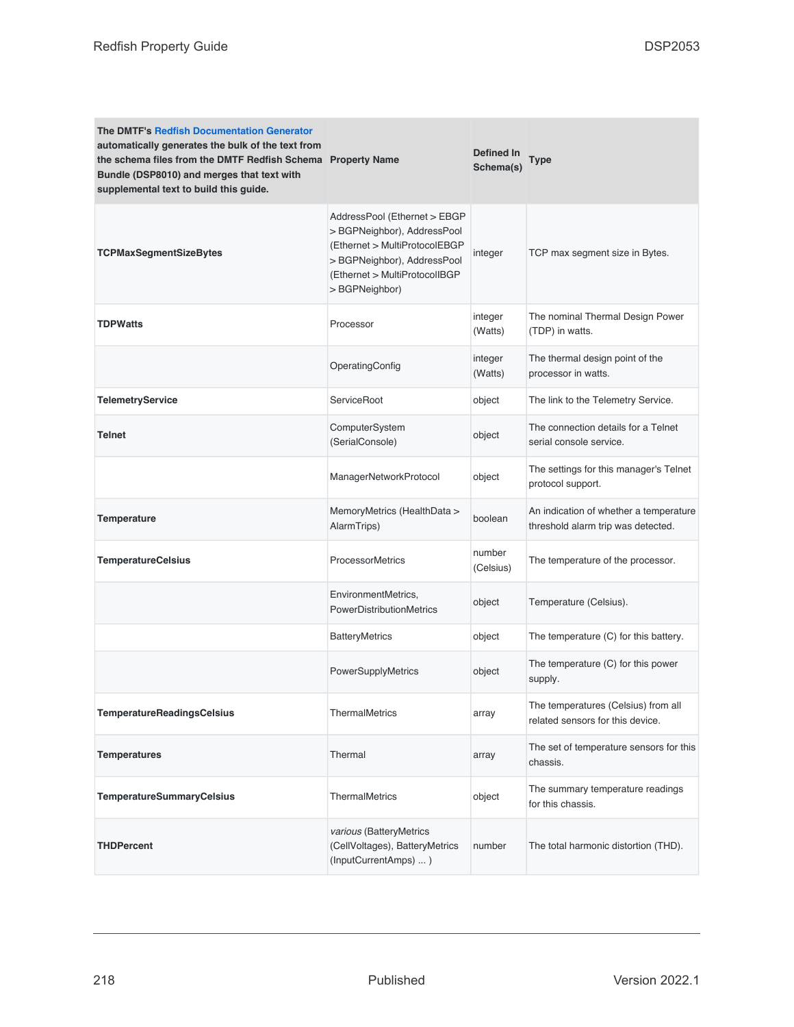| <b>The DMTF's Redfish Documentation Generator</b><br>automatically generates the bulk of the text from<br>the schema files from the DMTF Redfish Schema Property Name<br>Bundle (DSP8010) and merges that text with<br>supplemental text to build this guide. |                                                                                                                                                                                | Defined In<br>Schema(s) | Type                                                                         |
|---------------------------------------------------------------------------------------------------------------------------------------------------------------------------------------------------------------------------------------------------------------|--------------------------------------------------------------------------------------------------------------------------------------------------------------------------------|-------------------------|------------------------------------------------------------------------------|
| <b>TCPMaxSegmentSizeBytes</b>                                                                                                                                                                                                                                 | AddressPool (Ethernet > EBGP<br>> BGPNeighbor), AddressPool<br>(Ethernet > MultiProtocolEBGP<br>> BGPNeighbor), AddressPool<br>(Ethernet > MultiProtocolIBGP<br>> BGPNeighbor) | integer                 | TCP max segment size in Bytes.                                               |
| <b>TDPWatts</b>                                                                                                                                                                                                                                               | Processor                                                                                                                                                                      | integer<br>(Watts)      | The nominal Thermal Design Power<br>(TDP) in watts.                          |
|                                                                                                                                                                                                                                                               | OperatingConfig                                                                                                                                                                | integer<br>(Watts)      | The thermal design point of the<br>processor in watts.                       |
| <b>TelemetryService</b>                                                                                                                                                                                                                                       | ServiceRoot                                                                                                                                                                    | object                  | The link to the Telemetry Service.                                           |
| <b>Telnet</b>                                                                                                                                                                                                                                                 | ComputerSystem<br>(SerialConsole)                                                                                                                                              | object                  | The connection details for a Telnet<br>serial console service.               |
|                                                                                                                                                                                                                                                               | ManagerNetworkProtocol                                                                                                                                                         | object                  | The settings for this manager's Telnet<br>protocol support.                  |
| <b>Temperature</b>                                                                                                                                                                                                                                            | MemoryMetrics (HealthData ><br>AlarmTrips)                                                                                                                                     | boolean                 | An indication of whether a temperature<br>threshold alarm trip was detected. |
| <b>TemperatureCelsius</b>                                                                                                                                                                                                                                     | <b>ProcessorMetrics</b>                                                                                                                                                        | number<br>(Celsius)     | The temperature of the processor.                                            |
|                                                                                                                                                                                                                                                               | EnvironmentMetrics,<br><b>PowerDistributionMetrics</b>                                                                                                                         | object                  | Temperature (Celsius).                                                       |
|                                                                                                                                                                                                                                                               | <b>BatteryMetrics</b>                                                                                                                                                          | object                  | The temperature (C) for this battery.                                        |
|                                                                                                                                                                                                                                                               | PowerSupplyMetrics                                                                                                                                                             | object                  | The temperature (C) for this power<br>supply.                                |
| <b>TemperatureReadingsCelsius</b>                                                                                                                                                                                                                             | <b>ThermalMetrics</b>                                                                                                                                                          | array                   | The temperatures (Celsius) from all<br>related sensors for this device.      |
| <b>Temperatures</b>                                                                                                                                                                                                                                           | Thermal                                                                                                                                                                        | array                   | The set of temperature sensors for this<br>chassis.                          |
| <b>TemperatureSummaryCelsius</b>                                                                                                                                                                                                                              | <b>ThermalMetrics</b>                                                                                                                                                          | object                  | The summary temperature readings<br>for this chassis.                        |
| <b>THDPercent</b>                                                                                                                                                                                                                                             | various (BatteryMetrics<br>(CellVoltages), BatteryMetrics<br>(InputCurrentAmps) )                                                                                              | number                  | The total harmonic distortion (THD).                                         |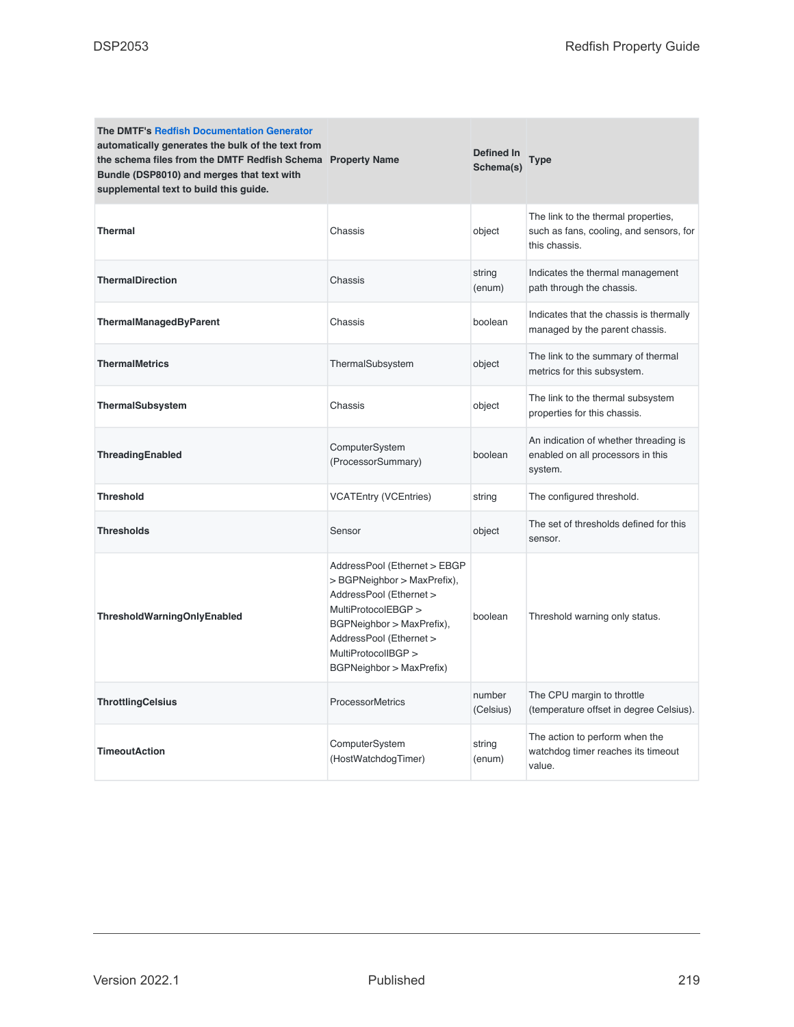| <b>The DMTF's Redfish Documentation Generator</b><br>automatically generates the bulk of the text from<br>the schema files from the DMTF Redfish Schema Property Name<br>Bundle (DSP8010) and merges that text with<br>supplemental text to build this guide. |                                                                                                                                                                                                                          | <b>Defined In</b><br>Schema(s) | <b>Type</b>                                                                                     |
|---------------------------------------------------------------------------------------------------------------------------------------------------------------------------------------------------------------------------------------------------------------|--------------------------------------------------------------------------------------------------------------------------------------------------------------------------------------------------------------------------|--------------------------------|-------------------------------------------------------------------------------------------------|
| <b>Thermal</b>                                                                                                                                                                                                                                                | Chassis                                                                                                                                                                                                                  | object                         | The link to the thermal properties,<br>such as fans, cooling, and sensors, for<br>this chassis. |
| <b>ThermalDirection</b>                                                                                                                                                                                                                                       | Chassis                                                                                                                                                                                                                  | string<br>(enum)               | Indicates the thermal management<br>path through the chassis.                                   |
| ThermalManagedByParent                                                                                                                                                                                                                                        | Chassis                                                                                                                                                                                                                  | boolean                        | Indicates that the chassis is thermally<br>managed by the parent chassis.                       |
| <b>ThermalMetrics</b>                                                                                                                                                                                                                                         | ThermalSubsystem                                                                                                                                                                                                         | object                         | The link to the summary of thermal<br>metrics for this subsystem.                               |
| ThermalSubsystem                                                                                                                                                                                                                                              | Chassis                                                                                                                                                                                                                  | object                         | The link to the thermal subsystem<br>properties for this chassis.                               |
| ThreadingEnabled                                                                                                                                                                                                                                              | ComputerSystem<br>(ProcessorSummary)                                                                                                                                                                                     | boolean                        | An indication of whether threading is<br>enabled on all processors in this<br>system.           |
| <b>Threshold</b>                                                                                                                                                                                                                                              | <b>VCATEntry (VCEntries)</b>                                                                                                                                                                                             | string                         | The configured threshold.                                                                       |
| <b>Thresholds</b>                                                                                                                                                                                                                                             | Sensor                                                                                                                                                                                                                   | object                         | The set of thresholds defined for this<br>sensor.                                               |
| ThresholdWarningOnlyEnabled                                                                                                                                                                                                                                   | AddressPool (Ethernet > EBGP<br>> BGPNeighbor > MaxPrefix),<br>AddressPool (Ethernet ><br>MultiProtocolEBGP ><br>BGPNeighbor > MaxPrefix),<br>AddressPool (Ethernet ><br>MultiProtocolIBGP ><br>BGPNeighbor > MaxPrefix) | boolean                        | Threshold warning only status.                                                                  |
| <b>ThrottlingCelsius</b>                                                                                                                                                                                                                                      | <b>ProcessorMetrics</b>                                                                                                                                                                                                  | number<br>(Celsius)            | The CPU margin to throttle<br>(temperature offset in degree Celsius).                           |
| <b>TimeoutAction</b>                                                                                                                                                                                                                                          | ComputerSystem<br>(HostWatchdogTimer)                                                                                                                                                                                    | string<br>(enum)               | The action to perform when the<br>watchdog timer reaches its timeout<br>value.                  |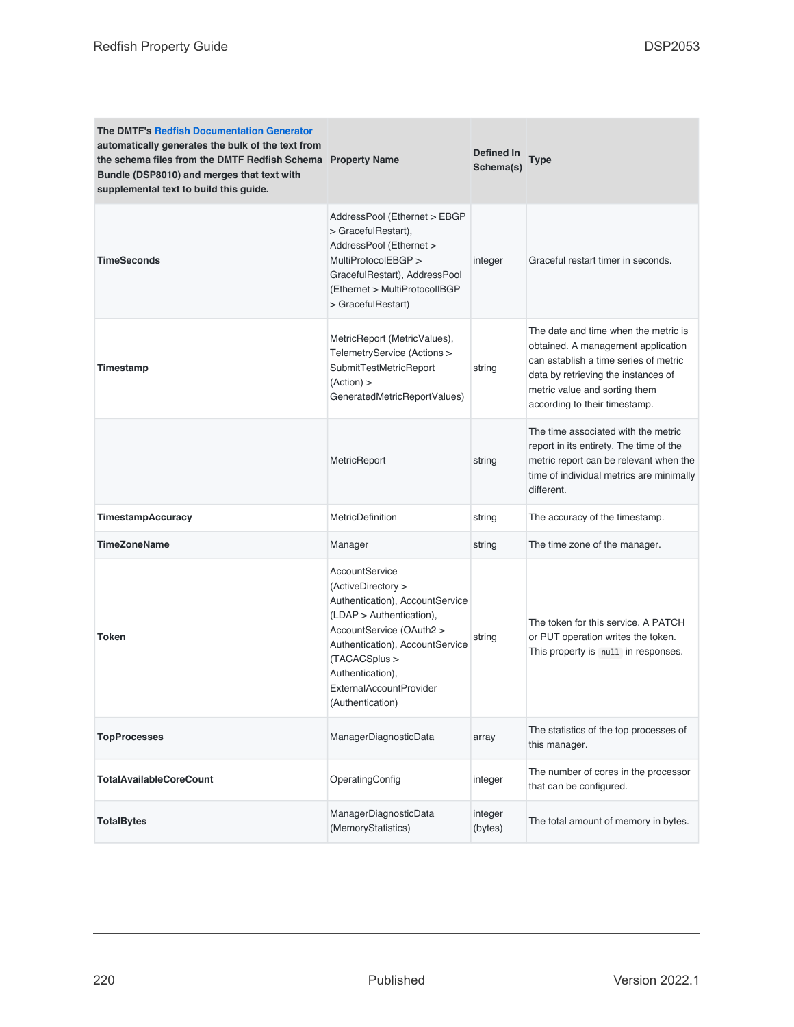| <b>The DMTF's Redfish Documentation Generator</b><br>automatically generates the bulk of the text from<br>the schema files from the DMTF Redfish Schema Property Name<br>Bundle (DSP8010) and merges that text with<br>supplemental text to build this guide. |                                                                                                                                                                                                                                                          | Defined In<br>Schema(s) | Type                                                                                                                                                                                                                         |
|---------------------------------------------------------------------------------------------------------------------------------------------------------------------------------------------------------------------------------------------------------------|----------------------------------------------------------------------------------------------------------------------------------------------------------------------------------------------------------------------------------------------------------|-------------------------|------------------------------------------------------------------------------------------------------------------------------------------------------------------------------------------------------------------------------|
| <b>TimeSeconds</b>                                                                                                                                                                                                                                            | AddressPool (Ethernet > EBGP<br>> GracefulRestart),<br>AddressPool (Ethernet ><br>MultiProtocolEBGP ><br>GracefulRestart), AddressPool<br>(Ethernet > MultiProtocolIBGP<br>> GracefulRestart)                                                            | integer                 | Graceful restart timer in seconds.                                                                                                                                                                                           |
| Timestamp                                                                                                                                                                                                                                                     | MetricReport (MetricValues),<br>TelemetryService (Actions ><br>SubmitTestMetricReport<br>(Action) ><br>GeneratedMetricReportValues)                                                                                                                      | string                  | The date and time when the metric is<br>obtained. A management application<br>can establish a time series of metric<br>data by retrieving the instances of<br>metric value and sorting them<br>according to their timestamp. |
|                                                                                                                                                                                                                                                               | MetricReport                                                                                                                                                                                                                                             | string                  | The time associated with the metric<br>report in its entirety. The time of the<br>metric report can be relevant when the<br>time of individual metrics are minimally<br>different.                                           |
| <b>TimestampAccuracy</b>                                                                                                                                                                                                                                      | <b>MetricDefinition</b>                                                                                                                                                                                                                                  | string                  | The accuracy of the timestamp.                                                                                                                                                                                               |
| <b>TimeZoneName</b>                                                                                                                                                                                                                                           | Manager                                                                                                                                                                                                                                                  | string                  | The time zone of the manager.                                                                                                                                                                                                |
| <b>Token</b>                                                                                                                                                                                                                                                  | AccountService<br>(ActiveDirectory ><br>Authentication), AccountService<br>$(LDAP >$ Authentication),<br>AccountService (OAuth2 ><br>Authentication), AccountService<br>(TACACSplus ><br>Authentication),<br>ExternalAccountProvider<br>(Authentication) | string                  | The token for this service. A PATCH<br>or PUT operation writes the token.<br>This property is null in responses.                                                                                                             |
| <b>TopProcesses</b>                                                                                                                                                                                                                                           | ManagerDiagnosticData                                                                                                                                                                                                                                    | array                   | The statistics of the top processes of<br>this manager.                                                                                                                                                                      |
| <b>TotalAvailableCoreCount</b>                                                                                                                                                                                                                                | OperatingConfig                                                                                                                                                                                                                                          | integer                 | The number of cores in the processor<br>that can be configured.                                                                                                                                                              |
| <b>TotalBytes</b>                                                                                                                                                                                                                                             | ManagerDiagnosticData<br>(MemoryStatistics)                                                                                                                                                                                                              | integer<br>(bytes)      | The total amount of memory in bytes.                                                                                                                                                                                         |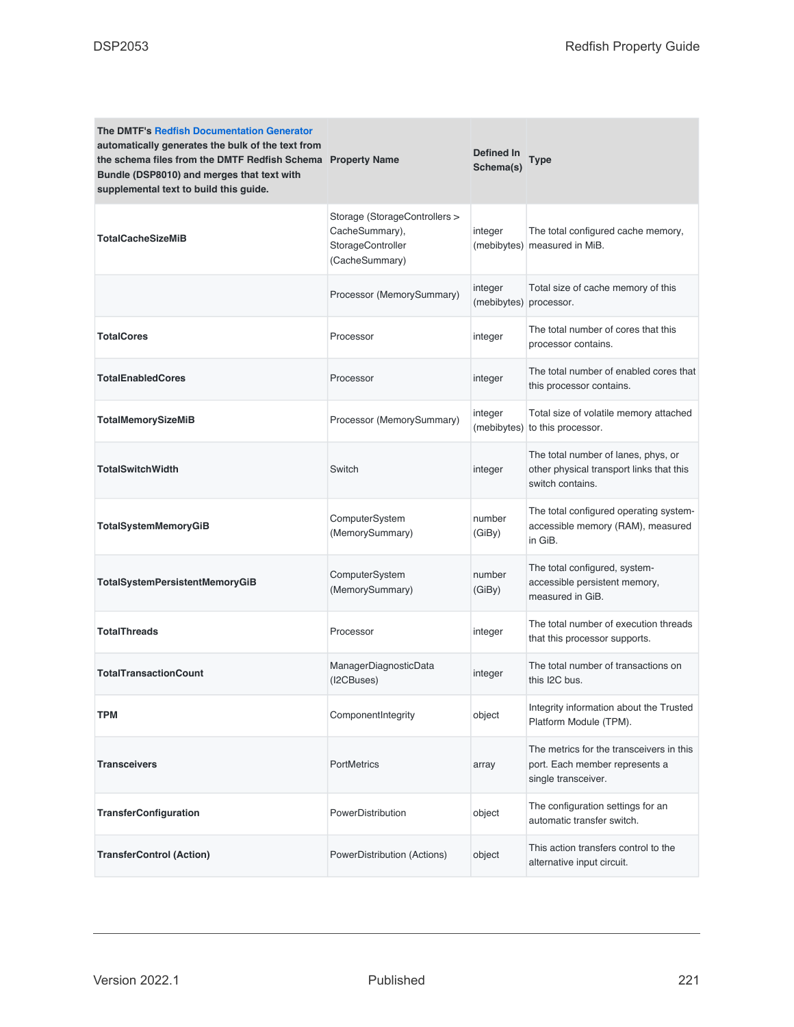| The DMTF's Redfish Documentation Generator<br>automatically generates the bulk of the text from<br>the schema files from the DMTF Redfish Schema Property Name<br>Bundle (DSP8010) and merges that text with<br>supplemental text to build this guide. |                                                                                        | Defined In<br>Schema(s) | Type                                                                                                |
|--------------------------------------------------------------------------------------------------------------------------------------------------------------------------------------------------------------------------------------------------------|----------------------------------------------------------------------------------------|-------------------------|-----------------------------------------------------------------------------------------------------|
| <b>TotalCacheSizeMiB</b>                                                                                                                                                                                                                               | Storage (StorageControllers ><br>CacheSummary),<br>StorageController<br>(CacheSummary) | integer                 | The total configured cache memory,<br>(mebibytes) measured in MiB.                                  |
|                                                                                                                                                                                                                                                        | Processor (MemorySummary)                                                              | integer<br>(mebibytes)  | Total size of cache memory of this<br>processor.                                                    |
| <b>TotalCores</b>                                                                                                                                                                                                                                      | Processor                                                                              | integer                 | The total number of cores that this<br>processor contains.                                          |
| <b>TotalEnabledCores</b>                                                                                                                                                                                                                               | Processor                                                                              | integer                 | The total number of enabled cores that<br>this processor contains.                                  |
| <b>TotalMemorySizeMiB</b>                                                                                                                                                                                                                              | Processor (MemorySummary)                                                              | integer<br>(mebibytes)  | Total size of volatile memory attached<br>to this processor.                                        |
| <b>TotalSwitchWidth</b>                                                                                                                                                                                                                                | Switch                                                                                 | integer                 | The total number of lanes, phys, or<br>other physical transport links that this<br>switch contains. |
| <b>TotalSystemMemoryGiB</b>                                                                                                                                                                                                                            | ComputerSystem<br>(MemorySummary)                                                      | number<br>(GiBy)        | The total configured operating system-<br>accessible memory (RAM), measured<br>in GiB.              |
| TotalSystemPersistentMemoryGiB                                                                                                                                                                                                                         | ComputerSystem<br>(MemorySummary)                                                      | number<br>(GiBy)        | The total configured, system-<br>accessible persistent memory,<br>measured in GiB.                  |
| <b>TotalThreads</b>                                                                                                                                                                                                                                    | Processor                                                                              | integer                 | The total number of execution threads<br>that this processor supports.                              |
| <b>TotalTransactionCount</b>                                                                                                                                                                                                                           | ManagerDiagnosticData<br>(I2CBuses)                                                    | integer                 | The total number of transactions on<br>this I2C bus.                                                |
| <b>TPM</b>                                                                                                                                                                                                                                             | ComponentIntegrity                                                                     | object                  | Integrity information about the Trusted<br>Platform Module (TPM).                                   |
| <b>Transceivers</b>                                                                                                                                                                                                                                    | PortMetrics                                                                            | array                   | The metrics for the transceivers in this<br>port. Each member represents a<br>single transceiver.   |
| <b>TransferConfiguration</b>                                                                                                                                                                                                                           | PowerDistribution                                                                      | object                  | The configuration settings for an<br>automatic transfer switch.                                     |
| <b>TransferControl (Action)</b>                                                                                                                                                                                                                        | PowerDistribution (Actions)                                                            | object                  | This action transfers control to the<br>alternative input circuit.                                  |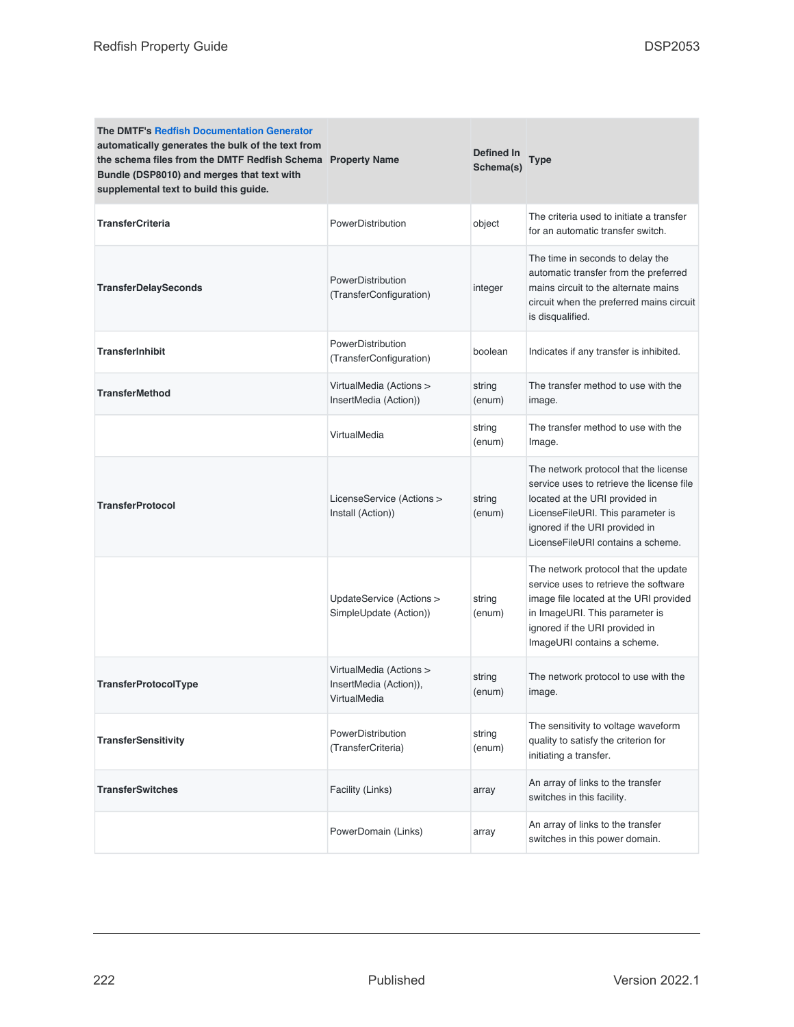| <b>The DMTF's Redfish Documentation Generator</b><br>automatically generates the bulk of the text from<br>the schema files from the DMTF Redfish Schema Property Name<br>Bundle (DSP8010) and merges that text with<br>supplemental text to build this guide. |                                                                   | Defined In<br>Schema(s) | <b>Type</b>                                                                                                                                                                                                                      |
|---------------------------------------------------------------------------------------------------------------------------------------------------------------------------------------------------------------------------------------------------------------|-------------------------------------------------------------------|-------------------------|----------------------------------------------------------------------------------------------------------------------------------------------------------------------------------------------------------------------------------|
| <b>TransferCriteria</b>                                                                                                                                                                                                                                       | PowerDistribution                                                 | object                  | The criteria used to initiate a transfer<br>for an automatic transfer switch.                                                                                                                                                    |
| <b>TransferDelaySeconds</b>                                                                                                                                                                                                                                   | PowerDistribution<br>(TransferConfiguration)                      | integer                 | The time in seconds to delay the<br>automatic transfer from the preferred<br>mains circuit to the alternate mains<br>circuit when the preferred mains circuit<br>is disqualified.                                                |
| <b>TransferInhibit</b>                                                                                                                                                                                                                                        | PowerDistribution<br>(TransferConfiguration)                      | boolean                 | Indicates if any transfer is inhibited.                                                                                                                                                                                          |
| <b>TransferMethod</b>                                                                                                                                                                                                                                         | VirtualMedia (Actions ><br>InsertMedia (Action))                  | string<br>(enum)        | The transfer method to use with the<br>image.                                                                                                                                                                                    |
|                                                                                                                                                                                                                                                               | VirtualMedia                                                      | string<br>(enum)        | The transfer method to use with the<br>Image.                                                                                                                                                                                    |
| <b>TransferProtocol</b>                                                                                                                                                                                                                                       | LicenseService (Actions ><br>Install (Action))                    | string<br>(enum)        | The network protocol that the license<br>service uses to retrieve the license file<br>located at the URI provided in<br>LicenseFileURI. This parameter is<br>ignored if the URI provided in<br>LicenseFileURI contains a scheme. |
|                                                                                                                                                                                                                                                               | UpdateService (Actions ><br>SimpleUpdate (Action))                | string<br>(enum)        | The network protocol that the update<br>service uses to retrieve the software<br>image file located at the URI provided<br>in ImageURI. This parameter is<br>ignored if the URI provided in<br>ImageURI contains a scheme.       |
| <b>TransferProtocolType</b>                                                                                                                                                                                                                                   | VirtualMedia (Actions ><br>InsertMedia (Action)),<br>VirtualMedia | string<br>(enum)        | The network protocol to use with the<br>image.                                                                                                                                                                                   |
| <b>TransferSensitivity</b>                                                                                                                                                                                                                                    | PowerDistribution<br>(TransferCriteria)                           | string<br>(enum)        | The sensitivity to voltage waveform<br>quality to satisfy the criterion for<br>initiating a transfer.                                                                                                                            |
| <b>TransferSwitches</b>                                                                                                                                                                                                                                       | Facility (Links)                                                  | array                   | An array of links to the transfer<br>switches in this facility.                                                                                                                                                                  |
|                                                                                                                                                                                                                                                               | PowerDomain (Links)                                               | array                   | An array of links to the transfer<br>switches in this power domain.                                                                                                                                                              |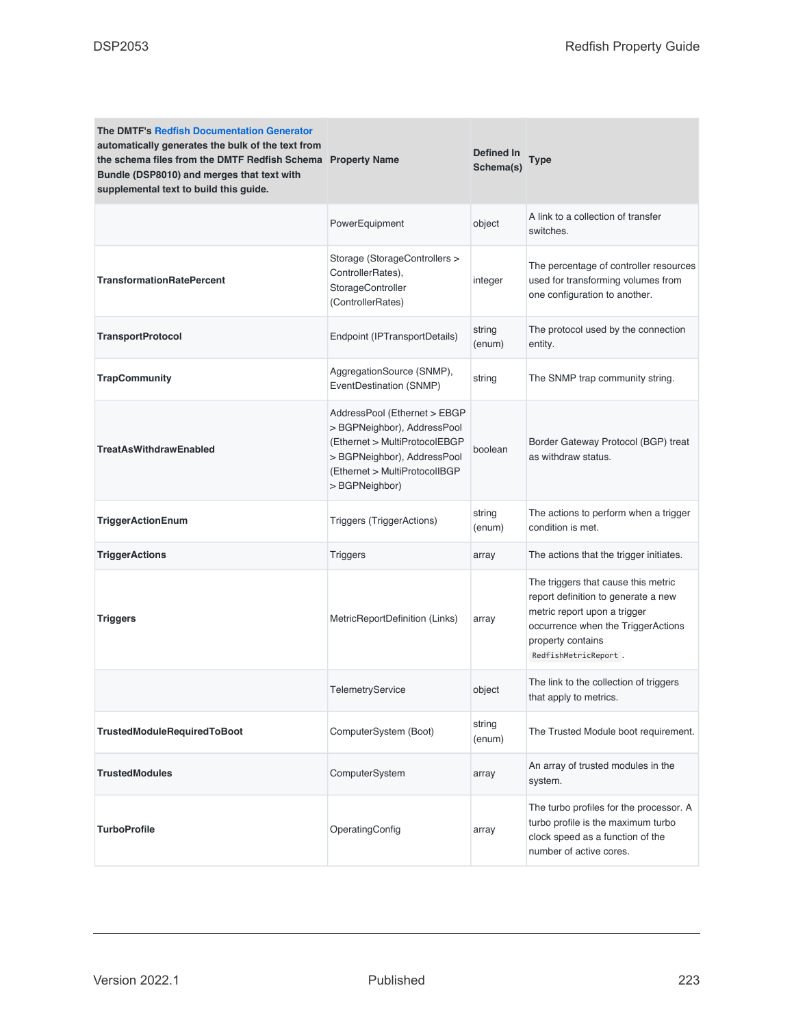| <b>The DMTF's Redfish Documentation Generator</b><br>automatically generates the bulk of the text from<br>the schema files from the DMTF Redfish Schema Property Name<br>Bundle (DSP8010) and merges that text with<br>supplemental text to build this guide. |                                                                                                                                                                                | Defined In<br>Schema(s) | Type                                                                                                                                                                                          |
|---------------------------------------------------------------------------------------------------------------------------------------------------------------------------------------------------------------------------------------------------------------|--------------------------------------------------------------------------------------------------------------------------------------------------------------------------------|-------------------------|-----------------------------------------------------------------------------------------------------------------------------------------------------------------------------------------------|
|                                                                                                                                                                                                                                                               | PowerEquipment                                                                                                                                                                 | object                  | A link to a collection of transfer<br>switches.                                                                                                                                               |
| <b>TransformationRatePercent</b>                                                                                                                                                                                                                              | Storage (StorageControllers ><br>ControllerRates),<br>StorageController<br>(ControllerRates)                                                                                   | integer                 | The percentage of controller resources<br>used for transforming volumes from<br>one configuration to another.                                                                                 |
| <b>TransportProtocol</b>                                                                                                                                                                                                                                      | Endpoint (IPTransportDetails)                                                                                                                                                  | string<br>(enum)        | The protocol used by the connection<br>entity.                                                                                                                                                |
| <b>TrapCommunity</b>                                                                                                                                                                                                                                          | AggregationSource (SNMP),<br>EventDestination (SNMP)                                                                                                                           | string                  | The SNMP trap community string.                                                                                                                                                               |
| <b>TreatAsWithdrawEnabled</b>                                                                                                                                                                                                                                 | AddressPool (Ethernet > EBGP<br>> BGPNeighbor), AddressPool<br>(Ethernet > MultiProtocolEBGP<br>> BGPNeighbor), AddressPool<br>(Ethernet > MultiProtocolIBGP<br>> BGPNeighbor) | boolean                 | Border Gateway Protocol (BGP) treat<br>as withdraw status.                                                                                                                                    |
| <b>TriggerActionEnum</b>                                                                                                                                                                                                                                      | <b>Triggers (TriggerActions)</b>                                                                                                                                               | string<br>(enum)        | The actions to perform when a trigger<br>condition is met.                                                                                                                                    |
| <b>TriggerActions</b>                                                                                                                                                                                                                                         | <b>Triggers</b>                                                                                                                                                                | array                   | The actions that the trigger initiates.                                                                                                                                                       |
| <b>Triggers</b>                                                                                                                                                                                                                                               | MetricReportDefinition (Links)                                                                                                                                                 | array                   | The triggers that cause this metric<br>report definition to generate a new<br>metric report upon a trigger<br>occurrence when the TriggerActions<br>property contains<br>RedfishMetricReport. |
|                                                                                                                                                                                                                                                               | TelemetryService                                                                                                                                                               | object                  | The link to the collection of triggers<br>that apply to metrics.                                                                                                                              |
| TrustedModuleRequiredToBoot                                                                                                                                                                                                                                   | ComputerSystem (Boot)                                                                                                                                                          | string<br>(enum)        | The Trusted Module boot requirement.                                                                                                                                                          |
| <b>TrustedModules</b>                                                                                                                                                                                                                                         | ComputerSystem                                                                                                                                                                 | array                   | An array of trusted modules in the<br>system.                                                                                                                                                 |
| <b>TurboProfile</b>                                                                                                                                                                                                                                           | OperatingConfig                                                                                                                                                                | array                   | The turbo profiles for the processor. A<br>turbo profile is the maximum turbo<br>clock speed as a function of the<br>number of active cores.                                                  |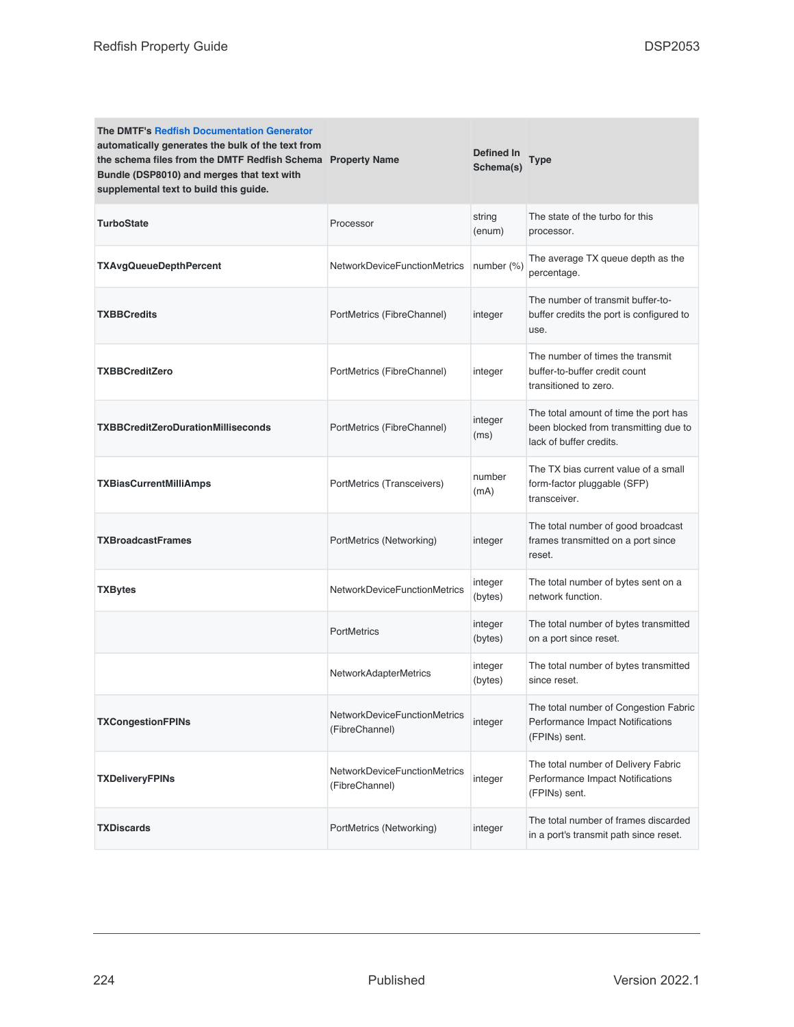| <b>The DMTF's Redfish Documentation Generator</b><br>automatically generates the bulk of the text from<br>the schema files from the DMTF Redfish Schema Property Name<br>Bundle (DSP8010) and merges that text with<br>supplemental text to build this guide. |                                                | Defined In<br>Schema(s) | Type                                                                                                      |
|---------------------------------------------------------------------------------------------------------------------------------------------------------------------------------------------------------------------------------------------------------------|------------------------------------------------|-------------------------|-----------------------------------------------------------------------------------------------------------|
| <b>TurboState</b>                                                                                                                                                                                                                                             | Processor                                      | string<br>(enum)        | The state of the turbo for this<br>processor.                                                             |
| <b>TXAvgQueueDepthPercent</b>                                                                                                                                                                                                                                 | <b>NetworkDeviceFunctionMetrics</b>            | number $(\%)$           | The average TX queue depth as the<br>percentage.                                                          |
| <b>TXBBCredits</b>                                                                                                                                                                                                                                            | PortMetrics (FibreChannel)                     | integer                 | The number of transmit buffer-to-<br>buffer credits the port is configured to<br>use.                     |
| <b>TXBBCreditZero</b>                                                                                                                                                                                                                                         | PortMetrics (FibreChannel)                     | integer                 | The number of times the transmit<br>buffer-to-buffer credit count<br>transitioned to zero.                |
| <b>TXBBCreditZeroDurationMilliseconds</b>                                                                                                                                                                                                                     | PortMetrics (FibreChannel)                     | integer<br>(ms)         | The total amount of time the port has<br>been blocked from transmitting due to<br>lack of buffer credits. |
| TXBiasCurrentMilliAmps                                                                                                                                                                                                                                        | PortMetrics (Transceivers)                     | number<br>(mA)          | The TX bias current value of a small<br>form-factor pluggable (SFP)<br>transceiver.                       |
| <b>TXBroadcastFrames</b>                                                                                                                                                                                                                                      | PortMetrics (Networking)                       | integer                 | The total number of good broadcast<br>frames transmitted on a port since<br>reset.                        |
| <b>TXBytes</b>                                                                                                                                                                                                                                                | NetworkDeviceFunctionMetrics                   | integer<br>(bytes)      | The total number of bytes sent on a<br>network function.                                                  |
|                                                                                                                                                                                                                                                               | <b>PortMetrics</b>                             | integer<br>(bytes)      | The total number of bytes transmitted<br>on a port since reset.                                           |
|                                                                                                                                                                                                                                                               | <b>NetworkAdapterMetrics</b>                   | integer<br>(bytes)      | The total number of bytes transmitted<br>since reset.                                                     |
| <b>TXCongestionFPINs</b>                                                                                                                                                                                                                                      | NetworkDeviceFunctionMetrics<br>(FibreChannel) | integer                 | The total number of Congestion Fabric<br>Performance Impact Notifications<br>(FPINs) sent.                |
| <b>TXDeliveryFPINs</b>                                                                                                                                                                                                                                        | NetworkDeviceFunctionMetrics<br>(FibreChannel) | integer                 | The total number of Delivery Fabric<br>Performance Impact Notifications<br>(FPINs) sent.                  |
| <b>TXDiscards</b>                                                                                                                                                                                                                                             | PortMetrics (Networking)                       | integer                 | The total number of frames discarded<br>in a port's transmit path since reset.                            |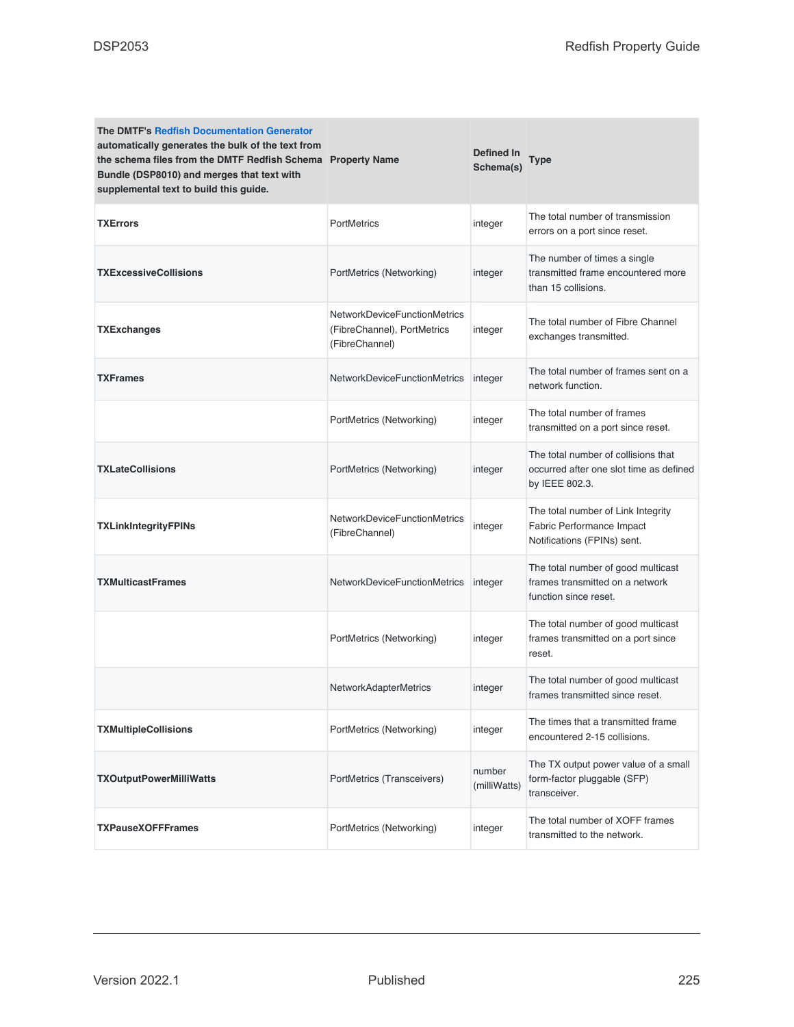| <b>The DMTF's Redfish Documentation Generator</b><br>automatically generates the bulk of the text from<br>the schema files from the DMTF Redfish Schema Property Name<br>Bundle (DSP8010) and merges that text with<br>supplemental text to build this guide. |                                                                                      | Defined In<br>Schema(s) | Type                                                                                             |
|---------------------------------------------------------------------------------------------------------------------------------------------------------------------------------------------------------------------------------------------------------------|--------------------------------------------------------------------------------------|-------------------------|--------------------------------------------------------------------------------------------------|
| <b>TXErrors</b>                                                                                                                                                                                                                                               | <b>PortMetrics</b>                                                                   | integer                 | The total number of transmission<br>errors on a port since reset.                                |
| <b>TXExcessiveCollisions</b>                                                                                                                                                                                                                                  | PortMetrics (Networking)                                                             | integer                 | The number of times a single<br>transmitted frame encountered more<br>than 15 collisions.        |
| TXExchanges                                                                                                                                                                                                                                                   | <b>NetworkDeviceFunctionMetrics</b><br>(FibreChannel), PortMetrics<br>(FibreChannel) | integer                 | The total number of Fibre Channel<br>exchanges transmitted.                                      |
| <b>TXFrames</b>                                                                                                                                                                                                                                               | NetworkDeviceFunctionMetrics                                                         | integer                 | The total number of frames sent on a<br>network function.                                        |
|                                                                                                                                                                                                                                                               | PortMetrics (Networking)                                                             | integer                 | The total number of frames<br>transmitted on a port since reset.                                 |
| <b>TXLateCollisions</b>                                                                                                                                                                                                                                       | PortMetrics (Networking)                                                             | integer                 | The total number of collisions that<br>occurred after one slot time as defined<br>by IEEE 802.3. |
| <b>TXLinkIntegrityFPINs</b>                                                                                                                                                                                                                                   | NetworkDeviceFunctionMetrics<br>(FibreChannel)                                       | integer                 | The total number of Link Integrity<br>Fabric Performance Impact<br>Notifications (FPINs) sent.   |
| <b>TXMulticastFrames</b>                                                                                                                                                                                                                                      | NetworkDeviceFunctionMetrics                                                         | integer                 | The total number of good multicast<br>frames transmitted on a network<br>function since reset.   |
|                                                                                                                                                                                                                                                               | PortMetrics (Networking)                                                             | integer                 | The total number of good multicast<br>frames transmitted on a port since<br>reset.               |
|                                                                                                                                                                                                                                                               | <b>NetworkAdapterMetrics</b>                                                         | integer                 | The total number of good multicast<br>frames transmitted since reset.                            |
| <b>TXMultipleCollisions</b>                                                                                                                                                                                                                                   | PortMetrics (Networking)                                                             | integer                 | The times that a transmitted frame<br>encountered 2-15 collisions.                               |
| <b>TXOutputPowerMilliWatts</b>                                                                                                                                                                                                                                | PortMetrics (Transceivers)                                                           | number<br>(milliWatts)  | The TX output power value of a small<br>form-factor pluggable (SFP)<br>transceiver.              |
| <b>TXPauseXOFFFrames</b>                                                                                                                                                                                                                                      | PortMetrics (Networking)                                                             | integer                 | The total number of XOFF frames<br>transmitted to the network.                                   |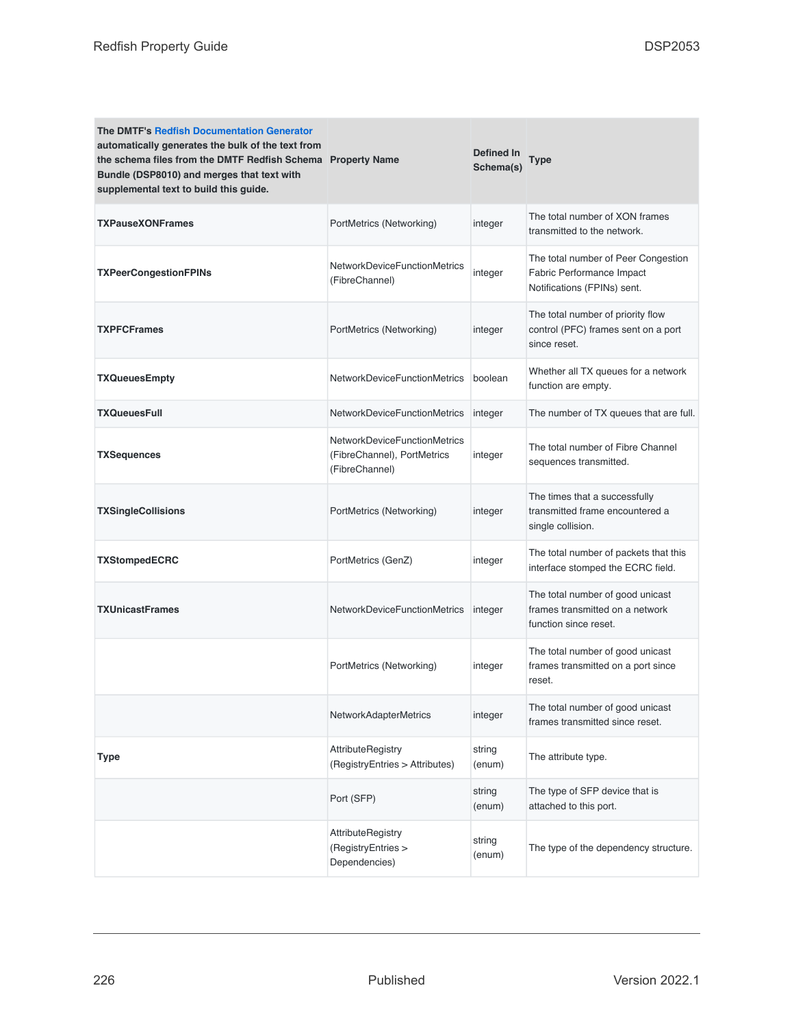| <b>The DMTF's Redfish Documentation Generator</b><br>automatically generates the bulk of the text from<br>the schema files from the DMTF Redfish Schema Property Name<br>Bundle (DSP8010) and merges that text with<br>supplemental text to build this guide. |                                                                                      | Defined In<br>Schema(s) | Type                                                                                            |
|---------------------------------------------------------------------------------------------------------------------------------------------------------------------------------------------------------------------------------------------------------------|--------------------------------------------------------------------------------------|-------------------------|-------------------------------------------------------------------------------------------------|
| <b>TXPauseXONFrames</b>                                                                                                                                                                                                                                       | PortMetrics (Networking)                                                             | integer                 | The total number of XON frames<br>transmitted to the network.                                   |
| <b>TXPeerCongestionFPINs</b>                                                                                                                                                                                                                                  | <b>NetworkDeviceFunctionMetrics</b><br>(FibreChannel)                                | integer                 | The total number of Peer Congestion<br>Fabric Performance Impact<br>Notifications (FPINs) sent. |
| <b>TXPFCFrames</b>                                                                                                                                                                                                                                            | PortMetrics (Networking)                                                             | integer                 | The total number of priority flow<br>control (PFC) frames sent on a port<br>since reset.        |
| <b>TXQueuesEmpty</b>                                                                                                                                                                                                                                          | <b>NetworkDeviceFunctionMetrics</b>                                                  | boolean                 | Whether all TX queues for a network<br>function are empty.                                      |
| <b>TXQueuesFull</b>                                                                                                                                                                                                                                           | NetworkDeviceFunctionMetrics                                                         | integer                 | The number of TX queues that are full.                                                          |
| <b>TXSequences</b>                                                                                                                                                                                                                                            | <b>NetworkDeviceFunctionMetrics</b><br>(FibreChannel), PortMetrics<br>(FibreChannel) | integer                 | The total number of Fibre Channel<br>sequences transmitted.                                     |
| <b>TXSingleCollisions</b>                                                                                                                                                                                                                                     | PortMetrics (Networking)                                                             | integer                 | The times that a successfully<br>transmitted frame encountered a<br>single collision.           |
| TXStompedECRC                                                                                                                                                                                                                                                 | PortMetrics (GenZ)                                                                   | integer                 | The total number of packets that this<br>interface stomped the ECRC field.                      |
| <b>TXUnicastFrames</b>                                                                                                                                                                                                                                        | NetworkDeviceFunctionMetrics                                                         | integer                 | The total number of good unicast<br>frames transmitted on a network<br>function since reset.    |
|                                                                                                                                                                                                                                                               | PortMetrics (Networking)                                                             | integer                 | The total number of good unicast<br>frames transmitted on a port since<br>reset.                |
|                                                                                                                                                                                                                                                               | NetworkAdapterMetrics                                                                | integer                 | The total number of good unicast<br>frames transmitted since reset.                             |
| <b>Type</b>                                                                                                                                                                                                                                                   | AttributeRegistry<br>(RegistryEntries > Attributes)                                  | string<br>(enum)        | The attribute type.                                                                             |
|                                                                                                                                                                                                                                                               | Port (SFP)                                                                           | string<br>(enum)        | The type of SFP device that is<br>attached to this port.                                        |
|                                                                                                                                                                                                                                                               | AttributeRegistry<br>(RegistryEntries ><br>Dependencies)                             | string<br>(enum)        | The type of the dependency structure.                                                           |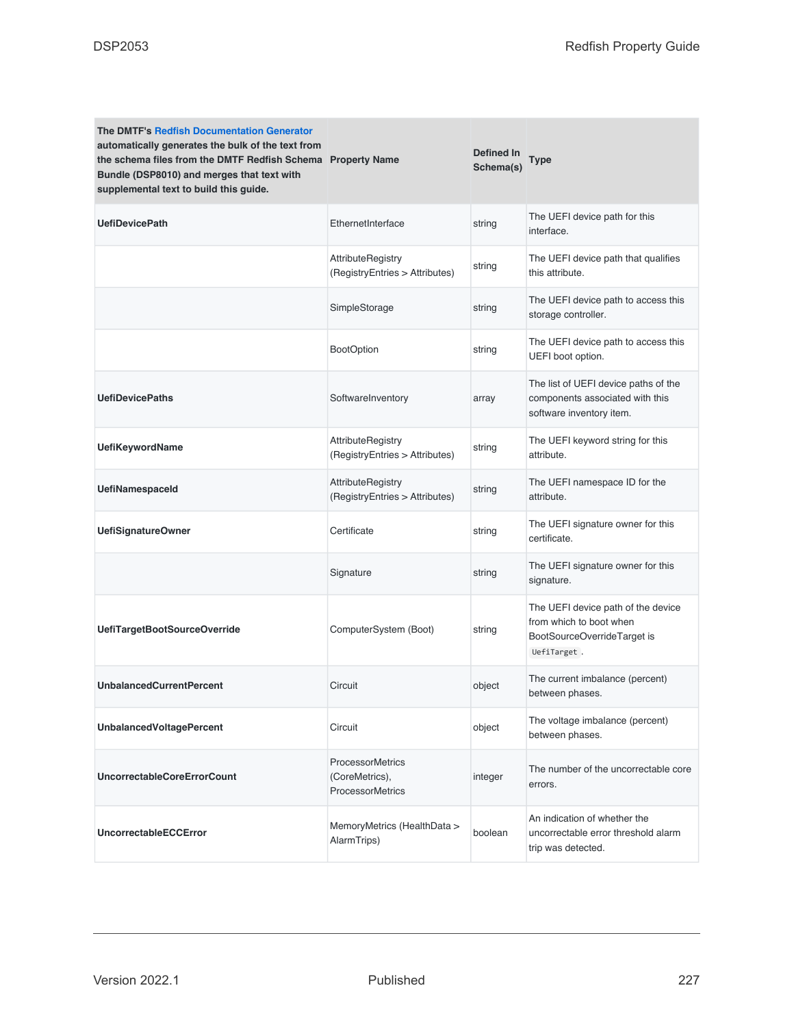| <b>The DMTF's Redfish Documentation Generator</b><br>automatically generates the bulk of the text from<br>the schema files from the DMTF Redfish Schema Property Name<br>Bundle (DSP8010) and merges that text with<br>supplemental text to build this guide. |                                                                      | Defined In<br>Schema(s) | Type                                                                                                        |
|---------------------------------------------------------------------------------------------------------------------------------------------------------------------------------------------------------------------------------------------------------------|----------------------------------------------------------------------|-------------------------|-------------------------------------------------------------------------------------------------------------|
| <b>UefiDevicePath</b>                                                                                                                                                                                                                                         | EthernetInterface                                                    | string                  | The UEFI device path for this<br>interface.                                                                 |
|                                                                                                                                                                                                                                                               | <b>AttributeRegistry</b><br>(RegistryEntries > Attributes)           | string                  | The UEFI device path that qualifies<br>this attribute.                                                      |
|                                                                                                                                                                                                                                                               | SimpleStorage                                                        | string                  | The UEFI device path to access this<br>storage controller.                                                  |
|                                                                                                                                                                                                                                                               | <b>BootOption</b>                                                    | string                  | The UEFI device path to access this<br>UEFI boot option.                                                    |
| <b>UefiDevicePaths</b>                                                                                                                                                                                                                                        | SoftwareInventory                                                    | array                   | The list of UEFI device paths of the<br>components associated with this<br>software inventory item.         |
| <b>UefiKeywordName</b>                                                                                                                                                                                                                                        | <b>AttributeRegistry</b><br>(RegistryEntries > Attributes)           | string                  | The UEFI keyword string for this<br>attribute.                                                              |
| <b>UefiNamespaceld</b>                                                                                                                                                                                                                                        | <b>AttributeRegistry</b><br>(RegistryEntries > Attributes)           | string                  | The UEFI namespace ID for the<br>attribute.                                                                 |
| <b>UefiSignatureOwner</b>                                                                                                                                                                                                                                     | Certificate                                                          | string                  | The UEFI signature owner for this<br>certificate.                                                           |
|                                                                                                                                                                                                                                                               | Signature                                                            | string                  | The UEFI signature owner for this<br>signature.                                                             |
| UefiTargetBootSourceOverride                                                                                                                                                                                                                                  | ComputerSystem (Boot)                                                | string                  | The UEFI device path of the device<br>from which to boot when<br>BootSourceOverrideTarget is<br>UefiTarget. |
| <b>UnbalancedCurrentPercent</b>                                                                                                                                                                                                                               | Circuit                                                              | object                  | The current imbalance (percent)<br>between phases.                                                          |
| <b>UnbalancedVoltagePercent</b>                                                                                                                                                                                                                               | Circuit                                                              | object                  | The voltage imbalance (percent)<br>between phases.                                                          |
| <b>UncorrectableCoreErrorCount</b>                                                                                                                                                                                                                            | <b>ProcessorMetrics</b><br>(CoreMetrics),<br><b>ProcessorMetrics</b> | integer                 | The number of the uncorrectable core<br>errors.                                                             |
| <b>UncorrectableECCError</b>                                                                                                                                                                                                                                  | MemoryMetrics (HealthData ><br>AlarmTrips)                           | boolean                 | An indication of whether the<br>uncorrectable error threshold alarm<br>trip was detected.                   |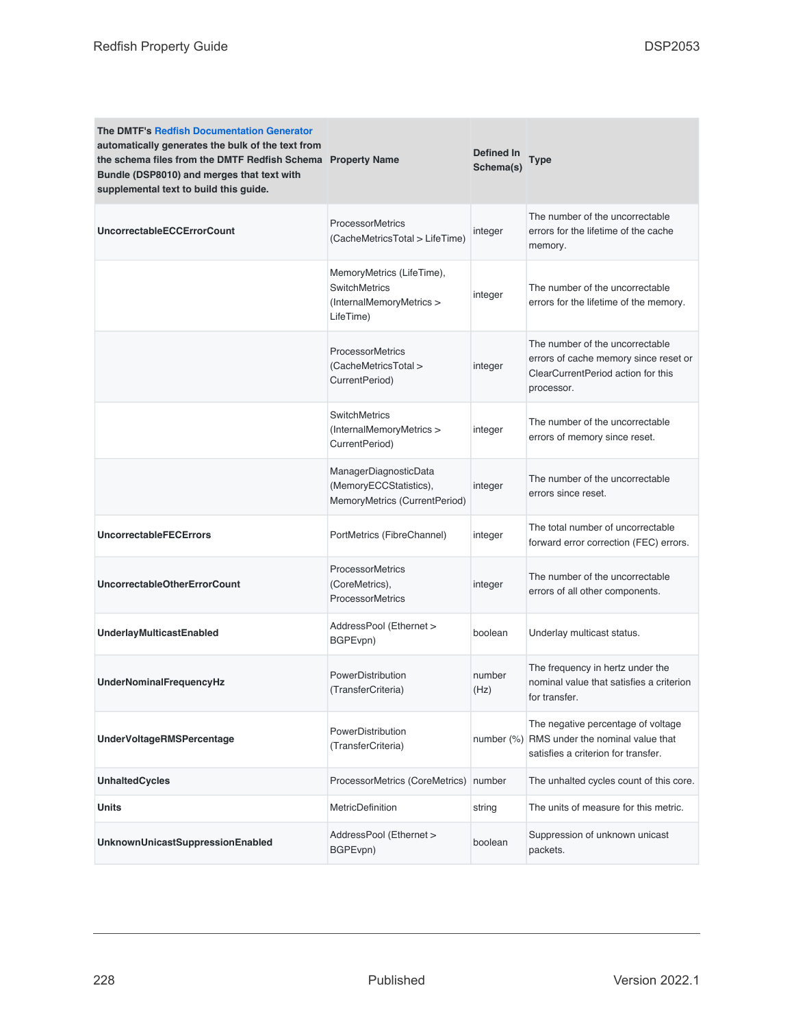| <b>The DMTF's Redfish Documentation Generator</b><br>automatically generates the bulk of the text from<br>the schema files from the DMTF Redfish Schema Property Name<br>Bundle (DSP8010) and merges that text with<br>supplemental text to build this guide. |                                                                                            | Defined In<br>Schema(s) | Type                                                                                                                         |
|---------------------------------------------------------------------------------------------------------------------------------------------------------------------------------------------------------------------------------------------------------------|--------------------------------------------------------------------------------------------|-------------------------|------------------------------------------------------------------------------------------------------------------------------|
| <b>UncorrectableECCErrorCount</b>                                                                                                                                                                                                                             | <b>ProcessorMetrics</b><br>(CacheMetricsTotal > LifeTime)                                  | integer                 | The number of the uncorrectable<br>errors for the lifetime of the cache<br>memory.                                           |
|                                                                                                                                                                                                                                                               | MemoryMetrics (LifeTime),<br><b>SwitchMetrics</b><br>(InternalMemoryMetrics ><br>LifeTime) | integer                 | The number of the uncorrectable<br>errors for the lifetime of the memory.                                                    |
|                                                                                                                                                                                                                                                               | <b>ProcessorMetrics</b><br>(CacheMetricsTotal ><br>CurrentPeriod)                          | integer                 | The number of the uncorrectable<br>errors of cache memory since reset or<br>ClearCurrentPeriod action for this<br>processor. |
|                                                                                                                                                                                                                                                               | <b>SwitchMetrics</b><br>(InternalMemoryMetrics ><br>CurrentPeriod)                         | integer                 | The number of the uncorrectable<br>errors of memory since reset.                                                             |
|                                                                                                                                                                                                                                                               | ManagerDiagnosticData<br>(MemoryECCStatistics),<br>MemoryMetrics (CurrentPeriod)           | integer                 | The number of the uncorrectable<br>errors since reset.                                                                       |
| <b>UncorrectableFECErrors</b>                                                                                                                                                                                                                                 | PortMetrics (FibreChannel)                                                                 | integer                 | The total number of uncorrectable<br>forward error correction (FEC) errors.                                                  |
| <b>UncorrectableOtherErrorCount</b>                                                                                                                                                                                                                           | <b>ProcessorMetrics</b><br>(CoreMetrics),<br><b>ProcessorMetrics</b>                       | integer                 | The number of the uncorrectable<br>errors of all other components.                                                           |
| UnderlayMulticastEnabled                                                                                                                                                                                                                                      | AddressPool (Ethernet ><br>BGPEvpn)                                                        | boolean                 | Underlay multicast status.                                                                                                   |
| <b>UnderNominalFrequencyHz</b>                                                                                                                                                                                                                                | PowerDistribution<br>(TransferCriteria)                                                    | number<br>(Hz)          | The frequency in hertz under the<br>nominal value that satisfies a criterion<br>for transfer.                                |
| <b>UnderVoltageRMSPercentage</b>                                                                                                                                                                                                                              | PowerDistribution<br>(TransferCriteria)                                                    | number $(%)$            | The negative percentage of voltage<br>RMS under the nominal value that<br>satisfies a criterion for transfer.                |
| <b>UnhaltedCycles</b>                                                                                                                                                                                                                                         | ProcessorMetrics (CoreMetrics)                                                             | number                  | The unhalted cycles count of this core.                                                                                      |
| <b>Units</b>                                                                                                                                                                                                                                                  | MetricDefinition                                                                           | string                  | The units of measure for this metric.                                                                                        |
| UnknownUnicastSuppressionEnabled                                                                                                                                                                                                                              | AddressPool (Ethernet ><br>BGPEvpn)                                                        | boolean                 | Suppression of unknown unicast<br>packets.                                                                                   |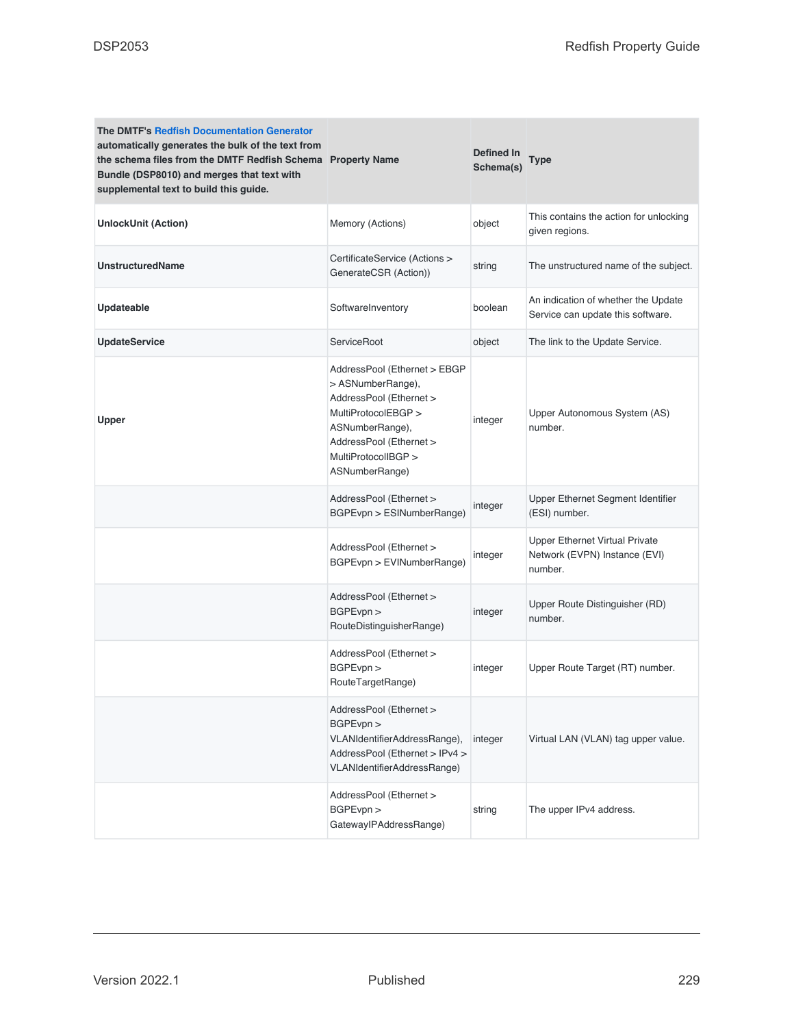| <b>The DMTF's Redfish Documentation Generator</b><br>automatically generates the bulk of the text from<br>the schema files from the DMTF Redfish Schema Property Name<br>Bundle (DSP8010) and merges that text with<br>supplemental text to build this guide. |                                                                                                                                                                                            | Defined In<br>Schema(s) | Type                                                                       |
|---------------------------------------------------------------------------------------------------------------------------------------------------------------------------------------------------------------------------------------------------------------|--------------------------------------------------------------------------------------------------------------------------------------------------------------------------------------------|-------------------------|----------------------------------------------------------------------------|
| <b>UnlockUnit (Action)</b>                                                                                                                                                                                                                                    | Memory (Actions)                                                                                                                                                                           | object                  | This contains the action for unlocking<br>given regions.                   |
| <b>UnstructuredName</b>                                                                                                                                                                                                                                       | CertificateService (Actions ><br>GenerateCSR (Action))                                                                                                                                     | string                  | The unstructured name of the subject.                                      |
| <b>Updateable</b>                                                                                                                                                                                                                                             | SoftwareInventory                                                                                                                                                                          | boolean                 | An indication of whether the Update<br>Service can update this software.   |
| <b>UpdateService</b>                                                                                                                                                                                                                                          | ServiceRoot                                                                                                                                                                                | object                  | The link to the Update Service.                                            |
| Upper                                                                                                                                                                                                                                                         | AddressPool (Ethernet > EBGP<br>> ASNumberRange),<br>AddressPool (Ethernet ><br>MultiProtocolEBGP ><br>ASNumberRange),<br>AddressPool (Ethernet ><br>MultiProtocolIBGP ><br>ASNumberRange) | integer                 | Upper Autonomous System (AS)<br>number.                                    |
|                                                                                                                                                                                                                                                               | AddressPool (Ethernet ><br>BGPEvpn > ESINumberRange)                                                                                                                                       | integer                 | Upper Ethernet Segment Identifier<br>(ESI) number.                         |
|                                                                                                                                                                                                                                                               | AddressPool (Ethernet ><br>BGPEvpn > EVINumberRange)                                                                                                                                       | integer                 | Upper Ethernet Virtual Private<br>Network (EVPN) Instance (EVI)<br>number. |
|                                                                                                                                                                                                                                                               | AddressPool (Ethernet ><br>BGPEvpn ><br>RouteDistinguisherRange)                                                                                                                           | integer                 | Upper Route Distinguisher (RD)<br>number.                                  |
|                                                                                                                                                                                                                                                               | AddressPool (Ethernet ><br>BGPEvpn ><br>RouteTargetRange)                                                                                                                                  | integer                 | Upper Route Target (RT) number.                                            |
|                                                                                                                                                                                                                                                               | AddressPool (Ethernet ><br>BGPEvpn ><br>VLANIdentifierAddressRange),<br>AddressPool (Ethernet > IPv4 ><br>VLANIdentifierAddressRange)                                                      | integer                 | Virtual LAN (VLAN) tag upper value.                                        |
|                                                                                                                                                                                                                                                               | AddressPool (Ethernet ><br>BGPEvpn ><br>GatewaylPAddressRange)                                                                                                                             | string                  | The upper IPv4 address.                                                    |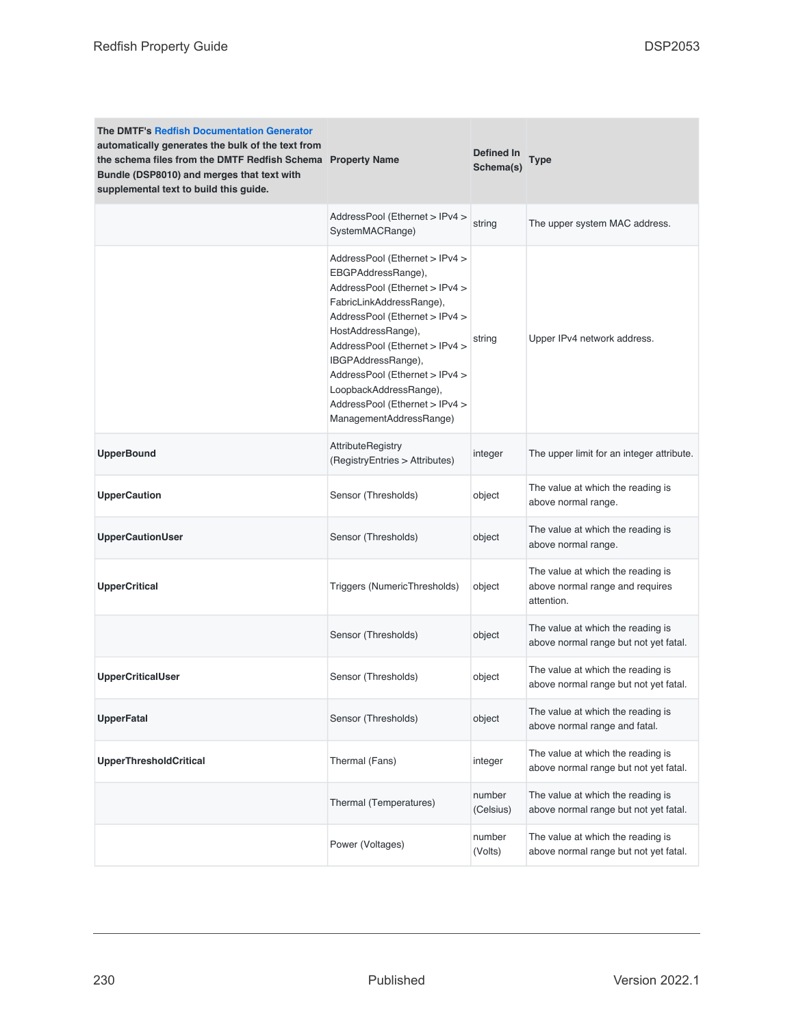| <b>The DMTF's Redfish Documentation Generator</b><br>automatically generates the bulk of the text from<br>the schema files from the DMTF Redfish Schema Property Name<br>Bundle (DSP8010) and merges that text with<br>supplemental text to build this guide. |                                                                                                                                                                                                                                                                                                                                                             | Defined In<br>Schema(s) | Type                                                                               |
|---------------------------------------------------------------------------------------------------------------------------------------------------------------------------------------------------------------------------------------------------------------|-------------------------------------------------------------------------------------------------------------------------------------------------------------------------------------------------------------------------------------------------------------------------------------------------------------------------------------------------------------|-------------------------|------------------------------------------------------------------------------------|
|                                                                                                                                                                                                                                                               | AddressPool (Ethernet > IPv4 ><br>SystemMACRange)                                                                                                                                                                                                                                                                                                           | string                  | The upper system MAC address.                                                      |
|                                                                                                                                                                                                                                                               | AddressPool (Ethernet > IPv4 ><br>EBGPAddressRange),<br>AddressPool (Ethernet > IPv4 ><br>FabricLinkAddressRange),<br>AddressPool (Ethernet > IPv4 ><br>HostAddressRange),<br>AddressPool (Ethernet > IPv4 ><br>IBGPAddressRange),<br>AddressPool (Ethernet > IPv4 ><br>LoopbackAddressRange),<br>AddressPool (Ethernet > IPv4 ><br>ManagementAddressRange) | string                  | Upper IPv4 network address.                                                        |
| <b>UpperBound</b>                                                                                                                                                                                                                                             | <b>AttributeRegistry</b><br>(RegistryEntries > Attributes)                                                                                                                                                                                                                                                                                                  | integer                 | The upper limit for an integer attribute.                                          |
| <b>UpperCaution</b>                                                                                                                                                                                                                                           | Sensor (Thresholds)                                                                                                                                                                                                                                                                                                                                         | object                  | The value at which the reading is<br>above normal range.                           |
| <b>UpperCautionUser</b>                                                                                                                                                                                                                                       | Sensor (Thresholds)                                                                                                                                                                                                                                                                                                                                         | object                  | The value at which the reading is<br>above normal range.                           |
| <b>UpperCritical</b>                                                                                                                                                                                                                                          | Triggers (NumericThresholds)                                                                                                                                                                                                                                                                                                                                | object                  | The value at which the reading is<br>above normal range and requires<br>attention. |
|                                                                                                                                                                                                                                                               | Sensor (Thresholds)                                                                                                                                                                                                                                                                                                                                         | object                  | The value at which the reading is<br>above normal range but not yet fatal.         |
| <b>UpperCriticalUser</b>                                                                                                                                                                                                                                      | Sensor (Thresholds)                                                                                                                                                                                                                                                                                                                                         | object                  | The value at which the reading is<br>above normal range but not yet fatal.         |
| <b>UpperFatal</b>                                                                                                                                                                                                                                             | Sensor (Thresholds)                                                                                                                                                                                                                                                                                                                                         | object                  | The value at which the reading is<br>above normal range and fatal.                 |
| <b>UpperThresholdCritical</b>                                                                                                                                                                                                                                 | Thermal (Fans)                                                                                                                                                                                                                                                                                                                                              | integer                 | The value at which the reading is<br>above normal range but not yet fatal.         |
|                                                                                                                                                                                                                                                               | Thermal (Temperatures)                                                                                                                                                                                                                                                                                                                                      | number<br>(Celsius)     | The value at which the reading is<br>above normal range but not yet fatal.         |
|                                                                                                                                                                                                                                                               | Power (Voltages)                                                                                                                                                                                                                                                                                                                                            | number<br>(Volts)       | The value at which the reading is<br>above normal range but not yet fatal.         |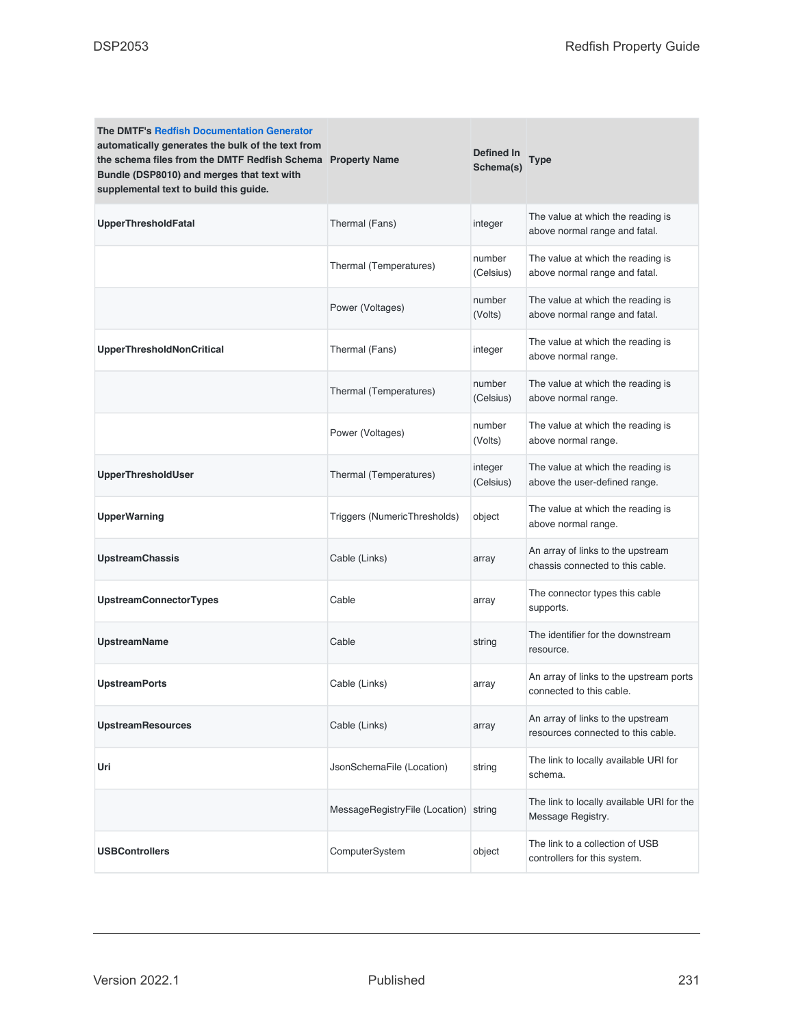| <b>The DMTF's Redfish Documentation Generator</b><br>automatically generates the bulk of the text from<br>the schema files from the DMTF Redfish Schema Property Name<br>Bundle (DSP8010) and merges that text with<br>supplemental text to build this guide. |                                | Defined In<br>Schema(s) | Type                                                                    |
|---------------------------------------------------------------------------------------------------------------------------------------------------------------------------------------------------------------------------------------------------------------|--------------------------------|-------------------------|-------------------------------------------------------------------------|
| UpperThresholdFatal                                                                                                                                                                                                                                           | Thermal (Fans)                 | integer                 | The value at which the reading is<br>above normal range and fatal.      |
|                                                                                                                                                                                                                                                               | Thermal (Temperatures)         | number<br>(Celsius)     | The value at which the reading is<br>above normal range and fatal.      |
|                                                                                                                                                                                                                                                               | Power (Voltages)               | number<br>(Volts)       | The value at which the reading is<br>above normal range and fatal.      |
| <b>UpperThresholdNonCritical</b>                                                                                                                                                                                                                              | Thermal (Fans)                 | integer                 | The value at which the reading is<br>above normal range.                |
|                                                                                                                                                                                                                                                               | Thermal (Temperatures)         | number<br>(Celsius)     | The value at which the reading is<br>above normal range.                |
|                                                                                                                                                                                                                                                               | Power (Voltages)               | number<br>(Volts)       | The value at which the reading is<br>above normal range.                |
| UpperThresholdUser                                                                                                                                                                                                                                            | Thermal (Temperatures)         | integer<br>(Celsius)    | The value at which the reading is<br>above the user-defined range.      |
| <b>UpperWarning</b>                                                                                                                                                                                                                                           | Triggers (NumericThresholds)   | object                  | The value at which the reading is<br>above normal range.                |
| <b>UpstreamChassis</b>                                                                                                                                                                                                                                        | Cable (Links)                  | array                   | An array of links to the upstream<br>chassis connected to this cable.   |
| <b>UpstreamConnectorTypes</b>                                                                                                                                                                                                                                 | Cable                          | array                   | The connector types this cable<br>supports.                             |
| <b>UpstreamName</b>                                                                                                                                                                                                                                           | Cable                          | string                  | The identifier for the downstream<br>resource.                          |
| <b>UpstreamPorts</b>                                                                                                                                                                                                                                          | Cable (Links)                  | array                   | An array of links to the upstream ports<br>connected to this cable.     |
| <b>UpstreamResources</b>                                                                                                                                                                                                                                      | Cable (Links)                  | array                   | An array of links to the upstream<br>resources connected to this cable. |
| Uri                                                                                                                                                                                                                                                           | JsonSchemaFile (Location)      | string                  | The link to locally available URI for<br>schema.                        |
|                                                                                                                                                                                                                                                               | MessageRegistryFile (Location) | string                  | The link to locally available URI for the<br>Message Registry.          |
| <b>USBControllers</b>                                                                                                                                                                                                                                         | ComputerSystem                 | object                  | The link to a collection of USB<br>controllers for this system.         |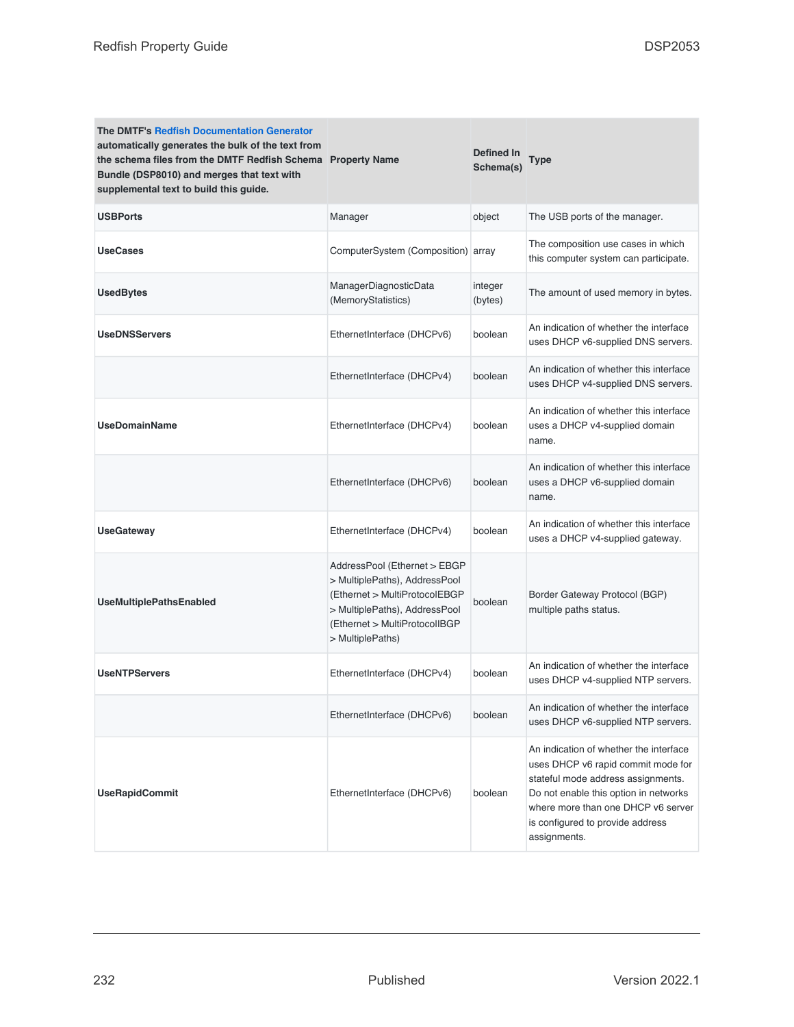| <b>The DMTF's Redfish Documentation Generator</b><br>automatically generates the bulk of the text from<br>the schema files from the DMTF Redfish Schema Property Name<br>Bundle (DSP8010) and merges that text with<br>supplemental text to build this guide. |                                                                                                                                                                                      | Defined In<br>Schema(s) | <b>Type</b>                                                                                                                                                                                                                                           |
|---------------------------------------------------------------------------------------------------------------------------------------------------------------------------------------------------------------------------------------------------------------|--------------------------------------------------------------------------------------------------------------------------------------------------------------------------------------|-------------------------|-------------------------------------------------------------------------------------------------------------------------------------------------------------------------------------------------------------------------------------------------------|
| <b>USBPorts</b>                                                                                                                                                                                                                                               | Manager                                                                                                                                                                              | object                  | The USB ports of the manager.                                                                                                                                                                                                                         |
| <b>UseCases</b>                                                                                                                                                                                                                                               | ComputerSystem (Composition) array                                                                                                                                                   |                         | The composition use cases in which<br>this computer system can participate.                                                                                                                                                                           |
| <b>UsedBytes</b>                                                                                                                                                                                                                                              | ManagerDiagnosticData<br>(MemoryStatistics)                                                                                                                                          | integer<br>(bytes)      | The amount of used memory in bytes.                                                                                                                                                                                                                   |
| <b>UseDNSServers</b>                                                                                                                                                                                                                                          | EthernetInterface (DHCPv6)                                                                                                                                                           | boolean                 | An indication of whether the interface<br>uses DHCP v6-supplied DNS servers.                                                                                                                                                                          |
|                                                                                                                                                                                                                                                               | EthernetInterface (DHCPv4)                                                                                                                                                           | boolean                 | An indication of whether this interface<br>uses DHCP v4-supplied DNS servers.                                                                                                                                                                         |
| <b>UseDomainName</b>                                                                                                                                                                                                                                          | EthernetInterface (DHCPv4)                                                                                                                                                           | boolean                 | An indication of whether this interface<br>uses a DHCP v4-supplied domain<br>name.                                                                                                                                                                    |
|                                                                                                                                                                                                                                                               | EthernetInterface (DHCPv6)                                                                                                                                                           | boolean                 | An indication of whether this interface<br>uses a DHCP v6-supplied domain<br>name.                                                                                                                                                                    |
| <b>UseGateway</b>                                                                                                                                                                                                                                             | EthernetInterface (DHCPv4)                                                                                                                                                           | boolean                 | An indication of whether this interface<br>uses a DHCP v4-supplied gateway.                                                                                                                                                                           |
| <b>UseMultiplePathsEnabled</b>                                                                                                                                                                                                                                | AddressPool (Ethernet > EBGP<br>> MultiplePaths), AddressPool<br>(Ethernet > MultiProtocolEBGP<br>> MultiplePaths), AddressPool<br>(Ethernet > MultiProtocolIBGP<br>> MultiplePaths) | boolean                 | Border Gateway Protocol (BGP)<br>multiple paths status.                                                                                                                                                                                               |
| <b>UseNTPServers</b>                                                                                                                                                                                                                                          | EthernetInterface (DHCPv4)                                                                                                                                                           | boolean                 | An indication of whether the interface<br>uses DHCP v4-supplied NTP servers.                                                                                                                                                                          |
|                                                                                                                                                                                                                                                               | EthernetInterface (DHCPv6)                                                                                                                                                           | boolean                 | An indication of whether the interface<br>uses DHCP v6-supplied NTP servers.                                                                                                                                                                          |
| <b>UseRapidCommit</b>                                                                                                                                                                                                                                         | EthernetInterface (DHCPv6)                                                                                                                                                           | boolean                 | An indication of whether the interface<br>uses DHCP v6 rapid commit mode for<br>stateful mode address assignments.<br>Do not enable this option in networks<br>where more than one DHCP v6 server<br>is configured to provide address<br>assignments. |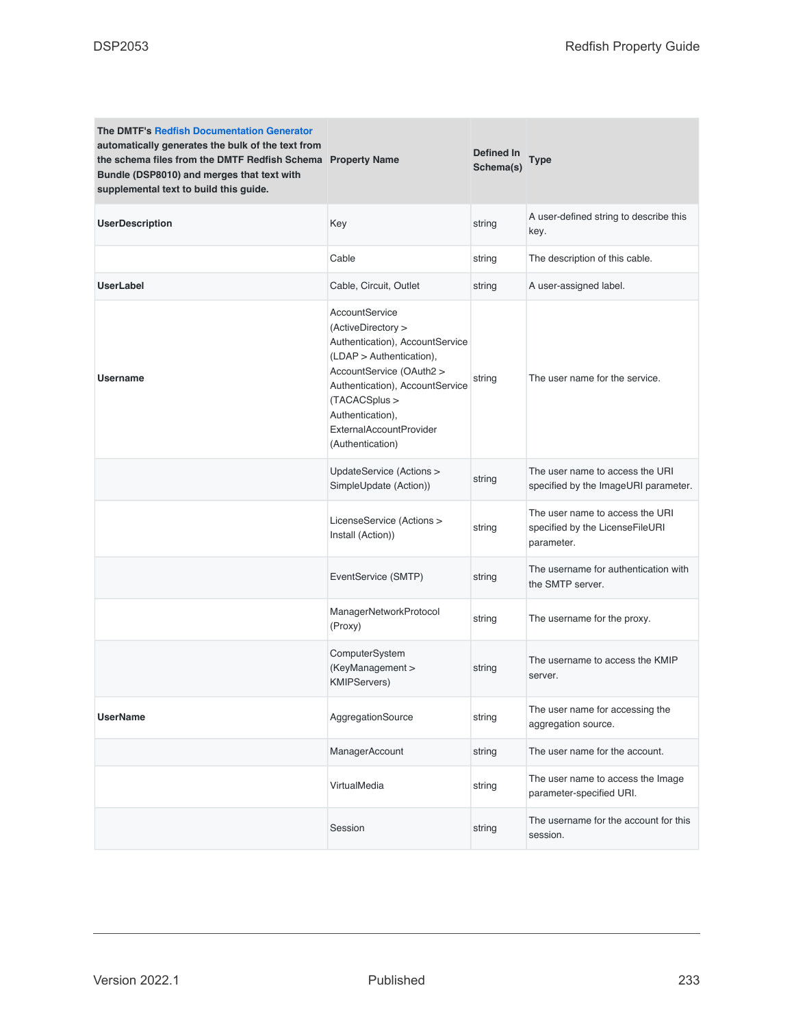| <b>The DMTF's Redfish Documentation Generator</b><br>automatically generates the bulk of the text from<br>the schema files from the DMTF Redfish Schema Property Name<br>Bundle (DSP8010) and merges that text with<br>supplemental text to build this guide. |                                                                                                                                                                                                                                                               | <b>Defined In</b><br>Schema(s) | Type                                                                             |
|---------------------------------------------------------------------------------------------------------------------------------------------------------------------------------------------------------------------------------------------------------------|---------------------------------------------------------------------------------------------------------------------------------------------------------------------------------------------------------------------------------------------------------------|--------------------------------|----------------------------------------------------------------------------------|
| <b>UserDescription</b>                                                                                                                                                                                                                                        | Key                                                                                                                                                                                                                                                           | string                         | A user-defined string to describe this<br>key.                                   |
|                                                                                                                                                                                                                                                               | Cable                                                                                                                                                                                                                                                         | string                         | The description of this cable.                                                   |
| <b>UserLabel</b>                                                                                                                                                                                                                                              | Cable, Circuit, Outlet                                                                                                                                                                                                                                        | string                         | A user-assigned label.                                                           |
| <b>Username</b>                                                                                                                                                                                                                                               | AccountService<br>(ActiveDirectory ><br>Authentication), AccountService<br>(LDAP > Authentication),<br>AccountService (OAuth2 ><br>Authentication), AccountService<br>(TACACSplus ><br>Authentication),<br><b>ExternalAccountProvider</b><br>(Authentication) | string                         | The user name for the service.                                                   |
|                                                                                                                                                                                                                                                               | UpdateService (Actions ><br>SimpleUpdate (Action))                                                                                                                                                                                                            | string                         | The user name to access the URI<br>specified by the ImageURI parameter.          |
|                                                                                                                                                                                                                                                               | LicenseService (Actions ><br>Install (Action))                                                                                                                                                                                                                | string                         | The user name to access the URI<br>specified by the LicenseFileURI<br>parameter. |
|                                                                                                                                                                                                                                                               | EventService (SMTP)                                                                                                                                                                                                                                           | string                         | The username for authentication with<br>the SMTP server.                         |
|                                                                                                                                                                                                                                                               | ManagerNetworkProtocol<br>(Proxy)                                                                                                                                                                                                                             | string                         | The username for the proxy.                                                      |
|                                                                                                                                                                                                                                                               | ComputerSystem<br>(KeyManagement ><br><b>KMIPServers)</b>                                                                                                                                                                                                     | string                         | The username to access the KMIP<br>server.                                       |
| <b>UserName</b>                                                                                                                                                                                                                                               | AggregationSource                                                                                                                                                                                                                                             | string                         | The user name for accessing the<br>aggregation source.                           |
|                                                                                                                                                                                                                                                               | ManagerAccount                                                                                                                                                                                                                                                | string                         | The user name for the account.                                                   |
|                                                                                                                                                                                                                                                               | VirtualMedia                                                                                                                                                                                                                                                  | string                         | The user name to access the Image<br>parameter-specified URI.                    |
|                                                                                                                                                                                                                                                               | Session                                                                                                                                                                                                                                                       | string                         | The username for the account for this<br>session.                                |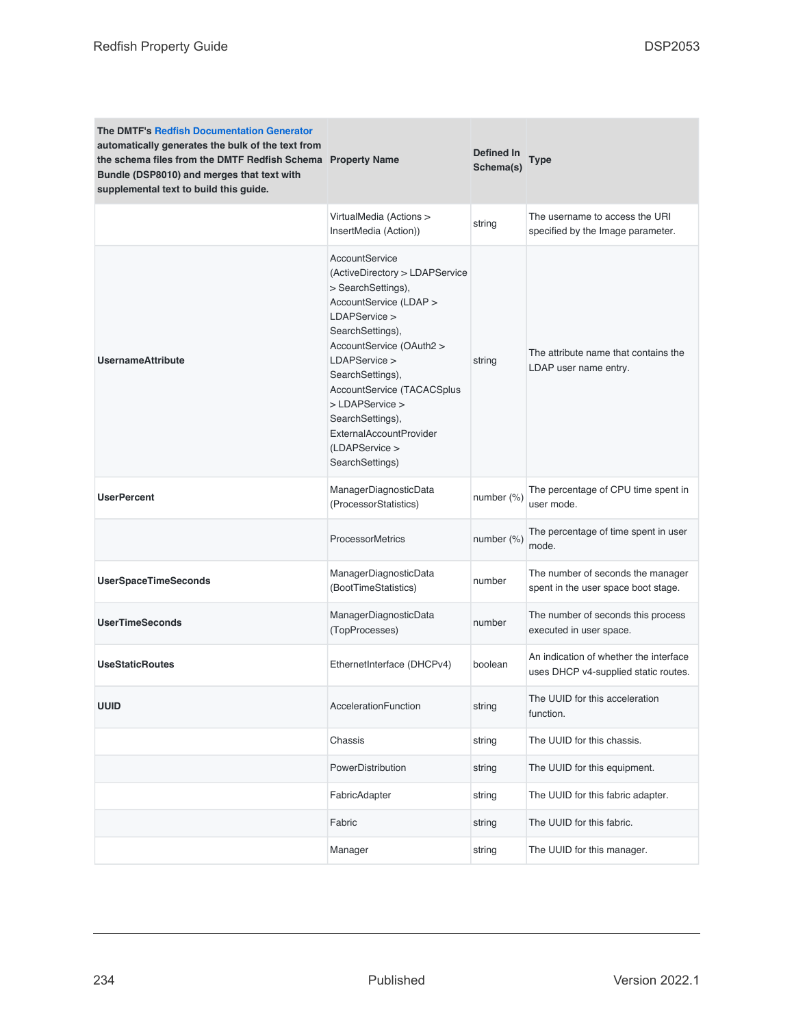| <b>The DMTF's Redfish Documentation Generator</b><br>automatically generates the bulk of the text from<br>the schema files from the DMTF Redfish Schema Property Name<br>Bundle (DSP8010) and merges that text with<br>supplemental text to build this guide. |                                                                                                                                                                                                                                                                                                                                                           | Defined In<br>Schema(s) | Type                                                                           |
|---------------------------------------------------------------------------------------------------------------------------------------------------------------------------------------------------------------------------------------------------------------|-----------------------------------------------------------------------------------------------------------------------------------------------------------------------------------------------------------------------------------------------------------------------------------------------------------------------------------------------------------|-------------------------|--------------------------------------------------------------------------------|
|                                                                                                                                                                                                                                                               | VirtualMedia (Actions ><br>InsertMedia (Action))                                                                                                                                                                                                                                                                                                          | string                  | The username to access the URI<br>specified by the Image parameter.            |
| <b>UsernameAttribute</b>                                                                                                                                                                                                                                      | <b>AccountService</b><br>(ActiveDirectory > LDAPService<br>> SearchSettings),<br>AccountService (LDAP ><br>LDAPService ><br>SearchSettings),<br>AccountService (OAuth2 ><br>LDAPService ><br>SearchSettings),<br>AccountService (TACACSplus<br>> LDAPService ><br>SearchSettings),<br><b>ExternalAccountProvider</b><br>(LDAPService ><br>SearchSettings) | string                  | The attribute name that contains the<br>LDAP user name entry.                  |
| <b>UserPercent</b>                                                                                                                                                                                                                                            | ManagerDiagnosticData<br>(ProcessorStatistics)                                                                                                                                                                                                                                                                                                            | number (%)              | The percentage of CPU time spent in<br>user mode.                              |
|                                                                                                                                                                                                                                                               | <b>ProcessorMetrics</b>                                                                                                                                                                                                                                                                                                                                   | number (%)              | The percentage of time spent in user<br>mode.                                  |
| <b>UserSpaceTimeSeconds</b>                                                                                                                                                                                                                                   | ManagerDiagnosticData<br>(BootTimeStatistics)                                                                                                                                                                                                                                                                                                             | number                  | The number of seconds the manager<br>spent in the user space boot stage.       |
| <b>UserTimeSeconds</b>                                                                                                                                                                                                                                        | ManagerDiagnosticData<br>(TopProcesses)                                                                                                                                                                                                                                                                                                                   | number                  | The number of seconds this process<br>executed in user space.                  |
| <b>UseStaticRoutes</b>                                                                                                                                                                                                                                        | EthernetInterface (DHCPv4)                                                                                                                                                                                                                                                                                                                                | boolean                 | An indication of whether the interface<br>uses DHCP v4-supplied static routes. |
| UUID                                                                                                                                                                                                                                                          | AccelerationFunction                                                                                                                                                                                                                                                                                                                                      | string                  | The UUID for this acceleration<br>function.                                    |
|                                                                                                                                                                                                                                                               | Chassis                                                                                                                                                                                                                                                                                                                                                   | string                  | The UUID for this chassis.                                                     |
|                                                                                                                                                                                                                                                               | PowerDistribution                                                                                                                                                                                                                                                                                                                                         | string                  | The UUID for this equipment.                                                   |
|                                                                                                                                                                                                                                                               | FabricAdapter                                                                                                                                                                                                                                                                                                                                             | string                  | The UUID for this fabric adapter.                                              |
|                                                                                                                                                                                                                                                               | Fabric                                                                                                                                                                                                                                                                                                                                                    | string                  | The UUID for this fabric.                                                      |
|                                                                                                                                                                                                                                                               | Manager                                                                                                                                                                                                                                                                                                                                                   | string                  | The UUID for this manager.                                                     |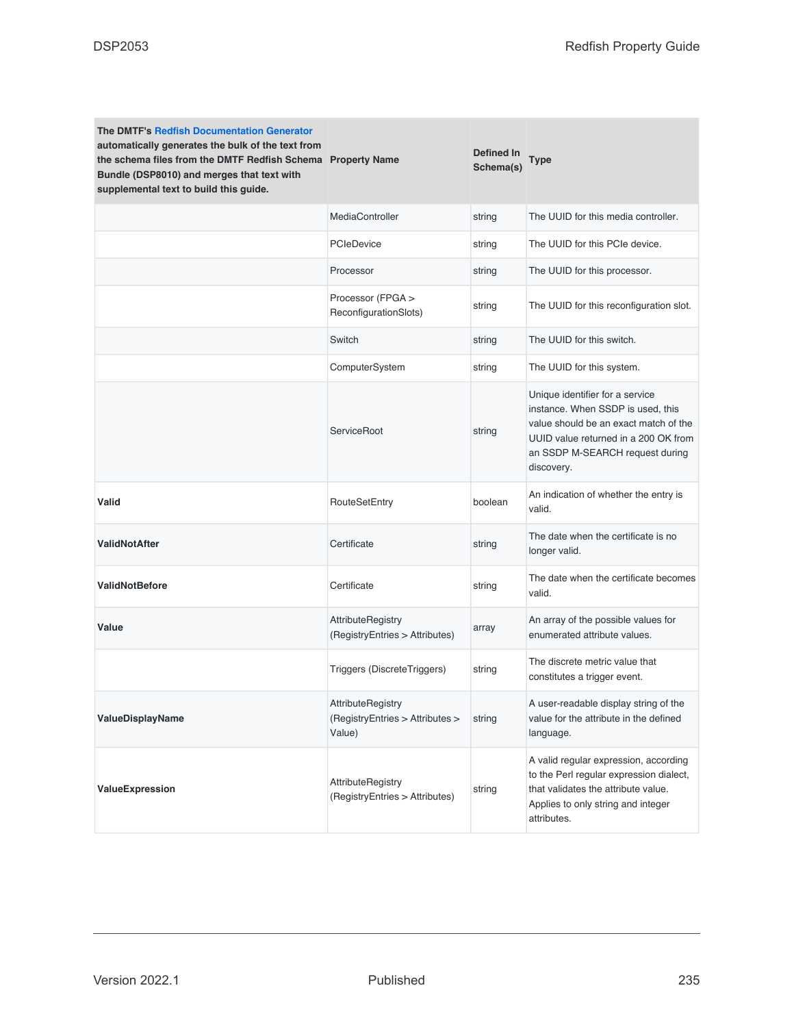| <b>The DMTF's Redfish Documentation Generator</b><br>automatically generates the bulk of the text from<br>the schema files from the DMTF Redfish Schema Property Name<br>Bundle (DSP8010) and merges that text with<br>supplemental text to build this guide. |                                                                       | Defined In<br>Schema(s) | <b>Type</b>                                                                                                                                                                                            |
|---------------------------------------------------------------------------------------------------------------------------------------------------------------------------------------------------------------------------------------------------------------|-----------------------------------------------------------------------|-------------------------|--------------------------------------------------------------------------------------------------------------------------------------------------------------------------------------------------------|
|                                                                                                                                                                                                                                                               | MediaController                                                       | string                  | The UUID for this media controller.                                                                                                                                                                    |
|                                                                                                                                                                                                                                                               | PCleDevice                                                            | string                  | The UUID for this PCIe device.                                                                                                                                                                         |
|                                                                                                                                                                                                                                                               | Processor                                                             | string                  | The UUID for this processor.                                                                                                                                                                           |
|                                                                                                                                                                                                                                                               | Processor (FPGA ><br>ReconfigurationSlots)                            | string                  | The UUID for this reconfiguration slot.                                                                                                                                                                |
|                                                                                                                                                                                                                                                               | Switch                                                                | string                  | The UUID for this switch.                                                                                                                                                                              |
|                                                                                                                                                                                                                                                               | ComputerSystem                                                        | string                  | The UUID for this system.                                                                                                                                                                              |
|                                                                                                                                                                                                                                                               | ServiceRoot                                                           | string                  | Unique identifier for a service<br>instance. When SSDP is used, this<br>value should be an exact match of the<br>UUID value returned in a 200 OK from<br>an SSDP M-SEARCH request during<br>discovery. |
| Valid                                                                                                                                                                                                                                                         | RouteSetEntry                                                         | boolean                 | An indication of whether the entry is<br>valid.                                                                                                                                                        |
| <b>ValidNotAfter</b>                                                                                                                                                                                                                                          | Certificate                                                           | string                  | The date when the certificate is no<br>longer valid.                                                                                                                                                   |
| <b>ValidNotBefore</b>                                                                                                                                                                                                                                         | Certificate                                                           | string                  | The date when the certificate becomes<br>valid.                                                                                                                                                        |
| Value                                                                                                                                                                                                                                                         | <b>AttributeRegistry</b><br>(RegistryEntries > Attributes)            | array                   | An array of the possible values for<br>enumerated attribute values.                                                                                                                                    |
|                                                                                                                                                                                                                                                               | Triggers (DiscreteTriggers)                                           | string                  | The discrete metric value that<br>constitutes a trigger event.                                                                                                                                         |
| ValueDisplayName                                                                                                                                                                                                                                              | <b>AttributeRegistry</b><br>(RegistryEntries > Attributes ><br>Value) | string                  | A user-readable display string of the<br>value for the attribute in the defined<br>language.                                                                                                           |
| ValueExpression                                                                                                                                                                                                                                               | AttributeRegistry<br>(RegistryEntries > Attributes)                   | string                  | A valid regular expression, according<br>to the Perl regular expression dialect,<br>that validates the attribute value.<br>Applies to only string and integer<br>attributes.                           |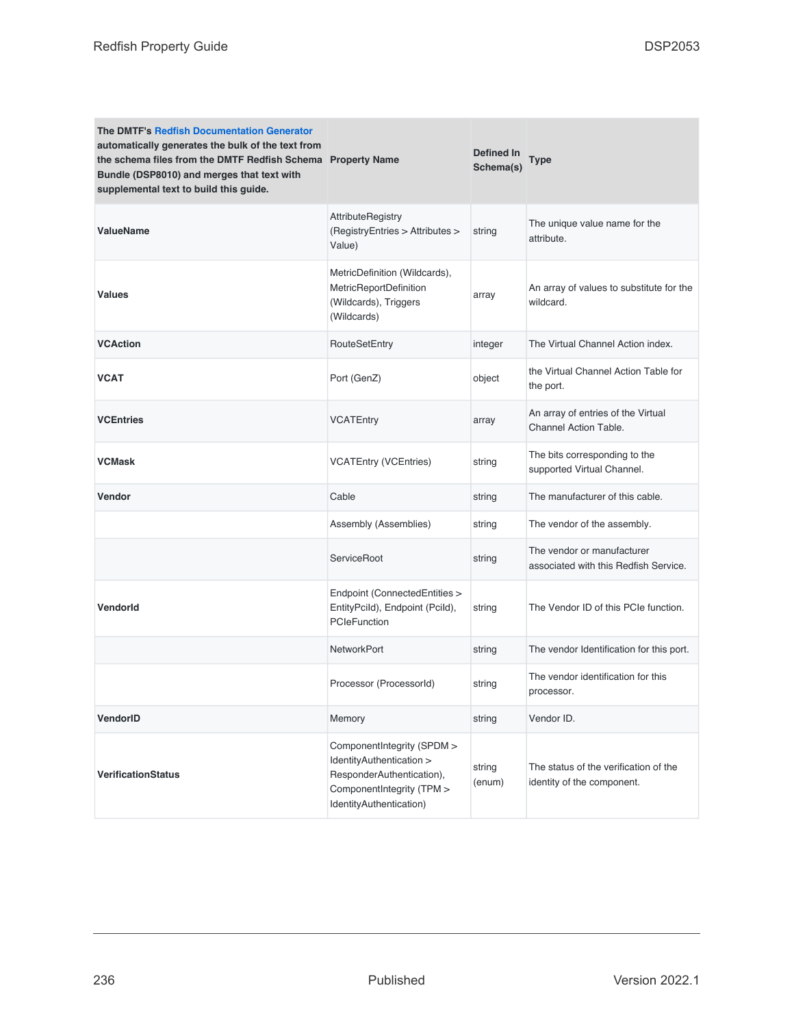| <b>The DMTF's Redfish Documentation Generator</b><br>automatically generates the bulk of the text from<br>the schema files from the DMTF Redfish Schema Property Name<br>Bundle (DSP8010) and merges that text with<br>supplemental text to build this guide. |                                                                                                                                             | Defined In<br>Schema(s) | Type                                                                |
|---------------------------------------------------------------------------------------------------------------------------------------------------------------------------------------------------------------------------------------------------------------|---------------------------------------------------------------------------------------------------------------------------------------------|-------------------------|---------------------------------------------------------------------|
| <b>ValueName</b>                                                                                                                                                                                                                                              | <b>AttributeRegistry</b><br>(RegistryEntries > Attributes ><br>Value)                                                                       | string                  | The unique value name for the<br>attribute.                         |
| <b>Values</b>                                                                                                                                                                                                                                                 | MetricDefinition (Wildcards),<br>MetricReportDefinition<br>(Wildcards), Triggers<br>(Wildcards)                                             | array                   | An array of values to substitute for the<br>wildcard.               |
| <b>VCAction</b>                                                                                                                                                                                                                                               | RouteSetEntry                                                                                                                               | integer                 | The Virtual Channel Action index.                                   |
| <b>VCAT</b>                                                                                                                                                                                                                                                   | Port (GenZ)                                                                                                                                 | object                  | the Virtual Channel Action Table for<br>the port.                   |
| <b>VCEntries</b>                                                                                                                                                                                                                                              | <b>VCATEntry</b>                                                                                                                            | array                   | An array of entries of the Virtual<br>Channel Action Table.         |
| <b>VCMask</b>                                                                                                                                                                                                                                                 | <b>VCATEntry (VCEntries)</b>                                                                                                                | string                  | The bits corresponding to the<br>supported Virtual Channel.         |
| <b>Vendor</b>                                                                                                                                                                                                                                                 | Cable                                                                                                                                       | string                  | The manufacturer of this cable.                                     |
|                                                                                                                                                                                                                                                               | Assembly (Assemblies)                                                                                                                       | string                  | The vendor of the assembly.                                         |
|                                                                                                                                                                                                                                                               | ServiceRoot                                                                                                                                 | string                  | The vendor or manufacturer<br>associated with this Redfish Service. |
| <b>Vendorld</b>                                                                                                                                                                                                                                               | Endpoint (ConnectedEntities ><br>EntityPcild), Endpoint (Pcild),<br>PCIeFunction                                                            | string                  | The Vendor ID of this PCIe function.                                |
|                                                                                                                                                                                                                                                               | <b>NetworkPort</b>                                                                                                                          | string                  | The vendor Identification for this port.                            |
|                                                                                                                                                                                                                                                               | Processor (ProcessorId)                                                                                                                     | string                  | The vendor identification for this<br>processor.                    |
| VendorID                                                                                                                                                                                                                                                      | Memory                                                                                                                                      | string                  | Vendor ID.                                                          |
| <b>VerificationStatus</b>                                                                                                                                                                                                                                     | ComponentIntegrity (SPDM ><br>IdentityAuthentication ><br>ResponderAuthentication),<br>ComponentIntegrity (TPM ><br>IdentityAuthentication) | string<br>(enum)        | The status of the verification of the<br>identity of the component. |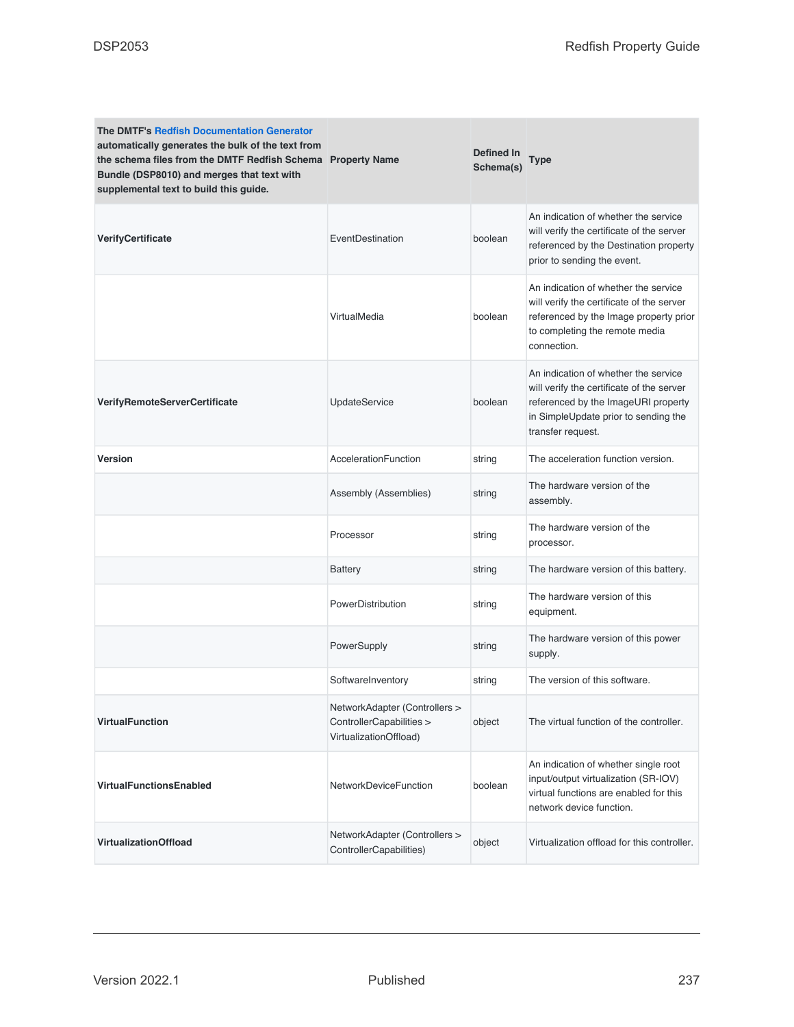| <b>The DMTF's Redfish Documentation Generator</b><br>automatically generates the bulk of the text from<br>the schema files from the DMTF Redfish Schema Property Name<br>Bundle (DSP8010) and merges that text with<br>supplemental text to build this guide. |                                                                                     | Defined In<br>Schema(s) | <b>Type</b>                                                                                                                                                                           |
|---------------------------------------------------------------------------------------------------------------------------------------------------------------------------------------------------------------------------------------------------------------|-------------------------------------------------------------------------------------|-------------------------|---------------------------------------------------------------------------------------------------------------------------------------------------------------------------------------|
| VerifyCertificate                                                                                                                                                                                                                                             | EventDestination                                                                    | boolean                 | An indication of whether the service<br>will verify the certificate of the server<br>referenced by the Destination property<br>prior to sending the event.                            |
|                                                                                                                                                                                                                                                               | VirtualMedia                                                                        | boolean                 | An indication of whether the service<br>will verify the certificate of the server<br>referenced by the Image property prior<br>to completing the remote media<br>connection.          |
| <b>VerifyRemoteServerCertificate</b>                                                                                                                                                                                                                          | <b>UpdateService</b>                                                                | boolean                 | An indication of whether the service<br>will verify the certificate of the server<br>referenced by the ImageURI property<br>in SimpleUpdate prior to sending the<br>transfer request. |
| <b>Version</b>                                                                                                                                                                                                                                                | AccelerationFunction                                                                | string                  | The acceleration function version.                                                                                                                                                    |
|                                                                                                                                                                                                                                                               | Assembly (Assemblies)                                                               | string                  | The hardware version of the<br>assembly.                                                                                                                                              |
|                                                                                                                                                                                                                                                               | Processor                                                                           | string                  | The hardware version of the<br>processor.                                                                                                                                             |
|                                                                                                                                                                                                                                                               | <b>Battery</b>                                                                      | string                  | The hardware version of this battery.                                                                                                                                                 |
|                                                                                                                                                                                                                                                               | PowerDistribution                                                                   | string                  | The hardware version of this<br>equipment.                                                                                                                                            |
|                                                                                                                                                                                                                                                               | PowerSupply                                                                         | string                  | The hardware version of this power<br>supply.                                                                                                                                         |
|                                                                                                                                                                                                                                                               | SoftwareInventory                                                                   | string                  | The version of this software.                                                                                                                                                         |
| <b>VirtualFunction</b>                                                                                                                                                                                                                                        | NetworkAdapter (Controllers ><br>ControllerCapabilities ><br>VirtualizationOffload) | object                  | The virtual function of the controller.                                                                                                                                               |
| <b>VirtualFunctionsEnabled</b>                                                                                                                                                                                                                                | NetworkDeviceFunction                                                               | boolean                 | An indication of whether single root<br>input/output virtualization (SR-IOV)<br>virtual functions are enabled for this<br>network device function.                                    |
| <b>VirtualizationOffload</b>                                                                                                                                                                                                                                  | NetworkAdapter (Controllers ><br>ControllerCapabilities)                            | object                  | Virtualization offload for this controller.                                                                                                                                           |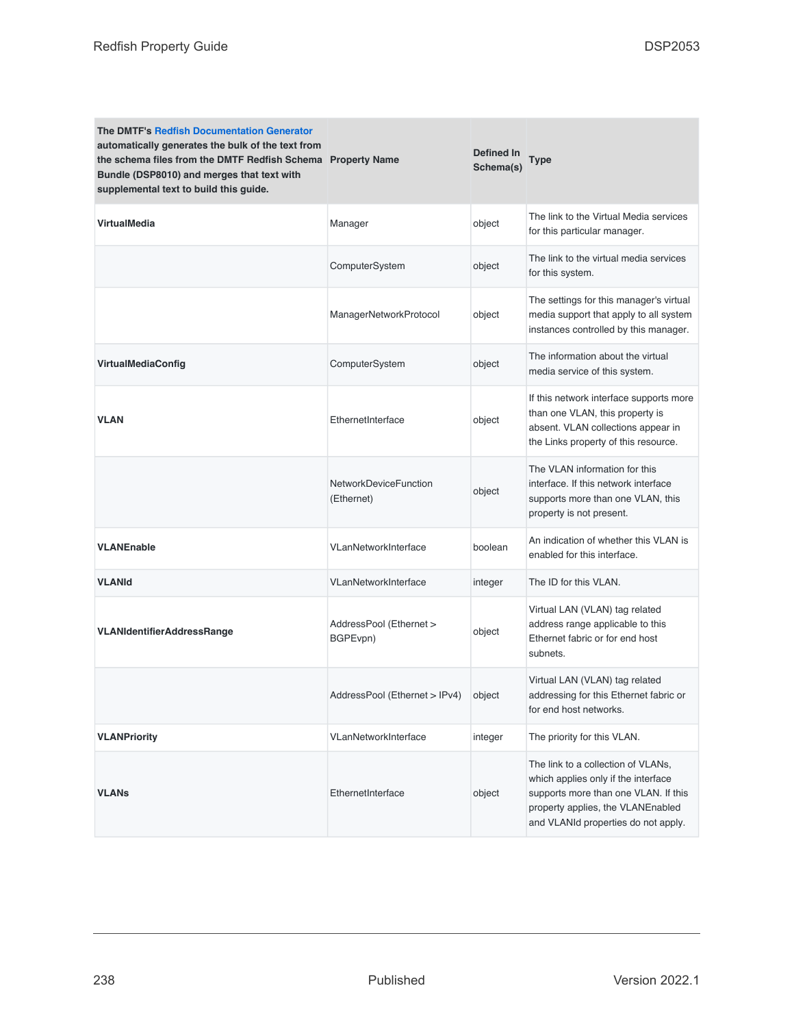| <b>The DMTF's Redfish Documentation Generator</b><br>automatically generates the bulk of the text from<br>the schema files from the DMTF Redfish Schema Property Name<br>Bundle (DSP8010) and merges that text with<br>supplemental text to build this guide. |                                            | Defined In<br>Schema(s) | Type                                                                                                                                                                                          |
|---------------------------------------------------------------------------------------------------------------------------------------------------------------------------------------------------------------------------------------------------------------|--------------------------------------------|-------------------------|-----------------------------------------------------------------------------------------------------------------------------------------------------------------------------------------------|
| <b>VirtualMedia</b>                                                                                                                                                                                                                                           | Manager                                    | object                  | The link to the Virtual Media services<br>for this particular manager.                                                                                                                        |
|                                                                                                                                                                                                                                                               | ComputerSystem                             | object                  | The link to the virtual media services<br>for this system.                                                                                                                                    |
|                                                                                                                                                                                                                                                               | ManagerNetworkProtocol                     | object                  | The settings for this manager's virtual<br>media support that apply to all system<br>instances controlled by this manager.                                                                    |
| <b>VirtualMediaConfig</b>                                                                                                                                                                                                                                     | ComputerSystem                             | object                  | The information about the virtual<br>media service of this system.                                                                                                                            |
| <b>VLAN</b>                                                                                                                                                                                                                                                   | EthernetInterface                          | object                  | If this network interface supports more<br>than one VLAN, this property is<br>absent. VLAN collections appear in<br>the Links property of this resource.                                      |
|                                                                                                                                                                                                                                                               | <b>NetworkDeviceFunction</b><br>(Ethernet) | object                  | The VLAN information for this<br>interface. If this network interface<br>supports more than one VLAN, this<br>property is not present.                                                        |
| <b>VLANEnable</b>                                                                                                                                                                                                                                             | VLanNetworkInterface                       | boolean                 | An indication of whether this VLAN is<br>enabled for this interface.                                                                                                                          |
| <b>VLANId</b>                                                                                                                                                                                                                                                 | VLanNetworkInterface                       | integer                 | The ID for this VLAN.                                                                                                                                                                         |
| <b>VLANIdentifierAddressRange</b>                                                                                                                                                                                                                             | AddressPool (Ethernet ><br>BGPEvpn)        | object                  | Virtual LAN (VLAN) tag related<br>address range applicable to this<br>Ethernet fabric or for end host<br>subnets.                                                                             |
|                                                                                                                                                                                                                                                               | AddressPool (Ethernet > IPv4)              | object                  | Virtual LAN (VLAN) tag related<br>addressing for this Ethernet fabric or<br>for end host networks.                                                                                            |
| <b>VLANPriority</b>                                                                                                                                                                                                                                           | VLanNetworkInterface                       | integer                 | The priority for this VLAN.                                                                                                                                                                   |
| <b>VLANs</b>                                                                                                                                                                                                                                                  | EthernetInterface                          | object                  | The link to a collection of VLANs,<br>which applies only if the interface<br>supports more than one VLAN. If this<br>property applies, the VLANEnabled<br>and VLANId properties do not apply. |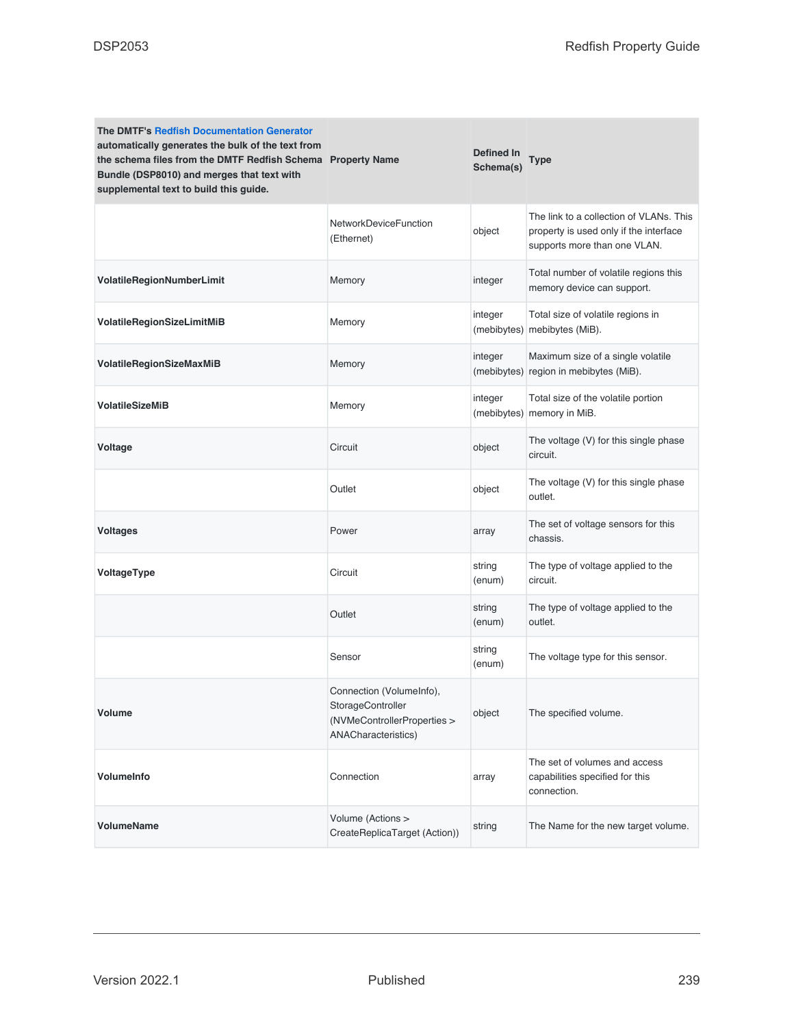| <b>The DMTF's Redfish Documentation Generator</b><br>automatically generates the bulk of the text from<br>the schema files from the DMTF Redfish Schema Property Name<br>Bundle (DSP8010) and merges that text with<br>supplemental text to build this guide. |                                                                                                     | <b>Defined In</b><br>Schema(s) | Type                                                                                                              |
|---------------------------------------------------------------------------------------------------------------------------------------------------------------------------------------------------------------------------------------------------------------|-----------------------------------------------------------------------------------------------------|--------------------------------|-------------------------------------------------------------------------------------------------------------------|
|                                                                                                                                                                                                                                                               | NetworkDeviceFunction<br>(Ethernet)                                                                 | object                         | The link to a collection of VLANs. This<br>property is used only if the interface<br>supports more than one VLAN. |
| VolatileRegionNumberLimit                                                                                                                                                                                                                                     | Memory                                                                                              | integer                        | Total number of volatile regions this<br>memory device can support.                                               |
| VolatileRegionSizeLimitMiB                                                                                                                                                                                                                                    | Memory                                                                                              | integer                        | Total size of volatile regions in<br>(mebibytes) mebibytes (MiB).                                                 |
| VolatileRegionSizeMaxMiB                                                                                                                                                                                                                                      | Memory                                                                                              | integer<br>(mebibytes)         | Maximum size of a single volatile<br>region in mebibytes (MiB).                                                   |
| <b>VolatileSizeMiB</b>                                                                                                                                                                                                                                        | Memory                                                                                              | integer                        | Total size of the volatile portion<br>(mebibytes) memory in MiB.                                                  |
| Voltage                                                                                                                                                                                                                                                       | Circuit                                                                                             | object                         | The voltage (V) for this single phase<br>circuit.                                                                 |
|                                                                                                                                                                                                                                                               | Outlet                                                                                              | object                         | The voltage (V) for this single phase<br>outlet.                                                                  |
| <b>Voltages</b>                                                                                                                                                                                                                                               | Power                                                                                               | array                          | The set of voltage sensors for this<br>chassis.                                                                   |
| VoltageType                                                                                                                                                                                                                                                   | Circuit                                                                                             | string<br>(enum)               | The type of voltage applied to the<br>circuit.                                                                    |
|                                                                                                                                                                                                                                                               | Outlet                                                                                              | string<br>(enum)               | The type of voltage applied to the<br>outlet.                                                                     |
|                                                                                                                                                                                                                                                               | Sensor                                                                                              | string<br>(enum)               | The voltage type for this sensor.                                                                                 |
| Volume                                                                                                                                                                                                                                                        | Connection (VolumeInfo),<br>StorageController<br>(NVMeControllerProperties ><br>ANACharacteristics) | object                         | The specified volume.                                                                                             |
| VolumeInfo                                                                                                                                                                                                                                                    | Connection                                                                                          | array                          | The set of volumes and access<br>capabilities specified for this<br>connection.                                   |
| <b>VolumeName</b>                                                                                                                                                                                                                                             | Volume (Actions ><br>CreateReplicaTarget (Action))                                                  | string                         | The Name for the new target volume.                                                                               |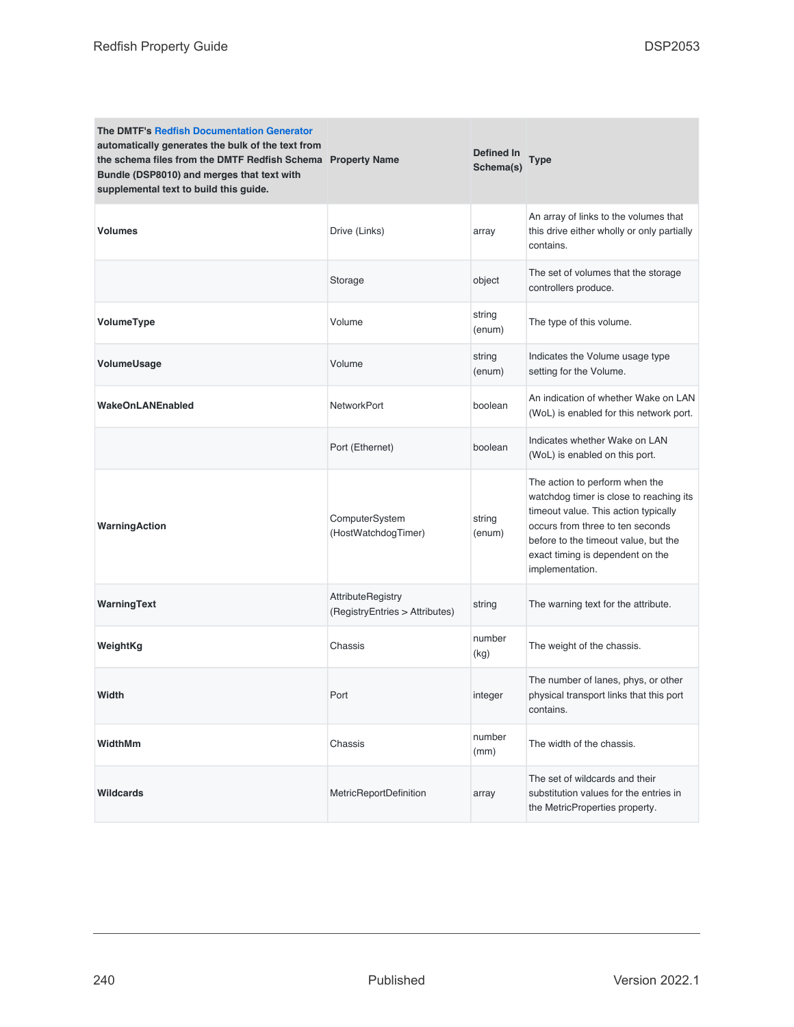| <b>The DMTF's Redfish Documentation Generator</b><br>automatically generates the bulk of the text from<br>the schema files from the DMTF Redfish Schema Property Name<br>Bundle (DSP8010) and merges that text with<br>supplemental text to build this guide. |                                                            | Defined In<br>Schema(s) | Type                                                                                                                                                                                                                                                 |
|---------------------------------------------------------------------------------------------------------------------------------------------------------------------------------------------------------------------------------------------------------------|------------------------------------------------------------|-------------------------|------------------------------------------------------------------------------------------------------------------------------------------------------------------------------------------------------------------------------------------------------|
| <b>Volumes</b>                                                                                                                                                                                                                                                | Drive (Links)                                              | array                   | An array of links to the volumes that<br>this drive either wholly or only partially<br>contains.                                                                                                                                                     |
|                                                                                                                                                                                                                                                               | Storage                                                    | object                  | The set of volumes that the storage<br>controllers produce.                                                                                                                                                                                          |
| VolumeType                                                                                                                                                                                                                                                    | Volume                                                     | string<br>(enum)        | The type of this volume.                                                                                                                                                                                                                             |
| VolumeUsage                                                                                                                                                                                                                                                   | Volume                                                     | string<br>(enum)        | Indicates the Volume usage type<br>setting for the Volume.                                                                                                                                                                                           |
| <b>WakeOnLANEnabled</b>                                                                                                                                                                                                                                       | <b>NetworkPort</b>                                         | boolean                 | An indication of whether Wake on LAN<br>(WoL) is enabled for this network port.                                                                                                                                                                      |
|                                                                                                                                                                                                                                                               | Port (Ethernet)                                            | boolean                 | Indicates whether Wake on LAN<br>(WoL) is enabled on this port.                                                                                                                                                                                      |
| WarningAction                                                                                                                                                                                                                                                 | ComputerSystem<br>(HostWatchdogTimer)                      | string<br>(enum)        | The action to perform when the<br>watchdog timer is close to reaching its<br>timeout value. This action typically<br>occurs from three to ten seconds<br>before to the timeout value, but the<br>exact timing is dependent on the<br>implementation. |
| WarningText                                                                                                                                                                                                                                                   | <b>AttributeRegistry</b><br>(RegistryEntries > Attributes) | string                  | The warning text for the attribute.                                                                                                                                                                                                                  |
| WeightKg                                                                                                                                                                                                                                                      | Chassis                                                    | number<br>(kg)          | The weight of the chassis.                                                                                                                                                                                                                           |
| Width                                                                                                                                                                                                                                                         | Port                                                       | integer                 | The number of lanes, phys, or other<br>physical transport links that this port<br>contains.                                                                                                                                                          |
| WidthMm                                                                                                                                                                                                                                                       | Chassis                                                    | number<br>(mm)          | The width of the chassis.                                                                                                                                                                                                                            |
| Wildcards                                                                                                                                                                                                                                                     | MetricReportDefinition                                     | array                   | The set of wildcards and their<br>substitution values for the entries in<br>the MetricProperties property.                                                                                                                                           |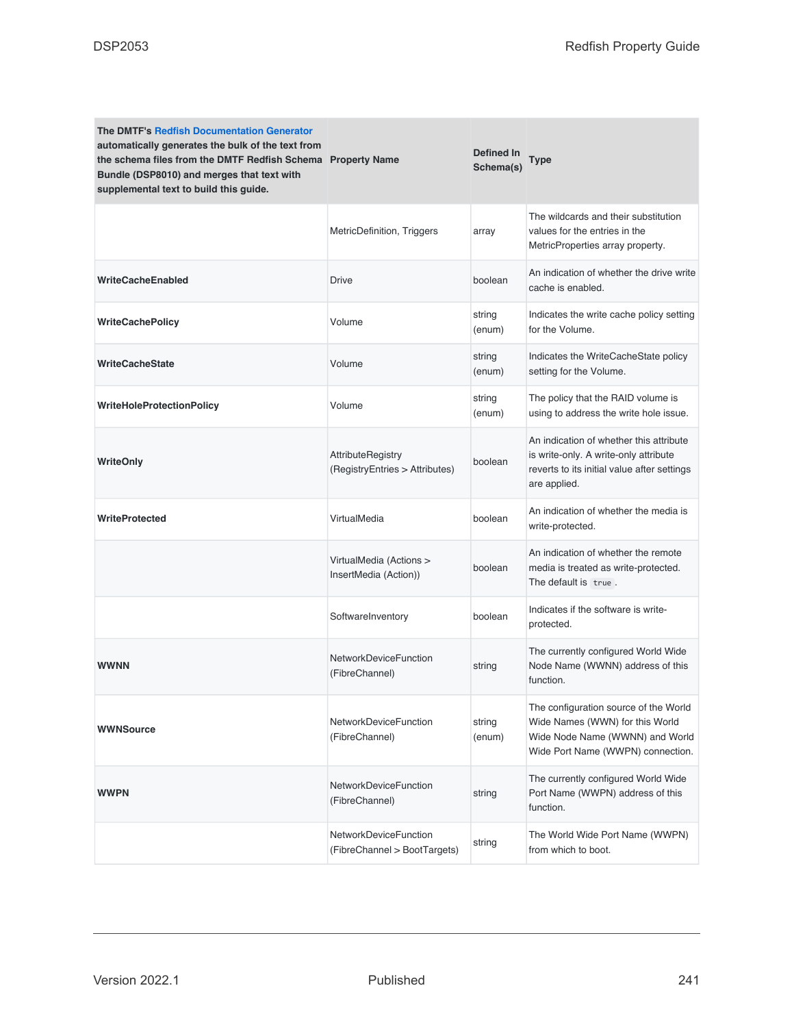| <b>The DMTF's Redfish Documentation Generator</b><br>automatically generates the bulk of the text from<br>the schema files from the DMTF Redfish Schema Property Name<br>Bundle (DSP8010) and merges that text with<br>supplemental text to build this guide. |                                                              | <b>Defined In</b><br>Schema(s) | <b>Type</b>                                                                                                                                      |  |
|---------------------------------------------------------------------------------------------------------------------------------------------------------------------------------------------------------------------------------------------------------------|--------------------------------------------------------------|--------------------------------|--------------------------------------------------------------------------------------------------------------------------------------------------|--|
|                                                                                                                                                                                                                                                               | MetricDefinition, Triggers                                   | array                          | The wildcards and their substitution<br>values for the entries in the<br>MetricProperties array property.                                        |  |
| <b>WriteCacheEnabled</b>                                                                                                                                                                                                                                      | <b>Drive</b>                                                 | boolean                        | An indication of whether the drive write<br>cache is enabled.                                                                                    |  |
| <b>WriteCachePolicy</b>                                                                                                                                                                                                                                       | Volume                                                       | string<br>(enum)               | Indicates the write cache policy setting<br>for the Volume.                                                                                      |  |
| <b>WriteCacheState</b>                                                                                                                                                                                                                                        | Volume                                                       | string<br>(enum)               | Indicates the WriteCacheState policy<br>setting for the Volume.                                                                                  |  |
| <b>WriteHoleProtectionPolicy</b>                                                                                                                                                                                                                              | Volume                                                       | string<br>(enum)               | The policy that the RAID volume is<br>using to address the write hole issue.                                                                     |  |
| WriteOnly                                                                                                                                                                                                                                                     | <b>AttributeRegistry</b><br>(RegistryEntries > Attributes)   | boolean                        | An indication of whether this attribute<br>is write-only. A write-only attribute<br>reverts to its initial value after settings<br>are applied.  |  |
| <b>WriteProtected</b>                                                                                                                                                                                                                                         | VirtualMedia                                                 | boolean                        | An indication of whether the media is<br>write-protected.                                                                                        |  |
|                                                                                                                                                                                                                                                               | VirtualMedia (Actions ><br>InsertMedia (Action))             | boolean                        | An indication of whether the remote<br>media is treated as write-protected.<br>The default is true.                                              |  |
|                                                                                                                                                                                                                                                               | SoftwareInventory                                            | boolean                        | Indicates if the software is write-<br>protected.                                                                                                |  |
| <b>WWNN</b>                                                                                                                                                                                                                                                   | NetworkDeviceFunction<br>(FibreChannel)                      | string                         | The currently configured World Wide<br>Node Name (WWNN) address of this<br>function.                                                             |  |
| <b>WWNSource</b>                                                                                                                                                                                                                                              | NetworkDeviceFunction<br>(FibreChannel)                      | string<br>(enum)               | The configuration source of the World<br>Wide Names (WWN) for this World<br>Wide Node Name (WWNN) and World<br>Wide Port Name (WWPN) connection. |  |
| <b>WWPN</b>                                                                                                                                                                                                                                                   | NetworkDeviceFunction<br>(FibreChannel)                      | string                         | The currently configured World Wide<br>Port Name (WWPN) address of this<br>function.                                                             |  |
|                                                                                                                                                                                                                                                               | <b>NetworkDeviceFunction</b><br>(FibreChannel > BootTargets) | string                         | The World Wide Port Name (WWPN)<br>from which to boot.                                                                                           |  |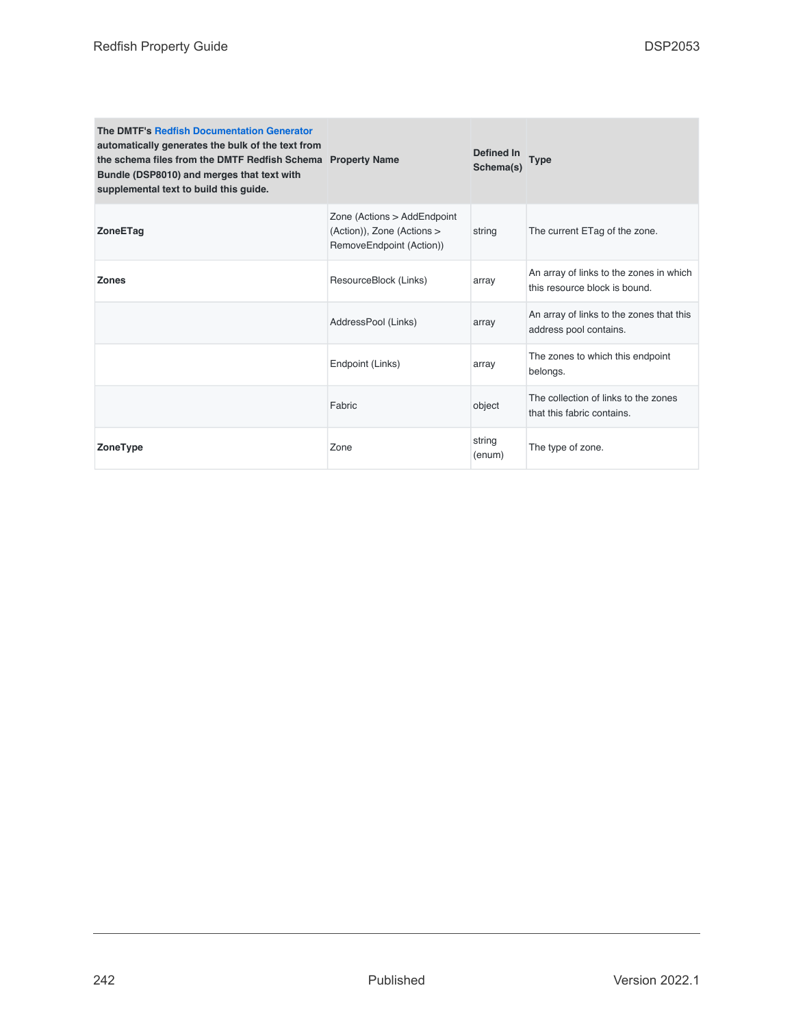| The DMTF's Redfish Documentation Generator<br>automatically generates the bulk of the text from<br>the schema files from the DMTF Redfish Schema Property Name<br>Bundle (DSP8010) and merges that text with<br>supplemental text to build this guide. |                                                                                       | Defined In<br>Schema(s) | Type                                                                     |
|--------------------------------------------------------------------------------------------------------------------------------------------------------------------------------------------------------------------------------------------------------|---------------------------------------------------------------------------------------|-------------------------|--------------------------------------------------------------------------|
| <b>ZoneETag</b>                                                                                                                                                                                                                                        | Zone (Actions > AddEndpoint<br>(Action)), Zone (Actions ><br>RemoveEndpoint (Action)) | string                  | The current ETag of the zone.                                            |
| <b>Zones</b>                                                                                                                                                                                                                                           | ResourceBlock (Links)                                                                 | array                   | An array of links to the zones in which<br>this resource block is bound. |
|                                                                                                                                                                                                                                                        | AddressPool (Links)                                                                   | array                   | An array of links to the zones that this<br>address pool contains.       |
|                                                                                                                                                                                                                                                        | Endpoint (Links)                                                                      | array                   | The zones to which this endpoint<br>belongs.                             |
|                                                                                                                                                                                                                                                        | Fabric                                                                                | object                  | The collection of links to the zones<br>that this fabric contains.       |
| ZoneType                                                                                                                                                                                                                                               | Zone                                                                                  | string<br>(enum)        | The type of zone.                                                        |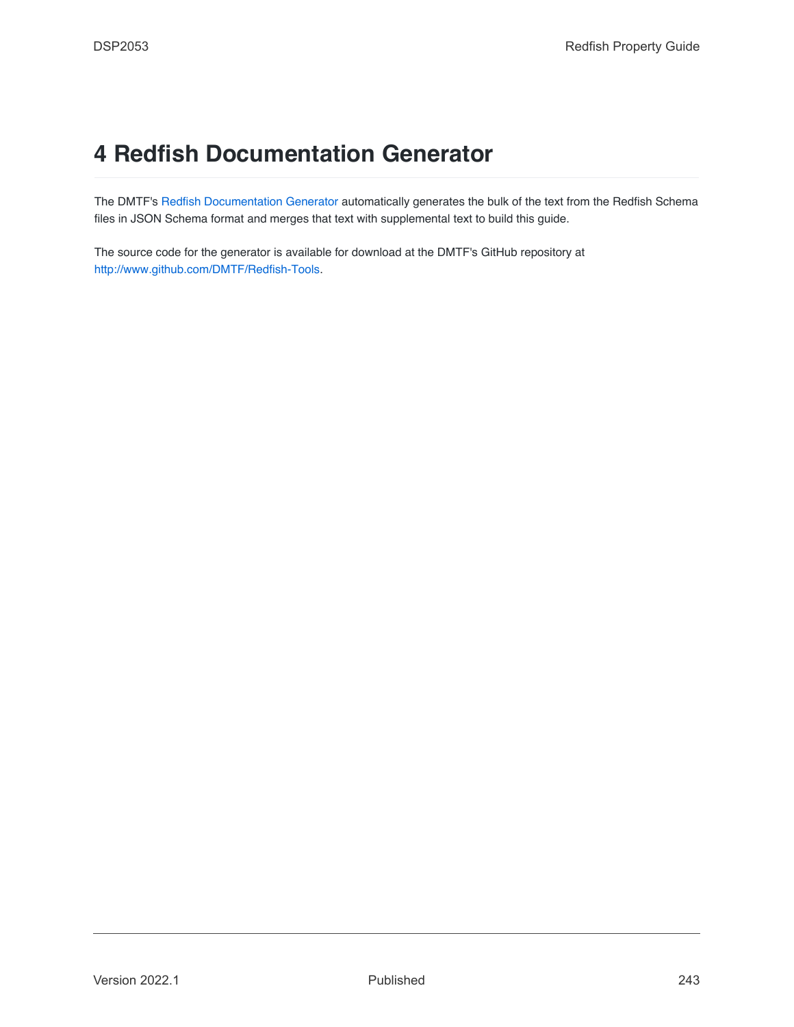## <span id="page-242-0"></span>**4 Redfish Documentation Generator**

The DMTF's [Redfish Documentation Generator](#page-242-0) automatically generates the bulk of the text from the Redfish Schema files in JSON Schema format and merges that text with supplemental text to build this guide.

The source code for the generator is available for download at the DMTF's GitHub repository at [http://www.github.com/DMTF/Redfish-Tools.](http://www.github.com/DMTF/Redfish-Tools)